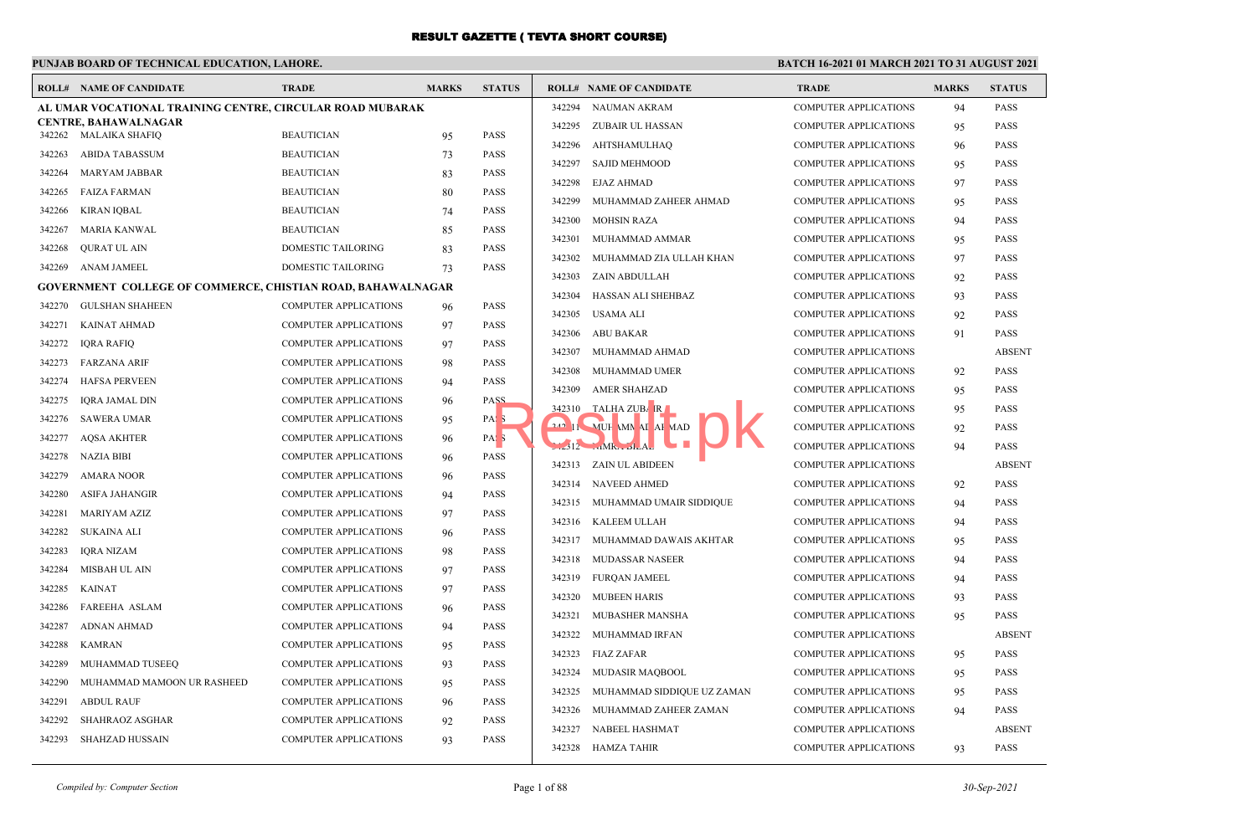## **PUNJAB BOARD OF TECHNICAL EDUCATION, LAHORE.**

| ROLL#            | NAME OF CANDIDATE                                                  | TRADE                        | <b>MARKS</b> | <b>STATUS</b>    |        | <b>ROLL# NAME OF CANDIDATE</b> | <b>TRADE</b>                 | <b>MARKS</b> | <b>STATUS</b> |
|------------------|--------------------------------------------------------------------|------------------------------|--------------|------------------|--------|--------------------------------|------------------------------|--------------|---------------|
|                  | AL UMAR VOCATIONAL TRAINING CENTRE, CIRCULAR ROAD MUBARAK          |                              |              |                  | 342294 | NAUMAN AKRAM                   | <b>COMPUTER APPLICATIONS</b> | 94           | <b>PASS</b>   |
|                  | <b>CENTRE, BAHAWALNAGAR</b>                                        | <b>BEAUTICIAN</b>            |              | <b>PASS</b>      | 342295 | ZUBAIR UL HASSAN               | <b>COMPUTER APPLICATIONS</b> | 95           | <b>PASS</b>   |
| 342262<br>342263 | MALAIKA SHAFIQ<br><b>ABIDA TABASSUM</b>                            | <b>BEAUTICIAN</b>            | 95           | <b>PASS</b>      | 342296 | <b>AHTSHAMULHAQ</b>            | <b>COMPUTER APPLICATIONS</b> | 96           | <b>PASS</b>   |
|                  |                                                                    |                              | 73           |                  | 342297 | <b>SAJID MEHMOOD</b>           | <b>COMPUTER APPLICATIONS</b> | 95           | <b>PASS</b>   |
| 342264           | <b>MARYAM JABBAR</b>                                               | <b>BEAUTICIAN</b>            | 83           | <b>PASS</b>      | 342298 | <b>EJAZ AHMAD</b>              | <b>COMPUTER APPLICATIONS</b> | 97           | <b>PASS</b>   |
| 342265           | <b>FAIZA FARMAN</b>                                                | <b>BEAUTICIAN</b>            | 80           | <b>PASS</b>      | 342299 | MUHAMMAD ZAHEER AHMAD          | <b>COMPUTER APPLICATIONS</b> | 95           | <b>PASS</b>   |
| 342266           | <b>KIRAN IQBAL</b>                                                 | <b>BEAUTICIAN</b>            | 74           | <b>PASS</b>      | 342300 | <b>MOHSIN RAZA</b>             | <b>COMPUTER APPLICATIONS</b> | 94           | <b>PASS</b>   |
| 342267           | MARIA KANWAL                                                       | <b>BEAUTICIAN</b>            | 85           | <b>PASS</b>      | 342301 | MUHAMMAD AMMAR                 | <b>COMPUTER APPLICATIONS</b> | 95           | <b>PASS</b>   |
| 342268           | <b>QURAT UL AIN</b>                                                | DOMESTIC TAILORING           | 83           | <b>PASS</b>      | 342302 | MUHAMMAD ZIA ULLAH KHAN        | <b>COMPUTER APPLICATIONS</b> | 97           | <b>PASS</b>   |
| 342269           | ANAM JAMEEL                                                        | DOMESTIC TAILORING           | 73           | <b>PASS</b>      | 342303 | ZAIN ABDULLAH                  | <b>COMPUTER APPLICATIONS</b> | 92           | <b>PASS</b>   |
|                  | <b>GOVERNMENT COLLEGE OF COMMERCE, CHISTIAN ROAD, BAHAWALNAGAR</b> |                              |              |                  | 342304 | HASSAN ALI SHEHBAZ             | <b>COMPUTER APPLICATIONS</b> | 93           | <b>PASS</b>   |
| 342270           | <b>GULSHAN SHAHEEN</b>                                             | <b>COMPUTER APPLICATIONS</b> | 96           | <b>PASS</b>      | 342305 | USAMA ALI                      | <b>COMPUTER APPLICATIONS</b> | 92           | <b>PASS</b>   |
| 342271           | <b>KAINAT AHMAD</b>                                                | <b>COMPUTER APPLICATIONS</b> | 97           | <b>PASS</b>      | 342306 | ABU BAKAR                      | <b>COMPUTER APPLICATIONS</b> | 91           | <b>PASS</b>   |
| 342272           | <b>IQRA RAFIQ</b>                                                  | <b>COMPUTER APPLICATIONS</b> | 97           | <b>PASS</b>      | 342307 | MUHAMMAD AHMAD                 | <b>COMPUTER APPLICATIONS</b> |              | <b>ABSEN</b>  |
| 342273           | <b>FARZANA ARIF</b>                                                | <b>COMPUTER APPLICATIONS</b> | 98           | <b>PASS</b>      | 342308 | MUHAMMAD UMER                  | <b>COMPUTER APPLICATIONS</b> | 92           | <b>PASS</b>   |
| 342274           | <b>HAFSA PERVEEN</b>                                               | <b>COMPUTER APPLICATIONS</b> | 94           | <b>PASS</b>      | 342309 | <b>AMER SHAHZAD</b>            | <b>COMPUTER APPLICATIONS</b> | 95           | <b>PASS</b>   |
| 342275           | <b>IORA JAMAL DIN</b>                                              | <b>COMPUTER APPLICATIONS</b> | 96           | PASS             |        | 342310 TALHA ZUBAR             | <b>COMPUTER APPLICATIONS</b> | 95           | <b>PASS</b>   |
| 342276           | <b>SAWERA UMAR</b>                                                 | COMPUTER APPLICATIONS        | 95           | PAS:             |        | 242 11 MUH MN AI AF MAD        | <b>COMPUTER APPLICATIONS</b> | 92           | <b>PASS</b>   |
| 342277           | <b>AQSA AKHTER</b>                                                 | <b>COMPUTER APPLICATIONS</b> | 96           | PAS <sub>5</sub> |        | $12$ MR. $JLA$                 | <b>COMPUTER APPLICATIONS</b> | 94           | <b>PASS</b>   |
| 342278           | NAZIA BIBI                                                         | <b>COMPUTER APPLICATIONS</b> | 96           | <b>PASS</b>      |        | 342313 ZAIN UL ABIDEEN         | <b>COMPUTER APPLICATIONS</b> |              | <b>ABSEN</b>  |
| 342279           | <b>AMARA NOOR</b>                                                  | <b>COMPUTER APPLICATIONS</b> | 96           | PASS             |        | 342314 NAVEED AHMED            | <b>COMPUTER APPLICATIONS</b> | 92           | <b>PASS</b>   |
| 342280           | <b>ASIFA JAHANGIR</b>                                              | <b>COMPUTER APPLICATIONS</b> | 94           | <b>PASS</b>      | 342315 | MUHAMMAD UMAIR SIDDIQUE        | <b>COMPUTER APPLICATIONS</b> | 94           | <b>PASS</b>   |
| 342281           | <b>MARIYAM AZIZ</b>                                                | <b>COMPUTER APPLICATIONS</b> | 97           | <b>PASS</b>      | 342316 | KALEEM ULLAH                   | <b>COMPUTER APPLICATIONS</b> | 94           | <b>PASS</b>   |
| 342282           | SUKAINA ALI                                                        | <b>COMPUTER APPLICATIONS</b> | 96           | <b>PASS</b>      | 342317 | MUHAMMAD DAWAIS AKHTAR         | <b>COMPUTER APPLICATIONS</b> | 95           | <b>PASS</b>   |
| 342283           | <b>IQRA NIZAM</b>                                                  | <b>COMPUTER APPLICATIONS</b> | 98           | <b>PASS</b>      | 342318 | MUDASSAR NASEER                | <b>COMPUTER APPLICATIONS</b> | 94           | <b>PASS</b>   |
| 342284           | MISBAH UL AIN                                                      | <b>COMPUTER APPLICATIONS</b> | 97           | <b>PASS</b>      | 342319 | <b>FURQAN JAMEEL</b>           | <b>COMPUTER APPLICATIONS</b> | 94           | <b>PASS</b>   |
| 342285           | <b>KAINAT</b>                                                      | <b>COMPUTER APPLICATIONS</b> | 97           | <b>PASS</b>      | 342320 | <b>MUBEEN HARIS</b>            |                              |              | <b>PASS</b>   |
| 342286           | <b>FAREEHA ASLAM</b>                                               | <b>COMPUTER APPLICATIONS</b> | 96           | <b>PASS</b>      | 342321 | MUBASHER MANSHA                | <b>COMPUTER APPLICATIONS</b> | 93           | <b>PASS</b>   |
| 342287           | <b>ADNAN AHMAD</b>                                                 | <b>COMPUTER APPLICATIONS</b> | 94           | <b>PASS</b>      |        |                                | <b>COMPUTER APPLICATIONS</b> | 95           |               |
| 342288           | <b>KAMRAN</b>                                                      | <b>COMPUTER APPLICATIONS</b> | 95           | <b>PASS</b>      | 342322 | MUHAMMAD IRFAN                 | <b>COMPUTER APPLICATIONS</b> |              | <b>ABSEN</b>  |
| 342289           | MUHAMMAD TUSEEQ                                                    | <b>COMPUTER APPLICATIONS</b> | 93           | <b>PASS</b>      | 342323 | <b>FIAZ ZAFAR</b>              | <b>COMPUTER APPLICATIONS</b> | 95           | <b>PASS</b>   |
| 342290           | MUHAMMAD MAMOON UR RASHEED                                         | <b>COMPUTER APPLICATIONS</b> | 95           | <b>PASS</b>      | 342324 | <b>MUDASIR MAQBOOL</b>         | <b>COMPUTER APPLICATIONS</b> | 95           | <b>PASS</b>   |
| 342291           | <b>ABDUL RAUF</b>                                                  | <b>COMPUTER APPLICATIONS</b> | 96           | <b>PASS</b>      | 342325 | MUHAMMAD SIDDIQUE UZ ZAMAN     | <b>COMPUTER APPLICATIONS</b> | 95           | <b>PASS</b>   |
| 342292           | SHAHRAOZ ASGHAR                                                    | COMPUTER APPLICATIONS        | 92           | <b>PASS</b>      | 342326 | MUHAMMAD ZAHEER ZAMAN          | <b>COMPUTER APPLICATIONS</b> | 94           | <b>PASS</b>   |
| 342293           | SHAHZAD HUSSAIN                                                    | <b>COMPUTER APPLICATIONS</b> | 93           | <b>PASS</b>      | 342327 | NABEEL HASHMAT                 | <b>COMPUTER APPLICATIONS</b> |              | <b>ABSEN</b>  |
|                  |                                                                    |                              |              |                  | 342328 | HAMZA TAHIR                    | <b>COMPUTER APPLICATIONS</b> | 93           | <b>PASS</b>   |

| <b>FATUS</b>             |           | <b>ROLL# NAME OF CANDIDATE</b> | <b>TRADE</b>                 | <b>MARKS</b> | <b>STATUS</b> |
|--------------------------|-----------|--------------------------------|------------------------------|--------------|---------------|
|                          | 342294    | <b>NAUMAN AKRAM</b>            | <b>COMPUTER APPLICATIONS</b> | 94           | <b>PASS</b>   |
|                          | 342295    | <b>ZUBAIR UL HASSAN</b>        | <b>COMPUTER APPLICATIONS</b> | 95           | <b>PASS</b>   |
| <b>ASS</b>               | 342296    | <b>AHTSHAMULHAQ</b>            | <b>COMPUTER APPLICATIONS</b> | 96           | PASS          |
| <b>ASS</b><br><b>ASS</b> | 342297    | <b>SAJID MEHMOOD</b>           | <b>COMPUTER APPLICATIONS</b> | 95           | PASS          |
|                          | 342298    | <b>EJAZ AHMAD</b>              | <b>COMPUTER APPLICATIONS</b> | 97           | PASS          |
| <b>ASS</b>               | 342299    | MUHAMMAD ZAHEER AHMAD          | <b>COMPUTER APPLICATIONS</b> | 95           | <b>PASS</b>   |
| <b>ASS</b><br><b>ASS</b> | 342300    | <b>MOHSIN RAZA</b>             | <b>COMPUTER APPLICATIONS</b> | 94           | PASS          |
| <b>ASS</b>               | 342301    | MUHAMMAD AMMAR                 | <b>COMPUTER APPLICATIONS</b> | 95           | <b>PASS</b>   |
| <b>ASS</b>               | 342302    | MUHAMMAD ZIA ULLAH KHAN        | <b>COMPUTER APPLICATIONS</b> | 97           | <b>PASS</b>   |
|                          | 342303    | ZAIN ABDULLAH                  | <b>COMPUTER APPLICATIONS</b> | 92           | <b>PASS</b>   |
|                          | 342304    | HASSAN ALI SHEHBAZ             | <b>COMPUTER APPLICATIONS</b> | 93           | PASS          |
| ١SS                      | 342305    | <b>USAMA ALI</b>               | <b>COMPUTER APPLICATIONS</b> | 92           | PASS          |
| <b>ASS</b><br><b>ASS</b> | 342306    | <b>ABU BAKAR</b>               | <b>COMPUTER APPLICATIONS</b> | 91           | PASS          |
|                          | 342307    | MUHAMMAD AHMAD                 | <b>COMPUTER APPLICATIONS</b> |              | <b>ABSENT</b> |
| <b>ASS</b><br><b>ASS</b> | 342308    | MUHAMMAD UMER                  | <b>COMPUTER APPLICATIONS</b> | 92           | <b>PASS</b>   |
| 221                      | 342309    | <b>AMER SHAHZAD</b>            | <b>COMPUTER APPLICATIONS</b> | 95           | <b>PASS</b>   |
|                          | 342310    | TALHA ZUBAR                    | <b>COMPUTER APPLICATIONS</b> | 95           | PASS          |
| V.                       | $242$ $1$ | MUH MN AI AF MAD               | <b>COMPUTER APPLICATIONS</b> | 92           | <b>PASS</b>   |
| V.<br><b>ASS</b>         |           | $-1212$ $MR = 12A$             | <b>COMPUTER APPLICATIONS</b> | 94           | PASS          |
|                          | 342313    | <b>ZAIN UL ABIDEEN</b>         | <b>COMPUTER APPLICATIONS</b> |              | <b>ABSENT</b> |
| <b>ASS</b>               | 342314    | <b>NAVEED AHMED</b>            | <b>COMPUTER APPLICATIONS</b> | 92           | <b>PASS</b>   |
| <b>ASS</b><br><b>ASS</b> | 342315    | MUHAMMAD UMAIR SIDDIQUE        | <b>COMPUTER APPLICATIONS</b> | 94           | PASS          |
|                          | 342316    | <b>KALEEM ULLAH</b>            | <b>COMPUTER APPLICATIONS</b> | 94           | <b>PASS</b>   |
| <b>ASS</b><br><b>ASS</b> | 342317    | MUHAMMAD DAWAIS AKHTAR         | <b>COMPUTER APPLICATIONS</b> | 95           | PASS          |
| <b>ASS</b>               | 342318    | <b>MUDASSAR NASEER</b>         | <b>COMPUTER APPLICATIONS</b> | 94           | PASS          |
| <b>ASS</b>               | 342319    | <b>FURQAN JAMEEL</b>           | <b>COMPUTER APPLICATIONS</b> | 94           | PASS          |
| <b>ASS</b>               | 342320    | <b>MUBEEN HARIS</b>            | <b>COMPUTER APPLICATIONS</b> | 93           | <b>PASS</b>   |
| <b>ASS</b>               | 342321    | MUBASHER MANSHA                | <b>COMPUTER APPLICATIONS</b> | 95           | <b>PASS</b>   |
| <b>ASS</b>               | 342322    | MUHAMMAD IRFAN                 | <b>COMPUTER APPLICATIONS</b> |              | <b>ABSENT</b> |
| <b>ASS</b>               | 342323    | <b>FIAZ ZAFAR</b>              | <b>COMPUTER APPLICATIONS</b> | 95           | PASS          |
| <b>ASS</b>               | 342324    | <b>MUDASIR MAQBOOL</b>         | <b>COMPUTER APPLICATIONS</b> | 95           | <b>PASS</b>   |
| <b>ASS</b>               | 342325    | MUHAMMAD SIDDIQUE UZ ZAMAN     | <b>COMPUTER APPLICATIONS</b> | 95           | <b>PASS</b>   |
| <b>ASS</b>               | 342326    | MUHAMMAD ZAHEER ZAMAN          | <b>COMPUTER APPLICATIONS</b> | 94           | <b>PASS</b>   |
| <b>ASS</b>               | 342327    | NABEEL HASHMAT                 | <b>COMPUTER APPLICATIONS</b> |              | <b>ABSENT</b> |
|                          | 342328    | <b>HAMZA TAHIR</b>             | <b>COMPUTER APPLICATIONS</b> | 93           | <b>PASS</b>   |
|                          |           |                                |                              |              |               |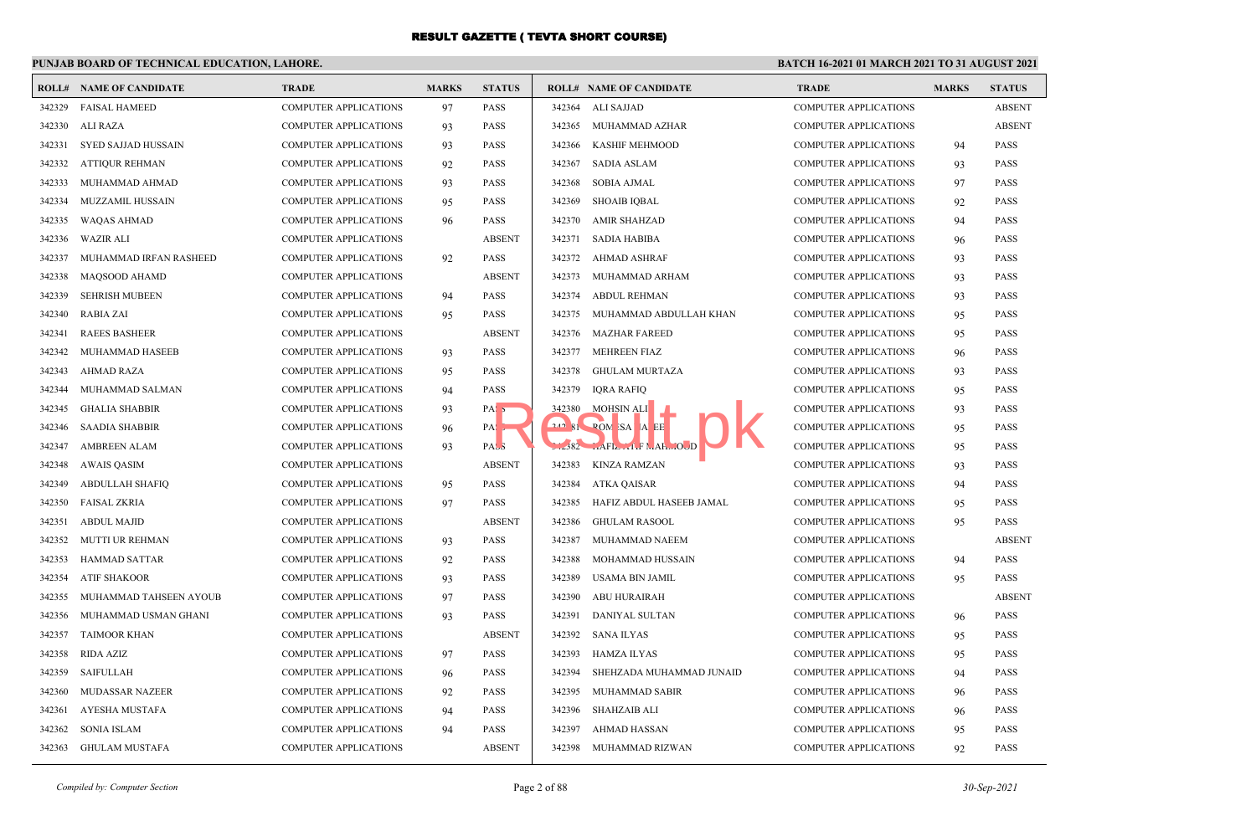# **PUNJAB BOARD OF TECHNICAL EDUCATION, LAHORE.**

|        | <b>ROLL# NAME OF CANDIDATE</b> | <b>TRADE</b>                 | <b>MARKS</b> | <b>STATUS</b>     |        | <b>ROLL# NAME OF CANDIDATE</b>             | <b>TRADE</b>                 | <b>MARKS</b> | <b>STATUS</b> |
|--------|--------------------------------|------------------------------|--------------|-------------------|--------|--------------------------------------------|------------------------------|--------------|---------------|
| 342329 | <b>FAISAL HAMEED</b>           | <b>COMPUTER APPLICATIONS</b> | 97           | <b>PASS</b>       | 342364 | ALI SAJJAD                                 | <b>COMPUTER APPLICATIONS</b> |              | <b>ABSENT</b> |
| 342330 | ALI RAZA                       | <b>COMPUTER APPLICATIONS</b> | 93           | <b>PASS</b>       |        | 342365 MUHAMMAD AZHAR                      | <b>COMPUTER APPLICATIONS</b> |              | <b>ABSENT</b> |
| 342331 | SYED SAJJAD HUSSAIN            | <b>COMPUTER APPLICATIONS</b> | 93           | <b>PASS</b>       | 342366 | KASHIF MEHMOOD                             | <b>COMPUTER APPLICATIONS</b> | 94           | <b>PASS</b>   |
| 342332 | <b>ATTIQUR REHMAN</b>          | <b>COMPUTER APPLICATIONS</b> | 92           | <b>PASS</b>       | 342367 | <b>SADIA ASLAM</b>                         | <b>COMPUTER APPLICATIONS</b> | 93           | <b>PASS</b>   |
| 342333 | MUHAMMAD AHMAD                 | <b>COMPUTER APPLICATIONS</b> | 93           | <b>PASS</b>       | 342368 | SOBIA AJMAL                                | <b>COMPUTER APPLICATIONS</b> | 97           | <b>PASS</b>   |
| 342334 | <b>MUZZAMIL HUSSAIN</b>        | <b>COMPUTER APPLICATIONS</b> | 95           | <b>PASS</b>       | 342369 | <b>SHOAIB IOBAL</b>                        | <b>COMPUTER APPLICATIONS</b> | 92           | <b>PASS</b>   |
| 342335 | <b>WAQAS AHMAD</b>             | COMPUTER APPLICATIONS        | 96           | <b>PASS</b>       | 342370 | AMIR SHAHZAD                               | <b>COMPUTER APPLICATIONS</b> | 94           | <b>PASS</b>   |
| 342336 | <b>WAZIR ALI</b>               | <b>COMPUTER APPLICATIONS</b> |              | <b>ABSENT</b>     | 342371 | SADIA HABIBA                               | <b>COMPUTER APPLICATIONS</b> | 96           | <b>PASS</b>   |
| 342337 | MUHAMMAD IRFAN RASHEED         | COMPUTER APPLICATIONS        | 92           | <b>PASS</b>       | 342372 | AHMAD ASHRAF                               | <b>COMPUTER APPLICATIONS</b> | 93           | <b>PASS</b>   |
| 342338 | <b>MAOSOOD AHAMD</b>           | <b>COMPUTER APPLICATIONS</b> |              | <b>ABSENT</b>     | 342373 | MUHAMMAD ARHAM                             | <b>COMPUTER APPLICATIONS</b> | 93           | <b>PASS</b>   |
| 342339 | <b>SEHRISH MUBEEN</b>          | <b>COMPUTER APPLICATIONS</b> | 94           | <b>PASS</b>       | 342374 | <b>ABDUL REHMAN</b>                        | <b>COMPUTER APPLICATIONS</b> | 93           | <b>PASS</b>   |
| 342340 | <b>RABIA ZAI</b>               | COMPUTER APPLICATIONS        | 95           | <b>PASS</b>       | 342375 | MUHAMMAD ABDULLAH KHAN                     | <b>COMPUTER APPLICATIONS</b> | 95           | <b>PASS</b>   |
| 342341 | <b>RAEES BASHEER</b>           | COMPUTER APPLICATIONS        |              | <b>ABSENT</b>     | 342376 | <b>MAZHAR FAREED</b>                       | <b>COMPUTER APPLICATIONS</b> | 95           | <b>PASS</b>   |
| 342342 | MUHAMMAD HASEEB                | COMPUTER APPLICATIONS        | 93           | <b>PASS</b>       | 342377 | <b>MEHREEN FIAZ</b>                        | <b>COMPUTER APPLICATIONS</b> | 96           | <b>PASS</b>   |
| 342343 | <b>AHMAD RAZA</b>              | <b>COMPUTER APPLICATIONS</b> | 95           | <b>PASS</b>       | 342378 | <b>GHULAM MURTAZA</b>                      | <b>COMPUTER APPLICATIONS</b> | 93           | <b>PASS</b>   |
| 342344 | MUHAMMAD SALMAN                | COMPUTER APPLICATIONS        | 94           | <b>PASS</b>       | 342379 | IQRA RAFIQ                                 | <b>COMPUTER APPLICATIONS</b> | 95           | <b>PASS</b>   |
| 342345 | <b>GHALIA SHABBIR</b>          | <b>COMPUTER APPLICATIONS</b> | 93           | PAS <sub>5</sub>  | 342380 | MOHSIN ALI                                 | <b>COMPUTER APPLICATIONS</b> | 93           | <b>PASS</b>   |
| 342346 | <b>SAADIA SHABBIR</b>          | <b>COMPUTER APPLICATIONS</b> | 96           | $PA: \rightarrow$ |        | 242 81 POM SA A EE                         | <b>COMPUTER APPLICATIONS</b> | 95           | <b>PASS</b>   |
| 342347 | <b>AMBREEN ALAM</b>            | <b>COMPUTER APPLICATIONS</b> | 93           | PAS <sub>3</sub>  |        | $1.382$ $1.4FL - 1.4$ $M_{\text{H}}$ $0.0$ | <b>COMPUTER APPLICATIONS</b> | 95           | <b>PASS</b>   |
| 342348 | <b>AWAIS QASIM</b>             | <b>COMPUTER APPLICATIONS</b> |              | <b>ABSENT</b>     | 342383 | KINZA RAMZAN                               | <b>COMPUTER APPLICATIONS</b> | 93           | <b>PASS</b>   |
| 342349 | <b>ABDULLAH SHAFIQ</b>         | COMPUTER APPLICATIONS        | 95           | <b>PASS</b>       | 342384 | ATKA QAISAR                                | <b>COMPUTER APPLICATIONS</b> | 94           | <b>PASS</b>   |
| 342350 | <b>FAISAL ZKRIA</b>            | <b>COMPUTER APPLICATIONS</b> | 97           | <b>PASS</b>       | 342385 | HAFIZ ABDUL HASEEB JAMAL                   | <b>COMPUTER APPLICATIONS</b> | 95           | <b>PASS</b>   |
| 342351 | <b>ABDUL MAJID</b>             | <b>COMPUTER APPLICATIONS</b> |              | <b>ABSENT</b>     | 342386 | <b>GHULAM RASOOL</b>                       | <b>COMPUTER APPLICATIONS</b> | 95           | <b>PASS</b>   |
| 342352 | <b>MUTTI UR REHMAN</b>         | <b>COMPUTER APPLICATIONS</b> | 93           | <b>PASS</b>       | 342387 | MUHAMMAD NAEEM                             | <b>COMPUTER APPLICATIONS</b> |              | <b>ABSENT</b> |
| 342353 | HAMMAD SATTAR                  | <b>COMPUTER APPLICATIONS</b> | 92           | PASS              | 342388 | MOHAMMAD HUSSAIN                           | <b>COMPUTER APPLICATIONS</b> | 94           | <b>PASS</b>   |
| 342354 | <b>ATIF SHAKOOR</b>            | <b>COMPUTER APPLICATIONS</b> | 93           | <b>PASS</b>       | 342389 | USAMA BIN JAMIL                            | <b>COMPUTER APPLICATIONS</b> | 95           | <b>PASS</b>   |
| 342355 | MUHAMMAD TAHSEEN AYOUB         | <b>COMPUTER APPLICATIONS</b> | 97           | <b>PASS</b>       | 342390 | <b>ABU HURAIRAH</b>                        | <b>COMPUTER APPLICATIONS</b> |              | <b>ABSENT</b> |
| 342356 | MUHAMMAD USMAN GHANI           | <b>COMPUTER APPLICATIONS</b> | 93           | <b>PASS</b>       | 342391 | DANIYAL SULTAN                             | <b>COMPUTER APPLICATIONS</b> | 96           | <b>PASS</b>   |
| 342357 | <b>TAIMOOR KHAN</b>            | <b>COMPUTER APPLICATIONS</b> |              | <b>ABSENT</b>     | 342392 | SANA ILYAS                                 | <b>COMPUTER APPLICATIONS</b> | 95           | <b>PASS</b>   |
| 342358 | RIDA AZIZ                      | <b>COMPUTER APPLICATIONS</b> | 97           | <b>PASS</b>       | 342393 | HAMZA ILYAS                                | <b>COMPUTER APPLICATIONS</b> | 95           | <b>PASS</b>   |
| 342359 | <b>SAIFULLAH</b>               | <b>COMPUTER APPLICATIONS</b> | 96           | <b>PASS</b>       | 342394 | SHEHZADA MUHAMMAD JUNAID                   | <b>COMPUTER APPLICATIONS</b> | 94           | <b>PASS</b>   |
| 342360 | <b>MUDASSAR NAZEER</b>         | <b>COMPUTER APPLICATIONS</b> | 92           | <b>PASS</b>       | 342395 | MUHAMMAD SABIR                             | <b>COMPUTER APPLICATIONS</b> | 96           | <b>PASS</b>   |
| 342361 | AYESHA MUSTAFA                 | <b>COMPUTER APPLICATIONS</b> | 94           | <b>PASS</b>       | 342396 | SHAHZAIB ALI                               | <b>COMPUTER APPLICATIONS</b> | 96           | <b>PASS</b>   |
| 342362 | <b>SONIA ISLAM</b>             | <b>COMPUTER APPLICATIONS</b> | 94           | <b>PASS</b>       | 342397 | <b>AHMAD HASSAN</b>                        | <b>COMPUTER APPLICATIONS</b> | 95           | <b>PASS</b>   |
| 342363 | <b>GHULAM MUSTAFA</b>          | <b>COMPUTER APPLICATIONS</b> |              | <b>ABSENT</b>     | 342398 | MUHAMMAD RIZWAN                            | <b>COMPUTER APPLICATIONS</b> | 92           | <b>PASS</b>   |
|        |                                |                              |              |                   |        |                                            |                              |              |               |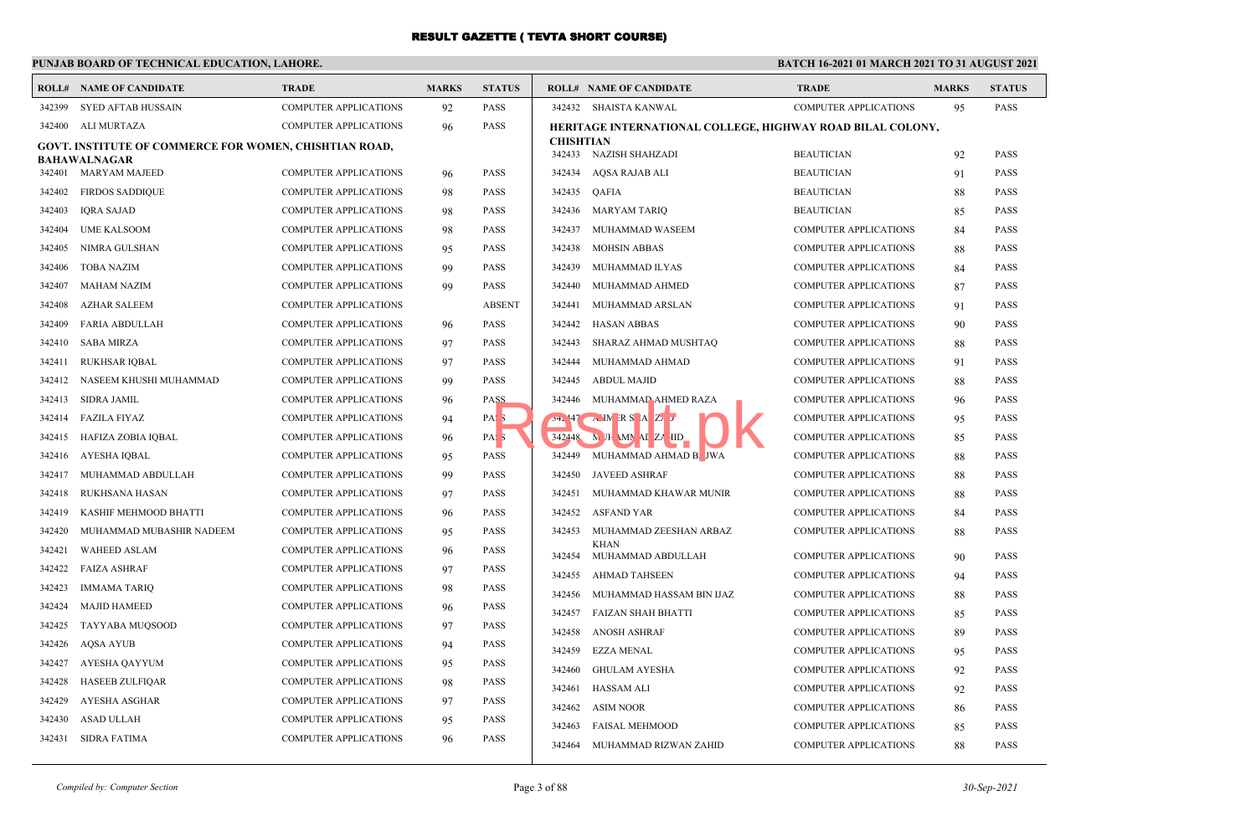## **PUNJAB BOARD OF TECHNICAL EDUCATION, LAHORE.**

|        | <b>ROLL# NAME OF CANDIDATE</b>                                | <b>TRADE</b>                 | <b>MARKS</b> | <b>STATUS</b>    |                  | <b>ROLL# NAME OF CANDIDATE</b>                             | <b>TRADE</b>                 | <b>MARKS</b> | <b>STATUS</b> |
|--------|---------------------------------------------------------------|------------------------------|--------------|------------------|------------------|------------------------------------------------------------|------------------------------|--------------|---------------|
| 342399 | SYED AFTAB HUSSAIN                                            | <b>COMPUTER APPLICATIONS</b> | 92           | PASS             |                  | 342432 SHAISTA KANWAL                                      | COMPUTER APPLICATIONS        | 95           | <b>PASS</b>   |
| 342400 | ALI MURTAZA                                                   | <b>COMPUTER APPLICATIONS</b> | 96           | <b>PASS</b>      |                  | HERITAGE INTERNATIONAL COLLEGE, HIGHWAY ROAD BILAL COLONY, |                              |              |               |
|        | <b>GOVT. INSTITUTE OF COMMERCE FOR WOMEN, CHISHTIAN ROAD,</b> |                              |              |                  | <b>CHISHTIAN</b> |                                                            |                              |              |               |
|        | <b>BAHAWALNAGAR</b>                                           |                              |              |                  |                  | 342433 NAZISH SHAHZADI                                     | <b>BEAUTICIAN</b>            | 92           | <b>PASS</b>   |
| 342401 | MARYAM MAJEED                                                 | <b>COMPUTER APPLICATIONS</b> | 96           | PASS             | 342434           | AQSA RAJAB ALI                                             | <b>BEAUTICIAN</b>            | 91           | <b>PASS</b>   |
| 342402 | <b>FIRDOS SADDIQUE</b>                                        | <b>COMPUTER APPLICATIONS</b> | 98           | PASS             | 342435           | QAFIA                                                      | <b>BEAUTICIAN</b>            | 88           | PASS          |
| 342403 | <b>IQRA SAJAD</b>                                             | <b>COMPUTER APPLICATIONS</b> | 98           | PASS             | 342436           | <b>MARYAM TARIQ</b>                                        | <b>BEAUTICIAN</b>            | 85           | <b>PASS</b>   |
| 342404 | <b>UME KALSOOM</b>                                            | <b>COMPUTER APPLICATIONS</b> | 98           | PASS             | 342437           | MUHAMMAD WASEEM                                            | <b>COMPUTER APPLICATIONS</b> | 84           | <b>PASS</b>   |
| 342405 | NIMRA GULSHAN                                                 | <b>COMPUTER APPLICATIONS</b> | 95           | PASS             | 342438           | <b>MOHSIN ABBAS</b>                                        | <b>COMPUTER APPLICATIONS</b> | 88           | <b>PASS</b>   |
| 342406 | <b>TOBA NAZIM</b>                                             | <b>COMPUTER APPLICATIONS</b> | 99           | <b>PASS</b>      | 342439           | MUHAMMAD ILYAS                                             | <b>COMPUTER APPLICATIONS</b> | 84           | <b>PASS</b>   |
| 342407 | <b>MAHAM NAZIM</b>                                            | <b>COMPUTER APPLICATIONS</b> | 99           | PASS             | 342440           | MUHAMMAD AHMED                                             | COMPUTER APPLICATIONS        | 87           | PASS          |
| 342408 | <b>AZHAR SALEEM</b>                                           | <b>COMPUTER APPLICATIONS</b> |              | <b>ABSENT</b>    | 342441           | MUHAMMAD ARSLAN                                            | <b>COMPUTER APPLICATIONS</b> | 91           | PASS          |
| 342409 | <b>FARIA ABDULLAH</b>                                         | <b>COMPUTER APPLICATIONS</b> | 96           | PASS             | 342442           | <b>HASAN ABBAS</b>                                         | <b>COMPUTER APPLICATIONS</b> | 90           | <b>PASS</b>   |
| 342410 | <b>SABA MIRZA</b>                                             | <b>COMPUTER APPLICATIONS</b> | 97           | PASS             | 342443           | SHARAZ AHMAD MUSHTAQ                                       | COMPUTER APPLICATIONS        | 88           | <b>PASS</b>   |
| 342411 | RUKHSAR IQBAL                                                 | <b>COMPUTER APPLICATIONS</b> | 97           | <b>PASS</b>      | 342444           | MUHAMMAD AHMAD                                             | <b>COMPUTER APPLICATIONS</b> | 91           | <b>PASS</b>   |
| 342412 | NASEEM KHUSHI MUHAMMAD                                        | <b>COMPUTER APPLICATIONS</b> | 99           | PASS             | 342445           | <b>ABDUL MAJID</b>                                         | <b>COMPUTER APPLICATIONS</b> | 88           | <b>PASS</b>   |
| 342413 | <b>SIDRA JAMIL</b>                                            | <b>COMPUTER APPLICATIONS</b> | 96           | PASS             |                  | 342446 MUHAMMAD AHMED RAZA                                 | <b>COMPUTER APPLICATIONS</b> | 96           | <b>PASS</b>   |
| 342414 | <b>FAZILA FIYAZ</b>                                           | <b>COMPUTER APPLICATIONS</b> | 94           | PAS <sub>3</sub> |                  | $24.47$ AMRSAZ                                             | <b>COMPUTER APPLICATIONS</b> | 95           | <b>PASS</b>   |
| 342415 | HAFIZA ZOBIA IQBAL                                            | <b>COMPUTER APPLICATIONS</b> | 96           | PAS <sub>5</sub> |                  | 342448 M JH MN AI ZA HD                                    | <b>COMPUTER APPLICATIONS</b> | 85           | <b>PASS</b>   |
| 342416 | AYESHA IQBAL                                                  | COMPUTER APPLICATIONS        | 95           | PASS             |                  | 342449 MUHAMMAD AHMAD B. JWA                               | <b>COMPUTER APPLICATIONS</b> | 88           | <b>PASS</b>   |
| 342417 | MUHAMMAD ABDULLAH                                             | <b>COMPUTER APPLICATIONS</b> | 99           | PASS             |                  | 342450 JAVEED ASHRAF                                       | <b>COMPUTER APPLICATIONS</b> | 88           | PASS          |
| 342418 | RUKHSANA HASAN                                                | <b>COMPUTER APPLICATIONS</b> | 97           | PASS             | 342451           | MUHAMMAD KHAWAR MUNIR                                      | <b>COMPUTER APPLICATIONS</b> | 88           | <b>PASS</b>   |
| 342419 | KASHIF MEHMOOD BHATTI                                         | <b>COMPUTER APPLICATIONS</b> | 96           | PASS             | 342452           | <b>ASFAND YAR</b>                                          | <b>COMPUTER APPLICATIONS</b> | 84           | <b>PASS</b>   |
| 342420 | MUHAMMAD MUBASHIR NADEEM                                      | COMPUTER APPLICATIONS        | 95           | PASS             | 342453           | MUHAMMAD ZEESHAN ARBAZ                                     | COMPUTER APPLICATIONS        | 88           | <b>PASS</b>   |
| 342421 | <b>WAHEED ASLAM</b>                                           | <b>COMPUTER APPLICATIONS</b> | 96           | PASS             | 342454           | KHAN<br>MUHAMMAD ABDULLAH                                  | <b>COMPUTER APPLICATIONS</b> | 90           | <b>PASS</b>   |
| 342422 | <b>FAIZA ASHRAF</b>                                           | <b>COMPUTER APPLICATIONS</b> | 97           | PASS             | 342455           | <b>AHMAD TAHSEEN</b>                                       | <b>COMPUTER APPLICATIONS</b> |              | <b>PASS</b>   |
| 342423 | <b>IMMAMA TARIQ</b>                                           | <b>COMPUTER APPLICATIONS</b> | 98           | PASS             | 342456           | MUHAMMAD HASSAM BIN IJAZ                                   |                              | 94           | <b>PASS</b>   |
| 342424 | <b>MAJID HAMEED</b>                                           | <b>COMPUTER APPLICATIONS</b> | 96           | PASS             |                  |                                                            | COMPUTER APPLICATIONS        | 88           |               |
| 342425 | TAYYABA MUQSOOD                                               | <b>COMPUTER APPLICATIONS</b> | 97           | <b>PASS</b>      | 342457           | FAIZAN SHAH BHATTI                                         | COMPUTER APPLICATIONS        | 85           | PASS          |
| 342426 | <b>AQSA AYUB</b>                                              | <b>COMPUTER APPLICATIONS</b> | 94           | PASS             | 342458           | <b>ANOSH ASHRAF</b>                                        | COMPUTER APPLICATIONS        | 89           | <b>PASS</b>   |
| 342427 | AYESHA QAYYUM                                                 | <b>COMPUTER APPLICATIONS</b> | 95           | PASS             | 342459           | EZZA MENAL                                                 | <b>COMPUTER APPLICATIONS</b> | 95           | <b>PASS</b>   |
| 342428 | <b>HASEEB ZULFIOAR</b>                                        | <b>COMPUTER APPLICATIONS</b> | 98           | PASS             | 342460           | <b>GHULAM AYESHA</b>                                       | <b>COMPUTER APPLICATIONS</b> | 92           | <b>PASS</b>   |
| 342429 | AYESHA ASGHAR                                                 | <b>COMPUTER APPLICATIONS</b> | 97           | PASS             | 342461           | <b>HASSAM ALI</b>                                          | <b>COMPUTER APPLICATIONS</b> | 92           | <b>PASS</b>   |
| 342430 | ASAD ULLAH                                                    | <b>COMPUTER APPLICATIONS</b> | 95           | PASS             | 342462           | <b>ASIM NOOR</b>                                           | <b>COMPUTER APPLICATIONS</b> | 86           | <b>PASS</b>   |
| 342431 | <b>SIDRA FATIMA</b>                                           | <b>COMPUTER APPLICATIONS</b> | 96           | PASS             | 342463           | <b>FAISAL MEHMOOD</b>                                      | COMPUTER APPLICATIONS        | 85           | PASS          |
|        |                                                               |                              |              |                  | 342464           | MUHAMMAD RIZWAN ZAHID                                      | <b>COMPUTER APPLICATIONS</b> | 88           | <b>PASS</b>   |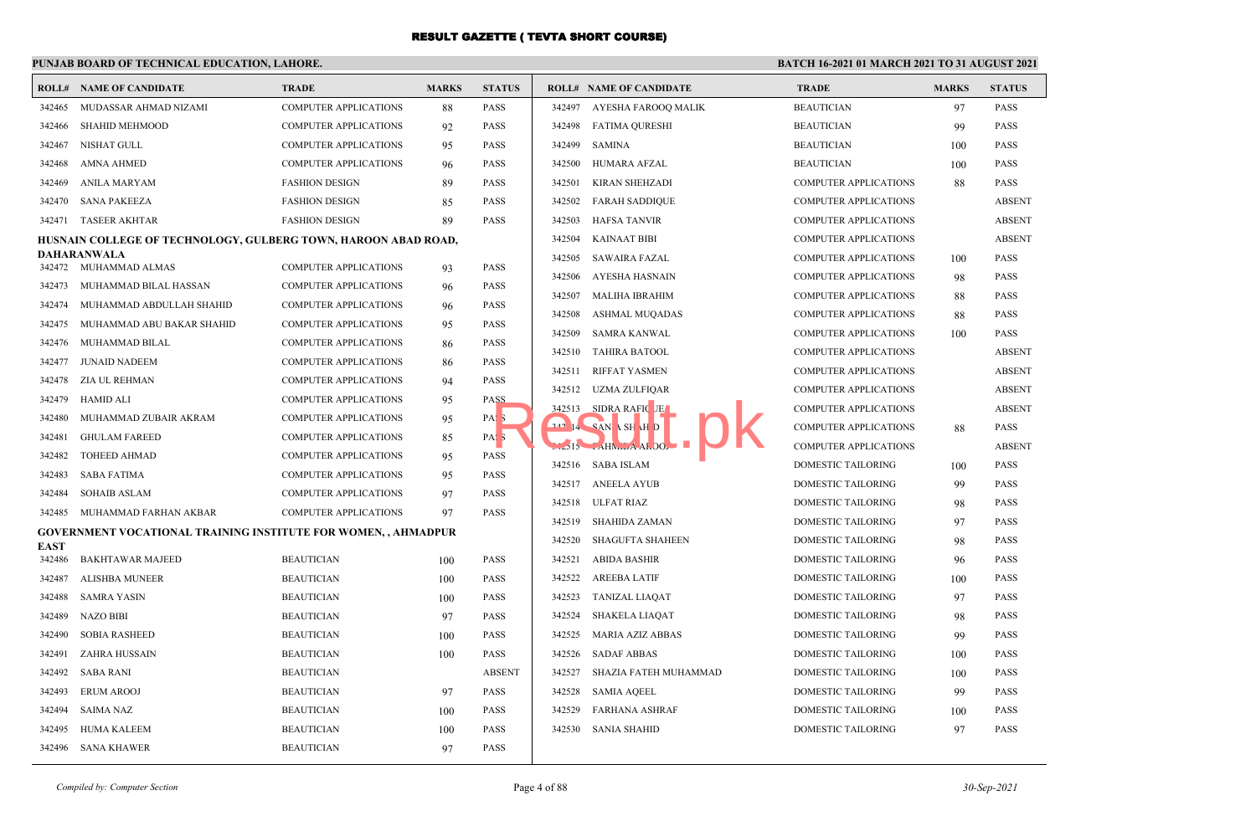## **PUNJAB BOARD OF TECHNICAL EDUCATION, LAHORE.**

|             | <b>ROLL# NAME OF CANDIDATE</b>                                        | <b>TRADE</b>                 | <b>MARKS</b> | <b>STATUS</b>    |        | <b>ROLL# NAME OF CANDIDATE</b> | <b>TRADE</b>                 | <b>MARKS</b> | <b>STATUS</b> |
|-------------|-----------------------------------------------------------------------|------------------------------|--------------|------------------|--------|--------------------------------|------------------------------|--------------|---------------|
| 342465      | MUDASSAR AHMAD NIZAMI                                                 | <b>COMPUTER APPLICATIONS</b> | 88           | <b>PASS</b>      | 342497 | AYESHA FAROOQ MALIK            | <b>BEAUTICIAN</b>            | 97           | <b>PASS</b>   |
| 342466      | <b>SHAHID MEHMOOD</b>                                                 | <b>COMPUTER APPLICATIONS</b> | 92           | <b>PASS</b>      | 342498 | <b>FATIMA QURESHI</b>          | <b>BEAUTICIAN</b>            | 99           | <b>PASS</b>   |
| 342467      | NISHAT GULL                                                           | <b>COMPUTER APPLICATIONS</b> | 95           | <b>PASS</b>      | 342499 | <b>SAMINA</b>                  | <b>BEAUTICIAN</b>            | 100          | <b>PASS</b>   |
| 342468      | AMNA AHMED                                                            | <b>COMPUTER APPLICATIONS</b> | 96           | <b>PASS</b>      | 342500 | HUMARA AFZAL                   | <b>BEAUTICIAN</b>            | 100          | <b>PASS</b>   |
| 342469      | ANILA MARYAM                                                          | <b>FASHION DESIGN</b>        | 89           | <b>PASS</b>      | 342501 | KIRAN SHEHZADI                 | <b>COMPUTER APPLICATIONS</b> | 88           | <b>PASS</b>   |
| 342470      | <b>SANA PAKEEZA</b>                                                   | <b>FASHION DESIGN</b>        | 85           | <b>PASS</b>      | 342502 | <b>FARAH SADDIQUE</b>          | <b>COMPUTER APPLICATIONS</b> |              | <b>ABSENT</b> |
| 342471      | <b>TASEER AKHTAR</b>                                                  | <b>FASHION DESIGN</b>        | 89           | <b>PASS</b>      | 342503 | <b>HAFSA TANVIR</b>            | <b>COMPUTER APPLICATIONS</b> |              | <b>ABSENT</b> |
|             | HUSNAIN COLLEGE OF TECHNOLOGY, GULBERG TOWN, HAROON ABAD ROAD,        |                              |              |                  | 342504 | <b>KAINAAT BIBI</b>            | <b>COMPUTER APPLICATIONS</b> |              | <b>ABSENT</b> |
|             | DAHARANWALA<br>342472 MUHAMMAD ALMAS                                  | <b>COMPUTER APPLICATIONS</b> | 93           | <b>PASS</b>      | 342505 | <b>SAWAIRA FAZAL</b>           | <b>COMPUTER APPLICATIONS</b> | 100          | <b>PASS</b>   |
| 342473      | MUHAMMAD BILAL HASSAN                                                 | <b>COMPUTER APPLICATIONS</b> | 96           | <b>PASS</b>      | 342506 | <b>AYESHA HASNAIN</b>          | <b>COMPUTER APPLICATIONS</b> | 98           | <b>PASS</b>   |
| 342474      | MUHAMMAD ABDULLAH SHAHID                                              | <b>COMPUTER APPLICATIONS</b> | 96           | <b>PASS</b>      | 342507 | <b>MALIHA IBRAHIM</b>          | <b>COMPUTER APPLICATIONS</b> | 88           | <b>PASS</b>   |
| 342475      | MUHAMMAD ABU BAKAR SHAHID                                             | <b>COMPUTER APPLICATIONS</b> | 95           | PASS             | 342508 | <b>ASHMAL MUQADAS</b>          | <b>COMPUTER APPLICATIONS</b> | 88           | <b>PASS</b>   |
| 342476      | MUHAMMAD BILAL                                                        | <b>COMPUTER APPLICATIONS</b> | 86           | <b>PASS</b>      | 342509 | <b>SAMRA KANWAL</b>            | <b>COMPUTER APPLICATIONS</b> | 100          | <b>PASS</b>   |
| 342477      | <b>JUNAID NADEEM</b>                                                  | <b>COMPUTER APPLICATIONS</b> | 86           | <b>PASS</b>      | 342510 | <b>TAHIRA BATOOL</b>           | <b>COMPUTER APPLICATIONS</b> |              | <b>ABSENT</b> |
| 342478      | ZIA UL REHMAN                                                         | <b>COMPUTER APPLICATIONS</b> | 94           | <b>PASS</b>      | 342511 | <b>RIFFAT YASMEN</b>           | <b>COMPUTER APPLICATIONS</b> |              | <b>ABSENT</b> |
| 342479      | HAMID ALI                                                             | <b>COMPUTER APPLICATIONS</b> | 95           | PASS             | 342512 | UZMA ZULFIQAR                  | <b>COMPUTER APPLICATIONS</b> |              | <b>ABSENT</b> |
| 342480      | MUHAMMAD ZUBAIR AKRAM                                                 | <b>COMPUTER APPLICATIONS</b> | 95           | PAS <sub>5</sub> | 342513 | SIDRA RAFIC JE                 | <b>COMPUTER APPLICATIONS</b> |              | <b>ABSENT</b> |
| 342481      | <b>GHULAM FAREED</b>                                                  | <b>COMPUTER APPLICATIONS</b> | 85           | PAS <sub>5</sub> |        | 240 14 SAN \ SH \H D           | <b>COMPUTER APPLICATIONS</b> | 88           | <b>PASS</b>   |
| 342482      | <b>TOHEED AHMAD</b>                                                   | <b>COMPUTER APPLICATIONS</b> | 95           | <b>PASS</b>      |        | $2515$ $AHM.2AAI.00.$          | <b>COMPUTER APPLICATIONS</b> |              | <b>ABSENT</b> |
| 342483      | SABA FATIMA                                                           | <b>COMPUTER APPLICATIONS</b> | 95           | <b>PASS</b>      |        | 342516 SABA ISLAM              | <b>DOMESTIC TAILORING</b>    | 100          | <b>PASS</b>   |
| 342484      | <b>SOHAIB ASLAM</b>                                                   | <b>COMPUTER APPLICATIONS</b> | 97           | <b>PASS</b>      |        | 342517 ANEELA AYUB             | <b>DOMESTIC TAILORING</b>    | 99           | <b>PASS</b>   |
| 342485      | MUHAMMAD FARHAN AKBAR                                                 | <b>COMPUTER APPLICATIONS</b> | 97           | <b>PASS</b>      | 342518 | <b>ULFAT RIAZ</b>              | <b>DOMESTIC TAILORING</b>    | 98           | <b>PASS</b>   |
|             | <b>GOVERNMENT VOCATIONAL TRAINING INSTITUTE FOR WOMEN, , AHMADPUR</b> |                              |              |                  | 342519 | SHAHIDA ZAMAN                  | DOMESTIC TAILORING           | 97           | <b>PASS</b>   |
| <b>EAST</b> |                                                                       |                              |              |                  | 342520 | SHAGUFTA SHAHEEN               | DOMESTIC TAILORING           | 98           | <b>PASS</b>   |
| 342486      | <b>BAKHTAWAR MAJEED</b>                                               | <b>BEAUTICIAN</b>            | 100          | <b>PASS</b>      | 342521 | <b>ABIDA BASHIR</b>            | <b>DOMESTIC TAILORING</b>    | 96           | <b>PASS</b>   |
| 342487      | ALISHBA MUNEER                                                        | <b>BEAUTICIAN</b>            | 100          | <b>PASS</b>      | 342522 | <b>AREEBA LATIF</b>            | DOMESTIC TAILORING           | 100          | <b>PASS</b>   |
| 342488      | <b>SAMRA YASIN</b>                                                    | <b>BEAUTICIAN</b>            | 100          | <b>PASS</b>      | 342523 | <b>TANIZAL LIAQAT</b>          | DOMESTIC TAILORING           | 97           | <b>PASS</b>   |
| 342489      | <b>NAZO BIBI</b>                                                      | <b>BEAUTICIAN</b>            | 97           | <b>PASS</b>      | 342524 | <b>SHAKELA LIAQAT</b>          | DOMESTIC TAILORING           | 98           | <b>PASS</b>   |
| 342490      | <b>SOBIA RASHEED</b>                                                  | <b>BEAUTICIAN</b>            | 100          | <b>PASS</b>      | 342525 | MARIA AZIZ ABBAS               | DOMESTIC TAILORING           | 99           | <b>PASS</b>   |
| 342491      | ZAHRA HUSSAIN                                                         | <b>BEAUTICIAN</b>            | 100          | <b>PASS</b>      | 342526 | <b>SADAF ABBAS</b>             | <b>DOMESTIC TAILORING</b>    | 100          | <b>PASS</b>   |
| 342492      | SABA RANI                                                             | <b>BEAUTICIAN</b>            |              | <b>ABSENT</b>    | 342527 | SHAZIA FATEH MUHAMMAD          | DOMESTIC TAILORING           | 100          | <b>PASS</b>   |
| 342493      | <b>ERUM AROOJ</b>                                                     | <b>BEAUTICIAN</b>            | 97           | <b>PASS</b>      | 342528 | <b>SAMIA AQEEL</b>             | DOMESTIC TAILORING           | 99           | <b>PASS</b>   |
| 342494      | SAIMA NAZ                                                             | <b>BEAUTICIAN</b>            | 100          | <b>PASS</b>      | 342529 | <b>FARHANA ASHRAF</b>          | DOMESTIC TAILORING           | 100          | <b>PASS</b>   |
| 342495      | HUMA KALEEM                                                           | <b>BEAUTICIAN</b>            | 100          | <b>PASS</b>      | 342530 | <b>SANIA SHAHID</b>            | <b>DOMESTIC TAILORING</b>    | 97           | <b>PASS</b>   |
|             | 342496 SANA KHAWER                                                    | <b>BEAUTICIAN</b>            | 97           | <b>PASS</b>      |        |                                |                              |              |               |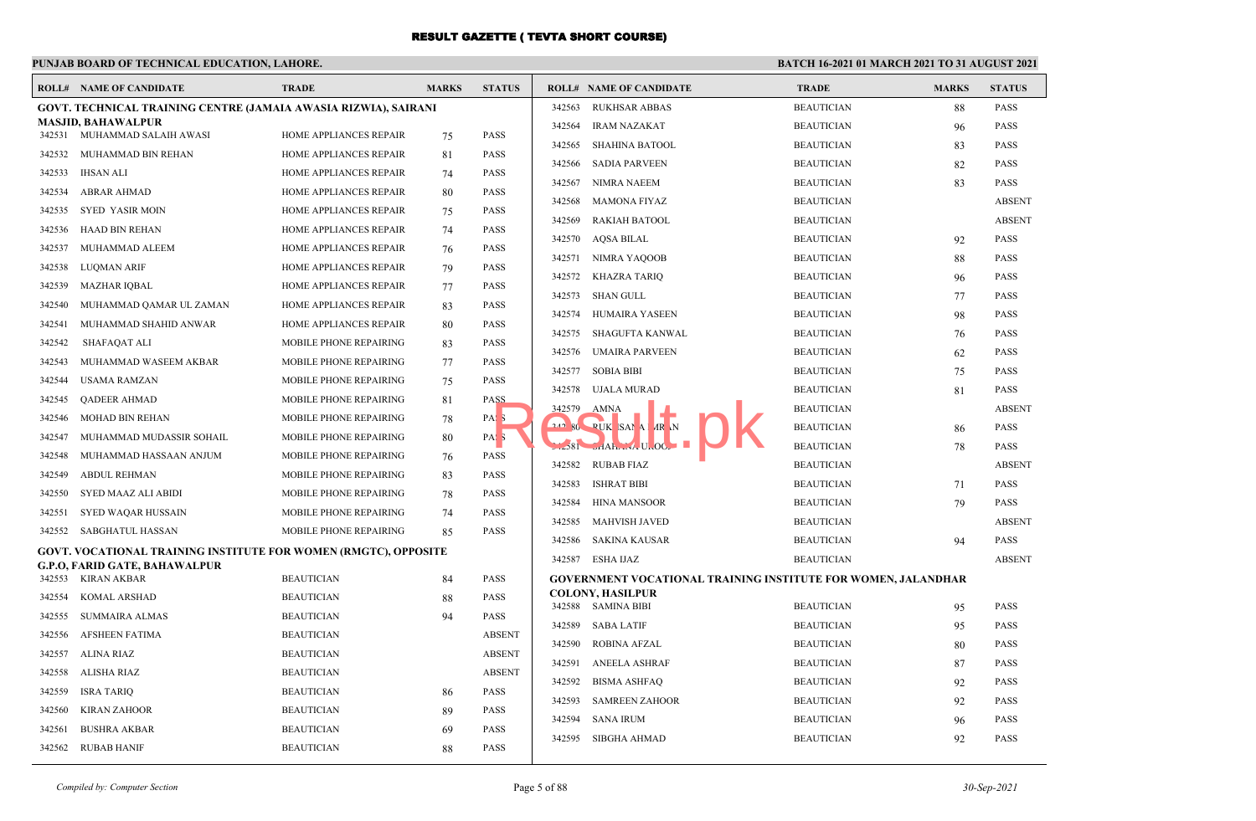## **PUNJAB BOARD OF TECHNICAL EDUCATION, LAHORE.**

|        | <b>ROLL# NAME OF CANDIDATE</b>                                         | <b>TRADE</b>                  | <b>MARKS</b> | <b>STATUS</b>    |        | <b>ROLL# NAME OF CANDIDATE</b>                                | <b>TRADE</b>      | <b>MARKS</b> | <b>STATUS</b> |
|--------|------------------------------------------------------------------------|-------------------------------|--------------|------------------|--------|---------------------------------------------------------------|-------------------|--------------|---------------|
|        | GOVT. TECHNICAL TRAINING CENTRE (JAMAIA AWASIA RIZWIA), SAIRANI        |                               |              |                  | 342563 | <b>RUKHSAR ABBAS</b>                                          | <b>BEAUTICIAN</b> | 88           | <b>PASS</b>   |
|        | <b>MASJID, BAHAWALPUR</b>                                              |                               |              |                  | 342564 | <b>IRAM NAZAKAT</b>                                           | <b>BEAUTICIAN</b> | 96           | <b>PASS</b>   |
|        | 342531 MUHAMMAD SALAIH AWASI                                           | HOME APPLIANCES REPAIR        | 75           | <b>PASS</b>      | 342565 | <b>SHAHINA BATOOL</b>                                         | <b>BEAUTICIAN</b> | 83           | <b>PASS</b>   |
| 342532 | MUHAMMAD BIN REHAN                                                     | HOME APPLIANCES REPAIR        | 81           | PASS             | 342566 | <b>SADIA PARVEEN</b>                                          | <b>BEAUTICIAN</b> | 82           | <b>PASS</b>   |
| 342533 | IHSAN ALI                                                              | <b>HOME APPLIANCES REPAIR</b> | 74           | <b>PASS</b>      | 342567 | <b>NIMRA NAEEM</b>                                            | <b>BEAUTICIAN</b> | 83           | <b>PASS</b>   |
| 342534 | <b>ABRAR AHMAD</b>                                                     | HOME APPLIANCES REPAIR        | 80           | <b>PASS</b>      | 342568 | <b>MAMONA FIYAZ</b>                                           | <b>BEAUTICIAN</b> |              | <b>ABSENT</b> |
| 342535 | SYED YASIR MOIN                                                        | HOME APPLIANCES REPAIR        | 75           | <b>PASS</b>      | 342569 | <b>RAKIAH BATOOL</b>                                          | <b>BEAUTICIAN</b> |              | <b>ABSENT</b> |
| 342536 | HAAD BIN REHAN                                                         | HOME APPLIANCES REPAIR        | 74           | <b>PASS</b>      | 342570 | <b>AQSA BILAL</b>                                             | <b>BEAUTICIAN</b> | 92           | <b>PASS</b>   |
| 342537 | MUHAMMAD ALEEM                                                         | <b>HOME APPLIANCES REPAIR</b> | 76           | PASS             | 342571 | NIMRA YAQOOB                                                  | <b>BEAUTICIAN</b> | 88           | <b>PASS</b>   |
| 342538 | LUQMAN ARIF                                                            | HOME APPLIANCES REPAIR        | 79           | <b>PASS</b>      | 342572 | KHAZRA TARIQ                                                  | <b>BEAUTICIAN</b> | 96           | <b>PASS</b>   |
| 342539 | <b>MAZHAR IQBAL</b>                                                    | HOME APPLIANCES REPAIR        | 77           | <b>PASS</b>      | 342573 | SHAN GULL                                                     | <b>BEAUTICIAN</b> | 77           | <b>PASS</b>   |
| 342540 | MUHAMMAD QAMAR UL ZAMAN                                                | HOME APPLIANCES REPAIR        | 83           | <b>PASS</b>      | 342574 | <b>HUMAIRA YASEEN</b>                                         | <b>BEAUTICIAN</b> | 98           | <b>PASS</b>   |
| 342541 | MUHAMMAD SHAHID ANWAR                                                  | HOME APPLIANCES REPAIR        | 80           | <b>PASS</b>      | 342575 | <b>SHAGUFTA KANWAL</b>                                        | <b>BEAUTICIAN</b> | 76           | <b>PASS</b>   |
| 342542 | SHAFAQAT ALI                                                           | MOBILE PHONE REPAIRING        | 83           | <b>PASS</b>      | 342576 | <b>UMAIRA PARVEEN</b>                                         | <b>BEAUTICIAN</b> | 62           | <b>PASS</b>   |
| 342543 | MUHAMMAD WASEEM AKBAR                                                  | MOBILE PHONE REPAIRING        | 77           | <b>PASS</b>      | 342577 | <b>SOBIA BIBI</b>                                             | <b>BEAUTICIAN</b> | 75           | <b>PASS</b>   |
| 342544 | USAMA RAMZAN                                                           | MOBILE PHONE REPAIRING        | 75           | <b>PASS</b>      | 342578 | UJALA MURAD                                                   | <b>BEAUTICIAN</b> |              | <b>PASS</b>   |
| 342545 | <b>OADEER AHMAD</b>                                                    | MOBILE PHONE REPAIRING        | 81           | PASS             | 342579 | <b>AMNA</b>                                                   | <b>BEAUTICIAN</b> | 81           | <b>ABSENT</b> |
| 342546 | <b>MOHAD BIN REHAN</b>                                                 | MOBILE PHONE REPAIRING        | 78           | PAS.             |        | 242 80 PUK SAMA AR N                                          |                   |              |               |
| 342547 | MUHAMMAD MUDASSIR SOHAIL                                               | MOBILE PHONE REPAIRING        | 80           | PAS <sub>3</sub> |        |                                                               | <b>BEAUTICIAN</b> | 86           | <b>PASS</b>   |
| 342548 | MUHAMMAD HASSAAN ANJUM                                                 | MOBILE PHONE REPAIRING        | 76           | <b>PASS</b>      |        | $1.581$ $1.14H$ $1.00$ .                                      | <b>BEAUTICIAN</b> | 78           | <b>PASS</b>   |
| 342549 | <b>ABDUL REHMAN</b>                                                    | MOBILE PHONE REPAIRING        | 83           | <b>PASS</b>      | 342582 | <b>RUBAB FIAZ</b>                                             | <b>BEAUTICIAN</b> |              | <b>ABSENT</b> |
| 342550 | SYED MAAZ ALI ABIDI                                                    | MOBILE PHONE REPAIRING        | 78           | <b>PASS</b>      | 342583 | <b>ISHRAT BIBI</b>                                            | <b>BEAUTICIAN</b> | 71           | <b>PASS</b>   |
| 342551 | SYED WAQAR HUSSAIN                                                     | MOBILE PHONE REPAIRING        | 74           | <b>PASS</b>      | 342584 | <b>HINA MANSOOR</b>                                           | <b>BEAUTICIAN</b> | 79           | <b>PASS</b>   |
| 342552 | SABGHATUL HASSAN                                                       | MOBILE PHONE REPAIRING        | 85           | <b>PASS</b>      | 342585 | <b>MAHVISH JAVED</b>                                          | <b>BEAUTICIAN</b> |              | <b>ABSENT</b> |
|        | <b>GOVT. VOCATIONAL TRAINING INSTITUTE FOR WOMEN (RMGTC), OPPOSITE</b> |                               |              |                  | 342586 | SAKINA KAUSAR                                                 | <b>BEAUTICIAN</b> | 94           | <b>PASS</b>   |
|        | G.P.O, FARID GATE, BAHAWALPUR                                          |                               |              |                  | 342587 | ESHA IJAZ                                                     | <b>BEAUTICIAN</b> |              | <b>ABSENT</b> |
| 342553 | KIRAN AKBAR                                                            | <b>BEAUTICIAN</b>             | 84           | <b>PASS</b>      |        | GOVERNMENT VOCATIONAL TRAINING INSTITUTE FOR WOMEN, JALANDHAR |                   |              |               |
| 342554 | <b>KOMAL ARSHAD</b>                                                    | <b>BEAUTICIAN</b>             | 88           | <b>PASS</b>      |        | <b>COLONY, HASILPUR</b><br>342588 SAMINA BIBI                 | <b>BEAUTICIAN</b> | 95           | <b>PASS</b>   |
| 342555 | SUMMAIRA ALMAS                                                         | <b>BEAUTICIAN</b>             | 94           | <b>PASS</b>      | 342589 | <b>SABA LATIF</b>                                             | <b>BEAUTICIAN</b> | 95           | <b>PASS</b>   |
| 342556 | AFSHEEN FATIMA                                                         | <b>BEAUTICIAN</b>             |              | <b>ABSENT</b>    | 342590 | <b>ROBINA AFZAL</b>                                           | <b>BEAUTICIAN</b> | 80           | <b>PASS</b>   |
| 342557 | ALINA RIAZ                                                             | <b>BEAUTICIAN</b>             |              | <b>ABSENT</b>    | 342591 | <b>ANEELA ASHRAF</b>                                          | <b>BEAUTICIAN</b> | 87           | <b>PASS</b>   |
| 342558 | <b>ALISHA RIAZ</b>                                                     | <b>BEAUTICIAN</b>             |              | <b>ABSENT</b>    |        |                                                               |                   |              |               |
| 342559 | <b>ISRA TARIQ</b>                                                      | <b>BEAUTICIAN</b>             | 86           | <b>PASS</b>      | 342592 | <b>BISMA ASHFAQ</b>                                           | <b>BEAUTICIAN</b> | 92           | <b>PASS</b>   |
| 342560 | <b>KIRAN ZAHOOR</b>                                                    | <b>BEAUTICIAN</b>             | 89           | <b>PASS</b>      | 342593 | <b>SAMREEN ZAHOOR</b>                                         | <b>BEAUTICIAN</b> | 92           | <b>PASS</b>   |
| 342561 | <b>BUSHRA AKBAR</b>                                                    | <b>BEAUTICIAN</b>             | 69           | <b>PASS</b>      | 342594 | <b>SANA IRUM</b>                                              | <b>BEAUTICIAN</b> | 96           | <b>PASS</b>   |
| 342562 | RUBAB HANIF                                                            | <b>BEAUTICIAN</b>             | 88           | <b>PASS</b>      | 342595 | <b>SIBGHA AHMAD</b>                                           | <b>BEAUTICIAN</b> | 92           | <b>PASS</b>   |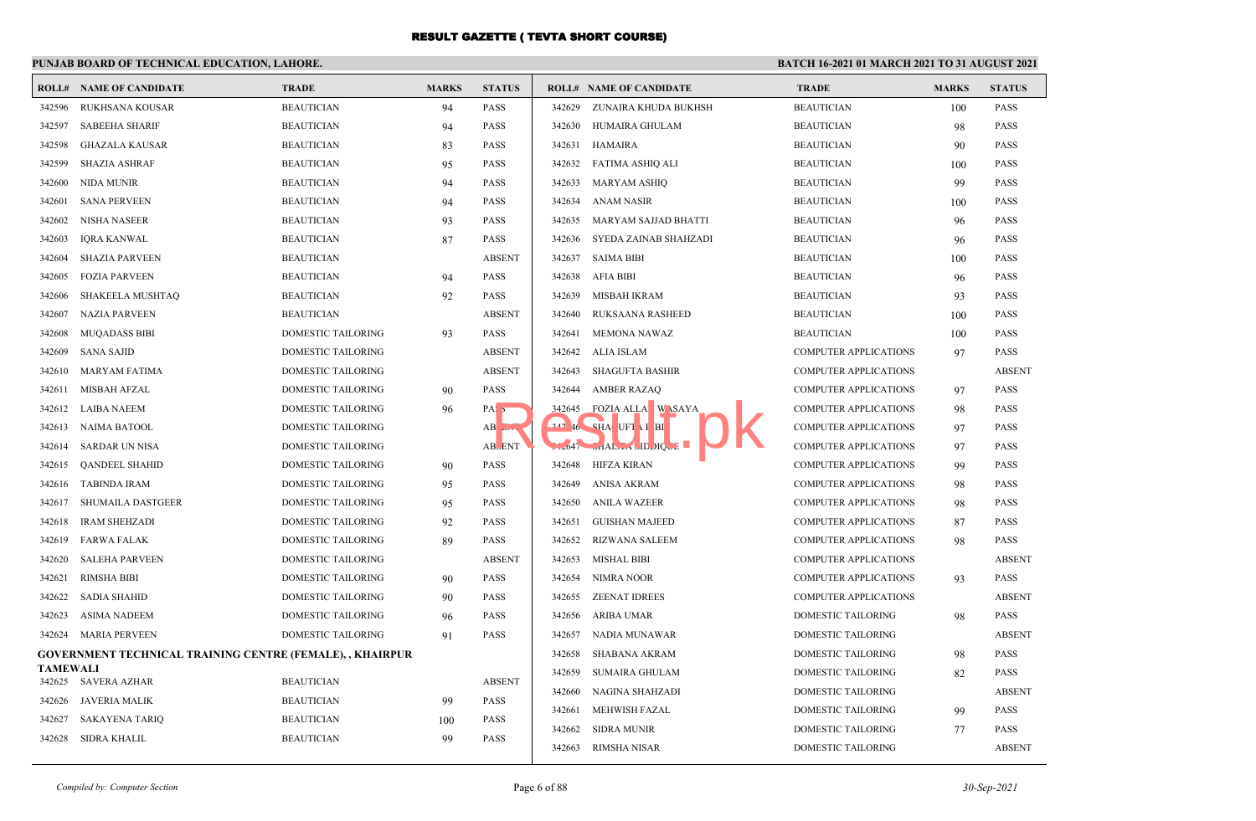## **PUNJAB BOARD OF TECHNICAL EDUCATION, LAHORE.**

|                 | <b>ROLL# NAME OF CANDIDATE</b>                                   | <b>TRADE</b>                           | <b>MARKS</b> | <b>STATUS</b>                    |        | <b>ROLL# NAME OF CANDIDATE</b> | <b>TRADE</b>                 | <b>MARKS</b> | <b>STATUS</b> |
|-----------------|------------------------------------------------------------------|----------------------------------------|--------------|----------------------------------|--------|--------------------------------|------------------------------|--------------|---------------|
| 342596          | RUKHSANA KOUSAR                                                  | <b>BEAUTICIAN</b>                      | 94           | <b>PASS</b>                      | 342629 | ZUNAIRA KHUDA BUKHSH           | <b>BEAUTICIAN</b>            | 100          | <b>PASS</b>   |
| 342597          | <b>SABEEHA SHARIF</b>                                            | <b>BEAUTICIAN</b>                      | 94           | <b>PASS</b>                      | 342630 | HUMAIRA GHULAM                 | <b>BEAUTICIAN</b>            | 98           | <b>PASS</b>   |
| 342598          | <b>GHAZALA KAUSAR</b>                                            | <b>BEAUTICIAN</b>                      | 83           | <b>PASS</b>                      | 342631 | <b>HAMAIRA</b>                 | <b>BEAUTICIAN</b>            | 90           | <b>PASS</b>   |
| 342599          | <b>SHAZIA ASHRAF</b>                                             | <b>BEAUTICIAN</b>                      | 95           | <b>PASS</b>                      | 342632 | FATIMA ASHIO ALI               | <b>BEAUTICIAN</b>            | 100          | <b>PASS</b>   |
| 342600          | NIDA MUNIR                                                       | <b>BEAUTICIAN</b>                      | 94           | <b>PASS</b>                      | 342633 | MARYAM ASHIQ                   | <b>BEAUTICIAN</b>            | 99           | <b>PASS</b>   |
| 342601          | <b>SANA PERVEEN</b>                                              | <b>BEAUTICIAN</b>                      | 94           | <b>PASS</b>                      | 342634 | ANAM NASIR                     | <b>BEAUTICIAN</b>            | 100          | <b>PASS</b>   |
| 342602          | NISHA NASEER                                                     | <b>BEAUTICIAN</b>                      | 93           | <b>PASS</b>                      | 342635 | MARYAM SAJJAD BHATTI           | <b>BEAUTICIAN</b>            | 96           | <b>PASS</b>   |
| 342603          | <b>IQRA KANWAL</b>                                               | <b>BEAUTICIAN</b>                      | 87           | <b>PASS</b>                      | 342636 | SYEDA ZAINAB SHAHZADI          | <b>BEAUTICIAN</b>            | 96           | <b>PASS</b>   |
| 342604          | <b>SHAZIA PARVEEN</b>                                            | <b>BEAUTICIAN</b>                      |              | <b>ABSENT</b>                    | 342637 | SAIMA BIBI                     | <b>BEAUTICIAN</b>            | 100          | <b>PASS</b>   |
| 342605          | <b>FOZIA PARVEEN</b>                                             | <b>BEAUTICIAN</b>                      | 94           | <b>PASS</b>                      | 342638 | AFIA BIBI                      | <b>BEAUTICIAN</b>            | 96           | <b>PASS</b>   |
| 342606          | SHAKEELA MUSHTAQ                                                 | <b>BEAUTICIAN</b>                      | 92           | <b>PASS</b>                      | 342639 | MISBAH IKRAM                   | <b>BEAUTICIAN</b>            | 93           | <b>PASS</b>   |
| 342607          | <b>NAZIA PARVEEN</b>                                             | <b>BEAUTICIAN</b>                      |              | <b>ABSENT</b>                    | 342640 | RUKSAANA RASHEED               | <b>BEAUTICIAN</b>            | 100          | <b>PASS</b>   |
| 342608          | <b>MUQADASS BIBI</b>                                             | <b>DOMESTIC TAILORING</b>              | 93           | <b>PASS</b>                      | 342641 | <b>MEMONA NAWAZ</b>            | <b>BEAUTICIAN</b>            | 100          | <b>PASS</b>   |
| 342609          | <b>SANA SAJID</b>                                                | DOMESTIC TAILORING                     |              | <b>ABSENT</b>                    | 342642 | ALIA ISLAM                     | <b>COMPUTER APPLICATIONS</b> | 97           | <b>PASS</b>   |
| 342610          | MARYAM FATIMA                                                    | DOMESTIC TAILORING                     |              | <b>ABSENT</b>                    | 342643 | <b>SHAGUFTA BASHIR</b>         | <b>COMPUTER APPLICATIONS</b> |              | <b>ABSENT</b> |
| 342611          | <b>MISBAH AFZAL</b>                                              | <b>DOMESTIC TAILORING</b>              | 90           | <b>PASS</b>                      | 342644 | <b>AMBER RAZAQ</b>             | <b>COMPUTER APPLICATIONS</b> | 97           | PASS          |
| 342612          | <b>LAIBA NAEEM</b>                                               | DOMESTIC TAILORING                     | 96           | PAS <sub>5</sub>                 | 342645 | <b>FOZIA ALLA</b> WASAYA       | <b>COMPUTER APPLICATIONS</b> | 98           | <b>PASS</b>   |
| 342613          | NAIMA BATOOL                                                     | <b>DOMESTIC TAILORING</b>              |              | $AB$ <sub><math>EIN</math></sub> |        | 242 46 SHA UFT I BI            | <b>COMPUTER APPLICATIONS</b> | 97           | <b>PASS</b>   |
| 342614          | SARDAR UN NISA                                                   | DOMESTIC TAILORING                     |              | <b>ABLENT</b>                    |        | $2047$ JAAIS IN JIDJIQUE       | <b>COMPUTER APPLICATIONS</b> | 97           | <b>PASS</b>   |
| 342615          | <b>QANDEEL SHAHID</b>                                            | DOMESTIC TAILORING                     | 90           | <b>PASS</b>                      |        | 342648 HIFZA KIRAN             | <b>COMPUTER APPLICATIONS</b> | 99           | <b>PASS</b>   |
| 342616          | TABINDA IRAM                                                     | <b>DOMESTIC TAILORING</b>              | 95           | <b>PASS</b>                      | 342649 | ANISA AKRAM                    | <b>COMPUTER APPLICATIONS</b> | 98           | <b>PASS</b>   |
| 342617          | SHUMAILA DASTGEER                                                | <b>DOMESTIC TAILORING</b>              | 95           | <b>PASS</b>                      | 342650 | ANILA WAZEER                   | <b>COMPUTER APPLICATIONS</b> | 98           | <b>PASS</b>   |
| 342618          | <b>IRAM SHEHZADI</b>                                             | DOMESTIC TAILORING                     | 92           | <b>PASS</b>                      | 342651 | GUISHAN MAJEED                 | <b>COMPUTER APPLICATIONS</b> | 87           | <b>PASS</b>   |
| 342619          | <b>FARWA FALAK</b>                                               | DOMESTIC TAILORING                     | 89           | <b>PASS</b>                      | 342652 | RIZWANA SALEEM                 | <b>COMPUTER APPLICATIONS</b> | 98           | <b>PASS</b>   |
| 342620          | <b>SALEHA PARVEEN</b>                                            | DOMESTIC TAILORING                     |              | <b>ABSENT</b>                    | 342653 | MISHAL BIBI                    | <b>COMPUTER APPLICATIONS</b> |              | <b>ABSENT</b> |
| 342621          | <b>RIMSHA BIBI</b>                                               | DOMESTIC TAILORING                     | 90           | <b>PASS</b>                      | 342654 | NIMRA NOOR                     | <b>COMPUTER APPLICATIONS</b> | 93           | <b>PASS</b>   |
| 342622          | <b>SADIA SHAHID</b>                                              | DOMESTIC TAILORING                     | 90           | <b>PASS</b>                      | 342655 | <b>ZEENAT IDREES</b>           | <b>COMPUTER APPLICATIONS</b> |              | <b>ABSENT</b> |
| 342623          | <b>ASIMA NADEEM</b>                                              | DOMESTIC TAILORING                     | 96           | <b>PASS</b>                      | 342656 | <b>ARIBA UMAR</b>              | DOMESTIC TAILORING           | 98           | <b>PASS</b>   |
| 342624          | MARIA PERVEEN                                                    | <b>DOMESTIC TAILORING</b>              | 91           | <b>PASS</b>                      | 342657 | NADIA MUNAWAR                  | DOMESTIC TAILORING           |              | <b>ABSENT</b> |
|                 | <b>GOVERNMENT TECHNICAL TRAINING CENTRE (FEMALE), , KHAIRPUR</b> |                                        |              |                                  | 342658 | SHABANA AKRAM                  | DOMESTIC TAILORING           | 98           | <b>PASS</b>   |
| <b>TAMEWALI</b> |                                                                  |                                        |              |                                  | 342659 | <b>SUMAIRA GHULAM</b>          | DOMESTIC TAILORING           | 82           | <b>PASS</b>   |
| 342626          | 342625 SAVERA AZHAR<br>JAVERIA MALIK                             | <b>BEAUTICIAN</b><br><b>BEAUTICIAN</b> |              | <b>ABSENT</b><br><b>PASS</b>     | 342660 | NAGINA SHAHZADI                | DOMESTIC TAILORING           |              | <b>ABSENT</b> |
| 342627          | SAKAYENA TARIO                                                   | <b>BEAUTICIAN</b>                      | 99           | <b>PASS</b>                      | 342661 | <b>MEHWISH FAZAL</b>           | DOMESTIC TAILORING           | 99           | <b>PASS</b>   |
|                 |                                                                  |                                        | 100<br>99    |                                  | 342662 | SIDRA MUNIR                    | DOMESTIC TAILORING           | 77           | <b>PASS</b>   |
| 342628          | SIDRA KHALIL                                                     | <b>BEAUTICIAN</b>                      |              | <b>PASS</b>                      | 342663 | RIMSHA NISAR                   | DOMESTIC TAILORING           |              | <b>ABSENT</b> |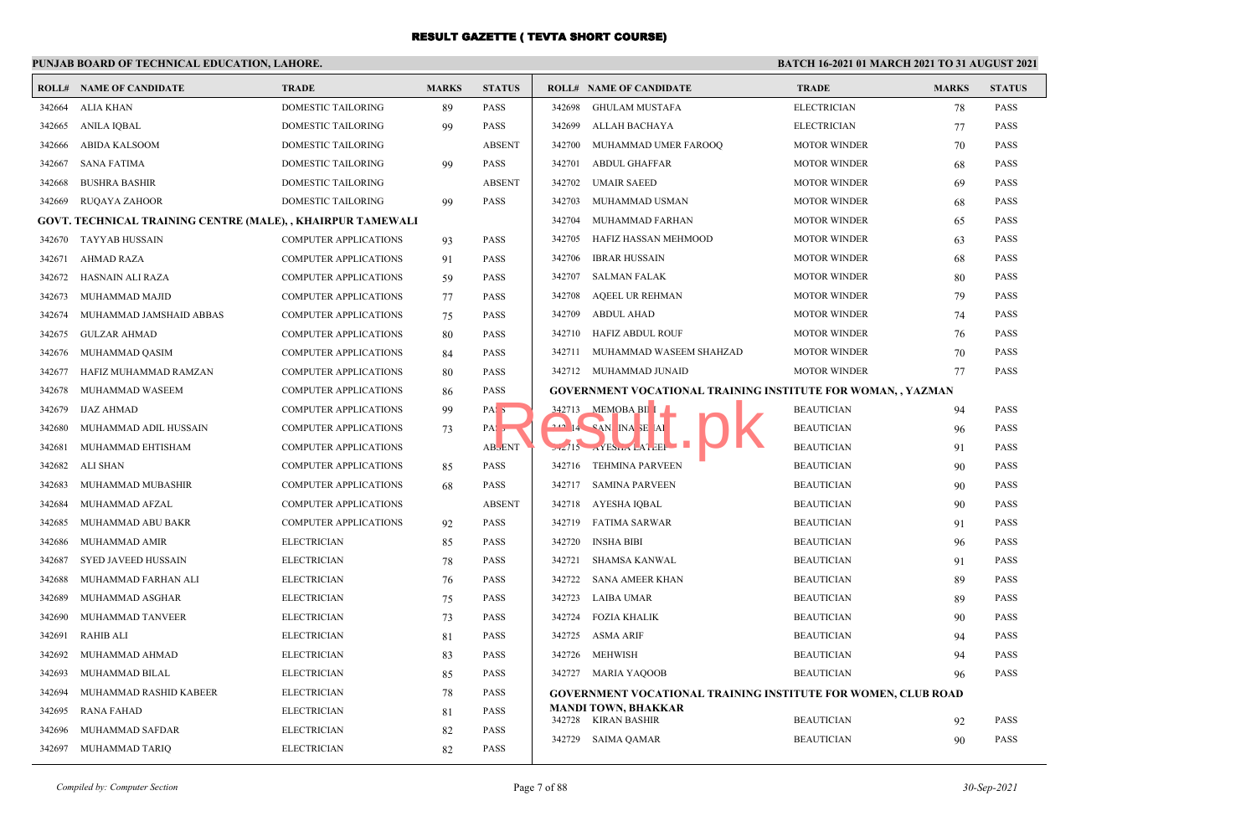## **PUNJAB BOARD OF TECHNICAL EDUCATION, LAHORE.**

|        | <b>ROLL# NAME OF CANDIDATE</b>                              | <b>TRADE</b>                 | <b>MARKS</b> | <b>STATUS</b>              |        | <b>ROLL# NAME OF CANDIDATE</b>                                       | <b>TRADE</b>        | <b>MARKS</b> | <b>STATUS</b> |
|--------|-------------------------------------------------------------|------------------------------|--------------|----------------------------|--------|----------------------------------------------------------------------|---------------------|--------------|---------------|
| 342664 | <b>ALIA KHAN</b>                                            | <b>DOMESTIC TAILORING</b>    | 89           | <b>PASS</b>                | 342698 | <b>GHULAM MUSTAFA</b>                                                | <b>ELECTRICIAN</b>  | 78           | <b>PASS</b>   |
| 342665 | ANILA IQBAL                                                 | DOMESTIC TAILORING           | 99           | <b>PASS</b>                | 342699 | ALLAH BACHAYA                                                        | <b>ELECTRICIAN</b>  | 77           | <b>PASS</b>   |
| 342666 | <b>ABIDA KALSOOM</b>                                        | DOMESTIC TAILORING           |              | <b>ABSENT</b>              | 342700 | MUHAMMAD UMER FAROOQ                                                 | <b>MOTOR WINDER</b> | 70           | <b>PASS</b>   |
| 342667 | <b>SANA FATIMA</b>                                          | DOMESTIC TAILORING           | 99           | <b>PASS</b>                | 342701 | <b>ABDUL GHAFFAR</b>                                                 | <b>MOTOR WINDER</b> | 68           | <b>PASS</b>   |
| 342668 | <b>BUSHRA BASHIR</b>                                        | <b>DOMESTIC TAILORING</b>    |              | <b>ABSENT</b>              | 342702 | <b>UMAIR SAEED</b>                                                   | <b>MOTOR WINDER</b> | 69           | <b>PASS</b>   |
| 342669 | <b>RUQAYA ZAHOOR</b>                                        | <b>DOMESTIC TAILORING</b>    | 99           | <b>PASS</b>                | 342703 | MUHAMMAD USMAN                                                       | <b>MOTOR WINDER</b> | 68           | <b>PASS</b>   |
|        | GOVT. TECHNICAL TRAINING CENTRE (MALE), , KHAIRPUR TAMEWALI |                              |              |                            | 342704 | MUHAMMAD FARHAN                                                      | <b>MOTOR WINDER</b> | 65           | <b>PASS</b>   |
| 342670 | <b>TAYYAB HUSSAIN</b>                                       | <b>COMPUTER APPLICATIONS</b> | 93           | <b>PASS</b>                | 342705 | HAFIZ HASSAN MEHMOOD                                                 | <b>MOTOR WINDER</b> | 63           | <b>PASS</b>   |
| 342671 | AHMAD RAZA                                                  | <b>COMPUTER APPLICATIONS</b> | 91           | <b>PASS</b>                | 342706 | IBRAR HUSSAIN                                                        | <b>MOTOR WINDER</b> | 68           | <b>PASS</b>   |
| 342672 | HASNAIN ALI RAZA                                            | COMPUTER APPLICATIONS        | 59           | <b>PASS</b>                | 342707 | SALMAN FALAK                                                         | <b>MOTOR WINDER</b> | 80           | <b>PASS</b>   |
| 342673 | MUHAMMAD MAJID                                              | <b>COMPUTER APPLICATIONS</b> | 77           | <b>PASS</b>                | 342708 | <b>AQEEL UR REHMAN</b>                                               | <b>MOTOR WINDER</b> | 79           | <b>PASS</b>   |
| 342674 | MUHAMMAD JAMSHAID ABBAS                                     | <b>COMPUTER APPLICATIONS</b> | 75           | <b>PASS</b>                | 342709 | ABDUL AHAD                                                           | <b>MOTOR WINDER</b> | 74           | <b>PASS</b>   |
| 342675 | <b>GULZAR AHMAD</b>                                         | COMPUTER APPLICATIONS        | 80           | <b>PASS</b>                |        | 342710 HAFIZ ABDUL ROUF                                              | <b>MOTOR WINDER</b> | 76           | <b>PASS</b>   |
| 342676 | MUHAMMAD QASIM                                              | COMPUTER APPLICATIONS        | 84           | <b>PASS</b>                | 342711 | MUHAMMAD WASEEM SHAHZAD                                              | <b>MOTOR WINDER</b> | 70           | <b>PASS</b>   |
| 342677 | HAFIZ MUHAMMAD RAMZAN                                       | COMPUTER APPLICATIONS        | 80           | <b>PASS</b>                |        | 342712 MUHAMMAD JUNAID                                               | <b>MOTOR WINDER</b> | 77           | <b>PASS</b>   |
| 342678 | MUHAMMAD WASEEM                                             | COMPUTER APPLICATIONS        | 86           | <b>PASS</b>                |        | <b>GOVERNMENT VOCATIONAL TRAINING INSTITUTE FOR WOMAN,, YAZMAN</b>   |                     |              |               |
| 342679 | <b>IJAZ AHMAD</b>                                           | <b>COMPUTER APPLICATIONS</b> | 99           | PAS <sub>5</sub>           |        | 342713 MEMOBA BIL                                                    | <b>BEAUTICIAN</b>   | 94           | <b>PASS</b>   |
| 342680 | MUHAMMAD ADIL HUSSAIN                                       | <b>COMPUTER APPLICATIONS</b> | 73           | PA: 5                      |        | $212$ 14 $CAN$ INA SE AI                                             | <b>BEAUTICIAN</b>   | 96           | <b>PASS</b>   |
| 342681 | MUHAMMAD EHTISHAM                                           | <b>COMPUTER APPLICATIONS</b> |              | <b>AB</b> <sub>b</sub> ENT |        |                                                                      | <b>BEAUTICIAN</b>   | 91           | <b>PASS</b>   |
| 342682 | <b>ALI SHAN</b>                                             | <b>COMPUTER APPLICATIONS</b> | 85           | <b>PASS</b>                |        | 342716 TEHMINA PARVEEN                                               | <b>BEAUTICIAN</b>   | 90           | <b>PASS</b>   |
| 342683 | MUHAMMAD MUBASHIR                                           | <b>COMPUTER APPLICATIONS</b> | 68           | <b>PASS</b>                |        | 342717 SAMINA PARVEEN                                                | <b>BEAUTICIAN</b>   | 90           | <b>PASS</b>   |
| 342684 | MUHAMMAD AFZAL                                              | <b>COMPUTER APPLICATIONS</b> |              | <b>ABSENT</b>              |        | 342718 AYESHA IQBAL                                                  | <b>BEAUTICIAN</b>   | 90           | <b>PASS</b>   |
| 342685 | MUHAMMAD ABU BAKR                                           | <b>COMPUTER APPLICATIONS</b> | 92           | <b>PASS</b>                | 342719 | <b>FATIMA SARWAR</b>                                                 | <b>BEAUTICIAN</b>   | 91           | <b>PASS</b>   |
| 342686 | MUHAMMAD AMIR                                               | <b>ELECTRICIAN</b>           | 85           | <b>PASS</b>                | 342720 | <b>INSHA BIBI</b>                                                    | <b>BEAUTICIAN</b>   | 96           | <b>PASS</b>   |
| 342687 | <b>SYED JAVEED HUSSAIN</b>                                  | <b>ELECTRICIAN</b>           | 78           | <b>PASS</b>                | 342721 | SHAMSA KANWAL                                                        | <b>BEAUTICIAN</b>   | 91           | <b>PASS</b>   |
| 342688 | MUHAMMAD FARHAN ALI                                         | <b>ELECTRICIAN</b>           | 76           | <b>PASS</b>                | 342722 | SANA AMEER KHAN                                                      | <b>BEAUTICIAN</b>   | 89           | <b>PASS</b>   |
| 342689 | MUHAMMAD ASGHAR                                             | <b>ELECTRICIAN</b>           | 75           | <b>PASS</b>                | 342723 | <b>LAIBA UMAR</b>                                                    | <b>BEAUTICIAN</b>   | 89           | <b>PASS</b>   |
| 342690 | MUHAMMAD TANVEER                                            | <b>ELECTRICIAN</b>           | 73           | <b>PASS</b>                | 342724 | <b>FOZIA KHALIK</b>                                                  | <b>BEAUTICIAN</b>   | 90           | <b>PASS</b>   |
| 342691 | <b>RAHIB ALI</b>                                            | <b>ELECTRICIAN</b>           | 81           | <b>PASS</b>                | 342725 | <b>ASMA ARIF</b>                                                     | <b>BEAUTICIAN</b>   | 94           | <b>PASS</b>   |
| 342692 | MUHAMMAD AHMAD                                              | <b>ELECTRICIAN</b>           | 83           | <b>PASS</b>                |        | 342726 MEHWISH                                                       | <b>BEAUTICIAN</b>   | 94           | <b>PASS</b>   |
| 342693 | MUHAMMAD BILAL                                              | <b>ELECTRICIAN</b>           | 85           | <b>PASS</b>                |        | 342727 MARIA YAQOOB                                                  | <b>BEAUTICIAN</b>   | 96           | <b>PASS</b>   |
| 342694 | MUHAMMAD RASHID KABEER                                      | ELECTRICIAN                  | 78           | <b>PASS</b>                |        | <b>GOVERNMENT VOCATIONAL TRAINING INSTITUTE FOR WOMEN, CLUB ROAD</b> |                     |              |               |
| 342695 | RANA FAHAD                                                  | <b>ELECTRICIAN</b>           | 81           | <b>PASS</b>                |        | <b>MANDI TOWN, BHAKKAR</b><br>342728 KIRAN BASHIR                    | <b>BEAUTICIAN</b>   | 92           | <b>PASS</b>   |
| 342696 | MUHAMMAD SAFDAR                                             | <b>ELECTRICIAN</b>           | 82           | <b>PASS</b>                |        | 342729 SAIMA QAMAR                                                   | <b>BEAUTICIAN</b>   | 90           | <b>PASS</b>   |
| 342697 | MUHAMMAD TARIQ                                              | <b>ELECTRICIAN</b>           | 82           | <b>PASS</b>                |        |                                                                      |                     |              |               |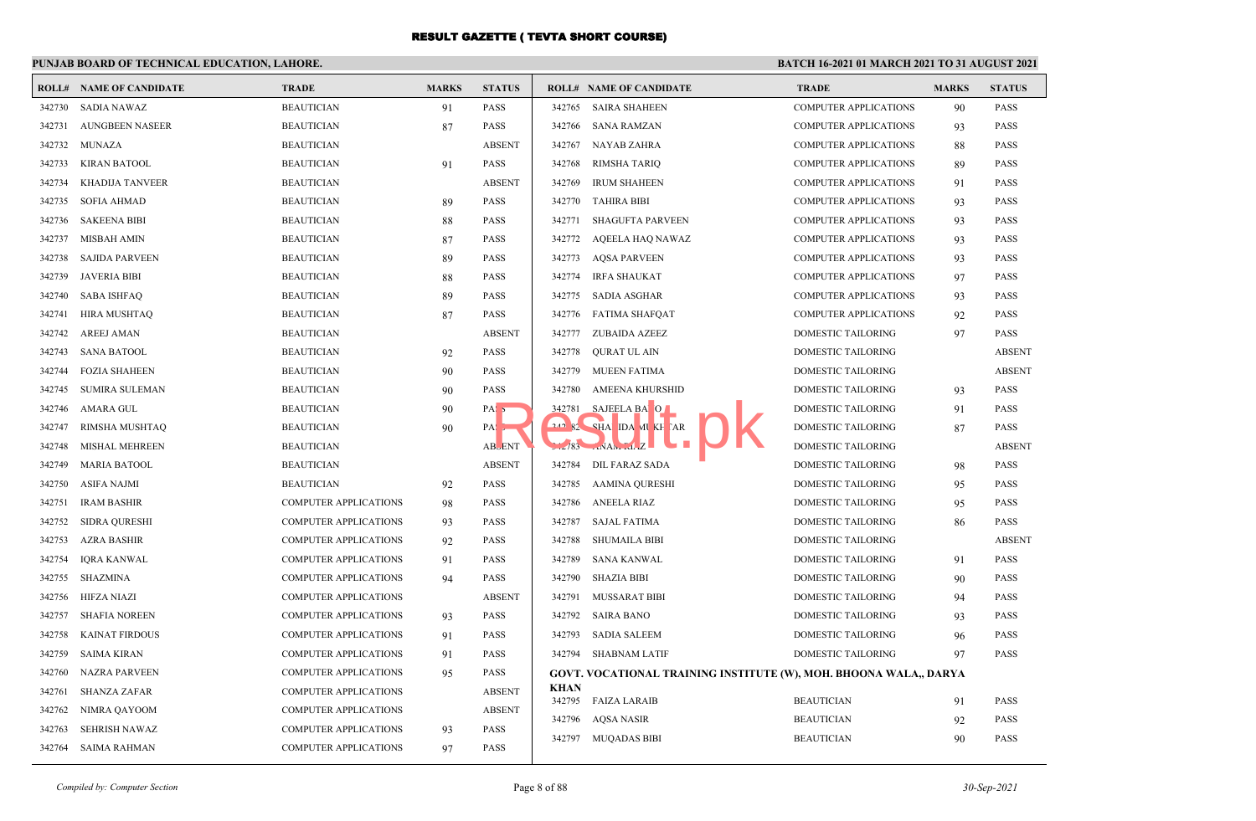## **PUNJAB BOARD OF TECHNICAL EDUCATION, LAHORE.**

| 342730 SADIA NAWAZ |                        |                              |    |                   |             |                                                                   |                              |    |               |
|--------------------|------------------------|------------------------------|----|-------------------|-------------|-------------------------------------------------------------------|------------------------------|----|---------------|
|                    |                        | <b>BEAUTICIAN</b>            | 91 | <b>PASS</b>       | 342765      | <b>SAIRA SHAHEEN</b>                                              | <b>COMPUTER APPLICATIONS</b> | 90 | <b>PASS</b>   |
| 342731             | <b>AUNGBEEN NASEER</b> | <b>BEAUTICIAN</b>            | 87 | <b>PASS</b>       | 342766      | SANA RAMZAN                                                       | <b>COMPUTER APPLICATIONS</b> | 93 | <b>PASS</b>   |
| 342732             | MUNAZA                 | <b>BEAUTICIAN</b>            |    | <b>ABSENT</b>     |             | 342767 NAYAB ZAHRA                                                | <b>COMPUTER APPLICATIONS</b> | 88 | <b>PASS</b>   |
| 342733             | <b>KIRAN BATOOL</b>    | <b>BEAUTICIAN</b>            | 91 | <b>PASS</b>       | 342768      | RIMSHA TARIQ                                                      | <b>COMPUTER APPLICATIONS</b> | 89 | <b>PASS</b>   |
| 342734             | <b>KHADIJA TANVEER</b> | <b>BEAUTICIAN</b>            |    | <b>ABSENT</b>     | 342769      | <b>IRUM SHAHEEN</b>                                               | <b>COMPUTER APPLICATIONS</b> | 91 | <b>PASS</b>   |
| 342735             | <b>SOFIA AHMAD</b>     | <b>BEAUTICIAN</b>            | 89 | <b>PASS</b>       |             | 342770 TAHIRA BIBI                                                | <b>COMPUTER APPLICATIONS</b> | 93 | <b>PASS</b>   |
| 342736             | <b>SAKEENA BIBI</b>    | <b>BEAUTICIAN</b>            | 88 | <b>PASS</b>       | 342771      | <b>SHAGUFTA PARVEEN</b>                                           | <b>COMPUTER APPLICATIONS</b> | 93 | <b>PASS</b>   |
| 342737             | <b>MISBAH AMIN</b>     | <b>BEAUTICIAN</b>            | 87 | <b>PASS</b>       | 342772      | AQEELA HAQ NAWAZ                                                  | <b>COMPUTER APPLICATIONS</b> | 93 | <b>PASS</b>   |
| 342738             | <b>SAJIDA PARVEEN</b>  | <b>BEAUTICIAN</b>            | 89 | <b>PASS</b>       |             | 342773 AOSA PARVEEN                                               | <b>COMPUTER APPLICATIONS</b> | 93 | <b>PASS</b>   |
| 342739             | JAVERIA BIBI           | <b>BEAUTICIAN</b>            | 88 | <b>PASS</b>       | 342774      | <b>IRFA SHAUKAT</b>                                               | <b>COMPUTER APPLICATIONS</b> | 97 | <b>PASS</b>   |
| 342740             | <b>SABA ISHFAQ</b>     | <b>BEAUTICIAN</b>            | 89 | <b>PASS</b>       | 342775      | <b>SADIA ASGHAR</b>                                               | <b>COMPUTER APPLICATIONS</b> | 93 | <b>PASS</b>   |
| 342741             | <b>HIRA MUSHTAQ</b>    | <b>BEAUTICIAN</b>            | 87 | <b>PASS</b>       |             | 342776 FATIMA SHAFOAT                                             | <b>COMPUTER APPLICATIONS</b> | 92 | <b>PASS</b>   |
| 342742             | <b>AREEJ AMAN</b>      | <b>BEAUTICIAN</b>            |    | <b>ABSENT</b>     | 342777      | ZUBAIDA AZEEZ                                                     | DOMESTIC TAILORING           | 97 | <b>PASS</b>   |
| 342743             | <b>SANA BATOOL</b>     | <b>BEAUTICIAN</b>            | 92 | <b>PASS</b>       | 342778      | QURAT UL AIN                                                      | DOMESTIC TAILORING           |    | <b>ABSENT</b> |
| 342744             | <b>FOZIA SHAHEEN</b>   | <b>BEAUTICIAN</b>            | 90 | <b>PASS</b>       |             | 342779 MUEEN FATIMA                                               | <b>DOMESTIC TAILORING</b>    |    | <b>ABSENT</b> |
| 342745             | <b>SUMIRA SULEMAN</b>  | <b>BEAUTICIAN</b>            | 90 | <b>PASS</b>       | 342780      | AMEENA KHURSHID                                                   | <b>DOMESTIC TAILORING</b>    | 93 | <b>PASS</b>   |
| 342746             | AMARA GUL              | <b>BEAUTICIAN</b>            | 90 | PAS <sub>5</sub>  |             | 342781 SAJEELA BA O                                               | DOMESTIC TAILORING           | 91 | <b>PASS</b>   |
| 342747             | RIMSHA MUSHTAQ         | <b>BEAUTICIAN</b>            | 90 | $PA: \rightarrow$ |             | $242$ $82$ $84$ IDA MU XH AR                                      | DOMESTIC TAILORING           | 87 | <b>PASS</b>   |
| 342748             | <b>MISHAL MEHREEN</b>  | <b>BEAUTICIAN</b>            |    | <b>ABLENT</b>     |             | $\mathbb{R}^n$<br>$12/83$ $NAN$ $11Z$                             | <b>DOMESTIC TAILORING</b>    |    | <b>ABSENT</b> |
| 342749             | <b>MARIA BATOOL</b>    | <b>BEAUTICIAN</b>            |    | <b>ABSENT</b>     | 342784      | <b>DIL FARAZ SADA</b>                                             | DOMESTIC TAILORING           | 98 | <b>PASS</b>   |
| 342750             | ASIFA NAJMI            | <b>BEAUTICIAN</b>            | 92 | <b>PASS</b>       | 342785      | AAMINA QURESHI                                                    | DOMESTIC TAILORING           | 95 | <b>PASS</b>   |
| 342751             | <b>IRAM BASHIR</b>     | <b>COMPUTER APPLICATIONS</b> | 98 | PASS              | 342786      | ANEELA RIAZ                                                       | DOMESTIC TAILORING           | 95 | PASS          |
| 342752             | <b>SIDRA QURESHI</b>   | <b>COMPUTER APPLICATIONS</b> | 93 | <b>PASS</b>       | 342787      | <b>SAJAL FATIMA</b>                                               | DOMESTIC TAILORING           | 86 | <b>PASS</b>   |
| 342753             | <b>AZRA BASHIR</b>     | <b>COMPUTER APPLICATIONS</b> | 92 | <b>PASS</b>       | 342788      | SHUMAILA BIBI                                                     | DOMESTIC TAILORING           |    | <b>ABSENT</b> |
| 342754             | <b>IQRA KANWAL</b>     | <b>COMPUTER APPLICATIONS</b> | 91 | <b>PASS</b>       | 342789      | SANA KANWAL                                                       | DOMESTIC TAILORING           | 91 | <b>PASS</b>   |
| 342755             | <b>SHAZMINA</b>        | <b>COMPUTER APPLICATIONS</b> | 94 | <b>PASS</b>       | 342790      | <b>SHAZIA BIBI</b>                                                | <b>DOMESTIC TAILORING</b>    | 90 | <b>PASS</b>   |
| 342756             | <b>HIFZA NIAZI</b>     | COMPUTER APPLICATIONS        |    | <b>ABSENT</b>     | 342791      | <b>MUSSARAT BIBI</b>                                              | DOMESTIC TAILORING           | 94 | <b>PASS</b>   |
| 342757             | <b>SHAFIA NOREEN</b>   | <b>COMPUTER APPLICATIONS</b> | 93 | <b>PASS</b>       | 342792      | <b>SAIRA BANO</b>                                                 | DOMESTIC TAILORING           | 93 | <b>PASS</b>   |
| 342758             | <b>KAINAT FIRDOUS</b>  | <b>COMPUTER APPLICATIONS</b> | 91 | <b>PASS</b>       | 342793      | <b>SADIA SALEEM</b>                                               | DOMESTIC TAILORING           | 96 | <b>PASS</b>   |
| 342759             | <b>SAIMA KIRAN</b>     | <b>COMPUTER APPLICATIONS</b> | 91 | <b>PASS</b>       |             | 342794 SHABNAM LATIF                                              | DOMESTIC TAILORING           | 97 | <b>PASS</b>   |
| 342760             | <b>NAZRA PARVEEN</b>   | <b>COMPUTER APPLICATIONS</b> | 95 | <b>PASS</b>       |             | GOVT. VOCATIONAL TRAINING INSTITUTE (W), MOH. BHOONA WALA,, DARYA |                              |    |               |
| 342761             | <b>SHANZA ZAFAR</b>    | <b>COMPUTER APPLICATIONS</b> |    | <b>ABSENT</b>     | <b>KHAN</b> | 342795 FAIZA LARAIB                                               | <b>BEAUTICIAN</b>            | 91 | <b>PASS</b>   |
| 342762             | NIMRA QAYOOM           | <b>COMPUTER APPLICATIONS</b> |    | <b>ABSENT</b>     |             | 342796 AQSA NASIR                                                 | <b>BEAUTICIAN</b>            | 92 | <b>PASS</b>   |
| 342763             | <b>SEHRISH NAWAZ</b>   | <b>COMPUTER APPLICATIONS</b> | 93 | <b>PASS</b>       |             | 342797 MUQADAS BIBI                                               | <b>BEAUTICIAN</b>            | 90 | <b>PASS</b>   |
| 342764             | <b>SAIMA RAHMAN</b>    | <b>COMPUTER APPLICATIONS</b> | 97 | <b>PASS</b>       |             |                                                                   |                              |    |               |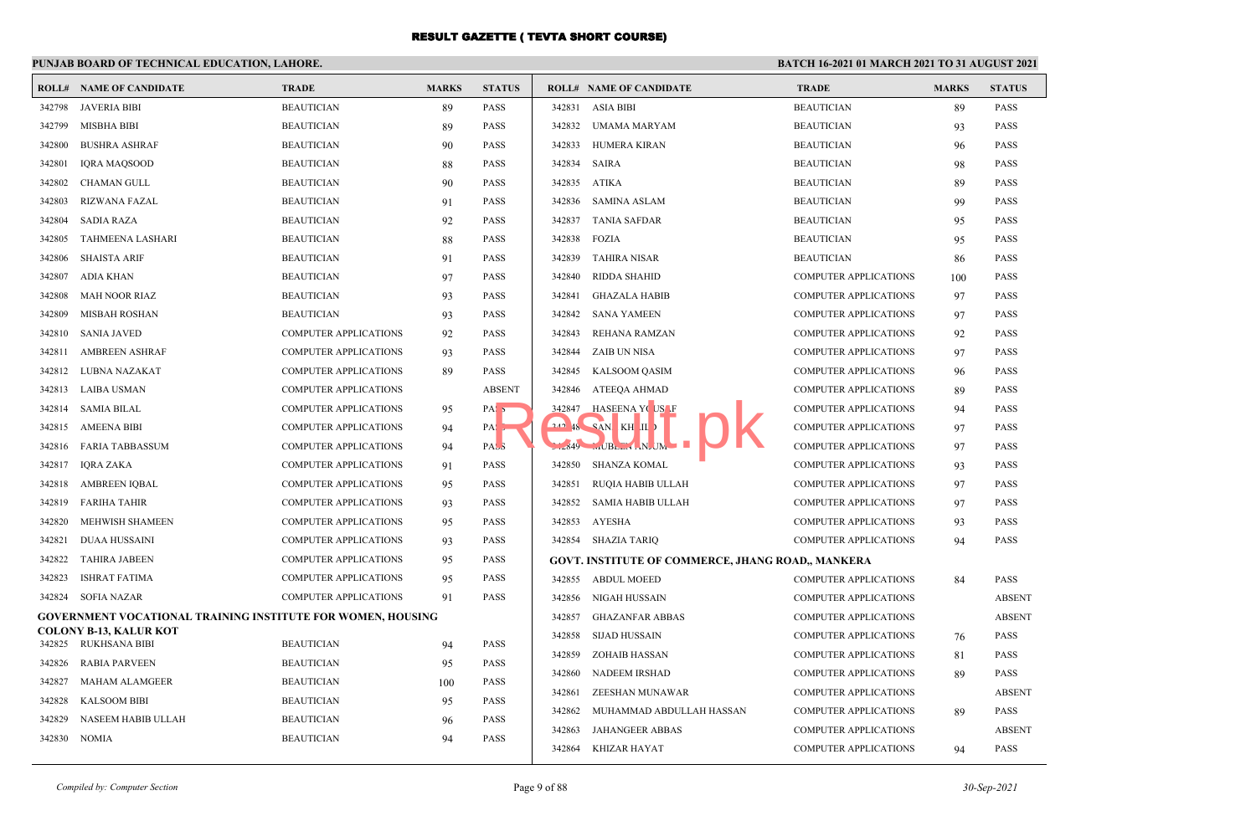## **PUNJAB BOARD OF TECHNICAL EDUCATION, LAHORE.**

|        | <b>ROLL# NAME OF CANDIDATE</b>                                     | <b>TRADE</b>                 | <b>MARKS</b> | <b>STATUS</b>     |        | <b>ROLL# NAME OF CANDIDATE</b>                    | <b>TRADE</b>                 | <b>MARKS</b> | <b>STATUS</b> |
|--------|--------------------------------------------------------------------|------------------------------|--------------|-------------------|--------|---------------------------------------------------|------------------------------|--------------|---------------|
| 342798 | JAVERIA BIBI                                                       | <b>BEAUTICIAN</b>            | 89           | <b>PASS</b>       | 342831 | <b>ASIA BIBI</b>                                  | <b>BEAUTICIAN</b>            | 89           | <b>PASS</b>   |
| 342799 | <b>MISBHA BIBI</b>                                                 | <b>BEAUTICIAN</b>            | 89           | <b>PASS</b>       | 342832 | UMAMA MARYAM                                      | <b>BEAUTICIAN</b>            | 93           | <b>PASS</b>   |
| 342800 | <b>BUSHRA ASHRAF</b>                                               | <b>BEAUTICIAN</b>            | 90           | <b>PASS</b>       | 342833 | HUMERA KIRAN                                      | <b>BEAUTICIAN</b>            | 96           | <b>PASS</b>   |
| 342801 | <b>IORA MAOSOOD</b>                                                | <b>BEAUTICIAN</b>            | 88           | <b>PASS</b>       | 342834 | <b>SAIRA</b>                                      | <b>BEAUTICIAN</b>            | 98           | <b>PASS</b>   |
| 342802 | <b>CHAMAN GULL</b>                                                 | <b>BEAUTICIAN</b>            | 90           | <b>PASS</b>       | 342835 | <b>ATIKA</b>                                      | <b>BEAUTICIAN</b>            | 89           | <b>PASS</b>   |
| 342803 | RIZWANA FAZAL                                                      | <b>BEAUTICIAN</b>            | 91           | <b>PASS</b>       | 342836 | <b>SAMINA ASLAM</b>                               | <b>BEAUTICIAN</b>            | 99           | <b>PASS</b>   |
| 342804 | <b>SADIA RAZA</b>                                                  | <b>BEAUTICIAN</b>            | 92           | <b>PASS</b>       | 342837 | <b>TANIA SAFDAR</b>                               | <b>BEAUTICIAN</b>            | 95           | <b>PASS</b>   |
| 342805 | TAHMEENA LASHARI                                                   | <b>BEAUTICIAN</b>            | 88           | <b>PASS</b>       | 342838 | <b>FOZIA</b>                                      | <b>BEAUTICIAN</b>            | 95           | <b>PASS</b>   |
| 342806 | <b>SHAISTA ARIF</b>                                                | <b>BEAUTICIAN</b>            | 91           | <b>PASS</b>       | 342839 | <b>TAHIRA NISAR</b>                               | <b>BEAUTICIAN</b>            | 86           | <b>PASS</b>   |
| 342807 | ADIA KHAN                                                          | <b>BEAUTICIAN</b>            | 97           | <b>PASS</b>       | 342840 | <b>RIDDA SHAHID</b>                               | <b>COMPUTER APPLICATIONS</b> | 100          | <b>PASS</b>   |
| 342808 | MAH NOOR RIAZ                                                      | <b>BEAUTICIAN</b>            | 93           | <b>PASS</b>       | 342841 | <b>GHAZALA HABIB</b>                              | <b>COMPUTER APPLICATIONS</b> | 97           | <b>PASS</b>   |
| 342809 | <b>MISBAH ROSHAN</b>                                               | <b>BEAUTICIAN</b>            | 93           | <b>PASS</b>       | 342842 | <b>SANA YAMEEN</b>                                | <b>COMPUTER APPLICATIONS</b> | 97           | <b>PASS</b>   |
| 342810 | <b>SANIA JAVED</b>                                                 | <b>COMPUTER APPLICATIONS</b> | 92           | <b>PASS</b>       | 342843 | REHANA RAMZAN                                     | <b>COMPUTER APPLICATIONS</b> | 92           | <b>PASS</b>   |
| 342811 | <b>AMBREEN ASHRAF</b>                                              | <b>COMPUTER APPLICATIONS</b> | 93           | <b>PASS</b>       | 342844 | <b>ZAIB UN NISA</b>                               | <b>COMPUTER APPLICATIONS</b> | 97           | <b>PASS</b>   |
| 342812 | LUBNA NAZAKAT                                                      | COMPUTER APPLICATIONS        | 89           | <b>PASS</b>       | 342845 | KALSOOM QASIM                                     | <b>COMPUTER APPLICATIONS</b> | 96           | <b>PASS</b>   |
| 342813 | LAIBA USMAN                                                        | <b>COMPUTER APPLICATIONS</b> |              | <b>ABSENT</b>     | 342846 | ATEEQA AHMAD                                      | <b>COMPUTER APPLICATIONS</b> | 89           | <b>PASS</b>   |
| 342814 | SAMIA BILAL                                                        | <b>COMPUTER APPLICATIONS</b> | 95           | PAS <sub>5</sub>  |        | 342847 HASEENA YOUSE                              | <b>COMPUTER APPLICATIONS</b> | 94           | <b>PASS</b>   |
| 342815 | <b>AMEENA BIBI</b>                                                 | <b>COMPUTER APPLICATIONS</b> | 94           | $PA: \rightarrow$ |        | $242$ $48$ $8$ $9$ $10$ $K$ $H$ $11$              | <b>COMPUTER APPLICATIONS</b> | 97           | <b>PASS</b>   |
|        | 342816 FARIA TABBASSUM                                             | <b>COMPUTER APPLICATIONS</b> | 94           | PASS              |        | $1.849$ $$ JBL. $1.1$ N. JM                       | <b>COMPUTER APPLICATIONS</b> | 97           | <b>PASS</b>   |
| 342817 | IQRA ZAKA                                                          | COMPUTER APPLICATIONS        | 91           | <b>PASS</b>       |        | 342850 SHANZA KOMAL                               | <b>COMPUTER APPLICATIONS</b> | 93           | <b>PASS</b>   |
| 342818 | AMBREEN IQBAL                                                      | COMPUTER APPLICATIONS        | 95           | <b>PASS</b>       | 342851 | RUQIA HABIB ULLAH                                 | <b>COMPUTER APPLICATIONS</b> | 97           | <b>PASS</b>   |
| 342819 | <b>FARIHA TAHIR</b>                                                | <b>COMPUTER APPLICATIONS</b> | 93           | <b>PASS</b>       | 342852 | <b>SAMIA HABIB ULLAH</b>                          | <b>COMPUTER APPLICATIONS</b> | 97           | <b>PASS</b>   |
| 342820 | MEHWISH SHAMEEN                                                    | <b>COMPUTER APPLICATIONS</b> | 95           | <b>PASS</b>       | 342853 | AYESHA                                            | <b>COMPUTER APPLICATIONS</b> | 93           | <b>PASS</b>   |
| 342821 | <b>DUAA HUSSAINI</b>                                               | <b>COMPUTER APPLICATIONS</b> | 93           | <b>PASS</b>       |        | 342854 SHAZIA TARIO                               | <b>COMPUTER APPLICATIONS</b> | 94           | <b>PASS</b>   |
| 342822 | <b>TAHIRA JABEEN</b>                                               | COMPUTER APPLICATIONS        | 95           | <b>PASS</b>       |        | GOVT. INSTITUTE OF COMMERCE, JHANG ROAD,, MANKERA |                              |              |               |
| 342823 | ISHRAT FATIMA                                                      | <b>COMPUTER APPLICATIONS</b> | 95           | <b>PASS</b>       |        | 342855 ABDUL MOEED                                | <b>COMPUTER APPLICATIONS</b> | 84           | <b>PASS</b>   |
| 342824 | <b>SOFIA NAZAR</b>                                                 | <b>COMPUTER APPLICATIONS</b> | 91           | <b>PASS</b>       | 342856 | NIGAH HUSSAIN                                     | <b>COMPUTER APPLICATIONS</b> |              | <b>ABSENT</b> |
|        | <b>GOVERNMENT VOCATIONAL TRAINING INSTITUTE FOR WOMEN, HOUSING</b> |                              |              |                   | 342857 | <b>GHAZANFAR ABBAS</b>                            | COMPUTER APPLICATIONS        |              | <b>ABSENT</b> |
| 342825 | <b>COLONY B-13, KALUR KOT</b><br>RUKHSANA BIBI                     | <b>BEAUTICIAN</b>            |              | <b>PASS</b>       | 342858 | <b>SIJAD HUSSAIN</b>                              | <b>COMPUTER APPLICATIONS</b> | 76           | <b>PASS</b>   |
| 342826 | RABIA PARVEEN                                                      | <b>BEAUTICIAN</b>            | 94           | <b>PASS</b>       | 342859 | <b>ZOHAIB HASSAN</b>                              | <b>COMPUTER APPLICATIONS</b> | 81           | <b>PASS</b>   |
| 342827 | MAHAM ALAMGEER                                                     | <b>BEAUTICIAN</b>            | 95           | <b>PASS</b>       | 342860 | <b>NADEEM IRSHAD</b>                              | <b>COMPUTER APPLICATIONS</b> | 89           | <b>PASS</b>   |
| 342828 | KALSOOM BIBI                                                       | <b>BEAUTICIAN</b>            | 100          | <b>PASS</b>       | 342861 | ZEESHAN MUNAWAR                                   | <b>COMPUTER APPLICATIONS</b> |              | <b>ABSENT</b> |
| 342829 | NASEEM HABIB ULLAH                                                 | <b>BEAUTICIAN</b>            | 95           | <b>PASS</b>       | 342862 | MUHAMMAD ABDULLAH HASSAN                          | <b>COMPUTER APPLICATIONS</b> | 89           | <b>PASS</b>   |
|        | 342830 NOMIA                                                       | <b>BEAUTICIAN</b>            | 96<br>94     | <b>PASS</b>       | 342863 | JAHANGEER ABBAS                                   | <b>COMPUTER APPLICATIONS</b> |              | <b>ABSENT</b> |
|        |                                                                    |                              |              |                   |        | 342864 KHIZAR HAYAT                               | <b>COMPUTER APPLICATIONS</b> | 94           | <b>PASS</b>   |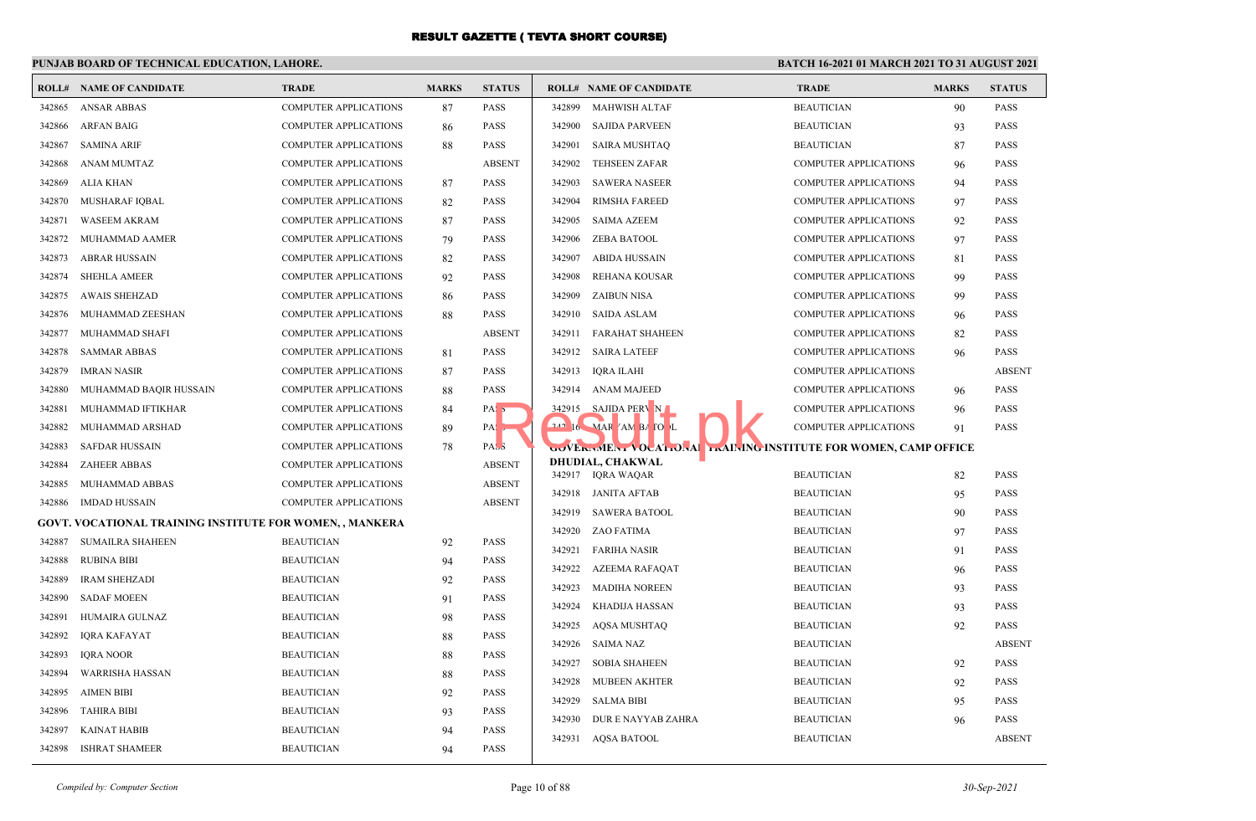## **PUNJAB BOARD OF TECHNICAL EDUCATION, LAHORE.**

|        | <b>ROLL# NAME OF CANDIDATE</b>                           | <b>TRADE</b>                 | <b>MARKS</b> | <b>STATUS</b>       |                  | <b>ROLL# NAME OF CANDIDATE</b>                               | <b>TRADE</b>                 | <b>MARKS</b> | <b>STATUS</b>              |
|--------|----------------------------------------------------------|------------------------------|--------------|---------------------|------------------|--------------------------------------------------------------|------------------------------|--------------|----------------------------|
| 342865 | <b>ANSAR ABBAS</b>                                       | COMPUTER APPLICATIONS        | 87           | <b>PASS</b>         | 342899           | <b>MAHWISH ALTAF</b>                                         | <b>BEAUTICIAN</b>            | 90           | <b>PASS</b>                |
| 342866 | <b>ARFAN BAIG</b>                                        | <b>COMPUTER APPLICATIONS</b> | 86           | <b>PASS</b>         | 342900           | <b>SAJIDA PARVEEN</b>                                        | <b>BEAUTICIAN</b>            | 93           | <b>PASS</b>                |
| 342867 | <b>SAMINA ARIF</b>                                       | <b>COMPUTER APPLICATIONS</b> | 88           | <b>PASS</b>         | 342901           | <b>SAIRA MUSHTAQ</b>                                         | <b>BEAUTICIAN</b>            | 87           | <b>PASS</b>                |
| 342868 | ANAM MUMTAZ                                              | <b>COMPUTER APPLICATIONS</b> |              | <b>ABSENT</b>       | 342902           | <b>TEHSEEN ZAFAR</b>                                         | <b>COMPUTER APPLICATIONS</b> | 96           | <b>PASS</b>                |
| 342869 | ALIA KHAN                                                | COMPUTER APPLICATIONS        | 87           | <b>PASS</b>         | 342903           | <b>SAWERA NASEER</b>                                         | <b>COMPUTER APPLICATIONS</b> | 94           | <b>PASS</b>                |
| 342870 | MUSHARAF IQBAL                                           | COMPUTER APPLICATIONS        | 82           | <b>PASS</b>         | 342904           | <b>RIMSHA FAREED</b>                                         | <b>COMPUTER APPLICATIONS</b> | 97           | <b>PASS</b>                |
| 342871 | <b>WASEEM AKRAM</b>                                      | <b>COMPUTER APPLICATIONS</b> | 87           | <b>PASS</b>         | 342905           | <b>SAIMA AZEEM</b>                                           | <b>COMPUTER APPLICATIONS</b> | 92           | <b>PASS</b>                |
| 342872 | MUHAMMAD AAMER                                           | COMPUTER APPLICATIONS        | 79           | <b>PASS</b>         | 342906           | <b>ZEBA BATOOL</b>                                           | <b>COMPUTER APPLICATIONS</b> | 97           | <b>PASS</b>                |
| 342873 | <b>ABRAR HUSSAIN</b>                                     | COMPUTER APPLICATIONS        | 82           | <b>PASS</b>         | 342907           | <b>ABIDA HUSSAIN</b>                                         | <b>COMPUTER APPLICATIONS</b> | 81           | <b>PASS</b>                |
| 342874 | <b>SHEHLA AMEER</b>                                      | COMPUTER APPLICATIONS        | 92           | <b>PASS</b>         | 342908           | REHANA KOUSAR                                                | <b>COMPUTER APPLICATIONS</b> | 99           | <b>PASS</b>                |
| 342875 | <b>AWAIS SHEHZAD</b>                                     | <b>COMPUTER APPLICATIONS</b> | 86           | <b>PASS</b>         | 342909           | <b>ZAIBUN NISA</b>                                           | <b>COMPUTER APPLICATIONS</b> | 99           | <b>PASS</b>                |
| 342876 | MUHAMMAD ZEESHAN                                         | <b>COMPUTER APPLICATIONS</b> | 88           | <b>PASS</b>         | 342910           | <b>SAIDA ASLAM</b>                                           | <b>COMPUTER APPLICATIONS</b> | 96           | <b>PASS</b>                |
| 342877 | MUHAMMAD SHAFI                                           | COMPUTER APPLICATIONS        |              | <b>ABSENT</b>       | 342911           | FARAHAT SHAHEEN                                              | <b>COMPUTER APPLICATIONS</b> | 82           | <b>PASS</b>                |
| 342878 | <b>SAMMAR ABBAS</b>                                      | COMPUTER APPLICATIONS        | 81           | <b>PASS</b>         |                  | 342912 SAIRA LATEEF                                          | <b>COMPUTER APPLICATIONS</b> | 96           | <b>PASS</b>                |
| 342879 | <b>IMRAN NASIR</b>                                       | COMPUTER APPLICATIONS        | 87           | <b>PASS</b>         | 342913           | IQRA ILAHI                                                   | <b>COMPUTER APPLICATIONS</b> |              | <b>ABSENT</b>              |
| 342880 | MUHAMMAD BAQIR HUSSAIN                                   | <b>COMPUTER APPLICATIONS</b> | 88           | <b>PASS</b>         |                  | 342914 ANAM MAJEED                                           | <b>COMPUTER APPLICATIONS</b> | 96           | <b>PASS</b>                |
| 342881 | MUHAMMAD IFTIKHAR                                        | <b>COMPUTER APPLICATIONS</b> | 84           | PAS <sub>5</sub>    |                  | 342915 SAJIDA PERV N                                         | COMPUTER APPLICATIONS        | 96           | <b>PASS</b>                |
| 342882 | MUHAMMAD ARSHAD                                          | <b>COMPUTER APPLICATIONS</b> | 89           | PAS <sub>&gt;</sub> |                  | $16$ MAR $7$ AM BA TO L                                      | <b>COMPUTER APPLICATIONS</b> | 91           | <b>PASS</b>                |
| 342883 | <b>SAFDAR HUSSAIN</b>                                    | COMPUTER APPLICATIONS        | 78           | PAS <sub>3</sub>    |                  | WERWIEN. VOCAL ONA DIAINING INSTITUTE FOR WOMEN, CAMP OFFICE |                              |              |                            |
| 342884 | <b>ZAHEER ABBAS</b>                                      | <b>COMPUTER APPLICATIONS</b> |              | <b>ABSENT</b>       |                  | DHUDIAL, CHAKWAL                                             | <b>BEAUTICIAN</b>            |              | <b>PASS</b>                |
| 342885 | MUHAMMAD ABBAS                                           | <b>COMPUTER APPLICATIONS</b> |              | <b>ABSENT</b>       |                  | 342917 IQRA WAQAR                                            |                              | 82           |                            |
| 342886 | <b>IMDAD HUSSAIN</b>                                     | COMPUTER APPLICATIONS        |              | <b>ABSENT</b>       |                  | 342918 JANITA AFTAB                                          | <b>BEAUTICIAN</b>            | 95           | <b>PASS</b><br><b>PASS</b> |
|        | GOVT. VOCATIONAL TRAINING INSTITUTE FOR WOMEN, , MANKERA |                              |              |                     |                  | 342919 SAWERA BATOOL                                         | <b>BEAUTICIAN</b>            | 90           |                            |
| 342887 | <b>SUMAILRA SHAHEEN</b>                                  | <b>BEAUTICIAN</b>            | 92           | <b>PASS</b>         | 342920<br>342921 | ZAO FATIMA                                                   | <b>BEAUTICIAN</b>            | 97           | <b>PASS</b><br><b>PASS</b> |
| 342888 | <b>RUBINA BIBI</b>                                       | <b>BEAUTICIAN</b>            | 94           | <b>PASS</b>         |                  | <b>FARIHA NASIR</b>                                          | <b>BEAUTICIAN</b>            | 91           |                            |
| 342889 | <b>IRAM SHEHZADI</b>                                     | <b>BEAUTICIAN</b>            | 92           | <b>PASS</b>         | 342922<br>342923 | AZEEMA RAFAQAT                                               | <b>BEAUTICIAN</b>            | 96           | <b>PASS</b>                |
| 342890 | <b>SADAF MOEEN</b>                                       | <b>BEAUTICIAN</b>            | 91           | <b>PASS</b>         |                  | <b>MADIHA NOREEN</b>                                         | <b>BEAUTICIAN</b>            | 93           | <b>PASS</b>                |
| 342891 | HUMAIRA GULNAZ                                           | <b>BEAUTICIAN</b>            | 98           | <b>PASS</b>         | 342924           | KHADIJA HASSAN                                               | <b>BEAUTICIAN</b>            | 93           | <b>PASS</b>                |
| 342892 | <b>IQRA KAFAYAT</b>                                      | <b>BEAUTICIAN</b>            | 88           | <b>PASS</b>         | 342925           | AQSA MUSHTAQ                                                 | <b>BEAUTICIAN</b>            | 92           | <b>PASS</b>                |
| 342893 | <b>IQRA NOOR</b>                                         | <b>BEAUTICIAN</b>            | 88           | <b>PASS</b>         | 342926           | <b>SAIMA NAZ</b>                                             | <b>BEAUTICIAN</b>            |              | <b>ABSENT</b>              |
| 342894 | <b>WARRISHA HASSAN</b>                                   | <b>BEAUTICIAN</b>            | 88           | <b>PASS</b>         | 342927           | <b>SOBIA SHAHEEN</b>                                         | <b>BEAUTICIAN</b>            | 92           | <b>PASS</b>                |
| 342895 | <b>AIMEN BIBI</b>                                        | <b>BEAUTICIAN</b>            | 92           | <b>PASS</b>         | 342928           | <b>MUBEEN AKHTER</b>                                         | <b>BEAUTICIAN</b>            | 92           | <b>PASS</b>                |
| 342896 | <b>TAHIRA BIBI</b>                                       | <b>BEAUTICIAN</b>            | 93           | <b>PASS</b>         | 342929           | <b>SALMA BIBI</b>                                            | <b>BEAUTICIAN</b>            | 95           | <b>PASS</b>                |
| 342897 | <b>KAINAT HABIB</b>                                      | <b>BEAUTICIAN</b>            | 94           | <b>PASS</b>         | 342930           | DUR E NAYYAB ZAHRA                                           | <b>BEAUTICIAN</b>            | 96           | <b>PASS</b>                |
| 342898 | <b>ISHRAT SHAMEER</b>                                    | <b>BEAUTICIAN</b>            | 94           | <b>PASS</b>         | 342931           | AQSA BATOOL                                                  | <b>BEAUTICIAN</b>            |              | <b>ABSENT</b>              |
|        |                                                          |                              |              |                     |                  |                                                              |                              |              |                            |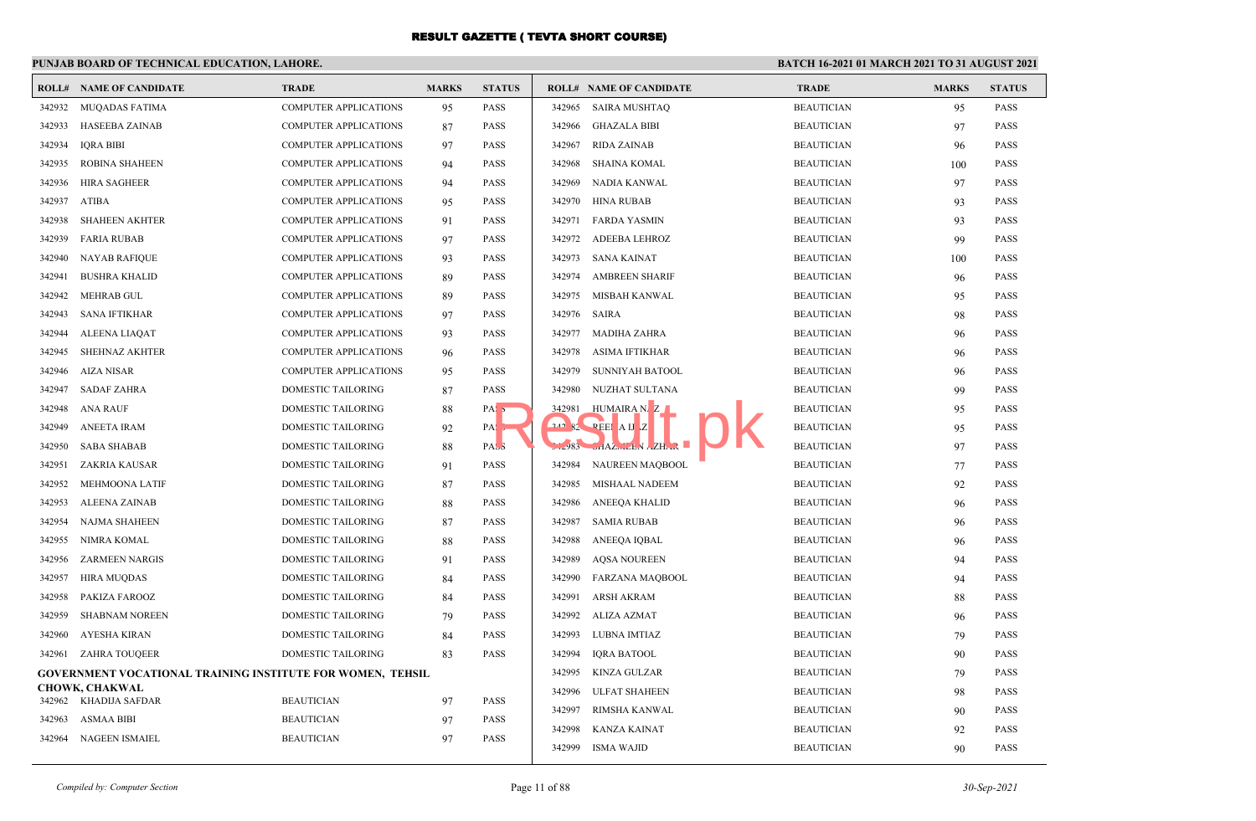#### **PUNJAB BOARD OF TECHNICAL EDUCATION, LAHORE. BATCH 16-2021 01 MARCH 2021 TO 31 AUGUST 2021 ROLL# NAME OF CANDIDATE TRADE MARKS STATUS ROLL# NAME OF CANDIDATE TRADE MARKS STATUS** 342932 MUQADAS FATIMA COMPUTER APPLICATIONS 95 PASS 342933 HASEEBA ZAINAB COMPUTER APPLICATIONS 87 PASS 342934 IQRA BIBI COMPUTER APPLICATIONS 97 PASS 342935 ROBINA SHAHEEN COMPUTER APPLICATIONS 94 PASS 342936 HIRA SAGHEER COMPUTER APPLICATIONS 94 PASS 342937 ATIBA COMPUTER APPLICATIONS 95 PASS 342938 SHAHEEN AKHTER COMPUTER APPLICATIONS 91 PASS 342939 FARIA RUBAB COMPUTER APPLICATIONS 97 PASS 342940 NAYAB RAFIQUE COMPUTER APPLICATIONS 93 PASS 342941 BUSHRA KHALID COMPUTER APPLICATIONS 89 PASS 342942 MEHRAB GUL COMPUTER APPLICATIONS 89 PASS 342943 SANA IFTIKHAR COMPUTER APPLICATIONS 97 PASS 342944 ALEENA LIAQAT COMPUTER APPLICATIONS 93 PASS 342945 SHEHNAZ AKHTER COMPUTER APPLICATIONS 96 PASS 342946 AIZA NISAR COMPUTER APPLICATIONS 95 PASS 342947 SADAF ZAHRA DOMESTIC TAILORING 87 PASS 342948 ANA RAUF DOMESTIC TAILORING 88 PASS 342949 ANEETA IRAM DOMESTIC TAILORING 92 PASS 342950 SABA SHABAB DOMESTIC TAILORING 88 PASS 342951 ZAKRIA KAUSAR DOMESTIC TAILORING 91 PASS 342952 MEHMOONA LATIF DOMESTIC TAILORING 87 PASS 342953 ALEENA ZAINAB DOMESTIC TAILORING 88 PASS 342954 NAJMA SHAHEEN DOMESTIC TAILORING 87 PASS 342955 NIMRA KOMAL DOMESTIC TAILORING 88 PASS 342956 ZARMEEN NARGIS DOMESTIC TAILORING 91 PASS 342957 HIRA MUQDAS DOMESTIC TAILORING 84 PASS 342958 PAKIZA FAROOZ DOMESTIC TAILORING 84 PASS 342959 SHABNAM NOREEN DOMESTIC TAILORING 79 PASS 342960 AYESHA KIRAN DOMESTIC TAILORING 84 PASS 342961 ZAHRA TOUQEER DOMESTIC TAILORING 83 PASS **GOVERNMENT VOCATIONAL TRAINING INSTITUTE FOR WOMEN, TEHSIL CHOWK, CHAKWAL** 342962 KHADIJA SAFDAR BEAUTICIAN 97 PASS 342963 ASMAA BIBI BEAUTICIAN 97 PASS 342964 NAGEEN ISMAIEL BEAUTICIAN 97 PASS 342965 SAIRA MUSHTAQ BEAUTICIAN 95 PASS 342966 GHAZALA BIBI BEAUTICIAN 97 PASS 342967 RIDA ZAINAB BEAUTICIAN 96 PASS 342968 SHAINA KOMAL BEAUTICIAN 100 PASS 342969 NADIA KANWAL BEAUTICIAN 97 PASS 342970 HINA RUBAB BEAUTICIAN 93 PASS 342971 FARDA YASMIN BEAUTICIAN 93 PASS 342972 ADEEBA LEHROZ BEAUTICIAN 99 PASS 342973 SANA KAINAT BEAUTICIAN 100 PASS 342974 AMBREEN SHARIF BEAUTICIAN 96 PASS 342975 MISBAH KANWAL BEAUTICIAN 95 PASS 342976 SAIRA BEAUTICIAN 98 PASS 342977 MADIHA ZAHRA BEAUTICIAN 96 PASS 342978 ASIMA IFTIKHAR BEAUTICIAN 96 PASS 342979 SUNNIYAH BATOOL BEAUTICIAN 96 PASS 342980 NUZHAT SULTANA BEAUTICIAN 99 PASS 342981 HUMAIRA NAZ BEAUTICIAN 95 PASS <sup>242</sup>982 REEMAN Z BEAUTICIAN 95 PASS 342983 SHAZMEEN AZHAR BEAUTICIAN 97 PASS 342984 NAUREEN MAQBOOL BEAUTICIAN 77 PASS 342985 MISHAAL NADEEM BEAUTICIAN 92 PASS 342986 ANEEQA KHALID BEAUTICIAN 96 PASS 342987 SAMIA RUBAB BEAUTICIAN 96 PASS 342988 ANEEQA IQBAL BEAUTICIAN 96 PASS 342989 AQSA NOUREEN BEAUTICIAN 94 PASS 342990 FARZANA MAQBOOL BEAUTICIAN 94 PASS 342991 ARSH AKRAM BEAUTICIAN 88 PASS 342992 ALIZA AZMAT BEAUTICIAN 96 PASS 342993 LUBNA IMTIAZ BEAUTICIAN 79 PASS 342994 IQRA BATOOL BEAUTICIAN 90 PASS 342995 KINZA GULZAR BEAUTICIAN 79 PASS 342996 ULFAT SHAHEEN BEAUTICIAN 98 PASS 342997 RIMSHA KANWAL BEAUTICIAN 90 PASS 342998 KANZA KAINAT BEAUTICIAN 92 PASS 342999 ISMA WAJID BEAUTICIAN 90 PASS Result Advise Construction of the Construction of the Construction of the Construction of the Construction of the Construction of the Construction of the Construction of the Construction of the Construction of the Construc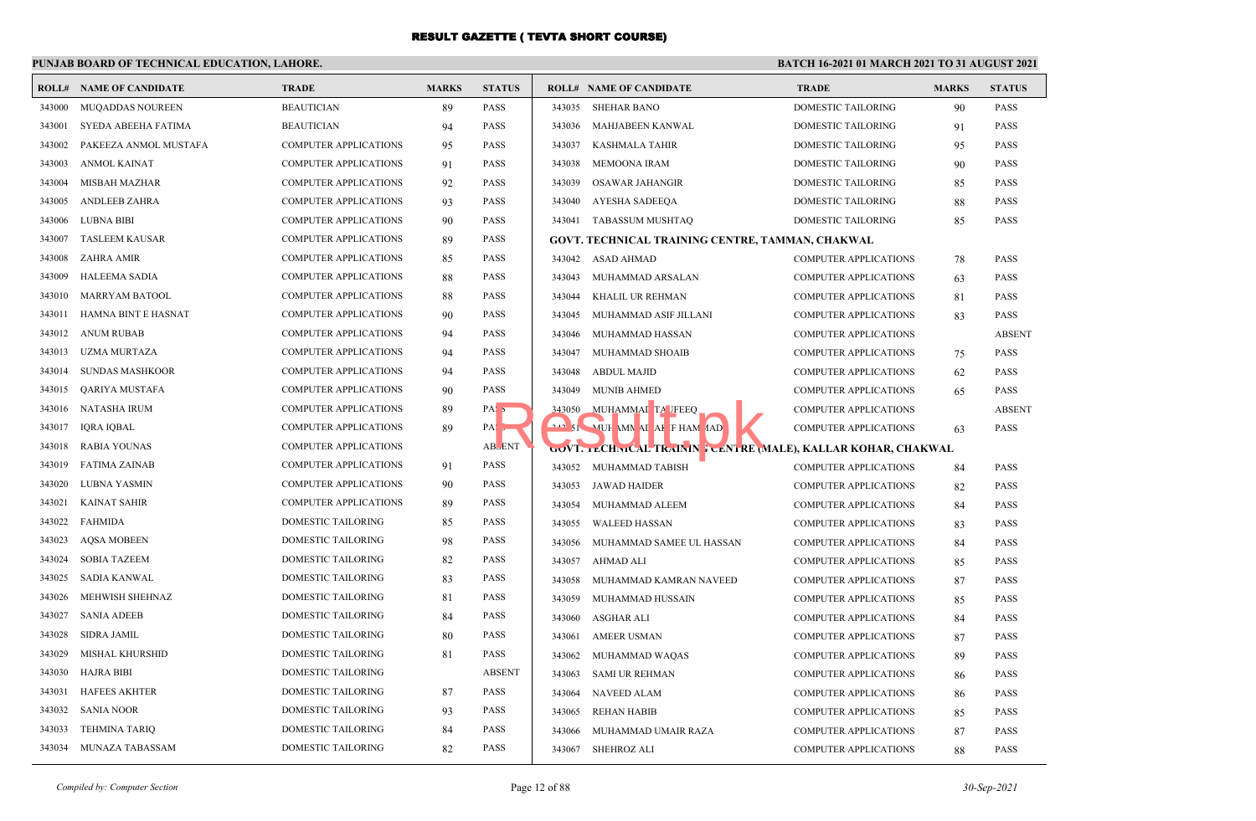## **PUNJAB BOARD OF TECHNICAL EDUCATION, LAHORE.**

|        | <b>ROLL# NAME OF CANDIDATE</b> | <b>TRADE</b>                 | <b>MARKS</b> | <b>STATUS</b>    |        | <b>ROLL# NAME OF CANDIDATE</b>                               | <b>TRADE</b>                 | <b>MARKS</b> | <b>STATUS</b> |
|--------|--------------------------------|------------------------------|--------------|------------------|--------|--------------------------------------------------------------|------------------------------|--------------|---------------|
| 343000 | MUQADDAS NOUREEN               | <b>BEAUTICIAN</b>            | 89           | <b>PASS</b>      |        | 343035 SHEHAR BANO                                           | DOMESTIC TAILORING           | 90           | <b>PASS</b>   |
| 343001 | SYEDA ABEEHA FATIMA            | <b>BEAUTICIAN</b>            | 94           | <b>PASS</b>      |        | 343036 MAHJABEEN KANWAL                                      | DOMESTIC TAILORING           | 91           | <b>PASS</b>   |
| 343002 | PAKEEZA ANMOL MUSTAFA          | COMPUTER APPLICATIONS        | 95           | <b>PASS</b>      |        | 343037 KASHMALA TAHIR                                        | DOMESTIC TAILORING           | 95           | <b>PASS</b>   |
| 343003 | ANMOL KAINAT                   | <b>COMPUTER APPLICATIONS</b> | 91           | <b>PASS</b>      |        | 343038 MEMOONA IRAM                                          | DOMESTIC TAILORING           | 90           | <b>PASS</b>   |
| 343004 | <b>MISBAH MAZHAR</b>           | <b>COMPUTER APPLICATIONS</b> | 92           | <b>PASS</b>      | 343039 | <b>OSAWAR JAHANGIR</b>                                       | DOMESTIC TAILORING           | 85           | <b>PASS</b>   |
| 343005 | <b>ANDLEEB ZAHRA</b>           | COMPUTER APPLICATIONS        | 93           | <b>PASS</b>      | 343040 | AYESHA SADEEQA                                               | DOMESTIC TAILORING           | 88           | <b>PASS</b>   |
| 343006 | LUBNA BIBI                     | <b>COMPUTER APPLICATIONS</b> | 90           | <b>PASS</b>      |        | 343041 TABASSUM MUSHTAQ                                      | DOMESTIC TAILORING           | 85           | PASS          |
| 343007 | <b>TASLEEM KAUSAR</b>          | COMPUTER APPLICATIONS        | 89           | <b>PASS</b>      |        | GOVT, TECHNICAL TRAINING CENTRE, TAMMAN, CHAKWAL             |                              |              |               |
| 343008 | ZAHRA AMIR                     | <b>COMPUTER APPLICATIONS</b> | 85           | <b>PASS</b>      |        | 343042 ASAD AHMAD                                            | <b>COMPUTER APPLICATIONS</b> | 78           | <b>PASS</b>   |
| 343009 | <b>HALEEMA SADIA</b>           | <b>COMPUTER APPLICATIONS</b> | 88           | <b>PASS</b>      | 343043 | MUHAMMAD ARSALAN                                             | <b>COMPUTER APPLICATIONS</b> | 63           | <b>PASS</b>   |
| 343010 | <b>MARRYAM BATOOL</b>          | COMPUTER APPLICATIONS        | 88           | <b>PASS</b>      | 343044 | KHALIL UR REHMAN                                             | <b>COMPUTER APPLICATIONS</b> | 81           | <b>PASS</b>   |
| 343011 | HAMNA BINT E HASNAT            | COMPUTER APPLICATIONS        | 90           | <b>PASS</b>      | 343045 | MUHAMMAD ASIF JILLANI                                        | <b>COMPUTER APPLICATIONS</b> | 83           | <b>PASS</b>   |
| 343012 | <b>ANUM RUBAB</b>              | <b>COMPUTER APPLICATIONS</b> | 94           | <b>PASS</b>      | 343046 | MUHAMMAD HASSAN                                              | <b>COMPUTER APPLICATIONS</b> |              | <b>ABSENT</b> |
| 343013 | UZMA MURTAZA                   | COMPUTER APPLICATIONS        | 94           | <b>PASS</b>      | 343047 | MUHAMMAD SHOAIB                                              | <b>COMPUTER APPLICATIONS</b> | 75           | <b>PASS</b>   |
| 343014 | <b>SUNDAS MASHKOOR</b>         | <b>COMPUTER APPLICATIONS</b> | 94           | <b>PASS</b>      | 343048 | ABDUL MAJID                                                  | <b>COMPUTER APPLICATIONS</b> | 62           | <b>PASS</b>   |
| 343015 | <b>OARIYA MUSTAFA</b>          | <b>COMPUTER APPLICATIONS</b> | 90           | <b>PASS</b>      | 343049 | <b>MUNIB AHMED</b>                                           | <b>COMPUTER APPLICATIONS</b> | 65           | <b>PASS</b>   |
| 343016 | NATASHA IRUM                   | COMPUTER APPLICATIONS        | 89           | PAS <sub>5</sub> |        | 343050 MUHAMMAI TA JFEEQ                                     | <b>COMPUTER APPLICATIONS</b> |              | <b>ABSENT</b> |
| 343017 | <b>IQRA IQBAL</b>              | <b>COMPUTER APPLICATIONS</b> | 89           | PA:              |        | $\sim$ 51 MUH MN AI AF FHAM AAD                              | <b>COMPUTER APPLICATIONS</b> | 63           | <b>PASS</b>   |
| 343018 | <b>RABIA YOUNAS</b>            | COMPUTER APPLICATIONS        |              | <b>ABLENT</b>    |        | GOVT. LCHNICAL TRAININ FORNIRE (MALE), KALLAR KOHAR, CHAKWAL |                              |              |               |
| 343019 | <b>FATIMA ZAINAB</b>           | <b>COMPUTER APPLICATIONS</b> | 91           | <b>PASS</b>      |        | 343052 MUHAMMAD TABISH                                       | <b>COMPUTER APPLICATIONS</b> | 84           | <b>PASS</b>   |
| 343020 | LUBNA YASMIN                   | COMPUTER APPLICATIONS        | 90           | <b>PASS</b>      |        | 343053 JAWAD HAIDER                                          | <b>COMPUTER APPLICATIONS</b> | 82           | <b>PASS</b>   |
| 343021 | <b>KAINAT SAHIR</b>            | COMPUTER APPLICATIONS        | 89           | <b>PASS</b>      | 343054 | MUHAMMAD ALEEM                                               | <b>COMPUTER APPLICATIONS</b> | 84           | <b>PASS</b>   |
| 343022 | FAHMIDA                        | DOMESTIC TAILORING           | 85           | <b>PASS</b>      | 343055 | <b>WALEED HASSAN</b>                                         | <b>COMPUTER APPLICATIONS</b> | 83           | <b>PASS</b>   |
| 343023 | <b>AQSA MOBEEN</b>             | DOMESTIC TAILORING           | 98           | <b>PASS</b>      | 343056 | MUHAMMAD SAMEE UL HASSAN                                     | <b>COMPUTER APPLICATIONS</b> | 84           | <b>PASS</b>   |
| 343024 | <b>SOBIA TAZEEM</b>            | DOMESTIC TAILORING           | 82           | <b>PASS</b>      | 343057 | AHMAD ALI                                                    | <b>COMPUTER APPLICATIONS</b> | 85           | <b>PASS</b>   |
| 343025 | <b>SADIA KANWAL</b>            | DOMESTIC TAILORING           | 83           | <b>PASS</b>      | 343058 | MUHAMMAD KAMRAN NAVEED                                       | <b>COMPUTER APPLICATIONS</b> | 87           | <b>PASS</b>   |
| 343026 | MEHWISH SHEHNAZ                | DOMESTIC TAILORING           | 81           | <b>PASS</b>      | 343059 | MUHAMMAD HUSSAIN                                             | <b>COMPUTER APPLICATIONS</b> | 85           | <b>PASS</b>   |
| 343027 | <b>SANIA ADEEB</b>             | DOMESTIC TAILORING           | 84           | <b>PASS</b>      | 343060 | ASGHAR ALI                                                   | <b>COMPUTER APPLICATIONS</b> | 84           | <b>PASS</b>   |
| 343028 | <b>SIDRA JAMIL</b>             | <b>DOMESTIC TAILORING</b>    | 80           | <b>PASS</b>      | 343061 | <b>AMEER USMAN</b>                                           | COMPUTER APPLICATIONS        | 87           | PASS          |
| 343029 | MISHAL KHURSHID                | DOMESTIC TAILORING           | 81           | <b>PASS</b>      | 343062 | MUHAMMAD WAQAS                                               | <b>COMPUTER APPLICATIONS</b> | 89           | <b>PASS</b>   |
| 343030 | <b>HAJRA BIBI</b>              | DOMESTIC TAILORING           |              | <b>ABSENT</b>    | 343063 | <b>SAMI UR REHMAN</b>                                        | <b>COMPUTER APPLICATIONS</b> | 86           | <b>PASS</b>   |
| 343031 | <b>HAFEES AKHTER</b>           | DOMESTIC TAILORING           | 87           | <b>PASS</b>      | 343064 | NAVEED ALAM                                                  | <b>COMPUTER APPLICATIONS</b> | 86           | <b>PASS</b>   |
| 343032 | <b>SANIA NOOR</b>              | DOMESTIC TAILORING           | 93           | <b>PASS</b>      | 343065 | REHAN HABIB                                                  | <b>COMPUTER APPLICATIONS</b> | 85           | <b>PASS</b>   |
| 343033 | <b>TEHMINA TARIO</b>           | <b>DOMESTIC TAILORING</b>    | 84           | <b>PASS</b>      | 343066 | MUHAMMAD UMAIR RAZA                                          | <b>COMPUTER APPLICATIONS</b> | 87           | PASS          |
| 343034 | MUNAZA TABASSAM                | DOMESTIC TAILORING           | 82           | <b>PASS</b>      |        | 343067 SHEHROZ ALI                                           | <b>COMPUTER APPLICATIONS</b> | 88           | <b>PASS</b>   |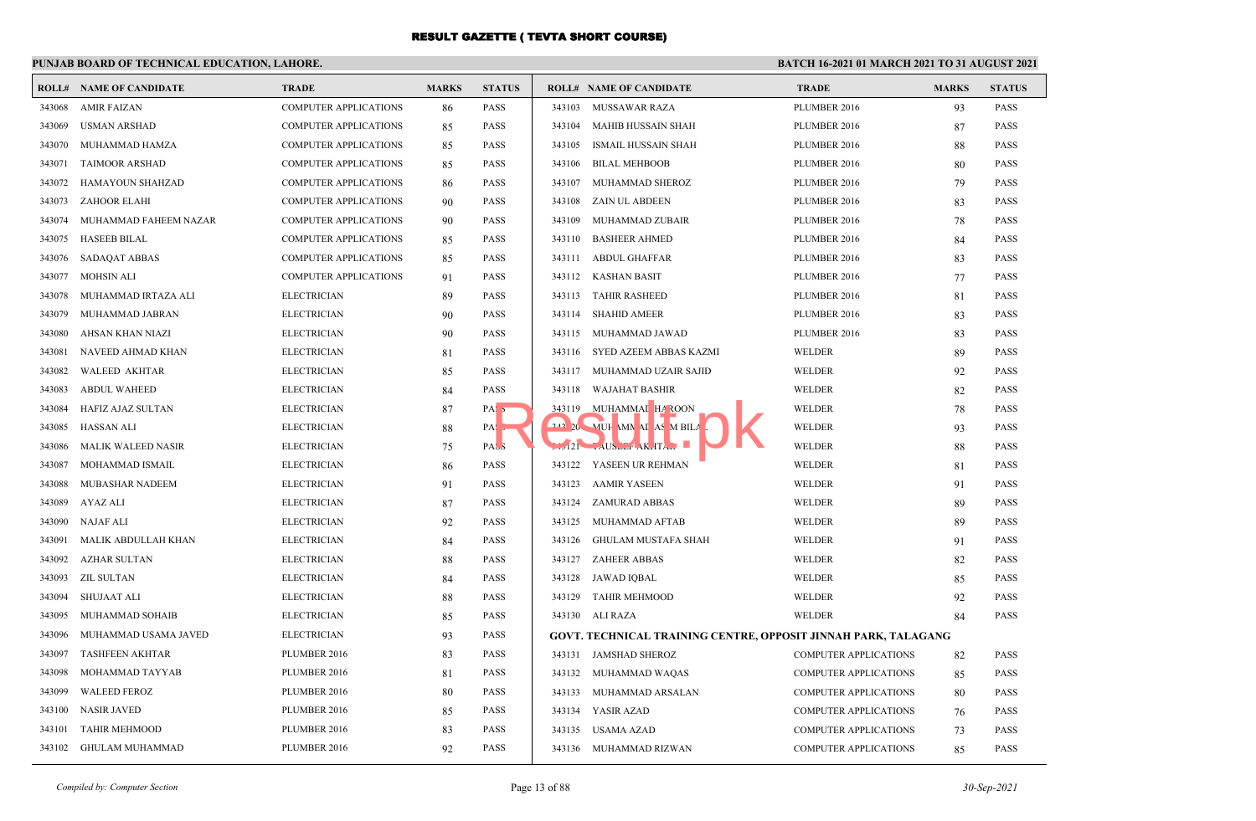## **PUNJAB BOARD OF TECHNICAL EDUCATION, LAHORE.**

|        | <b>ROLL# NAME OF CANDIDATE</b> | <b>TRADE</b>                 | <b>MARKS</b> | <b>STATUS</b>    |        | <b>ROLL# NAME OF CANDIDATE</b>                                 | <b>TRADE</b>                 | <b>MARKS</b> | <b>STATUS</b> |
|--------|--------------------------------|------------------------------|--------------|------------------|--------|----------------------------------------------------------------|------------------------------|--------------|---------------|
| 343068 | <b>AMIR FAIZAN</b>             | <b>COMPUTER APPLICATIONS</b> | 86           | <b>PASS</b>      | 343103 | MUSSAWAR RAZA                                                  | PLUMBER 2016                 | 93           | <b>PASS</b>   |
| 343069 | <b>USMAN ARSHAD</b>            | COMPUTER APPLICATIONS        | 85           | <b>PASS</b>      | 343104 | <b>MAHIB HUSSAIN SHAH</b>                                      | PLUMBER 2016                 | 87           | <b>PASS</b>   |
| 343070 | MUHAMMAD HAMZA                 | <b>COMPUTER APPLICATIONS</b> | 85           | <b>PASS</b>      | 343105 | <b>ISMAIL HUSSAIN SHAH</b>                                     | PLUMBER 2016                 | 88           | <b>PASS</b>   |
| 343071 | <b>TAIMOOR ARSHAD</b>          | COMPUTER APPLICATIONS        | 85           | <b>PASS</b>      | 343106 | <b>BILAL MEHBOOB</b>                                           | PLUMBER 2016                 | 80           | <b>PASS</b>   |
| 343072 | <b>HAMAYOUN SHAHZAD</b>        | COMPUTER APPLICATIONS        | 86           | <b>PASS</b>      | 343107 | MUHAMMAD SHEROZ                                                | PLUMBER 2016                 | 79           | <b>PASS</b>   |
| 343073 | ZAHOOR ELAHI                   | <b>COMPUTER APPLICATIONS</b> | 90           | <b>PASS</b>      | 343108 | <b>ZAIN UL ABDEEN</b>                                          | PLUMBER 2016                 | 83           | <b>PASS</b>   |
| 343074 | MUHAMMAD FAHEEM NAZAR          | COMPUTER APPLICATIONS        | 90           | <b>PASS</b>      | 343109 | MUHAMMAD ZUBAIR                                                | PLUMBER 2016                 | 78           | <b>PASS</b>   |
| 343075 | <b>HASEEB BILAL</b>            | <b>COMPUTER APPLICATIONS</b> | 85           | <b>PASS</b>      | 343110 | <b>BASHEER AHMED</b>                                           | PLUMBER 2016                 | 84           | <b>PASS</b>   |
| 343076 | <b>SADAQAT ABBAS</b>           | COMPUTER APPLICATIONS        | 85           | <b>PASS</b>      | 343111 | <b>ABDUL GHAFFAR</b>                                           | PLUMBER 2016                 | 83           | <b>PASS</b>   |
| 343077 | MOHSIN ALI                     | <b>COMPUTER APPLICATIONS</b> | 91           | <b>PASS</b>      |        | 343112 KASHAN BASIT                                            | PLUMBER 2016                 | 77           | <b>PASS</b>   |
| 343078 | MUHAMMAD IRTAZA ALI            | <b>ELECTRICIAN</b>           | 89           | <b>PASS</b>      | 343113 | <b>TAHIR RASHEED</b>                                           | PLUMBER 2016                 | 81           | <b>PASS</b>   |
| 343079 | MUHAMMAD JABRAN                | <b>ELECTRICIAN</b>           | 90           | <b>PASS</b>      | 343114 | <b>SHAHID AMEER</b>                                            | PLUMBER 2016                 | 83           | <b>PASS</b>   |
| 343080 | AHSAN KHAN NIAZI               | <b>ELECTRICIAN</b>           | 90           | <b>PASS</b>      | 343115 | MUHAMMAD JAWAD                                                 | PLUMBER 2016                 | 83           | <b>PASS</b>   |
| 343081 | NAVEED AHMAD KHAN              | <b>ELECTRICIAN</b>           | 81           | <b>PASS</b>      | 343116 | SYED AZEEM ABBAS KAZMI                                         | WELDER                       | 89           | <b>PASS</b>   |
| 343082 | <b>WALEED AKHTAR</b>           | <b>ELECTRICIAN</b>           | 85           | <b>PASS</b>      | 343117 | MUHAMMAD UZAIR SAJID                                           | <b>WELDER</b>                | 92           | <b>PASS</b>   |
| 343083 | <b>ABDUL WAHEED</b>            | <b>ELECTRICIAN</b>           | 84           | <b>PASS</b>      | 343118 | <b>WAJAHAT BASHIR</b>                                          | <b>WELDER</b>                | 82           | <b>PASS</b>   |
| 343084 | HAFIZ AJAZ SULTAN              | <b>ELECTRICIAN</b>           | 87           | PAS <sub>5</sub> |        | 343119 MUHAMMAI HAROON                                         | WELDER                       | 78           | <b>PASS</b>   |
| 343085 | <b>HASSAN ALI</b>              | <b>ELECTRICIAN</b>           | 88           | $PA:$ ,          |        | 242 20 MUH MN AI AS M BILA                                     | WELDER                       | 93           | <b>PASS</b>   |
| 343086 | <b>MALIK WALEED NASIR</b>      | <b>ELECTRICIAN</b>           | 75           | <b>PASS</b>      |        | $121$ $\sim$ AUSLEY AK. ITAN                                   | WELDER                       | 88           | <b>PASS</b>   |
| 343087 | MOHAMMAD ISMAIL                | <b>ELECTRICIAN</b>           | 86           | <b>PASS</b>      |        | 343122 YASEEN UR REHMAN                                        | <b>WELDER</b>                | 81           | <b>PASS</b>   |
| 343088 | MUBASHAR NADEEM                | <b>ELECTRICIAN</b>           | 91           | <b>PASS</b>      | 343123 | <b>AAMIR YASEEN</b>                                            | WELDER                       | 91           | <b>PASS</b>   |
| 343089 | AYAZ ALI                       | <b>ELECTRICIAN</b>           | 87           | <b>PASS</b>      | 343124 | <b>ZAMURAD ABBAS</b>                                           | <b>WELDER</b>                | 89           | <b>PASS</b>   |
| 343090 | <b>NAJAF ALI</b>               | <b>ELECTRICIAN</b>           | 92           | <b>PASS</b>      | 343125 | MUHAMMAD AFTAB                                                 | <b>WELDER</b>                | 89           | <b>PASS</b>   |
| 343091 | MALIK ABDULLAH KHAN            | <b>ELECTRICIAN</b>           | 84           | <b>PASS</b>      | 343126 | <b>GHULAM MUSTAFA SHAH</b>                                     | WELDER                       | 91           | <b>PASS</b>   |
| 343092 | <b>AZHAR SULTAN</b>            | <b>ELECTRICIAN</b>           | 88           | <b>PASS</b>      | 343127 | <b>ZAHEER ABBAS</b>                                            | <b>WELDER</b>                | 82           | <b>PASS</b>   |
| 343093 | ZIL SULTAN                     | <b>ELECTRICIAN</b>           | 84           | <b>PASS</b>      | 343128 | JAWAD IQBAL                                                    | WELDER                       | 85           | <b>PASS</b>   |
| 343094 | <b>SHUJAAT ALI</b>             | <b>ELECTRICIAN</b>           | 88           | <b>PASS</b>      | 343129 | <b>TAHIR MEHMOOD</b>                                           | WELDER                       | 92           | <b>PASS</b>   |
| 343095 | MUHAMMAD SOHAIB                | <b>ELECTRICIAN</b>           | 85           | <b>PASS</b>      |        | 343130 ALI RAZA                                                | WELDER                       | 84           | <b>PASS</b>   |
| 343096 | MUHAMMAD USAMA JAVED           | <b>ELECTRICIAN</b>           | 93           | <b>PASS</b>      |        | GOVT. TECHNICAL TRAINING CENTRE, OPPOSIT JINNAH PARK, TALAGANG |                              |              |               |
| 343097 | <b>TASHFEEN AKHTAR</b>         | PLUMBER 2016                 | 83           | <b>PASS</b>      |        | 343131 JAMSHAD SHEROZ                                          | <b>COMPUTER APPLICATIONS</b> | 82           | <b>PASS</b>   |
| 343098 | MOHAMMAD TAYYAB                | PLUMBER 2016                 | 81           | <b>PASS</b>      |        | 343132 MUHAMMAD WAQAS                                          | <b>COMPUTER APPLICATIONS</b> | 85           | <b>PASS</b>   |
| 343099 | <b>WALEED FEROZ</b>            | PLUMBER 2016                 | 80           | <b>PASS</b>      |        | 343133 MUHAMMAD ARSALAN                                        | <b>COMPUTER APPLICATIONS</b> | 80           | <b>PASS</b>   |
| 343100 | <b>NASIR JAVED</b>             | PLUMBER 2016                 | 85           | <b>PASS</b>      |        | 343134 YASIR AZAD                                              | COMPUTER APPLICATIONS        | 76           | PASS          |
| 343101 | <b>TAHIR MEHMOOD</b>           | PLUMBER 2016                 | 83           | <b>PASS</b>      | 343135 | USAMA AZAD                                                     | COMPUTER APPLICATIONS        | 73           | <b>PASS</b>   |
| 343102 | <b>GHULAM MUHAMMAD</b>         | PLUMBER 2016                 | 92           | <b>PASS</b>      |        | 343136 MUHAMMAD RIZWAN                                         | <b>COMPUTER APPLICATIONS</b> | 85           | <b>PASS</b>   |
|        |                                |                              |              |                  |        |                                                                |                              |              |               |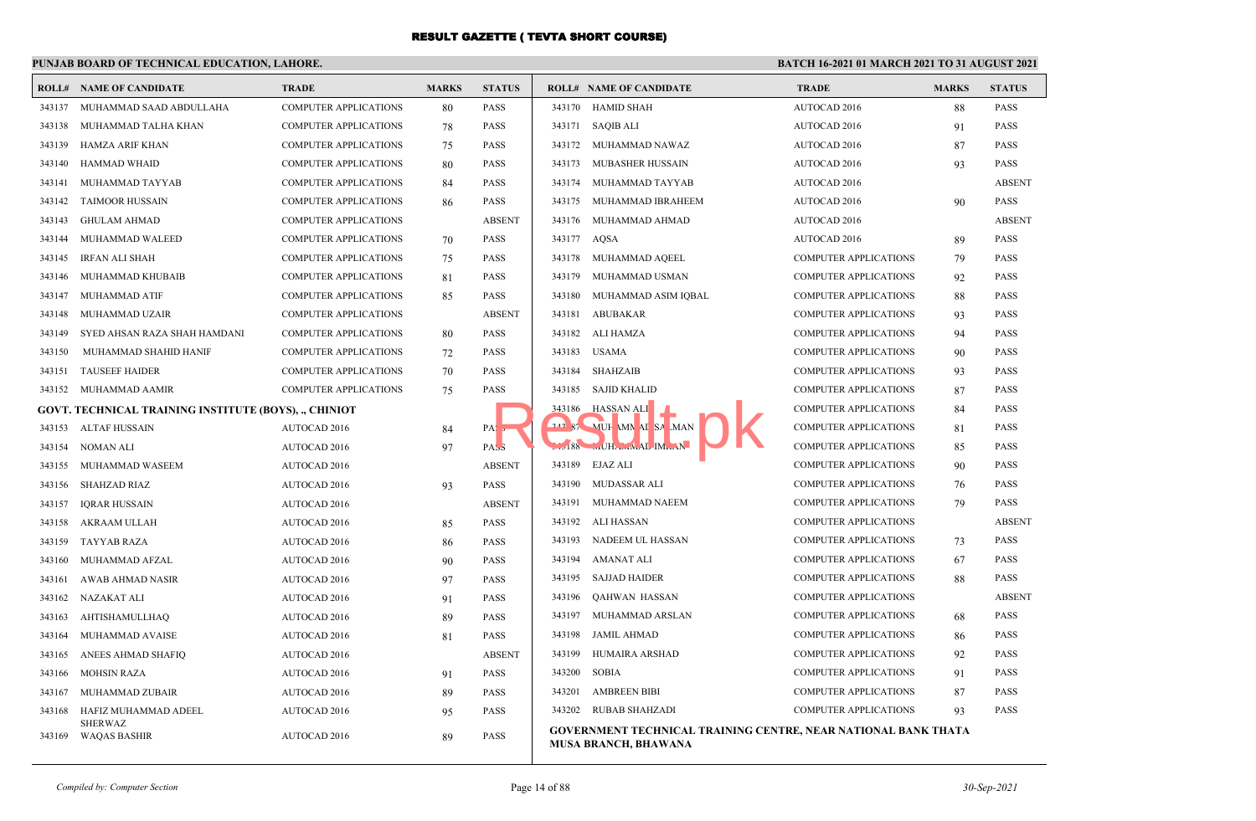## **PUNJAB BOARD OF TECHNICAL EDUCATION, LAHORE.**

|        | <b>ROLL# NAME OF CANDIDATE</b>                        | <b>TRADE</b>                 | <b>MARKS</b> | <b>STATUS</b>    | <b>ROLL# NAME OF CANDIDATE</b>                                                                       | <b>TRADE</b>                 | <b>MARKS</b> | <b>STATUS</b> |
|--------|-------------------------------------------------------|------------------------------|--------------|------------------|------------------------------------------------------------------------------------------------------|------------------------------|--------------|---------------|
| 343137 | MUHAMMAD SAAD ABDULLAHA                               | <b>COMPUTER APPLICATIONS</b> | 80           | <b>PASS</b>      | 343170 HAMID SHAH                                                                                    | AUTOCAD 2016                 | 88           | <b>PASS</b>   |
| 343138 | MUHAMMAD TALHA KHAN                                   | <b>COMPUTER APPLICATIONS</b> | 78           | <b>PASS</b>      | 343171 SAQIB ALI                                                                                     | AUTOCAD 2016                 | 91           | <b>PASS</b>   |
| 343139 | HAMZA ARIF KHAN                                       | <b>COMPUTER APPLICATIONS</b> | 75           | <b>PASS</b>      | 343172 MUHAMMAD NAWAZ                                                                                | AUTOCAD 2016                 | 87           | <b>PASS</b>   |
| 343140 | <b>HAMMAD WHAID</b>                                   | <b>COMPUTER APPLICATIONS</b> | 80           | <b>PASS</b>      | MUBASHER HUSSAIN<br>343173                                                                           | AUTOCAD 2016                 | 93           | <b>PASS</b>   |
| 343141 | MUHAMMAD TAYYAB                                       | <b>COMPUTER APPLICATIONS</b> | 84           | <b>PASS</b>      | 343174 MUHAMMAD TAYYAB                                                                               | AUTOCAD 2016                 |              | <b>ABSENT</b> |
| 343142 | <b>TAIMOOR HUSSAIN</b>                                | COMPUTER APPLICATIONS        | 86           | PASS             | 343175 MUHAMMAD IBRAHEEM                                                                             | AUTOCAD 2016                 | 90           | <b>PASS</b>   |
| 343143 | <b>GHULAM AHMAD</b>                                   | <b>COMPUTER APPLICATIONS</b> |              | <b>ABSENT</b>    | 343176<br>MUHAMMAD AHMAD                                                                             | AUTOCAD 2016                 |              | <b>ABSENT</b> |
| 343144 | MUHAMMAD WALEED                                       | COMPUTER APPLICATIONS        | 70           | <b>PASS</b>      | 343177 AQSA                                                                                          | AUTOCAD 2016                 | 89           | <b>PASS</b>   |
| 343145 | <b>IRFAN ALI SHAH</b>                                 | <b>COMPUTER APPLICATIONS</b> | 75           | PASS             | 343178 MUHAMMAD AQEEL                                                                                | <b>COMPUTER APPLICATIONS</b> | 79           | <b>PASS</b>   |
| 343146 | MUHAMMAD KHUBAIB                                      | COMPUTER APPLICATIONS        | 81           | PASS             | 343179<br>MUHAMMAD USMAN                                                                             | <b>COMPUTER APPLICATIONS</b> | 92           | <b>PASS</b>   |
| 343147 | MUHAMMAD ATIF                                         | COMPUTER APPLICATIONS        | 85           | PASS             | MUHAMMAD ASIM IQBAL<br>343180                                                                        | <b>COMPUTER APPLICATIONS</b> | 88           | <b>PASS</b>   |
| 343148 | MUHAMMAD UZAIR                                        | COMPUTER APPLICATIONS        |              | <b>ABSENT</b>    | 343181<br>ABUBAKAR                                                                                   | <b>COMPUTER APPLICATIONS</b> | 93           | <b>PASS</b>   |
| 343149 | SYED AHSAN RAZA SHAH HAMDANI                          | <b>COMPUTER APPLICATIONS</b> | 80           | <b>PASS</b>      | 343182 ALI HAMZA                                                                                     | <b>COMPUTER APPLICATIONS</b> | 94           | <b>PASS</b>   |
| 343150 | MUHAMMAD SHAHID HANIF                                 | <b>COMPUTER APPLICATIONS</b> | 72           | PASS             | 343183 USAMA                                                                                         | <b>COMPUTER APPLICATIONS</b> | 90           | <b>PASS</b>   |
| 343151 | <b>TAUSEEF HAIDER</b>                                 | <b>COMPUTER APPLICATIONS</b> | 70           | <b>PASS</b>      | 343184 SHAHZAIB                                                                                      | <b>COMPUTER APPLICATIONS</b> | 93           | PASS          |
|        | 343152 MUHAMMAD AAMIR                                 | COMPUTER APPLICATIONS        | 75           | PASS             | 343185<br>SAJID KHALID                                                                               | <b>COMPUTER APPLICATIONS</b> | 87           | <b>PASS</b>   |
|        | GOVT, TECHNICAL TRAINING INSTITUTE (BOYS), ., CHINIOT |                              |              |                  | 343186<br><b>HASSAN ALI</b>                                                                          | <b>COMPUTER APPLICATIONS</b> | 84           | <b>PASS</b>   |
|        | 343153 ALTAF HUSSAIN                                  | <b>AUTOCAD 2016</b>          | 84           | PAS <sub>5</sub> | 21287<br>MUH MN AI SA MAN                                                                            | <b>COMPUTER APPLICATIONS</b> | 81           | <b>PASS</b>   |
| 343154 | NOMAN ALI                                             | <b>AUTOCAD 2016</b>          | 97           | PAS <sub>3</sub> | 188 MHAMAL IMMAN                                                                                     | <b>COMPUTER APPLICATIONS</b> | 85           | PASS          |
| 343155 | MUHAMMAD WASEEM                                       | AUTOCAD 2016                 |              | <b>ABSENT</b>    | 343189<br>EJAZ ALI                                                                                   | <b>COMPUTER APPLICATIONS</b> | 90           | <b>PASS</b>   |
| 343156 | <b>SHAHZAD RIAZ</b>                                   | <b>AUTOCAD 2016</b>          | 93           | <b>PASS</b>      | 343190 MUDASSAR ALI                                                                                  | <b>COMPUTER APPLICATIONS</b> | 76           | <b>PASS</b>   |
| 343157 | <b>IORAR HUSSAIN</b>                                  | AUTOCAD 2016                 |              | <b>ABSENT</b>    | 343191 MUHAMMAD NAEEM                                                                                | <b>COMPUTER APPLICATIONS</b> | 79           | <b>PASS</b>   |
| 343158 | AKRAAM ULLAH                                          | <b>AUTOCAD 2016</b>          | 85           | <b>PASS</b>      | 343192<br>ALI HASSAN                                                                                 | <b>COMPUTER APPLICATIONS</b> |              | <b>ABSENT</b> |
| 343159 | <b>TAYYAB RAZA</b>                                    | AUTOCAD 2016                 | 86           | PASS             | 343193<br>NADEEM UL HASSAN                                                                           | <b>COMPUTER APPLICATIONS</b> | 73           | <b>PASS</b>   |
| 343160 | MUHAMMAD AFZAL                                        | <b>AUTOCAD 2016</b>          | 90           | <b>PASS</b>      | 343194<br>AMANAT ALI                                                                                 | <b>COMPUTER APPLICATIONS</b> | 67           | <b>PASS</b>   |
| 343161 | AWAB AHMAD NASIR                                      | AUTOCAD 2016                 | 97           | <b>PASS</b>      | 343195 SAJJAD HAIDER                                                                                 | <b>COMPUTER APPLICATIONS</b> | 88           | <b>PASS</b>   |
| 343162 | NAZAKAT ALI                                           | <b>AUTOCAD 2016</b>          | 91           | PASS             | 343196<br>QAHWAN HASSAN                                                                              | <b>COMPUTER APPLICATIONS</b> |              | <b>ABSENT</b> |
| 343163 | <b>AHTISHAMULLHAQ</b>                                 | AUTOCAD 2016                 | 89           | <b>PASS</b>      | 343197<br>MUHAMMAD ARSLAN                                                                            | <b>COMPUTER APPLICATIONS</b> | 68           | <b>PASS</b>   |
| 343164 | MUHAMMAD AVAISE                                       | <b>AUTOCAD 2016</b>          | 81           | <b>PASS</b>      | 343198<br>JAMIL AHMAD                                                                                | <b>COMPUTER APPLICATIONS</b> | 86           | <b>PASS</b>   |
| 343165 | ANEES AHMAD SHAFIQ                                    | AUTOCAD 2016                 |              | <b>ABSENT</b>    | HUMAIRA ARSHAD<br>343199                                                                             | <b>COMPUTER APPLICATIONS</b> | 92           | <b>PASS</b>   |
| 343166 | <b>MOHSIN RAZA</b>                                    | <b>AUTOCAD 2016</b>          | 91           | <b>PASS</b>      | 343200<br>SOBIA                                                                                      | <b>COMPUTER APPLICATIONS</b> | 91           | <b>PASS</b>   |
| 343167 | MUHAMMAD ZUBAIR                                       | AUTOCAD 2016                 | 89           | <b>PASS</b>      | 343201<br><b>AMBREEN BIBI</b>                                                                        | <b>COMPUTER APPLICATIONS</b> | 87           | <b>PASS</b>   |
| 343168 | HAFIZ MUHAMMAD ADEEL                                  | <b>AUTOCAD 2016</b>          | 95           | <b>PASS</b>      | 343202 RUBAB SHAHZADI                                                                                | <b>COMPUTER APPLICATIONS</b> | 93           | <b>PASS</b>   |
| 343169 | <b>SHERWAZ</b><br><b>WAQAS BASHIR</b>                 | <b>AUTOCAD 2016</b>          | 89           | PASS             | <b>GOVERNMENT TECHNICAL TRAINING CENTRE, NEAR NATIONAL BANK THATA</b><br><b>MUSA BRANCH, BHAWANA</b> |                              |              |               |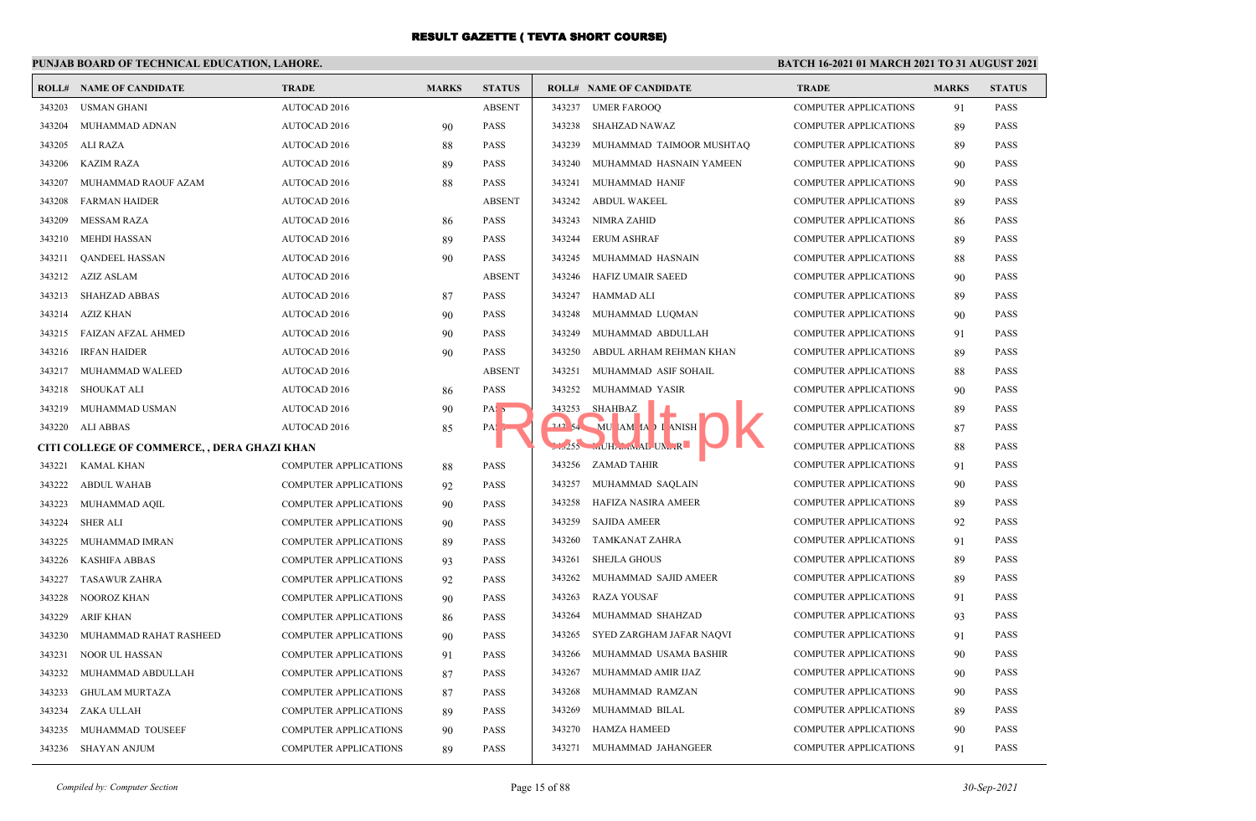## **PUNJAB BOARD OF TECHNICAL EDUCATION, LAHORE.**

|        | <b>ROLL# NAME OF CANDIDATE</b>              | <b>TRADE</b>                 | <b>MARKS</b> | <b>STATUS</b>    |        | <b>ROLL# NAME OF CANDIDATE</b> | <b>TRADE</b>                 | <b>MARKS</b> | <b>STATUS</b> |
|--------|---------------------------------------------|------------------------------|--------------|------------------|--------|--------------------------------|------------------------------|--------------|---------------|
| 343203 | <b>USMAN GHANI</b>                          | AUTOCAD 2016                 |              | <b>ABSENT</b>    | 343237 | <b>UMER FAROOO</b>             | <b>COMPUTER APPLICATIONS</b> | 91           | <b>PASS</b>   |
| 343204 | MUHAMMAD ADNAN                              | <b>AUTOCAD 2016</b>          | 90           | <b>PASS</b>      | 343238 | SHAHZAD NAWAZ                  | <b>COMPUTER APPLICATIONS</b> | 89           | <b>PASS</b>   |
| 343205 | ALI RAZA                                    | <b>AUTOCAD 2016</b>          | 88           | <b>PASS</b>      | 343239 | MUHAMMAD TAIMOOR MUSHTAQ       | <b>COMPUTER APPLICATIONS</b> | 89           | <b>PASS</b>   |
| 343206 | <b>KAZIM RAZA</b>                           | <b>AUTOCAD 2016</b>          | 89           | <b>PASS</b>      | 343240 | MUHAMMAD HASNAIN YAMEEN        | <b>COMPUTER APPLICATIONS</b> | 90           | <b>PASS</b>   |
| 343207 | MUHAMMAD RAOUF AZAM                         | <b>AUTOCAD 2016</b>          | 88           | <b>PASS</b>      | 343241 | MUHAMMAD HANIF                 | <b>COMPUTER APPLICATIONS</b> | 90           | <b>PASS</b>   |
| 343208 | <b>FARMAN HAIDER</b>                        | <b>AUTOCAD 2016</b>          |              | <b>ABSENT</b>    | 343242 | ABDUL WAKEEL                   | <b>COMPUTER APPLICATIONS</b> | 89           | <b>PASS</b>   |
| 343209 | <b>MESSAM RAZA</b>                          | <b>AUTOCAD 2016</b>          | 86           | <b>PASS</b>      | 343243 | NIMRA ZAHID                    | <b>COMPUTER APPLICATIONS</b> | 86           | <b>PASS</b>   |
| 343210 | MEHDI HASSAN                                | AUTOCAD 2016                 | 89           | <b>PASS</b>      | 343244 | ERUM ASHRAF                    | <b>COMPUTER APPLICATIONS</b> | 89           | PASS          |
| 343211 | <b>OANDEEL HASSAN</b>                       | <b>AUTOCAD 2016</b>          | 90           | <b>PASS</b>      | 343245 | MUHAMMAD HASNAIN               | <b>COMPUTER APPLICATIONS</b> | 88           | <b>PASS</b>   |
| 343212 | AZIZ ASLAM                                  | AUTOCAD 2016                 |              | <b>ABSENT</b>    | 343246 | <b>HAFIZ UMAIR SAEED</b>       | <b>COMPUTER APPLICATIONS</b> | 90           | <b>PASS</b>   |
| 343213 | <b>SHAHZAD ABBAS</b>                        | <b>AUTOCAD 2016</b>          | 87           | <b>PASS</b>      | 343247 | HAMMAD ALI                     | <b>COMPUTER APPLICATIONS</b> | 89           | PASS          |
| 343214 | AZIZ KHAN                                   | <b>AUTOCAD 2016</b>          | 90           | <b>PASS</b>      | 343248 | MUHAMMAD LUQMAN                | <b>COMPUTER APPLICATIONS</b> | 90           | PASS          |
|        | 343215 FAIZAN AFZAL AHMED                   | <b>AUTOCAD 2016</b>          | 90           | <b>PASS</b>      | 343249 | MUHAMMAD ABDULLAH              | <b>COMPUTER APPLICATIONS</b> | 91           | <b>PASS</b>   |
| 343216 | <b>IRFAN HAIDER</b>                         | <b>AUTOCAD 2016</b>          | 90           | <b>PASS</b>      | 343250 | ABDUL ARHAM REHMAN KHAN        | <b>COMPUTER APPLICATIONS</b> | 89           | <b>PASS</b>   |
| 343217 | MUHAMMAD WALEED                             | <b>AUTOCAD 2016</b>          |              | <b>ABSENT</b>    | 343251 | MUHAMMAD ASIF SOHAIL           | <b>COMPUTER APPLICATIONS</b> | 88           | <b>PASS</b>   |
| 343218 | <b>SHOUKAT ALI</b>                          | <b>AUTOCAD 2016</b>          | 86           | <b>PASS</b>      | 343252 | MUHAMMAD YASIR                 | <b>COMPUTER APPLICATIONS</b> | 90           | <b>PASS</b>   |
| 343219 | MUHAMMAD USMAN                              | <b>AUTOCAD 2016</b>          | 90           | PAS <sub>5</sub> | 343253 | SHAHBAZ                        | <b>COMPUTER APPLICATIONS</b> | 89           | <b>PASS</b>   |
|        | 343220 ALI ABBAS                            | AUTOCAD 2016                 | 85           | PAS <sub>2</sub> | 242.54 | MU AM IA I ANISH               | <b>COMPUTER APPLICATIONS</b> | 87           | <b>PASS</b>   |
|        | CITI COLLEGE OF COMMERCE, , DERA GHAZI KHAN |                              |              |                  |        | 255 MUHAMMAL UNIR              | <b>COMPUTER APPLICATIONS</b> | 88           | <b>PASS</b>   |
| 343221 | <b>KAMAL KHAN</b>                           | <b>COMPUTER APPLICATIONS</b> | 88           | <b>PASS</b>      | 343256 | ZAMAD TAHIR                    | <b>COMPUTER APPLICATIONS</b> | 91           | <b>PASS</b>   |
| 343222 | <b>ABDUL WAHAB</b>                          | <b>COMPUTER APPLICATIONS</b> | 92           | <b>PASS</b>      | 343257 | MUHAMMAD SAQLAIN               | <b>COMPUTER APPLICATIONS</b> | 90           | <b>PASS</b>   |
| 343223 | MUHAMMAD AQIL                               | <b>COMPUTER APPLICATIONS</b> | 90           | <b>PASS</b>      | 343258 | HAFIZA NASIRA AMEER            | <b>COMPUTER APPLICATIONS</b> | 89           | <b>PASS</b>   |
| 343224 | <b>SHER ALI</b>                             | <b>COMPUTER APPLICATIONS</b> | 90           | <b>PASS</b>      | 343259 | <b>SAJIDA AMEER</b>            | <b>COMPUTER APPLICATIONS</b> | 92           | <b>PASS</b>   |
| 343225 | MUHAMMAD IMRAN                              | <b>COMPUTER APPLICATIONS</b> | 89           | <b>PASS</b>      | 343260 | TAMKANAT ZAHRA                 | <b>COMPUTER APPLICATIONS</b> | 91           | <b>PASS</b>   |
| 343226 | <b>KASHIFA ABBAS</b>                        | <b>COMPUTER APPLICATIONS</b> | 93           | <b>PASS</b>      | 343261 | <b>SHEJLA GHOUS</b>            | <b>COMPUTER APPLICATIONS</b> | 89           | <b>PASS</b>   |
| 343227 | <b>TASAWUR ZAHRA</b>                        | COMPUTER APPLICATIONS        | 92           | <b>PASS</b>      | 343262 | MUHAMMAD SAJID AMEER           | <b>COMPUTER APPLICATIONS</b> | 89           | <b>PASS</b>   |
| 343228 | NOOROZ KHAN                                 | COMPUTER APPLICATIONS        | 90           | <b>PASS</b>      | 343263 | <b>RAZA YOUSAF</b>             | <b>COMPUTER APPLICATIONS</b> | 91           | <b>PASS</b>   |
| 343229 | <b>ARIF KHAN</b>                            | <b>COMPUTER APPLICATIONS</b> | 86           | <b>PASS</b>      | 343264 | MUHAMMAD SHAHZAD               | <b>COMPUTER APPLICATIONS</b> | 93           | <b>PASS</b>   |
| 343230 | MUHAMMAD RAHAT RASHEED                      | COMPUTER APPLICATIONS        | 90           | <b>PASS</b>      | 343265 | SYED ZARGHAM JAFAR NAQVI       | <b>COMPUTER APPLICATIONS</b> | 91           | <b>PASS</b>   |
| 343231 | NOOR UL HASSAN                              | COMPUTER APPLICATIONS        | 91           | <b>PASS</b>      | 343266 | MUHAMMAD USAMA BASHIR          | COMPUTER APPLICATIONS        | 90           | <b>PASS</b>   |
| 343232 | MUHAMMAD ABDULLAH                           | COMPUTER APPLICATIONS        | 87           | <b>PASS</b>      | 343267 | MUHAMMAD AMIR IJAZ             | <b>COMPUTER APPLICATIONS</b> | 90           | <b>PASS</b>   |
| 343233 | <b>GHULAM MURTAZA</b>                       | <b>COMPUTER APPLICATIONS</b> | 87           | <b>PASS</b>      | 343268 | MUHAMMAD RAMZAN                | <b>COMPUTER APPLICATIONS</b> | 90           | <b>PASS</b>   |
| 343234 | ZAKA ULLAH                                  | COMPUTER APPLICATIONS        | 89           | <b>PASS</b>      | 343269 | MUHAMMAD BILAL                 | <b>COMPUTER APPLICATIONS</b> | 89           | <b>PASS</b>   |
| 343235 | MUHAMMAD TOUSEEF                            | COMPUTER APPLICATIONS        | 90           | <b>PASS</b>      | 343270 | <b>HAMZA HAMEED</b>            | <b>COMPUTER APPLICATIONS</b> | 90           | <b>PASS</b>   |
|        | 343236 SHAYAN ANJUM                         | <b>COMPUTER APPLICATIONS</b> | 89           | <b>PASS</b>      | 343271 | MUHAMMAD JAHANGEER             | <b>COMPUTER APPLICATIONS</b> | 91           | <b>PASS</b>   |
|        |                                             |                              |              |                  |        |                                |                              |              |               |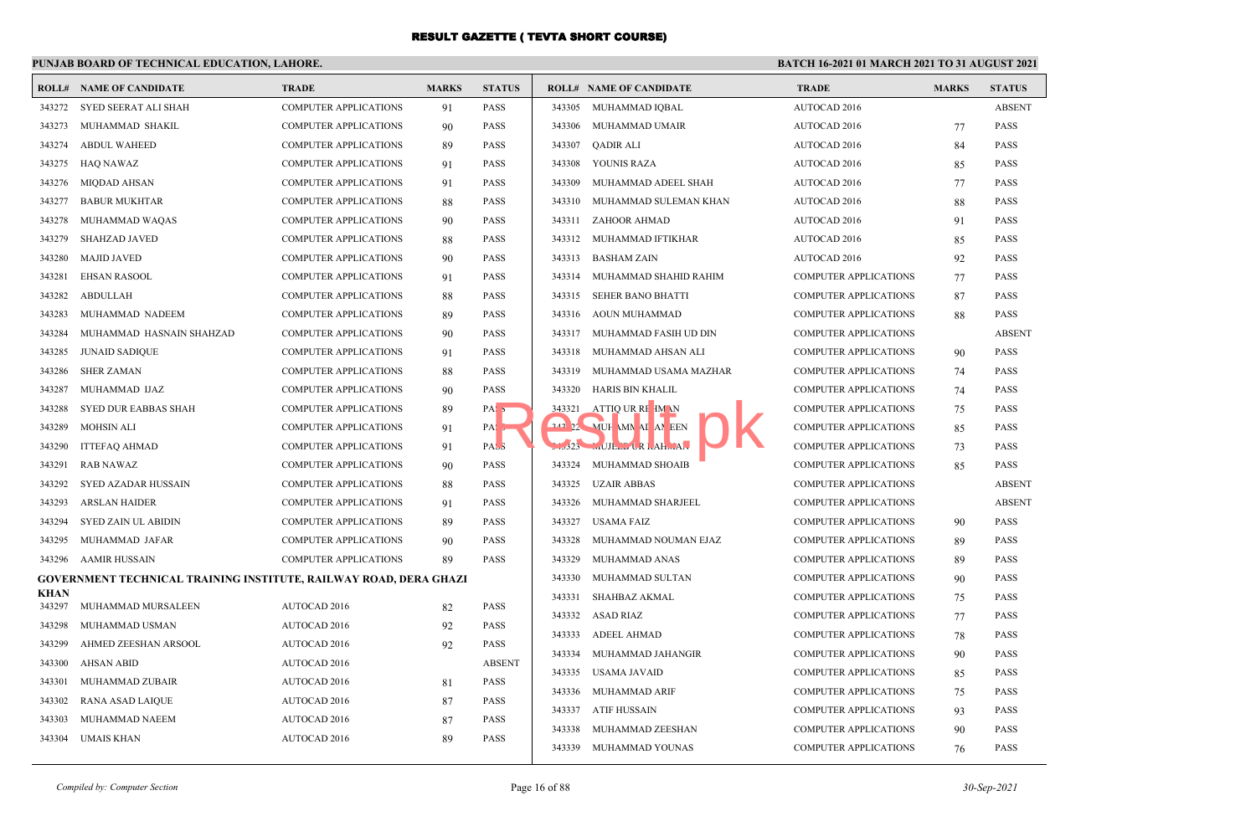## **PUNJAB BOARD OF TECHNICAL EDUCATION, LAHORE.**

|                       | <b>ROLL# NAME OF CANDIDATE</b>                                    | <b>TRADE</b>                 | <b>MARKS</b> | <b>STATUS</b>    |        | <b>ROLL# NAME OF CANDIDATE</b>  | <b>TRADE</b>                 | <b>MARKS</b> | <b>STATUS</b> |
|-----------------------|-------------------------------------------------------------------|------------------------------|--------------|------------------|--------|---------------------------------|------------------------------|--------------|---------------|
| 343272                | SYED SEERAT ALI SHAH                                              | <b>COMPUTER APPLICATIONS</b> | 91           | PASS             |        | 343305 MUHAMMAD IOBAL           | AUTOCAD 2016                 |              | <b>ABSENT</b> |
| 343273                | MUHAMMAD SHAKIL                                                   | <b>COMPUTER APPLICATIONS</b> | 90           | <b>PASS</b>      | 343306 | MUHAMMAD UMAIR                  | <b>AUTOCAD 2016</b>          | 77           | <b>PASS</b>   |
| 343274                | <b>ABDUL WAHEED</b>                                               | <b>COMPUTER APPLICATIONS</b> | 89           | PASS             | 343307 | <b>OADIR ALI</b>                | AUTOCAD 2016                 | 84           | <b>PASS</b>   |
| 343275                | HAQ NAWAZ                                                         | COMPUTER APPLICATIONS        | 91           | <b>PASS</b>      | 343308 | YOUNIS RAZA                     | <b>AUTOCAD 2016</b>          | 85           | <b>PASS</b>   |
| 343276                | MIQDAD AHSAN                                                      | <b>COMPUTER APPLICATIONS</b> | 91           | PASS             | 343309 | MUHAMMAD ADEEL SHAH             | <b>AUTOCAD 2016</b>          | 77           | <b>PASS</b>   |
| 343277                | <b>BABUR MUKHTAR</b>                                              | COMPUTER APPLICATIONS        | 88           | PASS             | 343310 | MUHAMMAD SULEMAN KHAN           | <b>AUTOCAD 2016</b>          | 88           | <b>PASS</b>   |
| 343278                | MUHAMMAD WAQAS                                                    | <b>COMPUTER APPLICATIONS</b> | 90           | <b>PASS</b>      | 343311 | ZAHOOR AHMAD                    | AUTOCAD 2016                 | 91           | <b>PASS</b>   |
| 343279                | <b>SHAHZAD JAVED</b>                                              | COMPUTER APPLICATIONS        | 88           | PASS             |        | 343312 MUHAMMAD IFTIKHAR        | AUTOCAD 2016                 | 85           | <b>PASS</b>   |
| 343280                | <b>MAJID JAVED</b>                                                | <b>COMPUTER APPLICATIONS</b> | 90           | PASS             |        | 343313 BASHAM ZAIN              | AUTOCAD 2016                 | 92           | <b>PASS</b>   |
| 343281                | <b>EHSAN RASOOL</b>                                               | <b>COMPUTER APPLICATIONS</b> | 91           | PASS             | 343314 | MUHAMMAD SHAHID RAHIM           | <b>COMPUTER APPLICATIONS</b> | 77           | <b>PASS</b>   |
| 343282                | <b>ABDULLAH</b>                                                   | <b>COMPUTER APPLICATIONS</b> | 88           | PASS             | 343315 | <b>SEHER BANO BHATTI</b>        | <b>COMPUTER APPLICATIONS</b> | 87           | <b>PASS</b>   |
| 343283                | MUHAMMAD NADEEM                                                   | <b>COMPUTER APPLICATIONS</b> | 89           | <b>PASS</b>      | 343316 | AOUN MUHAMMAD                   | <b>COMPUTER APPLICATIONS</b> | 88           | <b>PASS</b>   |
| 343284                | MUHAMMAD HASNAIN SHAHZAD                                          | <b>COMPUTER APPLICATIONS</b> | 90           | <b>PASS</b>      |        | 343317 MUHAMMAD FASIH UD DIN    | <b>COMPUTER APPLICATIONS</b> |              | <b>ABSENT</b> |
| 343285                | <b>JUNAID SADIQUE</b>                                             | <b>COMPUTER APPLICATIONS</b> | 91           | <b>PASS</b>      | 343318 | MUHAMMAD AHSAN ALI              | <b>COMPUTER APPLICATIONS</b> | 90           | <b>PASS</b>   |
| 343286                | <b>SHER ZAMAN</b>                                                 | <b>COMPUTER APPLICATIONS</b> | 88           | PASS             | 343319 | MUHAMMAD USAMA MAZHAR           | <b>COMPUTER APPLICATIONS</b> | 74           | <b>PASS</b>   |
| 343287                | MUHAMMAD IJAZ                                                     | COMPUTER APPLICATIONS        | 90           | PASS             | 343320 | HARIS BIN KHALIL                | <b>COMPUTER APPLICATIONS</b> | 74           | <b>PASS</b>   |
| 343288                | SYED DUR EABBAS SHAH                                              | COMPUTER APPLICATIONS        | 89           | PAS <sub>5</sub> | 343321 | ATTIQ UR RE IM N                | <b>COMPUTER APPLICATIONS</b> | 75           | <b>PASS</b>   |
| 343289                | <b>MOHSIN ALI</b>                                                 | <b>COMPUTER APPLICATIONS</b> | 91           | PA:              |        | 242 22 MUH MN AI AN EEN         | <b>COMPUTER APPLICATIONS</b> | 85           | <b>PASS</b>   |
| 343290                | ITTEFAQ AHMAD                                                     | <b>COMPUTER APPLICATIONS</b> | 91           | PAS <sub>3</sub> |        | $L323$ $MUE_L$ $LR$ $AH_{m}A$ , | <b>COMPUTER APPLICATIONS</b> | 73           | <b>PASS</b>   |
| 343291                | <b>RAB NAWAZ</b>                                                  | <b>COMPUTER APPLICATIONS</b> | 90           | PASS             |        | 343324 MUHAMMAD SHOAIB          | <b>COMPUTER APPLICATIONS</b> | 85           | <b>PASS</b>   |
| 343292                | SYED AZADAR HUSSAIN                                               | COMPUTER APPLICATIONS        | 88           | PASS             | 343325 | UZAIR ABBAS                     | <b>COMPUTER APPLICATIONS</b> |              | <b>ABSENT</b> |
| 343293                | <b>ARSLAN HAIDER</b>                                              | <b>COMPUTER APPLICATIONS</b> | 91           | <b>PASS</b>      |        | 343326 MUHAMMAD SHARJEEL        | <b>COMPUTER APPLICATIONS</b> |              | <b>ABSENT</b> |
| 343294                | SYED ZAIN UL ABIDIN                                               | COMPUTER APPLICATIONS        | 89           | <b>PASS</b>      | 343327 | <b>USAMA FAIZ</b>               | <b>COMPUTER APPLICATIONS</b> | 90           | <b>PASS</b>   |
| 343295                | MUHAMMAD JAFAR                                                    | <b>COMPUTER APPLICATIONS</b> | 90           | <b>PASS</b>      | 343328 | MUHAMMAD NOUMAN EJAZ            | <b>COMPUTER APPLICATIONS</b> | 89           | <b>PASS</b>   |
|                       | 343296 AAMIR HUSSAIN                                              | <b>COMPUTER APPLICATIONS</b> | 89           | <b>PASS</b>      | 343329 | MUHAMMAD ANAS                   | <b>COMPUTER APPLICATIONS</b> | 89           | <b>PASS</b>   |
|                       | GOVERNMENT TECHNICAL TRAINING INSTITUTE, RAILWAY ROAD, DERA GHAZI |                              |              |                  | 343330 | MUHAMMAD SULTAN                 | <b>COMPUTER APPLICATIONS</b> | 90           | <b>PASS</b>   |
| <b>KHAN</b><br>343297 | MUHAMMAD MURSALEEN                                                | AUTOCAD 2016                 | 82           | <b>PASS</b>      | 343331 | <b>SHAHBAZ AKMAL</b>            | <b>COMPUTER APPLICATIONS</b> | 75           | <b>PASS</b>   |
| 343298                | MUHAMMAD USMAN                                                    | AUTOCAD 2016                 |              | PASS             | 343332 | <b>ASAD RIAZ</b>                | <b>COMPUTER APPLICATIONS</b> | 77           | <b>PASS</b>   |
| 343299                | AHMED ZEESHAN ARSOOL                                              | <b>AUTOCAD 2016</b>          | 92<br>92     | <b>PASS</b>      | 343333 | ADEEL AHMAD                     | <b>COMPUTER APPLICATIONS</b> | 78           | <b>PASS</b>   |
| 343300                | <b>AHSAN ABID</b>                                                 | <b>AUTOCAD 2016</b>          |              | <b>ABSENT</b>    | 343334 | MUHAMMAD JAHANGIR               | <b>COMPUTER APPLICATIONS</b> | 90           | <b>PASS</b>   |
| 343301                | MUHAMMAD ZUBAIR                                                   | <b>AUTOCAD 2016</b>          |              | <b>PASS</b>      | 343335 | USAMA JAVAID                    | <b>COMPUTER APPLICATIONS</b> | 85           | <b>PASS</b>   |
| 343302                |                                                                   | <b>AUTOCAD 2016</b>          | 81           | PASS             | 343336 | MUHAMMAD ARIF                   | <b>COMPUTER APPLICATIONS</b> | 75           | <b>PASS</b>   |
| 343303                | RANA ASAD LAIQUE<br>MUHAMMAD NAEEM                                | <b>AUTOCAD 2016</b>          | 87           | PASS             | 343337 | <b>ATIF HUSSAIN</b>             | <b>COMPUTER APPLICATIONS</b> | 93           | <b>PASS</b>   |
|                       | 343304 UMAIS KHAN                                                 | AUTOCAD 2016                 | 87           | <b>PASS</b>      | 343338 | MUHAMMAD ZEESHAN                | <b>COMPUTER APPLICATIONS</b> | 90           | <b>PASS</b>   |
|                       |                                                                   |                              | 89           |                  |        | 343339 MUHAMMAD YOUNAS          | <b>COMPUTER APPLICATIONS</b> | 76           | <b>PASS</b>   |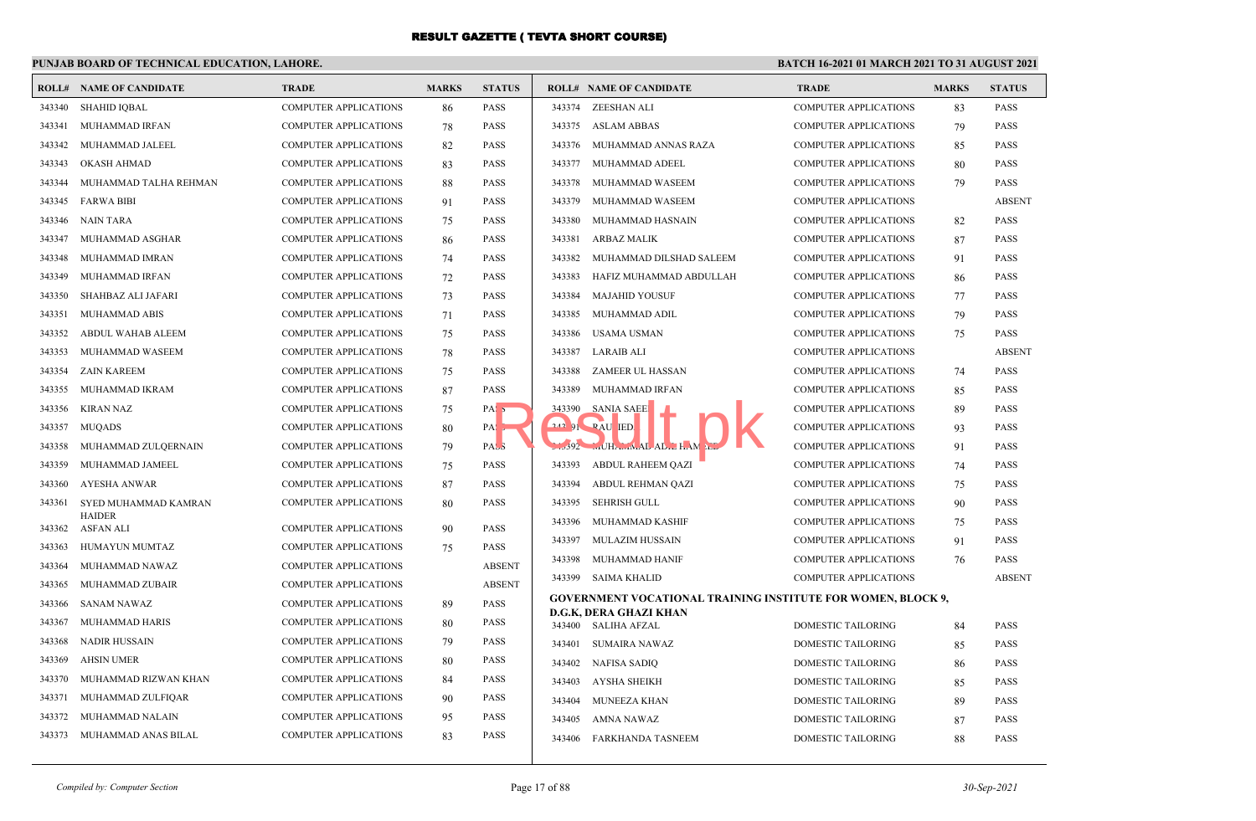## **PUNJAB BOARD OF TECHNICAL EDUCATION, LAHORE.**

|        | <b>ROLL# NAME OF CANDIDATE</b> | <b>TRADE</b>                 | <b>MARKS</b> | <b>STATUS</b>     |        | <b>ROLL# NAME OF CANDIDATE</b>                                      | <b>TRADE</b>                 | <b>MARKS</b> | <b>STATUS</b> |
|--------|--------------------------------|------------------------------|--------------|-------------------|--------|---------------------------------------------------------------------|------------------------------|--------------|---------------|
| 343340 | SHAHID IOBAL                   | <b>COMPUTER APPLICATIONS</b> | 86           | <b>PASS</b>       |        | 343374 ZEESHAN ALI                                                  | <b>COMPUTER APPLICATIONS</b> | 83           | <b>PASS</b>   |
| 343341 | MUHAMMAD IRFAN                 | <b>COMPUTER APPLICATIONS</b> | 78           | <b>PASS</b>       |        | 343375 ASLAM ABBAS                                                  | <b>COMPUTER APPLICATIONS</b> | 79           | <b>PASS</b>   |
| 343342 | MUHAMMAD JALEEL                | <b>COMPUTER APPLICATIONS</b> | 82           | <b>PASS</b>       | 343376 | MUHAMMAD ANNAS RAZA                                                 | <b>COMPUTER APPLICATIONS</b> | 85           | <b>PASS</b>   |
| 343343 | <b>OKASH AHMAD</b>             | <b>COMPUTER APPLICATIONS</b> | 83           | <b>PASS</b>       | 343377 | MUHAMMAD ADEEL                                                      | <b>COMPUTER APPLICATIONS</b> | 80           | <b>PASS</b>   |
| 343344 | MUHAMMAD TALHA REHMAN          | <b>COMPUTER APPLICATIONS</b> | 88           | PASS              | 343378 | MUHAMMAD WASEEM                                                     | <b>COMPUTER APPLICATIONS</b> | 79           | <b>PASS</b>   |
| 343345 | <b>FARWA BIBI</b>              | <b>COMPUTER APPLICATIONS</b> | 91           | <b>PASS</b>       | 343379 | MUHAMMAD WASEEM                                                     | <b>COMPUTER APPLICATIONS</b> |              | <b>ABSENT</b> |
| 343346 | <b>NAIN TARA</b>               | <b>COMPUTER APPLICATIONS</b> | 75           | PASS              | 343380 | MUHAMMAD HASNAIN                                                    | <b>COMPUTER APPLICATIONS</b> | 82           | <b>PASS</b>   |
| 343347 | MUHAMMAD ASGHAR                | <b>COMPUTER APPLICATIONS</b> | 86           | <b>PASS</b>       | 343381 | ARBAZ MALIK                                                         | <b>COMPUTER APPLICATIONS</b> | 87           | <b>PASS</b>   |
| 343348 | MUHAMMAD IMRAN                 | <b>COMPUTER APPLICATIONS</b> | 74           | <b>PASS</b>       | 343382 | MUHAMMAD DILSHAD SALEEM                                             | <b>COMPUTER APPLICATIONS</b> | 91           | <b>PASS</b>   |
| 343349 | MUHAMMAD IRFAN                 | <b>COMPUTER APPLICATIONS</b> | 72           | <b>PASS</b>       | 343383 | HAFIZ MUHAMMAD ABDULLAH                                             | <b>COMPUTER APPLICATIONS</b> | 86           | <b>PASS</b>   |
| 343350 | SHAHBAZ ALI JAFARI             | <b>COMPUTER APPLICATIONS</b> | 73           | <b>PASS</b>       | 343384 | MAJAHID YOUSUF                                                      | <b>COMPUTER APPLICATIONS</b> | 77           | <b>PASS</b>   |
| 343351 | MUHAMMAD ABIS                  | COMPUTER APPLICATIONS        | 71           | <b>PASS</b>       | 343385 | MUHAMMAD ADIL                                                       | <b>COMPUTER APPLICATIONS</b> | 79           | <b>PASS</b>   |
| 343352 | ABDUL WAHAB ALEEM              | <b>COMPUTER APPLICATIONS</b> | 75           | <b>PASS</b>       | 343386 | USAMA USMAN                                                         | <b>COMPUTER APPLICATIONS</b> | 75           | <b>PASS</b>   |
| 343353 | MUHAMMAD WASEEM                | <b>COMPUTER APPLICATIONS</b> | 78           | <b>PASS</b>       | 343387 | LARAIB ALI                                                          | <b>COMPUTER APPLICATIONS</b> |              | <b>ABSENT</b> |
| 343354 | ZAIN KAREEM                    | <b>COMPUTER APPLICATIONS</b> | 75           | <b>PASS</b>       | 343388 | ZAMEER UL HASSAN                                                    | <b>COMPUTER APPLICATIONS</b> | 74           | PASS          |
| 343355 | MUHAMMAD IKRAM                 | <b>COMPUTER APPLICATIONS</b> | 87           | <b>PASS</b>       | 343389 | MUHAMMAD IRFAN                                                      | <b>COMPUTER APPLICATIONS</b> | 85           | <b>PASS</b>   |
| 343356 | <b>KIRAN NAZ</b>               | <b>COMPUTER APPLICATIONS</b> | 75           | PAS <sub>5</sub>  | 343390 | SANIA SAEE                                                          | <b>COMPUTER APPLICATIONS</b> | 89           | <b>PASS</b>   |
| 343357 | <b>MUQADS</b>                  | <b>COMPUTER APPLICATIONS</b> | 80           | $PA: \rightarrow$ |        | $242$ $91$ $RAU$ IED.                                               | <b>COMPUTER APPLICATIONS</b> | 93           | <b>PASS</b>   |
| 343358 | MUHAMMAD ZULQERNAIN            | <b>COMPUTER APPLICATIONS</b> | 79           | PAS <sub>3</sub>  |        | 392 MUHAMMAL AD. HAM                                                | <b>COMPUTER APPLICATIONS</b> | 91           | <b>PASS</b>   |
| 343359 | MUHAMMAD JAMEEL                | <b>COMPUTER APPLICATIONS</b> | 75           | <b>PASS</b>       | 343393 | <b>ABDUL RAHEEM QAZI</b>                                            | <b>COMPUTER APPLICATIONS</b> | 74           | <b>PASS</b>   |
| 343360 | <b>AYESHA ANWAR</b>            | <b>COMPUTER APPLICATIONS</b> | 87           | <b>PASS</b>       | 343394 | ABDUL REHMAN QAZI                                                   | <b>COMPUTER APPLICATIONS</b> | 75           | <b>PASS</b>   |
| 343361 | SYED MUHAMMAD KAMRAN           | COMPUTER APPLICATIONS        | 80           | <b>PASS</b>       | 343395 | SEHRISH GULL                                                        | <b>COMPUTER APPLICATIONS</b> | 90           | <b>PASS</b>   |
| 343362 | <b>HAIDER</b><br>ASFAN ALI     | <b>COMPUTER APPLICATIONS</b> | 90           | <b>PASS</b>       | 343396 | MUHAMMAD KASHIF                                                     | <b>COMPUTER APPLICATIONS</b> | 75           | <b>PASS</b>   |
| 343363 | HUMAYUN MUMTAZ                 | <b>COMPUTER APPLICATIONS</b> | 75           | <b>PASS</b>       | 343397 | MULAZIM HUSSAIN                                                     | <b>COMPUTER APPLICATIONS</b> | 91           | <b>PASS</b>   |
| 343364 | MUHAMMAD NAWAZ                 | <b>COMPUTER APPLICATIONS</b> |              | <b>ABSENT</b>     | 343398 | MUHAMMAD HANIF                                                      | <b>COMPUTER APPLICATIONS</b> | 76           | <b>PASS</b>   |
| 343365 | MUHAMMAD ZUBAIR                | <b>COMPUTER APPLICATIONS</b> |              | <b>ABSENT</b>     | 343399 | SAIMA KHALID                                                        | <b>COMPUTER APPLICATIONS</b> |              | <b>ABSENT</b> |
| 343366 | <b>SANAM NAWAZ</b>             | <b>COMPUTER APPLICATIONS</b> | 89           | <b>PASS</b>       |        | <b>GOVERNMENT VOCATIONAL TRAINING INSTITUTE FOR WOMEN, BLOCK 9,</b> |                              |              |               |
| 343367 | MUHAMMAD HARIS                 | <b>COMPUTER APPLICATIONS</b> | 80           | PASS              |        | D.G.K, DERA GHAZI KHAN<br>343400 SALIHA AFZAL                       | <b>DOMESTIC TAILORING</b>    | 84           | <b>PASS</b>   |
| 343368 | <b>NADIR HUSSAIN</b>           | <b>COMPUTER APPLICATIONS</b> | 79           | <b>PASS</b>       | 343401 | SUMAIRA NAWAZ                                                       | <b>DOMESTIC TAILORING</b>    | 85           | <b>PASS</b>   |
| 343369 | <b>AHSIN UMER</b>              | <b>COMPUTER APPLICATIONS</b> | 80           | <b>PASS</b>       |        | 343402 NAFISA SADIQ                                                 | DOMESTIC TAILORING           | 86           | <b>PASS</b>   |
| 343370 | MUHAMMAD RIZWAN KHAN           | <b>COMPUTER APPLICATIONS</b> | 84           | <b>PASS</b>       | 343403 | AYSHA SHEIKH                                                        | DOMESTIC TAILORING           | 85           | <b>PASS</b>   |
| 343371 | MUHAMMAD ZULFIQAR              | <b>COMPUTER APPLICATIONS</b> | 90           | <b>PASS</b>       | 343404 | <b>MUNEEZA KHAN</b>                                                 | <b>DOMESTIC TAILORING</b>    | 89           | <b>PASS</b>   |
| 343372 | MUHAMMAD NALAIN                | <b>COMPUTER APPLICATIONS</b> | 95           | <b>PASS</b>       | 343405 | AMNA NAWAZ                                                          | <b>DOMESTIC TAILORING</b>    | 87           | <b>PASS</b>   |
| 343373 | MUHAMMAD ANAS BILAL            | <b>COMPUTER APPLICATIONS</b> | 83           | <b>PASS</b>       | 343406 | FARKHANDA TASNEEM                                                   | <b>DOMESTIC TAILORING</b>    | 88           | <b>PASS</b>   |
|        |                                |                              |              |                   |        |                                                                     |                              |              |               |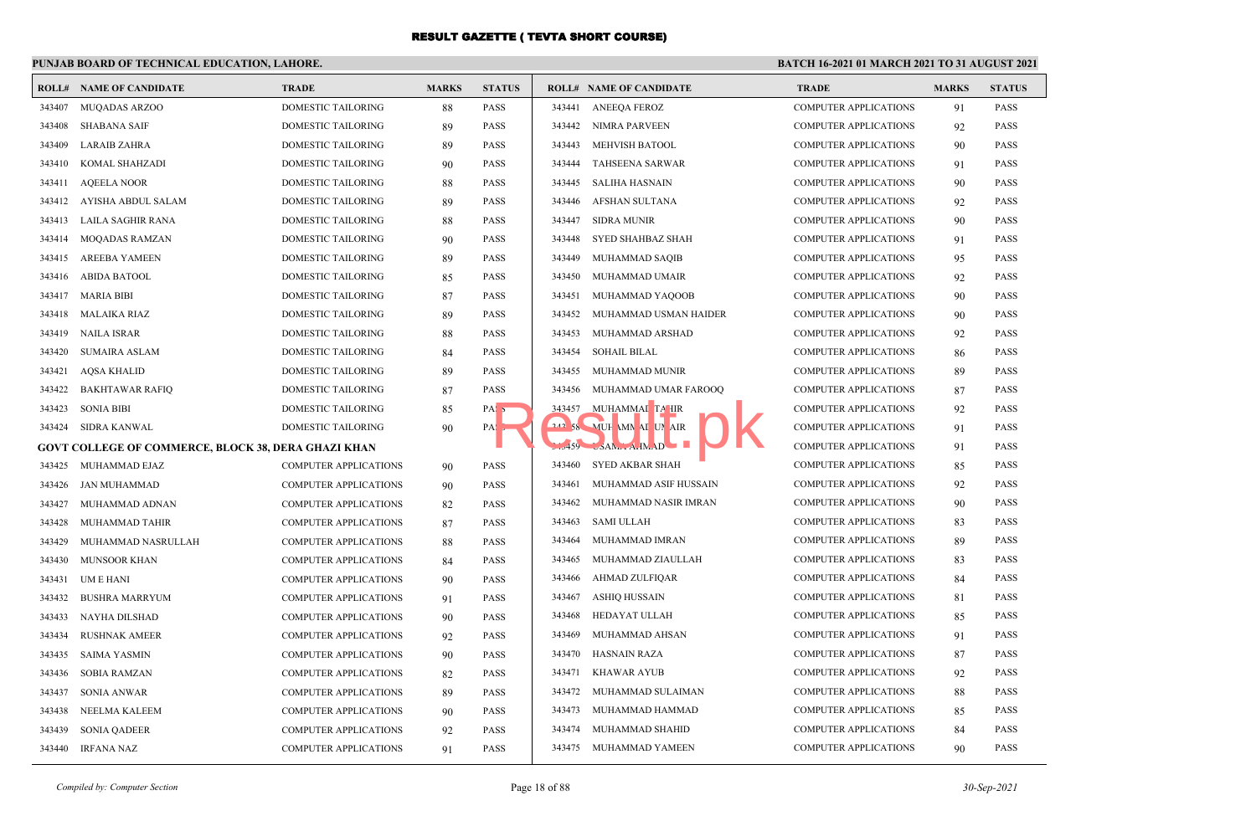## **PUNJAB BOARD OF TECHNICAL EDUCATION, LAHORE.**

|        | <b>ROLL# NAME OF CANDIDATE</b>                      | <b>TRADE</b>                 | <b>MARKS</b> | <b>STATUS</b>    |        | <b>ROLL# NAME OF CANDIDATE</b> | <b>TRADE</b>                 | <b>MARKS</b> | <b>STATUS</b> |
|--------|-----------------------------------------------------|------------------------------|--------------|------------------|--------|--------------------------------|------------------------------|--------------|---------------|
| 343407 | MUQADAS ARZOO                                       | DOMESTIC TAILORING           | 88           | <b>PASS</b>      | 343441 | <b>ANEEQA FEROZ</b>            | <b>COMPUTER APPLICATIONS</b> | 91           | <b>PASS</b>   |
| 343408 | <b>SHABANA SAIF</b>                                 | DOMESTIC TAILORING           | 89           | <b>PASS</b>      | 343442 | NIMRA PARVEEN                  | <b>COMPUTER APPLICATIONS</b> | 92           | <b>PASS</b>   |
| 343409 | <b>LARAIB ZAHRA</b>                                 | DOMESTIC TAILORING           | 89           | <b>PASS</b>      | 343443 | <b>MEHVISH BATOOL</b>          | <b>COMPUTER APPLICATIONS</b> | 90           | <b>PASS</b>   |
| 343410 | KOMAL SHAHZADI                                      | DOMESTIC TAILORING           | 90           | <b>PASS</b>      | 343444 | <b>TAHSEENA SARWAR</b>         | <b>COMPUTER APPLICATIONS</b> | 91           | <b>PASS</b>   |
| 343411 | <b>AQEELA NOOR</b>                                  | DOMESTIC TAILORING           | 88           | <b>PASS</b>      | 343445 | <b>SALIHA HASNAIN</b>          | <b>COMPUTER APPLICATIONS</b> | 90           | <b>PASS</b>   |
| 343412 | AYISHA ABDUL SALAM                                  | DOMESTIC TAILORING           | 89           | <b>PASS</b>      | 343446 | AFSHAN SULTANA                 | <b>COMPUTER APPLICATIONS</b> | 92           | <b>PASS</b>   |
| 343413 | LAILA SAGHIR RANA                                   | DOMESTIC TAILORING           | 88           | <b>PASS</b>      | 343447 | SIDRA MUNIR                    | <b>COMPUTER APPLICATIONS</b> | 90           | <b>PASS</b>   |
| 343414 | <b>MOQADAS RAMZAN</b>                               | <b>DOMESTIC TAILORING</b>    | 90           | <b>PASS</b>      | 343448 | SYED SHAHBAZ SHAH              | <b>COMPUTER APPLICATIONS</b> | 91           | <b>PASS</b>   |
| 343415 | <b>AREEBA YAMEEN</b>                                | DOMESTIC TAILORING           | 89           | <b>PASS</b>      | 343449 | MUHAMMAD SAQIB                 | <b>COMPUTER APPLICATIONS</b> | 95           | <b>PASS</b>   |
| 343416 | <b>ABIDA BATOOL</b>                                 | DOMESTIC TAILORING           | 85           | <b>PASS</b>      | 343450 | MUHAMMAD UMAIR                 | <b>COMPUTER APPLICATIONS</b> | 92           | <b>PASS</b>   |
| 343417 | <b>MARIA BIBI</b>                                   | <b>DOMESTIC TAILORING</b>    | 87           | <b>PASS</b>      | 343451 | MUHAMMAD YAQOOB                | <b>COMPUTER APPLICATIONS</b> | 90           | <b>PASS</b>   |
| 343418 | <b>MALAIKA RIAZ</b>                                 | <b>DOMESTIC TAILORING</b>    | 89           | <b>PASS</b>      | 343452 | MUHAMMAD USMAN HAIDER          | <b>COMPUTER APPLICATIONS</b> | 90           | <b>PASS</b>   |
| 343419 | <b>NAILA ISRAR</b>                                  | DOMESTIC TAILORING           | 88           | <b>PASS</b>      | 343453 | MUHAMMAD ARSHAD                | <b>COMPUTER APPLICATIONS</b> | 92           | <b>PASS</b>   |
| 343420 | <b>SUMAIRA ASLAM</b>                                | DOMESTIC TAILORING           | 84           | <b>PASS</b>      | 343454 | <b>SOHAIL BILAL</b>            | <b>COMPUTER APPLICATIONS</b> | 86           | <b>PASS</b>   |
| 343421 | <b>AQSA KHALID</b>                                  | DOMESTIC TAILORING           | 89           | <b>PASS</b>      | 343455 | MUHAMMAD MUNIR                 | <b>COMPUTER APPLICATIONS</b> | 89           | <b>PASS</b>   |
| 343422 | <b>BAKHTAWAR RAFIO</b>                              | <b>DOMESTIC TAILORING</b>    | 87           | <b>PASS</b>      | 343456 | MUHAMMAD UMAR FAROOQ           | <b>COMPUTER APPLICATIONS</b> | 87           | <b>PASS</b>   |
| 343423 | <b>SONIA BIBI</b>                                   | DOMESTIC TAILORING           | 85           | PAS <sub>5</sub> | 343457 | MUHAMMAI TA IIR                | <b>COMPUTER APPLICATIONS</b> | 92           | <b>PASS</b>   |
| 343424 | <b>SIDRA KANWAL</b>                                 | <b>DOMESTIC TAILORING</b>    | 90           | PAS <sub>2</sub> |        | 242 58 MUH MN AI UN AIR        | <b>COMPUTER APPLICATIONS</b> | 91           | <b>PASS</b>   |
|        | GOVT COLLEGE OF COMMERCE, BLOCK 38, DERA GHAZI KHAN |                              |              |                  |        | $5.3459$ $5AM1 A1M1 D$         | <b>COMPUTER APPLICATIONS</b> | 91           | <b>PASS</b>   |
| 343425 | MUHAMMAD EJAZ                                       | <b>COMPUTER APPLICATIONS</b> | 90           | <b>PASS</b>      | 343460 | SYED AKBAR SHAH                | <b>COMPUTER APPLICATIONS</b> | 85           | <b>PASS</b>   |
| 343426 | <b>JAN MUHAMMAD</b>                                 | <b>COMPUTER APPLICATIONS</b> | 90           | <b>PASS</b>      | 343461 | MUHAMMAD ASIF HUSSAIN          | <b>COMPUTER APPLICATIONS</b> | 92           | <b>PASS</b>   |
| 343427 | MUHAMMAD ADNAN                                      | COMPUTER APPLICATIONS        | 82           | <b>PASS</b>      | 343462 | MUHAMMAD NASIR IMRAN           | <b>COMPUTER APPLICATIONS</b> | 90           | <b>PASS</b>   |
| 343428 | MUHAMMAD TAHIR                                      | <b>COMPUTER APPLICATIONS</b> | 87           | <b>PASS</b>      | 343463 | <b>SAMI ULLAH</b>              | <b>COMPUTER APPLICATIONS</b> | 83           | <b>PASS</b>   |
| 343429 | MUHAMMAD NASRULLAH                                  | <b>COMPUTER APPLICATIONS</b> | 88           | <b>PASS</b>      | 343464 | MUHAMMAD IMRAN                 | <b>COMPUTER APPLICATIONS</b> | 89           | <b>PASS</b>   |
| 343430 | <b>MUNSOOR KHAN</b>                                 | <b>COMPUTER APPLICATIONS</b> | 84           | <b>PASS</b>      | 343465 | MUHAMMAD ZIAULLAH              | <b>COMPUTER APPLICATIONS</b> | 83           | <b>PASS</b>   |
| 343431 | UM E HANI                                           | COMPUTER APPLICATIONS        | 90           | <b>PASS</b>      | 343466 | AHMAD ZULFIQAR                 | <b>COMPUTER APPLICATIONS</b> | 84           | <b>PASS</b>   |
| 343432 | <b>BUSHRA MARRYUM</b>                               | <b>COMPUTER APPLICATIONS</b> | 91           | <b>PASS</b>      | 343467 | <b>ASHIO HUSSAIN</b>           | <b>COMPUTER APPLICATIONS</b> | 81           | <b>PASS</b>   |
| 343433 | NAYHA DILSHAD                                       | <b>COMPUTER APPLICATIONS</b> | 90           | <b>PASS</b>      | 343468 | HEDAYAT ULLAH                  | <b>COMPUTER APPLICATIONS</b> | 85           | PASS          |
| 343434 | <b>RUSHNAK AMEER</b>                                | COMPUTER APPLICATIONS        | 92           | <b>PASS</b>      | 343469 | MUHAMMAD AHSAN                 | <b>COMPUTER APPLICATIONS</b> | 91           | <b>PASS</b>   |
| 343435 | <b>SAIMA YASMIN</b>                                 | COMPUTER APPLICATIONS        | 90           | <b>PASS</b>      | 343470 | <b>HASNAIN RAZA</b>            | <b>COMPUTER APPLICATIONS</b> | 87           | <b>PASS</b>   |
| 343436 | <b>SOBIA RAMZAN</b>                                 | COMPUTER APPLICATIONS        | 82           | <b>PASS</b>      | 343471 | KHAWAR AYUB                    | <b>COMPUTER APPLICATIONS</b> | 92           | <b>PASS</b>   |
| 343437 | SONIA ANWAR                                         | <b>COMPUTER APPLICATIONS</b> | 89           | <b>PASS</b>      | 343472 | MUHAMMAD SULAIMAN              | <b>COMPUTER APPLICATIONS</b> | 88           | PASS          |
| 343438 | NEELMA KALEEM                                       | COMPUTER APPLICATIONS        | 90           | <b>PASS</b>      | 343473 | MUHAMMAD HAMMAD                | <b>COMPUTER APPLICATIONS</b> | 85           | <b>PASS</b>   |
| 343439 | <b>SONIA QADEER</b>                                 | <b>COMPUTER APPLICATIONS</b> | 92           | <b>PASS</b>      | 343474 | MUHAMMAD SHAHID                | <b>COMPUTER APPLICATIONS</b> | 84           | <b>PASS</b>   |
| 343440 | <b>IRFANA NAZ</b>                                   | COMPUTER APPLICATIONS        | 91           | <b>PASS</b>      | 343475 | MUHAMMAD YAMEEN                | <b>COMPUTER APPLICATIONS</b> | 90           | <b>PASS</b>   |
|        |                                                     |                              |              |                  |        |                                |                              |              |               |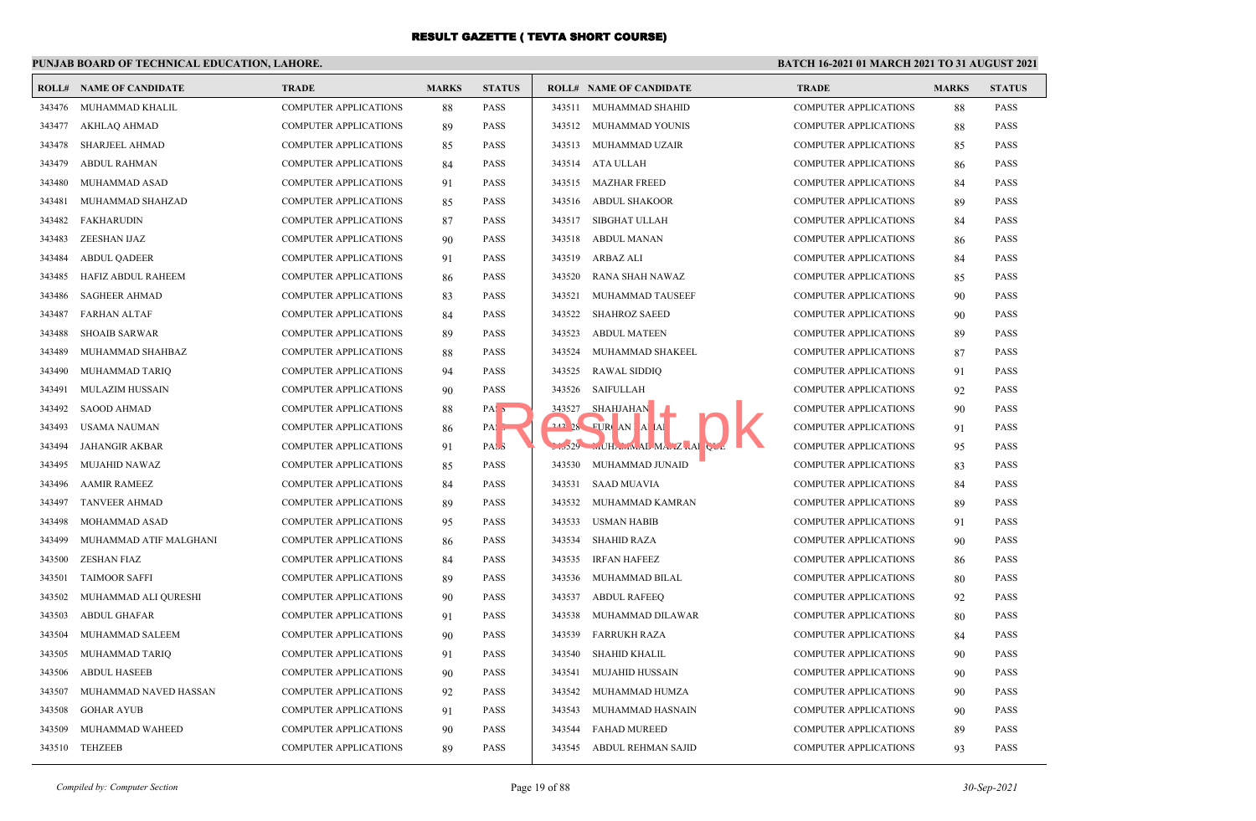## **PUNJAB BOARD OF TECHNICAL EDUCATION, LAHORE.**

|        | <b>ROLL# NAME OF CANDIDATE</b> | <b>TRADE</b>                 | <b>MARKS</b> | <b>STATUS</b>    |        | <b>ROLL# NAME OF CANDIDATE</b> | <b>TRADE</b>                 | <b>MARKS</b> | <b>STATUS</b> |
|--------|--------------------------------|------------------------------|--------------|------------------|--------|--------------------------------|------------------------------|--------------|---------------|
| 343476 | MUHAMMAD KHALIL                | COMPUTER APPLICATIONS        | 88           | <b>PASS</b>      | 343511 | MUHAMMAD SHAHID                | <b>COMPUTER APPLICATIONS</b> | 88           | <b>PASS</b>   |
| 343477 | AKHLAO AHMAD                   | <b>COMPUTER APPLICATIONS</b> | 89           | <b>PASS</b>      | 343512 | MUHAMMAD YOUNIS                | <b>COMPUTER APPLICATIONS</b> | 88           | <b>PASS</b>   |
| 343478 | <b>SHARJEEL AHMAD</b>          | <b>COMPUTER APPLICATIONS</b> | 85           | <b>PASS</b>      | 343513 | MUHAMMAD UZAIR                 | <b>COMPUTER APPLICATIONS</b> | 85           | <b>PASS</b>   |
| 343479 | <b>ABDUL RAHMAN</b>            | COMPUTER APPLICATIONS        | 84           | <b>PASS</b>      | 343514 | ATA ULLAH                      | <b>COMPUTER APPLICATIONS</b> | 86           | <b>PASS</b>   |
| 343480 | MUHAMMAD ASAD                  | COMPUTER APPLICATIONS        | 91           | <b>PASS</b>      | 343515 | <b>MAZHAR FREED</b>            | <b>COMPUTER APPLICATIONS</b> | 84           | <b>PASS</b>   |
| 343481 | MUHAMMAD SHAHZAD               | COMPUTER APPLICATIONS        | 85           | <b>PASS</b>      | 343516 | <b>ABDUL SHAKOOR</b>           | <b>COMPUTER APPLICATIONS</b> | 89           | <b>PASS</b>   |
| 343482 | <b>FAKHARUDIN</b>              | <b>COMPUTER APPLICATIONS</b> | 87           | <b>PASS</b>      | 343517 | <b>SIBGHAT ULLAH</b>           | <b>COMPUTER APPLICATIONS</b> | 84           | <b>PASS</b>   |
| 343483 | ZEESHAN IJAZ                   | <b>COMPUTER APPLICATIONS</b> | 90           | <b>PASS</b>      | 343518 | <b>ABDUL MANAN</b>             | <b>COMPUTER APPLICATIONS</b> | 86           | <b>PASS</b>   |
| 343484 | <b>ABDUL QADEER</b>            | <b>COMPUTER APPLICATIONS</b> | 91           | <b>PASS</b>      | 343519 | ARBAZ ALI                      | <b>COMPUTER APPLICATIONS</b> | 84           | <b>PASS</b>   |
| 343485 | HAFIZ ABDUL RAHEEM             | COMPUTER APPLICATIONS        | 86           | <b>PASS</b>      | 343520 | RANA SHAH NAWAZ                | <b>COMPUTER APPLICATIONS</b> | 85           | <b>PASS</b>   |
| 343486 | <b>SAGHEER AHMAD</b>           | <b>COMPUTER APPLICATIONS</b> | 83           | <b>PASS</b>      | 343521 | MUHAMMAD TAUSEEF               | <b>COMPUTER APPLICATIONS</b> | 90           | <b>PASS</b>   |
| 343487 | <b>FARHAN ALTAF</b>            | <b>COMPUTER APPLICATIONS</b> | 84           | <b>PASS</b>      | 343522 | <b>SHAHROZ SAEED</b>           | <b>COMPUTER APPLICATIONS</b> | 90           | <b>PASS</b>   |
| 343488 | <b>SHOAIB SARWAR</b>           | <b>COMPUTER APPLICATIONS</b> | 89           | <b>PASS</b>      | 343523 | <b>ABDUL MATEEN</b>            | <b>COMPUTER APPLICATIONS</b> | 89           | <b>PASS</b>   |
| 343489 | MUHAMMAD SHAHBAZ               | COMPUTER APPLICATIONS        | 88           | <b>PASS</b>      | 343524 | MUHAMMAD SHAKEEL               | <b>COMPUTER APPLICATIONS</b> | 87           | <b>PASS</b>   |
| 343490 | MUHAMMAD TARIQ                 | <b>COMPUTER APPLICATIONS</b> | 94           | <b>PASS</b>      | 343525 | <b>RAWAL SIDDIQ</b>            | <b>COMPUTER APPLICATIONS</b> | 91           | <b>PASS</b>   |
| 343491 | <b>MULAZIM HUSSAIN</b>         | <b>COMPUTER APPLICATIONS</b> | 90           | <b>PASS</b>      | 343526 | SAIFULLAH                      | <b>COMPUTER APPLICATIONS</b> | 92           | <b>PASS</b>   |
| 343492 | <b>SAOOD AHMAD</b>             | <b>COMPUTER APPLICATIONS</b> | 88           | PAS <sub>5</sub> |        | 343527 SHAHJAHAN               | <b>COMPUTER APPLICATIONS</b> | 90           | <b>PASS</b>   |
| 343493 | USAMA NAUMAN                   | COMPUTER APPLICATIONS        | 86           | $PA:$ ,          |        | 242 28 FURCAN A AL             | <b>COMPUTER APPLICATIONS</b> | 91           | <b>PASS</b>   |
| 343494 | JAHANGIR AKBAR                 | <b>COMPUTER APPLICATIONS</b> | 91           | PASS             |        | $1.529$ $$ UHA $ML$ MA $Z$ $A$ | <b>COMPUTER APPLICATIONS</b> | 95           | <b>PASS</b>   |
| 343495 | <b>MUJAHID NAWAZ</b>           | <b>COMPUTER APPLICATIONS</b> | 85           | <b>PASS</b>      | 343530 | MUHAMMAD JUNAID                | <b>COMPUTER APPLICATIONS</b> | 83           | <b>PASS</b>   |
| 343496 | <b>AAMIR RAMEEZ</b>            | COMPUTER APPLICATIONS        | 84           | <b>PASS</b>      | 343531 | <b>SAAD MUAVIA</b>             | <b>COMPUTER APPLICATIONS</b> | 84           | <b>PASS</b>   |
| 343497 | <b>TANVEER AHMAD</b>           | COMPUTER APPLICATIONS        | 89           | <b>PASS</b>      | 343532 | MUHAMMAD KAMRAN                | <b>COMPUTER APPLICATIONS</b> | 89           | <b>PASS</b>   |
| 343498 | MOHAMMAD ASAD                  | COMPUTER APPLICATIONS        | 95           | <b>PASS</b>      | 343533 | <b>USMAN HABIB</b>             | <b>COMPUTER APPLICATIONS</b> | 91           | <b>PASS</b>   |
| 343499 | MUHAMMAD ATIF MALGHANI         | <b>COMPUTER APPLICATIONS</b> | 86           | <b>PASS</b>      | 343534 | <b>SHAHID RAZA</b>             | <b>COMPUTER APPLICATIONS</b> | 90           | <b>PASS</b>   |
| 343500 | <b>ZESHAN FIAZ</b>             | <b>COMPUTER APPLICATIONS</b> | 84           | <b>PASS</b>      | 343535 | <b>IRFAN HAFEEZ</b>            | <b>COMPUTER APPLICATIONS</b> | 86           | <b>PASS</b>   |
| 343501 | <b>TAIMOOR SAFFI</b>           | <b>COMPUTER APPLICATIONS</b> | 89           | <b>PASS</b>      | 343536 | MUHAMMAD BILAL                 | <b>COMPUTER APPLICATIONS</b> | 80           | <b>PASS</b>   |
| 343502 | MUHAMMAD ALI QURESHI           | COMPUTER APPLICATIONS        | 90           | <b>PASS</b>      | 343537 | <b>ABDUL RAFEEQ</b>            | <b>COMPUTER APPLICATIONS</b> | 92           | <b>PASS</b>   |
| 343503 | <b>ABDUL GHAFAR</b>            | <b>COMPUTER APPLICATIONS</b> | 91           | <b>PASS</b>      | 343538 | MUHAMMAD DILAWAR               | <b>COMPUTER APPLICATIONS</b> | 80           | <b>PASS</b>   |
| 343504 | MUHAMMAD SALEEM                | <b>COMPUTER APPLICATIONS</b> | 90           | <b>PASS</b>      | 343539 | <b>FARRUKH RAZA</b>            | <b>COMPUTER APPLICATIONS</b> | 84           | <b>PASS</b>   |
| 343505 | MUHAMMAD TARIQ                 | COMPUTER APPLICATIONS        | 91           | <b>PASS</b>      | 343540 | <b>SHAHID KHALIL</b>           | <b>COMPUTER APPLICATIONS</b> | 90           | <b>PASS</b>   |
| 343506 | <b>ABDUL HASEEB</b>            | COMPUTER APPLICATIONS        | 90           | <b>PASS</b>      | 343541 | <b>MUJAHID HUSSAIN</b>         | <b>COMPUTER APPLICATIONS</b> | 90           | <b>PASS</b>   |
| 343507 | MUHAMMAD NAVED HASSAN          | <b>COMPUTER APPLICATIONS</b> | 92           | <b>PASS</b>      | 343542 | MUHAMMAD HUMZA                 | <b>COMPUTER APPLICATIONS</b> | 90           | <b>PASS</b>   |
| 343508 | <b>GOHAR AYUB</b>              | <b>COMPUTER APPLICATIONS</b> | 91           | <b>PASS</b>      | 343543 | MUHAMMAD HASNAIN               | <b>COMPUTER APPLICATIONS</b> | 90           | <b>PASS</b>   |
| 343509 | MUHAMMAD WAHEED                | <b>COMPUTER APPLICATIONS</b> | 90           | <b>PASS</b>      | 343544 | <b>FAHAD MUREED</b>            | <b>COMPUTER APPLICATIONS</b> | 89           | <b>PASS</b>   |
| 343510 | TEHZEEB                        | COMPUTER APPLICATIONS        | 89           | <b>PASS</b>      | 343545 | ABDUL REHMAN SAJID             | COMPUTER APPLICATIONS        | 93           | <b>PASS</b>   |
|        |                                |                              |              |                  |        |                                |                              |              |               |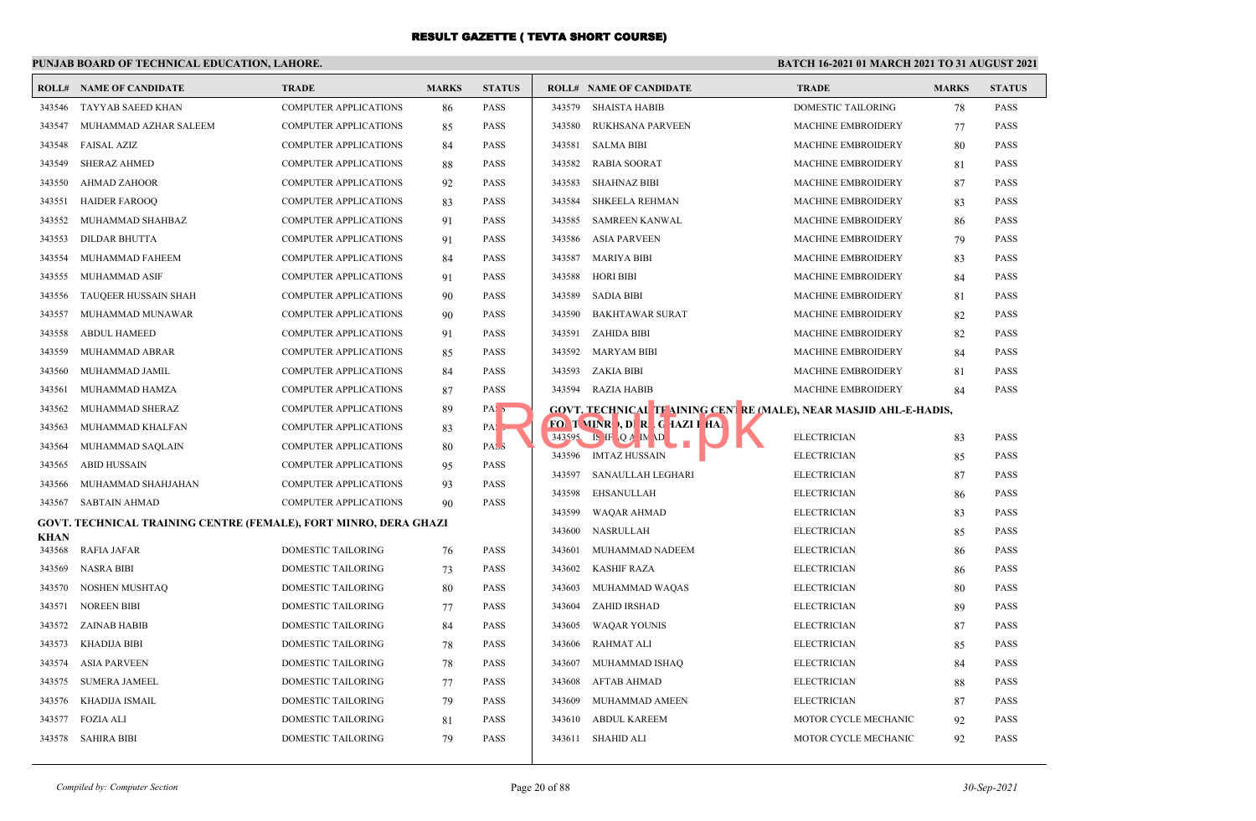## **PUNJAB BOARD OF TECHNICAL EDUCATION, LAHORE.**

|             | <b>ROLL# NAME OF CANDIDATE</b>                                   | <b>TRADE</b>                 | <b>MARKS</b> | <b>STATUS</b>    |        | <b>ROLL# NAME OF CANDIDATE</b>                                     | <b>TRADE</b>              | <b>MARKS</b> | <b>STATUS</b> |
|-------------|------------------------------------------------------------------|------------------------------|--------------|------------------|--------|--------------------------------------------------------------------|---------------------------|--------------|---------------|
| 343546      | TAYYAB SAEED KHAN                                                | <b>COMPUTER APPLICATIONS</b> | 86           | <b>PASS</b>      | 343579 | <b>SHAISTA HABIB</b>                                               | <b>DOMESTIC TAILORING</b> | 78           | <b>PASS</b>   |
| 343547      | MUHAMMAD AZHAR SALEEM                                            | <b>COMPUTER APPLICATIONS</b> | 85           | <b>PASS</b>      | 343580 | RUKHSANA PARVEEN                                                   | <b>MACHINE EMBROIDERY</b> | 77           | <b>PASS</b>   |
| 343548      | <b>FAISAL AZIZ</b>                                               | <b>COMPUTER APPLICATIONS</b> | 84           | <b>PASS</b>      | 343581 | <b>SALMA BIBI</b>                                                  | MACHINE EMBROIDERY        | 80           | PASS          |
| 343549      | <b>SHERAZ AHMED</b>                                              | <b>COMPUTER APPLICATIONS</b> | 88           | PASS             | 343582 | <b>RABIA SOORAT</b>                                                | MACHINE EMBROIDERY        | 81           | <b>PASS</b>   |
| 343550      | <b>AHMAD ZAHOOR</b>                                              | <b>COMPUTER APPLICATIONS</b> | 92           | <b>PASS</b>      | 343583 | <b>SHAHNAZ BIBI</b>                                                | <b>MACHINE EMBROIDERY</b> | 87           | <b>PASS</b>   |
| 343551      | <b>HAIDER FAROOQ</b>                                             | <b>COMPUTER APPLICATIONS</b> | 83           | PASS             | 343584 | <b>SHKEELA REHMAN</b>                                              | MACHINE EMBROIDERY        | 83           | <b>PASS</b>   |
| 343552      | MUHAMMAD SHAHBAZ                                                 | <b>COMPUTER APPLICATIONS</b> | 91           | <b>PASS</b>      | 343585 | <b>SAMREEN KANWAL</b>                                              | <b>MACHINE EMBROIDERY</b> | 86           | <b>PASS</b>   |
| 343553      | <b>DILDAR BHUTTA</b>                                             | <b>COMPUTER APPLICATIONS</b> | 91           | <b>PASS</b>      | 343586 | <b>ASIA PARVEEN</b>                                                | <b>MACHINE EMBROIDERY</b> | 79           | <b>PASS</b>   |
| 343554      | MUHAMMAD FAHEEM                                                  | <b>COMPUTER APPLICATIONS</b> | 84           | <b>PASS</b>      | 343587 | <b>MARIYA BIBI</b>                                                 | <b>MACHINE EMBROIDERY</b> | 83           | <b>PASS</b>   |
| 343555      | <b>MUHAMMAD ASIF</b>                                             | <b>COMPUTER APPLICATIONS</b> | 91           | <b>PASS</b>      | 343588 | <b>HORI BIBI</b>                                                   | <b>MACHINE EMBROIDERY</b> | 84           | <b>PASS</b>   |
| 343556      | TAUQEER HUSSAIN SHAH                                             | <b>COMPUTER APPLICATIONS</b> | 90           | <b>PASS</b>      | 343589 | <b>SADIA BIBI</b>                                                  | MACHINE EMBROIDERY        | 81           | <b>PASS</b>   |
| 343557      | MUHAMMAD MUNAWAR                                                 | <b>COMPUTER APPLICATIONS</b> | 90           | <b>PASS</b>      | 343590 | <b>BAKHTAWAR SURAT</b>                                             | MACHINE EMBROIDERY        | 82           | <b>PASS</b>   |
| 343558      | <b>ABDUL HAMEED</b>                                              | <b>COMPUTER APPLICATIONS</b> | 91           | <b>PASS</b>      | 343591 | ZAHIDA BIBI                                                        | MACHINE EMBROIDERY        | 82           | PASS          |
| 343559      | MUHAMMAD ABRAR                                                   | <b>COMPUTER APPLICATIONS</b> | 85           | <b>PASS</b>      | 343592 | <b>MARYAM BIBI</b>                                                 | <b>MACHINE EMBROIDERY</b> | 84           | <b>PASS</b>   |
| 343560      | MUHAMMAD JAMIL                                                   | <b>COMPUTER APPLICATIONS</b> | 84           | <b>PASS</b>      | 343593 | ZAKIA BIBI                                                         | MACHINE EMBROIDERY        | 81           | <b>PASS</b>   |
| 343561      | MUHAMMAD HAMZA                                                   | <b>COMPUTER APPLICATIONS</b> | 87           | <b>PASS</b>      | 343594 | RAZIA HABIB                                                        | <b>MACHINE EMBROIDERY</b> | 84           | <b>PASS</b>   |
| 343562      | MUHAMMAD SHERAZ                                                  | <b>COMPUTER APPLICATIONS</b> | 89           | PAS <sub>5</sub> |        | GOVT, TECHNICAL TF AINING CENT RE (MALE), NEAR MASJID AHL-E-HADIS, |                           |              |               |
| 343563      | MUHAMMAD KHALFAN                                                 | <b>COMPUTER APPLICATIONS</b> | 83           | $PA:$ ,          |        | FOI T VINR , DI R G TAZI I HAI                                     |                           |              |               |
| 343564      | MUHAMMAD SAQLAIN                                                 | <b>COMPUTER APPLICATIONS</b> | 80           | PAS <sub>3</sub> |        | $343595$ IS IF Q A IN \D                                           | <b>ELECTRICIAN</b>        | 83           | <b>PASS</b>   |
| 343565      | <b>ABID HUSSAIN</b>                                              | <b>COMPUTER APPLICATIONS</b> | 95           | <b>PASS</b>      |        | 343596 IMTAZ HUSSAIN                                               | <b>ELECTRICIAN</b>        | 85           | <b>PASS</b>   |
| 343566      | MUHAMMAD SHAHJAHAN                                               | <b>COMPUTER APPLICATIONS</b> | 93           | <b>PASS</b>      | 343597 | SANAULLAH LEGHARI                                                  | <b>ELECTRICIAN</b>        | 87           | <b>PASS</b>   |
| 343567      | SABTAIN AHMAD                                                    | <b>COMPUTER APPLICATIONS</b> | 90           | <b>PASS</b>      | 343598 | EHSANULLAH                                                         | <b>ELECTRICIAN</b>        | 86           | <b>PASS</b>   |
|             | GOVT. TECHNICAL TRAINING CENTRE (FEMALE), FORT MINRO, DERA GHAZI |                              |              |                  | 343599 | <b>WAQAR AHMAD</b>                                                 | <b>ELECTRICIAN</b>        | 83           | <b>PASS</b>   |
| <b>KHAN</b> |                                                                  |                              |              |                  | 343600 | NASRULLAH                                                          | <b>ELECTRICIAN</b>        | 85           | <b>PASS</b>   |
| 343568      | <b>RAFIA JAFAR</b>                                               | DOMESTIC TAILORING           | 76           | <b>PASS</b>      | 343601 | MUHAMMAD NADEEM                                                    | <b>ELECTRICIAN</b>        | 86           | <b>PASS</b>   |
| 343569      | NASRA BIBI                                                       | DOMESTIC TAILORING           | 73           | <b>PASS</b>      | 343602 | <b>KASHIF RAZA</b>                                                 | <b>ELECTRICIAN</b>        | 86           | <b>PASS</b>   |
| 343570      | NOSHEN MUSHTAQ                                                   | DOMESTIC TAILORING           | 80           | PASS             | 343603 | MUHAMMAD WAQAS                                                     | <b>ELECTRICIAN</b>        | 80           | <b>PASS</b>   |
| 343571      | <b>NOREEN BIBI</b>                                               | DOMESTIC TAILORING           | 77           | <b>PASS</b>      | 343604 | ZAHID IRSHAD                                                       | <b>ELECTRICIAN</b>        | 89           | PASS          |
| 343572      | ZAINAB HABIB                                                     | <b>DOMESTIC TAILORING</b>    | 84           | <b>PASS</b>      | 343605 | <b>WAQAR YOUNIS</b>                                                | <b>ELECTRICIAN</b>        | 87           | <b>PASS</b>   |
| 343573      | <b>KHADIJA BIBI</b>                                              | <b>DOMESTIC TAILORING</b>    | 78           | <b>PASS</b>      | 343606 | <b>RAHMAT ALI</b>                                                  | <b>ELECTRICIAN</b>        | 85           | PASS          |
| 343574      | <b>ASIA PARVEEN</b>                                              | DOMESTIC TAILORING           | 78           | <b>PASS</b>      | 343607 | MUHAMMAD ISHAQ                                                     | <b>ELECTRICIAN</b>        | 84           | <b>PASS</b>   |
| 343575      | <b>SUMERA JAMEEL</b>                                             | DOMESTIC TAILORING           | 77           | <b>PASS</b>      | 343608 | AFTAB AHMAD                                                        | <b>ELECTRICIAN</b>        | 88           | <b>PASS</b>   |
| 343576      | KHADIJA ISMAIL                                                   | DOMESTIC TAILORING           | 79           | PASS             | 343609 | MUHAMMAD AMEEN                                                     | <b>ELECTRICIAN</b>        | 87           | <b>PASS</b>   |
| 343577      | <b>FOZIA ALI</b>                                                 | DOMESTIC TAILORING           | 81           | <b>PASS</b>      | 343610 | <b>ABDUL KAREEM</b>                                                | MOTOR CYCLE MECHANIC      | 92           | <b>PASS</b>   |
|             | 343578 SAHIRA BIBI                                               | <b>DOMESTIC TAILORING</b>    | 79           | <b>PASS</b>      |        | 343611 SHAHID ALI                                                  | MOTOR CYCLE MECHANIC      | 92           | <b>PASS</b>   |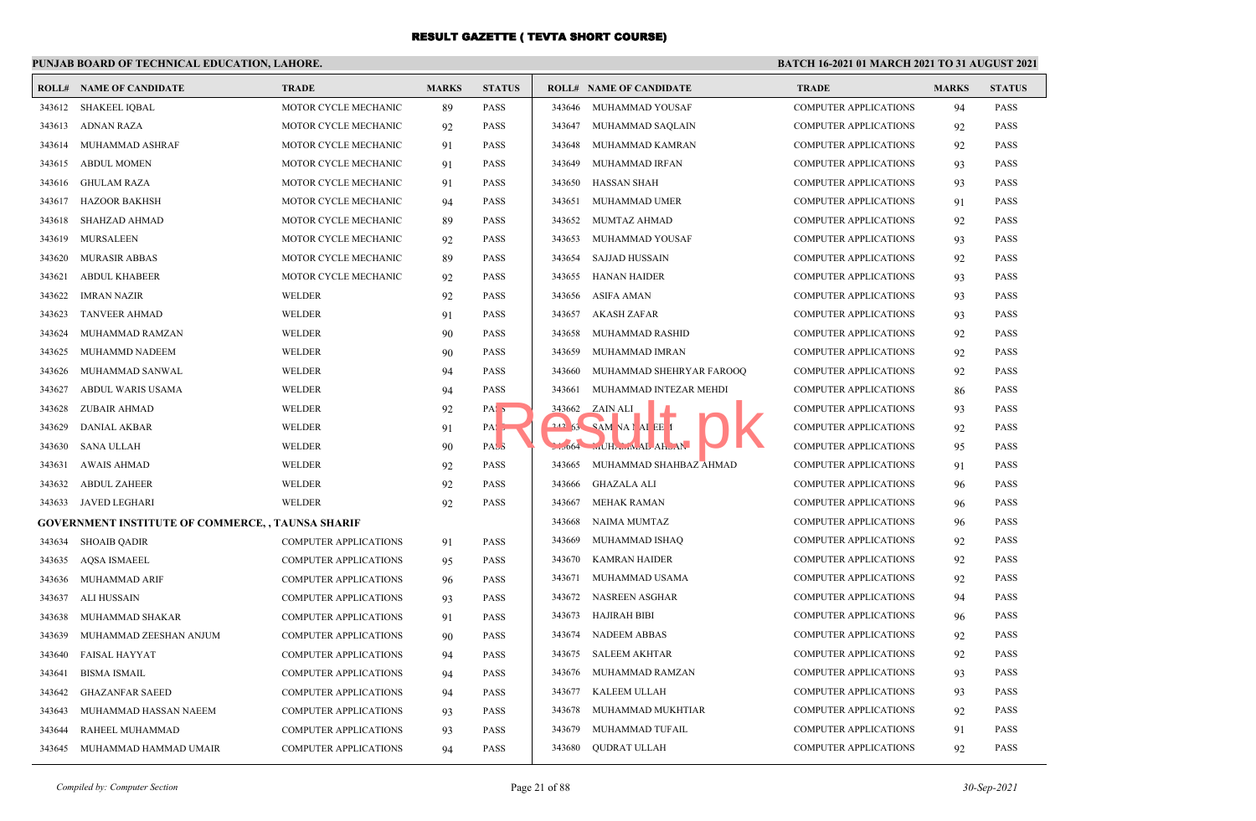## **PUNJAB BOARD OF TECHNICAL EDUCATION, LAHORE.**

|        | <b>ROLL# NAME OF CANDIDATE</b>                           | <b>TRADE</b>                 | <b>MARKS</b> | <b>STATUS</b>    |        | <b>ROLL# NAME OF CANDIDATE</b> | <b>TRADE</b>                 | <b>MARKS</b> | <b>STATUS</b> |
|--------|----------------------------------------------------------|------------------------------|--------------|------------------|--------|--------------------------------|------------------------------|--------------|---------------|
| 343612 | <b>SHAKEEL IOBAL</b>                                     | MOTOR CYCLE MECHANIC         | 89           | <b>PASS</b>      |        | 343646 MUHAMMAD YOUSAF         | <b>COMPUTER APPLICATIONS</b> | 94           | <b>PASS</b>   |
| 343613 | ADNAN RAZA                                               | MOTOR CYCLE MECHANIC         | 92           | <b>PASS</b>      | 343647 | MUHAMMAD SAQLAIN               | <b>COMPUTER APPLICATIONS</b> | 92           | <b>PASS</b>   |
| 343614 | MUHAMMAD ASHRAF                                          | MOTOR CYCLE MECHANIC         | 91           | <b>PASS</b>      | 343648 | MUHAMMAD KAMRAN                | <b>COMPUTER APPLICATIONS</b> | 92           | <b>PASS</b>   |
| 343615 | <b>ABDUL MOMEN</b>                                       | MOTOR CYCLE MECHANIC         | 91           | <b>PASS</b>      | 343649 | MUHAMMAD IRFAN                 | <b>COMPUTER APPLICATIONS</b> | 93           | <b>PASS</b>   |
| 343616 | <b>GHULAM RAZA</b>                                       | MOTOR CYCLE MECHANIC         | 91           | <b>PASS</b>      | 343650 | <b>HASSAN SHAH</b>             | <b>COMPUTER APPLICATIONS</b> | 93           | <b>PASS</b>   |
| 343617 | <b>HAZOOR BAKHSH</b>                                     | MOTOR CYCLE MECHANIC         | 94           | <b>PASS</b>      | 343651 | MUHAMMAD UMER                  | <b>COMPUTER APPLICATIONS</b> | 91           | <b>PASS</b>   |
| 343618 | <b>SHAHZAD AHMAD</b>                                     | MOTOR CYCLE MECHANIC         | 89           | <b>PASS</b>      | 343652 | <b>MUMTAZ AHMAD</b>            | <b>COMPUTER APPLICATIONS</b> | 92           | <b>PASS</b>   |
| 343619 | <b>MURSALEEN</b>                                         | MOTOR CYCLE MECHANIC         | 92           | <b>PASS</b>      | 343653 | MUHAMMAD YOUSAF                | <b>COMPUTER APPLICATIONS</b> | 93           | <b>PASS</b>   |
| 343620 | <b>MURASIR ABBAS</b>                                     | MOTOR CYCLE MECHANIC         | 89           | <b>PASS</b>      | 343654 | <b>SAJJAD HUSSAIN</b>          | <b>COMPUTER APPLICATIONS</b> | 92           | <b>PASS</b>   |
| 343621 | <b>ABDUL KHABEER</b>                                     | MOTOR CYCLE MECHANIC         | 92           | <b>PASS</b>      | 343655 | <b>HANAN HAIDER</b>            | <b>COMPUTER APPLICATIONS</b> | 93           | <b>PASS</b>   |
| 343622 | <b>IMRAN NAZIR</b>                                       | <b>WELDER</b>                | 92           | <b>PASS</b>      | 343656 | <b>ASIFA AMAN</b>              | <b>COMPUTER APPLICATIONS</b> | 93           | <b>PASS</b>   |
| 343623 | <b>TANVEER AHMAD</b>                                     | <b>WELDER</b>                | 91           | <b>PASS</b>      | 343657 | AKASH ZAFAR                    | <b>COMPUTER APPLICATIONS</b> | 93           | <b>PASS</b>   |
| 343624 | MUHAMMAD RAMZAN                                          | <b>WELDER</b>                | 90           | <b>PASS</b>      | 343658 | MUHAMMAD RASHID                | <b>COMPUTER APPLICATIONS</b> | 92           | <b>PASS</b>   |
| 343625 | <b>MUHAMMD NADEEM</b>                                    | <b>WELDER</b>                | 90           | <b>PASS</b>      | 343659 | MUHAMMAD IMRAN                 | <b>COMPUTER APPLICATIONS</b> | 92           | <b>PASS</b>   |
| 343626 | MUHAMMAD SANWAL                                          | <b>WELDER</b>                | 94           | <b>PASS</b>      | 343660 | MUHAMMAD SHEHRYAR FAROOQ       | <b>COMPUTER APPLICATIONS</b> | 92           | <b>PASS</b>   |
| 343627 | ABDUL WARIS USAMA                                        | <b>WELDER</b>                | 94           | <b>PASS</b>      | 343661 | MUHAMMAD INTEZAR MEHDI         | <b>COMPUTER APPLICATIONS</b> | 86           | PASS          |
| 343628 | <b>ZUBAIR AHMAD</b>                                      | <b>WELDER</b>                | 92           | PAS <sub>5</sub> |        | 343662 ZAIN ALI                | <b>COMPUTER APPLICATIONS</b> | 93           | <b>PASS</b>   |
| 343629 | <b>DANIAL AKBAR</b>                                      | WELDER                       | 91           | PA:              |        | 242 53 SAM VAI AI EE I         | <b>COMPUTER APPLICATIONS</b> | 92           | <b>PASS</b>   |
| 343630 | <b>SANA ULLAH</b>                                        | WELDER                       | 90           | PAS <sub>3</sub> |        | 064 MHAMAL AHUAI               | <b>COMPUTER APPLICATIONS</b> | 95           | <b>PASS</b>   |
| 343631 | <b>AWAIS AHMAD</b>                                       | <b>WELDER</b>                | 92           | <b>PASS</b>      | 343665 | MUHAMMAD SHAHBAZ AHMAD         | <b>COMPUTER APPLICATIONS</b> | 91           | PASS          |
| 343632 | <b>ABDUL ZAHEER</b>                                      | WELDER                       | 92           | <b>PASS</b>      | 343666 | GHAZALA ALI                    | <b>COMPUTER APPLICATIONS</b> | 96           | <b>PASS</b>   |
| 343633 | <b>JAVED LEGHARI</b>                                     | WELDER                       | 92           | <b>PASS</b>      | 343667 | <b>MEHAK RAMAN</b>             | <b>COMPUTER APPLICATIONS</b> | 96           | <b>PASS</b>   |
|        | <b>GOVERNMENT INSTITUTE OF COMMERCE, , TAUNSA SHARIF</b> |                              |              |                  | 343668 | NAIMA MUMTAZ                   | <b>COMPUTER APPLICATIONS</b> | 96           | <b>PASS</b>   |
| 343634 | <b>SHOAIB QADIR</b>                                      | <b>COMPUTER APPLICATIONS</b> | 91           | <b>PASS</b>      | 343669 | MUHAMMAD ISHAQ                 | <b>COMPUTER APPLICATIONS</b> | 92           | <b>PASS</b>   |
| 343635 | <b>AQSA ISMAEEL</b>                                      | <b>COMPUTER APPLICATIONS</b> | 95           | <b>PASS</b>      | 343670 | <b>KAMRAN HAIDER</b>           | <b>COMPUTER APPLICATIONS</b> | 92           | <b>PASS</b>   |
| 343636 | MUHAMMAD ARIF                                            | <b>COMPUTER APPLICATIONS</b> | 96           | <b>PASS</b>      | 343671 | MUHAMMAD USAMA                 | <b>COMPUTER APPLICATIONS</b> | 92           | <b>PASS</b>   |
| 343637 | ALI HUSSAIN                                              | <b>COMPUTER APPLICATIONS</b> | 93           | <b>PASS</b>      | 343672 | <b>NASREEN ASGHAR</b>          | <b>COMPUTER APPLICATIONS</b> | 94           | <b>PASS</b>   |
| 343638 | MUHAMMAD SHAKAR                                          | <b>COMPUTER APPLICATIONS</b> | 91           | <b>PASS</b>      | 343673 | <b>HAJIRAH BIBI</b>            | <b>COMPUTER APPLICATIONS</b> | 96           | <b>PASS</b>   |
| 343639 | MUHAMMAD ZEESHAN ANJUM                                   | <b>COMPUTER APPLICATIONS</b> | 90           | <b>PASS</b>      | 343674 | <b>NADEEM ABBAS</b>            | <b>COMPUTER APPLICATIONS</b> | 92           | PASS          |
| 343640 | <b>FAISAL HAYYAT</b>                                     | COMPUTER APPLICATIONS        | 94           | <b>PASS</b>      | 343675 | <b>SALEEM AKHTAR</b>           | <b>COMPUTER APPLICATIONS</b> | 92           | <b>PASS</b>   |
| 343641 | <b>BISMA ISMAIL</b>                                      | <b>COMPUTER APPLICATIONS</b> | 94           | <b>PASS</b>      | 343676 | MUHAMMAD RAMZAN                | <b>COMPUTER APPLICATIONS</b> | 93           | <b>PASS</b>   |
| 343642 | <b>GHAZANFAR SAEED</b>                                   | COMPUTER APPLICATIONS        | 94           | <b>PASS</b>      | 343677 | <b>KALEEM ULLAH</b>            | <b>COMPUTER APPLICATIONS</b> | 93           | <b>PASS</b>   |
| 343643 | MUHAMMAD HASSAN NAEEM                                    | <b>COMPUTER APPLICATIONS</b> | 93           | <b>PASS</b>      | 343678 | MUHAMMAD MUKHTIAR              | <b>COMPUTER APPLICATIONS</b> | 92           | PASS          |
| 343644 | RAHEEL MUHAMMAD                                          | <b>COMPUTER APPLICATIONS</b> | 93           | <b>PASS</b>      | 343679 | MUHAMMAD TUFAIL                | <b>COMPUTER APPLICATIONS</b> | 91           | <b>PASS</b>   |
| 343645 | MUHAMMAD HAMMAD UMAIR                                    | <b>COMPUTER APPLICATIONS</b> | 94           | <b>PASS</b>      | 343680 | <b>QUDRAT ULLAH</b>            | <b>COMPUTER APPLICATIONS</b> | 92           | <b>PASS</b>   |
|        |                                                          |                              |              |                  |        |                                |                              |              |               |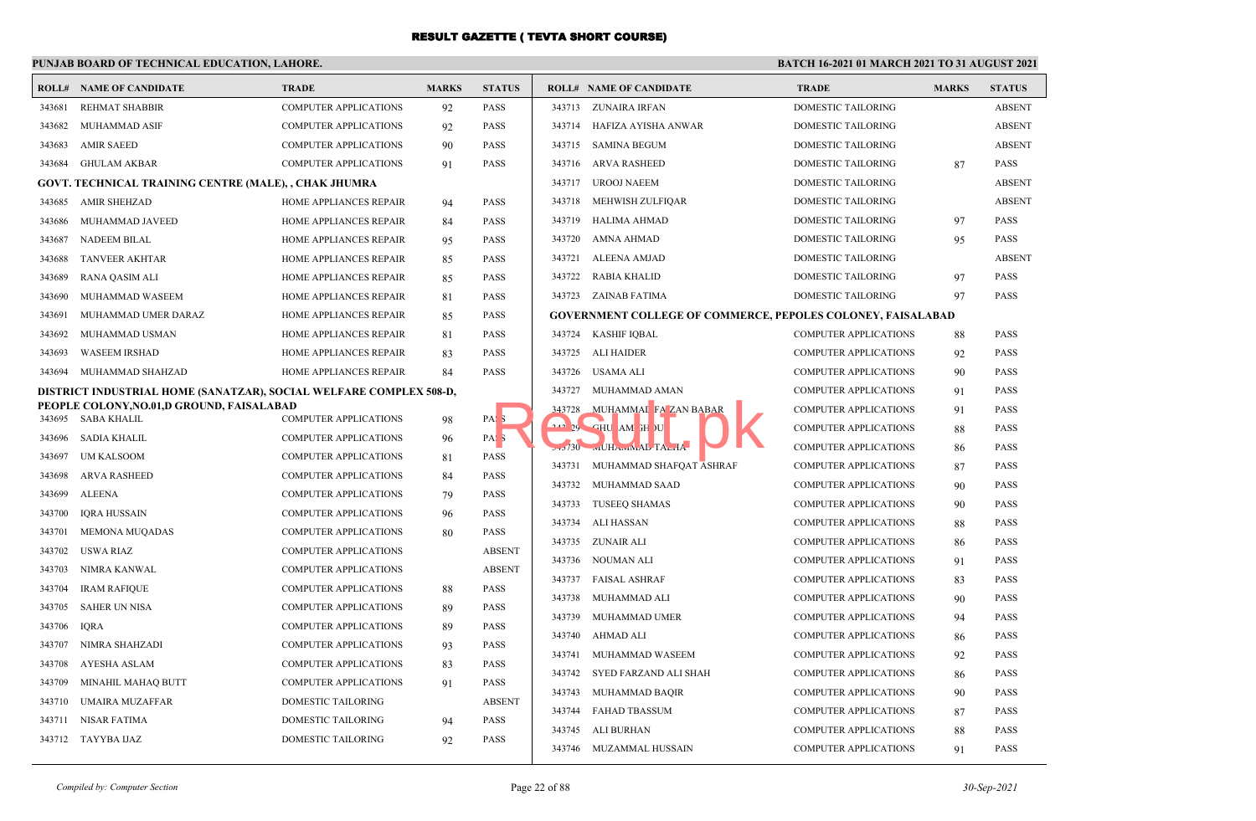## **PUNJAB BOARD OF TECHNICAL EDUCATION, LAHORE.**

|                  | <b>ROLL# NAME OF CANDIDATE</b>                                     | <b>TRADE</b>                                                 | <b>MARKS</b> | <b>STATUS</b>                   |        | <b>ROLL# NAME OF CANDIDATE</b>                                     | <b>TRADE</b>                 | <b>MARKS</b> | <b>STATUS</b> |
|------------------|--------------------------------------------------------------------|--------------------------------------------------------------|--------------|---------------------------------|--------|--------------------------------------------------------------------|------------------------------|--------------|---------------|
| 343681           | <b>REHMAT SHABBIR</b>                                              | <b>COMPUTER APPLICATIONS</b>                                 | 92           | <b>PASS</b>                     |        | 343713 ZUNAIRA IRFAN                                               | DOMESTIC TAILORING           |              | <b>ABSENT</b> |
| 343682           | MUHAMMAD ASIF                                                      | <b>COMPUTER APPLICATIONS</b>                                 | 92           | <b>PASS</b>                     |        | 343714 HAFIZA AYISHA ANWAR                                         | DOMESTIC TAILORING           |              | <b>ABSENT</b> |
| 343683           | <b>AMIR SAEED</b>                                                  | <b>COMPUTER APPLICATIONS</b>                                 | 90           | <b>PASS</b>                     | 343715 | <b>SAMINA BEGUM</b>                                                | DOMESTIC TAILORING           |              | <b>ABSENT</b> |
| 343684           | GHULAM AKBAR                                                       | <b>COMPUTER APPLICATIONS</b>                                 | 91           | <b>PASS</b>                     |        | 343716 ARVA RASHEED                                                | DOMESTIC TAILORING           | 87           | <b>PASS</b>   |
|                  | GOVT. TECHNICAL TRAINING CENTRE (MALE), , CHAK JHUMRA              |                                                              |              |                                 |        | 343717 UROOJ NAEEM                                                 | DOMESTIC TAILORING           |              | <b>ABSENT</b> |
| 343685           | <b>AMIR SHEHZAD</b>                                                | HOME APPLIANCES REPAIR                                       | 94           | <b>PASS</b>                     |        | 343718 MEHWISH ZULFIQAR                                            | DOMESTIC TAILORING           |              | <b>ABSENT</b> |
|                  | 343686 MUHAMMAD JAVEED                                             | HOME APPLIANCES REPAIR                                       | 84           | <b>PASS</b>                     |        | 343719 HALIMA AHMAD                                                | <b>DOMESTIC TAILORING</b>    | 97           | <b>PASS</b>   |
| 343687           | <b>NADEEM BILAL</b>                                                | HOME APPLIANCES REPAIR                                       | 95           | <b>PASS</b>                     |        | 343720 AMNA AHMAD                                                  | DOMESTIC TAILORING           | 95           | <b>PASS</b>   |
| 343688           | <b>TANVEER AKHTAR</b>                                              | HOME APPLIANCES REPAIR                                       | 85           | <b>PASS</b>                     |        | 343721 ALEENA AMJAD                                                | DOMESTIC TAILORING           |              | <b>ABSENT</b> |
| 343689           | <b>RANA QASIM ALI</b>                                              | HOME APPLIANCES REPAIR                                       | 85           | <b>PASS</b>                     |        | 343722 RABIA KHALID                                                | <b>DOMESTIC TAILORING</b>    | 97           | <b>PASS</b>   |
| 343690           | MUHAMMAD WASEEM                                                    | HOME APPLIANCES REPAIR                                       | 81           | <b>PASS</b>                     |        | 343723 ZAINAB FATIMA                                               | DOMESTIC TAILORING           | 97           | PASS          |
| 343691           | MUHAMMAD UMER DARAZ                                                | HOME APPLIANCES REPAIR                                       | 85           | <b>PASS</b>                     |        | <b>GOVERNMENT COLLEGE OF COMMERCE, PEPOLES COLONEY, FAISALABAD</b> |                              |              |               |
| 343692           | MUHAMMAD USMAN                                                     | HOME APPLIANCES REPAIR                                       | 81           | <b>PASS</b>                     | 343724 | <b>KASHIF IQBAL</b>                                                | <b>COMPUTER APPLICATIONS</b> | 88           | PASS          |
| 343693           | <b>WASEEM IRSHAD</b>                                               | HOME APPLIANCES REPAIR                                       | 83           | <b>PASS</b>                     |        | 343725 ALI HAIDER                                                  | <b>COMPUTER APPLICATIONS</b> | 92           | <b>PASS</b>   |
| 343694           | MUHAMMAD SHAHZAD                                                   | HOME APPLIANCES REPAIR                                       | 84           | PASS                            |        | 343726 USAMA ALI                                                   | <b>COMPUTER APPLICATIONS</b> | 90           | PASS          |
|                  | DISTRICT INDUSTRIAL HOME (SANATZAR), SOCIAL WELFARE COMPLEX 508-D, |                                                              |              |                                 | 343727 | MUHAMMAD AMAN                                                      | <b>COMPUTER APPLICATIONS</b> | 91           | <b>PASS</b>   |
|                  | PEOPLE COLONY, NO.01, D GROUND, FAISALABAD                         |                                                              |              |                                 | 343728 | MUHAMMAI FA ZAN BABAR                                              | <b>COMPUTER APPLICATIONS</b> | 91           | <b>PASS</b>   |
|                  | 343695 SABA KHALIL                                                 | <b>COMPUTER APPLICATIONS</b>                                 | 98           | PAS <sub>5</sub>                |        | 242 29 CHU AM IH JU                                                | <b>COMPUTER APPLICATIONS</b> | 88           | PASS          |
| 343697           | 343696 SADIA KHALIL<br><b>UM KALSOOM</b>                           | <b>COMPUTER APPLICATIONS</b><br><b>COMPUTER APPLICATIONS</b> | 96           | PAS <sub>3</sub><br><b>PASS</b> |        | 130 WILHAWINAL TALIA                                               | <b>COMPUTER APPLICATIONS</b> | 86           | <b>PASS</b>   |
|                  |                                                                    |                                                              | 81           |                                 |        | 343731 MUHAMMAD SHAFOAT ASHRAF                                     | <b>COMPUTER APPLICATIONS</b> | 87           | PASS          |
| 343698<br>343699 | <b>ARVA RASHEED</b><br><b>ALEENA</b>                               | <b>COMPUTER APPLICATIONS</b>                                 | 84           | PASS<br><b>PASS</b>             |        | 343732 MUHAMMAD SAAD                                               | <b>COMPUTER APPLICATIONS</b> | 90           | <b>PASS</b>   |
| 343700           | <b>IORA HUSSAIN</b>                                                | <b>COMPUTER APPLICATIONS</b>                                 | 79           | <b>PASS</b>                     |        | 343733 TUSEEQ SHAMAS                                               | <b>COMPUTER APPLICATIONS</b> | 90           | <b>PASS</b>   |
|                  |                                                                    | COMPUTER APPLICATIONS                                        | 96           |                                 | 343734 | ALI HASSAN                                                         | <b>COMPUTER APPLICATIONS</b> | 88           | <b>PASS</b>   |
| 343701<br>343702 | <b>MEMONA MUQADAS</b><br><b>USWA RIAZ</b>                          | <b>COMPUTER APPLICATIONS</b><br><b>COMPUTER APPLICATIONS</b> | 80           | <b>PASS</b><br><b>ABSENT</b>    |        | 343735 ZUNAIR ALI                                                  | <b>COMPUTER APPLICATIONS</b> | 86           | <b>PASS</b>   |
|                  |                                                                    |                                                              |              |                                 |        | 343736 NOUMAN ALI                                                  | COMPUTER APPLICATIONS        | 91           | <b>PASS</b>   |
| 343703<br>343704 | NIMRA KANWAL<br><b>IRAM RAFIQUE</b>                                | COMPUTER APPLICATIONS<br><b>COMPUTER APPLICATIONS</b>        |              | <b>ABSENT</b><br><b>PASS</b>    |        | 343737 FAISAL ASHRAF                                               | <b>COMPUTER APPLICATIONS</b> | 83           | PASS          |
| 343705           | <b>SAHER UN NISA</b>                                               | <b>COMPUTER APPLICATIONS</b>                                 | 88           | <b>PASS</b>                     |        | 343738 MUHAMMAD ALI                                                | <b>COMPUTER APPLICATIONS</b> | 90           | <b>PASS</b>   |
| 343706           | <b>IQRA</b>                                                        | <b>COMPUTER APPLICATIONS</b>                                 | 89           | <b>PASS</b>                     |        | 343739 MUHAMMAD UMER                                               | <b>COMPUTER APPLICATIONS</b> | 94           | <b>PASS</b>   |
| 343707           | NIMRA SHAHZADI                                                     | <b>COMPUTER APPLICATIONS</b>                                 | 89<br>93     | <b>PASS</b>                     |        | 343740 AHMAD ALI                                                   | <b>COMPUTER APPLICATIONS</b> | 86           | <b>PASS</b>   |
| 343708           | AYESHA ASLAM                                                       | <b>COMPUTER APPLICATIONS</b>                                 | 83           | <b>PASS</b>                     |        | 343741 MUHAMMAD WASEEM                                             | <b>COMPUTER APPLICATIONS</b> | 92           | <b>PASS</b>   |
| 343709           | MINAHIL MAHAQ BUTT                                                 | <b>COMPUTER APPLICATIONS</b>                                 | 91           | <b>PASS</b>                     |        | 343742 SYED FARZAND ALI SHAH                                       | <b>COMPUTER APPLICATIONS</b> | 86           | <b>PASS</b>   |
| 343710           | <b>UMAIRA MUZAFFAR</b>                                             | DOMESTIC TAILORING                                           |              | <b>ABSENT</b>                   |        | 343743 MUHAMMAD BAQIR                                              | <b>COMPUTER APPLICATIONS</b> | 90           | <b>PASS</b>   |
| 343711           | <b>NISAR FATIMA</b>                                                | DOMESTIC TAILORING                                           |              | <b>PASS</b>                     |        | 343744 FAHAD TBASSUM                                               | <b>COMPUTER APPLICATIONS</b> | 87           | <b>PASS</b>   |
|                  | 343712 TAYYBA IJAZ                                                 | <b>DOMESTIC TAILORING</b>                                    | 94<br>92     | <b>PASS</b>                     |        | 343745 ALI BURHAN                                                  | <b>COMPUTER APPLICATIONS</b> | 88           | PASS          |
|                  |                                                                    |                                                              |              |                                 |        | 343746 MUZAMMAL HUSSAIN                                            | <b>COMPUTER APPLICATIONS</b> | 91           | <b>PASS</b>   |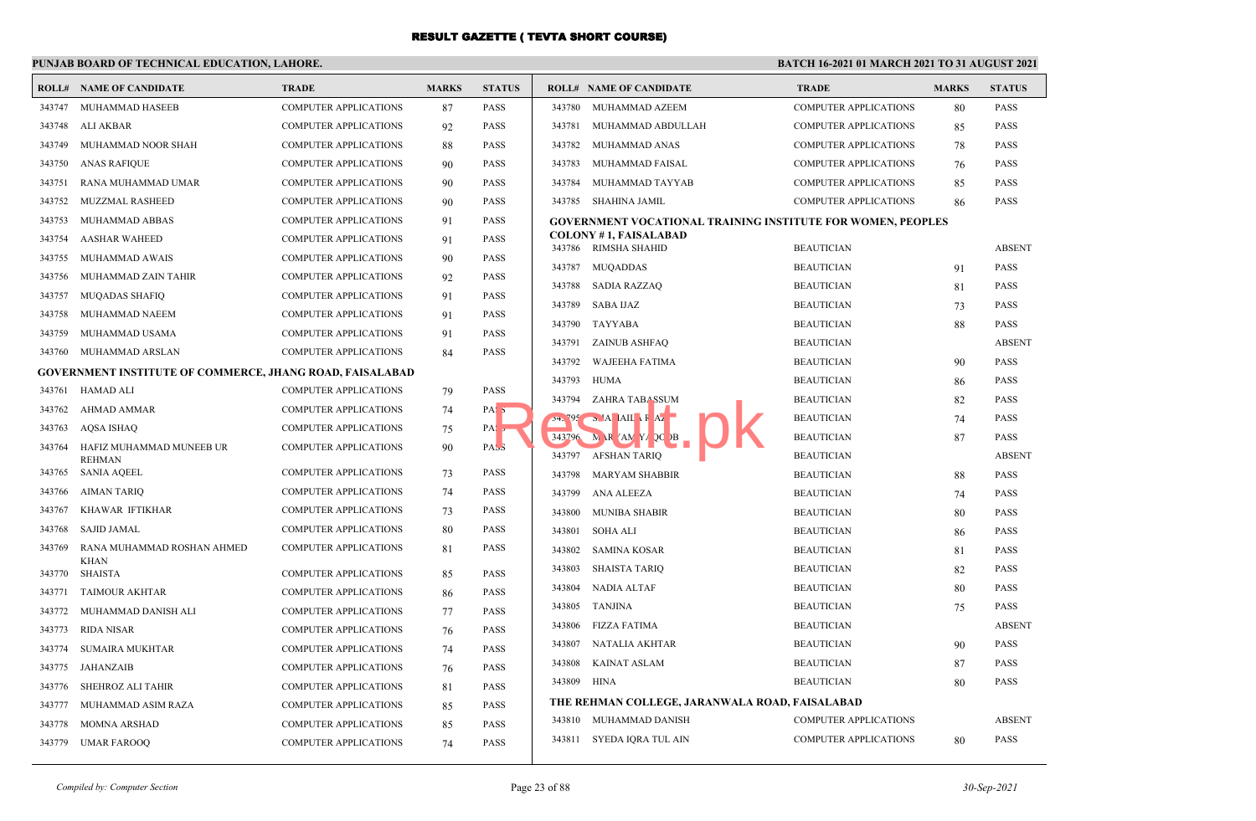## **PUNJAB BOARD OF TECHNICAL EDUCATION, LAHORE.**

| ROLL#  | <b>NAME OF CANDIDATE</b>                                        | <b>TRADE</b>                 | <b>MARKS</b> | <b>STATUS</b>    |                  | <b>ROLL# NAME OF CANDIDATE</b>                                     | <b>TRADE</b>                           | <b>MARKS</b> | <b>STATUS</b> |
|--------|-----------------------------------------------------------------|------------------------------|--------------|------------------|------------------|--------------------------------------------------------------------|----------------------------------------|--------------|---------------|
| 343747 | MUHAMMAD HASEEB                                                 | <b>COMPUTER APPLICATIONS</b> | 87           | <b>PASS</b>      |                  | 343780 MUHAMMAD AZEEM                                              | <b>COMPUTER APPLICATIONS</b>           | 80           | <b>PASS</b>   |
| 343748 | ALI AKBAR                                                       | <b>COMPUTER APPLICATIONS</b> | 92           | <b>PASS</b>      | 343781           | MUHAMMAD ABDULLAH                                                  | <b>COMPUTER APPLICATIONS</b>           | 85           | <b>PASS</b>   |
| 343749 | MUHAMMAD NOOR SHAH                                              | <b>COMPUTER APPLICATIONS</b> | 88           | <b>PASS</b>      | 343782           | MUHAMMAD ANAS                                                      | <b>COMPUTER APPLICATIONS</b>           | 78           | <b>PASS</b>   |
| 343750 | <b>ANAS RAFIQUE</b>                                             | <b>COMPUTER APPLICATIONS</b> | 90           | <b>PASS</b>      | 343783           | MUHAMMAD FAISAL                                                    | <b>COMPUTER APPLICATIONS</b>           | 76           | <b>PASS</b>   |
| 343751 | RANA MUHAMMAD UMAR                                              | <b>COMPUTER APPLICATIONS</b> | 90           | <b>PASS</b>      | 343784           | MUHAMMAD TAYYAB                                                    | <b>COMPUTER APPLICATIONS</b>           | 85           | <b>PASS</b>   |
| 343752 | MUZZMAL RASHEED                                                 | <b>COMPUTER APPLICATIONS</b> | 90           | <b>PASS</b>      | 343785           | SHAHINA JAMIL                                                      | <b>COMPUTER APPLICATIONS</b>           | 86           | <b>PASS</b>   |
| 343753 | MUHAMMAD ABBAS                                                  | <b>COMPUTER APPLICATIONS</b> | 91           | <b>PASS</b>      |                  | <b>GOVERNMENT VOCATIONAL TRAINING INSTITUTE FOR WOMEN, PEOPLES</b> |                                        |              |               |
| 343754 | <b>AASHAR WAHEED</b>                                            | <b>COMPUTER APPLICATIONS</b> | 91           | <b>PASS</b>      |                  | <b>COLONY #1, FAISALABAD</b><br>343786 RIMSHA SHAHID               | <b>BEAUTICIAN</b>                      |              | <b>ABSENT</b> |
| 343755 | MUHAMMAD AWAIS                                                  | <b>COMPUTER APPLICATIONS</b> | 90           | <b>PASS</b>      | 343787           | <b>MUQADDAS</b>                                                    | <b>BEAUTICIAN</b>                      |              | <b>PASS</b>   |
| 343756 | MUHAMMAD ZAIN TAHIR                                             | <b>COMPUTER APPLICATIONS</b> | 92           | <b>PASS</b>      | 343788           | SADIA RAZZAQ                                                       | <b>BEAUTICIAN</b>                      | 91<br>81     | <b>PASS</b>   |
| 343757 | <b>MUQADAS SHAFIQ</b>                                           | <b>COMPUTER APPLICATIONS</b> | 91           | <b>PASS</b>      | 343789           | SABA IJAZ                                                          | <b>BEAUTICIAN</b>                      |              | <b>PASS</b>   |
| 343758 | MUHAMMAD NAEEM                                                  | <b>COMPUTER APPLICATIONS</b> | 91           | <b>PASS</b>      |                  |                                                                    |                                        | 73           | <b>PASS</b>   |
| 343759 | MUHAMMAD USAMA                                                  | <b>COMPUTER APPLICATIONS</b> | 91           | <b>PASS</b>      |                  | 343790 TAYYABA<br>343791 ZAINUB ASHFAQ                             | <b>BEAUTICIAN</b><br><b>BEAUTICIAN</b> | 88           | <b>ABSENT</b> |
| 343760 | MUHAMMAD ARSLAN                                                 | <b>COMPUTER APPLICATIONS</b> | 84           | <b>PASS</b>      | 343792           | WAJEEHA FATIMA                                                     | <b>BEAUTICIAN</b>                      |              | <b>PASS</b>   |
|        | <b>GOVERNMENT INSTITUTE OF COMMERCE, JHANG ROAD, FAISALABAD</b> |                              |              |                  |                  | 343793 HUMA                                                        | <b>BEAUTICIAN</b>                      | 90           | <b>PASS</b>   |
| 343761 | HAMAD ALI                                                       | <b>COMPUTER APPLICATIONS</b> | 79           | <b>PASS</b>      | 343794           | ZAHRA TABA SSUM                                                    | <b>BEAUTICIAN</b>                      | 86           | <b>PASS</b>   |
| 343762 | AHMAD AMMAR                                                     | <b>COMPUTER APPLICATIONS</b> | 74           | PAS <sub>5</sub> |                  | $24.795$ MA AIL F Az                                               | <b>BEAUTICIAN</b>                      | 82           | <b>PASS</b>   |
| 343763 | AQSA ISHAQ                                                      | <b>COMPUTER APPLICATIONS</b> | 75           | PAS <sub>5</sub> |                  | 343796 M R AN Y Q B                                                | <b>BEAUTICIAN</b>                      | 74<br>87     | <b>PASS</b>   |
| 343764 | HAFIZ MUHAMMAD MUNEEB UR                                        | <b>COMPUTER APPLICATIONS</b> | 90           | PASS             |                  | 343797 AFSHAN TARIQ                                                | <b>BEAUTICIAN</b>                      |              | <b>ABSENT</b> |
| 343765 | <b>REHMAN</b><br>SANIA AQEEL                                    | COMPUTER APPLICATIONS        | 73           | <b>PASS</b>      | 343798           | <b>MARYAM SHABBIR</b>                                              | <b>BEAUTICIAN</b>                      | 88           | <b>PASS</b>   |
| 343766 | AIMAN TARIQ                                                     | <b>COMPUTER APPLICATIONS</b> | 74           | <b>PASS</b>      | 343799           | ANA ALEEZA                                                         | <b>BEAUTICIAN</b>                      | 74           | <b>PASS</b>   |
| 343767 | KHAWAR IFTIKHAR                                                 | <b>COMPUTER APPLICATIONS</b> | 73           | <b>PASS</b>      | 343800           | MUNIBA SHABIR                                                      | <b>BEAUTICIAN</b>                      | 80           | <b>PASS</b>   |
| 343768 | <b>SAJID JAMAL</b>                                              | <b>COMPUTER APPLICATIONS</b> | 80           | <b>PASS</b>      | 343801           | SOHA ALI                                                           | <b>BEAUTICIAN</b>                      | 86           | <b>PASS</b>   |
| 343769 | RANA MUHAMMAD ROSHAN AHMED                                      | <b>COMPUTER APPLICATIONS</b> | 81           | <b>PASS</b>      | 343802           | SAMINA KOSAR                                                       | <b>BEAUTICIAN</b>                      |              | <b>PASS</b>   |
|        | <b>KHAN</b>                                                     |                              |              |                  | 343803           | <b>SHAISTA TARIQ</b>                                               | <b>BEAUTICIAN</b>                      | 81<br>82     | <b>PASS</b>   |
| 343770 | SHAISTA                                                         | <b>COMPUTER APPLICATIONS</b> | 85           | <b>PASS</b>      | 343804           | NADIA ALTAF                                                        | <b>BEAUTICIAN</b>                      | 80           | <b>PASS</b>   |
| 343771 | <b>TAIMOUR AKHTAR</b>                                           | <b>COMPUTER APPLICATIONS</b> | 86           | <b>PASS</b>      | 343805           | TANJINA                                                            | <b>BEAUTICIAN</b>                      |              | <b>PASS</b>   |
| 343772 | MUHAMMAD DANISH ALI                                             | <b>COMPUTER APPLICATIONS</b> | 77           | <b>PASS</b>      | 343806           | FIZZA FATIMA                                                       | <b>BEAUTICIAN</b>                      | 75           | <b>ABSENT</b> |
| 343773 | <b>RIDA NISAR</b>                                               | COMPUTER APPLICATIONS        | 76           | <b>PASS</b>      |                  |                                                                    | <b>BEAUTICIAN</b>                      |              | <b>PASS</b>   |
| 343774 | <b>SUMAIRA MUKHTAR</b>                                          | <b>COMPUTER APPLICATIONS</b> | 74           | <b>PASS</b>      | 343807<br>343808 | NATALIA AKHTAR<br><b>KAINAT ASLAM</b>                              | <b>BEAUTICIAN</b>                      | 90           | <b>PASS</b>   |
| 343775 | JAHANZAIB                                                       | <b>COMPUTER APPLICATIONS</b> | 76           | <b>PASS</b>      |                  |                                                                    |                                        | 87           |               |
| 343776 | SHEHROZ ALI TAHIR                                               | COMPUTER APPLICATIONS        | 81           | <b>PASS</b>      | 343809 HINA      |                                                                    | <b>BEAUTICIAN</b>                      | 80           | <b>PASS</b>   |
| 343777 | MUHAMMAD ASIM RAZA                                              | <b>COMPUTER APPLICATIONS</b> | 85           | <b>PASS</b>      |                  | THE REHMAN COLLEGE, JARANWALA ROAD, FAISALABAD                     |                                        |              |               |
| 343778 | <b>MOMNA ARSHAD</b>                                             | <b>COMPUTER APPLICATIONS</b> | 85           | <b>PASS</b>      |                  | 343810 MUHAMMAD DANISH                                             | <b>COMPUTER APPLICATIONS</b>           |              | <b>ABSENT</b> |
| 343779 | UMAR FAROOQ                                                     | COMPUTER APPLICATIONS        | 74           | <b>PASS</b>      |                  | 343811 SYEDA IQRA TUL AIN                                          | <b>COMPUTER APPLICATIONS</b>           | 80           | <b>PASS</b>   |
|        |                                                                 |                              |              |                  |                  |                                                                    |                                        |              |               |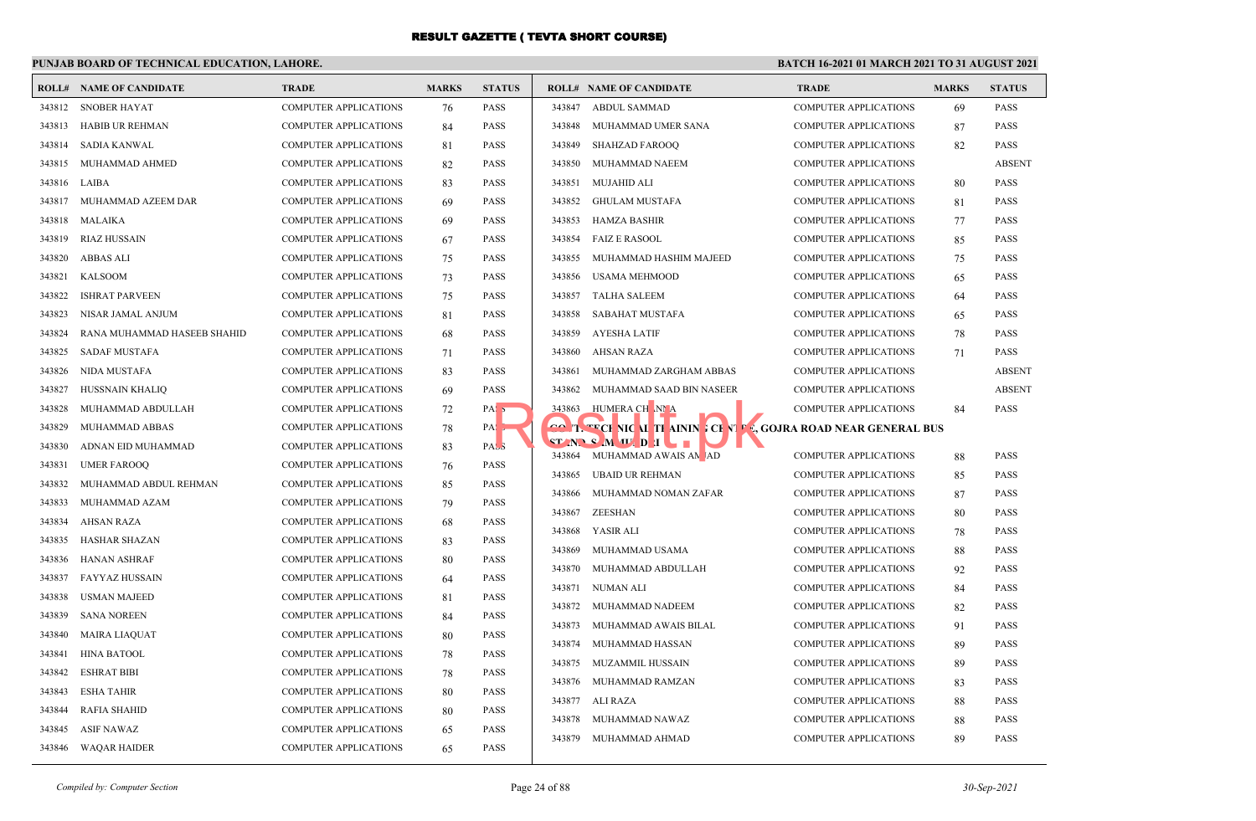## **PUNJAB BOARD OF TECHNICAL EDUCATION, LAHORE.**

|        | <b>ROLL# NAME OF CANDIDATE</b> | <b>TRADE</b>                 | <b>MARKS</b> | <b>STATUS</b>    | <b>ROLL# NAME OF CANDIDATE</b>                               |                                                                      | <b>TRADE</b>                                                 | <b>MARKS</b> | <b>STATUS</b>              |
|--------|--------------------------------|------------------------------|--------------|------------------|--------------------------------------------------------------|----------------------------------------------------------------------|--------------------------------------------------------------|--------------|----------------------------|
| 343812 | <b>SNOBER HAYAT</b>            | <b>COMPUTER APPLICATIONS</b> | 76           | <b>PASS</b>      | <b>ABDUL SAMMAD</b><br>343847                                |                                                                      | <b>COMPUTER APPLICATIONS</b>                                 | 69           | <b>PASS</b>                |
| 343813 | HABIB UR REHMAN                | <b>COMPUTER APPLICATIONS</b> | 84           | <b>PASS</b>      | 343848                                                       | MUHAMMAD UMER SANA                                                   | <b>COMPUTER APPLICATIONS</b>                                 | 87           | <b>PASS</b>                |
| 343814 | SADIA KANWAL                   | <b>COMPUTER APPLICATIONS</b> | 81           | <b>PASS</b>      | 343849<br><b>SHAHZAD FAROOO</b>                              |                                                                      | <b>COMPUTER APPLICATIONS</b>                                 | 82           | <b>PASS</b>                |
| 343815 | MUHAMMAD AHMED                 | COMPUTER APPLICATIONS        | 82           | <b>PASS</b>      | 343850                                                       | MUHAMMAD NAEEM                                                       | <b>COMPUTER APPLICATIONS</b>                                 |              | <b>ABSENT</b>              |
| 343816 | LAIBA                          | <b>COMPUTER APPLICATIONS</b> | 83           | <b>PASS</b>      | 343851<br><b>MUJAHID ALI</b>                                 |                                                                      | <b>COMPUTER APPLICATIONS</b>                                 | 80           | <b>PASS</b>                |
| 343817 | MUHAMMAD AZEEM DAR             | <b>COMPUTER APPLICATIONS</b> | 69           | <b>PASS</b>      | 343852<br><b>GHULAM MUSTAFA</b>                              |                                                                      | <b>COMPUTER APPLICATIONS</b>                                 | 81           | <b>PASS</b>                |
| 343818 | MALAIKA                        | <b>COMPUTER APPLICATIONS</b> | 69           | <b>PASS</b>      | 343853<br><b>HAMZA BASHIR</b>                                |                                                                      | <b>COMPUTER APPLICATIONS</b>                                 | 77           | <b>PASS</b>                |
| 343819 | <b>RIAZ HUSSAIN</b>            | <b>COMPUTER APPLICATIONS</b> | 67           | <b>PASS</b>      | 343854<br><b>FAIZ E RASOOL</b>                               |                                                                      | <b>COMPUTER APPLICATIONS</b>                                 | 85           | <b>PASS</b>                |
| 343820 | ABBAS ALI                      | COMPUTER APPLICATIONS        | 75           | <b>PASS</b>      | 343855                                                       | MUHAMMAD HASHIM MAJEED                                               | <b>COMPUTER APPLICATIONS</b>                                 | 75           | <b>PASS</b>                |
| 343821 | <b>KALSOOM</b>                 | <b>COMPUTER APPLICATIONS</b> | 73           | <b>PASS</b>      | 343856<br><b>USAMA MEHMOOD</b>                               |                                                                      | <b>COMPUTER APPLICATIONS</b>                                 | 65           | <b>PASS</b>                |
| 343822 | <b>ISHRAT PARVEEN</b>          | <b>COMPUTER APPLICATIONS</b> | 75           | <b>PASS</b>      | 343857<br><b>TALHA SALEEM</b>                                |                                                                      | <b>COMPUTER APPLICATIONS</b>                                 | 64           | <b>PASS</b>                |
| 343823 | NISAR JAMAL ANJUM              | <b>COMPUTER APPLICATIONS</b> | 81           | <b>PASS</b>      | 343858                                                       | <b>SABAHAT MUSTAFA</b>                                               | <b>COMPUTER APPLICATIONS</b>                                 | 65           | <b>PASS</b>                |
| 343824 | RANA MUHAMMAD HASEEB SHAHID    | <b>COMPUTER APPLICATIONS</b> | 68           | <b>PASS</b>      | <b>AYESHA LATIF</b><br>343859                                |                                                                      | <b>COMPUTER APPLICATIONS</b>                                 | 78           | <b>PASS</b>                |
| 343825 | <b>SADAF MUSTAFA</b>           | <b>COMPUTER APPLICATIONS</b> | 71           | <b>PASS</b>      | 343860<br>AHSAN RAZA                                         |                                                                      | <b>COMPUTER APPLICATIONS</b>                                 | 71           | <b>PASS</b>                |
| 343826 | NIDA MUSTAFA                   | COMPUTER APPLICATIONS        | 83           | <b>PASS</b>      | 343861                                                       | MUHAMMAD ZARGHAM ABBAS                                               | <b>COMPUTER APPLICATIONS</b>                                 |              | <b>ABSENT</b>              |
| 343827 | HUSSNAIN KHALIQ                | <b>COMPUTER APPLICATIONS</b> | 69           | <b>PASS</b>      | 343862                                                       | MUHAMMAD SAAD BIN NASEER                                             | <b>COMPUTER APPLICATIONS</b>                                 |              | <b>ABSENT</b>              |
| 343828 | MUHAMMAD ABDULLAH              | <b>COMPUTER APPLICATIONS</b> | 72           | PAS <sub>5</sub> | HUMERA CH NI A<br>343863                                     |                                                                      | <b>COMPUTER APPLICATIONS</b>                                 | 84           | <b>PASS</b>                |
| 343829 | MUHAMMAD ABBAS                 | COMPUTER APPLICATIONS        | 78           | PA:              |                                                              | <b>GO T. TECHNIC AL THAININE CENTER, GOJRA ROAD NEAR GENERAL BUS</b> |                                                              |              |                            |
| 343830 | ADNAN EID MUHAMMAD             | <b>COMPUTER APPLICATIONS</b> | 83           | PAS <sub>3</sub> | $ST$ $N$ $S$ $M$ $U$ $D$ $I$<br>343864 MUHAMMAD AWAIS AN JAD | $\blacksquare$                                                       |                                                              |              |                            |
| 343831 | <b>UMER FAROOQ</b>             | <b>COMPUTER APPLICATIONS</b> | 76           | <b>PASS</b>      | <b>UBAID UR REHMAN</b><br>343865                             |                                                                      | <b>COMPUTER APPLICATIONS</b><br><b>COMPUTER APPLICATIONS</b> | 88           | <b>PASS</b>                |
| 343832 | MUHAMMAD ABDUL REHMAN          | <b>COMPUTER APPLICATIONS</b> | 85           | <b>PASS</b>      | 343866                                                       | MUHAMMAD NOMAN ZAFAR                                                 |                                                              | 85           | <b>PASS</b><br><b>PASS</b> |
| 343833 | MUHAMMAD AZAM                  | <b>COMPUTER APPLICATIONS</b> | 79           | <b>PASS</b>      | 343867<br>ZEESHAN                                            |                                                                      | <b>COMPUTER APPLICATIONS</b>                                 | 87           | <b>PASS</b>                |
| 343834 | <b>AHSAN RAZA</b>              | <b>COMPUTER APPLICATIONS</b> | 68           | <b>PASS</b>      |                                                              |                                                                      | <b>COMPUTER APPLICATIONS</b>                                 | 80           |                            |
| 343835 | HASHAR SHAZAN                  | <b>COMPUTER APPLICATIONS</b> | 83           | <b>PASS</b>      | 343868<br>YASIR ALI<br>343869                                |                                                                      | <b>COMPUTER APPLICATIONS</b>                                 | 78           | <b>PASS</b><br><b>PASS</b> |
| 343836 | <b>HANAN ASHRAF</b>            | <b>COMPUTER APPLICATIONS</b> | 80           | <b>PASS</b>      | 343870                                                       | MUHAMMAD USAMA                                                       | <b>COMPUTER APPLICATIONS</b>                                 | 88           |                            |
| 343837 | FAYYAZ HUSSAIN                 | <b>COMPUTER APPLICATIONS</b> | 64           | <b>PASS</b>      | 343871<br>NUMAN ALI                                          | MUHAMMAD ABDULLAH                                                    | <b>COMPUTER APPLICATIONS</b><br><b>COMPUTER APPLICATIONS</b> | 92           | <b>PASS</b><br><b>PASS</b> |
| 343838 | <b>USMAN MAJEED</b>            | <b>COMPUTER APPLICATIONS</b> | 81           | <b>PASS</b>      | 343872                                                       | MUHAMMAD NADEEM                                                      | <b>COMPUTER APPLICATIONS</b>                                 | 84<br>82     | <b>PASS</b>                |
| 343839 | <b>SANA NOREEN</b>             | <b>COMPUTER APPLICATIONS</b> | 84           | <b>PASS</b>      | 343873                                                       |                                                                      |                                                              |              |                            |
| 343840 | <b>MAIRA LIAQUAT</b>           | COMPUTER APPLICATIONS        | 80           | <b>PASS</b>      |                                                              | MUHAMMAD AWAIS BILAL                                                 | <b>COMPUTER APPLICATIONS</b>                                 | 91           | <b>PASS</b><br><b>PASS</b> |
| 343841 | <b>HINA BATOOL</b>             | <b>COMPUTER APPLICATIONS</b> | 78           | <b>PASS</b>      | 343874                                                       | MUHAMMAD HASSAN<br>MUZAMMIL HUSSAIN                                  | <b>COMPUTER APPLICATIONS</b><br><b>COMPUTER APPLICATIONS</b> | 89           | <b>PASS</b>                |
| 343842 | <b>ESHRAT BIBI</b>             | COMPUTER APPLICATIONS        | 78           | <b>PASS</b>      | 343875                                                       |                                                                      |                                                              | 89           |                            |
| 343843 | <b>ESHA TAHIR</b>              | <b>COMPUTER APPLICATIONS</b> | 80           | <b>PASS</b>      | 343876<br>343877<br>ALI RAZA                                 | MUHAMMAD RAMZAN                                                      | <b>COMPUTER APPLICATIONS</b>                                 | 83           | PASS                       |
| 343844 | RAFIA SHAHID                   | <b>COMPUTER APPLICATIONS</b> | 80           | PASS             | 343878                                                       | MUHAMMAD NAWAZ                                                       | <b>COMPUTER APPLICATIONS</b><br><b>COMPUTER APPLICATIONS</b> | 88           | PASS<br><b>PASS</b>        |
| 343845 | <b>ASIF NAWAZ</b>              | <b>COMPUTER APPLICATIONS</b> | 65           | <b>PASS</b>      | 343879                                                       |                                                                      |                                                              | 88           |                            |
| 343846 | WAQAR HAIDER                   | <b>COMPUTER APPLICATIONS</b> | 65           | <b>PASS</b>      |                                                              | MUHAMMAD AHMAD                                                       | <b>COMPUTER APPLICATIONS</b>                                 | 89           | <b>PASS</b>                |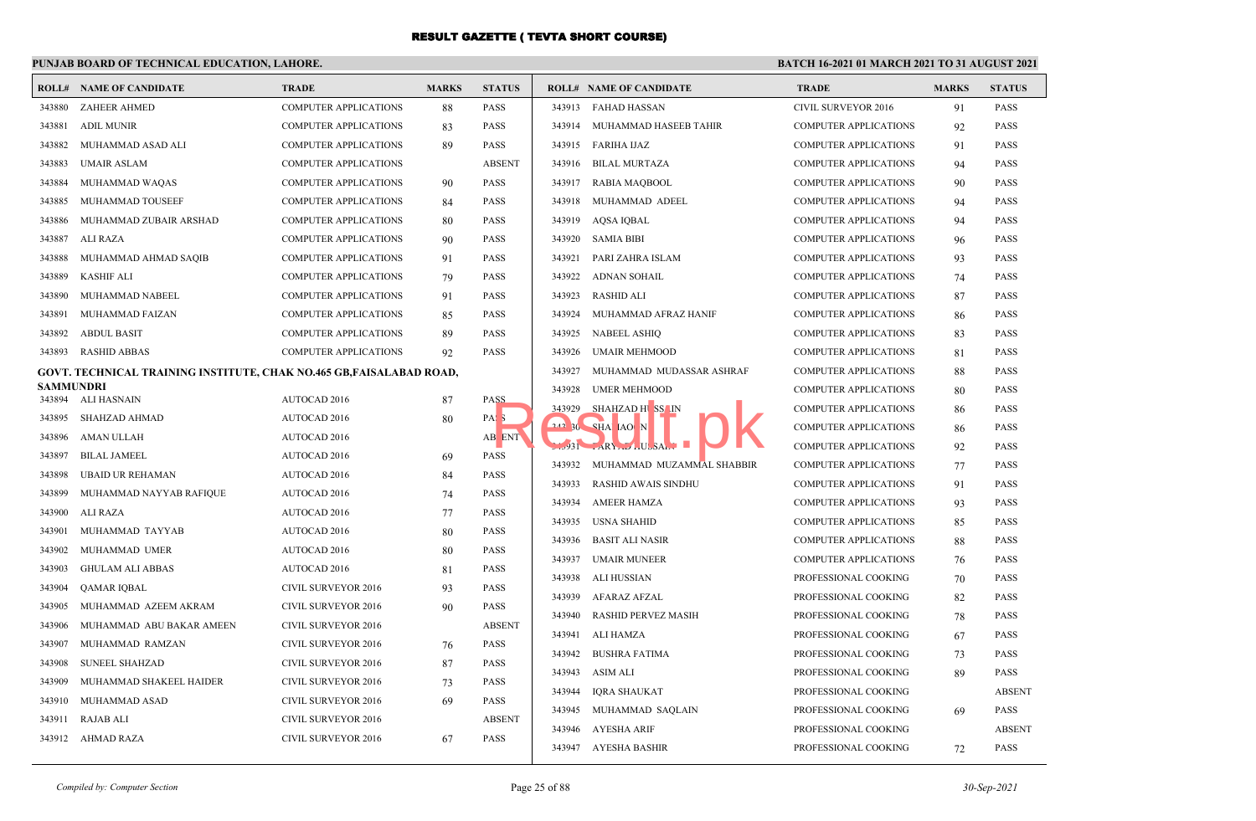## **PUNJAB BOARD OF TECHNICAL EDUCATION, LAHORE.**

|                  | <b>ROLL# NAME OF CANDIDATE</b>                                              | <b>TRADE</b>                 | <b>MARKS</b> | <b>STATUS</b>    |        | <b>ROLL# NAME OF CANDIDATE</b> | <b>TRADE</b>                 | <b>MARKS</b> | <b>STATUS</b> |
|------------------|-----------------------------------------------------------------------------|------------------------------|--------------|------------------|--------|--------------------------------|------------------------------|--------------|---------------|
| 343880           | <b>ZAHEER AHMED</b>                                                         | COMPUTER APPLICATIONS        | 88           | <b>PASS</b>      | 343913 | <b>FAHAD HASSAN</b>            | <b>CIVIL SURVEYOR 2016</b>   | 91           | <b>PASS</b>   |
| 343881           | <b>ADIL MUNIR</b>                                                           | <b>COMPUTER APPLICATIONS</b> | 83           | <b>PASS</b>      | 343914 | MUHAMMAD HASEEB TAHIR          | <b>COMPUTER APPLICATIONS</b> | 92           | <b>PASS</b>   |
| 343882           | MUHAMMAD ASAD ALI                                                           | <b>COMPUTER APPLICATIONS</b> | 89           | <b>PASS</b>      | 343915 | FARIHA IJAZ                    | <b>COMPUTER APPLICATIONS</b> | 91           | <b>PASS</b>   |
| 343883           | <b>UMAIR ASLAM</b>                                                          | <b>COMPUTER APPLICATIONS</b> |              | <b>ABSENT</b>    | 343916 | BILAL MURTAZA                  | COMPUTER APPLICATIONS        | 94           | <b>PASS</b>   |
| 343884           | MUHAMMAD WAQAS                                                              | <b>COMPUTER APPLICATIONS</b> | 90           | <b>PASS</b>      | 343917 | RABIA MAQBOOL                  | COMPUTER APPLICATIONS        | 90           | <b>PASS</b>   |
| 343885           | MUHAMMAD TOUSEEF                                                            | <b>COMPUTER APPLICATIONS</b> | 84           | <b>PASS</b>      | 343918 | MUHAMMAD ADEEL                 | <b>COMPUTER APPLICATIONS</b> | 94           | <b>PASS</b>   |
| 343886           | MUHAMMAD ZUBAIR ARSHAD                                                      | <b>COMPUTER APPLICATIONS</b> | 80           | <b>PASS</b>      | 343919 | AQSA IQBAL                     | <b>COMPUTER APPLICATIONS</b> | 94           | <b>PASS</b>   |
| 343887           | ALI RAZA                                                                    | <b>COMPUTER APPLICATIONS</b> | 90           | <b>PASS</b>      | 343920 | <b>SAMIA BIBI</b>              | <b>COMPUTER APPLICATIONS</b> | 96           | <b>PASS</b>   |
| 343888           | MUHAMMAD AHMAD SAQIB                                                        | <b>COMPUTER APPLICATIONS</b> | 91           | <b>PASS</b>      | 343921 | PARI ZAHRA ISLAM               | <b>COMPUTER APPLICATIONS</b> | 93           | <b>PASS</b>   |
| 343889           | <b>KASHIF ALI</b>                                                           | <b>COMPUTER APPLICATIONS</b> | 79           | <b>PASS</b>      | 343922 | ADNAN SOHAIL                   | <b>COMPUTER APPLICATIONS</b> | 74           | <b>PASS</b>   |
| 343890           | MUHAMMAD NABEEL                                                             | <b>COMPUTER APPLICATIONS</b> | 91           | <b>PASS</b>      | 343923 | <b>RASHID ALI</b>              | <b>COMPUTER APPLICATIONS</b> | 87           | <b>PASS</b>   |
| 343891           | MUHAMMAD FAIZAN                                                             | <b>COMPUTER APPLICATIONS</b> | 85           | <b>PASS</b>      | 343924 | MUHAMMAD AFRAZ HANIF           | COMPUTER APPLICATIONS        | 86           | <b>PASS</b>   |
| 343892           | <b>ABDUL BASIT</b>                                                          | <b>COMPUTER APPLICATIONS</b> | 89           | <b>PASS</b>      | 343925 | <b>NABEEL ASHIQ</b>            | COMPUTER APPLICATIONS        | 83           | <b>PASS</b>   |
| 343893           | <b>RASHID ABBAS</b>                                                         | <b>COMPUTER APPLICATIONS</b> | 92           | <b>PASS</b>      | 343926 | <b>UMAIR MEHMOOD</b>           | <b>COMPUTER APPLICATIONS</b> | 81           | <b>PASS</b>   |
|                  | <b>GOVT. TECHNICAL TRAINING INSTITUTE, CHAK NO.465 GB, FAISALABAD ROAD,</b> |                              |              |                  | 343927 | MUHAMMAD MUDASSAR ASHRAF       | <b>COMPUTER APPLICATIONS</b> | 88           | <b>PASS</b>   |
| <b>SAMMUNDRI</b> |                                                                             |                              |              |                  | 343928 | <b>UMER MEHMOOD</b>            | COMPUTER APPLICATIONS        | 80           | <b>PASS</b>   |
| 343895           | 343894 ALI HASNAIN                                                          | AUTOCAD 2016                 | 87           | <b>PASS</b>      | 343929 | SHAHZAD HISS IN                | <b>COMPUTER APPLICATIONS</b> | 86           | <b>PASS</b>   |
|                  | SHAHZAD AHMAD                                                               | <b>AUTOCAD 2016</b>          | 80           | PAS <sub>3</sub> |        | 242 30 SHA IAO N               | <b>COMPUTER APPLICATIONS</b> | 86           | <b>PASS</b>   |
| 343896           | AMAN ULLAH                                                                  | AUTOCAD 2016                 |              | AB ENT           |        | $1.931$ $ARY$ . $1.058A$ .     | <b>COMPUTER APPLICATIONS</b> | 92           | <b>PASS</b>   |
| 343897           | <b>BILAL JAMEEL</b>                                                         | AUTOCAD 2016                 | 69           | <b>PASS</b>      | 343932 | MUHAMMAD MUZAMMAL SHABBIR      | <b>COMPUTER APPLICATIONS</b> | 77           | <b>PASS</b>   |
| 343898           | UBAID UR REHAMAN                                                            | AUTOCAD 2016                 | 84           | <b>PASS</b>      | 343933 | <b>RASHID AWAIS SINDHU</b>     | COMPUTER APPLICATIONS        | 91           | <b>PASS</b>   |
| 343899           | MUHAMMAD NAYYAB RAFIQUE                                                     | AUTOCAD 2016                 | 74           | <b>PASS</b>      | 343934 | AMEER HAMZA                    | <b>COMPUTER APPLICATIONS</b> | 93           | <b>PASS</b>   |
| 343900           | ALI RAZA                                                                    | <b>AUTOCAD 2016</b>          | 77           | <b>PASS</b>      | 343935 | USNA SHAHID                    | COMPUTER APPLICATIONS        | 85           | <b>PASS</b>   |
|                  | 343901 MUHAMMAD TAYYAB                                                      | AUTOCAD 2016                 | 80           | <b>PASS</b>      | 343936 | <b>BASIT ALI NASIR</b>         | <b>COMPUTER APPLICATIONS</b> | 88           | <b>PASS</b>   |
| 343902           | MUHAMMAD UMER                                                               | AUTOCAD 2016                 | 80           | <b>PASS</b>      | 343937 | <b>UMAIR MUNEER</b>            | <b>COMPUTER APPLICATIONS</b> | 76           | <b>PASS</b>   |
| 343903           | <b>GHULAM ALI ABBAS</b>                                                     | AUTOCAD 2016                 | 81           | <b>PASS</b>      | 343938 | ALI HUSSIAN                    | PROFESSIONAL COOKING         | 70           | <b>PASS</b>   |
| 343904           | QAMAR IQBAL                                                                 | <b>CIVIL SURVEYOR 2016</b>   | 93           | <b>PASS</b>      | 343939 | AFARAZ AFZAL                   | PROFESSIONAL COOKING         | 82           | <b>PASS</b>   |
| 343905           | MUHAMMAD AZEEM AKRAM                                                        | CIVIL SURVEYOR 2016          | 90           | <b>PASS</b>      | 343940 | <b>RASHID PERVEZ MASIH</b>     | PROFESSIONAL COOKING         | 78           | <b>PASS</b>   |
| 343906           | MUHAMMAD ABU BAKAR AMEEN                                                    | <b>CIVIL SURVEYOR 2016</b>   |              | <b>ABSENT</b>    | 343941 | ALI HAMZA                      | PROFESSIONAL COOKING         | 67           | <b>PASS</b>   |
| 343907           | MUHAMMAD RAMZAN                                                             | CIVIL SURVEYOR 2016          | 76           | <b>PASS</b>      | 343942 | <b>BUSHRA FATIMA</b>           | PROFESSIONAL COOKING         | 73           | <b>PASS</b>   |
| 343908           | <b>SUNEEL SHAHZAD</b>                                                       | <b>CIVIL SURVEYOR 2016</b>   | 87           | <b>PASS</b>      | 343943 | <b>ASIM ALI</b>                | PROFESSIONAL COOKING         | 89           | <b>PASS</b>   |
| 343909           | MUHAMMAD SHAKEEL HAIDER                                                     | <b>CIVIL SURVEYOR 2016</b>   | 73           | <b>PASS</b>      | 343944 | <b>IQRA SHAUKAT</b>            | PROFESSIONAL COOKING         |              | <b>ABSENT</b> |
| 343910           | MUHAMMAD ASAD                                                               | CIVIL SURVEYOR 2016          | 69           | <b>PASS</b>      | 343945 | MUHAMMAD SAQLAIN               | PROFESSIONAL COOKING         | 69           | <b>PASS</b>   |
| 343911           | <b>RAJAB ALI</b>                                                            | CIVIL SURVEYOR 2016          |              | <b>ABSENT</b>    | 343946 | AYESHA ARIF                    | PROFESSIONAL COOKING         |              | <b>ABSENT</b> |
|                  | 343912 AHMAD RAZA                                                           | <b>CIVIL SURVEYOR 2016</b>   | 67           | <b>PASS</b>      |        | 343947 AYESHA BASHIR           | PROFESSIONAL COOKING         | 72           | <b>PASS</b>   |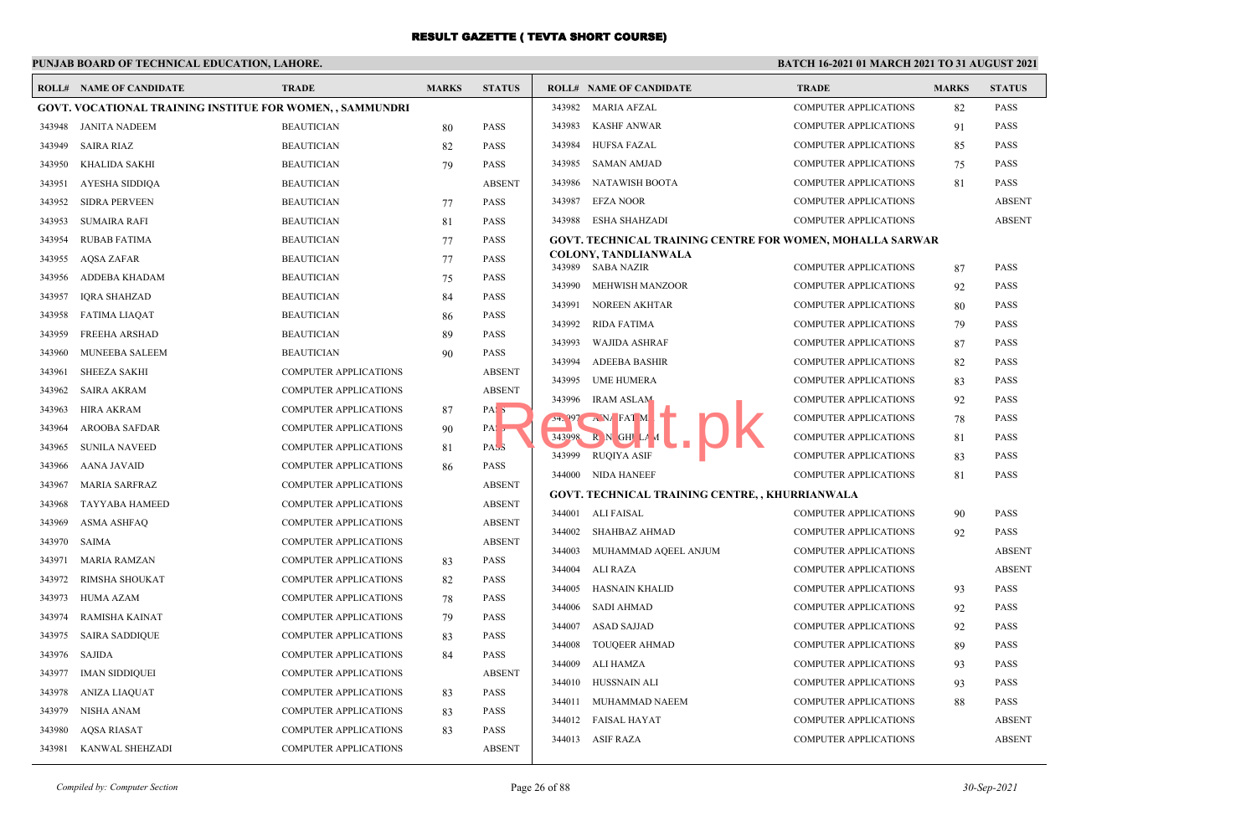# **PUNJAB BOARD OF TECHNICAL EDUCATION, LAHORE.**

|        | <b>ROLL# NAME OF CANDIDATE</b>                                  | <b>TRADE</b>                 | <b>MARKS</b> | <b>STATUS</b>    |        | <b>ROLL# NAME OF CANDIDATE</b>                                   | <b>TRADE</b>                 | <b>MARKS</b> | <b>STATUS</b> |
|--------|-----------------------------------------------------------------|------------------------------|--------------|------------------|--------|------------------------------------------------------------------|------------------------------|--------------|---------------|
|        | <b>GOVT. VOCATIONAL TRAINING INSTITUE FOR WOMEN,, SAMMUNDRI</b> |                              |              |                  |        | 343982 MARIA AFZAL                                               | <b>COMPUTER APPLICATIONS</b> | 82           | <b>PASS</b>   |
|        | 343948 JANITA NADEEM                                            | <b>BEAUTICIAN</b>            | 80           | <b>PASS</b>      | 343983 | KASHF ANWAR                                                      | <b>COMPUTER APPLICATIONS</b> | 91           | <b>PASS</b>   |
| 343949 | <b>SAIRA RIAZ</b>                                               | <b>BEAUTICIAN</b>            | 82           | <b>PASS</b>      | 343984 | <b>HUFSA FAZAL</b>                                               | <b>COMPUTER APPLICATIONS</b> | 85           | <b>PASS</b>   |
| 343950 | KHALIDA SAKHI                                                   | <b>BEAUTICIAN</b>            | 79           | <b>PASS</b>      | 343985 | <b>SAMAN AMJAD</b>                                               | <b>COMPUTER APPLICATIONS</b> | 75           | PASS          |
| 343951 | AYESHA SIDDIQA                                                  | <b>BEAUTICIAN</b>            |              | <b>ABSENT</b>    | 343986 | NATAWISH BOOTA                                                   | <b>COMPUTER APPLICATIONS</b> | 81           | <b>PASS</b>   |
| 343952 | <b>SIDRA PERVEEN</b>                                            | <b>BEAUTICIAN</b>            | 77           | <b>PASS</b>      | 343987 | <b>EFZA NOOR</b>                                                 | <b>COMPUTER APPLICATIONS</b> |              | <b>ABSENT</b> |
| 343953 | <b>SUMAIRA RAFI</b>                                             | <b>BEAUTICIAN</b>            | 81           | <b>PASS</b>      | 343988 | <b>ESHA SHAHZADI</b>                                             | <b>COMPUTER APPLICATIONS</b> |              | <b>ABSENT</b> |
| 343954 | <b>RUBAB FATIMA</b>                                             | <b>BEAUTICIAN</b>            | 77           | <b>PASS</b>      |        | <b>GOVT. TECHNICAL TRAINING CENTRE FOR WOMEN, MOHALLA SARWAR</b> |                              |              |               |
| 343955 | AQSA ZAFAR                                                      | <b>BEAUTICIAN</b>            | 77           | <b>PASS</b>      | 343989 | <b>COLONY, TANDLIANWALA</b><br>SABA NAZIR                        | <b>COMPUTER APPLICATIONS</b> | 87           | <b>PASS</b>   |
| 343956 | ADDEBA KHADAM                                                   | <b>BEAUTICIAN</b>            | 75           | <b>PASS</b>      | 343990 | MEHWISH MANZOOR                                                  | <b>COMPUTER APPLICATIONS</b> | 92           | <b>PASS</b>   |
| 343957 | <b>IORA SHAHZAD</b>                                             | <b>BEAUTICIAN</b>            | 84           | <b>PASS</b>      | 343991 | <b>NOREEN AKHTAR</b>                                             | <b>COMPUTER APPLICATIONS</b> | 80           | <b>PASS</b>   |
| 343958 | <b>FATIMA LIAQAT</b>                                            | <b>BEAUTICIAN</b>            | 86           | <b>PASS</b>      | 343992 | RIDA FATIMA                                                      | <b>COMPUTER APPLICATIONS</b> | 79           | <b>PASS</b>   |
| 343959 | FREEHA ARSHAD                                                   | <b>BEAUTICIAN</b>            | 89           | <b>PASS</b>      | 343993 | <b>WAJIDA ASHRAF</b>                                             | <b>COMPUTER APPLICATIONS</b> | 87           | <b>PASS</b>   |
| 343960 | <b>MUNEEBA SALEEM</b>                                           | <b>BEAUTICIAN</b>            | 90           | <b>PASS</b>      | 343994 | <b>ADEEBA BASHIR</b>                                             | <b>COMPUTER APPLICATIONS</b> | 82           | <b>PASS</b>   |
| 343961 | <b>SHEEZA SAKHI</b>                                             | <b>COMPUTER APPLICATIONS</b> |              | <b>ABSENT</b>    | 343995 | <b>UME HUMERA</b>                                                | <b>COMPUTER APPLICATIONS</b> | 83           | <b>PASS</b>   |
| 343962 | <b>SAIRA AKRAM</b>                                              | COMPUTER APPLICATIONS        |              | <b>ABSENT</b>    | 343996 | <b>IRAM ASLAM</b>                                                | <b>COMPUTER APPLICATIONS</b> | 92           | PASS          |
| 343963 | <b>HIRA AKRAM</b>                                               | <b>COMPUTER APPLICATIONS</b> | 87           | PAS <sub>5</sub> |        | $34.997 \rightarrow N$ FAT M                                     | <b>COMPUTER APPLICATIONS</b> | 78           | PASS          |
| 343964 | <b>AROOBA SAFDAR</b>                                            | <b>COMPUTER APPLICATIONS</b> | 90           | PA:5             |        | 343998 R N GHI LA                                                | <b>COMPUTER APPLICATIONS</b> | 81           | <b>PASS</b>   |
| 343965 | <b>SUNILA NAVEED</b>                                            | COMPUTER APPLICATIONS        | 81           | PAS <sub>3</sub> | 343999 | <b>RUQIYA ASIF</b>                                               | <b>COMPUTER APPLICATIONS</b> | 83           | <b>PASS</b>   |
| 343966 | <b>AANA JAVAID</b>                                              | COMPUTER APPLICATIONS        | 86           | <b>PASS</b>      |        | 344000 NIDA HANEEF                                               | <b>COMPUTER APPLICATIONS</b> | 81           | PASS          |
| 343967 | <b>MARIA SARFRAZ</b>                                            | <b>COMPUTER APPLICATIONS</b> |              | <b>ABSENT</b>    |        | GOVT. TECHNICAL TRAINING CENTRE, , KHURRIANWALA                  |                              |              |               |
| 343968 | <b>TAYYABA HAMEED</b>                                           | <b>COMPUTER APPLICATIONS</b> |              | <b>ABSENT</b>    |        | 344001 ALI FAISAL                                                | <b>COMPUTER APPLICATIONS</b> | 90           | <b>PASS</b>   |
| 343969 | <b>ASMA ASHFAQ</b>                                              | COMPUTER APPLICATIONS        |              | <b>ABSENT</b>    | 344002 | <b>SHAHBAZ AHMAD</b>                                             | <b>COMPUTER APPLICATIONS</b> | 92           | <b>PASS</b>   |
| 343970 | <b>SAIMA</b>                                                    | <b>COMPUTER APPLICATIONS</b> |              | <b>ABSENT</b>    | 344003 | MUHAMMAD AQEEL ANJUM                                             | <b>COMPUTER APPLICATIONS</b> |              | <b>ABSENT</b> |
| 343971 | MARIA RAMZAN                                                    | <b>COMPUTER APPLICATIONS</b> | 83           | <b>PASS</b>      | 344004 | ALI RAZA                                                         | <b>COMPUTER APPLICATIONS</b> |              | <b>ABSENT</b> |
| 343972 | RIMSHA SHOUKAT                                                  | COMPUTER APPLICATIONS        | 82           | <b>PASS</b>      | 344005 | HASNAIN KHALID                                                   | <b>COMPUTER APPLICATIONS</b> | 93           | <b>PASS</b>   |
| 343973 | HUMA AZAM                                                       | <b>COMPUTER APPLICATIONS</b> | 78           | <b>PASS</b>      | 344006 | SADI AHMAD                                                       | <b>COMPUTER APPLICATIONS</b> | 92           | <b>PASS</b>   |
| 343974 | RAMISHA KAINAT                                                  | <b>COMPUTER APPLICATIONS</b> | 79           | <b>PASS</b>      | 344007 | <b>ASAD SAJJAD</b>                                               | <b>COMPUTER APPLICATIONS</b> | 92           | <b>PASS</b>   |
| 343975 | <b>SAIRA SADDIQUE</b>                                           | COMPUTER APPLICATIONS        | 83           | <b>PASS</b>      | 344008 | <b>TOUQEER AHMAD</b>                                             | <b>COMPUTER APPLICATIONS</b> | 89           | <b>PASS</b>   |
| 343976 | SAJIDA                                                          | <b>COMPUTER APPLICATIONS</b> | 84           | <b>PASS</b>      | 344009 | ALI HAMZA                                                        | <b>COMPUTER APPLICATIONS</b> | 93           | <b>PASS</b>   |
| 343977 | <b>IMAN SIDDIQUEI</b>                                           | <b>COMPUTER APPLICATIONS</b> |              | <b>ABSENT</b>    | 344010 | HUSSNAIN ALI                                                     | <b>COMPUTER APPLICATIONS</b> | 93           | <b>PASS</b>   |
| 343978 | <b>ANIZA LIAQUAT</b>                                            | <b>COMPUTER APPLICATIONS</b> | 83           | <b>PASS</b>      | 344011 | MUHAMMAD NAEEM                                                   | <b>COMPUTER APPLICATIONS</b> | 88           | PASS          |
| 343979 | NISHA ANAM                                                      | <b>COMPUTER APPLICATIONS</b> | 83           | <b>PASS</b>      | 344012 | <b>FAISAL HAYAT</b>                                              | <b>COMPUTER APPLICATIONS</b> |              | <b>ABSENT</b> |
| 343980 | <b>AQSA RIASAT</b>                                              | <b>COMPUTER APPLICATIONS</b> | 83           | <b>PASS</b>      |        | 344013 ASIF RAZA                                                 | <b>COMPUTER APPLICATIONS</b> |              | <b>ABSENT</b> |
| 343981 | KANWAL SHEHZADI                                                 | COMPUTER APPLICATIONS        |              | <b>ABSENT</b>    |        |                                                                  |                              |              |               |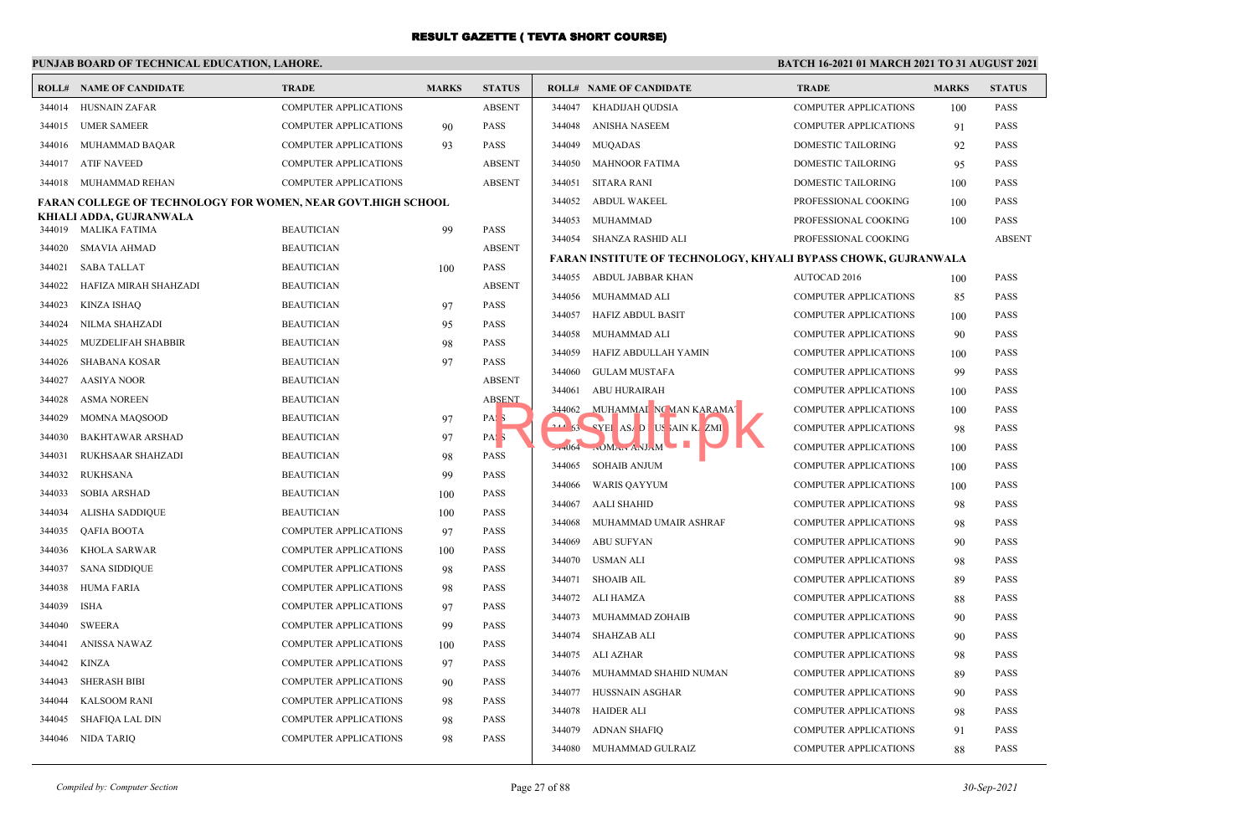## **PUNJAB BOARD OF TECHNICAL EDUCATION, LAHORE.**

|        | <b>ROLL# NAME OF CANDIDATE</b>                               | <b>TRADE</b>                 | <b>MARKS</b> | <b>STATUS</b>    |        | <b>ROLL# NAME OF CANDIDATE</b>                                 | <b>TRADE</b>                 | <b>MARKS</b> | <b>STATUS</b> |
|--------|--------------------------------------------------------------|------------------------------|--------------|------------------|--------|----------------------------------------------------------------|------------------------------|--------------|---------------|
| 344014 | HUSNAIN ZAFAR                                                | COMPUTER APPLICATIONS        |              | <b>ABSENT</b>    | 344047 | KHADIJAH QUDSIA                                                | <b>COMPUTER APPLICATIONS</b> | 100          | <b>PASS</b>   |
| 344015 | <b>UMER SAMEER</b>                                           | <b>COMPUTER APPLICATIONS</b> | 90           | <b>PASS</b>      | 344048 | ANISHA NASEEM                                                  | <b>COMPUTER APPLICATIONS</b> | 91           | <b>PASS</b>   |
| 344016 | MUHAMMAD BAQAR                                               | <b>COMPUTER APPLICATIONS</b> | 93           | <b>PASS</b>      | 344049 | <b>MUQADAS</b>                                                 | DOMESTIC TAILORING           | 92           | <b>PASS</b>   |
| 344017 | ATIF NAVEED                                                  | <b>COMPUTER APPLICATIONS</b> |              | <b>ABSENT</b>    | 344050 | MAHNOOR FATIMA                                                 | DOMESTIC TAILORING           | 95           | <b>PASS</b>   |
| 344018 | MUHAMMAD REHAN                                               | <b>COMPUTER APPLICATIONS</b> |              | <b>ABSENT</b>    | 344051 | <b>SITARA RANI</b>                                             | DOMESTIC TAILORING           | 100          | <b>PASS</b>   |
|        | FARAN COLLEGE OF TECHNOLOGY FOR WOMEN, NEAR GOVT.HIGH SCHOOL |                              |              |                  | 344052 | <b>ABDUL WAKEEL</b>                                            | PROFESSIONAL COOKING         | 100          | <b>PASS</b>   |
|        | KHIALI ADDA, GUJRANWALA                                      |                              |              |                  | 344053 | MUHAMMAD                                                       | PROFESSIONAL COOKING         | 100          | <b>PASS</b>   |
| 344019 | MALIKA FATIMA                                                | <b>BEAUTICIAN</b>            | 99           | <b>PASS</b>      |        | 344054 SHANZA RASHID ALI                                       | PROFESSIONAL COOKING         |              | <b>ABSEN</b>  |
| 344020 | SMAVIA AHMAD                                                 | <b>BEAUTICIAN</b>            |              | <b>ABSENT</b>    |        | FARAN INSTITUTE OF TECHNOLOGY, KHYALI BYPASS CHOWK, GUJRANWALA |                              |              |               |
| 344021 | <b>SABA TALLAT</b>                                           | <b>BEAUTICIAN</b>            | 100          | <b>PASS</b>      | 344055 | ABDUL JABBAR KHAN                                              | AUTOCAD 2016                 | 100          | <b>PASS</b>   |
| 344022 | HAFIZA MIRAH SHAHZADI                                        | <b>BEAUTICIAN</b>            |              | <b>ABSENT</b>    | 344056 | MUHAMMAD ALI                                                   | <b>COMPUTER APPLICATIONS</b> | 85           | <b>PASS</b>   |
| 344023 | KINZA ISHAO                                                  | <b>BEAUTICIAN</b>            | 97           | <b>PASS</b>      | 344057 | <b>HAFIZ ABDUL BASIT</b>                                       | <b>COMPUTER APPLICATIONS</b> | 100          | <b>PASS</b>   |
| 344024 | NILMA SHAHZADI                                               | <b>BEAUTICIAN</b>            | 95           | PASS             | 344058 | MUHAMMAD ALI                                                   | <b>COMPUTER APPLICATIONS</b> | 90           | <b>PASS</b>   |
| 344025 | MUZDELIFAH SHABBIR                                           | <b>BEAUTICIAN</b>            | 98           | <b>PASS</b>      | 344059 | HAFIZ ABDULLAH YAMIN                                           | <b>COMPUTER APPLICATIONS</b> | 100          | <b>PASS</b>   |
| 344026 | SHABANA KOSAR                                                | <b>BEAUTICIAN</b>            | 97           | <b>PASS</b>      | 344060 | <b>GULAM MUSTAFA</b>                                           | <b>COMPUTER APPLICATIONS</b> | 99           | <b>PASS</b>   |
| 344027 | <b>AASIYA NOOR</b>                                           | <b>BEAUTICIAN</b>            |              | <b>ABSENT</b>    | 344061 | ABU HURAIRAH                                                   | <b>COMPUTER APPLICATIONS</b> |              | <b>PASS</b>   |
| 344028 | <b>ASMA NOREEN</b>                                           | <b>BEAUTICIAN</b>            |              | <b>ABSENT</b>    |        | MUHAMMAI NC MAN KARAMA                                         |                              | 100          |               |
| 344029 | <b>MOMNA MAOSOOD</b>                                         | <b>BEAUTICIAN</b>            | 97           | PAS <sub>5</sub> | 344062 |                                                                | <b>COMPUTER APPLICATIONS</b> | 100          | <b>PASS</b>   |
| 344030 | <b>BAKHTAWAR ARSHAD</b>                                      | <b>BEAUTICIAN</b>            | 97           | PAS <sub>3</sub> |        | <b>111 53 SVEI AS/ DUSAINK ZMI</b>                             | <b>COMPUTER APPLICATIONS</b> | 98           | <b>PASS</b>   |
| 344031 | RUKHSAAR SHAHZADI                                            | <b>BEAUTICIAN</b>            | 98           | <b>PASS</b>      |        | $-1064$ $\ldots$ MA $\ldots$ ANJAM                             | <b>COMPUTER APPLICATIONS</b> | 100          | <b>PASS</b>   |
| 344032 | <b>RUKHSANA</b>                                              | <b>BEAUTICIAN</b>            | 99           | <b>PASS</b>      | 344065 | <b>SOHAIB ANJUM</b>                                            | COMPUTER APPLICATIONS        | 100          | <b>PASS</b>   |
| 344033 | SOBIA ARSHAD                                                 | <b>BEAUTICIAN</b>            | 100          | <b>PASS</b>      | 344066 | <b>WARIS QAYYUM</b>                                            | <b>COMPUTER APPLICATIONS</b> | 100          | <b>PASS</b>   |
| 344034 | <b>ALISHA SADDIQUE</b>                                       | <b>BEAUTICIAN</b>            | 100          | <b>PASS</b>      | 344067 | AALI SHAHID                                                    | <b>COMPUTER APPLICATIONS</b> | 98           | <b>PASS</b>   |
| 344035 | QAFIA BOOTA                                                  | COMPUTER APPLICATIONS        | 97           | <b>PASS</b>      | 344068 | MUHAMMAD UMAIR ASHRAF                                          | <b>COMPUTER APPLICATIONS</b> | 98           | <b>PASS</b>   |
| 344036 | <b>KHOLA SARWAR</b>                                          | <b>COMPUTER APPLICATIONS</b> | 100          | <b>PASS</b>      | 344069 | <b>ABU SUFYAN</b>                                              | <b>COMPUTER APPLICATIONS</b> | 90           | <b>PASS</b>   |
| 344037 | <b>SANA SIDDIQUE</b>                                         | <b>COMPUTER APPLICATIONS</b> | 98           | <b>PASS</b>      | 344070 | USMAN ALI                                                      | <b>COMPUTER APPLICATIONS</b> | 98           | <b>PASS</b>   |
| 344038 | <b>HUMA FARIA</b>                                            | <b>COMPUTER APPLICATIONS</b> | 98           | <b>PASS</b>      | 344071 | <b>SHOAIB AIL</b>                                              | <b>COMPUTER APPLICATIONS</b> | 89           | <b>PASS</b>   |
| 344039 | ISHA                                                         | <b>COMPUTER APPLICATIONS</b> | 97           | <b>PASS</b>      | 344072 | ALI HAMZA                                                      | <b>COMPUTER APPLICATIONS</b> | 88           | <b>PASS</b>   |
| 344040 | <b>SWEERA</b>                                                | <b>COMPUTER APPLICATIONS</b> | 99           | <b>PASS</b>      | 344073 | MUHAMMAD ZOHAIB                                                | <b>COMPUTER APPLICATIONS</b> | 90           | <b>PASS</b>   |
| 344041 | ANISSA NAWAZ                                                 | <b>COMPUTER APPLICATIONS</b> | 100          | <b>PASS</b>      | 344074 | SHAHZAB ALI                                                    | <b>COMPUTER APPLICATIONS</b> | 90           | <b>PASS</b>   |
| 344042 | KINZA                                                        | <b>COMPUTER APPLICATIONS</b> | 97           | <b>PASS</b>      | 344075 | ALI AZHAR                                                      | <b>COMPUTER APPLICATIONS</b> | 98           | <b>PASS</b>   |
| 344043 | <b>SHERASH BIBI</b>                                          | <b>COMPUTER APPLICATIONS</b> | 90           | <b>PASS</b>      | 344076 | MUHAMMAD SHAHID NUMAN                                          | <b>COMPUTER APPLICATIONS</b> | 89           | <b>PASS</b>   |
|        |                                                              |                              |              |                  | 344077 | HUSSNAIN ASGHAR                                                | <b>COMPUTER APPLICATIONS</b> | 90           | <b>PASS</b>   |
| 344044 | <b>KALSOOM RANI</b>                                          | COMPUTER APPLICATIONS        | 98           | <b>PASS</b>      | 344078 | <b>HAIDER ALI</b>                                              | COMPUTER APPLICATIONS        | 98           | <b>PASS</b>   |
| 344045 | SHAFIQA LAL DIN                                              | COMPUTER APPLICATIONS        | 98           | <b>PASS</b>      | 344079 | ADNAN SHAFIO                                                   | <b>COMPUTER APPLICATIONS</b> | 91           | <b>PASS</b>   |
|        | 344046 NIDA TARIQ                                            | <b>COMPUTER APPLICATIONS</b> | 98           | <b>PASS</b>      |        | 344080 MUHAMMAD GULRAIZ                                        | <b>COMPUTER APPLICATIONS</b> | 88           | <b>PASS</b>   |

| <b>TATUS</b> |          | <b>ROLL# NAME OF CANDIDATE</b>                                 | <b>TRADE</b>                 | <b>MARKS</b> | <b>STATUS</b> |
|--------------|----------|----------------------------------------------------------------|------------------------------|--------------|---------------|
| <b>BSENT</b> | 344047   | KHADIJAH QUDSIA                                                | <b>COMPUTER APPLICATIONS</b> | 100          | <b>PASS</b>   |
| <b>ASS</b>   | 344048   | ANISHA NASEEM                                                  | <b>COMPUTER APPLICATIONS</b> | 91           | <b>PASS</b>   |
| \SS-         | 344049   | <b>MUQADAS</b>                                                 | DOMESTIC TAILORING           | 92           | <b>PASS</b>   |
| <b>BSENT</b> | 344050   | <b>MAHNOOR FATIMA</b>                                          | DOMESTIC TAILORING           | 95           | <b>PASS</b>   |
| BSENT        | 344051   | <b>SITARA RANI</b>                                             | <b>DOMESTIC TAILORING</b>    | 100          | <b>PASS</b>   |
|              | 344052   | <b>ABDUL WAKEEL</b>                                            | PROFESSIONAL COOKING         | 100          | <b>PASS</b>   |
| ١SS          | 344053   | <b>MUHAMMAD</b>                                                | PROFESSIONAL COOKING         | 100          | <b>PASS</b>   |
| BSENT        | 344054   | <b>SHANZA RASHID ALI</b>                                       | PROFESSIONAL COOKING         |              | <b>ABSENT</b> |
| <b>ASS</b>   |          | FARAN INSTITUTE OF TECHNOLOGY, KHYALI BYPASS CHOWK, GUJRANWALA |                              |              |               |
| <b>BSENT</b> | 344055   | ABDUL JABBAR KHAN                                              | AUTOCAD 2016                 | 100          | <b>PASS</b>   |
| ١SS          | 344056   | MUHAMMAD ALI                                                   | <b>COMPUTER APPLICATIONS</b> | 85           | <b>PASS</b>   |
| <b>ASS</b>   | 344057   | <b>HAFIZ ABDUL BASIT</b>                                       | <b>COMPUTER APPLICATIONS</b> | 100          | <b>PASS</b>   |
| <b>ASS</b>   | 344058   | MUHAMMAD ALI                                                   | <b>COMPUTER APPLICATIONS</b> | 90           | <b>PASS</b>   |
| <b>ASS</b>   | 344059   | HAFIZ ABDULLAH YAMIN                                           | COMPUTER APPLICATIONS        | 100          | <b>PASS</b>   |
| <b>BSENT</b> | 344060   | <b>GULAM MUSTAFA</b>                                           | <b>COMPUTER APPLICATIONS</b> | 99           | <b>PASS</b>   |
| BSENT        | 344061   | <b>ABU HURAIRAH</b>                                            | <b>COMPUTER APPLICATIONS</b> | 100          | <b>PASS</b>   |
| V.           | 344062   | MUHAMMAI NG MAN KARAMAT                                        | COMPUTER APPLICATIONS        | 100          | <b>PASS</b>   |
| V.           | $-44.63$ | "YEI AS D! US AIN K ZMI                                        | <b>COMPUTER APPLICATIONS</b> | 98           | <b>PASS</b>   |
| <b>ASS</b>   | $27+064$ | $NOM_{A1}$ ANJAM                                               | <b>COMPUTER APPLICATIONS</b> | 100          | <b>PASS</b>   |
| <b>ASS</b>   | 344065   | <b>SOHAIB ANJUM</b>                                            | <b>COMPUTER APPLICATIONS</b> | 100          | <b>PASS</b>   |
| ١SS          | 344066   | <b>WARIS QAYYUM</b>                                            | <b>COMPUTER APPLICATIONS</b> | 100          | <b>PASS</b>   |
| <b>ASS</b>   | 344067   | <b>AALI SHAHID</b>                                             | <b>COMPUTER APPLICATIONS</b> | 98           | <b>PASS</b>   |
| <b>ASS</b>   | 344068   | MUHAMMAD UMAIR ASHRAF                                          | <b>COMPUTER APPLICATIONS</b> | 98           | <b>PASS</b>   |
| <b>ASS</b>   | 344069   | <b>ABU SUFYAN</b>                                              | <b>COMPUTER APPLICATIONS</b> | 90           | <b>PASS</b>   |
| <b>ASS</b>   | 344070   | USMAN ALI                                                      | <b>COMPUTER APPLICATIONS</b> | 98           | <b>PASS</b>   |
| <b>ASS</b>   | 344071   | <b>SHOAIB AIL</b>                                              | <b>COMPUTER APPLICATIONS</b> | 89           | <b>PASS</b>   |
| <b>ASS</b>   | 344072   | <b>ALI HAMZA</b>                                               | <b>COMPUTER APPLICATIONS</b> | 88           | <b>PASS</b>   |
| <b>ASS</b>   | 344073   | MUHAMMAD ZOHAIB                                                | <b>COMPUTER APPLICATIONS</b> | 90           | <b>PASS</b>   |
| <b>ASS</b>   | 344074   | <b>SHAHZAB ALI</b>                                             | <b>COMPUTER APPLICATIONS</b> | 90           | <b>PASS</b>   |
| <b>ASS</b>   | 344075   | <b>ALI AZHAR</b>                                               | <b>COMPUTER APPLICATIONS</b> | 98           | <b>PASS</b>   |
| <b>ASS</b>   | 344076   | MUHAMMAD SHAHID NUMAN                                          | <b>COMPUTER APPLICATIONS</b> | 89           | <b>PASS</b>   |
| <b>ASS</b>   | 344077   | HUSSNAIN ASGHAR                                                | COMPUTER APPLICATIONS        | 90           | <b>PASS</b>   |
| <b>ASS</b>   | 344078   | <b>HAIDER ALI</b>                                              | <b>COMPUTER APPLICATIONS</b> | 98           | <b>PASS</b>   |
| <b>ASS</b>   | 344079   | <b>ADNAN SHAFIQ</b>                                            | <b>COMPUTER APPLICATIONS</b> | 91           | <b>PASS</b>   |
|              | 344080   | MUHAMMAD GULRAIZ                                               | <b>COMPUTER APPLICATIONS</b> | 88           | <b>PASS</b>   |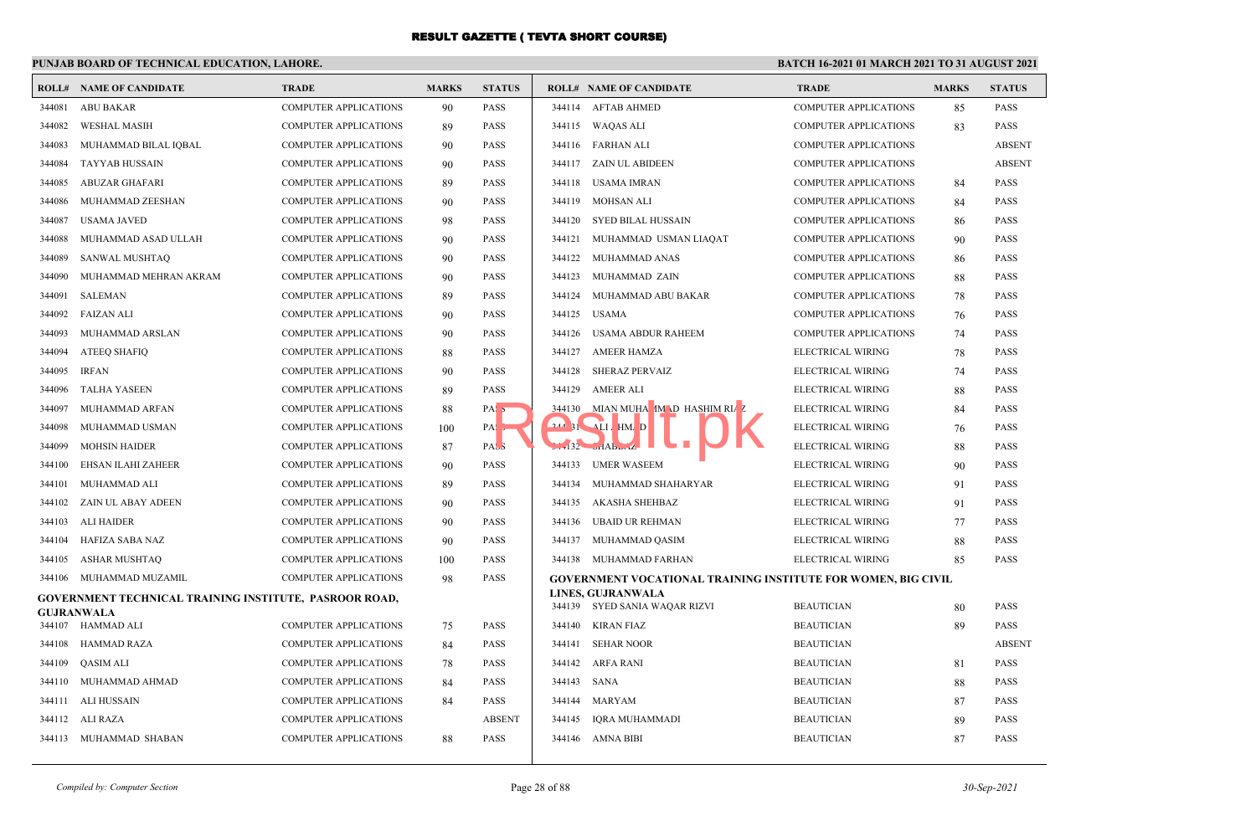## **PUNJAB BOARD OF TECHNICAL EDUCATION, LAHORE.**

| ROLL#  | NAME OF CANDIDATE                                      | <b>TRADE</b>                 | <b>MARKS</b> | <b>STATUS</b>    |                       | <b>ROLL# NAME OF CANDIDATE</b>                                | <b>TRADE</b>                 | <b>MARKS</b> | <b>STATUS</b> |
|--------|--------------------------------------------------------|------------------------------|--------------|------------------|-----------------------|---------------------------------------------------------------|------------------------------|--------------|---------------|
| 344081 | <b>ABU BAKAR</b>                                       | <b>COMPUTER APPLICATIONS</b> | 90           | <b>PASS</b>      | 344114 AFTAB AHMED    |                                                               | <b>COMPUTER APPLICATIONS</b> | 85           | <b>PASS</b>   |
| 344082 | <b>WESHAL MASIH</b>                                    | COMPUTER APPLICATIONS        | 89           | <b>PASS</b>      | 344115 WAQAS ALI      |                                                               | COMPUTER APPLICATIONS        | 83           | <b>PASS</b>   |
| 344083 | MUHAMMAD BILAL IQBAL                                   | <b>COMPUTER APPLICATIONS</b> | 90           | <b>PASS</b>      | 344116 FARHAN ALI     |                                                               | <b>COMPUTER APPLICATIONS</b> |              | <b>ABSENT</b> |
| 344084 | <b>TAYYAB HUSSAIN</b>                                  | <b>COMPUTER APPLICATIONS</b> | 90           | <b>PASS</b>      |                       | 344117 ZAIN UL ABIDEEN                                        | <b>COMPUTER APPLICATIONS</b> |              | <b>ABSENT</b> |
| 344085 | <b>ABUZAR GHAFARI</b>                                  | <b>COMPUTER APPLICATIONS</b> | 89           | <b>PASS</b>      | 344118                | <b>USAMA IMRAN</b>                                            | <b>COMPUTER APPLICATIONS</b> | 84           | <b>PASS</b>   |
| 344086 | MUHAMMAD ZEESHAN                                       | <b>COMPUTER APPLICATIONS</b> | 90           | <b>PASS</b>      | 344119                | <b>MOHSAN ALI</b>                                             | <b>COMPUTER APPLICATIONS</b> | 84           | <b>PASS</b>   |
| 344087 | <b>USAMA JAVED</b>                                     | <b>COMPUTER APPLICATIONS</b> | 98           | <b>PASS</b>      | 344120                | SYED BILAL HUSSAIN                                            | <b>COMPUTER APPLICATIONS</b> | 86           | <b>PASS</b>   |
| 344088 | MUHAMMAD ASAD ULLAH                                    | <b>COMPUTER APPLICATIONS</b> | 90           | <b>PASS</b>      | 344121                | MUHAMMAD USMAN LIAQAT                                         | <b>COMPUTER APPLICATIONS</b> | 90           | <b>PASS</b>   |
| 344089 | SANWAL MUSHTAQ                                         | <b>COMPUTER APPLICATIONS</b> | 90           | <b>PASS</b>      |                       | 344122 MUHAMMAD ANAS                                          | <b>COMPUTER APPLICATIONS</b> | 86           | <b>PASS</b>   |
| 344090 | MUHAMMAD MEHRAN AKRAM                                  | <b>COMPUTER APPLICATIONS</b> | 90           | <b>PASS</b>      | 344123                | MUHAMMAD ZAIN                                                 | <b>COMPUTER APPLICATIONS</b> | 88           | <b>PASS</b>   |
| 344091 | <b>SALEMAN</b>                                         | COMPUTER APPLICATIONS        | 89           | <b>PASS</b>      | 344124                | MUHAMMAD ABU BAKAR                                            | COMPUTER APPLICATIONS        | 78           | <b>PASS</b>   |
| 344092 | FAIZAN ALI                                             | <b>COMPUTER APPLICATIONS</b> | 90           | <b>PASS</b>      | 344125                | USAMA                                                         | <b>COMPUTER APPLICATIONS</b> | 76           | <b>PASS</b>   |
| 344093 | MUHAMMAD ARSLAN                                        | COMPUTER APPLICATIONS        | 90           | <b>PASS</b>      | 344126                | USAMA ABDUR RAHEEM                                            | COMPUTER APPLICATIONS        | 74           | <b>PASS</b>   |
| 344094 | <b>ATEEQ SHAFIQ</b>                                    | COMPUTER APPLICATIONS        | 88           | <b>PASS</b>      | 344127                | <b>AMEER HAMZA</b>                                            | ELECTRICAL WIRING            | 78           | <b>PASS</b>   |
| 344095 | <b>IRFAN</b>                                           | COMPUTER APPLICATIONS        | 90           | <b>PASS</b>      | 344128                | <b>SHERAZ PERVAIZ</b>                                         | ELECTRICAL WIRING            | 74           | <b>PASS</b>   |
| 344096 | <b>TALHA YASEEN</b>                                    | <b>COMPUTER APPLICATIONS</b> | 89           | <b>PASS</b>      | 344129                | <b>AMEER ALI</b>                                              | ELECTRICAL WIRING            | 88           | <b>PASS</b>   |
| 344097 | MUHAMMAD ARFAN                                         | <b>COMPUTER APPLICATIONS</b> | 88           | PAS <sub>5</sub> | 344130                | MIAN MUHA IM D HASHIM RIAZ                                    | ELECTRICAL WIRING            | 84           | <b>PASS</b>   |
| 344098 | MUHAMMAD USMAN                                         | COMPUTER APPLICATIONS        | 100          | $PA:$ ,          | $244.31$              | ALI HM D                                                      | ELECTRICAL WIRING            | 76           | <b>PASS</b>   |
| 344099 | <b>MOHSIN HAIDER</b>                                   | <b>COMPUTER APPLICATIONS</b> | 87           | PAS <sub>3</sub> | $-132$ $-148$         | <b>The State</b>                                              | ELECTRICAL WIRING            | 88           | <b>PASS</b>   |
| 344100 | EHSAN ILAHI ZAHEER                                     | <b>COMPUTER APPLICATIONS</b> | 90           | <b>PASS</b>      | 344133                | <b>UMER WASEEM</b>                                            | ELECTRICAL WIRING            | 90           | <b>PASS</b>   |
| 344101 | MUHAMMAD ALI                                           | <b>COMPUTER APPLICATIONS</b> | 89           | <b>PASS</b>      | 344134                | MUHAMMAD SHAHARYAR                                            | ELECTRICAL WIRING            | 91           | <b>PASS</b>   |
| 344102 | ZAIN UL ABAY ADEEN                                     | COMPUTER APPLICATIONS        | 90           | <b>PASS</b>      | 344135                | AKASHA SHEHBAZ                                                | ELECTRICAL WIRING            | 91           | <b>PASS</b>   |
| 344103 | <b>ALI HAIDER</b>                                      | <b>COMPUTER APPLICATIONS</b> | 90           | <b>PASS</b>      | 344136                | <b>UBAID UR REHMAN</b>                                        | ELECTRICAL WIRING            | 77           | <b>PASS</b>   |
| 344104 | HAFIZA SABA NAZ                                        | COMPUTER APPLICATIONS        | 90           | <b>PASS</b>      | 344137                | MUHAMMAD QASIM                                                | ELECTRICAL WIRING            | 88           | <b>PASS</b>   |
| 344105 | ASHAR MUSHTAQ                                          | <b>COMPUTER APPLICATIONS</b> | 100          | <b>PASS</b>      |                       | 344138 MUHAMMAD FARHAN                                        | ELECTRICAL WIRING            | 85           | <b>PASS</b>   |
| 344106 | MUHAMMAD MUZAMIL                                       | COMPUTER APPLICATIONS        | 98           | <b>PASS</b>      |                       | GOVERNMENT VOCATIONAL TRAINING INSTITUTE FOR WOMEN, BIG CIVIL |                              |              |               |
|        | GOVERNMENT TECHNICAL TRAINING INSTITUTE, PASROOR ROAD, |                              |              |                  | LINES, GUJRANWALA     | 344139 SYED SANIA WAQAR RIZVI                                 | <b>BEAUTICIAN</b>            | 80           | <b>PASS</b>   |
|        | <b>GUJRANWALA</b><br>344107 HAMMAD ALI                 | <b>COMPUTER APPLICATIONS</b> | 75           | <b>PASS</b>      | 344140 KIRAN FIAZ     |                                                               | <b>BEAUTICIAN</b>            | 89           | <b>PASS</b>   |
| 344108 | <b>HAMMAD RAZA</b>                                     | <b>COMPUTER APPLICATIONS</b> | 84           | <b>PASS</b>      | 344141                | <b>SEHAR NOOR</b>                                             | <b>BEAUTICIAN</b>            |              | <b>ABSENT</b> |
| 344109 | QASIM ALI                                              | COMPUTER APPLICATIONS        | 78           | <b>PASS</b>      | 344142                | ARFA RANI                                                     | <b>BEAUTICIAN</b>            | 81           | <b>PASS</b>   |
| 344110 | MUHAMMAD AHMAD                                         | <b>COMPUTER APPLICATIONS</b> | 84           | <b>PASS</b>      | <b>SANA</b><br>344143 |                                                               | <b>BEAUTICIAN</b>            | 88           | <b>PASS</b>   |
|        | 344111 ALI HUSSAIN                                     | <b>COMPUTER APPLICATIONS</b> | 84           | <b>PASS</b>      | 344144                | MARYAM                                                        | <b>BEAUTICIAN</b>            | 87           | <b>PASS</b>   |
|        | 344112 ALI RAZA                                        | <b>COMPUTER APPLICATIONS</b> |              | <b>ABSENT</b>    | 344145                | IQRA MUHAMMADI                                                | <b>BEAUTICIAN</b>            | 89           | <b>PASS</b>   |
|        | 344113 MUHAMMAD SHABAN                                 | <b>COMPUTER APPLICATIONS</b> | 88           | <b>PASS</b>      | 344146 AMNA BIBI      |                                                               | <b>BEAUTICIAN</b>            | 87           | <b>PASS</b>   |
|        |                                                        |                              |              |                  |                       |                                                               |                              |              |               |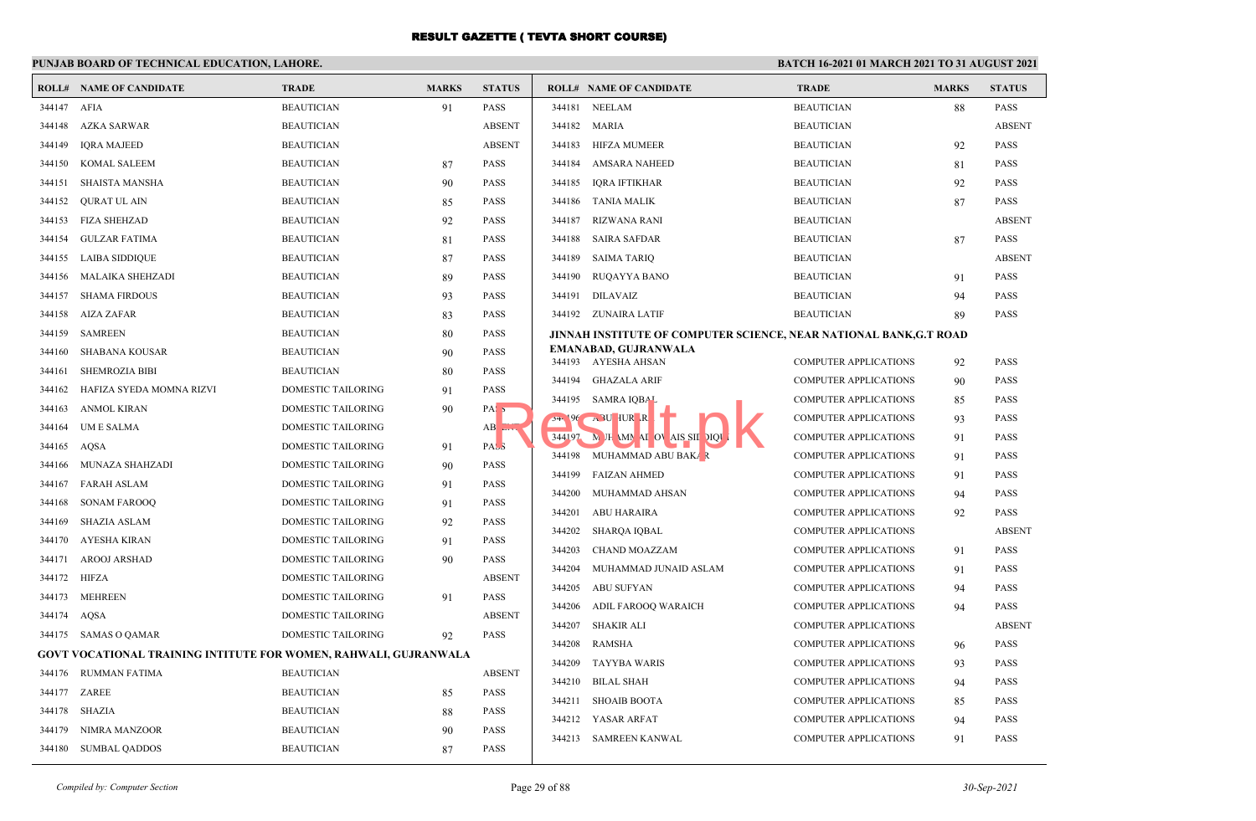|             | PUNJAB BOARD OF TECHNICAL EDUCATION, LAHORE.                     |                           |              |                  | BATCH 16-2021 01 MARCH 2021 TO 31 AUGUST 2021                     |                              |              |               |  |
|-------------|------------------------------------------------------------------|---------------------------|--------------|------------------|-------------------------------------------------------------------|------------------------------|--------------|---------------|--|
|             | <b>ROLL# NAME OF CANDIDATE</b>                                   | <b>TRADE</b>              | <b>MARKS</b> | <b>STATUS</b>    | <b>ROLL# NAME OF CANDIDATE</b>                                    | <b>TRADE</b>                 | <b>MARKS</b> | <b>STATUS</b> |  |
| 344147 AFIA |                                                                  | <b>BEAUTICIAN</b>         | 91           | <b>PASS</b>      | 344181 NEELAM                                                     | <b>BEAUTICIAN</b>            | 88           | <b>PASS</b>   |  |
|             | 344148 AZKA SARWAR                                               | <b>BEAUTICIAN</b>         |              | <b>ABSENT</b>    | 344182 MARIA                                                      | <b>BEAUTICIAN</b>            |              | <b>ABSENT</b> |  |
| 344149      | <b>IQRA MAJEED</b>                                               | <b>BEAUTICIAN</b>         |              | <b>ABSENT</b>    | 344183<br><b>HIFZA MUMEER</b>                                     | <b>BEAUTICIAN</b>            | 92           | <b>PASS</b>   |  |
| 344150      | KOMAL SALEEM                                                     | <b>BEAUTICIAN</b>         | 87           | <b>PASS</b>      | 344184<br>AMSARA NAHEED                                           | <b>BEAUTICIAN</b>            | 81           | <b>PASS</b>   |  |
| 344151      | <b>SHAISTA MANSHA</b>                                            | <b>BEAUTICIAN</b>         | 90           | <b>PASS</b>      | 344185<br><b>IQRA IFTIKHAR</b>                                    | <b>BEAUTICIAN</b>            | 92           | <b>PASS</b>   |  |
| 344152      | <b>QURAT UL AIN</b>                                              | <b>BEAUTICIAN</b>         | 85           | <b>PASS</b>      | 344186<br><b>TANIA MALIK</b>                                      | <b>BEAUTICIAN</b>            | 87           | <b>PASS</b>   |  |
|             | 344153 FIZA SHEHZAD                                              | <b>BEAUTICIAN</b>         | 92           | <b>PASS</b>      | 344187<br>RIZWANA RANI                                            | <b>BEAUTICIAN</b>            |              | <b>ABSENT</b> |  |
| 344154      | GULZAR FATIMA                                                    | <b>BEAUTICIAN</b>         | 81           | <b>PASS</b>      | 344188<br><b>SAIRA SAFDAR</b>                                     | <b>BEAUTICIAN</b>            | 87           | <b>PASS</b>   |  |
| 344155      | <b>LAIBA SIDDIQUE</b>                                            | <b>BEAUTICIAN</b>         | 87           | <b>PASS</b>      | 344189<br><b>SAIMA TARIQ</b>                                      | <b>BEAUTICIAN</b>            |              | <b>ABSENT</b> |  |
| 344156      | MALAIKA SHEHZADI                                                 | <b>BEAUTICIAN</b>         | 89           | <b>PASS</b>      | 344190<br>RUQAYYA BANO                                            | <b>BEAUTICIAN</b>            | 91           | <b>PASS</b>   |  |
| 344157      | <b>SHAMA FIRDOUS</b>                                             | <b>BEAUTICIAN</b>         | 93           | <b>PASS</b>      | 344191<br>DILAVAIZ                                                | <b>BEAUTICIAN</b>            | 94           | <b>PASS</b>   |  |
| 344158      | AIZA ZAFAR                                                       | <b>BEAUTICIAN</b>         | 83           | <b>PASS</b>      | 344192 ZUNAIRA LATIF                                              | <b>BEAUTICIAN</b>            | 89           | <b>PASS</b>   |  |
| 344159      | SAMREEN                                                          | <b>BEAUTICIAN</b>         | 80           | <b>PASS</b>      | JINNAH INSTITUTE OF COMPUTER SCIENCE, NEAR NATIONAL BANK,G.T ROAD |                              |              |               |  |
| 344160      | SHABANA KOUSAR                                                   | <b>BEAUTICIAN</b>         | 90           | <b>PASS</b>      | EMANABAD, GUJRANWALA<br>344193 AYESHA AHSAN                       | <b>COMPUTER APPLICATIONS</b> | 92           | <b>PASS</b>   |  |
| 344161      | <b>SHEMROZIA BIBI</b>                                            | <b>BEAUTICIAN</b>         | 80           | <b>PASS</b>      | 344194 GHAZALA ARIF                                               | <b>COMPUTER APPLICATIONS</b> |              | <b>PASS</b>   |  |
| 344162      | HAFIZA SYEDA MOMNA RIZVI                                         | DOMESTIC TAILORING        | 91           | <b>PASS</b>      | 344195 SAMRA IQBAL                                                | <b>COMPUTER APPLICATIONS</b> | 90<br>85     | <b>PASS</b>   |  |
| 344163      | ANMOL KIRAN                                                      | DOMESTIC TAILORING        | 90           | PAS <sub>5</sub> | $24.196 \rightarrow$ BU HUR R                                     | <b>COMPUTER APPLICATIONS</b> | 93           | <b>PASS</b>   |  |
| 344164      | UM E SALMA                                                       | DOMESTIC TAILORING        |              | $AB$ $EIN$       | 344197 M JH MN AI OV AIS SIL DIQU                                 | <b>COMPUTER APPLICATIONS</b> | 91           | <b>PASS</b>   |  |
| 344165      | AOSA                                                             | DOMESTIC TAILORING        | 91           | PASS             | MUHAMMAD ABU BAKAR<br>344198                                      | <b>COMPUTER APPLICATIONS</b> | 91           | <b>PASS</b>   |  |
| 344166      | MUNAZA SHAHZADI                                                  | DOMESTIC TAILORING        | 90           | <b>PASS</b>      | 344199<br><b>FAIZAN AHMED</b>                                     | COMPUTER APPLICATIONS        | 91           | <b>PASS</b>   |  |
| 344167      | <b>FARAH ASLAM</b>                                               | DOMESTIC TAILORING        | 91           | <b>PASS</b>      | 344200<br>MUHAMMAD AHSAN                                          | COMPUTER APPLICATIONS        | 94           | <b>PASS</b>   |  |
| 344168      | <b>SONAM FAROOO</b>                                              | <b>DOMESTIC TAILORING</b> | 91           | <b>PASS</b>      | 344201<br>ABU HARAIRA                                             | COMPUTER APPLICATIONS        | 92           | <b>PASS</b>   |  |
| 344169      | <b>SHAZIA ASLAM</b>                                              | DOMESTIC TAILORING        | 92           | <b>PASS</b>      | 344202<br>SHARQA IQBAL                                            | <b>COMPUTER APPLICATIONS</b> |              | <b>ABSENT</b> |  |
|             | 344170 AYESHA KIRAN                                              | DOMESTIC TAILORING        | 91           | <b>PASS</b>      | 344203<br><b>CHAND MOAZZAM</b>                                    | COMPUTER APPLICATIONS        | 91           | <b>PASS</b>   |  |
| 344171      | AROOJ ARSHAD                                                     | DOMESTIC TAILORING        | 90           | <b>PASS</b>      | 344204<br>MUHAMMAD JUNAID ASLAM                                   | COMPUTER APPLICATIONS        | 91           | <b>PASS</b>   |  |
|             | 344172 HIFZA                                                     | DOMESTIC TAILORING        |              | <b>ABSENT</b>    | 344205<br>ABU SUFYAN                                              | <b>COMPUTER APPLICATIONS</b> | 94           | <b>PASS</b>   |  |
| 344173      | MEHREEN                                                          | DOMESTIC TAILORING        | 91           | <b>PASS</b>      | 344206<br>ADIL FAROOQ WARAICH                                     | COMPUTER APPLICATIONS        | 94           | <b>PASS</b>   |  |
|             | 344174 AQSA                                                      | <b>DOMESTIC TAILORING</b> |              | <b>ABSENT</b>    | <b>SHAKIR ALI</b><br>344207                                       | <b>COMPUTER APPLICATIONS</b> |              | <b>ABSENT</b> |  |
|             | 344175 SAMAS O QAMAR                                             | DOMESTIC TAILORING        | 92           | <b>PASS</b>      | 344208<br><b>RAMSHA</b>                                           | COMPUTER APPLICATIONS        | 96           | <b>PASS</b>   |  |
|             | GOVT VOCATIONAL TRAINING INTITUTE FOR WOMEN, RAHWALI, GUJRANWALA |                           |              |                  | 344209<br><b>TAYYBA WARIS</b>                                     | COMPUTER APPLICATIONS        | 93           | <b>PASS</b>   |  |
|             | 344176 RUMMAN FATIMA                                             | <b>BEAUTICIAN</b>         |              | <b>ABSENT</b>    | 344210<br><b>BILAL SHAH</b>                                       | COMPUTER APPLICATIONS        | 94           | <b>PASS</b>   |  |
|             | 344177 ZAREE                                                     | <b>BEAUTICIAN</b>         | 85           | <b>PASS</b>      | 344211 SHOAIB BOOTA                                               | COMPUTER APPLICATIONS        | 85           | <b>PASS</b>   |  |
| 344178      | SHAZIA                                                           | <b>BEAUTICIAN</b>         | 88           | <b>PASS</b>      | 344212 YASAR ARFAT                                                | COMPUTER APPLICATIONS        | 94           | <b>PASS</b>   |  |
| 344179      | NIMRA MANZOOR                                                    | <b>BEAUTICIAN</b>         | 90           | <b>PASS</b>      | 344213 SAMREEN KANWAL                                             | COMPUTER APPLICATIONS        | 91           | <b>PASS</b>   |  |
|             | 344180 SUMBAL QADDOS                                             | <b>BEAUTICIAN</b>         | 87           | <b>PASS</b>      |                                                                   |                              |              |               |  |
|             |                                                                  |                           |              |                  |                                                                   |                              |              |               |  |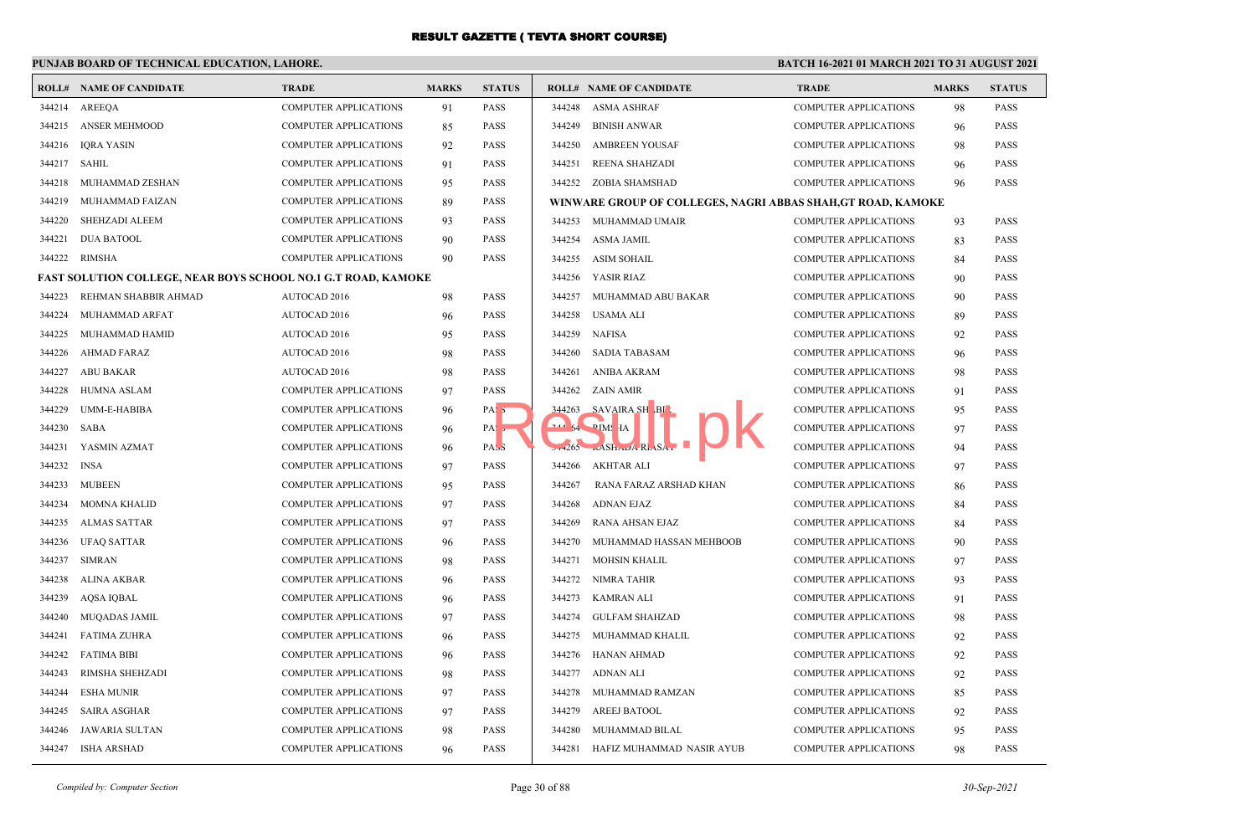## **PUNJAB BOARD OF TECHNICAL EDUCATION, LAHORE.**

|        | <b>ROLL# NAME OF CANDIDATE</b>                                       | <b>TRADE</b>                 | <b>MARKS</b> | <b>STATUS</b>    |        | <b>ROLL# NAME OF CANDIDATE</b>                              | <b>TRADE</b>                 | <b>MARKS</b> | <b>STATUS</b> |
|--------|----------------------------------------------------------------------|------------------------------|--------------|------------------|--------|-------------------------------------------------------------|------------------------------|--------------|---------------|
|        | 344214 AREEOA                                                        | <b>COMPUTER APPLICATIONS</b> | 91           | <b>PASS</b>      |        | 344248 ASMA ASHRAF                                          | COMPUTER APPLICATIONS        | 98           | <b>PASS</b>   |
| 344215 | <b>ANSER MEHMOOD</b>                                                 | <b>COMPUTER APPLICATIONS</b> | 85           | <b>PASS</b>      | 344249 | <b>BINISH ANWAR</b>                                         | <b>COMPUTER APPLICATIONS</b> | 96           | <b>PASS</b>   |
| 344216 | <b>IORA YASIN</b>                                                    | <b>COMPUTER APPLICATIONS</b> | 92           | <b>PASS</b>      | 344250 | <b>AMBREEN YOUSAF</b>                                       | <b>COMPUTER APPLICATIONS</b> | 98           | <b>PASS</b>   |
| 344217 | SAHIL                                                                | <b>COMPUTER APPLICATIONS</b> | 91           | PASS             | 344251 | REENA SHAHZADI                                              | <b>COMPUTER APPLICATIONS</b> | 96           | <b>PASS</b>   |
| 344218 | MUHAMMAD ZESHAN                                                      | <b>COMPUTER APPLICATIONS</b> | 95           | <b>PASS</b>      |        | 344252 ZOBIA SHAMSHAD                                       | <b>COMPUTER APPLICATIONS</b> | 96           | <b>PASS</b>   |
| 344219 | MUHAMMAD FAIZAN                                                      | COMPUTER APPLICATIONS        | 89           | PASS             |        | WINWARE GROUP OF COLLEGES, NAGRI ABBAS SHAH,GT ROAD, KAMOKE |                              |              |               |
| 344220 | SHEHZADI ALEEM                                                       | <b>COMPUTER APPLICATIONS</b> | 93           | <b>PASS</b>      | 344253 | MUHAMMAD UMAIR                                              | <b>COMPUTER APPLICATIONS</b> | 93           | <b>PASS</b>   |
| 344221 | <b>DUA BATOOL</b>                                                    | <b>COMPUTER APPLICATIONS</b> | 90           | PASS             | 344254 | ASMA JAMIL                                                  | <b>COMPUTER APPLICATIONS</b> | 83           | <b>PASS</b>   |
| 344222 | RIMSHA                                                               | <b>COMPUTER APPLICATIONS</b> | 90           | <b>PASS</b>      | 344255 | ASIM SOHAIL                                                 | <b>COMPUTER APPLICATIONS</b> | 84           | <b>PASS</b>   |
|        | <b>FAST SOLUTION COLLEGE, NEAR BOYS SCHOOL NO.1 G.T ROAD, KAMOKE</b> |                              |              |                  | 344256 | YASIR RIAZ                                                  | <b>COMPUTER APPLICATIONS</b> | 90           | <b>PASS</b>   |
| 344223 | REHMAN SHABBIR AHMAD                                                 | AUTOCAD 2016                 | 98           | PASS             | 344257 | MUHAMMAD ABU BAKAR                                          | COMPUTER APPLICATIONS        | 90           | <b>PASS</b>   |
| 344224 | MUHAMMAD ARFAT                                                       | AUTOCAD 2016                 | 96           | PASS             | 344258 | <b>USAMA ALI</b>                                            | <b>COMPUTER APPLICATIONS</b> | 89           | <b>PASS</b>   |
| 344225 | MUHAMMAD HAMID                                                       | <b>AUTOCAD 2016</b>          | 95           | <b>PASS</b>      | 344259 | <b>NAFISA</b>                                               | COMPUTER APPLICATIONS        | 92           | <b>PASS</b>   |
| 344226 | <b>AHMAD FARAZ</b>                                                   | <b>AUTOCAD 2016</b>          | 98           | <b>PASS</b>      | 344260 | <b>SADIA TABASAM</b>                                        | <b>COMPUTER APPLICATIONS</b> | 96           | <b>PASS</b>   |
| 344227 | ABU BAKAR                                                            | <b>AUTOCAD 2016</b>          | 98           | <b>PASS</b>      | 344261 | ANIBA AKRAM                                                 | COMPUTER APPLICATIONS        | 98           | <b>PASS</b>   |
| 344228 | <b>HUMNA ASLAM</b>                                                   | <b>COMPUTER APPLICATIONS</b> | 97           | <b>PASS</b>      | 344262 | ZAIN AMIR                                                   | <b>COMPUTER APPLICATIONS</b> | 91           | <b>PASS</b>   |
| 344229 | UMM-E-HABIBA                                                         | COMPUTER APPLICATIONS        | 96           | PAS <sub>3</sub> |        | 344263 SAVAIRA SH BI                                        | COMPUTER APPLICATIONS        | 95           | <b>PASS</b>   |
| 344230 | SABA                                                                 | COMPUTER APPLICATIONS        | 96           | PA:              |        | 244 54 PIMS HA                                              | <b>COMPUTER APPLICATIONS</b> | 97           | <b>PASS</b>   |
| 344231 | YASMIN AZMAT                                                         | <b>COMPUTER APPLICATIONS</b> | 96           | PASS             |        | $2+265$ $\ldots$ ASH $\ldots$ ARL SA.                       | <b>COMPUTER APPLICATIONS</b> | 94           | <b>PASS</b>   |
| 344232 | <b>INSA</b>                                                          | COMPUTER APPLICATIONS        | 97           | <b>PASS</b>      | 344266 | <b>AKHTAR ALI</b>                                           | COMPUTER APPLICATIONS        | 97           | <b>PASS</b>   |
| 344233 | <b>MUBEEN</b>                                                        | <b>COMPUTER APPLICATIONS</b> | 95           | PASS             | 344267 | RANA FARAZ ARSHAD KHAN                                      | <b>COMPUTER APPLICATIONS</b> | 86           | <b>PASS</b>   |
| 344234 | MOMNA KHALID                                                         | COMPUTER APPLICATIONS        | 97           | PASS             | 344268 | <b>ADNAN EJAZ</b>                                           | COMPUTER APPLICATIONS        | 84           | <b>PASS</b>   |
| 344235 | <b>ALMAS SATTAR</b>                                                  | <b>COMPUTER APPLICATIONS</b> | 97           | <b>PASS</b>      | 344269 | RANA AHSAN EJAZ                                             | <b>COMPUTER APPLICATIONS</b> | 84           | <b>PASS</b>   |
| 344236 | <b>UFAQ SATTAR</b>                                                   | <b>COMPUTER APPLICATIONS</b> | 96           | PASS             | 344270 | MUHAMMAD HASSAN MEHBOOB                                     | <b>COMPUTER APPLICATIONS</b> | 90           | <b>PASS</b>   |
| 344237 | <b>SIMRAN</b>                                                        | <b>COMPUTER APPLICATIONS</b> | 98           | <b>PASS</b>      | 344271 | <b>MOHSIN KHALIL</b>                                        | <b>COMPUTER APPLICATIONS</b> | 97           | <b>PASS</b>   |
| 344238 | ALINA AKBAR                                                          | <b>COMPUTER APPLICATIONS</b> | 96           | PASS             | 344272 | NIMRA TAHIR                                                 | <b>COMPUTER APPLICATIONS</b> | 93           | <b>PASS</b>   |
| 344239 | <b>AOSA IOBAL</b>                                                    | <b>COMPUTER APPLICATIONS</b> | 96           | <b>PASS</b>      | 344273 | KAMRAN ALI                                                  | <b>COMPUTER APPLICATIONS</b> | 91           | <b>PASS</b>   |
| 344240 | <b>MUOADAS JAMIL</b>                                                 | <b>COMPUTER APPLICATIONS</b> | 97           | <b>PASS</b>      | 344274 | <b>GULFAM SHAHZAD</b>                                       | <b>COMPUTER APPLICATIONS</b> | 98           | <b>PASS</b>   |
| 344241 | FATIMA ZUHRA                                                         | <b>COMPUTER APPLICATIONS</b> | 96           | PASS             | 344275 | MUHAMMAD KHALIL                                             | COMPUTER APPLICATIONS        | 92           | <b>PASS</b>   |
| 344242 | FATIMA BIBI                                                          | COMPUTER APPLICATIONS        | 96           | PASS             | 344276 | HANAN AHMAD                                                 | COMPUTER APPLICATIONS        | 92           | <b>PASS</b>   |
| 344243 | RIMSHA SHEHZADI                                                      | COMPUTER APPLICATIONS        | 98           | <b>PASS</b>      | 344277 | ADNAN ALI                                                   | COMPUTER APPLICATIONS        | 92           | <b>PASS</b>   |
| 344244 | <b>ESHA MUNIR</b>                                                    | <b>COMPUTER APPLICATIONS</b> | 97           | <b>PASS</b>      | 344278 | MUHAMMAD RAMZAN                                             | <b>COMPUTER APPLICATIONS</b> | 85           | <b>PASS</b>   |
| 344245 | <b>SAIRA ASGHAR</b>                                                  | COMPUTER APPLICATIONS        | 97           | PASS             | 344279 | AREEJ BATOOL                                                | COMPUTER APPLICATIONS        | 92           | <b>PASS</b>   |
| 344246 | JAWARIA SULTAN                                                       | <b>COMPUTER APPLICATIONS</b> | 98           | PASS             | 344280 | MUHAMMAD BILAL                                              | <b>COMPUTER APPLICATIONS</b> | 95           | <b>PASS</b>   |
| 344247 | ISHA ARSHAD                                                          | COMPUTER APPLICATIONS        | 96           | <b>PASS</b>      | 344281 | HAFIZ MUHAMMAD NASIR AYUB                                   | COMPUTER APPLICATIONS        | 98           | <b>PASS</b>   |
|        |                                                                      |                              |              |                  |        |                                                             |                              |              |               |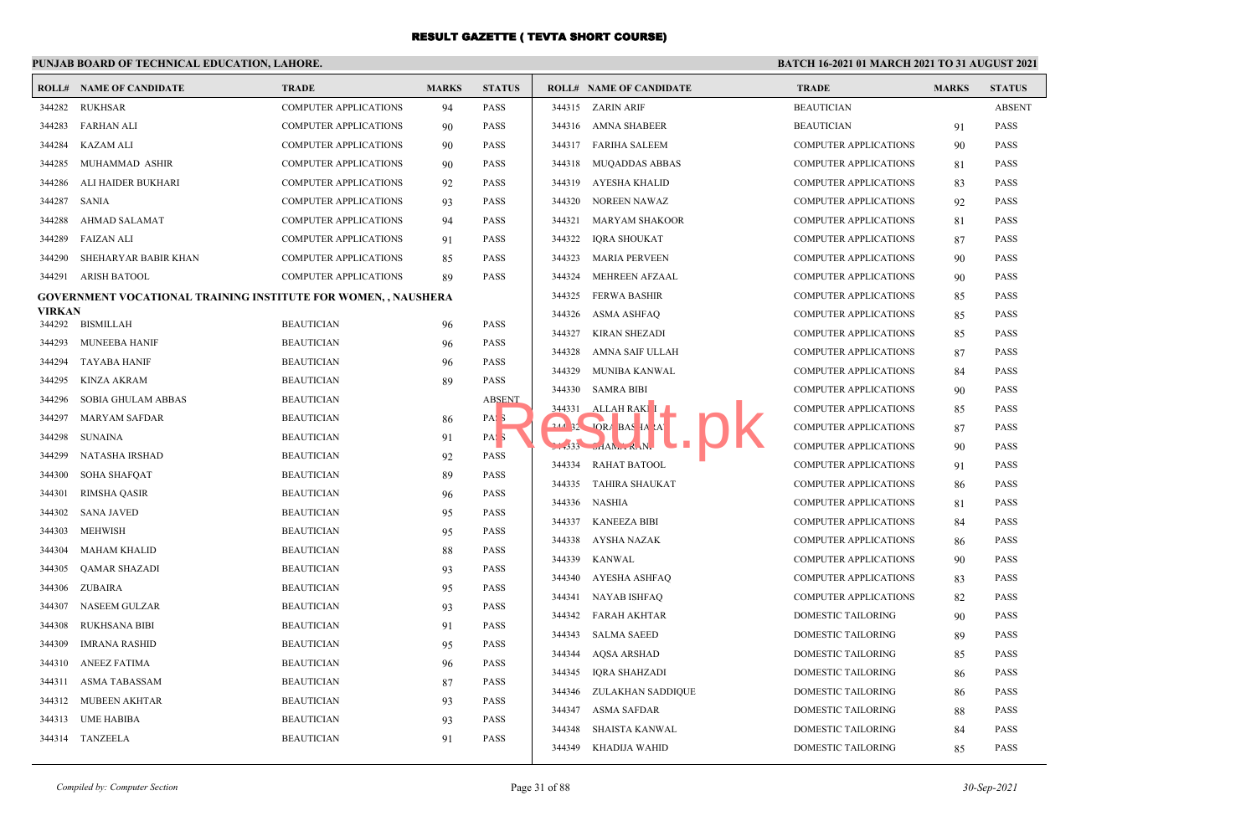## **PUNJAB BOARD OF TECHNICAL EDUCATION, LAHORE.**

|               | <b>ROLL# NAME OF CANDIDATE</b>                                        | <b>TRADE</b>                 | <b>MARKS</b> | <b>STATUS</b>    |          | <b>ROLL# NAME OF CANDIDATE</b> | <b>TRADE</b>                 | <b>MARKS</b> | <b>STATUS</b> |
|---------------|-----------------------------------------------------------------------|------------------------------|--------------|------------------|----------|--------------------------------|------------------------------|--------------|---------------|
| 344282        | RUKHSAR                                                               | <b>COMPUTER APPLICATIONS</b> | 94           | <b>PASS</b>      |          | 344315 ZARIN ARIF              | <b>BEAUTICIAN</b>            |              | <b>ABSENT</b> |
| 344283        | FARHAN ALI                                                            | <b>COMPUTER APPLICATIONS</b> | 90           | <b>PASS</b>      |          | 344316 AMNA SHABEER            | <b>BEAUTICIAN</b>            | 91           | <b>PASS</b>   |
| 344284        | KAZAM ALI                                                             | <b>COMPUTER APPLICATIONS</b> | 90           | <b>PASS</b>      |          | 344317 FARIHA SALEEM           | <b>COMPUTER APPLICATIONS</b> | 90           | <b>PASS</b>   |
| 344285        | MUHAMMAD ASHIR                                                        | <b>COMPUTER APPLICATIONS</b> | 90           | <b>PASS</b>      | 344318   | MUQADDAS ABBAS                 | <b>COMPUTER APPLICATIONS</b> | 81           | <b>PASS</b>   |
| 344286        | ALI HAIDER BUKHARI                                                    | <b>COMPUTER APPLICATIONS</b> | 92           | <b>PASS</b>      | 344319   | AYESHA KHALID                  | <b>COMPUTER APPLICATIONS</b> | 83           | <b>PASS</b>   |
| 344287        | SANIA                                                                 | COMPUTER APPLICATIONS        | 93           | <b>PASS</b>      | 344320   | NOREEN NAWAZ                   | COMPUTER APPLICATIONS        | 92           | <b>PASS</b>   |
| 344288        | AHMAD SALAMAT                                                         | <b>COMPUTER APPLICATIONS</b> | 94           | <b>PASS</b>      | 344321   | <b>MARYAM SHAKOOR</b>          | <b>COMPUTER APPLICATIONS</b> | 81           | <b>PASS</b>   |
| 344289        | <b>FAIZAN ALI</b>                                                     | <b>COMPUTER APPLICATIONS</b> | 91           | <b>PASS</b>      | 344322   | <b>IQRA SHOUKAT</b>            | <b>COMPUTER APPLICATIONS</b> | 87           | <b>PASS</b>   |
| 344290        | SHEHARYAR BABIR KHAN                                                  | <b>COMPUTER APPLICATIONS</b> | 85           | <b>PASS</b>      | 344323   | <b>MARIA PERVEEN</b>           | <b>COMPUTER APPLICATIONS</b> | 90           | <b>PASS</b>   |
|               | 344291 ARISH BATOOL                                                   | <b>COMPUTER APPLICATIONS</b> | 89           | <b>PASS</b>      | 344324   | MEHREEN AFZAAL                 | <b>COMPUTER APPLICATIONS</b> | 90           | PASS          |
|               | <b>GOVERNMENT VOCATIONAL TRAINING INSTITUTE FOR WOMEN, , NAUSHERA</b> |                              |              |                  | 344325   | <b>FERWA BASHIR</b>            | <b>COMPUTER APPLICATIONS</b> | 85           | <b>PASS</b>   |
| <b>VIRKAN</b> |                                                                       |                              |              |                  | 344326   | ASMA ASHFAQ                    | <b>COMPUTER APPLICATIONS</b> | 85           | <b>PASS</b>   |
|               | 344292 BISMILLAH                                                      | <b>BEAUTICIAN</b>            | 96           | <b>PASS</b>      | 344327   | KIRAN SHEZADI                  | <b>COMPUTER APPLICATIONS</b> | 85           | <b>PASS</b>   |
| 344293        | <b>MUNEEBA HANIF</b>                                                  | <b>BEAUTICIAN</b>            | 96           | <b>PASS</b>      | 344328   | AMNA SAIF ULLAH                | <b>COMPUTER APPLICATIONS</b> | 87           | <b>PASS</b>   |
| 344294        | TAYABA HANIF                                                          | <b>BEAUTICIAN</b>            | 96           | <b>PASS</b>      | 344329   | MUNIBA KANWAL                  | <b>COMPUTER APPLICATIONS</b> | 84           | <b>PASS</b>   |
| 344295        | <b>KINZA AKRAM</b>                                                    | <b>BEAUTICIAN</b>            | 89           | <b>PASS</b>      | 344330   | <b>SAMRA BIBI</b>              | <b>COMPUTER APPLICATIONS</b> | 90           | <b>PASS</b>   |
| 344296        | SOBIA GHULAM ABBAS                                                    | <b>BEAUTICIAN</b>            |              | <b>ABSENT</b>    | 344331   | ALLAH RAKI I                   | <b>COMPUTER APPLICATIONS</b> | 85           | <b>PASS</b>   |
| 344297        | <b>MARYAM SAFDAR</b>                                                  | <b>BEAUTICIAN</b>            | 86           | PAS <sub>5</sub> | $244$ 32 | <b>JORA BAS IA AT</b>          | <b>COMPUTER APPLICATIONS</b> | 87           | <b>PASS</b>   |
| 344298        | <b>SUNAINA</b>                                                        | <b>BEAUTICIAN</b>            | 91           | PAS <sub>3</sub> |          | $-333$ $-14N1$ $N2$            | <b>COMPUTER APPLICATIONS</b> | 90           | <b>PASS</b>   |
| 344299        | NATASHA IRSHAD                                                        | <b>BEAUTICIAN</b>            | 92           | <b>PASS</b>      |          | 344334 RAHAT BATOOL            | <b>COMPUTER APPLICATIONS</b> | 91           | <b>PASS</b>   |
| 344300        | <b>SOHA SHAFQAT</b>                                                   | <b>BEAUTICIAN</b>            | 89           | PASS             |          | 344335 TAHIRA SHAUKAT          | <b>COMPUTER APPLICATIONS</b> | 86           | <b>PASS</b>   |
| 344301        | <b>RIMSHA QASIR</b>                                                   | <b>BEAUTICIAN</b>            | 96           | <b>PASS</b>      | 344336   | NASHIA                         | <b>COMPUTER APPLICATIONS</b> | 81           | <b>PASS</b>   |
| 344302        | <b>SANA JAVED</b>                                                     | <b>BEAUTICIAN</b>            | 95           | <b>PASS</b>      | 344337   | <b>KANEEZA BIBI</b>            | <b>COMPUTER APPLICATIONS</b> | 84           | <b>PASS</b>   |
| 344303        | <b>MEHWISH</b>                                                        | <b>BEAUTICIAN</b>            | 95           | <b>PASS</b>      | 344338   | AYSHA NAZAK                    | <b>COMPUTER APPLICATIONS</b> | 86           | <b>PASS</b>   |
| 344304        | MAHAM KHALID                                                          | <b>BEAUTICIAN</b>            | 88           | <b>PASS</b>      | 344339   | KANWAL                         | <b>COMPUTER APPLICATIONS</b> | 90           | <b>PASS</b>   |
| 344305        | <b>QAMAR SHAZADI</b>                                                  | <b>BEAUTICIAN</b>            | 93           | <b>PASS</b>      | 344340   | AYESHA ASHFAQ                  | COMPUTER APPLICATIONS        | 83           | <b>PASS</b>   |
| 344306        | ZUBAIRA                                                               | <b>BEAUTICIAN</b>            | 95           | <b>PASS</b>      | 344341   | <b>NAYAB ISHFAQ</b>            | <b>COMPUTER APPLICATIONS</b> | 82           | <b>PASS</b>   |
| 344307        | <b>NASEEM GULZAR</b>                                                  | <b>BEAUTICIAN</b>            | 93           | <b>PASS</b>      |          | 344342 FARAH AKHTAR            | DOMESTIC TAILORING           | 90           | <b>PASS</b>   |
| 344308        | <b>RUKHSANA BIBI</b>                                                  | <b>BEAUTICIAN</b>            | 91           | <b>PASS</b>      | 344343   | <b>SALMA SAEED</b>             | DOMESTIC TAILORING           | 89           | <b>PASS</b>   |
| 344309        | <b>IMRANA RASHID</b>                                                  | <b>BEAUTICIAN</b>            | 95           | <b>PASS</b>      | 344344   | AQSA ARSHAD                    | DOMESTIC TAILORING           | 85           | <b>PASS</b>   |
| 344310        | <b>ANEEZ FATIMA</b>                                                   | <b>BEAUTICIAN</b>            | 96           | <b>PASS</b>      | 344345   | IQRA SHAHZADI                  | DOMESTIC TAILORING           | 86           | <b>PASS</b>   |
| 344311        | ASMA TABASSAM                                                         | <b>BEAUTICIAN</b>            | 87           | <b>PASS</b>      |          | 344346 ZULAKHAN SADDIQUE       | DOMESTIC TAILORING           | 86           | <b>PASS</b>   |
| 344312        | MUBEEN AKHTAR                                                         | <b>BEAUTICIAN</b>            | 93           | <b>PASS</b>      | 344347   | ASMA SAFDAR                    | DOMESTIC TAILORING           | 88           | <b>PASS</b>   |
| 344313        | <b>UME HABIBA</b>                                                     | <b>BEAUTICIAN</b>            | 93           | <b>PASS</b>      | 344348   | SHAISTA KANWAL                 | DOMESTIC TAILORING           |              | <b>PASS</b>   |
|               | 344314 TANZEELA                                                       | <b>BEAUTICIAN</b>            | 91           | <b>PASS</b>      |          |                                |                              | 84           |               |
|               |                                                                       |                              |              |                  |          | 344349 KHADIJA WAHID           | DOMESTIC TAILORING           | 85           | <b>PASS</b>   |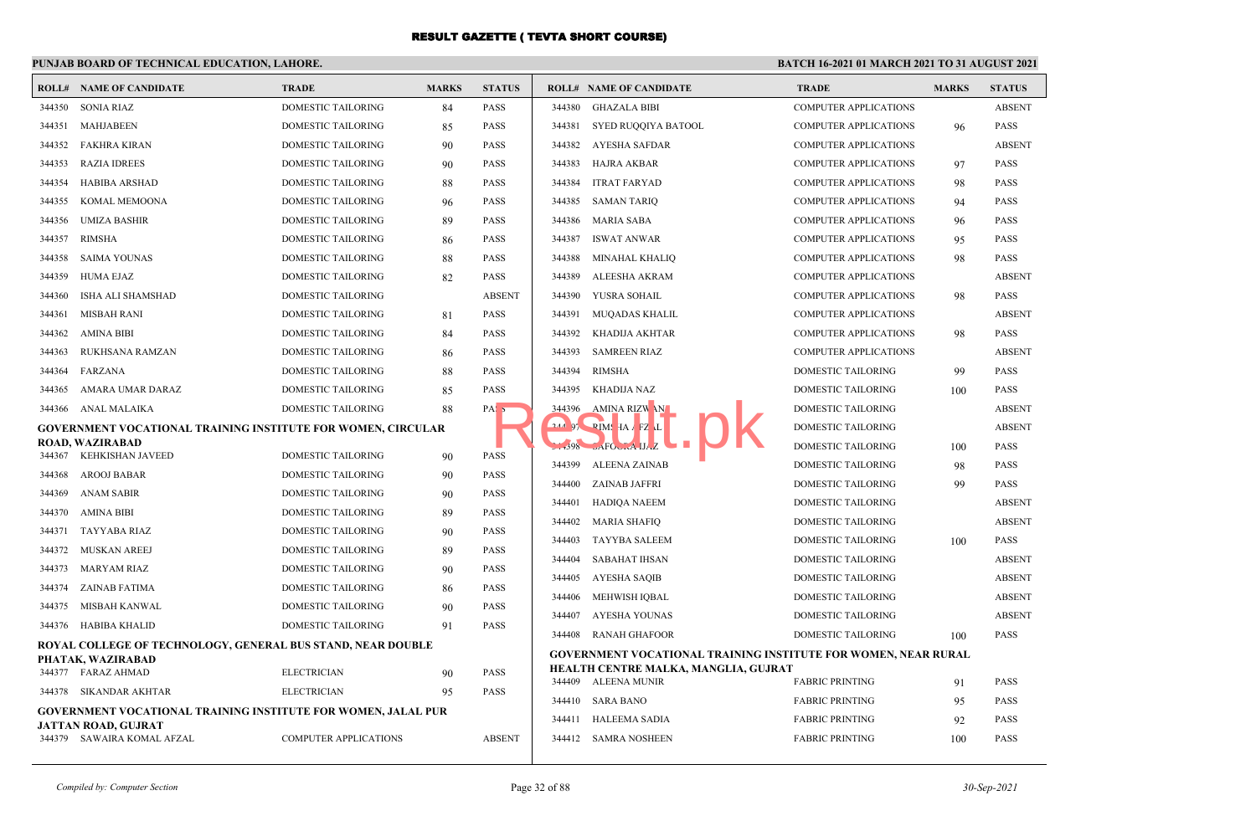## **PUNJAB BOARD OF TECHNICAL EDUCATION, LAHORE.**

|        | <b>ROLL# NAME OF CANDIDATE</b>                                                   | <b>TRADE</b>                 | <b>MARKS</b> | <b>STATUS</b> |        | <b>ROLL# NAME OF CANDIDATE</b>                                        | <b>TRADE</b>                 | <b>MARKS</b> | <b>STATUS</b> |
|--------|----------------------------------------------------------------------------------|------------------------------|--------------|---------------|--------|-----------------------------------------------------------------------|------------------------------|--------------|---------------|
| 344350 | <b>SONIA RIAZ</b>                                                                | DOMESTIC TAILORING           | 84           | PASS          | 344380 | <b>GHAZALA BIBI</b>                                                   | <b>COMPUTER APPLICATIONS</b> |              | <b>ABSENT</b> |
| 344351 | MAHJABEEN                                                                        | DOMESTIC TAILORING           | 85           | PASS          | 344381 | SYED RUQQIYA BATOOL                                                   | <b>COMPUTER APPLICATIONS</b> | 96           | PASS          |
| 344352 | FAKHRA KIRAN                                                                     | <b>DOMESTIC TAILORING</b>    | 90           | <b>PASS</b>   | 344382 | AYESHA SAFDAR                                                         | <b>COMPUTER APPLICATIONS</b> |              | <b>ABSENT</b> |
| 344353 | <b>RAZIA IDREES</b>                                                              | DOMESTIC TAILORING           | 90           | <b>PASS</b>   | 344383 | HAJRA AKBAR                                                           | <b>COMPUTER APPLICATIONS</b> | 97           | PASS          |
| 344354 | HABIBA ARSHAD                                                                    | DOMESTIC TAILORING           | 88           | <b>PASS</b>   | 344384 | <b>ITRAT FARYAD</b>                                                   | <b>COMPUTER APPLICATIONS</b> | 98           | PASS          |
| 344355 | KOMAL MEMOONA                                                                    | DOMESTIC TAILORING           | 96           | <b>PASS</b>   | 344385 | <b>SAMAN TARIO</b>                                                    | <b>COMPUTER APPLICATIONS</b> | 94           | PASS          |
| 344356 | UMIZA BASHIR                                                                     | DOMESTIC TAILORING           | 89           | <b>PASS</b>   | 344386 | <b>MARIA SABA</b>                                                     | <b>COMPUTER APPLICATIONS</b> | 96           | <b>PASS</b>   |
| 344357 | <b>RIMSHA</b>                                                                    | DOMESTIC TAILORING           | 86           | PASS          | 344387 | <b>ISWAT ANWAR</b>                                                    | <b>COMPUTER APPLICATIONS</b> | 95           | PASS          |
| 344358 | <b>SAIMA YOUNAS</b>                                                              | DOMESTIC TAILORING           | 88           | PASS          | 344388 | <b>MINAHAL KHALIQ</b>                                                 | <b>COMPUTER APPLICATIONS</b> | 98           | PASS          |
| 344359 | HUMA EJAZ                                                                        | <b>DOMESTIC TAILORING</b>    | 82           | <b>PASS</b>   | 344389 | ALEESHA AKRAM                                                         | <b>COMPUTER APPLICATIONS</b> |              | <b>ABSENT</b> |
| 344360 | ISHA ALI SHAMSHAD                                                                | DOMESTIC TAILORING           |              | <b>ABSENT</b> | 344390 | YUSRA SOHAIL                                                          | <b>COMPUTER APPLICATIONS</b> | 98           | PASS          |
| 344361 | <b>MISBAH RANI</b>                                                               | DOMESTIC TAILORING           | 81           | <b>PASS</b>   | 344391 | MUQADAS KHALIL                                                        | <b>COMPUTER APPLICATIONS</b> |              | <b>ABSENT</b> |
| 344362 | <b>AMINA BIBI</b>                                                                | DOMESTIC TAILORING           | 84           | <b>PASS</b>   | 344392 | KHADIJA AKHTAR                                                        | <b>COMPUTER APPLICATIONS</b> | 98           | PASS          |
| 344363 | RUKHSANA RAMZAN                                                                  | DOMESTIC TAILORING           | 86           | <b>PASS</b>   | 344393 | <b>SAMREEN RIAZ</b>                                                   | <b>COMPUTER APPLICATIONS</b> |              | <b>ABSENT</b> |
| 344364 | FARZANA                                                                          | DOMESTIC TAILORING           | 88           | PASS          | 344394 | <b>RIMSHA</b>                                                         | DOMESTIC TAILORING           | 99           | PASS          |
| 344365 | AMARA UMAR DARAZ                                                                 | <b>DOMESTIC TAILORING</b>    | 85           | <b>PASS</b>   | 344395 | <b>KHADIJA NAZ</b>                                                    | <b>DOMESTIC TAILORING</b>    | 100          | PASS          |
|        | 344366 ANAL MALAIKA                                                              | <b>DOMESTIC TAILORING</b>    | 88           | PAS I         | 344396 | AMINA RIZWAN                                                          | <b>DOMESTIC TAILORING</b>    |              | <b>ABSENT</b> |
|        | GOVERNMENT VOCATIONAL TRAINING INSTITUTE FOR WOMEN, CIRCULAR                     |                              |              |               |        | 244 97 PIMS HA FZ L                                                   | <b>DOMESTIC TAILORING</b>    |              | <b>ABSENT</b> |
| 344367 | <b>ROAD, WAZIRABAD</b><br>KEHKISHAN JAVEED                                       | <b>DOMESTIC TAILORING</b>    | 90           | <b>PASS</b>   |        |                                                                       | DOMESTIC TAILORING           | 100          | PASS          |
| 344368 | AROOJ BABAR                                                                      | <b>DOMESTIC TAILORING</b>    |              | <b>PASS</b>   | 344399 | ALEENA ZAINAB                                                         | <b>DOMESTIC TAILORING</b>    | 98           | PASS          |
| 344369 | ANAM SABIR                                                                       | DOMESTIC TAILORING           | 90           | PASS          | 344400 | ZAINAB JAFFRI                                                         | DOMESTIC TAILORING           | 99           | PASS          |
| 344370 | AMINA BIBI                                                                       | DOMESTIC TAILORING           | 90           | PASS          | 344401 | HADIQA NAEEM                                                          | DOMESTIC TAILORING           |              | <b>ABSENT</b> |
| 344371 | TAYYABA RIAZ                                                                     | <b>DOMESTIC TAILORING</b>    | 89<br>90     | <b>PASS</b>   | 344402 | <b>MARIA SHAFIQ</b>                                                   | DOMESTIC TAILORING           |              | <b>ABSENT</b> |
|        | 344372 MUSKAN AREEJ                                                              | DOMESTIC TAILORING           |              | <b>PASS</b>   | 344403 | TAYYBA SALEEM                                                         | DOMESTIC TAILORING           | 100          | PASS          |
|        | 344373 MARYAM RIAZ                                                               | DOMESTIC TAILORING           | 89<br>90     | <b>PASS</b>   | 344404 | SABAHAT IHSAN                                                         | DOMESTIC TAILORING           |              | <b>ABSENT</b> |
| 344374 | ZAINAB FATIMA                                                                    | DOMESTIC TAILORING           | 86           | PASS          | 344405 | AYESHA SAQIB                                                          | DOMESTIC TAILORING           |              | <b>ABSENT</b> |
| 344375 | MISBAH KANWAL                                                                    | <b>DOMESTIC TAILORING</b>    | 90           | PASS          | 344406 | <b>MEHWISH IOBAL</b>                                                  | <b>DOMESTIC TAILORING</b>    |              | <b>ABSENT</b> |
|        | 344376 HABIBA KHALID                                                             | DOMESTIC TAILORING           | 91           | PASS          | 344407 | AYESHA YOUNAS                                                         | DOMESTIC TAILORING           |              | <b>ABSENT</b> |
|        |                                                                                  |                              |              |               | 344408 | <b>RANAH GHAFOOR</b>                                                  | DOMESTIC TAILORING           | 100          | PASS          |
|        | ROYAL COLLEGE OF TECHNOLOGY, GENERAL BUS STAND, NEAR DOUBLE<br>PHATAK, WAZIRABAD |                              |              |               |        | <b>GOVERNMENT VOCATIONAL TRAINING INSTITUTE FOR WOMEN, NEAR RURAL</b> |                              |              |               |
|        | 344377 FARAZ AHMAD                                                               | <b>ELECTRICIAN</b>           | 90           | <b>PASS</b>   |        | HEALTH CENTRE MALKA, MANGLIA, GUJRAT<br>344409 ALEENA MUNIR           | <b>FABRIC PRINTING</b>       | 91           | PASS          |
|        | 344378 SIKANDAR AKHTAR                                                           | <b>ELECTRICIAN</b>           | 95           | <b>PASS</b>   |        | 344410 SARA BANO                                                      | <b>FABRIC PRINTING</b>       | 95           | PASS          |
|        | <b>GOVERNMENT VOCATIONAL TRAINING INSTITUTE FOR WOMEN, JALAL PUR</b>             |                              |              |               | 344411 | HALEEMA SADIA                                                         | <b>FABRIC PRINTING</b>       | 92           | PASS          |
|        | <b>JATTAN ROAD, GUJRAT</b><br>344379 SAWAIRA KOMAL AFZAL                         | <b>COMPUTER APPLICATIONS</b> |              | <b>ABSENT</b> |        | 344412 SAMRA NOSHEEN                                                  | <b>FABRIC PRINTING</b>       | 100          | PASS          |
|        |                                                                                  |                              |              |               |        |                                                                       |                              |              |               |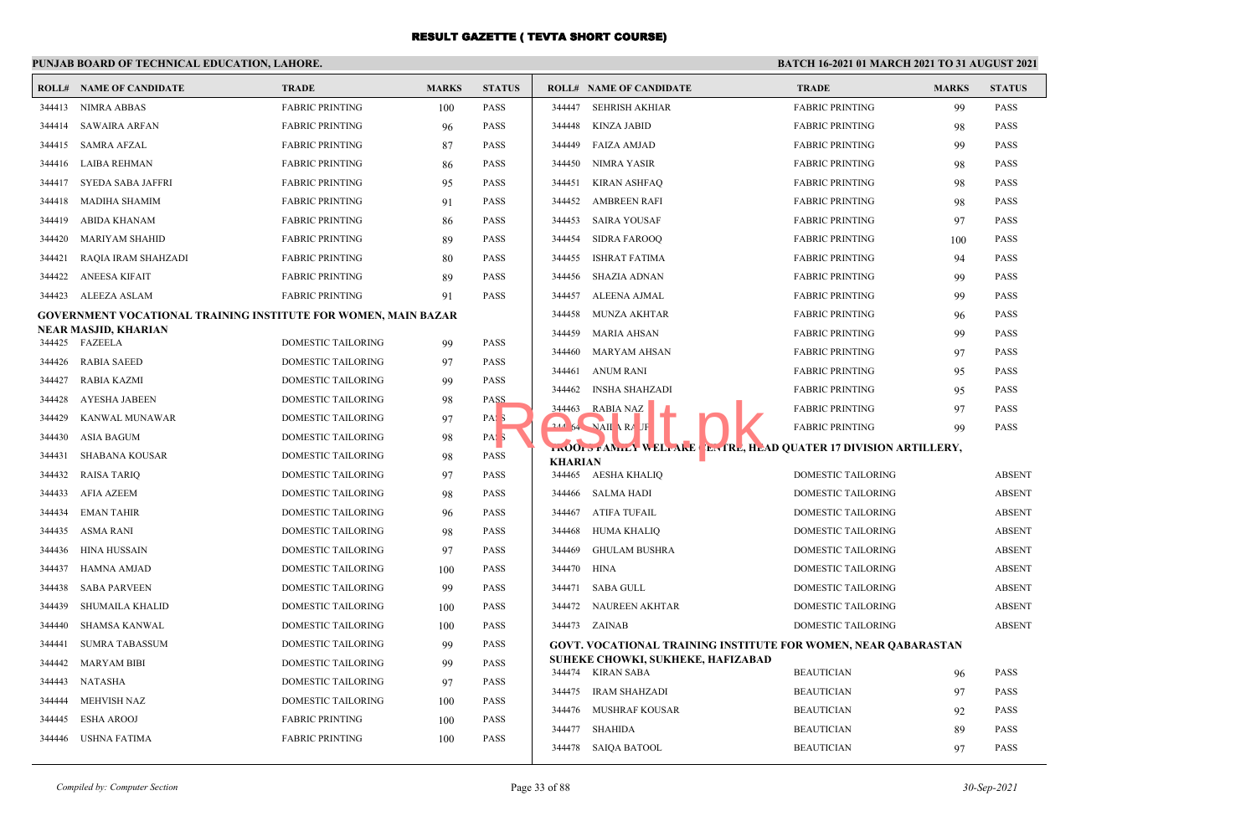#### **PUNJAB BOARD OF TECHNICAL EDUCATION, LAHORE. BATCH 16-2021 01 MARCH 2021 TO 31 AUGUST 2021 ROLL# NAME OF CANDIDATE TRADE MARKS STATUS ROLL# NAME OF CANDIDATE TRADE MARKS STATUS** 344413 NIMRA ABBAS FABRIC PRINTING 100 PASS 344414 SAWAIRA ARFAN FABRIC PRINTING 96 PASS 344415 SAMRA AFZAL FABRIC PRINTING 87 PASS 344416 LAIBA REHMAN FABRIC PRINTING 86 PASS 344417 SYEDA SABA JAFFRI FABRIC PRINTING 95 PASS 344418 MADIHA SHAMIM FABRIC PRINTING 91 PASS 344419 ABIDA KHANAM FABRIC PRINTING 86 PASS 344420 MARIYAM SHAHID FABRIC PRINTING 89 PASS 344421 RAQIA IRAM SHAHZADI FABRIC PRINTING 80 PASS 344422 ANEESA KIFAIT FABRIC PRINTING 89 PASS 344423 ALEEZA ASLAM FABRIC PRINTING 91 PASS **GOVERNMENT VOCATIONAL TRAINING INSTITUTE FOR WOMEN, MAIN BAZAR NEAR MASJID, KHARIAN** 344425 FAZEELA DOMESTIC TAILORING 99 PASS 344426 RABIA SAEED DOMESTIC TAILORING 97 PASS 344427 RABIA KAZMI DOMESTIC TAILORING 99 PASS 344428 AYESHA JABEEN DOMESTIC TAILORING 98 PASS 344429 KANWAL MUNAWAR DOMESTIC TAILORING 97 PASS 344430 ASIA BAGUM DOMESTIC TAILORING 98 PASS 344431 SHABANA KOUSAR DOMESTIC TAILORING 98 PASS 344432 RAISA TARIQ DOMESTIC TAILORING 97 PASS 344433 AFIA AZEEM DOMESTIC TAILORING 98 PASS 344434 EMAN TAHIR DOMESTIC TAILORING 96 PASS 344435 ASMA RANI DOMESTIC TAILORING 98 PASS 344436 HINA HUSSAIN DOMESTIC TAILORING 97 PASS 344437 HAMNA AMJAD DOMESTIC TAILORING 100 PASS 344438 SABA PARVEEN DOMESTIC TAILORING 99 PASS 344439 SHUMAILA KHALID DOMESTIC TAILORING 100 PASS 344440 SHAMSA KANWAL DOMESTIC TAILORING 100 PASS 344441 SUMRA TABASSUM DOMESTIC TAILORING 99 PASS 344442 MARYAM BIBI DOMESTIC TAILORING 99 PASS 344443 NATASHA DOMESTIC TAILORING 97 PASS 344444 MEHVISH NAZ DOMESTIC TAILORING 100 PASS 344445 ESHA AROOJ FABRIC PRINTING 100 PASS 344446 USHNA FATIMA **FABRIC PRINTING** 100 PASS 344447 SEHRISH AKHIAR FABRIC PRINTING 99 PASS 344448 KINZA JABID FABRIC PRINTING 98 PASS 344449 FAIZA AMJAD FABRIC PRINTING 99 PASS 344450 NIMRA YASIR FABRIC PRINTING 98 PASS 344451 KIRAN ASHFAQ FABRIC PRINTING 98 PASS 344452 AMBREEN RAFI FABRIC PRINTING 98 PASS 344453 SAIRA YOUSAF FABRIC PRINTING 97 PASS 344454 SIDRA FAROOQ FABRIC PRINTING 100 PASS 344455 ISHRAT FATIMA FABRIC PRINTING 94 PASS 344456 SHAZIA ADNAN FABRIC PRINTING 99 PASS 344457 ALEENA AJMAL FABRIC PRINTING 99 PASS 344458 MUNZA AKHTAR FABRIC PRINTING 96 PASS 344459 MARIA AHSAN FABRIC PRINTING 99 PASS 344460 MARYAM AHSAN FABRIC PRINTING 97 PASS 344461 ANUM RANI FABRIC PRINTING 95 PASS 344462 INSHA SHAHZADI FABRIC PRINTING 95 PASS 344463 RABIA NAZ FABRIC PRINTING 97 PASS **344 NAILA RAUF FABRIC PRINTING 99 PASS TROOPS FAMILY WELFARE CENTRE, HEAD QUATER 17 DIVISION ARTILLERY, KHARIAN** 344465 AESHA KHALIQ DOMESTIC TAILORING ABSENT 344466 SALMA HADI DOMESTIC TAILORING ABSENT 344467 ATIFA TUFAIL DOMESTIC TAILORING ABSENT 344468 HUMA KHALIQ DOMESTIC TAILORING ABSENT 344469 GHULAM BUSHRA DOMESTIC TAILORING ABSENT 344470 HINA DOMESTIC TAILORING ABSENT 344471 SABA GULL DOMESTIC TAILORING ABSENT 344472 NAUREEN AKHTAR DOMESTIC TAILORING ABSENT 344473 ZAINAB DOMESTIC TAILORING ABSENT **GOVT. VOCATIONAL TRAINING INSTITUTE FOR WOMEN, NEAR QABARASTAN SUHEKE CHOWKI, SUKHEKE, HAFIZABAD** 344474 KIRAN SABA BEAUTICIAN 96 PASS 344475 IRAM SHAHZADI BEAUTICIAN 97 PASS 344476 MUSHRAF KOUSAR BEAUTICIAN 92 PASS 344477 SHAHIDA BEAUTICIAN 89 PASS 344478 SAIQA BATOOL BEAUTICIAN 97 PASS 1988 344463 RABIA NAZ<br>1988 344463 RABIA NAZ<br>1988 358 ROOM - FAMILY WELLARE ENTRE, HE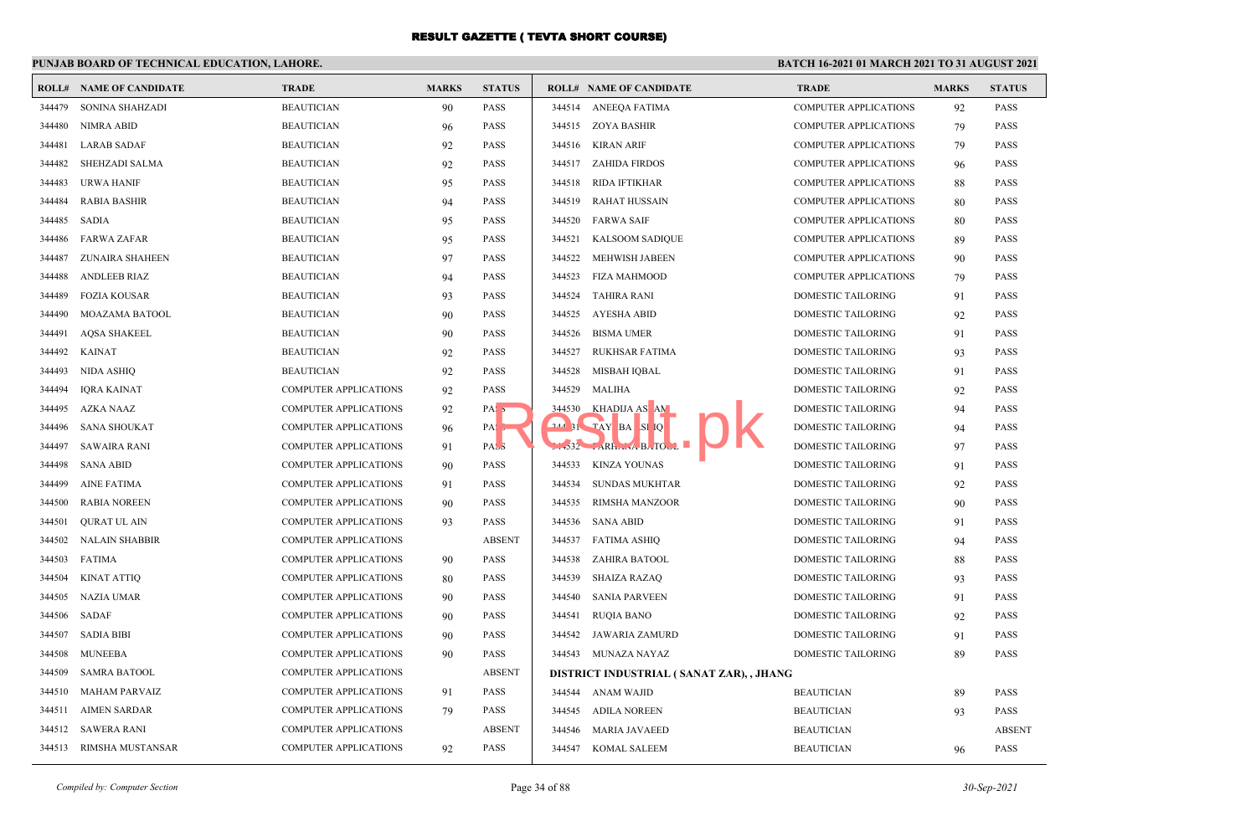# **PUNJAB BOARD OF TECHNICAL EDUCATION, LAHORE.**

| ROLL#  | <b>NAME OF CANDIDATE</b> | <b>TRADE</b>                 | <b>MARKS</b> | <b>STATUS</b>    |        | <b>ROLL# NAME OF CANDIDATE</b>           | <b>TRADE</b>                 | <b>MARKS</b> | <b>STATUS</b> |
|--------|--------------------------|------------------------------|--------------|------------------|--------|------------------------------------------|------------------------------|--------------|---------------|
| 344479 | SONINA SHAHZADI          | <b>BEAUTICIAN</b>            | 90           | PASS             |        | 344514 ANEEQA FATIMA                     | <b>COMPUTER APPLICATIONS</b> | 92           | <b>PASS</b>   |
| 344480 | NIMRA ABID               | <b>BEAUTICIAN</b>            | 96           | <b>PASS</b>      |        | 344515 ZOYA BASHIR                       | <b>COMPUTER APPLICATIONS</b> | 79           | <b>PASS</b>   |
| 344481 | <b>LARAB SADAF</b>       | <b>BEAUTICIAN</b>            | 92           | PASS             | 344516 | KIRAN ARIF                               | <b>COMPUTER APPLICATIONS</b> | 79           | <b>PASS</b>   |
| 344482 | SHEHZADI SALMA           | <b>BEAUTICIAN</b>            | 92           | <b>PASS</b>      |        | 344517 ZAHIDA FIRDOS                     | <b>COMPUTER APPLICATIONS</b> | 96           | <b>PASS</b>   |
| 344483 | <b>URWA HANIF</b>        | <b>BEAUTICIAN</b>            | 95           | PASS             | 344518 | RIDA IFTIKHAR                            | <b>COMPUTER APPLICATIONS</b> | 88           | <b>PASS</b>   |
| 344484 | <b>RABIA BASHIR</b>      | <b>BEAUTICIAN</b>            | 94           | <b>PASS</b>      | 344519 | <b>RAHAT HUSSAIN</b>                     | <b>COMPUTER APPLICATIONS</b> | 80           | <b>PASS</b>   |
| 344485 | SADIA                    | <b>BEAUTICIAN</b>            | 95           | <b>PASS</b>      | 344520 | <b>FARWA SAIF</b>                        | <b>COMPUTER APPLICATIONS</b> | 80           | <b>PASS</b>   |
| 344486 | <b>FARWA ZAFAR</b>       | <b>BEAUTICIAN</b>            | 95           | <b>PASS</b>      | 344521 | <b>KALSOOM SADIOUE</b>                   | <b>COMPUTER APPLICATIONS</b> | 89           | <b>PASS</b>   |
| 344487 | ZUNAIRA SHAHEEN          | <b>BEAUTICIAN</b>            | 97           | <b>PASS</b>      | 344522 | MEHWISH JABEEN                           | <b>COMPUTER APPLICATIONS</b> | 90           | <b>PASS</b>   |
| 344488 | <b>ANDLEEB RIAZ</b>      | <b>BEAUTICIAN</b>            | 94           | <b>PASS</b>      | 344523 | FIZA MAHMOOD                             | <b>COMPUTER APPLICATIONS</b> | 79           | <b>PASS</b>   |
| 344489 | <b>FOZIA KOUSAR</b>      | <b>BEAUTICIAN</b>            | 93           | <b>PASS</b>      | 344524 | TAHIRA RANI                              | DOMESTIC TAILORING           | 91           | <b>PASS</b>   |
| 344490 | MOAZAMA BATOOL           | <b>BEAUTICIAN</b>            | 90           | <b>PASS</b>      | 344525 | AYESHA ABID                              | DOMESTIC TAILORING           | 92           | <b>PASS</b>   |
| 344491 | <b>AQSA SHAKEEL</b>      | <b>BEAUTICIAN</b>            | 90           | <b>PASS</b>      | 344526 | <b>BISMA UMER</b>                        | <b>DOMESTIC TAILORING</b>    | 91           | <b>PASS</b>   |
| 344492 | KAINAT                   | <b>BEAUTICIAN</b>            | 92           | PASS             | 344527 | <b>RUKHSAR FATIMA</b>                    | DOMESTIC TAILORING           | 93           | <b>PASS</b>   |
| 344493 | NIDA ASHIQ               | <b>BEAUTICIAN</b>            | 92           | PASS             | 344528 | MISBAH IQBAL                             | DOMESTIC TAILORING           | 91           | <b>PASS</b>   |
| 344494 | IORA KAINAT              | <b>COMPUTER APPLICATIONS</b> | 92           | <b>PASS</b>      | 344529 | MALIHA                                   | <b>DOMESTIC TAILORING</b>    | 92           | <b>PASS</b>   |
| 344495 | AZKA NAAZ                | COMPUTER APPLICATIONS        | 92           | PAS <sub>5</sub> | 344530 | KHADIJA AS AM                            | <b>DOMESTIC TAILORING</b>    | 94           | <b>PASS</b>   |
| 344496 | <b>SANA SHOUKAT</b>      | <b>COMPUTER APPLICATIONS</b> | 96           | PA:              |        | $244$ 31 $TAY$ BA SI Q                   | <b>DOMESTIC TAILORING</b>    | 94           | <b>PASS</b>   |
| 344497 | <b>SAWAIRA RANI</b>      | COMPUTER APPLICATIONS        | 91           | PAS <sub>3</sub> |        | $\sim$ -332 $\sim$ ARH $\sim$ A B. TOUL  | DOMESTIC TAILORING           | 97           | <b>PASS</b>   |
| 344498 | <b>SANA ABID</b>         | <b>COMPUTER APPLICATIONS</b> | 90           | <b>PASS</b>      | 344533 | <b>KINZA YOUNAS</b>                      | <b>DOMESTIC TAILORING</b>    | 91           | <b>PASS</b>   |
| 344499 | <b>AINE FATIMA</b>       | <b>COMPUTER APPLICATIONS</b> | 91           | <b>PASS</b>      | 344534 | SUNDAS MUKHTAR                           | DOMESTIC TAILORING           | 92           | <b>PASS</b>   |
| 344500 | <b>RABIA NOREEN</b>      | <b>COMPUTER APPLICATIONS</b> | 90           | PASS             | 344535 | <b>RIMSHA MANZOOR</b>                    | <b>DOMESTIC TAILORING</b>    | 90           | <b>PASS</b>   |
| 344501 | <b>QURAT UL AIN</b>      | COMPUTER APPLICATIONS        | 93           | <b>PASS</b>      | 344536 | <b>SANA ABID</b>                         | DOMESTIC TAILORING           | 91           | <b>PASS</b>   |
| 344502 | NALAIN SHABBIR           | <b>COMPUTER APPLICATIONS</b> |              | <b>ABSENT</b>    | 344537 | <b>FATIMA ASHIO</b>                      | <b>DOMESTIC TAILORING</b>    | 94           | <b>PASS</b>   |
| 344503 | <b>FATIMA</b>            | <b>COMPUTER APPLICATIONS</b> | 90           | <b>PASS</b>      | 344538 | ZAHIRA BATOOL                            | DOMESTIC TAILORING           | 88           | <b>PASS</b>   |
| 344504 | KINAT ATTIO              | <b>COMPUTER APPLICATIONS</b> | 80           | <b>PASS</b>      | 344539 | SHAIZA RAZAO                             | <b>DOMESTIC TAILORING</b>    | 93           | <b>PASS</b>   |
| 344505 | <b>NAZIA UMAR</b>        | <b>COMPUTER APPLICATIONS</b> | 90           | <b>PASS</b>      | 344540 | <b>SANIA PARVEEN</b>                     | DOMESTIC TAILORING           | 91           | <b>PASS</b>   |
| 344506 | SADAF                    | <b>COMPUTER APPLICATIONS</b> | 90           | <b>PASS</b>      | 344541 | RUOIA BANO                               | <b>DOMESTIC TAILORING</b>    | 92           | <b>PASS</b>   |
| 344507 | <b>SADIA BIBI</b>        | <b>COMPUTER APPLICATIONS</b> | 90           | <b>PASS</b>      | 344542 | JAWARIA ZAMURD                           | <b>DOMESTIC TAILORING</b>    | 91           | <b>PASS</b>   |
| 344508 | MUNEEBA                  | <b>COMPUTER APPLICATIONS</b> | 90           | <b>PASS</b>      |        | 344543 MUNAZA NAYAZ                      | <b>DOMESTIC TAILORING</b>    | 89           | <b>PASS</b>   |
| 344509 | <b>SAMRA BATOOL</b>      | COMPUTER APPLICATIONS        |              | <b>ABSENT</b>    |        | DISTRICT INDUSTRIAL (SANAT ZAR), , JHANG |                              |              |               |
| 344510 | MAHAM PARVAIZ            | <b>COMPUTER APPLICATIONS</b> | 91           | <b>PASS</b>      |        | 344544 ANAM WAJID                        | <b>BEAUTICIAN</b>            | 89           | <b>PASS</b>   |
| 344511 | <b>AIMEN SARDAR</b>      | COMPUTER APPLICATIONS        | 79           | <b>PASS</b>      | 344545 | ADILA NOREEN                             | <b>BEAUTICIAN</b>            | 93           | <b>PASS</b>   |
| 344512 | SAWERA RANI              | <b>COMPUTER APPLICATIONS</b> |              | <b>ABSENT</b>    | 344546 | MARIA JAVAEED                            | <b>BEAUTICIAN</b>            |              | <b>ABSENT</b> |
| 344513 | RIMSHA MUSTANSAR         | <b>COMPUTER APPLICATIONS</b> | 92           | PASS             | 344547 | KOMAL SALEEM                             | <b>BEAUTICIAN</b>            | 96           | <b>PASS</b>   |
|        |                          |                              |              |                  |        |                                          |                              |              |               |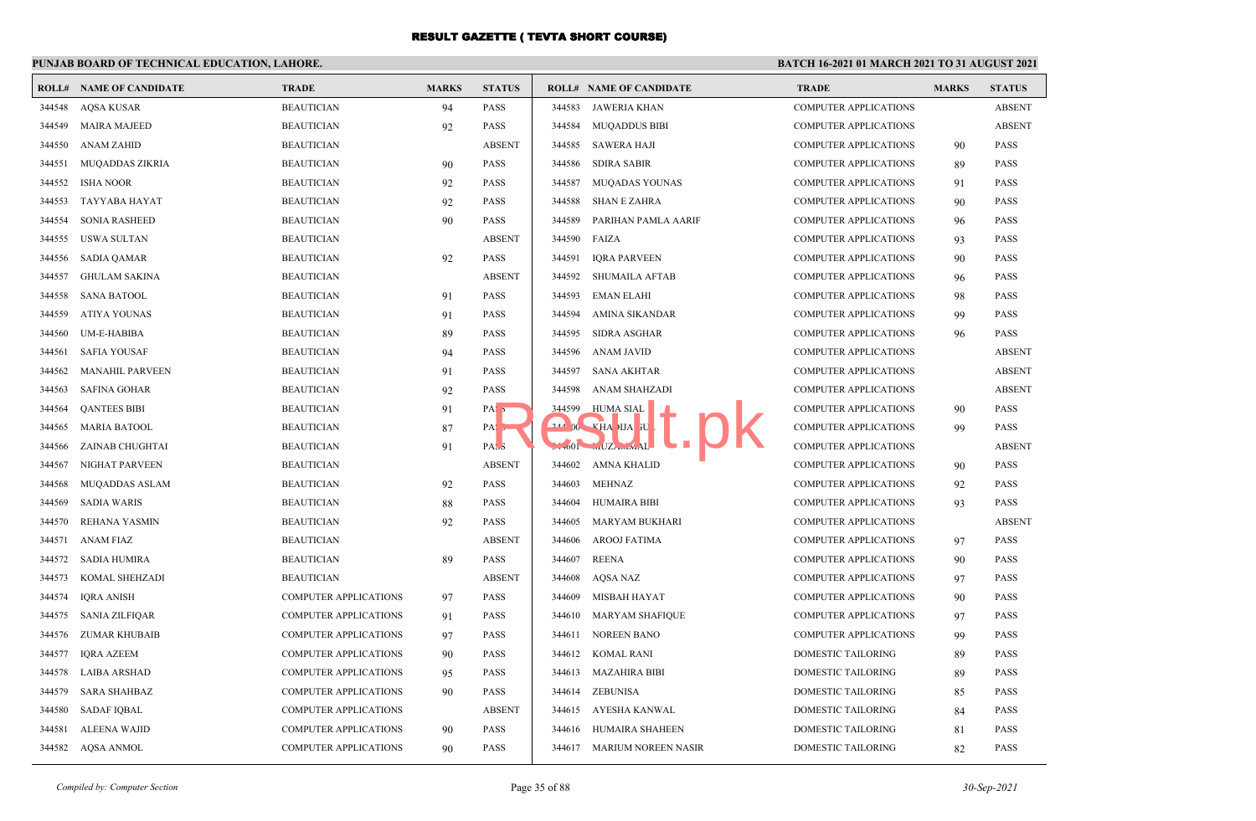## **PUNJAB BOARD OF TECHNICAL EDUCATION, LAHORE.**

|        | <b>ROLL# NAME OF CANDIDATE</b> | <b>TRADE</b>                 | <b>MARKS</b> | <b>STATUS</b>     |        | <b>ROLL# NAME OF CANDIDATE</b>                   | <b>TRADE</b>                 | <b>MARKS</b> | <b>STATUS</b> |
|--------|--------------------------------|------------------------------|--------------|-------------------|--------|--------------------------------------------------|------------------------------|--------------|---------------|
| 344548 | <b>AQSA KUSAR</b>              | <b>BEAUTICIAN</b>            | 94           | <b>PASS</b>       | 344583 | JAWERIA KHAN                                     | COMPUTER APPLICATIONS        |              | <b>ABSENT</b> |
| 344549 | <b>MAIRA MAJEED</b>            | <b>BEAUTICIAN</b>            | 92           | <b>PASS</b>       | 344584 | <b>MUQADDUS BIBI</b>                             | <b>COMPUTER APPLICATIONS</b> |              | <b>ABSENT</b> |
| 344550 | <b>ANAM ZAHID</b>              | <b>BEAUTICIAN</b>            |              | <b>ABSENT</b>     | 344585 | SAWERA HAJI                                      | <b>COMPUTER APPLICATIONS</b> | 90           | <b>PASS</b>   |
| 344551 | MUQADDAS ZIKRIA                | <b>BEAUTICIAN</b>            | 90           | <b>PASS</b>       | 344586 | <b>SDIRA SABIR</b>                               | <b>COMPUTER APPLICATIONS</b> | 89           | <b>PASS</b>   |
| 344552 | <b>ISHA NOOR</b>               | <b>BEAUTICIAN</b>            | 92           | PASS              | 344587 | <b>MUQADAS YOUNAS</b>                            | <b>COMPUTER APPLICATIONS</b> | 91           | PASS          |
| 344553 | <b>TAYYABA HAYAT</b>           | <b>BEAUTICIAN</b>            | 92           | <b>PASS</b>       | 344588 | <b>SHAN E ZAHRA</b>                              | <b>COMPUTER APPLICATIONS</b> | 90           | <b>PASS</b>   |
| 344554 | <b>SONIA RASHEED</b>           | <b>BEAUTICIAN</b>            | 90           | <b>PASS</b>       | 344589 | PARIHAN PAMLA AARIF                              | <b>COMPUTER APPLICATIONS</b> | 96           | <b>PASS</b>   |
| 344555 | <b>USWA SULTAN</b>             | <b>BEAUTICIAN</b>            |              | <b>ABSENT</b>     | 344590 | FAIZA                                            | <b>COMPUTER APPLICATIONS</b> | 93           | <b>PASS</b>   |
| 344556 | <b>SADIA QAMAR</b>             | <b>BEAUTICIAN</b>            | 92           | <b>PASS</b>       | 344591 | <b>IQRA PARVEEN</b>                              | <b>COMPUTER APPLICATIONS</b> | 90           | PASS          |
| 344557 | <b>GHULAM SAKINA</b>           | <b>BEAUTICIAN</b>            |              | <b>ABSENT</b>     | 344592 | <b>SHUMAILA AFTAB</b>                            | <b>COMPUTER APPLICATIONS</b> | 96           | <b>PASS</b>   |
| 344558 | <b>SANA BATOOL</b>             | <b>BEAUTICIAN</b>            | 91           | <b>PASS</b>       | 344593 | <b>EMAN ELAHI</b>                                | <b>COMPUTER APPLICATIONS</b> | 98           | <b>PASS</b>   |
| 344559 | <b>ATIYA YOUNAS</b>            | <b>BEAUTICIAN</b>            | 91           | <b>PASS</b>       | 344594 | AMINA SIKANDAR                                   | <b>COMPUTER APPLICATIONS</b> | 99           | <b>PASS</b>   |
| 344560 | <b>UM-E-HABIBA</b>             | <b>BEAUTICIAN</b>            | 89           | <b>PASS</b>       | 344595 | <b>SIDRA ASGHAR</b>                              | <b>COMPUTER APPLICATIONS</b> | 96           | <b>PASS</b>   |
| 344561 | <b>SAFIA YOUSAF</b>            | <b>BEAUTICIAN</b>            | 94           | <b>PASS</b>       | 344596 | ANAM JAVID                                       | <b>COMPUTER APPLICATIONS</b> |              | <b>ABSENT</b> |
| 344562 | <b>MANAHIL PARVEEN</b>         | <b>BEAUTICIAN</b>            | 91           | <b>PASS</b>       | 344597 | <b>SANA AKHTAR</b>                               | <b>COMPUTER APPLICATIONS</b> |              | <b>ABSENT</b> |
| 344563 | <b>SAFINA GOHAR</b>            | <b>BEAUTICIAN</b>            | 92           | <b>PASS</b>       | 344598 | ANAM SHAHZADI                                    | <b>COMPUTER APPLICATIONS</b> |              | <b>ABSENT</b> |
| 344564 | <b>QANTEES BIBI</b>            | <b>BEAUTICIAN</b>            | 91           | PAS <sub>5</sub>  | 344599 | HUMA SIAL                                        | <b>COMPUTER APPLICATIONS</b> | 90           | PASS          |
| 344565 | <b>MARIA BATOOL</b>            | <b>BEAUTICIAN</b>            | 87           | $PA: \rightarrow$ |        | $244$ 00 $\times$ HA IJA FU                      | <b>COMPUTER APPLICATIONS</b> | 99           | PASS          |
| 344566 | <b>ZAINAB CHUGHTAI</b>         | <b>BEAUTICIAN</b>            | 91           | PAS <sub>3</sub>  |        | $\frac{1}{1001}$ $\frac{1}{102}$ $\frac{1}{201}$ | <b>COMPUTER APPLICATIONS</b> |              | <b>ABSENT</b> |
| 344567 | NIGHAT PARVEEN                 | <b>BEAUTICIAN</b>            |              | <b>ABSENT</b>     | 344602 | AMNA KHALID                                      | <b>COMPUTER APPLICATIONS</b> | 90           | <b>PASS</b>   |
| 344568 | MUQADDAS ASLAM                 | <b>BEAUTICIAN</b>            | 92           | PASS              | 344603 | <b>MEHNAZ</b>                                    | <b>COMPUTER APPLICATIONS</b> | 92           | PASS          |
| 344569 | <b>SADIA WARIS</b>             | <b>BEAUTICIAN</b>            | 88           | PASS              | 344604 | <b>HUMAIRA BIBI</b>                              | <b>COMPUTER APPLICATIONS</b> | 93           | PASS          |
| 344570 | REHANA YASMIN                  | <b>BEAUTICIAN</b>            | 92           | <b>PASS</b>       | 344605 | <b>MARYAM BUKHARI</b>                            | <b>COMPUTER APPLICATIONS</b> |              | <b>ABSENT</b> |
| 344571 | ANAM FIAZ                      | <b>BEAUTICIAN</b>            |              | <b>ABSENT</b>     | 344606 | <b>AROOJ FATIMA</b>                              | <b>COMPUTER APPLICATIONS</b> | 97           | <b>PASS</b>   |
| 344572 | <b>SADIA HUMIRA</b>            | <b>BEAUTICIAN</b>            | 89           | <b>PASS</b>       | 344607 | <b>REENA</b>                                     | <b>COMPUTER APPLICATIONS</b> | 90           | PASS          |
| 344573 | KOMAL SHEHZADI                 | <b>BEAUTICIAN</b>            |              | <b>ABSENT</b>     | 344608 | AOSA NAZ                                         | <b>COMPUTER APPLICATIONS</b> | 97           | <b>PASS</b>   |
| 344574 | <b>IORA ANISH</b>              | <b>COMPUTER APPLICATIONS</b> | 97           | <b>PASS</b>       | 344609 | <b>MISBAH HAYAT</b>                              | <b>COMPUTER APPLICATIONS</b> | 90           | <b>PASS</b>   |
| 344575 | SANIA ZILFIQAR                 | <b>COMPUTER APPLICATIONS</b> | 91           | <b>PASS</b>       | 344610 | MARYAM SHAFIQUE                                  | COMPUTER APPLICATIONS        | 97           | <b>PASS</b>   |
| 344576 | ZUMAR KHUBAIB                  | COMPUTER APPLICATIONS        | 97           | PASS              | 344611 | NOREEN BANO                                      | COMPUTER APPLICATIONS        | 99           | PASS          |
| 344577 | IQRA AZEEM                     | <b>COMPUTER APPLICATIONS</b> | 90           | <b>PASS</b>       |        | 344612 KOMAL RANI                                | <b>DOMESTIC TAILORING</b>    | 89           | <b>PASS</b>   |
| 344578 | LAIBA ARSHAD                   | <b>COMPUTER APPLICATIONS</b> | 95           | <b>PASS</b>       |        | 344613 MAZAHIRA BIBI                             | <b>DOMESTIC TAILORING</b>    | 89           | <b>PASS</b>   |
| 344579 | <b>SARA SHAHBAZ</b>            | COMPUTER APPLICATIONS        | 90           | <b>PASS</b>       | 344614 | ZEBUNISA                                         | DOMESTIC TAILORING           | 85           | PASS          |
| 344580 | <b>SADAF IQBAL</b>             | COMPUTER APPLICATIONS        |              | <b>ABSENT</b>     | 344615 | AYESHA KANWAL                                    | DOMESTIC TAILORING           | 84           | PASS          |
| 344581 | <b>ALEENA WAJID</b>            | COMPUTER APPLICATIONS        | 90           | <b>PASS</b>       | 344616 | HUMAIRA SHAHEEN                                  | DOMESTIC TAILORING           | 81           | PASS          |
|        | 344582 AQSA ANMOL              | <b>COMPUTER APPLICATIONS</b> | 90           | <b>PASS</b>       |        | 344617 MARIUM NOREEN NASIR                       | <b>DOMESTIC TAILORING</b>    | 82           | <b>PASS</b>   |
|        |                                |                              |              |                   |        |                                                  |                              |              |               |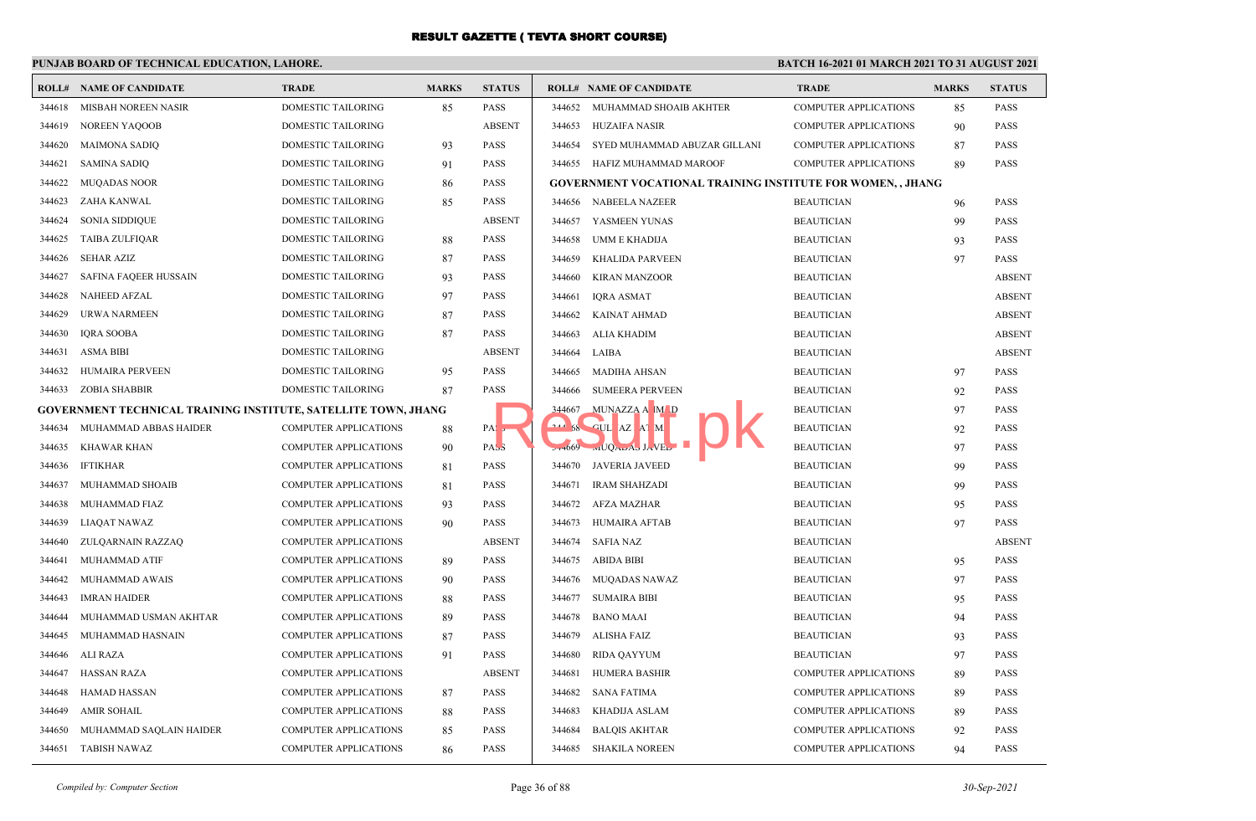## **PUNJAB BOARD OF TECHNICAL EDUCATION, LAHORE.**

| ROLL#  | <b>NAME OF CANDIDATE</b>                                       | <b>TRADE</b>                 | <b>MARKS</b> | <b>STATUS</b>    |          | <b>ROLL# NAME OF CANDIDATE</b>                                    | <b>TRADE</b>                 | <b>MARKS</b> | <b>STATUS</b> |
|--------|----------------------------------------------------------------|------------------------------|--------------|------------------|----------|-------------------------------------------------------------------|------------------------------|--------------|---------------|
| 344618 | MISBAH NOREEN NASIR                                            | <b>DOMESTIC TAILORING</b>    | 85           | <b>PASS</b>      | 344652   | MUHAMMAD SHOAIB AKHTER                                            | <b>COMPUTER APPLICATIONS</b> | 85           | <b>PASS</b>   |
| 344619 | <b>NOREEN YAQOOB</b>                                           | DOMESTIC TAILORING           |              | <b>ABSENT</b>    | 344653   | HUZAIFA NASIR                                                     | <b>COMPUTER APPLICATIONS</b> | 90           | <b>PASS</b>   |
| 344620 | <b>MAIMONA SADIQ</b>                                           | DOMESTIC TAILORING           | 93           | <b>PASS</b>      | 344654   | SYED MUHAMMAD ABUZAR GILLANI                                      | <b>COMPUTER APPLICATIONS</b> | 87           | <b>PASS</b>   |
| 344621 | <b>SAMINA SADIQ</b>                                            | DOMESTIC TAILORING           | 91           | <b>PASS</b>      | 344655   | HAFIZ MUHAMMAD MAROOF                                             | <b>COMPUTER APPLICATIONS</b> | 89           | <b>PASS</b>   |
| 344622 | <b>MUQADAS NOOR</b>                                            | DOMESTIC TAILORING           | 86           | <b>PASS</b>      |          | <b>GOVERNMENT VOCATIONAL TRAINING INSTITUTE FOR WOMEN,, JHANG</b> |                              |              |               |
| 344623 | ZAHA KANWAL                                                    | DOMESTIC TAILORING           | 85           | PASS             | 344656   | NABEELA NAZEER                                                    | <b>BEAUTICIAN</b>            | 96           | <b>PASS</b>   |
| 344624 | <b>SONIA SIDDIQUE</b>                                          | DOMESTIC TAILORING           |              | <b>ABSENT</b>    | 344657   | YASMEEN YUNAS                                                     | <b>BEAUTICIAN</b>            | 99           | <b>PASS</b>   |
| 344625 | <b>TAIBA ZULFIQAR</b>                                          | <b>DOMESTIC TAILORING</b>    | 88           | <b>PASS</b>      | 344658   | UMM E KHADIJA                                                     | <b>BEAUTICIAN</b>            | 93           | <b>PASS</b>   |
| 344626 | SEHAR AZIZ                                                     | DOMESTIC TAILORING           | 87           | <b>PASS</b>      | 344659   | <b>KHALIDA PARVEEN</b>                                            | <b>BEAUTICIAN</b>            | 97           | <b>PASS</b>   |
| 344627 | SAFINA FAQEER HUSSAIN                                          | DOMESTIC TAILORING           | 93           | <b>PASS</b>      | 344660   | KIRAN MANZOOR                                                     | <b>BEAUTICIAN</b>            |              | <b>ABSENT</b> |
| 344628 | <b>NAHEED AFZAL</b>                                            | DOMESTIC TAILORING           | 97           | <b>PASS</b>      | 344661   | IORA ASMAT                                                        | <b>BEAUTICIAN</b>            |              | <b>ABSENT</b> |
| 344629 | URWA NARMEEN                                                   | DOMESTIC TAILORING           | 87           | <b>PASS</b>      | 344662   | KAINAT AHMAD                                                      | <b>BEAUTICIAN</b>            |              | <b>ABSENT</b> |
| 344630 | <b>IQRA SOOBA</b>                                              | DOMESTIC TAILORING           | 87           | PASS             | 344663   | ALIA KHADIM                                                       | <b>BEAUTICIAN</b>            |              | <b>ABSENT</b> |
| 344631 | <b>ASMA BIBI</b>                                               | <b>DOMESTIC TAILORING</b>    |              | <b>ABSENT</b>    | 344664   | LAIBA                                                             | <b>BEAUTICIAN</b>            |              | <b>ABSENT</b> |
| 344632 | <b>HUMAIRA PERVEEN</b>                                         | <b>DOMESTIC TAILORING</b>    | 95           | <b>PASS</b>      | 344665   | MADIHA AHSAN                                                      | <b>BEAUTICIAN</b>            | 97           | <b>PASS</b>   |
| 344633 | <b>ZOBIA SHABBIR</b>                                           | DOMESTIC TAILORING           | 87           | <b>PASS</b>      | 344666   | <b>SUMEERA PERVEEN</b>                                            | <b>BEAUTICIAN</b>            | 92           | <b>PASS</b>   |
|        | GOVERNMENT TECHNICAL TRAINING INSTITUTE, SATELLITE TOWN, JHANG |                              |              |                  | 344667   | MUNAZZA A M D                                                     | <b>BEAUTICIAN</b>            | 97           | <b>PASS</b>   |
| 344634 | MUHAMMAD ABBAS HAIDER                                          | COMPUTER APPLICATIONS        | 88           | PA: 5            |          | 58 GUL AZ AT M.                                                   | <b>BEAUTICIAN</b>            | 92           | <b>PASS</b>   |
| 344635 | KHAWAR KHAN                                                    | <b>COMPUTER APPLICATIONS</b> | 90           | PAS <sub>3</sub> | $27+669$ | wIUQALAD JAVEL                                                    | <b>BEAUTICIAN</b>            | 97           | <b>PASS</b>   |
| 344636 | <b>IFTIKHAR</b>                                                | <b>COMPUTER APPLICATIONS</b> | 81           | PASS             | 344670   | JAVERIA JAVEED                                                    | <b>BEAUTICIAN</b>            | 99           | <b>PASS</b>   |
| 344637 | MUHAMMAD SHOAIB                                                | <b>COMPUTER APPLICATIONS</b> | 81           | <b>PASS</b>      | 344671   | <b>IRAM SHAHZADI</b>                                              | <b>BEAUTICIAN</b>            | 99           | <b>PASS</b>   |
| 344638 | MUHAMMAD FIAZ                                                  | <b>COMPUTER APPLICATIONS</b> | 93           | <b>PASS</b>      | 344672   | AFZA MAZHAR                                                       | <b>BEAUTICIAN</b>            | 95           | <b>PASS</b>   |
| 344639 | LIAQAT NAWAZ                                                   | <b>COMPUTER APPLICATIONS</b> | 90           | <b>PASS</b>      | 344673   | HUMAIRA AFTAB                                                     | <b>BEAUTICIAN</b>            | 97           | <b>PASS</b>   |
| 344640 | ZULQARNAIN RAZZAQ                                              | <b>COMPUTER APPLICATIONS</b> |              | <b>ABSENT</b>    | 344674   | <b>SAFIA NAZ</b>                                                  | <b>BEAUTICIAN</b>            |              | <b>ABSENT</b> |
| 344641 | <b>MUHAMMAD ATIF</b>                                           | COMPUTER APPLICATIONS        | 89           | <b>PASS</b>      | 344675   | ABIDA BIBI                                                        | <b>BEAUTICIAN</b>            | 95           | <b>PASS</b>   |
| 344642 | MUHAMMAD AWAIS                                                 | COMPUTER APPLICATIONS        | 90           | PASS             | 344676   | MUQADAS NAWAZ                                                     | <b>BEAUTICIAN</b>            | 97           | <b>PASS</b>   |
| 344643 | <b>IMRAN HAIDER</b>                                            | <b>COMPUTER APPLICATIONS</b> | 88           | <b>PASS</b>      | 344677   | <b>SUMAIRA BIBI</b>                                               | <b>BEAUTICIAN</b>            | 95           | <b>PASS</b>   |
| 344644 | MUHAMMAD USMAN AKHTAR                                          | <b>COMPUTER APPLICATIONS</b> | 89           | <b>PASS</b>      | 344678   | <b>BANO MAAI</b>                                                  | <b>BEAUTICIAN</b>            | 94           | <b>PASS</b>   |
| 344645 | MUHAMMAD HASNAIN                                               | <b>COMPUTER APPLICATIONS</b> | 87           | <b>PASS</b>      | 344679   | ALISHA FAIZ                                                       | <b>BEAUTICIAN</b>            | 93           | <b>PASS</b>   |
| 344646 | ALI RAZA                                                       | COMPUTER APPLICATIONS        | 91           | <b>PASS</b>      | 344680   | <b>RIDA QAYYUM</b>                                                | <b>BEAUTICIAN</b>            | 97           | <b>PASS</b>   |
| 344647 | <b>HASSAN RAZA</b>                                             | <b>COMPUTER APPLICATIONS</b> |              | <b>ABSENT</b>    | 344681   | HUMERA BASHIR                                                     | <b>COMPUTER APPLICATIONS</b> | 89           | <b>PASS</b>   |
| 344648 | HAMAD HASSAN                                                   | <b>COMPUTER APPLICATIONS</b> | 87           | <b>PASS</b>      | 344682   | SANA FATIMA                                                       | <b>COMPUTER APPLICATIONS</b> | 89           | <b>PASS</b>   |
| 344649 | <b>AMIR SOHAIL</b>                                             | <b>COMPUTER APPLICATIONS</b> | 88           | <b>PASS</b>      | 344683   | KHADIJA ASLAM                                                     | <b>COMPUTER APPLICATIONS</b> | 89           | <b>PASS</b>   |
| 344650 | MUHAMMAD SAQLAIN HAIDER                                        | <b>COMPUTER APPLICATIONS</b> | 85           | <b>PASS</b>      | 344684   | <b>BALQIS AKHTAR</b>                                              | <b>COMPUTER APPLICATIONS</b> | 92           | <b>PASS</b>   |
| 344651 | TABISH NAWAZ                                                   | <b>COMPUTER APPLICATIONS</b> | 86           | <b>PASS</b>      |          | 344685 SHAKILA NOREEN                                             | <b>COMPUTER APPLICATIONS</b> | 94           | <b>PASS</b>   |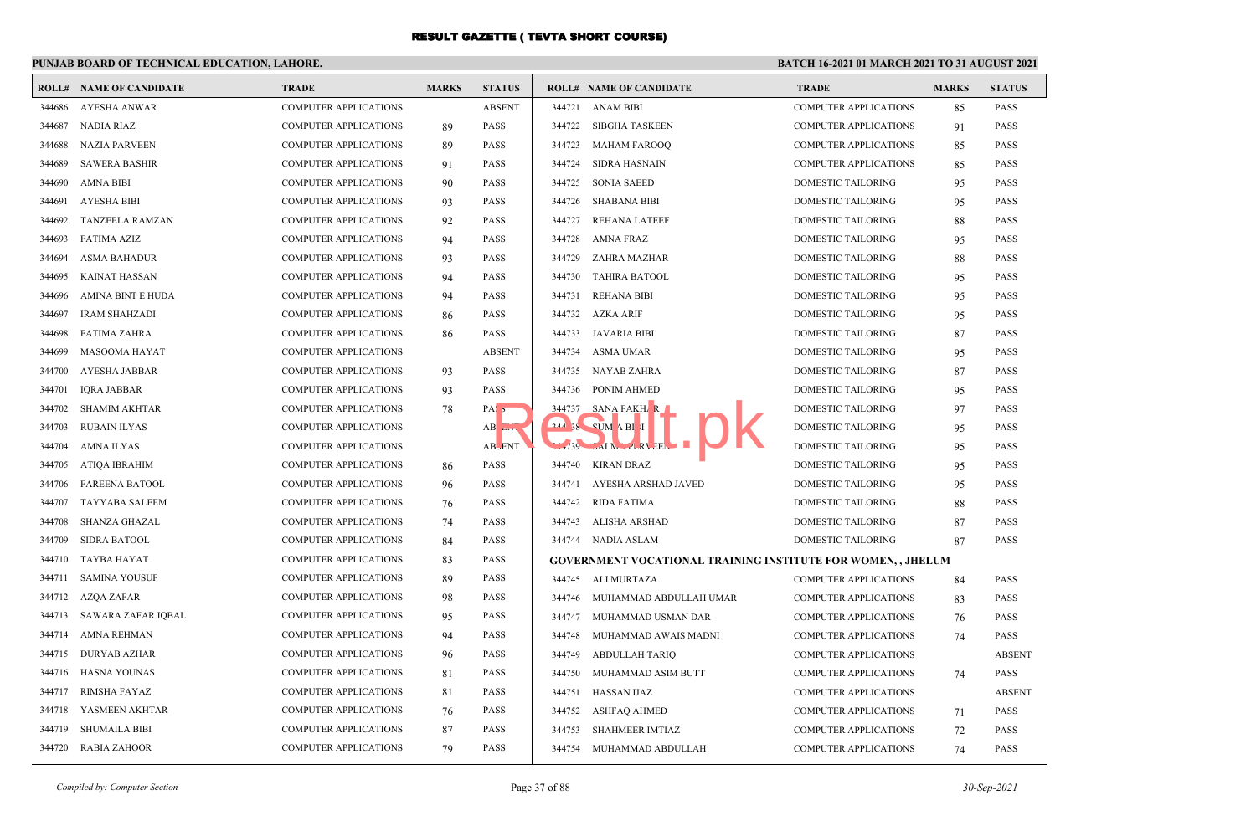## **PUNJAB BOARD OF TECHNICAL EDUCATION, LAHORE.**

|        | <b>ROLL# NAME OF CANDIDATE</b> | <b>TRADE</b>                 | <b>MARKS</b> | <b>STATUS</b>    |        | <b>ROLL# NAME OF CANDIDATE</b>                                     | <b>TRADE</b>                 | <b>MARKS</b> | <b>STATUS</b> |
|--------|--------------------------------|------------------------------|--------------|------------------|--------|--------------------------------------------------------------------|------------------------------|--------------|---------------|
| 344686 | <b>AYESHA ANWAR</b>            | <b>COMPUTER APPLICATIONS</b> |              | <b>ABSENT</b>    | 344721 | ANAM BIBI                                                          | <b>COMPUTER APPLICATIONS</b> | 85           | <b>PASS</b>   |
| 344687 | NADIA RIAZ                     | <b>COMPUTER APPLICATIONS</b> | 89           | <b>PASS</b>      | 344722 | SIBGHA TASKEEN                                                     | <b>COMPUTER APPLICATIONS</b> | 91           | <b>PASS</b>   |
| 344688 | <b>NAZIA PARVEEN</b>           | <b>COMPUTER APPLICATIONS</b> | 89           | <b>PASS</b>      | 344723 | <b>MAHAM FAROOQ</b>                                                | <b>COMPUTER APPLICATIONS</b> | 85           | <b>PASS</b>   |
| 344689 | <b>SAWERA BASHIR</b>           | <b>COMPUTER APPLICATIONS</b> | 91           | <b>PASS</b>      | 344724 | <b>SIDRA HASNAIN</b>                                               | <b>COMPUTER APPLICATIONS</b> | 85           | <b>PASS</b>   |
| 344690 | <b>AMNA BIBI</b>               | <b>COMPUTER APPLICATIONS</b> | 90           | <b>PASS</b>      | 344725 | <b>SONIA SAEED</b>                                                 | <b>DOMESTIC TAILORING</b>    | 95           | <b>PASS</b>   |
| 344691 | <b>AYESHA BIBI</b>             | <b>COMPUTER APPLICATIONS</b> | 93           | PASS             | 344726 | <b>SHABANA BIBI</b>                                                | DOMESTIC TAILORING           | 95           | <b>PASS</b>   |
| 344692 | <b>TANZEELA RAMZAN</b>         | <b>COMPUTER APPLICATIONS</b> | 92           | <b>PASS</b>      | 344727 | <b>REHANA LATEEF</b>                                               | DOMESTIC TAILORING           | 88           | <b>PASS</b>   |
| 344693 | <b>FATIMA AZIZ</b>             | <b>COMPUTER APPLICATIONS</b> | 94           | <b>PASS</b>      | 344728 | <b>AMNA FRAZ</b>                                                   | DOMESTIC TAILORING           | 95           | <b>PASS</b>   |
| 344694 | <b>ASMA BAHADUR</b>            | <b>COMPUTER APPLICATIONS</b> | 93           | <b>PASS</b>      | 344729 | ZAHRA MAZHAR                                                       | DOMESTIC TAILORING           | 88           | <b>PASS</b>   |
| 344695 | <b>KAINAT HASSAN</b>           | <b>COMPUTER APPLICATIONS</b> | 94           | <b>PASS</b>      | 344730 | <b>TAHIRA BATOOL</b>                                               | <b>DOMESTIC TAILORING</b>    | 95           | <b>PASS</b>   |
| 344696 | AMINA BINT E HUDA              | <b>COMPUTER APPLICATIONS</b> | 94           | <b>PASS</b>      | 344731 | <b>REHANA BIBI</b>                                                 | DOMESTIC TAILORING           | 95           | <b>PASS</b>   |
| 344697 | <b>IRAM SHAHZADI</b>           | <b>COMPUTER APPLICATIONS</b> | 86           | <b>PASS</b>      | 344732 | AZKA ARIF                                                          | DOMESTIC TAILORING           | 95           | <b>PASS</b>   |
| 344698 | <b>FATIMA ZAHRA</b>            | <b>COMPUTER APPLICATIONS</b> | 86           | <b>PASS</b>      | 344733 | JAVARIA BIBI                                                       | DOMESTIC TAILORING           | 87           | <b>PASS</b>   |
| 344699 | MASOOMA HAYAT                  | <b>COMPUTER APPLICATIONS</b> |              | <b>ABSENT</b>    | 344734 | ASMA UMAR                                                          | DOMESTIC TAILORING           | 95           | <b>PASS</b>   |
| 344700 | <b>AYESHA JABBAR</b>           | <b>COMPUTER APPLICATIONS</b> | 93           | <b>PASS</b>      | 344735 | NAYAB ZAHRA                                                        | <b>DOMESTIC TAILORING</b>    | 87           | <b>PASS</b>   |
| 344701 | <b>IQRA JABBAR</b>             | <b>COMPUTER APPLICATIONS</b> | 93           | <b>PASS</b>      | 344736 | PONIM AHMED                                                        | DOMESTIC TAILORING           | 95           | <b>PASS</b>   |
| 344702 | <b>SHAMIM AKHTAR</b>           | <b>COMPUTER APPLICATIONS</b> | 78           | PAS <sub>5</sub> | 344737 | SANA FAKH <sub>A</sub> R                                           | <b>DOMESTIC TAILORING</b>    | 97           | <b>PASS</b>   |
| 344703 | <b>RUBAIN ILYAS</b>            | <b>COMPUTER APPLICATIONS</b> |              | AB EIV.          |        | $244$ 38 SUM A BI I                                                | <b>DOMESTIC TAILORING</b>    | 95           | PASS          |
| 344704 | <b>AMNA ILYAS</b>              | <b>COMPUTER APPLICATIONS</b> |              | <b>ABLENT</b>    |        | $L1/39$ $nLN_{L+1}LRV$ EEN                                         | DOMESTIC TAILORING           | 95           | <b>PASS</b>   |
| 344705 | <b>ATIQA IBRAHIM</b>           | <b>COMPUTER APPLICATIONS</b> | 86           | <b>PASS</b>      | 344740 | <b>KIRAN DRAZ</b>                                                  | <b>DOMESTIC TAILORING</b>    | 95           | <b>PASS</b>   |
| 344706 | <b>FAREENA BATOOL</b>          | <b>COMPUTER APPLICATIONS</b> | 96           | <b>PASS</b>      | 344741 | AYESHA ARSHAD JAVED                                                | <b>DOMESTIC TAILORING</b>    | 95           | <b>PASS</b>   |
| 344707 | <b>TAYYABA SALEEM</b>          | <b>COMPUTER APPLICATIONS</b> | 76           | <b>PASS</b>      | 344742 | <b>RIDA FATIMA</b>                                                 | DOMESTIC TAILORING           | 88           | <b>PASS</b>   |
| 344708 | SHANZA GHAZAL                  | <b>COMPUTER APPLICATIONS</b> | 74           | <b>PASS</b>      | 344743 | <b>ALISHA ARSHAD</b>                                               | DOMESTIC TAILORING           | 87           | <b>PASS</b>   |
| 344709 | <b>SIDRA BATOOL</b>            | <b>COMPUTER APPLICATIONS</b> | 84           | <b>PASS</b>      | 344744 | NADIA ASLAM                                                        | DOMESTIC TAILORING           | 87           | <b>PASS</b>   |
| 344710 | <b>TAYBA HAYAT</b>             | COMPUTER APPLICATIONS        | 83           | PASS             |        | <b>GOVERNMENT VOCATIONAL TRAINING INSTITUTE FOR WOMEN,, JHELUM</b> |                              |              |               |
| 344711 | <b>SAMINA YOUSUF</b>           | <b>COMPUTER APPLICATIONS</b> | 89           | <b>PASS</b>      | 344745 | ALI MURTAZA                                                        | <b>COMPUTER APPLICATIONS</b> | 84           | <b>PASS</b>   |
| 344712 | AZQA ZAFAR                     | <b>COMPUTER APPLICATIONS</b> | 98           | <b>PASS</b>      | 344746 | MUHAMMAD ABDULLAH UMAR                                             | <b>COMPUTER APPLICATIONS</b> | 83           | <b>PASS</b>   |
| 344713 | SAWARA ZAFAR IQBAL             | <b>COMPUTER APPLICATIONS</b> | 95           | PASS             | 344747 | MUHAMMAD USMAN DAR                                                 | <b>COMPUTER APPLICATIONS</b> | 76           | <b>PASS</b>   |
| 344714 | <b>AMNA REHMAN</b>             | <b>COMPUTER APPLICATIONS</b> | 94           | <b>PASS</b>      | 344748 | MUHAMMAD AWAIS MADNI                                               | COMPUTER APPLICATIONS        | 74           | <b>PASS</b>   |
| 344715 | <b>DURYAB AZHAR</b>            | <b>COMPUTER APPLICATIONS</b> | 96           | <b>PASS</b>      | 344749 | <b>ABDULLAH TARIQ</b>                                              | COMPUTER APPLICATIONS        |              | <b>ABSENT</b> |
| 344716 | <b>HASNA YOUNAS</b>            | <b>COMPUTER APPLICATIONS</b> | 81           | <b>PASS</b>      | 344750 | MUHAMMAD ASIM BUTT                                                 | <b>COMPUTER APPLICATIONS</b> | 74           | <b>PASS</b>   |
| 344717 | <b>RIMSHA FAYAZ</b>            | <b>COMPUTER APPLICATIONS</b> | 81           | <b>PASS</b>      | 344751 | <b>HASSAN IJAZ</b>                                                 | <b>COMPUTER APPLICATIONS</b> |              | <b>ABSENT</b> |
| 344718 | YASMEEN AKHTAR                 | <b>COMPUTER APPLICATIONS</b> | 76           | <b>PASS</b>      | 344752 | ASHFAQ AHMED                                                       | <b>COMPUTER APPLICATIONS</b> | 71           | <b>PASS</b>   |
| 344719 | <b>SHUMAILA BIBI</b>           | <b>COMPUTER APPLICATIONS</b> | 87           | <b>PASS</b>      | 344753 | <b>SHAHMEER IMTIAZ</b>                                             | <b>COMPUTER APPLICATIONS</b> | 72           | <b>PASS</b>   |
| 344720 | <b>RABIA ZAHOOR</b>            | <b>COMPUTER APPLICATIONS</b> | 79           | <b>PASS</b>      | 344754 | MUHAMMAD ABDULLAH                                                  | <b>COMPUTER APPLICATIONS</b> | 74           | <b>PASS</b>   |
|        |                                |                              |              |                  |        |                                                                    |                              |              |               |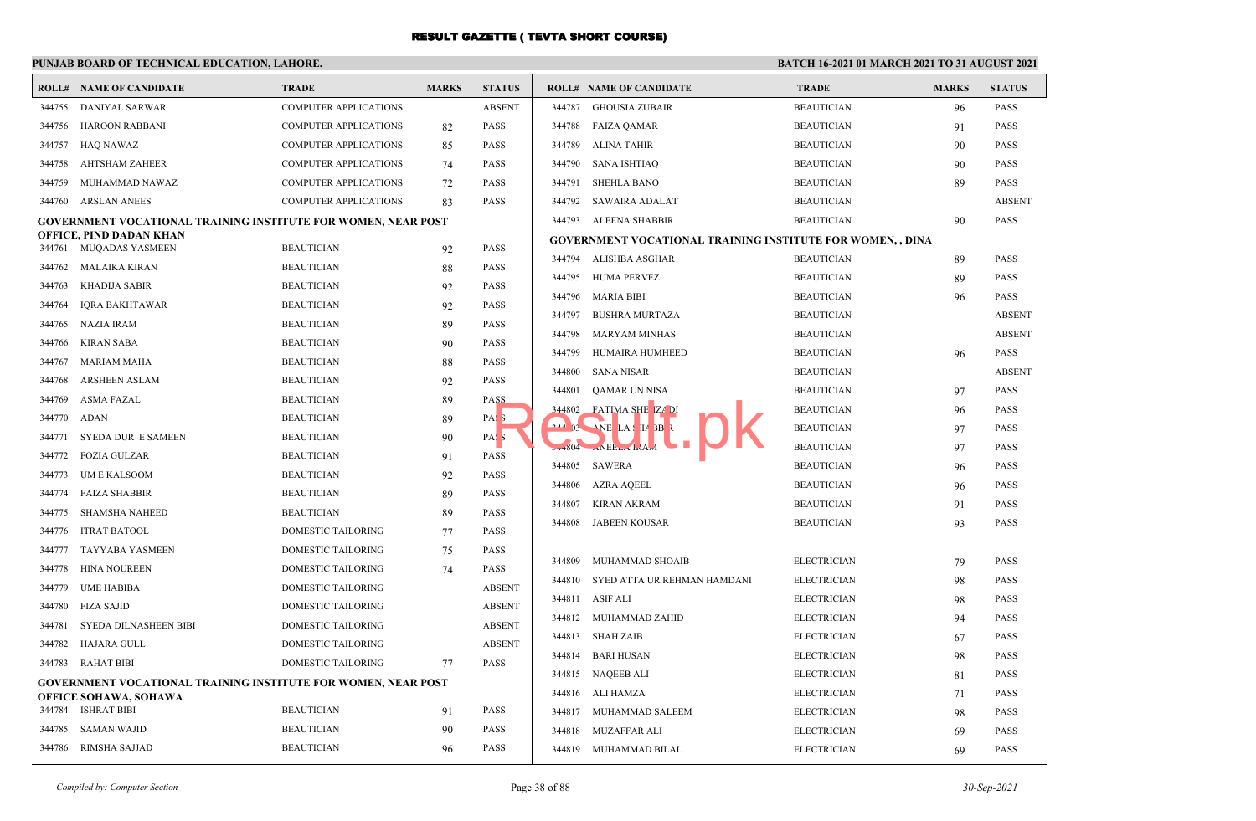|        | <b>ROLL# NAME OF CANDIDATE</b>                                       | <b>TRADE</b>                 | <b>MARKS</b> | <b>STATUS</b>    |        | <b>ROLL# NAME OF CANDIDATE</b>                                              | <b>TRADE</b>       | <b>MARKS</b> | <b>STATUS</b> |
|--------|----------------------------------------------------------------------|------------------------------|--------------|------------------|--------|-----------------------------------------------------------------------------|--------------------|--------------|---------------|
| 344755 | DANIYAL SARWAR                                                       | <b>COMPUTER APPLICATIONS</b> |              | <b>ABSENT</b>    | 344787 | <b>GHOUSIA ZUBAIR</b>                                                       | <b>BEAUTICIAN</b>  | 96           | <b>PASS</b>   |
| 344756 | HAROON RABBANI                                                       | <b>COMPUTER APPLICATIONS</b> | 82           | <b>PASS</b>      | 344788 | <b>FAIZA QAMAR</b>                                                          | <b>BEAUTICIAN</b>  | 91           | <b>PASS</b>   |
| 344757 | <b>HAQ NAWAZ</b>                                                     | <b>COMPUTER APPLICATIONS</b> | 85           | <b>PASS</b>      | 344789 | ALINA TAHIR                                                                 | <b>BEAUTICIAN</b>  | 90           | <b>PASS</b>   |
| 344758 | AHTSHAM ZAHEER                                                       | <b>COMPUTER APPLICATIONS</b> | 74           | <b>PASS</b>      | 344790 | SANA ISHTIAQ                                                                | <b>BEAUTICIAN</b>  | 90           | <b>PASS</b>   |
| 344759 | MUHAMMAD NAWAZ                                                       | <b>COMPUTER APPLICATIONS</b> | 72           | <b>PASS</b>      | 344791 | <b>SHEHLA BANO</b>                                                          | <b>BEAUTICIAN</b>  | 89           | <b>PASS</b>   |
| 344760 | <b>ARSLAN ANEES</b>                                                  | <b>COMPUTER APPLICATIONS</b> | 83           | <b>PASS</b>      | 344792 | SAWAIRA ADALAT                                                              | <b>BEAUTICIAN</b>  |              | <b>ABSEN</b>  |
|        | <b>GOVERNMENT VOCATIONAL TRAINING INSTITUTE FOR WOMEN, NEAR POST</b> |                              |              |                  | 344793 | ALEENA SHABBIR                                                              | <b>BEAUTICIAN</b>  | 90           | <b>PASS</b>   |
| 344761 | OFFICE, PIND DADAN KHAN<br>MUQADAS YASMEEN                           | <b>BEAUTICIAN</b>            |              | <b>PASS</b>      |        | <b>GOVERNMENT VOCATIONAL TRAINING INSTITUTE FOR WOMEN, , DINA</b>           |                    |              |               |
| 344762 | <b>MALAIKA KIRAN</b>                                                 | <b>BEAUTICIAN</b>            | 92           | <b>PASS</b>      |        | 344794 ALISHBA ASGHAR                                                       | <b>BEAUTICIAN</b>  | 89           | <b>PASS</b>   |
| 344763 |                                                                      | <b>BEAUTICIAN</b>            | 88<br>92     | <b>PASS</b>      | 344795 | HUMA PERVEZ                                                                 | <b>BEAUTICIAN</b>  | 89           | <b>PASS</b>   |
| 344764 | KHADIJA SABIR<br>IQRA BAKHTAWAR                                      | <b>BEAUTICIAN</b>            |              | <b>PASS</b>      | 344796 | MARIA BIBI                                                                  | <b>BEAUTICIAN</b>  | 96           | <b>PASS</b>   |
| 344765 | NAZIA IRAM                                                           | <b>BEAUTICIAN</b>            | 92<br>89     | <b>PASS</b>      | 344797 | <b>BUSHRA MURTAZA</b>                                                       | <b>BEAUTICIAN</b>  |              | <b>ABSEN</b>  |
| 344766 | KIRAN SABA                                                           | <b>BEAUTICIAN</b>            | 90           | <b>PASS</b>      | 344798 | MARYAM MINHAS                                                               | <b>BEAUTICIAN</b>  |              | <b>ABSEN</b>  |
| 344767 | <b>MARIAM MAHA</b>                                                   | <b>BEAUTICIAN</b>            | 88           | <b>PASS</b>      | 344799 | HUMAIRA HUMHEED                                                             | <b>BEAUTICIAN</b>  | 96           | <b>PASS</b>   |
| 344768 | <b>ARSHEEN ASLAM</b>                                                 | <b>BEAUTICIAN</b>            | 92           | <b>PASS</b>      | 344800 | <b>SANA NISAR</b>                                                           | <b>BEAUTICIAN</b>  |              | <b>ABSEN</b>  |
| 344769 | ASMA FAZAL                                                           | <b>BEAUTICIAN</b>            | 89           | PASS             | 344801 | QAMAR UN NISA                                                               | <b>BEAUTICIAN</b>  | 97           | <b>PASS</b>   |
| 344770 | ADAN                                                                 | <b>BEAUTICIAN</b>            | 89           | PAS <sub>3</sub> | 344802 | FATIMA SHE ZA DI                                                            | <b>BEAUTICIAN</b>  | 96           | <b>PASS</b>   |
| 344771 | <b>SYEDA DUR E SAMEEN</b>                                            | <b>BEAUTICIAN</b>            | 90           | PAS <sub>3</sub> |        | 244 03 NE LA H 3B R                                                         | <b>BEAUTICIAN</b>  | 97           | <b>PASS</b>   |
| 344772 | <b>FOZIA GULZAR</b>                                                  | <b>BEAUTICIAN</b>            | 91           | <b>PASS</b>      |        | $27+804$ $\ldots$ NEE <sub>L <math>\ldots</math></sub> $\ldots$ NA $\ldots$ | <b>BEAUTICIAN</b>  | 97           | <b>PASS</b>   |
| 344773 | UM E KALSOOM                                                         | <b>BEAUTICIAN</b>            | 92           | <b>PASS</b>      | 344805 | SAWERA                                                                      | <b>BEAUTICIAN</b>  | 96           | <b>PASS</b>   |
| 344774 | <b>FAIZA SHABBIR</b>                                                 | <b>BEAUTICIAN</b>            | 89           | <b>PASS</b>      | 344806 | AZRA AQEEL                                                                  | <b>BEAUTICIAN</b>  | 96           | <b>PASS</b>   |
| 344775 | SHAMSHA NAHEED                                                       | <b>BEAUTICIAN</b>            | 89           | <b>PASS</b>      | 344807 | <b>KIRAN AKRAM</b>                                                          | <b>BEAUTICIAN</b>  | 91           | <b>PASS</b>   |
| 344776 | <b>ITRAT BATOOL</b>                                                  | DOMESTIC TAILORING           | 77           | <b>PASS</b>      | 344808 | <b>JABEEN KOUSAR</b>                                                        | <b>BEAUTICIAN</b>  | 93           | <b>PASS</b>   |
| 344777 | TAYYABA YASMEEN                                                      | DOMESTIC TAILORING           | 75           | <b>PASS</b>      |        |                                                                             |                    |              |               |
| 344778 | <b>HINA NOUREEN</b>                                                  | DOMESTIC TAILORING           | 74           | <b>PASS</b>      | 344809 | MUHAMMAD SHOAIB                                                             | <b>ELECTRICIAN</b> | 79           | <b>PASS</b>   |
| 344779 | UME HABIBA                                                           | DOMESTIC TAILORING           |              | <b>ABSENT</b>    | 344810 | SYED ATTA UR REHMAN HAMDANI                                                 | <b>ELECTRICIAN</b> | 98           | <b>PASS</b>   |
| 344780 | FIZA SAJID                                                           | DOMESTIC TAILORING           |              | <b>ABSENT</b>    | 344811 | ASIF ALI                                                                    | <b>ELECTRICIAN</b> | 98           | <b>PASS</b>   |
| 344781 | SYEDA DILNASHEEN BIBI                                                | DOMESTIC TAILORING           |              | <b>ABSENT</b>    | 344812 | MUHAMMAD ZAHID                                                              | <b>ELECTRICIAN</b> | 94           | <b>PASS</b>   |
| 344782 | HAJARA GULL                                                          | DOMESTIC TAILORING           |              | <b>ABSENT</b>    |        | 344813 SHAH ZAIB                                                            | <b>ELECTRICIAN</b> | 67           | <b>PASS</b>   |
|        | 344783 RAHAT BIBI                                                    | DOMESTIC TAILORING           | 77           | <b>PASS</b>      | 344814 | <b>BARI HUSAN</b>                                                           | <b>ELECTRICIAN</b> | 98           | <b>PASS</b>   |
|        | <b>GOVERNMENT VOCATIONAL TRAINING INSTITUTE FOR WOMEN, NEAR POST</b> |                              |              |                  |        | 344815 NAQEEB ALI                                                           | <b>ELECTRICIAN</b> | 81           | <b>PASS</b>   |
|        | <b>OFFICE SOHAWA, SOHAWA</b>                                         |                              |              |                  | 344816 | ALI HAMZA                                                                   | <b>ELECTRICIAN</b> | 71           | <b>PASS</b>   |
|        | 344784 ISHRAT BIBI                                                   | <b>BEAUTICIAN</b>            | 91           | <b>PASS</b>      | 344817 | MUHAMMAD SALEEM                                                             | <b>ELECTRICIAN</b> | 98           | <b>PASS</b>   |
| 344785 | <b>SAMAN WAJID</b>                                                   | <b>BEAUTICIAN</b>            | 90           | <b>PASS</b>      | 344818 | <b>MUZAFFAR ALI</b>                                                         | <b>ELECTRICIAN</b> | 69           | <b>PASS</b>   |
|        | 344786 RIMSHA SAJJAD                                                 | <b>BEAUTICIAN</b>            | 96           | <b>PASS</b>      |        | 344819 MUHAMMAD BILAL                                                       | <b>ELECTRICIAN</b> | 69           | <b>PASS</b>   |

| BSENT      | 344787   | <b>GHOUSIA ZUBAIR</b>                                             | <b>BEAUTICIAN</b>  | 96 | <b>PASS</b>   |
|------------|----------|-------------------------------------------------------------------|--------------------|----|---------------|
| <b>ASS</b> | 344788   | <b>FAIZA OAMAR</b>                                                | <b>BEAUTICIAN</b>  | 91 | <b>PASS</b>   |
| <b>ASS</b> | 344789   | <b>ALINA TAHIR</b>                                                | <b>BEAUTICIAN</b>  | 90 | PASS          |
| ASS.       | 344790   | <b>SANA ISHTIAO</b>                                               | <b>BEAUTICIAN</b>  | 90 | PASS          |
| <b>ASS</b> | 344791   | <b>SHEHLA BANO</b>                                                | <b>BEAUTICIAN</b>  | 89 | PASS          |
| ١SS        | 344792   | <b>SAWAIRA ADALAT</b>                                             | <b>BEAUTICIAN</b>  |    | <b>ABSENT</b> |
|            | 344793   | <b>ALEENA SHABBIR</b>                                             | <b>BEAUTICIAN</b>  | 90 | <b>PASS</b>   |
| <b>ASS</b> |          | <b>GOVERNMENT VOCATIONAL TRAINING INSTITUTE FOR WOMEN, , DINA</b> |                    |    |               |
| <b>ASS</b> | 344794   | <b>ALISHBA ASGHAR</b>                                             | <b>BEAUTICIAN</b>  | 89 | <b>PASS</b>   |
| <b>ASS</b> | 344795   | <b>HUMA PERVEZ</b>                                                | <b>BEAUTICIAN</b>  | 89 | PASS          |
| ASS.       | 344796   | <b>MARIA BIBI</b>                                                 | <b>BEAUTICIAN</b>  | 96 | PASS          |
| <b>ASS</b> | 344797   | <b>BUSHRA MURTAZA</b>                                             | <b>BEAUTICIAN</b>  |    | ABSENT        |
| <b>ASS</b> | 344798   | <b>MARYAM MINHAS</b>                                              | <b>BEAUTICIAN</b>  |    | <b>ABSENT</b> |
| <b>ASS</b> | 344799   | HUMAIRA HUMHEED                                                   | <b>BEAUTICIAN</b>  | 96 | <b>PASS</b>   |
| <b>ASS</b> | 344800   | <b>SANA NISAR</b>                                                 | <b>BEAUTICIAN</b>  |    | <b>ABSENT</b> |
| 221        | 344801   | QAMAR UN NISA                                                     | <b>BEAUTICIAN</b>  | 97 | <b>PASS</b>   |
| <b>AS</b>  | 344802   | FATIMA SHE ZA DI                                                  | <b>BEAUTICIAN</b>  | 96 | <b>PASS</b>   |
| V,         | $-44.03$ | $\sqrt{NE}$ LA $\sqrt{H}$ 3B $\sqrt{2}$                           | <b>BEAUTICIAN</b>  | 97 | PASS          |
| <b>ASS</b> | $27+804$ | <b>NBEL LAM</b>                                                   | <b>BEAUTICIAN</b>  | 97 | PASS          |
| <b>ASS</b> | 344805   | <b>SAWERA</b>                                                     | <b>BEAUTICIAN</b>  | 96 | <b>PASS</b>   |
| <b>ASS</b> | 344806   | <b>AZRA AQEEL</b>                                                 | <b>BEAUTICIAN</b>  | 96 | <b>PASS</b>   |
| <b>ASS</b> | 344807   | <b>KIRAN AKRAM</b>                                                | <b>BEAUTICIAN</b>  | 91 | <b>PASS</b>   |
| <b>ASS</b> | 344808   | <b>JABEEN KOUSAR</b>                                              | <b>BEAUTICIAN</b>  | 93 | <b>PASS</b>   |
| <b>ASS</b> |          |                                                                   |                    |    |               |
| ASS.       | 344809   | MUHAMMAD SHOAIB                                                   | <b>ELECTRICIAN</b> | 79 | PASS          |
| BSENT      | 344810   | SYED ATTA UR REHMAN HAMDANI                                       | <b>ELECTRICIAN</b> | 98 | <b>PASS</b>   |
| BSENT      | 344811   | <b>ASIF ALI</b>                                                   | <b>ELECTRICIAN</b> | 98 | <b>PASS</b>   |
| BSENT      | 344812   | MUHAMMAD ZAHID                                                    | <b>ELECTRICIAN</b> | 94 | <b>PASS</b>   |
| BSENT      | 344813   | <b>SHAH ZAIB</b>                                                  | <b>ELECTRICIAN</b> | 67 | <b>PASS</b>   |
| <b>ASS</b> | 344814   | <b>BARI HUSAN</b>                                                 | <b>ELECTRICIAN</b> | 98 | <b>PASS</b>   |
|            | 344815   | <b>NAQEEB ALI</b>                                                 | <b>ELECTRICIAN</b> | 81 | PASS          |
|            | 344816   | ALI HAMZA                                                         | <b>ELECTRICIAN</b> | 71 | PASS          |
| <b>ASS</b> | 344817   | <b>MUHAMMAD SALEEM</b>                                            | <b>ELECTRICIAN</b> | 98 | <b>PASS</b>   |
| ١SS        | 344818   | <b>MUZAFFAR ALI</b>                                               | <b>ELECTRICIAN</b> | 69 | <b>PASS</b>   |
| <b>ASS</b> | 344819   | <b>MUHAMMAD BILAL</b>                                             | <b>ELECTRICIAN</b> | 69 | <b>PASS</b>   |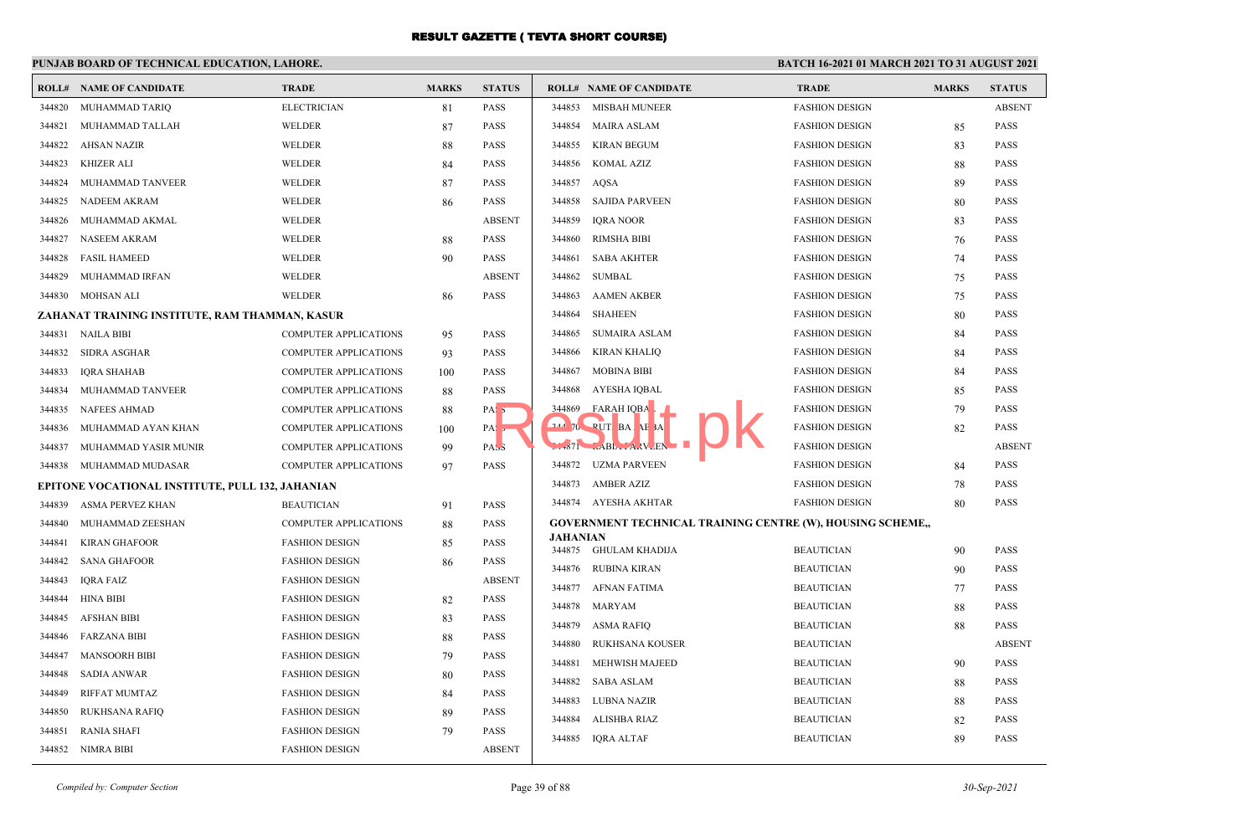## **PUNJAB BOARD OF TECHNICAL EDUCATION, LAHORE.**

|        | <b>ROLL# NAME OF CANDIDATE</b>                   | <b>TRADE</b>                 | <b>MARKS</b> | <b>STATUS</b>    |                 | <b>ROLL# NAME OF CANDIDATE</b>                                    | <b>TRADE</b>          | <b>MARKS</b> | <b>STATUS</b>              |
|--------|--------------------------------------------------|------------------------------|--------------|------------------|-----------------|-------------------------------------------------------------------|-----------------------|--------------|----------------------------|
| 344820 | MUHAMMAD TARIQ                                   | <b>ELECTRICIAN</b>           | 81           | <b>PASS</b>      | 344853          | MISBAH MUNEER                                                     | <b>FASHION DESIGN</b> |              | <b>ABSENT</b>              |
| 344821 | MUHAMMAD TALLAH                                  | WELDER                       | 87           | <b>PASS</b>      | 344854          | <b>MAIRA ASLAM</b>                                                | <b>FASHION DESIGN</b> | 85           | <b>PASS</b>                |
| 344822 | <b>AHSAN NAZIR</b>                               | <b>WELDER</b>                | 88           | <b>PASS</b>      | 344855          | <b>KIRAN BEGUM</b>                                                | <b>FASHION DESIGN</b> | 83           | <b>PASS</b>                |
| 344823 | KHIZER ALI                                       | WELDER                       | 84           | <b>PASS</b>      | 344856          | KOMAL AZIZ                                                        | <b>FASHION DESIGN</b> | 88           | <b>PASS</b>                |
| 344824 | MUHAMMAD TANVEER                                 | <b>WELDER</b>                | 87           | <b>PASS</b>      | 344857          | AQSA                                                              | <b>FASHION DESIGN</b> | 89           | <b>PASS</b>                |
| 344825 | NADEEM AKRAM                                     | WELDER                       | 86           | <b>PASS</b>      | 344858          | <b>SAJIDA PARVEEN</b>                                             | <b>FASHION DESIGN</b> | 80           | <b>PASS</b>                |
| 344826 | MUHAMMAD AKMAL                                   | <b>WELDER</b>                |              | <b>ABSENT</b>    | 344859          | <b>IORA NOOR</b>                                                  | <b>FASHION DESIGN</b> | 83           | <b>PASS</b>                |
| 344827 | NASEEM AKRAM                                     | <b>WELDER</b>                | 88           | <b>PASS</b>      | 344860          | <b>RIMSHA BIBI</b>                                                | <b>FASHION DESIGN</b> | 76           | PASS                       |
| 344828 | <b>FASIL HAMEED</b>                              | WELDER                       | 90           | <b>PASS</b>      | 344861          | <b>SABA AKHTER</b>                                                | <b>FASHION DESIGN</b> | 74           | <b>PASS</b>                |
| 344829 | MUHAMMAD IRFAN                                   | <b>WELDER</b>                |              | <b>ABSENT</b>    | 344862          | <b>SUMBAL</b>                                                     | <b>FASHION DESIGN</b> | 75           | <b>PASS</b>                |
| 344830 | MOHSAN ALI                                       | WELDER                       | 86           | <b>PASS</b>      | 344863          | <b>AAMEN AKBER</b>                                                | <b>FASHION DESIGN</b> | 75           | <b>PASS</b>                |
|        | ZAHANAT TRAINING INSTITUTE, RAM THAMMAN, KASUR   |                              |              |                  | 344864          | <b>SHAHEEN</b>                                                    | <b>FASHION DESIGN</b> | 80           | <b>PASS</b>                |
| 344831 | <b>NAILA BIBI</b>                                | <b>COMPUTER APPLICATIONS</b> | 95           | <b>PASS</b>      | 344865          | SUMAIRA ASLAM                                                     | <b>FASHION DESIGN</b> | 84           | PASS                       |
| 344832 | SIDRA ASGHAR                                     | <b>COMPUTER APPLICATIONS</b> | 93           | <b>PASS</b>      | 344866          | <b>KIRAN KHALIO</b>                                               | <b>FASHION DESIGN</b> | 84           | <b>PASS</b>                |
| 344833 | <b>IQRA SHAHAB</b>                               | <b>COMPUTER APPLICATIONS</b> | 100          | <b>PASS</b>      | 344867          | MOBINA BIBI                                                       | <b>FASHION DESIGN</b> | 84           | <b>PASS</b>                |
| 344834 | MUHAMMAD TANVEER                                 | <b>COMPUTER APPLICATIONS</b> | 88           | <b>PASS</b>      | 344868          | AYESHA IQBAL                                                      | <b>FASHION DESIGN</b> | 85           | <b>PASS</b>                |
| 344835 | <b>NAFEES AHMAD</b>                              | <b>COMPUTER APPLICATIONS</b> | 88           | PAS <sub>5</sub> | 344869          | FARAH IQBA                                                        | <b>FASHION DESIGN</b> | 79           | <b>PASS</b>                |
| 344836 | MUHAMMAD AYAN KHAN                               | <b>COMPUTER APPLICATIONS</b> | 100          | PA:              |                 | 244 70 PUT BA AF 3A                                               | <b>FASHION DESIGN</b> | 82           | <b>PASS</b>                |
| 344837 | MUHAMMAD YASIR MUNIR                             | <b>COMPUTER APPLICATIONS</b> | 99           | PASS             |                 | $-671$ $-ABL$ $-ALV$ <sub>-EN</sub>                               | <b>FASHION DESIGN</b> |              | <b>ABSENT</b>              |
| 344838 | MUHAMMAD MUDASAR                                 | <b>COMPUTER APPLICATIONS</b> | 97           | <b>PASS</b>      |                 | 344872 UZMA PARVEEN                                               | <b>FASHION DESIGN</b> | 84           | <b>PASS</b>                |
|        | EPITONE VOCATIONAL INSTITUTE, PULL 132, JAHANIAN |                              |              |                  |                 | 344873 AMBER AZIZ                                                 | <b>FASHION DESIGN</b> | 78           | <b>PASS</b>                |
| 344839 | <b>ASMA PERVEZ KHAN</b>                          | <b>BEAUTICIAN</b>            | 91           | <b>PASS</b>      |                 | 344874 AYESHA AKHTAR                                              | <b>FASHION DESIGN</b> | 80           | <b>PASS</b>                |
| 344840 | MUHAMMAD ZEESHAN                                 | <b>COMPUTER APPLICATIONS</b> | 88           | <b>PASS</b>      |                 | <b>GOVERNMENT TECHNICAL TRAINING CENTRE (W), HOUSING SCHEME,,</b> |                       |              |                            |
| 344841 | <b>KIRAN GHAFOOR</b>                             | <b>FASHION DESIGN</b>        | 85           | <b>PASS</b>      | <b>JAHANIAN</b> | 344875 GHULAM KHADIJA                                             | <b>BEAUTICIAN</b>     |              | <b>PASS</b>                |
| 344842 | <b>SANA GHAFOOR</b>                              | <b>FASHION DESIGN</b>        | 86           | <b>PASS</b>      |                 | 344876 RUBINA KIRAN                                               | <b>BEAUTICIAN</b>     | 90<br>90     | <b>PASS</b>                |
| 344843 | <b>IQRA FAIZ</b>                                 | <b>FASHION DESIGN</b>        |              | <b>ABSENT</b>    | 344877          | AFNAN FATIMA                                                      | <b>BEAUTICIAN</b>     | 77           | <b>PASS</b>                |
| 344844 | <b>HINA BIBI</b>                                 | <b>FASHION DESIGN</b>        | 82           | <b>PASS</b>      | 344878          | MARYAM                                                            | <b>BEAUTICIAN</b>     | 88           | <b>PASS</b>                |
| 344845 | <b>AFSHAN BIBI</b>                               | <b>FASHION DESIGN</b>        | 83           | <b>PASS</b>      | 344879          | ASMA RAFIQ                                                        | <b>BEAUTICIAN</b>     | 88           | <b>PASS</b>                |
| 344846 | <b>FARZANA BIBI</b>                              | <b>FASHION DESIGN</b>        | 88           | <b>PASS</b>      | 344880          | <b>RUKHSANA KOUSER</b>                                            | <b>BEAUTICIAN</b>     |              | <b>ABSENT</b>              |
| 344847 | <b>MANSOORH BIBI</b>                             | <b>FASHION DESIGN</b>        | 79           | <b>PASS</b>      | 344881          | MEHWISH MAJEED                                                    | <b>BEAUTICIAN</b>     | 90           | PASS                       |
| 344848 | <b>SADIA ANWAR</b>                               | <b>FASHION DESIGN</b>        | 80           | <b>PASS</b>      | 344882          |                                                                   | <b>BEAUTICIAN</b>     |              |                            |
| 344849 | <b>RIFFAT MUMTAZ</b>                             | <b>FASHION DESIGN</b>        | 84           | <b>PASS</b>      | 344883          | <b>SABA ASLAM</b><br>LUBNA NAZIR                                  | <b>BEAUTICIAN</b>     | 88<br>88     | <b>PASS</b><br><b>PASS</b> |
| 344850 | RUKHSANA RAFIQ                                   | <b>FASHION DESIGN</b>        | 89           | <b>PASS</b>      | 344884          | ALISHBA RIAZ                                                      | <b>BEAUTICIAN</b>     |              | <b>PASS</b>                |
| 344851 | <b>RANIA SHAFI</b>                               | <b>FASHION DESIGN</b>        | 79           | <b>PASS</b>      | 344885          | <b>IQRA ALTAF</b>                                                 | <b>BEAUTICIAN</b>     | 82<br>89     | <b>PASS</b>                |
|        | 344852 NIMRA BIBI                                | <b>FASHION DESIGN</b>        |              | <b>ABSENT</b>    |                 |                                                                   |                       |              |                            |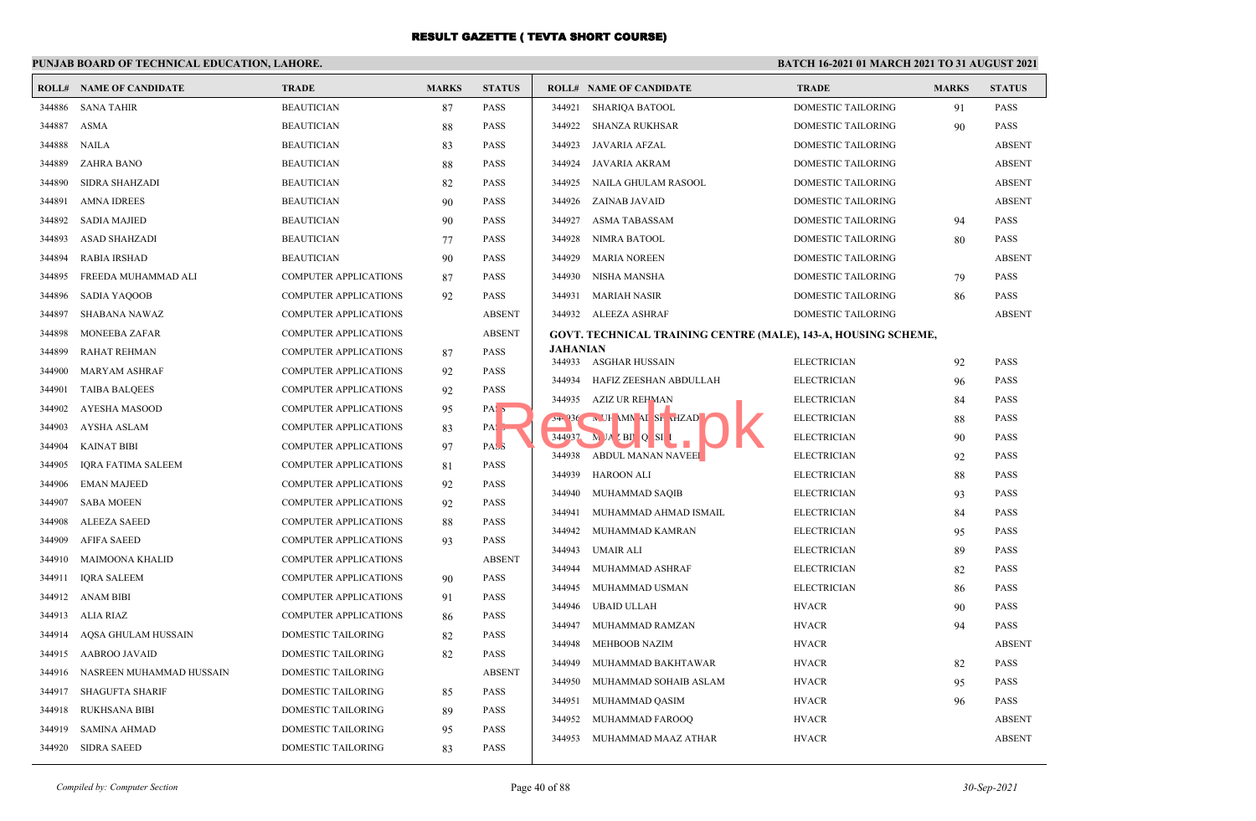## **PUNJAB BOARD OF TECHNICAL EDUCATION, LAHORE.**

|        | <b>ROLL# NAME OF CANDIDATE</b> | <b>TRADE</b>                 | <b>MARKS</b> | <b>STATUS</b>     |                 | <b>ROLL# NAME OF CANDIDATE</b>                                 | <b>TRADE</b>              | <b>MARKS</b> | <b>STATUS</b> |
|--------|--------------------------------|------------------------------|--------------|-------------------|-----------------|----------------------------------------------------------------|---------------------------|--------------|---------------|
| 344886 | <b>SANA TAHIR</b>              | <b>BEAUTICIAN</b>            | 87           | PASS              | 344921          | SHARIQA BATOOL                                                 | <b>DOMESTIC TAILORING</b> | 91           | <b>PASS</b>   |
| 344887 | <b>ASMA</b>                    | <b>BEAUTICIAN</b>            | 88           | PASS              | 344922          | SHANZA RUKHSAR                                                 | <b>DOMESTIC TAILORING</b> | 90           | <b>PASS</b>   |
| 344888 | NAILA                          | <b>BEAUTICIAN</b>            | 83           | PASS              | 344923          | JAVARIA AFZAL                                                  | DOMESTIC TAILORING        |              | <b>ABSENT</b> |
| 344889 | <b>ZAHRA BANO</b>              | <b>BEAUTICIAN</b>            | 88           | PASS              | 344924          | JAVARIA AKRAM                                                  | DOMESTIC TAILORING        |              | <b>ABSENT</b> |
| 344890 | <b>SIDRA SHAHZADI</b>          | <b>BEAUTICIAN</b>            | 82           | <b>PASS</b>       | 344925          | NAILA GHULAM RASOOL                                            | DOMESTIC TAILORING        |              | <b>ABSENT</b> |
| 344891 | <b>AMNA IDREES</b>             | <b>BEAUTICIAN</b>            | 90           | <b>PASS</b>       | 344926          | ZAINAB JAVAID                                                  | DOMESTIC TAILORING        |              | <b>ABSENT</b> |
| 344892 | <b>SADIA MAJIED</b>            | <b>BEAUTICIAN</b>            | 90           | PASS              | 344927          | <b>ASMA TABASSAM</b>                                           | DOMESTIC TAILORING        | 94           | <b>PASS</b>   |
| 344893 | <b>ASAD SHAHZADI</b>           | <b>BEAUTICIAN</b>            | 77           | PASS              | 344928          | NIMRA BATOOL                                                   | DOMESTIC TAILORING        | 80           | <b>PASS</b>   |
| 344894 | <b>RABIA IRSHAD</b>            | <b>BEAUTICIAN</b>            | 90           | <b>PASS</b>       | 344929          | <b>MARIA NOREEN</b>                                            | <b>DOMESTIC TAILORING</b> |              | <b>ABSENT</b> |
| 344895 | FREEDA MUHAMMAD ALI            | <b>COMPUTER APPLICATIONS</b> | 87           | <b>PASS</b>       | 344930          | <b>NISHA MANSHA</b>                                            | DOMESTIC TAILORING        | 79           | <b>PASS</b>   |
| 344896 | <b>SADIA YAQOOB</b>            | <b>COMPUTER APPLICATIONS</b> | 92           | PASS              | 344931          | <b>MARIAH NASIR</b>                                            | DOMESTIC TAILORING        | 86           | <b>PASS</b>   |
| 344897 | SHABANA NAWAZ                  | <b>COMPUTER APPLICATIONS</b> |              | <b>ABSENT</b>     |                 | 344932 ALEEZA ASHRAF                                           | <b>DOMESTIC TAILORING</b> |              | <b>ABSENT</b> |
| 344898 | <b>MONEEBA ZAFAR</b>           | <b>COMPUTER APPLICATIONS</b> |              | <b>ABSENT</b>     |                 | GOVT. TECHNICAL TRAINING CENTRE (MALE), 143-A, HOUSING SCHEME, |                           |              |               |
| 344899 | <b>RAHAT REHMAN</b>            | COMPUTER APPLICATIONS        | 87           | PASS              | <b>JAHANIAN</b> | 344933 ASGHAR HUSSAIN                                          | <b>ELECTRICIAN</b>        |              | <b>PASS</b>   |
| 344900 | <b>MARYAM ASHRAF</b>           | <b>COMPUTER APPLICATIONS</b> | 92           | PASS              | 344934          | HAFIZ ZEESHAN ABDULLAH                                         | <b>ELECTRICIAN</b>        | 92<br>96     | <b>PASS</b>   |
| 344901 | <b>TAIBA BALQEES</b>           | <b>COMPUTER APPLICATIONS</b> | 92           | PASS              | 344935          | AZIZ UR REHMAN                                                 | <b>ELECTRICIAN</b>        | 84           | <b>PASS</b>   |
| 344902 | <b>AYESHA MASOOD</b>           | <b>COMPUTER APPLICATIONS</b> | 95           | PAS <sub>5</sub>  |                 | $54.36$ N JH MN AI SL MZAD                                     | <b>ELECTRICIAN</b>        | 88           | <b>PASS</b>   |
| 344903 | AYSHA ASLAM                    | <b>COMPUTER APPLICATIONS</b> | 83           | $PA: \rightarrow$ |                 | $344937$ M JA BI Q SI                                          | <b>ELECTRICIAN</b>        | 90           | <b>PASS</b>   |
| 344904 | <b>KAINAT BIBI</b>             | <b>COMPUTER APPLICATIONS</b> | 97           | PAS <sub>3</sub>  |                 | 344938 ABDUL MANAN NAVEEI                                      | <b>ELECTRICIAN</b>        | 92           | <b>PASS</b>   |
| 344905 | <b>IQRA FATIMA SALEEM</b>      | <b>COMPUTER APPLICATIONS</b> | 81           | <b>PASS</b>       | 344939          | <b>HAROON ALI</b>                                              | <b>ELECTRICIAN</b>        | 88           | <b>PASS</b>   |
| 344906 | <b>EMAN MAJEED</b>             | <b>COMPUTER APPLICATIONS</b> | 92           | PASS              | 344940          | MUHAMMAD SAQIB                                                 | <b>ELECTRICIAN</b>        | 93           | <b>PASS</b>   |
| 344907 | <b>SABA MOEEN</b>              | <b>COMPUTER APPLICATIONS</b> | 92           | PASS              | 344941          | MUHAMMAD AHMAD ISMAIL                                          | <b>ELECTRICIAN</b>        | 84           | <b>PASS</b>   |
| 344908 | <b>ALEEZA SAEED</b>            | <b>COMPUTER APPLICATIONS</b> | 88           | PASS              | 344942          | MUHAMMAD KAMRAN                                                | <b>ELECTRICIAN</b>        | 95           | <b>PASS</b>   |
| 344909 | <b>AFIFA SAEED</b>             | <b>COMPUTER APPLICATIONS</b> | 93           | PASS              | 344943          | UMAIR ALI                                                      | <b>ELECTRICIAN</b>        | 89           | <b>PASS</b>   |
| 344910 | MAIMOONA KHALID                | <b>COMPUTER APPLICATIONS</b> |              | <b>ABSENT</b>     | 344944          | MUHAMMAD ASHRAF                                                | <b>ELECTRICIAN</b>        | 82           | <b>PASS</b>   |
| 344911 | <b>IQRA SALEEM</b>             | <b>COMPUTER APPLICATIONS</b> | 90           | PASS              | 344945          | MUHAMMAD USMAN                                                 | <b>ELECTRICIAN</b>        | 86           | <b>PASS</b>   |
| 344912 | ANAM BIBI                      | <b>COMPUTER APPLICATIONS</b> | 91           | <b>PASS</b>       | 344946          | <b>UBAID ULLAH</b>                                             | <b>HVACR</b>              | 90           | <b>PASS</b>   |
| 344913 | ALIA RIAZ                      | <b>COMPUTER APPLICATIONS</b> | 86           | <b>PASS</b>       | 344947          | MUHAMMAD RAMZAN                                                | <b>HVACR</b>              | 94           | <b>PASS</b>   |
| 344914 | AQSA GHULAM HUSSAIN            | DOMESTIC TAILORING           | 82           | PASS              | 344948          | <b>MEHBOOB NAZIM</b>                                           | <b>HVACR</b>              |              | <b>ABSENT</b> |
| 344915 | AABROO JAVAID                  | DOMESTIC TAILORING           | 82           | PASS              | 344949          | MUHAMMAD BAKHTAWAR                                             | <b>HVACR</b>              | 82           | <b>PASS</b>   |
| 344916 | NASREEN MUHAMMAD HUSSAIN       | DOMESTIC TAILORING           |              | <b>ABSENT</b>     | 344950          | MUHAMMAD SOHAIB ASLAM                                          | <b>HVACR</b>              | 95           | <b>PASS</b>   |
| 344917 | <b>SHAGUFTA SHARIF</b>         | DOMESTIC TAILORING           | 85           | <b>PASS</b>       | 344951          | MUHAMMAD QASIM                                                 | <b>HVACR</b>              | 96           | <b>PASS</b>   |
| 344918 | RUKHSANA BIBI                  | DOMESTIC TAILORING           | 89           | PASS              | 344952          | MUHAMMAD FAROOQ                                                | <b>HVACR</b>              |              | <b>ABSENT</b> |
| 344919 | <b>SAMINA AHMAD</b>            | DOMESTIC TAILORING           | 95           | PASS              | 344953          | MUHAMMAD MAAZ ATHAR                                            | <b>HVACR</b>              |              | <b>ABSENT</b> |
| 344920 | SIDRA SAEED                    | DOMESTIC TAILORING           | 83           | <b>PASS</b>       |                 |                                                                |                           |              |               |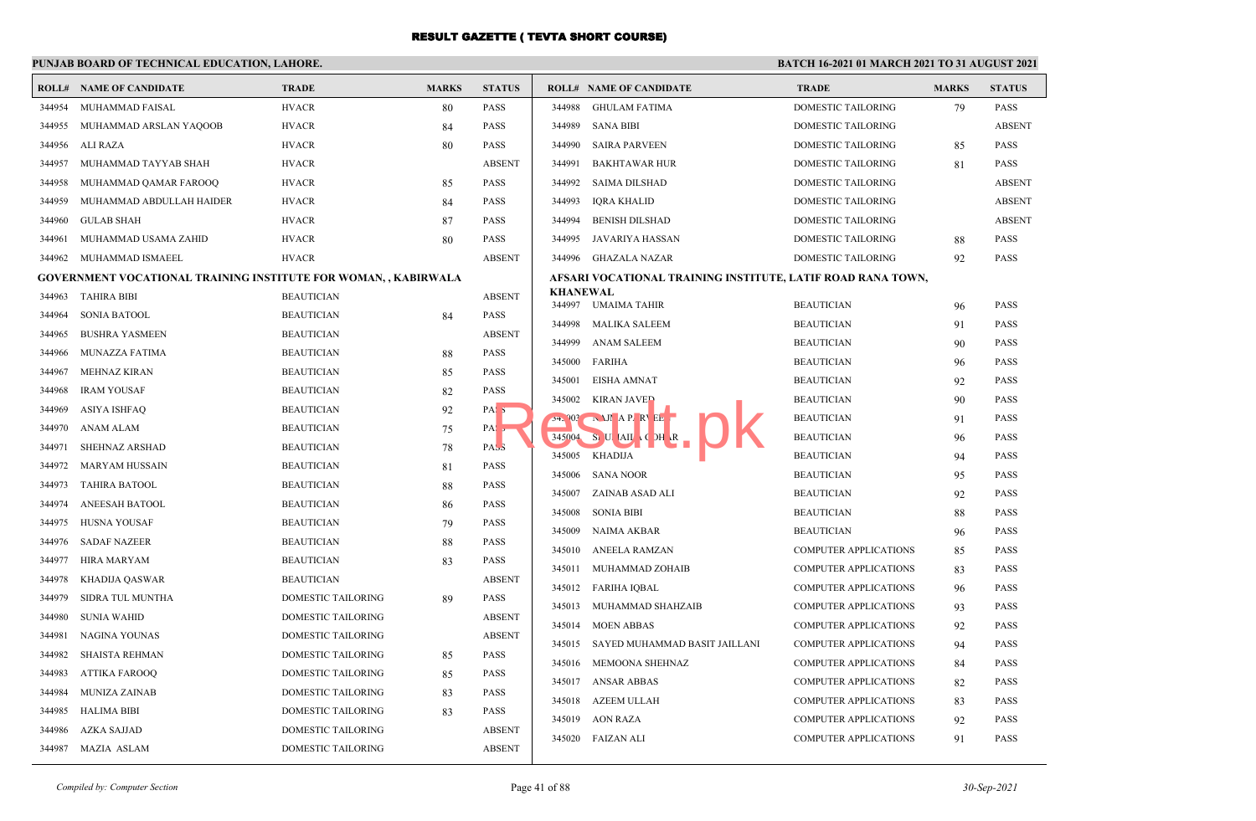|        | <b>ROLL# NAME OF CANDIDATE</b>                                        | <b>TRADE</b>              | <b>MARKS</b> | <b>STATUS</b>    |                  | <b>ROLL# NAME OF CANDIDATE</b>                              | <b>TRADE</b>                           | <b>MARKS</b> | <b>STATUS</b>              |
|--------|-----------------------------------------------------------------------|---------------------------|--------------|------------------|------------------|-------------------------------------------------------------|----------------------------------------|--------------|----------------------------|
| 344954 | MUHAMMAD FAISAL                                                       | <b>HVACR</b>              | 80           | <b>PASS</b>      | 344988           | <b>GHULAM FATIMA</b>                                        | <b>DOMESTIC TAILORING</b>              | 79           | <b>PASS</b>                |
| 344955 | MUHAMMAD ARSLAN YAQOOB                                                | <b>HVACR</b>              | 84           | <b>PASS</b>      | 344989           | <b>SANA BIBI</b>                                            | DOMESTIC TAILORING                     |              | <b>ABSENT</b>              |
| 344956 | ALI RAZA                                                              | <b>HVACR</b>              | 80           | <b>PASS</b>      | 344990           | <b>SAIRA PARVEEN</b>                                        | DOMESTIC TAILORING                     | 85           | <b>PASS</b>                |
| 344957 | MUHAMMAD TAYYAB SHAH                                                  | <b>HVACR</b>              |              | <b>ABSENT</b>    | 344991           | <b>BAKHTAWAR HUR</b>                                        | <b>DOMESTIC TAILORING</b>              | 81           | <b>PASS</b>                |
| 344958 | MUHAMMAD QAMAR FAROOQ                                                 | <b>HVACR</b>              | 85           | <b>PASS</b>      | 344992           | <b>SAIMA DILSHAD</b>                                        | DOMESTIC TAILORING                     |              | <b>ABSENT</b>              |
| 344959 | MUHAMMAD ABDULLAH HAIDER                                              | <b>HVACR</b>              | 84           | <b>PASS</b>      | 344993           | <b>IORA KHALID</b>                                          | DOMESTIC TAILORING                     |              | <b>ABSENT</b>              |
| 344960 | <b>GULAB SHAH</b>                                                     | <b>HVACR</b>              | 87           | <b>PASS</b>      | 344994           | <b>BENISH DILSHAD</b>                                       | DOMESTIC TAILORING                     |              | <b>ABSENT</b>              |
| 344961 | MUHAMMAD USAMA ZAHID                                                  | <b>HVACR</b>              | 80           | <b>PASS</b>      | 344995           | JAVARIYA HASSAN                                             | DOMESTIC TAILORING                     | 88           | <b>PASS</b>                |
| 344962 | MUHAMMAD ISMAEEL                                                      | <b>HVACR</b>              |              | <b>ABSENT</b>    | 344996           | <b>GHAZALA NAZAR</b>                                        | <b>DOMESTIC TAILORING</b>              | 92           | <b>PASS</b>                |
|        | <b>GOVERNMENT VOCATIONAL TRAINING INSTITUTE FOR WOMAN,, KABIRWALA</b> |                           |              |                  |                  | AFSARI VOCATIONAL TRAINING INSTITUTE, LATIF ROAD RANA TOWN, |                                        |              |                            |
| 344963 | TAHIRA BIBI                                                           | <b>BEAUTICIAN</b>         |              | <b>ABSENT</b>    | KHANEWAL         | 344997 UMAIMA TAHIR                                         | <b>BEAUTICIAN</b>                      |              | <b>PASS</b>                |
| 344964 | <b>SONIA BATOOL</b>                                                   | <b>BEAUTICIAN</b>         | 84           | <b>PASS</b>      |                  |                                                             |                                        | 96           |                            |
| 344965 | <b>BUSHRA YASMEEN</b>                                                 | <b>BEAUTICIAN</b>         |              | <b>ABSENT</b>    | 344998<br>344999 | MALIKA SALEEM<br><b>ANAM SALEEM</b>                         | <b>BEAUTICIAN</b>                      | 91           | <b>PASS</b><br><b>PASS</b> |
| 344966 | <b>MUNAZZA FATIMA</b>                                                 | <b>BEAUTICIAN</b>         | 88           | <b>PASS</b>      |                  |                                                             | <b>BEAUTICIAN</b>                      | 90           |                            |
| 344967 | <b>MEHNAZ KIRAN</b>                                                   | <b>BEAUTICIAN</b>         | 85           | <b>PASS</b>      | 345001           | 345000 FARIHA<br><b>EISHA AMNAT</b>                         | <b>BEAUTICIAN</b><br><b>BEAUTICIAN</b> | 96<br>92     | <b>PASS</b><br><b>PASS</b> |
| 344968 | <b>IRAM YOUSAF</b>                                                    | <b>BEAUTICIAN</b>         | 82           | <b>PASS</b>      | 345002           |                                                             |                                        |              |                            |
| 344969 | <b>ASIYA ISHFAQ</b>                                                   | <b>BEAUTICIAN</b>         | 92           | PAS <sub>5</sub> | 24.903           | <b>KIRAN JAVED</b><br>NJI AP RVEL                           | <b>BEAUTICIAN</b><br><b>BEAUTICIAN</b> | 90<br>91     | <b>PASS</b><br><b>PASS</b> |
| 344970 | ANAM ALAM                                                             | <b>BEAUTICIAN</b>         | 75           | PAS <sub>5</sub> | 345004           | SULTAIL CDH R                                               | <b>BEAUTICIAN</b>                      |              | PASS                       |
| 344971 | SHEHNAZ ARSHAD                                                        | <b>BEAUTICIAN</b>         | 78           | PAS <sub>3</sub> | 345005           | KHADIJA                                                     | <b>BEAUTICIAN</b>                      | 96<br>94     | <b>PASS</b>                |
| 344972 | <b>MARYAM HUSSAIN</b>                                                 | <b>BEAUTICIAN</b>         | 81           | <b>PASS</b>      |                  | 345006 SANA NOOR                                            | <b>BEAUTICIAN</b>                      |              | <b>PASS</b>                |
| 344973 | <b>TAHIRA BATOOL</b>                                                  | <b>BEAUTICIAN</b>         | 88           | <b>PASS</b>      | 345007           |                                                             |                                        | 95           | <b>PASS</b>                |
| 344974 | ANEESAH BATOOL                                                        | <b>BEAUTICIAN</b>         | 86           | <b>PASS</b>      | 345008           | ZAINAB ASAD ALI<br><b>SONIA BIBI</b>                        | <b>BEAUTICIAN</b><br><b>BEAUTICIAN</b> | 92           | <b>PASS</b>                |
| 344975 | HUSNA YOUSAF                                                          | <b>BEAUTICIAN</b>         | 79           | <b>PASS</b>      |                  |                                                             |                                        | 88           |                            |
| 344976 | <b>SADAF NAZEER</b>                                                   | <b>BEAUTICIAN</b>         | 88           | <b>PASS</b>      | 345009           | NAIMA AKBAR                                                 | <b>BEAUTICIAN</b>                      | 96           | <b>PASS</b>                |
| 344977 | HIRA MARYAM                                                           | <b>BEAUTICIAN</b>         | 83           | <b>PASS</b>      | 345010           | ANEELA RAMZAN                                               | <b>COMPUTER APPLICATIONS</b>           | 85           | <b>PASS</b>                |
| 344978 | KHADIJA QASWAR                                                        | <b>BEAUTICIAN</b>         |              | <b>ABSENT</b>    | 345011           | MUHAMMAD ZOHAIB                                             | <b>COMPUTER APPLICATIONS</b>           | 83           | <b>PASS</b>                |
| 344979 | SIDRA TUL MUNTHA                                                      | DOMESTIC TAILORING        | 89           | <b>PASS</b>      |                  | 345012 FARIHA IQBAL                                         | <b>COMPUTER APPLICATIONS</b>           | 96           | <b>PASS</b>                |
| 344980 | <b>SUNIA WAHID</b>                                                    | DOMESTIC TAILORING        |              | <b>ABSENT</b>    | 345013           | MUHAMMAD SHAHZAIB                                           | <b>COMPUTER APPLICATIONS</b>           | 93           | <b>PASS</b>                |
| 344981 | NAGINA YOUNAS                                                         | DOMESTIC TAILORING        |              | <b>ABSENT</b>    | 345014           | <b>MOEN ABBAS</b>                                           | <b>COMPUTER APPLICATIONS</b>           | 92           | <b>PASS</b>                |
| 344982 | SHAISTA REHMAN                                                        | DOMESTIC TAILORING        | 85           | <b>PASS</b>      | 345015           | SAYED MUHAMMAD BASIT JAILLANI                               | <b>COMPUTER APPLICATIONS</b>           | 94           | <b>PASS</b>                |
| 344983 | <b>ATTIKA FAROOQ</b>                                                  | DOMESTIC TAILORING        | 85           | PASS             | 345016           | MEMOONA SHEHNAZ                                             | COMPUTER APPLICATIONS                  | 84           | <b>PASS</b>                |
| 344984 | <b>MUNIZA ZAINAB</b>                                                  | DOMESTIC TAILORING        | 83           | <b>PASS</b>      | 345017           | <b>ANSAR ABBAS</b>                                          | <b>COMPUTER APPLICATIONS</b>           | 82           | <b>PASS</b>                |
| 344985 | <b>HALIMA BIBI</b>                                                    | DOMESTIC TAILORING        | 83           | PASS             | 345018           | <b>AZEEM ULLAH</b>                                          | <b>COMPUTER APPLICATIONS</b>           | 83           | <b>PASS</b>                |
| 344986 | <b>AZKA SAJJAD</b>                                                    | DOMESTIC TAILORING        |              | <b>ABSENT</b>    | 345019           | <b>AON RAZA</b>                                             | <b>COMPUTER APPLICATIONS</b>           | 92           | <b>PASS</b>                |
|        | 344987 MAZIA ASLAM                                                    | <b>DOMESTIC TAILORING</b> |              | <b>ABSENT</b>    |                  | 345020 FAIZAN ALI                                           | <b>COMPUTER APPLICATIONS</b>           | 91           | <b>PASS</b>                |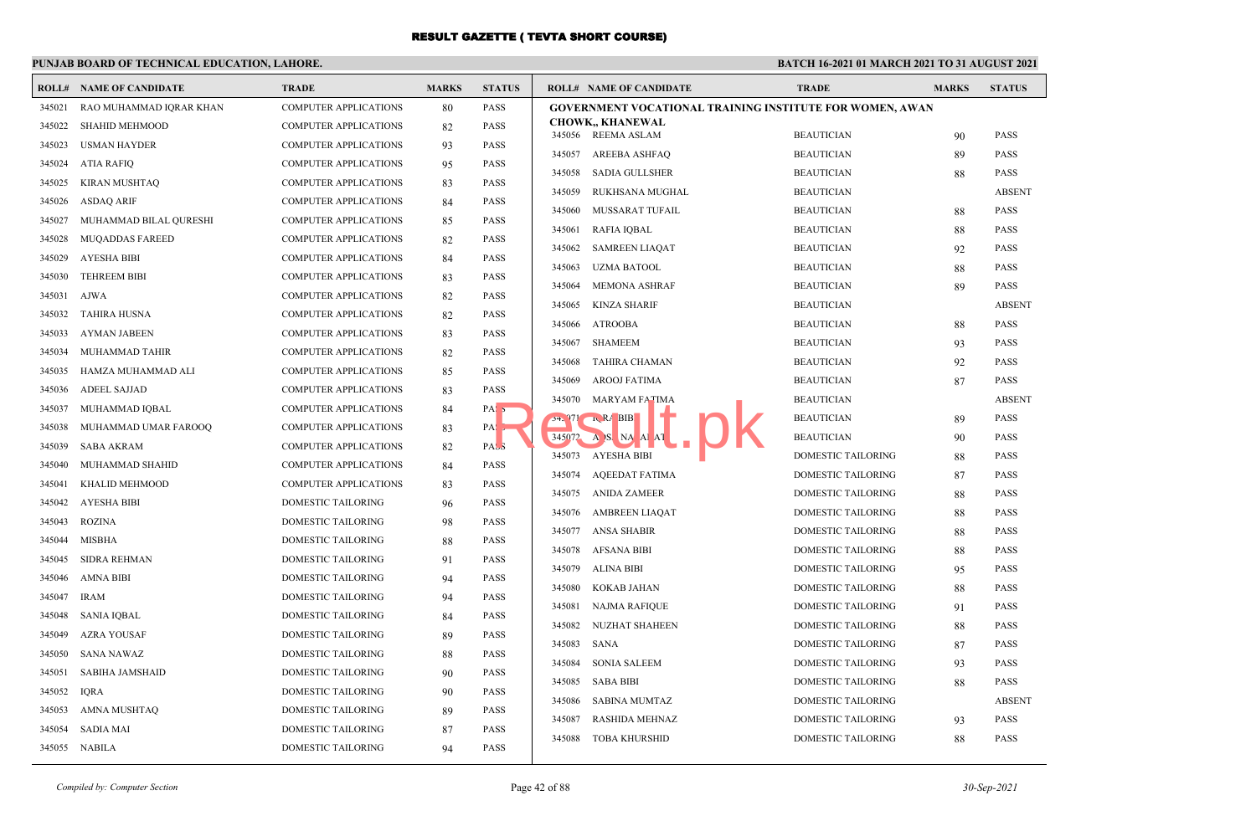## **PUNJAB BOARD OF TECHNICAL EDUCATION, LAHORE.**

 $\overline{\phantom{a}}$ 

|        | <b>ROLL# NAME OF CANDIDATE</b> | <b>TRADE</b>                 | <b>MARKS</b> | <b>STATUS</b>    |        | <b>ROLL# NAME OF CANDIDATE</b>                                  | <b>TRADE</b>       | <b>MARKS</b> | <b>STATUS</b> |
|--------|--------------------------------|------------------------------|--------------|------------------|--------|-----------------------------------------------------------------|--------------------|--------------|---------------|
| 345021 | RAO MUHAMMAD IQRAR KHAN        | COMPUTER APPLICATIONS        | 80           | <b>PASS</b>      |        | <b>GOVERNMENT VOCATIONAL TRAINING INSTITUTE FOR WOMEN, AWAN</b> |                    |              |               |
| 345022 | <b>SHAHID MEHMOOD</b>          | <b>COMPUTER APPLICATIONS</b> | 82           | <b>PASS</b>      |        | <b>CHOWK,, KHANEWAL</b>                                         |                    |              |               |
| 345023 | USMAN HAYDER                   | <b>COMPUTER APPLICATIONS</b> | 93           | <b>PASS</b>      |        | 345056 REEMA ASLAM                                              | <b>BEAUTICIAN</b>  | 90           | <b>PASS</b>   |
| 345024 | ATIA RAFIQ                     | COMPUTER APPLICATIONS        | 95           | PASS             | 345057 | AREEBA ASHFAQ                                                   | <b>BEAUTICIAN</b>  | 89           | <b>PASS</b>   |
| 345025 | <b>KIRAN MUSHTAQ</b>           | COMPUTER APPLICATIONS        | 83           | <b>PASS</b>      | 345058 | SADIA GULLSHER                                                  | <b>BEAUTICIAN</b>  | 88           | <b>PASS</b>   |
| 345026 | <b>ASDAQ ARIF</b>              | <b>COMPUTER APPLICATIONS</b> | 84           | <b>PASS</b>      | 345059 | RUKHSANA MUGHAL                                                 | <b>BEAUTICIAN</b>  |              | <b>ABSENT</b> |
| 345027 | MUHAMMAD BILAL QURESHI         | COMPUTER APPLICATIONS        | 85           | <b>PASS</b>      | 345060 | MUSSARAT TUFAIL                                                 | <b>BEAUTICIAN</b>  | 88           | <b>PASS</b>   |
| 345028 | <b>MUOADDAS FAREED</b>         | <b>COMPUTER APPLICATIONS</b> | 82           | <b>PASS</b>      | 345061 | RAFIA IQBAL                                                     | <b>BEAUTICIAN</b>  | 88           | <b>PASS</b>   |
| 345029 | AYESHA BIBI                    | COMPUTER APPLICATIONS        | 84           | <b>PASS</b>      | 345062 | <b>SAMREEN LIAQAT</b>                                           | <b>BEAUTICIAN</b>  | 92           | <b>PASS</b>   |
| 345030 | <b>TEHREEM BIBI</b>            | COMPUTER APPLICATIONS        | 83           | <b>PASS</b>      | 345063 | <b>UZMA BATOOL</b>                                              | <b>BEAUTICIAN</b>  | 88           | <b>PASS</b>   |
| 345031 | <b>AJWA</b>                    | COMPUTER APPLICATIONS        | 82           | <b>PASS</b>      | 345064 | <b>MEMONA ASHRAF</b>                                            | <b>BEAUTICIAN</b>  | 89           | <b>PASS</b>   |
| 345032 | <b>TAHIRA HUSNA</b>            | <b>COMPUTER APPLICATIONS</b> | 82           | <b>PASS</b>      | 345065 | KINZA SHARIF                                                    | <b>BEAUTICIAN</b>  |              | <b>ABSENT</b> |
| 345033 | <b>AYMAN JABEEN</b>            | COMPUTER APPLICATIONS        | 83           | PASS             |        | 345066 ATROOBA                                                  | <b>BEAUTICIAN</b>  | 88           | <b>PASS</b>   |
| 345034 | MUHAMMAD TAHIR                 | COMPUTER APPLICATIONS        | 82           | <b>PASS</b>      | 345067 | SHAMEEM                                                         | <b>BEAUTICIAN</b>  | 93           | <b>PASS</b>   |
| 345035 | HAMZA MUHAMMAD ALI             | <b>COMPUTER APPLICATIONS</b> | 85           | <b>PASS</b>      | 345068 | TAHIRA CHAMAN                                                   | <b>BEAUTICIAN</b>  | 92           | <b>PASS</b>   |
| 345036 | ADEEL SAJJAD                   | <b>COMPUTER APPLICATIONS</b> | 83           | <b>PASS</b>      | 345069 | AROOJ FATIMA                                                    | <b>BEAUTICIAN</b>  | 87           | <b>PASS</b>   |
| 345037 | MUHAMMAD IQBAL                 | COMPUTER APPLICATIONS        |              | PAS <sub>5</sub> | 345070 | MARYAM FATIMA                                                   | <b>BEAUTICIAN</b>  |              | <b>ABSENT</b> |
|        |                                |                              | 84           |                  |        | $34.971 \, RA BIB$                                              | <b>BEAUTICIAN</b>  | 89           | <b>PASS</b>   |
| 345038 | MUHAMMAD UMAR FAROOQ           | COMPUTER APPLICATIONS        | 83           | $PA:$ ,          |        | 345072 A S NA A AT                                              | <b>BEAUTICIAN</b>  | 90           | <b>PASS</b>   |
| 345039 | <b>SABA AKRAM</b>              | <b>COMPUTER APPLICATIONS</b> | 82           | PASS             |        | 345073 AYESHA BIBI                                              | DOMESTIC TAILORING | 88           | <b>PASS</b>   |
| 345040 | MUHAMMAD SHAHID                | <b>COMPUTER APPLICATIONS</b> | 84           | <b>PASS</b>      | 345074 | AQEEDAT FATIMA                                                  | DOMESTIC TAILORING | 87           | <b>PASS</b>   |
| 345041 | KHALID MEHMOOD                 | COMPUTER APPLICATIONS        | 83           | PASS             | 345075 | ANIDA ZAMEER                                                    | DOMESTIC TAILORING | 88           | <b>PASS</b>   |
| 345042 | AYESHA BIBI                    | DOMESTIC TAILORING           | 96           | <b>PASS</b>      | 345076 | AMBREEN LIAQAT                                                  | DOMESTIC TAILORING | 88           | <b>PASS</b>   |
| 345043 | <b>ROZINA</b>                  | DOMESTIC TAILORING           | 98           | <b>PASS</b>      | 345077 | <b>ANSA SHABIR</b>                                              | DOMESTIC TAILORING | 88           | <b>PASS</b>   |
| 345044 | MISBHA                         | DOMESTIC TAILORING           | 88           | <b>PASS</b>      | 345078 | AFSANA BIBI                                                     | DOMESTIC TAILORING | 88           | <b>PASS</b>   |
| 345045 | <b>SIDRA REHMAN</b>            | DOMESTIC TAILORING           | 91           | PASS             | 345079 | ALINA BIBI                                                      | DOMESTIC TAILORING | 95           | <b>PASS</b>   |
| 345046 | AMNA BIBI                      | DOMESTIC TAILORING           | 94           | PASS             | 345080 | KOKAB JAHAN                                                     | DOMESTIC TAILORING | 88           | <b>PASS</b>   |
| 345047 | <b>IRAM</b>                    | DOMESTIC TAILORING           | 94           | <b>PASS</b>      | 345081 | NAJMA RAFIQUE                                                   | DOMESTIC TAILORING | 91           | <b>PASS</b>   |
| 345048 | <b>SANIA IQBAL</b>             | DOMESTIC TAILORING           | 84           | <b>PASS</b>      | 345082 | <b>NUZHAT SHAHEEN</b>                                           | DOMESTIC TAILORING | 88           | <b>PASS</b>   |
|        | 345049 AZRA YOUSAF             | DOMESTIC TAILORING           | 89           | <b>PASS</b>      | 345083 | SANA                                                            | DOMESTIC TAILORING | 87           | <b>PASS</b>   |
| 345050 | <b>SANA NAWAZ</b>              | DOMESTIC TAILORING           | 88           | PASS             | 345084 | <b>SONIA SALEEM</b>                                             | DOMESTIC TAILORING | 93           | <b>PASS</b>   |
| 345051 | <b>SABIHA JAMSHAID</b>         | DOMESTIC TAILORING           | 90           | <b>PASS</b>      | 345085 | SABA BIBI                                                       | DOMESTIC TAILORING | 88           | <b>PASS</b>   |
| 345052 | <b>IQRA</b>                    | DOMESTIC TAILORING           | 90           | <b>PASS</b>      |        |                                                                 | DOMESTIC TAILORING |              | <b>ABSENT</b> |
| 345053 | AMNA MUSHTAQ                   | DOMESTIC TAILORING           | 89           | <b>PASS</b>      | 345086 | SABINA MUMTAZ                                                   |                    |              |               |
| 345054 | <b>SADIA MAI</b>               | DOMESTIC TAILORING           | 87           | <b>PASS</b>      | 345087 | <b>RASHIDA MEHNAZ</b>                                           | DOMESTIC TAILORING | 93           | <b>PASS</b>   |
|        | 345055 NABILA                  | <b>DOMESTIC TAILORING</b>    | 94           | <b>PASS</b>      | 345088 | TOBA KHURSHID                                                   | DOMESTIC TAILORING | 88           | <b>PASS</b>   |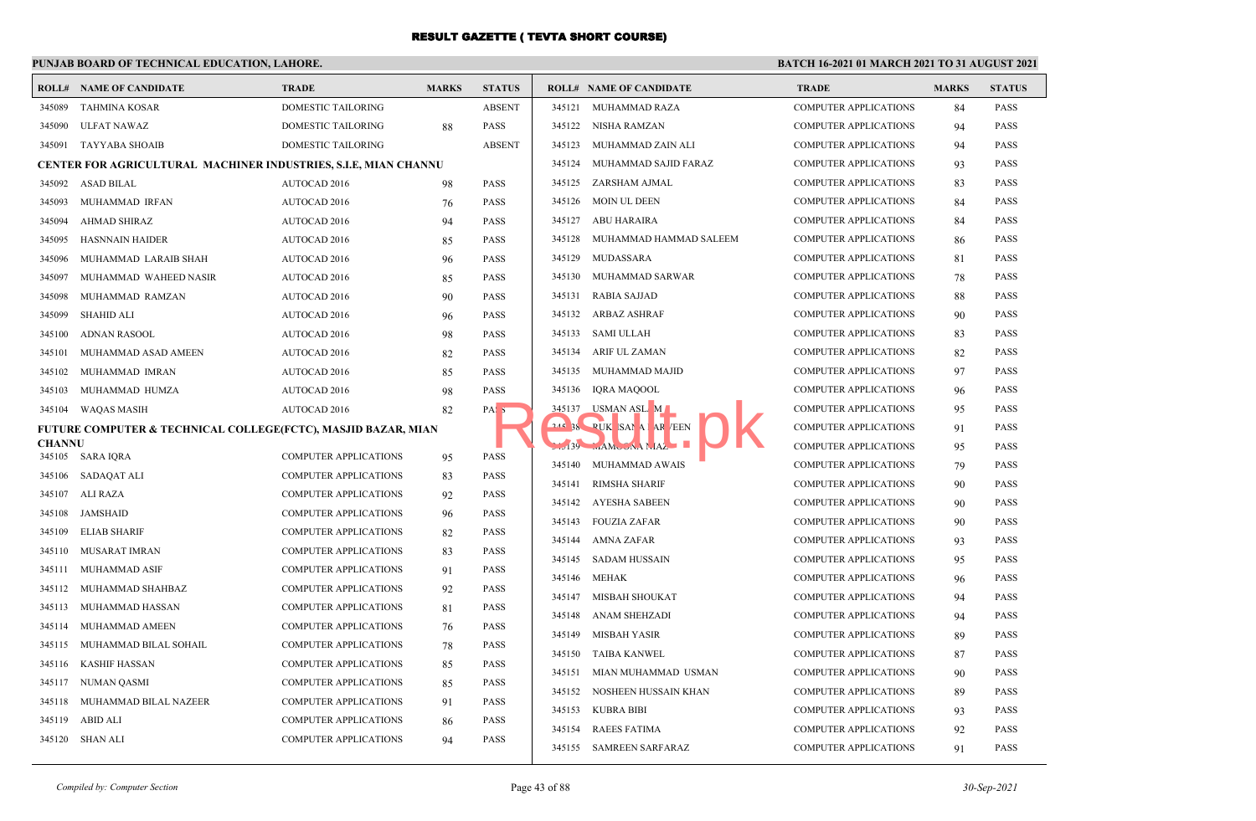### **PUNJAB BOARD OF TECHNICAL EDUCATION, LAHORE.**

|               | <b>ROLL# NAME OF CANDIDATE</b>                                           | <b>TRADE</b>                 | <b>MARKS</b> | <b>STATUS</b>    |        | <b>ROLL# NAME OF CANDIDATE</b> | <b>TRADE</b>                 | <b>MARKS</b> | <b>STATUS</b> |
|---------------|--------------------------------------------------------------------------|------------------------------|--------------|------------------|--------|--------------------------------|------------------------------|--------------|---------------|
| 345089        | <b>TAHMINA KOSAR</b>                                                     | <b>DOMESTIC TAILORING</b>    |              | <b>ABSENT</b>    | 345121 | MUHAMMAD RAZA                  | <b>COMPUTER APPLICATIONS</b> | 84           | <b>PASS</b>   |
| 345090        | ULFAT NAWAZ                                                              | <b>DOMESTIC TAILORING</b>    | 88           | <b>PASS</b>      |        | 345122 NISHA RAMZAN            | <b>COMPUTER APPLICATIONS</b> | 94           | <b>PASS</b>   |
|               | 345091 TAYYABA SHOAIB                                                    | <b>DOMESTIC TAILORING</b>    |              | <b>ABSENT</b>    | 345123 | MUHAMMAD ZAIN ALI              | <b>COMPUTER APPLICATIONS</b> | 94           | <b>PASS</b>   |
|               | <b>CENTER FOR AGRICULTURAL MACHINER INDUSTRIES, S.I.E, MIAN CHANNU</b>   |                              |              |                  | 345124 | MUHAMMAD SAJID FARAZ           | <b>COMPUTER APPLICATIONS</b> | 93           | <b>PASS</b>   |
|               | 345092 ASAD BILAL                                                        | AUTOCAD 2016                 | 98           | <b>PASS</b>      |        | 345125 ZARSHAM AJMAL           | <b>COMPUTER APPLICATIONS</b> | 83           | <b>PASS</b>   |
| 345093        | MUHAMMAD IRFAN                                                           | AUTOCAD 2016                 | 76           | <b>PASS</b>      | 345126 | MOIN UL DEEN                   | <b>COMPUTER APPLICATIONS</b> | 84           | <b>PASS</b>   |
| 345094        | <b>AHMAD SHIRAZ</b>                                                      | AUTOCAD 2016                 | 94           | <b>PASS</b>      | 345127 | ABU HARAIRA                    | <b>COMPUTER APPLICATIONS</b> | 84           | <b>PASS</b>   |
| 345095        | <b>HASNNAIN HAIDER</b>                                                   | AUTOCAD 2016                 | 85           | <b>PASS</b>      | 345128 | MUHAMMAD HAMMAD SALEEM         | <b>COMPUTER APPLICATIONS</b> | 86           | <b>PASS</b>   |
| 345096        | MUHAMMAD LARAIB SHAH                                                     | AUTOCAD 2016                 | 96           | <b>PASS</b>      | 345129 | MUDASSARA                      | <b>COMPUTER APPLICATIONS</b> | 81           | <b>PASS</b>   |
| 345097        | MUHAMMAD WAHEED NASIR                                                    | AUTOCAD 2016                 | 85           | <b>PASS</b>      | 345130 | MUHAMMAD SARWAR                | <b>COMPUTER APPLICATIONS</b> | 78           | <b>PASS</b>   |
| 345098        | MUHAMMAD RAMZAN                                                          | AUTOCAD 2016                 | 90           | <b>PASS</b>      | 345131 | <b>RABIA SAJJAD</b>            | <b>COMPUTER APPLICATIONS</b> | 88           | <b>PASS</b>   |
| 345099        | <b>SHAHID ALI</b>                                                        | AUTOCAD 2016                 | 96           | <b>PASS</b>      | 345132 | <b>ARBAZ ASHRAF</b>            | <b>COMPUTER APPLICATIONS</b> | 90           | <b>PASS</b>   |
| 345100        | <b>ADNAN RASOOL</b>                                                      | AUTOCAD 2016                 | 98           | <b>PASS</b>      | 345133 | SAMI ULLAH                     | <b>COMPUTER APPLICATIONS</b> | 83           | <b>PASS</b>   |
| 345101        | MUHAMMAD ASAD AMEEN                                                      | AUTOCAD 2016                 | 82           | <b>PASS</b>      | 345134 | <b>ARIF UL ZAMAN</b>           | <b>COMPUTER APPLICATIONS</b> | 82           | <b>PASS</b>   |
| 345102        | MUHAMMAD IMRAN                                                           | AUTOCAD 2016                 | 85           | <b>PASS</b>      | 345135 | MUHAMMAD MAJID                 | <b>COMPUTER APPLICATIONS</b> | 97           | <b>PASS</b>   |
| 345103        | MUHAMMAD HUMZA                                                           | AUTOCAD 2016                 | 98           | <b>PASS</b>      | 345136 | <b>IQRA MAQOOL</b>             | <b>COMPUTER APPLICATIONS</b> | 96           | <b>PASS</b>   |
| 345104        | <b>WAQAS MASIH</b>                                                       | AUTOCAD 2016                 | 82           | PAS <sub>5</sub> | 345137 | USMAN ASL M                    | <b>COMPUTER APPLICATIONS</b> | 95           | <b>PASS</b>   |
|               | <b>FUTURE COMPUTER &amp; TECHNICAL COLLEGE(FCTC), MASJID BAZAR, MIAN</b> |                              |              |                  |        | 244 38 PUK SAMA AR EEN         | <b>COMPUTER APPLICATIONS</b> | 91           | <b>PASS</b>   |
| <b>CHANNU</b> |                                                                          |                              |              |                  |        | $139 - A M C A A L A Z$        | <b>COMPUTER APPLICATIONS</b> | 95           | <b>PASS</b>   |
|               | 345105 SARA IQRA                                                         | <b>COMPUTER APPLICATIONS</b> | 95           | PASS             |        | 345140 MUHAMMAD AWAIS          | <b>COMPUTER APPLICATIONS</b> | 79           | <b>PASS</b>   |
|               | 345106 SADAQAT ALI                                                       | <b>COMPUTER APPLICATIONS</b> | 83           | <b>PASS</b>      | 345141 | <b>RIMSHA SHARIF</b>           | <b>COMPUTER APPLICATIONS</b> | 90           | <b>PASS</b>   |
|               | 345107 ALI RAZA                                                          | <b>COMPUTER APPLICATIONS</b> | 92           | PASS             |        | 345142 AYESHA SABEEN           | <b>COMPUTER APPLICATIONS</b> | 90           | <b>PASS</b>   |
| 345108        | JAMSHAID                                                                 | <b>COMPUTER APPLICATIONS</b> | 96           | <b>PASS</b>      |        | 345143 FOUZIA ZAFAR            | <b>COMPUTER APPLICATIONS</b> | 90           | <b>PASS</b>   |
| 345109        | <b>ELIAB SHARIF</b>                                                      | <b>COMPUTER APPLICATIONS</b> | 82           | <b>PASS</b>      | 345144 | AMNA ZAFAR                     | <b>COMPUTER APPLICATIONS</b> | 93           | <b>PASS</b>   |
| 345110        | MUSARAT IMRAN                                                            | <b>COMPUTER APPLICATIONS</b> | 83           | <b>PASS</b>      |        | 345145 SADAM HUSSAIN           | <b>COMPUTER APPLICATIONS</b> | 95           | <b>PASS</b>   |
| 345111        | MUHAMMAD ASIF                                                            | <b>COMPUTER APPLICATIONS</b> | 91           | <b>PASS</b>      | 345146 | MEHAK                          | <b>COMPUTER APPLICATIONS</b> | 96           | <b>PASS</b>   |
| 345112        | MUHAMMAD SHAHBAZ                                                         | <b>COMPUTER APPLICATIONS</b> | 92           | <b>PASS</b>      | 345147 | <b>MISBAH SHOUKAT</b>          | <b>COMPUTER APPLICATIONS</b> | 94           | <b>PASS</b>   |
| 345113        | MUHAMMAD HASSAN                                                          | <b>COMPUTER APPLICATIONS</b> | 81           | <b>PASS</b>      | 345148 | <b>ANAM SHEHZADI</b>           | <b>COMPUTER APPLICATIONS</b> | 94           | <b>PASS</b>   |
| 345114        | MUHAMMAD AMEEN                                                           | <b>COMPUTER APPLICATIONS</b> | 76           | <b>PASS</b>      | 345149 | <b>MISBAH YASIR</b>            | <b>COMPUTER APPLICATIONS</b> | 89           | <b>PASS</b>   |
| 345115        | MUHAMMAD BILAL SOHAIL                                                    | <b>COMPUTER APPLICATIONS</b> | 78           | <b>PASS</b>      | 345150 | <b>TAIBA KANWEL</b>            | <b>COMPUTER APPLICATIONS</b> | 87           | <b>PASS</b>   |
|               | 345116 KASHIF HASSAN                                                     | <b>COMPUTER APPLICATIONS</b> | 85           | <b>PASS</b>      | 345151 | MIAN MUHAMMAD USMAN            | <b>COMPUTER APPLICATIONS</b> | 90           | <b>PASS</b>   |
|               | 345117 NUMAN QASMI                                                       | <b>COMPUTER APPLICATIONS</b> | 85           | <b>PASS</b>      | 345152 | NOSHEEN HUSSAIN KHAN           | <b>COMPUTER APPLICATIONS</b> | 89           | <b>PASS</b>   |
| 345118        | MUHAMMAD BILAL NAZEER                                                    | <b>COMPUTER APPLICATIONS</b> | 91           | <b>PASS</b>      | 345153 | KUBRA BIBI                     | <b>COMPUTER APPLICATIONS</b> | 93           | <b>PASS</b>   |
| 345119        | ABID ALI                                                                 | <b>COMPUTER APPLICATIONS</b> | 86           | <b>PASS</b>      | 345154 | <b>RAEES FATIMA</b>            | <b>COMPUTER APPLICATIONS</b> | 92           | PASS          |
|               | 345120 SHAN ALI                                                          | <b>COMPUTER APPLICATIONS</b> | 94           | <b>PASS</b>      |        | 345155 SAMREEN SARFARAZ        | <b>COMPUTER APPLICATIONS</b> | 91           | <b>PASS</b>   |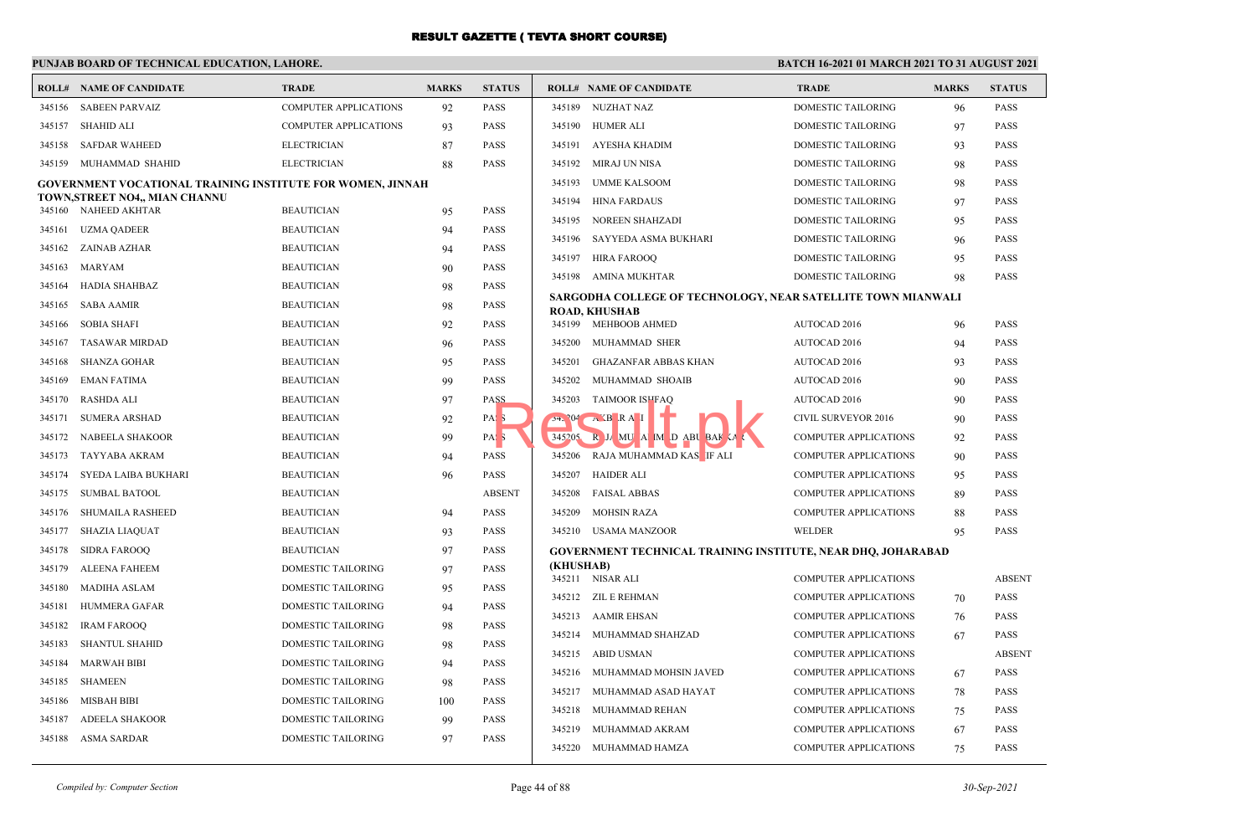#### **PUNJAB BOARD OF TECHNICAL EDUCATION, LAHORE.**

#### **BATCH 16-2021 01 MARCH 2021 TO 31 AUGUST 2021**

|        | <b>ROLL# NAME OF CANDIDATE</b>                                    | <b>TRADE</b>                 | <b>MARKS</b> | <b>STATUS</b>    |           | <b>ROLL# NAME OF CANDIDATE</b>                                      | <b>TRADE</b>                 | <b>MARKS</b> | <b>STATUS</b> |
|--------|-------------------------------------------------------------------|------------------------------|--------------|------------------|-----------|---------------------------------------------------------------------|------------------------------|--------------|---------------|
|        | 345156 SABEEN PARVAIZ                                             | <b>COMPUTER APPLICATIONS</b> | 92           | <b>PASS</b>      |           | 345189 NUZHAT NAZ                                                   | DOMESTIC TAILORING           | 96           | <b>PASS</b>   |
| 345157 | SHAHID ALI                                                        | <b>COMPUTER APPLICATIONS</b> | 93           | <b>PASS</b>      |           | 345190 HUMER ALI                                                    | DOMESTIC TAILORING           | 97           | <b>PASS</b>   |
| 345158 | <b>SAFDAR WAHEED</b>                                              | <b>ELECTRICIAN</b>           | 87           | <b>PASS</b>      | 345191    | AYESHA KHADIM                                                       | DOMESTIC TAILORING           | 93           | <b>PASS</b>   |
| 345159 | MUHAMMAD SHAHID                                                   | <b>ELECTRICIAN</b>           | 88           | <b>PASS</b>      | 345192    | MIRAJ UN NISA                                                       | DOMESTIC TAILORING           | 98           | <b>PASS</b>   |
|        | <b>GOVERNMENT VOCATIONAL TRAINING INSTITUTE FOR WOMEN, JINNAH</b> |                              |              |                  | 345193    | <b>UMME KALSOOM</b>                                                 | DOMESTIC TAILORING           | 98           | <b>PASS</b>   |
|        | TOWN, STREET NO4,, MIAN CHANNU                                    |                              |              |                  | 345194    | <b>HINA FARDAUS</b>                                                 | <b>DOMESTIC TAILORING</b>    | 97           | <b>PASS</b>   |
|        | 345160 NAHEED AKHTAR                                              | <b>BEAUTICIAN</b>            | 95           | <b>PASS</b>      | 345195    | <b>NOREEN SHAHZADI</b>                                              | <b>DOMESTIC TAILORING</b>    | 95           | <b>PASS</b>   |
|        | 345161 UZMA QADEER                                                | <b>BEAUTICIAN</b>            | 94           | <b>PASS</b>      | 345196    | SAYYEDA ASMA BUKHARI                                                | <b>DOMESTIC TAILORING</b>    | 96           | <b>PASS</b>   |
| 345162 | ZAINAB AZHAR                                                      | <b>BEAUTICIAN</b>            | 94           | <b>PASS</b>      |           | 345197 HIRA FAROOO                                                  | <b>DOMESTIC TAILORING</b>    | 95           | <b>PASS</b>   |
| 345163 | MARYAM                                                            | <b>BEAUTICIAN</b>            | 90           | <b>PASS</b>      |           | 345198 AMINA MUKHTAR                                                | <b>DOMESTIC TAILORING</b>    | 98           | <b>PASS</b>   |
| 345164 | HADIA SHAHBAZ                                                     | <b>BEAUTICIAN</b>            | 98           | <b>PASS</b>      |           | SARGODHA COLLEGE OF TECHNOLOGY, NEAR SATELLITE TOWN MIANWALI        |                              |              |               |
| 345165 | <b>SABA AAMIR</b>                                                 | <b>BEAUTICIAN</b>            | 98           | <b>PASS</b>      |           | <b>ROAD, KHUSHAB</b>                                                |                              |              |               |
| 345166 | <b>SOBIA SHAFI</b>                                                | <b>BEAUTICIAN</b>            | 92           | <b>PASS</b>      |           | 345199 MEHBOOB AHMED                                                | AUTOCAD 2016                 | 96           | <b>PASS</b>   |
| 345167 | <b>TASAWAR MIRDAD</b>                                             | <b>BEAUTICIAN</b>            | 96           | <b>PASS</b>      | 345200    | MUHAMMAD SHER                                                       | AUTOCAD 2016                 | 94           | <b>PASS</b>   |
| 345168 | <b>SHANZA GOHAR</b>                                               | <b>BEAUTICIAN</b>            | 95           | <b>PASS</b>      | 345201    | <b>GHAZANFAR ABBAS KHAN</b>                                         | AUTOCAD 2016                 | 93           | <b>PASS</b>   |
| 345169 | <b>EMAN FATIMA</b>                                                | <b>BEAUTICIAN</b>            | 99           | <b>PASS</b>      | 345202    | MUHAMMAD SHOAIB                                                     | AUTOCAD 2016                 | 90           | <b>PASS</b>   |
| 345170 | <b>RASHDA ALI</b>                                                 | <b>BEAUTICIAN</b>            | 97           | PASS             | 345203    | <b>TAIMOOR ISHFAQ</b>                                               | AUTOCAD 2016                 | 90           | <b>PASS</b>   |
| 345171 | <b>SUMERA ARSHAD</b>                                              | <b>BEAUTICIAN</b>            | 92           | PAS <sub>3</sub> |           | $54.204$ $\rightarrow$ XB RAI                                       | CIVIL SURVEYOR 2016          | 90           | <b>PASS</b>   |
| 345172 | NABEELA SHAKOOR                                                   | <b>BEAUTICIAN</b>            | 99           | PAS <sub>5</sub> | 345205    | R JA MU A M D ABU BAK A                                             | <b>COMPUTER APPLICATIONS</b> | 92           | <b>PASS</b>   |
| 345173 | TAYYABA AKRAM                                                     | <b>BEAUTICIAN</b>            | 94           | <b>PASS</b>      | 345206    | RAJA MUHAMMAD KAS <b>IF</b> ALI                                     | <b>COMPUTER APPLICATIONS</b> | 90           | <b>PASS</b>   |
| 345174 | SYEDA LAIBA BUKHARI                                               | <b>BEAUTICIAN</b>            | 96           | <b>PASS</b>      | 345207    | HAIDER ALI                                                          | <b>COMPUTER APPLICATIONS</b> | 95           | <b>PASS</b>   |
| 345175 | <b>SUMBAL BATOOL</b>                                              | <b>BEAUTICIAN</b>            |              | <b>ABSENT</b>    |           | 345208 FAISAL ABBAS                                                 | COMPUTER APPLICATIONS        | 89           | <b>PASS</b>   |
| 345176 | SHUMAILA RASHEED                                                  | <b>BEAUTICIAN</b>            | 94           | <b>PASS</b>      | 345209    | <b>MOHSIN RAZA</b>                                                  | <b>COMPUTER APPLICATIONS</b> | 88           | <b>PASS</b>   |
| 345177 | <b>SHAZIA LIAQUAT</b>                                             | <b>BEAUTICIAN</b>            | 93           | <b>PASS</b>      |           | 345210 USAMA MANZOOR                                                | <b>WELDER</b>                | 95           | <b>PASS</b>   |
| 345178 | <b>SIDRA FAROOQ</b>                                               | <b>BEAUTICIAN</b>            | 97           | <b>PASS</b>      |           | <b>GOVERNMENT TECHNICAL TRAINING INSTITUTE, NEAR DHQ, JOHARABAD</b> |                              |              |               |
| 345179 | <b>ALEENA FAHEEM</b>                                              | <b>DOMESTIC TAILORING</b>    | 97           | <b>PASS</b>      | (KHUSHAB) | 345211 NISAR ALI                                                    | <b>COMPUTER APPLICATIONS</b> |              | <b>ABSENT</b> |
| 345180 | MADIHA ASLAM                                                      | <b>DOMESTIC TAILORING</b>    | 95           | <b>PASS</b>      |           | 345212 ZIL E REHMAN                                                 | <b>COMPUTER APPLICATIONS</b> |              | <b>PASS</b>   |
| 345181 | HUMMERA GAFAR                                                     | <b>DOMESTIC TAILORING</b>    | 94           | <b>PASS</b>      |           | 345213 AAMIR EHSAN                                                  | <b>COMPUTER APPLICATIONS</b> | 70           | <b>PASS</b>   |
| 345182 | <b>IRAM FAROOO</b>                                                | <b>DOMESTIC TAILORING</b>    | 98           | <b>PASS</b>      | 345214    |                                                                     |                              | 76           | <b>PASS</b>   |
| 345183 | <b>SHANTUL SHAHID</b>                                             | DOMESTIC TAILORING           | 98           | <b>PASS</b>      |           | MUHAMMAD SHAHZAD                                                    | <b>COMPUTER APPLICATIONS</b> | 67           | <b>ABSENT</b> |
| 345184 | <b>MARWAH BIBI</b>                                                | DOMESTIC TAILORING           | 94           | <b>PASS</b>      |           | 345215 ABID USMAN                                                   | <b>COMPUTER APPLICATIONS</b> |              |               |
| 345185 | <b>SHAMEEN</b>                                                    | DOMESTIC TAILORING           | 98           | <b>PASS</b>      | 345216    | MUHAMMAD MOHSIN JAVED                                               | <b>COMPUTER APPLICATIONS</b> | 67           | <b>PASS</b>   |
| 345186 | MISBAH BIBI                                                       | DOMESTIC TAILORING           | 100          | <b>PASS</b>      | 345217    | MUHAMMAD ASAD HAYAT                                                 | <b>COMPUTER APPLICATIONS</b> | 78           | <b>PASS</b>   |
| 345187 | <b>ADEELA SHAKOOR</b>                                             | DOMESTIC TAILORING           | 99           | <b>PASS</b>      | 345218    | MUHAMMAD REHAN                                                      | <b>COMPUTER APPLICATIONS</b> | 75           | <b>PASS</b>   |
|        | 345188 ASMA SARDAR                                                | <b>DOMESTIC TAILORING</b>    | 97           | <b>PASS</b>      | 345219    | MUHAMMAD AKRAM                                                      | <b>COMPUTER APPLICATIONS</b> | 67           | <b>PASS</b>   |
|        |                                                                   |                              |              |                  |           | 345220 MUHAMMAD HAMZA                                               | <b>COMPUTER APPLICATIONS</b> | 75           | <b>PASS</b>   |

| Compiled by: Computer Section |                    |     |             | Page 44 of 88        |                       |                              |    | $30 - Sep - 2021$ |
|-------------------------------|--------------------|-----|-------------|----------------------|-----------------------|------------------------------|----|-------------------|
|                               |                    |     |             | 345220               | MUHAMMAD HAMZA        | <b>COMPUTER APPLICATIONS</b> | 75 | <b>PASS</b>       |
| 188 ASMA SARDAR               | DOMESTIC TAILORING | 97  | <b>PASS</b> | 345219               | MUHAMMAD AKRAM        | <b>COMPUTER APPLICATIONS</b> | 67 | <b>PASS</b>       |
| ADEELA SHAKOOR<br>187         | DOMESTIC TAILORING | 99  | <b>PASS</b> |                      |                       |                              |    |                   |
| 186 MISBAH BIBI               | DOMESTIC TAILORING | 100 | <b>PASS</b> | 345218               | MUHAMMAD REHAN        | <b>COMPUTER APPLICATIONS</b> | 75 | <b>PASS</b>       |
| 185 SHAMEEN                   | DOMESTIC TAILORING | 98  | <b>PASS</b> | 345217               | MUHAMMAD ASAD HAYAT   | <b>COMPUTER APPLICATIONS</b> | 78 | <b>PASS</b>       |
|                               |                    |     |             | 345216               | MUHAMMAD MOHSIN JAVED | <b>COMPUTER APPLICATIONS</b> | 67 | <b>PASS</b>       |
| 184 MARWAH BIBI               | DOMESTIC TAILORING | 94  | <b>PASS</b> | 345215<br>ABID USMAN |                       | <b>COMPUTER APPLICATIONS</b> |    | ABSE              |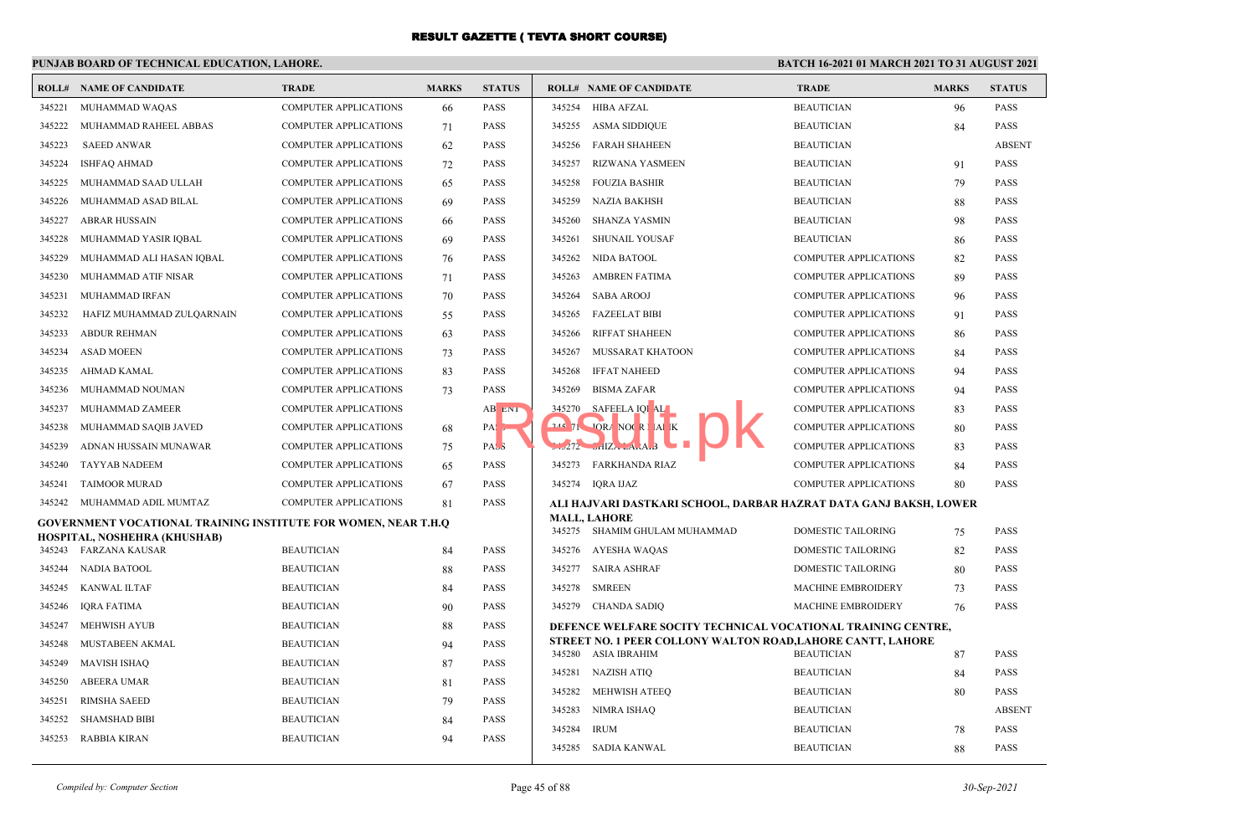|        | <b>ROLL# NAME OF CANDIDATE</b>                                        | <b>TRADE</b>                 | <b>MARKS</b> | <b>STATUS</b> |          | <b>ROLL# NAME OF CANDIDATE</b>                                    | <b>TRADE</b>                 | <b>MARKS</b> | <b>STATUS</b> |
|--------|-----------------------------------------------------------------------|------------------------------|--------------|---------------|----------|-------------------------------------------------------------------|------------------------------|--------------|---------------|
| 345221 | MUHAMMAD WAQAS                                                        | <b>COMPUTER APPLICATIONS</b> | 66           | <b>PASS</b>   | 345254   | <b>HIBA AFZAL</b>                                                 | <b>BEAUTICIAN</b>            | 96           | <b>PASS</b>   |
| 345222 | MUHAMMAD RAHEEL ABBAS                                                 | <b>COMPUTER APPLICATIONS</b> | 71           | <b>PASS</b>   | 345255   | <b>ASMA SIDDIQUE</b>                                              | <b>BEAUTICIAN</b>            | 84           | <b>PASS</b>   |
| 345223 | <b>SAEED ANWAR</b>                                                    | <b>COMPUTER APPLICATIONS</b> | 62           | <b>PASS</b>   | 345256   | <b>FARAH SHAHEEN</b>                                              | <b>BEAUTICIAN</b>            |              | <b>ABSENT</b> |
| 345224 | ISHFAQ AHMAD                                                          | <b>COMPUTER APPLICATIONS</b> | 72           | <b>PASS</b>   | 345257   | <b>RIZWANA YASMEEN</b>                                            | <b>BEAUTICIAN</b>            | 91           | <b>PASS</b>   |
| 345225 | MUHAMMAD SAAD ULLAH                                                   | <b>COMPUTER APPLICATIONS</b> | 65           | <b>PASS</b>   | 345258   | <b>FOUZIA BASHIR</b>                                              | <b>BEAUTICIAN</b>            | 79           | <b>PASS</b>   |
| 345226 | MUHAMMAD ASAD BILAL                                                   | <b>COMPUTER APPLICATIONS</b> | 69           | <b>PASS</b>   | 345259   | <b>NAZIA BAKHSH</b>                                               | <b>BEAUTICIAN</b>            | 88           | <b>PASS</b>   |
| 345227 | ABRAR HUSSAIN                                                         | <b>COMPUTER APPLICATIONS</b> | 66           | <b>PASS</b>   | 345260   | <b>SHANZA YASMIN</b>                                              | <b>BEAUTICIAN</b>            | 98           | <b>PASS</b>   |
| 345228 | MUHAMMAD YASIR IQBAL                                                  | <b>COMPUTER APPLICATIONS</b> | 69           | <b>PASS</b>   | 345261   | <b>SHUNAIL YOUSAF</b>                                             | <b>BEAUTICIAN</b>            | 86           | <b>PASS</b>   |
| 345229 | MUHAMMAD ALI HASAN IQBAL                                              | <b>COMPUTER APPLICATIONS</b> | 76           | <b>PASS</b>   | 345262   | NIDA BATOOL                                                       | COMPUTER APPLICATIONS        | 82           | <b>PASS</b>   |
| 345230 | MUHAMMAD ATIF NISAR                                                   | <b>COMPUTER APPLICATIONS</b> | 71           | <b>PASS</b>   | 345263   | <b>AMBREN FATIMA</b>                                              | <b>COMPUTER APPLICATIONS</b> | 89           | <b>PASS</b>   |
| 345231 | MUHAMMAD IRFAN                                                        | <b>COMPUTER APPLICATIONS</b> | 70           | <b>PASS</b>   | 345264   | <b>SABA AROOJ</b>                                                 | <b>COMPUTER APPLICATIONS</b> | 96           | <b>PASS</b>   |
| 345232 | HAFIZ MUHAMMAD ZULQARNAIN                                             | <b>COMPUTER APPLICATIONS</b> | 55           | <b>PASS</b>   | 345265   | <b>FAZEELAT BIBI</b>                                              | <b>COMPUTER APPLICATIONS</b> | 91           | <b>PASS</b>   |
| 345233 | <b>ABDUR REHMAN</b>                                                   | <b>COMPUTER APPLICATIONS</b> | 63           | <b>PASS</b>   | 345266   | <b>RIFFAT SHAHEEN</b>                                             | COMPUTER APPLICATIONS        | 86           | <b>PASS</b>   |
| 345234 | <b>ASAD MOEEN</b>                                                     | <b>COMPUTER APPLICATIONS</b> | 73           | <b>PASS</b>   | 345267   | MUSSARAT KHATOON                                                  | <b>COMPUTER APPLICATIONS</b> | 84           | <b>PASS</b>   |
| 345235 | AHMAD KAMAL                                                           | <b>COMPUTER APPLICATIONS</b> | 83           | <b>PASS</b>   | 345268   | <b>IFFAT NAHEED</b>                                               | <b>COMPUTER APPLICATIONS</b> | 94           | <b>PASS</b>   |
| 345236 | MUHAMMAD NOUMAN                                                       | <b>COMPUTER APPLICATIONS</b> | 73           | <b>PASS</b>   | 345269   | <b>BISMA ZAFAR</b>                                                | COMPUTER APPLICATIONS        | 94           | <b>PASS</b>   |
| 345237 | MUHAMMAD ZAMEER                                                       | <b>COMPUTER APPLICATIONS</b> |              | AB ENT        | 345270   | SAFEELA IQI AL                                                    | <b>COMPUTER APPLICATIONS</b> | 83           | <b>PASS</b>   |
| 345238 | MUHAMMAD SAQIB JAVED                                                  | <b>COMPUTER APPLICATIONS</b> | 68           | PA:           | $245$ 71 | <b>TORA NOCRIAL</b> K                                             | <b>COMPUTER APPLICATIONS</b> | 80           | <b>PASS</b>   |
| 345239 | ADNAN HUSSAIN MUNAWAR                                                 | COMPUTER APPLICATIONS        | 75           | PASS          |          | $1.272$ $11ZA - 4.1A$                                             | <b>COMPUTER APPLICATIONS</b> | 83           | <b>PASS</b>   |
| 345240 | <b>TAYYAB NADEEM</b>                                                  | <b>COMPUTER APPLICATIONS</b> | 65           | <b>PASS</b>   | 345273   | <b>FARKHANDA RIAZ</b>                                             | COMPUTER APPLICATIONS        | 84           | <b>PASS</b>   |
| 345241 | <b>TAIMOOR MURAD</b>                                                  | <b>COMPUTER APPLICATIONS</b> | 67           | <b>PASS</b>   |          | 345274 IORA IJAZ                                                  | <b>COMPUTER APPLICATIONS</b> | 80           | <b>PASS</b>   |
|        | 345242 MUHAMMAD ADIL MUMTAZ                                           | <b>COMPUTER APPLICATIONS</b> | 81           | <b>PASS</b>   |          | ALI HAJVARI DASTKARI SCHOOL, DARBAR HAZRAT DATA GANJ BAKSH, LOWER |                              |              |               |
|        | <b>GOVERNMENT VOCATIONAL TRAINING INSTITUTE FOR WOMEN, NEAR T.H.Q</b> |                              |              |               |          | <b>MALL, LAHORE</b><br>345275 SHAMIM GHULAM MUHAMMAD              | <b>DOMESTIC TAILORING</b>    | 75           | <b>PASS</b>   |
|        | HOSPITAL, NOSHEHRA (KHUSHAB)<br>345243 FARZANA KAUSAR                 | <b>BEAUTICIAN</b>            | 84           | <b>PASS</b>   |          | 345276 AYESHA WAQAS                                               | <b>DOMESTIC TAILORING</b>    | 82           | <b>PASS</b>   |
| 345244 | <b>NADIA BATOOL</b>                                                   | <b>BEAUTICIAN</b>            | 88           | <b>PASS</b>   | 345277   | <b>SAIRA ASHRAF</b>                                               | DOMESTIC TAILORING           | 80           | <b>PASS</b>   |
|        | 345245 KANWAL ILTAF                                                   | <b>BEAUTICIAN</b>            | 84           | <b>PASS</b>   | 345278   | <b>SMREEN</b>                                                     | MACHINE EMBROIDERY           | 73           | <b>PASS</b>   |
| 345246 | IORA FATIMA                                                           | <b>BEAUTICIAN</b>            | 90           | <b>PASS</b>   |          | 345279 CHANDA SADIO                                               | <b>MACHINE EMBROIDERY</b>    | 76           | <b>PASS</b>   |
|        | 345247 MEHWISH AYUB                                                   | <b>BEAUTICIAN</b>            | 88           | <b>PASS</b>   |          | DEFENCE WELFARE SOCITY TECHNICAL VOCATIONAL TRAINING CENTRE.      |                              |              |               |
| 345248 | MUSTABEEN AKMAL                                                       | <b>BEAUTICIAN</b>            | 94           | <b>PASS</b>   |          | STREET NO. 1 PEER COLLONY WALTON ROAD, LAHORE CANTT, LAHORE       |                              |              |               |
| 345249 | <b>MAVISH ISHAQ</b>                                                   | <b>BEAUTICIAN</b>            | 87           | <b>PASS</b>   |          | 345280 ASIA IBRAHIM                                               | <b>BEAUTICIAN</b>            | 87           | <b>PASS</b>   |
| 345250 | ABEERA UMAR                                                           | <b>BEAUTICIAN</b>            | 81           | <b>PASS</b>   | 345281   | NAZISH ATIQ                                                       | <b>BEAUTICIAN</b>            | 84           | <b>PASS</b>   |
| 345251 | <b>RIMSHA SAEED</b>                                                   | <b>BEAUTICIAN</b>            | 79           | <b>PASS</b>   | 345282   | <b>MEHWISH ATEEO</b>                                              | <b>BEAUTICIAN</b>            | 80           | <b>PASS</b>   |
| 345252 | SHAMSHAD BIBI                                                         | <b>BEAUTICIAN</b>            | 84           | <b>PASS</b>   | 345283   | <b>NIMRA ISHAQ</b>                                                | <b>BEAUTICIAN</b>            |              | <b>ABSENT</b> |
|        | 345253 RABBIA KIRAN                                                   | <b>BEAUTICIAN</b>            | 94           | <b>PASS</b>   | 345284   | <b>IRUM</b>                                                       | <b>BEAUTICIAN</b>            | 78           | <b>PASS</b>   |
|        |                                                                       |                              |              |               |          | 345285 SADIA KANWAL                                               | <b>BEAUTICIAN</b>            | 88           | <b>PASS</b>   |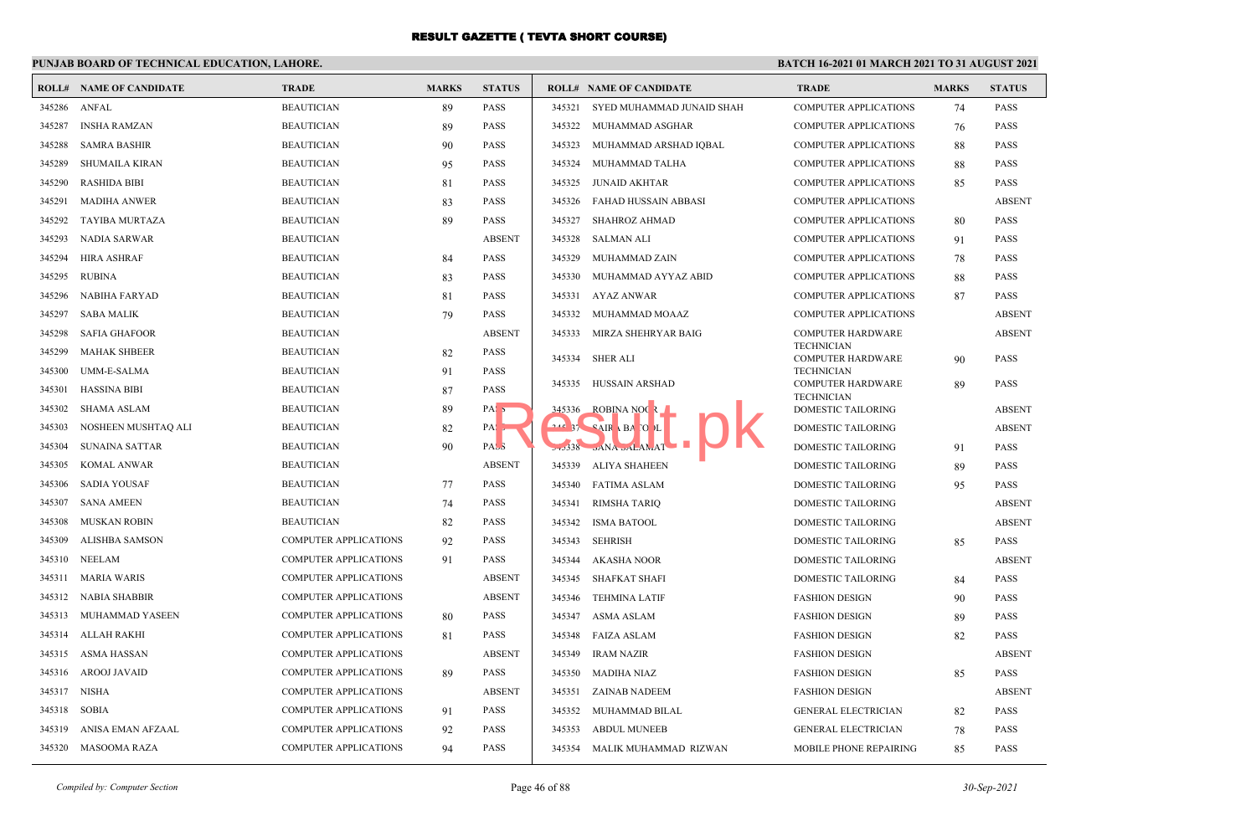## **PUNJAB BOARD OF TECHNICAL EDUCATION, LAHORE.**

|        | <b>ROLL# NAME OF CANDIDATE</b> | <b>TRADE</b>                 | <b>MARKS</b> | <b>STATUS</b>    |        | <b>ROLL# NAME OF CANDIDATE</b>               | <b>TRADE</b>                                  | <b>MARKS</b> | <b>STATUS</b> |
|--------|--------------------------------|------------------------------|--------------|------------------|--------|----------------------------------------------|-----------------------------------------------|--------------|---------------|
| 345286 | ANFAL                          | <b>BEAUTICIAN</b>            | 89           | <b>PASS</b>      |        | 345321 SYED MUHAMMAD JUNAID SHAH             | <b>COMPUTER APPLICATIONS</b>                  | 74           | <b>PASS</b>   |
| 345287 | <b>INSHA RAMZAN</b>            | <b>BEAUTICIAN</b>            | 89           | PASS             | 345322 | MUHAMMAD ASGHAR                              | <b>COMPUTER APPLICATIONS</b>                  | 76           | <b>PASS</b>   |
| 345288 | <b>SAMRA BASHIR</b>            | <b>BEAUTICIAN</b>            | 90           | PASS             | 345323 | MUHAMMAD ARSHAD IQBAL                        | <b>COMPUTER APPLICATIONS</b>                  | 88           | <b>PASS</b>   |
| 345289 | <b>SHUMAILA KIRAN</b>          | <b>BEAUTICIAN</b>            | 95           | PASS             | 345324 | MUHAMMAD TALHA                               | <b>COMPUTER APPLICATIONS</b>                  | 88           | <b>PASS</b>   |
| 345290 | <b>RASHIDA BIBI</b>            | <b>BEAUTICIAN</b>            | 81           | PASS             | 345325 | JUNAID AKHTAR                                | <b>COMPUTER APPLICATIONS</b>                  | 85           | <b>PASS</b>   |
| 345291 | <b>MADIHA ANWER</b>            | <b>BEAUTICIAN</b>            | 83           | PASS             | 345326 | FAHAD HUSSAIN ABBASI                         | <b>COMPUTER APPLICATIONS</b>                  |              | <b>ABSENT</b> |
| 345292 | <b>TAYIBA MURTAZA</b>          | <b>BEAUTICIAN</b>            | 89           | PASS             | 345327 | SHAHROZ AHMAD                                | <b>COMPUTER APPLICATIONS</b>                  | 80           | <b>PASS</b>   |
| 345293 | NADIA SARWAR                   | <b>BEAUTICIAN</b>            |              | <b>ABSENT</b>    | 345328 | SALMAN ALI                                   | COMPUTER APPLICATIONS                         | 91           | <b>PASS</b>   |
| 345294 | <b>HIRA ASHRAF</b>             | <b>BEAUTICIAN</b>            | 84           | PASS             | 345329 | MUHAMMAD ZAIN                                | <b>COMPUTER APPLICATIONS</b>                  | 78           | <b>PASS</b>   |
| 345295 | <b>RUBINA</b>                  | <b>BEAUTICIAN</b>            | 83           | PASS             | 345330 | MUHAMMAD AYYAZ ABID                          | <b>COMPUTER APPLICATIONS</b>                  | 88           | <b>PASS</b>   |
| 345296 | <b>NABIHA FARYAD</b>           | <b>BEAUTICIAN</b>            | 81           | PASS             |        | 345331 AYAZ ANWAR                            | <b>COMPUTER APPLICATIONS</b>                  | 87           | <b>PASS</b>   |
| 345297 | SABA MALIK                     | <b>BEAUTICIAN</b>            | 79           | <b>PASS</b>      | 345332 | MUHAMMAD MOAAZ                               | <b>COMPUTER APPLICATIONS</b>                  |              | <b>ABSENT</b> |
| 345298 | <b>SAFIA GHAFOOR</b>           | <b>BEAUTICIAN</b>            |              | <b>ABSENT</b>    | 345333 | MIRZA SHEHRYAR BAIG                          | <b>COMPUTER HARDWARE</b>                      |              | <b>ABSENT</b> |
| 345299 | <b>MAHAK SHBEER</b>            | <b>BEAUTICIAN</b>            | 82           | PASS             |        | 345334 SHER ALI                              | <b>TECHNICIAN</b><br><b>COMPUTER HARDWARE</b> | 90           | <b>PASS</b>   |
| 345300 | UMM-E-SALMA                    | <b>BEAUTICIAN</b>            | 91           | PASS             |        |                                              | <b>TECHNICIAN</b>                             |              |               |
| 345301 | HASSINA BIBI                   | <b>BEAUTICIAN</b>            | 87           | PASS             | 345335 | HUSSAIN ARSHAD                               | <b>COMPUTER HARDWARE</b><br><b>TECHNICIAN</b> | 89           | <b>PASS</b>   |
| 345302 | <b>SHAMA ASLAM</b>             | <b>BEAUTICIAN</b>            | 89           | PA <sub>1</sub>  |        | 345336 ROBINA NOC 2                          | DOMESTIC TAILORING                            |              | <b>ABSENT</b> |
| 345303 | NOSHEEN MUSHTAQ ALI            | <b>BEAUTICIAN</b>            | 82           | PAS.             |        | $245$ 37 $\overline{S}$ AIR \ BA TO L        | <b>DOMESTIC TAILORING</b>                     |              | <b>ABSENT</b> |
| 345304 | <b>SUNAINA SATTAR</b>          | <b>BEAUTICIAN</b>            | 90           | PAS <sub>3</sub> |        | $-1.338$ $\alpha$ NA $\alpha$ $\alpha$ LAMAT | <b>DOMESTIC TAILORING</b>                     | 91           | <b>PASS</b>   |
| 345305 | <b>KOMAL ANWAR</b>             | <b>BEAUTICIAN</b>            |              | <b>ABSENT</b>    | 345339 | <b>ALIYA SHAHEEN</b>                         | <b>DOMESTIC TAILORING</b>                     | 89           | <b>PASS</b>   |
| 345306 | <b>SADIA YOUSAF</b>            | <b>BEAUTICIAN</b>            | 77           | PASS             | 345340 | FATIMA ASLAM                                 | DOMESTIC TAILORING                            | 95           | PASS          |
| 345307 | <b>SANA AMEEN</b>              | <b>BEAUTICIAN</b>            | 74           | PASS             | 345341 | <b>RIMSHA TARIO</b>                          | DOMESTIC TAILORING                            |              | <b>ABSENT</b> |
| 345308 | MUSKAN ROBIN                   | <b>BEAUTICIAN</b>            | 82           | PASS             | 345342 | <b>ISMA BATOOL</b>                           | DOMESTIC TAILORING                            |              | <b>ABSENT</b> |
| 345309 | <b>ALISHBA SAMSON</b>          | <b>COMPUTER APPLICATIONS</b> | 92           | PASS             | 345343 | <b>SEHRISH</b>                               | <b>DOMESTIC TAILORING</b>                     | 85           | <b>PASS</b>   |
| 345310 | <b>NEELAM</b>                  | COMPUTER APPLICATIONS        | 91           | PASS             | 345344 | AKASHA NOOR                                  | DOMESTIC TAILORING                            |              | <b>ABSENT</b> |
| 345311 | <b>MARIA WARIS</b>             | <b>COMPUTER APPLICATIONS</b> |              | <b>ABSENT</b>    | 345345 | SHAFKAT SHAFI                                | <b>DOMESTIC TAILORING</b>                     | 84           | <b>PASS</b>   |
| 345312 | NABIA SHABBIR                  | <b>COMPUTER APPLICATIONS</b> |              | <b>ABSENT</b>    | 345346 | TEHMINA LATIF                                | <b>FASHION DESIGN</b>                         | 90           | PASS          |
| 345313 | MUHAMMAD YASEEN                | <b>COMPUTER APPLICATIONS</b> | 80           | PASS             | 345347 | ASMA ASLAM                                   | <b>FASHION DESIGN</b>                         | 89           | <b>PASS</b>   |
| 345314 | ALLAH RAKHI                    | <b>COMPUTER APPLICATIONS</b> | 81           | PASS             |        | 345348 FAIZA ASLAM                           | <b>FASHION DESIGN</b>                         | 82           | <b>PASS</b>   |
| 345315 | <b>ASMA HASSAN</b>             | COMPUTER APPLICATIONS        |              | <b>ABSENT</b>    | 345349 | <b>IRAM NAZIR</b>                            | <b>FASHION DESIGN</b>                         |              | <b>ABSENT</b> |
| 345316 | <b>AROOJ JAVAID</b>            | <b>COMPUTER APPLICATIONS</b> | 89           | PASS             | 345350 | MADIHA NIAZ                                  | <b>FASHION DESIGN</b>                         | 85           | <b>PASS</b>   |
| 345317 | NISHA                          | COMPUTER APPLICATIONS        |              | <b>ABSENT</b>    |        | 345351 ZAINAB NADEEM                         | <b>FASHION DESIGN</b>                         |              | <b>ABSENT</b> |
| 345318 | <b>SOBIA</b>                   | <b>COMPUTER APPLICATIONS</b> | 91           | PASS             | 345352 | MUHAMMAD BILAL                               | <b>GENERAL ELECTRICIAN</b>                    | 82           | <b>PASS</b>   |
| 345319 | ANISA EMAN AFZAAL              | COMPUTER APPLICATIONS        | 92           | PASS             | 345353 | <b>ABDUL MUNEEB</b>                          | <b>GENERAL ELECTRICIAN</b>                    | 78           | PASS          |
| 345320 | MASOOMA RAZA                   | <b>COMPUTER APPLICATIONS</b> | 94           | PASS             |        | 345354 MALIK MUHAMMAD RIZWAN                 | MOBILE PHONE REPAIRING                        | 85           | <b>PASS</b>   |
|        |                                |                              |              |                  |        |                                              |                                               |              |               |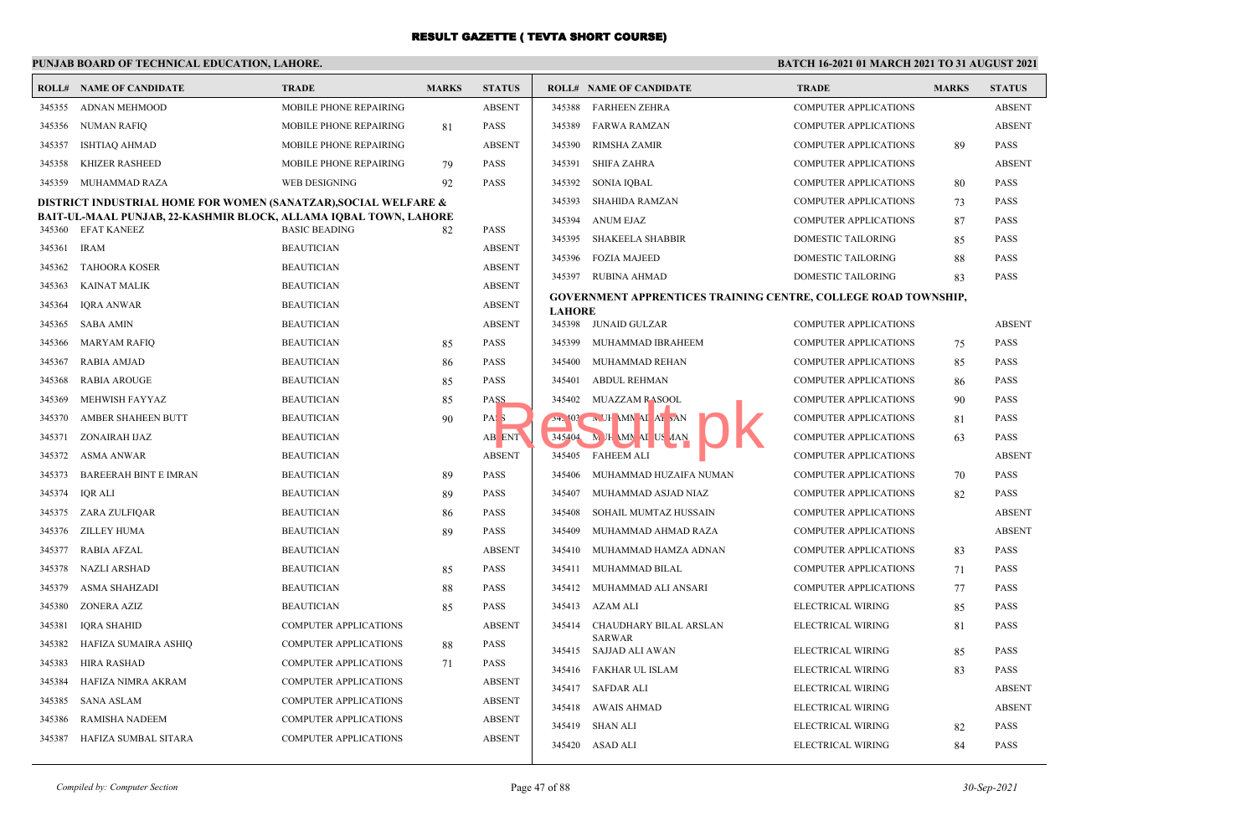# **PUNJAB BOARD OF TECHNICAL EDUCATION, LAHORE.**

|        | <b>ROLL# NAME OF CANDIDATE</b>                                   | <b>TRADE</b>                 | <b>MARKS</b> | <b>STATUS</b>    |               | <b>ROLL# NAME OF CANDIDATE</b>                                        | <b>TRADE</b>                 | <b>MARKS</b> | <b>STATUS</b> |
|--------|------------------------------------------------------------------|------------------------------|--------------|------------------|---------------|-----------------------------------------------------------------------|------------------------------|--------------|---------------|
| 345355 | ADNAN MEHMOOD                                                    | MOBILE PHONE REPAIRING       |              | <b>ABSENT</b>    | 345388        | <b>FARHEEN ZEHRA</b>                                                  | <b>COMPUTER APPLICATIONS</b> |              | <b>ABSEN</b>  |
| 345356 | <b>NUMAN RAFIQ</b>                                               | MOBILE PHONE REPAIRING       | 81           | <b>PASS</b>      | 345389        | FARWA RAMZAN                                                          | <b>COMPUTER APPLICATIONS</b> |              | <b>ABSEN</b>  |
| 345357 | <b>ISHTIAQ AHMAD</b>                                             | MOBILE PHONE REPAIRING       |              | <b>ABSENT</b>    | 345390        | <b>RIMSHA ZAMIR</b>                                                   | <b>COMPUTER APPLICATIONS</b> | 89           | <b>PASS</b>   |
| 345358 | KHIZER RASHEED                                                   | MOBILE PHONE REPAIRING       | 79           | <b>PASS</b>      | 345391        | SHIFA ZAHRA                                                           | <b>COMPUTER APPLICATIONS</b> |              | <b>ABSEN</b>  |
| 345359 | MUHAMMAD RAZA                                                    | WEB DESIGNING                | 92           | <b>PASS</b>      |               | 345392 SONIA IQBAL                                                    | <b>COMPUTER APPLICATIONS</b> | 80           | <b>PASS</b>   |
|        | DISTRICT INDUSTRIAL HOME FOR WOMEN (SANATZAR), SOCIAL WELFARE &  |                              |              |                  | 345393        | SHAHIDA RAMZAN                                                        | <b>COMPUTER APPLICATIONS</b> | 73           | <b>PASS</b>   |
|        | BAIT-UL-MAAL PUNJAB, 22-KASHMIR BLOCK, ALLAMA IQBAL TOWN, LAHORE | <b>BASIC BEADING</b>         |              |                  | 345394        | <b>ANUM EJAZ</b>                                                      | <b>COMPUTER APPLICATIONS</b> | 87           | <b>PASS</b>   |
| 345360 | <b>EFAT KANEEZ</b>                                               |                              | 82           | <b>PASS</b>      | 345395        | SHAKEELA SHABBIR                                                      | <b>DOMESTIC TAILORING</b>    | 85           | <b>PASS</b>   |
| 345361 | <b>IRAM</b>                                                      | <b>BEAUTICIAN</b>            |              | <b>ABSENT</b>    | 345396        | <b>FOZIA MAJEED</b>                                                   | DOMESTIC TAILORING           | 88           | <b>PASS</b>   |
| 345362 | <b>TAHOORA KOSER</b>                                             | <b>BEAUTICIAN</b>            |              | <b>ABSENT</b>    |               | 345397 RUBINA AHMAD                                                   | DOMESTIC TAILORING           | 83           | <b>PASS</b>   |
| 345363 | <b>KAINAT MALIK</b>                                              | <b>BEAUTICIAN</b>            |              | <b>ABSENT</b>    |               | <b>GOVERNMENT APPRENTICES TRAINING CENTRE, COLLEGE ROAD TOWNSHIP,</b> |                              |              |               |
| 345364 | <b>IQRA ANWAR</b>                                                | <b>BEAUTICIAN</b>            |              | <b>ABSENT</b>    | <b>LAHORE</b> |                                                                       |                              |              |               |
| 345365 | <b>SABA AMIN</b>                                                 | <b>BEAUTICIAN</b>            |              | <b>ABSENT</b>    |               | 345398 JUNAID GULZAR                                                  | <b>COMPUTER APPLICATIONS</b> |              | <b>ABSEN</b>  |
| 345366 | <b>MARYAM RAFIO</b>                                              | <b>BEAUTICIAN</b>            | 85           | <b>PASS</b>      | 345399        | MUHAMMAD IBRAHEEM                                                     | <b>COMPUTER APPLICATIONS</b> | 75           | <b>PASS</b>   |
| 345367 | <b>RABIA AMJAD</b>                                               | <b>BEAUTICIAN</b>            | 86           | <b>PASS</b>      | 345400        | MUHAMMAD REHAN                                                        | COMPUTER APPLICATIONS        | 85           | <b>PASS</b>   |
| 345368 | <b>RABIA AROUGE</b>                                              | <b>BEAUTICIAN</b>            | 85           | <b>PASS</b>      | 345401        | <b>ABDUL REHMAN</b>                                                   | <b>COMPUTER APPLICATIONS</b> | 86           | <b>PASS</b>   |
| 345369 | MEHWISH FAYYAZ                                                   | <b>BEAUTICIAN</b>            | 85           | <b>PASS</b>      |               | 345402 MUAZZAM RASOOL                                                 | COMPUTER APPLICATIONS        | 90           | <b>PASS</b>   |
| 345370 | AMBER SHAHEEN BUTT                                               | <b>BEAUTICIAN</b>            | 90           | PAS <sub>3</sub> |               | 34. <sup>103</sup> N UH MM AI AI DAN                                  | COMPUTER APPLICATIONS        | 81           | <b>PASS</b>   |
| 345371 | ZONAIRAH IJAZ                                                    | <b>BEAUTICIAN</b>            |              | AB ENT           |               | 345404 M JH MN AI US AAN                                              | COMPUTER APPLICATIONS        | 63           | <b>PASS</b>   |
| 345372 | <b>ASMA ANWAR</b>                                                | <b>BEAUTICIAN</b>            |              | <b>ABSENT</b>    |               | 345405 FAHEEM ALI                                                     | <b>COMPUTER APPLICATIONS</b> |              | <b>ABSEN</b>  |
| 345373 | <b>BAREERAH BINT E IMRAN</b>                                     | <b>BEAUTICIAN</b>            | 89           | <b>PASS</b>      | 345406        | MUHAMMAD HUZAIFA NUMAN                                                | <b>COMPUTER APPLICATIONS</b> | 70           | <b>PASS</b>   |
| 345374 | IQR ALI                                                          | <b>BEAUTICIAN</b>            | 89           | <b>PASS</b>      | 345407        | MUHAMMAD ASJAD NIAZ                                                   | <b>COMPUTER APPLICATIONS</b> | 82           | <b>PASS</b>   |
| 345375 | ZARA ZULFIQAR                                                    | <b>BEAUTICIAN</b>            | 86           | <b>PASS</b>      | 345408        | SOHAIL MUMTAZ HUSSAIN                                                 | <b>COMPUTER APPLICATIONS</b> |              | <b>ABSEN</b>  |
| 345376 | <b>ZILLEY HUMA</b>                                               | <b>BEAUTICIAN</b>            | 89           | <b>PASS</b>      | 345409        | MUHAMMAD AHMAD RAZA                                                   | COMPUTER APPLICATIONS        |              | <b>ABSEN</b>  |
| 345377 | <b>RABIA AFZAL</b>                                               | <b>BEAUTICIAN</b>            |              | <b>ABSENT</b>    | 345410        | MUHAMMAD HAMZA ADNAN                                                  | <b>COMPUTER APPLICATIONS</b> | 83           | <b>PASS</b>   |
| 345378 | <b>NAZLI ARSHAD</b>                                              | <b>BEAUTICIAN</b>            | 85           | <b>PASS</b>      | 345411        | MUHAMMAD BILAL                                                        | <b>COMPUTER APPLICATIONS</b> | 71           | <b>PASS</b>   |
| 345379 | ASMA SHAHZADI                                                    | <b>BEAUTICIAN</b>            | 88           | <b>PASS</b>      |               | 345412 MUHAMMAD ALI ANSARI                                            | <b>COMPUTER APPLICATIONS</b> | 77           | <b>PASS</b>   |
| 345380 | ZONERA AZIZ                                                      | <b>BEAUTICIAN</b>            | 85           | <b>PASS</b>      |               | 345413 AZAM ALI                                                       | ELECTRICAL WIRING            | 85           | <b>PASS</b>   |
| 345381 | <b>IORA SHAHID</b>                                               | <b>COMPUTER APPLICATIONS</b> |              | <b>ABSENT</b>    | 345414        | CHAUDHARY BILAL ARSLAN<br><b>SARWAR</b>                               | ELECTRICAL WIRING            | 81           | <b>PASS</b>   |
| 345382 | HAFIZA SUMAIRA ASHIQ                                             | <b>COMPUTER APPLICATIONS</b> | 88           | <b>PASS</b>      |               | 345415 SAJJAD ALI AWAN                                                | ELECTRICAL WIRING            | 85           | <b>PASS</b>   |
| 345383 | <b>HIRA RASHAD</b>                                               | <b>COMPUTER APPLICATIONS</b> | 71           | <b>PASS</b>      |               | 345416 FAKHAR UL ISLAM                                                | ELECTRICAL WIRING            | 83           | <b>PASS</b>   |
| 345384 | HAFIZA NIMRA AKRAM                                               | <b>COMPUTER APPLICATIONS</b> |              | <b>ABSENT</b>    |               | 345417 SAFDAR ALI                                                     | ELECTRICAL WIRING            |              | <b>ABSEN</b>  |
| 345385 | <b>SANA ASLAM</b>                                                | <b>COMPUTER APPLICATIONS</b> |              | <b>ABSENT</b>    |               | 345418 AWAIS AHMAD                                                    | ELECTRICAL WIRING            |              | <b>ABSEN</b>  |
| 345386 | <b>RAMISHA NADEEM</b>                                            | <b>COMPUTER APPLICATIONS</b> |              | <b>ABSENT</b>    |               | 345419 SHAN ALI                                                       | ELECTRICAL WIRING            | 82           | <b>PASS</b>   |
| 345387 | HAFIZA SUMBAL SITARA                                             | <b>COMPUTER APPLICATIONS</b> |              | <b>ABSENT</b>    |               | 345420 ASAD ALI                                                       | ELECTRICAL WIRING            | 84           | <b>PASS</b>   |
|        |                                                                  |                              |              |                  |               |                                                                       |                              |              |               |

| <b>TATUS</b> |               | <b>ROLL# NAME OF CANDIDATE</b>   | <b>TRADE</b>                                                          | <b>MARKS</b> | <b>STATUS</b> |
|--------------|---------------|----------------------------------|-----------------------------------------------------------------------|--------------|---------------|
| <b>BSENT</b> | 345388        | <b>FARHEEN ZEHRA</b>             | <b>COMPUTER APPLICATIONS</b>                                          |              | <b>ABSENT</b> |
| ASS.         | 345389        | <b>FARWA RAMZAN</b>              | <b>COMPUTER APPLICATIONS</b>                                          |              | <b>ABSENT</b> |
| <b>BSENT</b> | 345390        | <b>RIMSHA ZAMIR</b>              | <b>COMPUTER APPLICATIONS</b>                                          | 89           | <b>PASS</b>   |
| <b>ASS</b>   | 345391        | <b>SHIFA ZAHRA</b>               | <b>COMPUTER APPLICATIONS</b>                                          |              | <b>ABSENT</b> |
| <b>ASS</b>   | 345392        | <b>SONIA IOBAL</b>               | <b>COMPUTER APPLICATIONS</b>                                          | 80           | <b>PASS</b>   |
|              | 345393        | <b>SHAHIDA RAMZAN</b>            | <b>COMPUTER APPLICATIONS</b>                                          | 73           | <b>PASS</b>   |
|              | 345394        | <b>ANUM EJAZ</b>                 | <b>COMPUTER APPLICATIONS</b>                                          | 87           | <b>PASS</b>   |
| ASS          | 345395        | <b>SHAKEELA SHABBIR</b>          | <b>DOMESTIC TAILORING</b>                                             | 85           | <b>PASS</b>   |
| BSENT        | 345396        | <b>FOZIA MAJEED</b>              | <b>DOMESTIC TAILORING</b>                                             | 88           | <b>PASS</b>   |
| BSENT        | 345397        | <b>RUBINA AHMAD</b>              | <b>DOMESTIC TAILORING</b>                                             | 83.          | <b>PASS</b>   |
| BSENT        |               |                                  | <b>GOVERNMENT APPRENTICES TRAINING CENTRE, COLLEGE ROAD TOWNSHIP,</b> |              |               |
| BSENT        | <b>LAHORE</b> |                                  |                                                                       |              |               |
| <b>BSENT</b> | 345398        | <b>JUNAID GULZAR</b>             | <b>COMPUTER APPLICATIONS</b>                                          |              | <b>ABSENT</b> |
| <b>ASS</b>   | 345399        | MUHAMMAD IBRAHEEM                | <b>COMPUTER APPLICATIONS</b>                                          | 75           | <b>PASS</b>   |
| <b>ASS</b>   | 345400        | MUHAMMAD REHAN                   | <b>COMPUTER APPLICATIONS</b>                                          | 85           | <b>PASS</b>   |
| <b>ASS</b>   | 345401        | <b>ABDUL REHMAN</b>              | <b>COMPUTER APPLICATIONS</b>                                          | 86           | <b>PASS</b>   |
| 221          | 345402        | <b>MUAZZAM RASOOL</b>            | <b>COMPUTER APPLICATIONS</b>                                          | 90           | <b>PASS</b>   |
| AS S         |               | $24.403$ N UH MN AI A, AN        | <b>COMPUTER APPLICATIONS</b>                                          | 81           | <b>PASS</b>   |
| <b>B</b> ENT | 345404        | M JH MN AI US AAN                | <b>COMPUTER APPLICATIONS</b>                                          | 63           | <b>PASS</b>   |
| BSENT        | 345405        | <b>FAHEEM ALI</b>                | <b>COMPUTER APPLICATIONS</b>                                          |              | <b>ABSENT</b> |
| <b>ASS</b>   | 345406        | MUHAMMAD HUZAIFA NUMAN           | <b>COMPUTER APPLICATIONS</b>                                          | 70           | <b>PASS</b>   |
| <b>ASS</b>   | 345407        | MUHAMMAD ASJAD NIAZ              | <b>COMPUTER APPLICATIONS</b>                                          | 82           | <b>PASS</b>   |
| <b>ASS</b>   | 345408        | SOHAIL MUMTAZ HUSSAIN            | <b>COMPUTER APPLICATIONS</b>                                          |              | <b>ABSENT</b> |
| <b>ASS</b>   | 345409        | MUHAMMAD AHMAD RAZA              | <b>COMPUTER APPLICATIONS</b>                                          |              | <b>ABSENT</b> |
| <b>BSENT</b> | 345410        | MUHAMMAD HAMZA ADNAN             | <b>COMPUTER APPLICATIONS</b>                                          | 83           | <b>PASS</b>   |
| <b>ASS</b>   | 345411        | MUHAMMAD BILAL                   | <b>COMPUTER APPLICATIONS</b>                                          | 71           | <b>PASS</b>   |
| <b>ASS</b>   | 345412        | MUHAMMAD ALI ANSARI              | <b>COMPUTER APPLICATIONS</b>                                          | 77           | <b>PASS</b>   |
| <b>ASS</b>   | 345413        | <b>AZAM ALI</b>                  | ELECTRICAL WIRING                                                     | 85           | <b>PASS</b>   |
| <b>BSENT</b> | 345414        | CHAUDHARY BILAL ARSLAN           | ELECTRICAL WIRING                                                     | 81           | <b>PASS</b>   |
| <b>ASS</b>   | 345415        | <b>SARWAR</b><br>SAJJAD ALI AWAN | ELECTRICAL WIRING                                                     | 85           | <b>PASS</b>   |
| ASS.         | 345416        | FAKHAR UL ISLAM                  | ELECTRICAL WIRING                                                     | 83           | <b>PASS</b>   |
| BSENT        | 345417        | <b>SAFDAR ALI</b>                | ELECTRICAL WIRING                                                     |              | <b>ABSENT</b> |
| BSENT        | 345418        | <b>AWAIS AHMAD</b>               | ELECTRICAL WIRING                                                     |              | <b>ABSENT</b> |
| BSENT        | 345419        | <b>SHAN ALI</b>                  | ELECTRICAL WIRING                                                     | 82           | <b>PASS</b>   |
| <b>BSENT</b> | 345420        | <b>ASAD ALI</b>                  | ELECTRICAL WIRING                                                     | 84           | <b>PASS</b>   |
|              |               |                                  |                                                                       |              |               |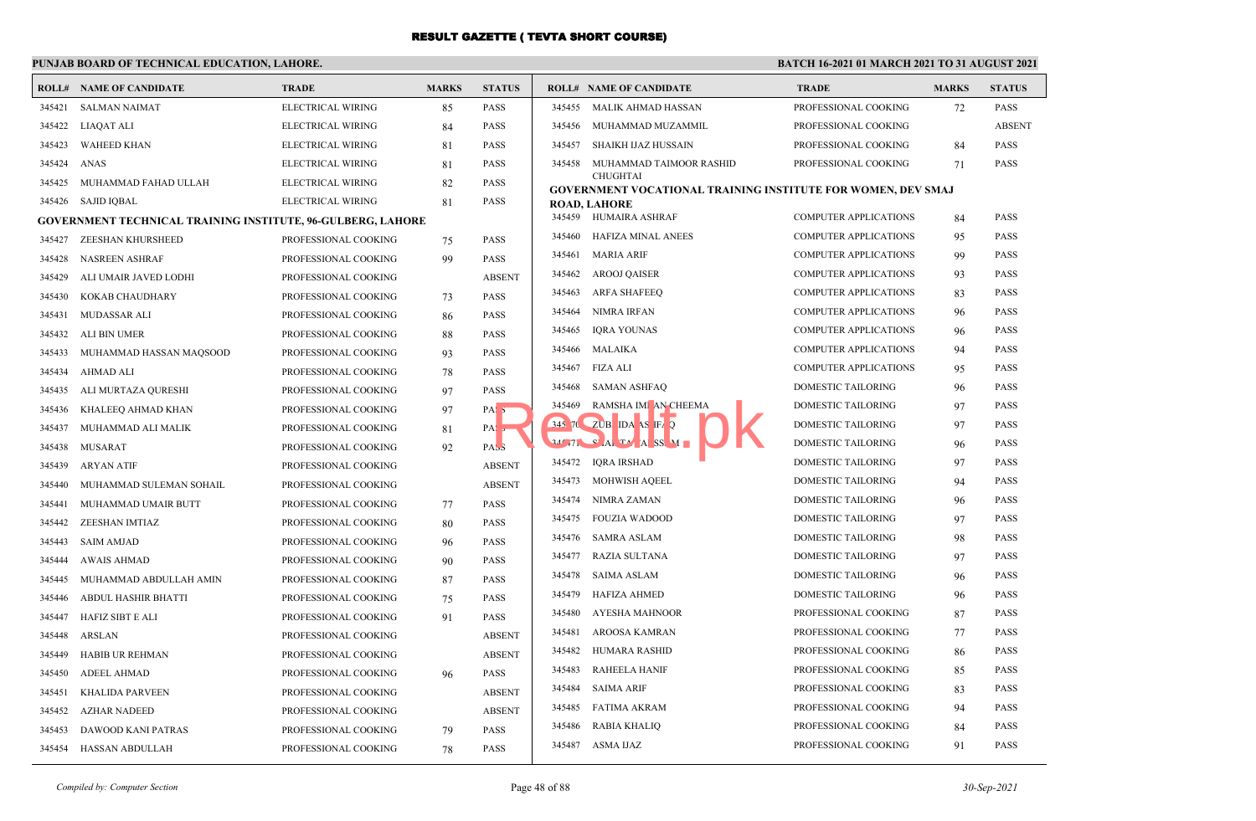## **PUNJAB BOARD OF TECHNICAL EDUCATION, LAHORE.**

| 345421<br><b>SALMAN NAIMAT</b><br>ELECTRICAL WIRING<br>85<br><b>PASS</b><br>345455 MALIK AHMAD HASSAN<br>PROFESSIONAL COOKING<br>72<br><b>PASS</b><br><b>PASS</b><br>345422<br>LIAQAT ALI<br>ELECTRICAL WIRING<br>345456<br>MUHAMMAD MUZAMMIL<br>PROFESSIONAL COOKING<br>84<br>345423<br><b>WAHEED KHAN</b><br>ELECTRICAL WIRING<br><b>PASS</b><br>345457<br>SHAIKH IJAZ HUSSAIN<br>PROFESSIONAL COOKING<br><b>PASS</b><br>81<br>84<br>345424<br><b>PASS</b><br><b>PASS</b><br>ANAS<br>ELECTRICAL WIRING<br>345458<br>MUHAMMAD TAIMOOR RASHID<br>PROFESSIONAL COOKING<br>81<br>71<br><b>CHUGHTAI</b><br>345425<br>MUHAMMAD FAHAD ULLAH<br>ELECTRICAL WIRING<br>82<br><b>PASS</b><br>GOVERNMENT VOCATIONAL TRAINING INSTITUTE FOR WOMEN, DEV SMAJ<br>345426 SAJID IQBAL<br>ELECTRICAL WIRING<br><b>PASS</b><br>81<br><b>ROAD, LAHORE</b><br>345459 HUMAIRA ASHRAF<br><b>COMPUTER APPLICATIONS</b><br><b>PASS</b><br>84<br>GOVERNMENT TECHNICAL TRAINING INSTITUTE, 96-GULBERG, LAHORE<br><b>PASS</b><br>345460<br>HAFIZA MINAL ANEES<br><b>COMPUTER APPLICATIONS</b><br>95<br>345427<br>ZEESHAN KHURSHEED<br>PROFESSIONAL COOKING<br>75<br><b>PASS</b><br>345461<br><b>MARIA ARIF</b><br><b>COMPUTER APPLICATIONS</b><br>99<br><b>PASS</b><br>345428<br><b>NASREEN ASHRAF</b><br><b>PASS</b><br>PROFESSIONAL COOKING<br>99<br><b>PASS</b><br>345462<br><b>AROOJ QAISER</b><br><b>COMPUTER APPLICATIONS</b><br>93<br>345429<br><b>ABSENT</b><br>ALI UMAIR JAVED LODHI<br>PROFESSIONAL COOKING<br>345463<br><b>ARFA SHAFEEQ</b><br><b>COMPUTER APPLICATIONS</b><br><b>PASS</b><br>83<br><b>PASS</b><br>345430<br>KOKAB CHAUDHARY<br>PROFESSIONAL COOKING<br>73<br><b>NIMRA IRFAN</b><br><b>PASS</b><br>345464<br><b>COMPUTER APPLICATIONS</b><br>96<br><b>PASS</b><br>345431<br>MUDASSAR ALI<br>PROFESSIONAL COOKING<br>86<br>345465<br><b>IQRA YOUNAS</b><br><b>PASS</b><br><b>COMPUTER APPLICATIONS</b><br>96<br>345432<br>ALI BIN UMER<br>PROFESSIONAL COOKING<br><b>PASS</b><br>88<br>345466<br>MALAIKA<br><b>COMPUTER APPLICATIONS</b><br><b>PASS</b><br>94<br>345433<br>MUHAMMAD HASSAN MAQSOOD<br>PROFESSIONAL COOKING<br>93<br><b>PASS</b><br>FIZA ALI<br><b>PASS</b><br>345467<br><b>COMPUTER APPLICATIONS</b><br>95<br>345434<br><b>AHMAD ALI</b><br><b>PASS</b><br>PROFESSIONAL COOKING<br>78<br>345468<br>SAMAN ASHFAQ<br><b>DOMESTIC TAILORING</b><br><b>PASS</b><br>96<br><b>PASS</b><br>345435<br>ALI MURTAZA QURESHI<br>PROFESSIONAL COOKING<br>97<br>345469<br>RAMSHA IMI AN CHEEMA<br><b>DOMESTIC TAILORING</b><br><b>PASS</b><br>97<br>KHALEEQ AHMAD KHAN<br>PROFESSIONAL COOKING<br>PAS <sub>5</sub><br>345436<br>97<br>345 70<br>$ZUB$ IDA AS IFA $Q$<br><b>DOMESTIC TAILORING</b><br>97<br><b>PASS</b><br>MUHAMMAD ALI MALIK<br>PROFESSIONAL COOKING<br>345437<br>81<br>PA:<br>24 71 C ALT A SS M<br><b>DOMESTIC TAILORING</b><br><b>PASS</b><br>96<br>345438<br>MUSARAT<br>PROFESSIONAL COOKING<br>PAS <sub>3</sub><br>92<br>345472 IORA IRSHAD<br>97<br><b>PASS</b><br><b>DOMESTIC TAILORING</b><br>345439<br><b>ARYAN ATIF</b><br>PROFESSIONAL COOKING<br><b>ABSENT</b><br>345473<br>MOHWISH AQEEL<br>DOMESTIC TAILORING<br>94<br><b>PASS</b><br><b>ABSENT</b><br>345440<br>MUHAMMAD SULEMAN SOHAIL<br>PROFESSIONAL COOKING<br>345474<br>NIMRA ZAMAN<br>DOMESTIC TAILORING<br>96<br><b>PASS</b><br>MUHAMMAD UMAIR BUTT<br>PROFESSIONAL COOKING<br><b>PASS</b><br>345441<br>77<br>345475<br><b>PASS</b><br><b>FOUZIA WADOOD</b><br>DOMESTIC TAILORING<br>97<br>ZEESHAN IMTIAZ<br>80<br><b>PASS</b><br>345442<br>PROFESSIONAL COOKING<br><b>PASS</b><br>345476<br><b>SAMRA ASLAM</b><br>DOMESTIC TAILORING<br>98<br>345443<br><b>SAIM AMJAD</b><br>PROFESSIONAL COOKING<br><b>PASS</b><br>96<br><b>RAZIA SULTANA</b><br><b>DOMESTIC TAILORING</b><br><b>PASS</b><br>345477<br>97<br>345444<br>PROFESSIONAL COOKING<br>90<br><b>PASS</b><br><b>AWAIS AHMAD</b><br><b>PASS</b><br>345478<br>SAIMA ASLAM<br>DOMESTIC TAILORING<br>96<br><b>PASS</b><br>345445<br>MUHAMMAD ABDULLAH AMIN<br>PROFESSIONAL COOKING<br>87<br>PASS<br>345479<br><b>HAFIZA AHMED</b><br>DOMESTIC TAILORING<br>96<br>345446<br>ABDUL HASHIR BHATTI<br>PROFESSIONAL COOKING<br>75<br><b>PASS</b><br><b>AYESHA MAHNOOR</b><br>PROFESSIONAL COOKING<br>87<br><b>PASS</b><br>345480<br><b>HAFIZ SIBT E ALI</b><br>PROFESSIONAL COOKING<br><b>PASS</b><br>345447<br>91<br><b>PASS</b><br>345481<br>AROOSA KAMRAN<br>PROFESSIONAL COOKING<br>77<br>PROFESSIONAL COOKING<br><b>ABSENT</b><br>345448<br>ARSLAN<br>345482<br><b>HUMARA RASHID</b><br>PROFESSIONAL COOKING<br><b>PASS</b><br>86<br><b>ABSENT</b><br>345449<br><b>HABIB UR REHMAN</b><br>PROFESSIONAL COOKING<br>345483<br><b>RAHEELA HANIF</b><br>PROFESSIONAL COOKING<br><b>PASS</b><br>85<br><b>PASS</b><br>345450<br><b>ADEEL AHMAD</b><br>PROFESSIONAL COOKING<br>96<br>345484<br><b>SAIMA ARIF</b><br>PROFESSIONAL COOKING<br><b>PASS</b><br>83<br>345451<br>KHALIDA PARVEEN<br>PROFESSIONAL COOKING<br><b>ABSENT</b><br>345485<br><b>FATIMA AKRAM</b><br>PROFESSIONAL COOKING<br><b>PASS</b><br>94<br><b>ABSENT</b><br>345452<br><b>AZHAR NADEED</b><br>PROFESSIONAL COOKING<br><b>PASS</b><br>345486<br><b>RABIA KHALIQ</b><br>PROFESSIONAL COOKING<br>84<br><b>PASS</b><br>345453<br>DAWOOD KANI PATRAS<br>PROFESSIONAL COOKING<br>79<br>345487 ASMA IJAZ<br>PROFESSIONAL COOKING<br>91<br><b>PASS</b><br><b>PASS</b><br>345454 HASSAN ABDULLAH<br>PROFESSIONAL COOKING<br>78 | ROLL# | <b>NAME OF CANDIDATE</b> | <b>TRADE</b> | <b>MARKS</b> | <b>STATUS</b> | <b>ROLL# NAME OF CANDIDATE</b> | <b>TRADE</b> | <b>MARKS</b> | <b>STATUS</b> |
|---------------------------------------------------------------------------------------------------------------------------------------------------------------------------------------------------------------------------------------------------------------------------------------------------------------------------------------------------------------------------------------------------------------------------------------------------------------------------------------------------------------------------------------------------------------------------------------------------------------------------------------------------------------------------------------------------------------------------------------------------------------------------------------------------------------------------------------------------------------------------------------------------------------------------------------------------------------------------------------------------------------------------------------------------------------------------------------------------------------------------------------------------------------------------------------------------------------------------------------------------------------------------------------------------------------------------------------------------------------------------------------------------------------------------------------------------------------------------------------------------------------------------------------------------------------------------------------------------------------------------------------------------------------------------------------------------------------------------------------------------------------------------------------------------------------------------------------------------------------------------------------------------------------------------------------------------------------------------------------------------------------------------------------------------------------------------------------------------------------------------------------------------------------------------------------------------------------------------------------------------------------------------------------------------------------------------------------------------------------------------------------------------------------------------------------------------------------------------------------------------------------------------------------------------------------------------------------------------------------------------------------------------------------------------------------------------------------------------------------------------------------------------------------------------------------------------------------------------------------------------------------------------------------------------------------------------------------------------------------------------------------------------------------------------------------------------------------------------------------------------------------------------------------------------------------------------------------------------------------------------------------------------------------------------------------------------------------------------------------------------------------------------------------------------------------------------------------------------------------------------------------------------------------------------------------------------------------------------------------------------------------------------------------------------------------------------------------------------------------------------------------------------------------------------------------------------------------------------------------------------------------------------------------------------------------------------------------------------------------------------------------------------------------------------------------------------------------------------------------------------------------------------------------------------------------------------------------------------------------------------------------------------------------------------------------------------------------------------------------------------------------------------------------------------------------------------------------------------------------------------------------------------------------------------------------------------------------------------------------------------------------------------------------------------------------------------------------------------------------------------------------------------------------------------------------------------------------------------------------------------------------------------------------------------------------------------------------------------------------------------------------------------------------------------------------------------------------------------------------------------------------------------------------------------------------------------------------------------------------------------------------------------------------------------------------------------------------------------------------------------------------------------------------------------------------|-------|--------------------------|--------------|--------------|---------------|--------------------------------|--------------|--------------|---------------|
| <b>ABSEN</b>                                                                                                                                                                                                                                                                                                                                                                                                                                                                                                                                                                                                                                                                                                                                                                                                                                                                                                                                                                                                                                                                                                                                                                                                                                                                                                                                                                                                                                                                                                                                                                                                                                                                                                                                                                                                                                                                                                                                                                                                                                                                                                                                                                                                                                                                                                                                                                                                                                                                                                                                                                                                                                                                                                                                                                                                                                                                                                                                                                                                                                                                                                                                                                                                                                                                                                                                                                                                                                                                                                                                                                                                                                                                                                                                                                                                                                                                                                                                                                                                                                                                                                                                                                                                                                                                                                                                                                                                                                                                                                                                                                                                                                                                                                                                                                                                                                                                                                                                                                                                                                                                                                                                                                                                                                                                                                                                                                                                                          |       |                          |              |              |               |                                |              |              |               |
|                                                                                                                                                                                                                                                                                                                                                                                                                                                                                                                                                                                                                                                                                                                                                                                                                                                                                                                                                                                                                                                                                                                                                                                                                                                                                                                                                                                                                                                                                                                                                                                                                                                                                                                                                                                                                                                                                                                                                                                                                                                                                                                                                                                                                                                                                                                                                                                                                                                                                                                                                                                                                                                                                                                                                                                                                                                                                                                                                                                                                                                                                                                                                                                                                                                                                                                                                                                                                                                                                                                                                                                                                                                                                                                                                                                                                                                                                                                                                                                                                                                                                                                                                                                                                                                                                                                                                                                                                                                                                                                                                                                                                                                                                                                                                                                                                                                                                                                                                                                                                                                                                                                                                                                                                                                                                                                                                                                                                                       |       |                          |              |              |               |                                |              |              |               |
|                                                                                                                                                                                                                                                                                                                                                                                                                                                                                                                                                                                                                                                                                                                                                                                                                                                                                                                                                                                                                                                                                                                                                                                                                                                                                                                                                                                                                                                                                                                                                                                                                                                                                                                                                                                                                                                                                                                                                                                                                                                                                                                                                                                                                                                                                                                                                                                                                                                                                                                                                                                                                                                                                                                                                                                                                                                                                                                                                                                                                                                                                                                                                                                                                                                                                                                                                                                                                                                                                                                                                                                                                                                                                                                                                                                                                                                                                                                                                                                                                                                                                                                                                                                                                                                                                                                                                                                                                                                                                                                                                                                                                                                                                                                                                                                                                                                                                                                                                                                                                                                                                                                                                                                                                                                                                                                                                                                                                                       |       |                          |              |              |               |                                |              |              |               |
|                                                                                                                                                                                                                                                                                                                                                                                                                                                                                                                                                                                                                                                                                                                                                                                                                                                                                                                                                                                                                                                                                                                                                                                                                                                                                                                                                                                                                                                                                                                                                                                                                                                                                                                                                                                                                                                                                                                                                                                                                                                                                                                                                                                                                                                                                                                                                                                                                                                                                                                                                                                                                                                                                                                                                                                                                                                                                                                                                                                                                                                                                                                                                                                                                                                                                                                                                                                                                                                                                                                                                                                                                                                                                                                                                                                                                                                                                                                                                                                                                                                                                                                                                                                                                                                                                                                                                                                                                                                                                                                                                                                                                                                                                                                                                                                                                                                                                                                                                                                                                                                                                                                                                                                                                                                                                                                                                                                                                                       |       |                          |              |              |               |                                |              |              |               |
|                                                                                                                                                                                                                                                                                                                                                                                                                                                                                                                                                                                                                                                                                                                                                                                                                                                                                                                                                                                                                                                                                                                                                                                                                                                                                                                                                                                                                                                                                                                                                                                                                                                                                                                                                                                                                                                                                                                                                                                                                                                                                                                                                                                                                                                                                                                                                                                                                                                                                                                                                                                                                                                                                                                                                                                                                                                                                                                                                                                                                                                                                                                                                                                                                                                                                                                                                                                                                                                                                                                                                                                                                                                                                                                                                                                                                                                                                                                                                                                                                                                                                                                                                                                                                                                                                                                                                                                                                                                                                                                                                                                                                                                                                                                                                                                                                                                                                                                                                                                                                                                                                                                                                                                                                                                                                                                                                                                                                                       |       |                          |              |              |               |                                |              |              |               |
|                                                                                                                                                                                                                                                                                                                                                                                                                                                                                                                                                                                                                                                                                                                                                                                                                                                                                                                                                                                                                                                                                                                                                                                                                                                                                                                                                                                                                                                                                                                                                                                                                                                                                                                                                                                                                                                                                                                                                                                                                                                                                                                                                                                                                                                                                                                                                                                                                                                                                                                                                                                                                                                                                                                                                                                                                                                                                                                                                                                                                                                                                                                                                                                                                                                                                                                                                                                                                                                                                                                                                                                                                                                                                                                                                                                                                                                                                                                                                                                                                                                                                                                                                                                                                                                                                                                                                                                                                                                                                                                                                                                                                                                                                                                                                                                                                                                                                                                                                                                                                                                                                                                                                                                                                                                                                                                                                                                                                                       |       |                          |              |              |               |                                |              |              |               |
|                                                                                                                                                                                                                                                                                                                                                                                                                                                                                                                                                                                                                                                                                                                                                                                                                                                                                                                                                                                                                                                                                                                                                                                                                                                                                                                                                                                                                                                                                                                                                                                                                                                                                                                                                                                                                                                                                                                                                                                                                                                                                                                                                                                                                                                                                                                                                                                                                                                                                                                                                                                                                                                                                                                                                                                                                                                                                                                                                                                                                                                                                                                                                                                                                                                                                                                                                                                                                                                                                                                                                                                                                                                                                                                                                                                                                                                                                                                                                                                                                                                                                                                                                                                                                                                                                                                                                                                                                                                                                                                                                                                                                                                                                                                                                                                                                                                                                                                                                                                                                                                                                                                                                                                                                                                                                                                                                                                                                                       |       |                          |              |              |               |                                |              |              |               |
|                                                                                                                                                                                                                                                                                                                                                                                                                                                                                                                                                                                                                                                                                                                                                                                                                                                                                                                                                                                                                                                                                                                                                                                                                                                                                                                                                                                                                                                                                                                                                                                                                                                                                                                                                                                                                                                                                                                                                                                                                                                                                                                                                                                                                                                                                                                                                                                                                                                                                                                                                                                                                                                                                                                                                                                                                                                                                                                                                                                                                                                                                                                                                                                                                                                                                                                                                                                                                                                                                                                                                                                                                                                                                                                                                                                                                                                                                                                                                                                                                                                                                                                                                                                                                                                                                                                                                                                                                                                                                                                                                                                                                                                                                                                                                                                                                                                                                                                                                                                                                                                                                                                                                                                                                                                                                                                                                                                                                                       |       |                          |              |              |               |                                |              |              |               |
|                                                                                                                                                                                                                                                                                                                                                                                                                                                                                                                                                                                                                                                                                                                                                                                                                                                                                                                                                                                                                                                                                                                                                                                                                                                                                                                                                                                                                                                                                                                                                                                                                                                                                                                                                                                                                                                                                                                                                                                                                                                                                                                                                                                                                                                                                                                                                                                                                                                                                                                                                                                                                                                                                                                                                                                                                                                                                                                                                                                                                                                                                                                                                                                                                                                                                                                                                                                                                                                                                                                                                                                                                                                                                                                                                                                                                                                                                                                                                                                                                                                                                                                                                                                                                                                                                                                                                                                                                                                                                                                                                                                                                                                                                                                                                                                                                                                                                                                                                                                                                                                                                                                                                                                                                                                                                                                                                                                                                                       |       |                          |              |              |               |                                |              |              |               |
|                                                                                                                                                                                                                                                                                                                                                                                                                                                                                                                                                                                                                                                                                                                                                                                                                                                                                                                                                                                                                                                                                                                                                                                                                                                                                                                                                                                                                                                                                                                                                                                                                                                                                                                                                                                                                                                                                                                                                                                                                                                                                                                                                                                                                                                                                                                                                                                                                                                                                                                                                                                                                                                                                                                                                                                                                                                                                                                                                                                                                                                                                                                                                                                                                                                                                                                                                                                                                                                                                                                                                                                                                                                                                                                                                                                                                                                                                                                                                                                                                                                                                                                                                                                                                                                                                                                                                                                                                                                                                                                                                                                                                                                                                                                                                                                                                                                                                                                                                                                                                                                                                                                                                                                                                                                                                                                                                                                                                                       |       |                          |              |              |               |                                |              |              |               |
|                                                                                                                                                                                                                                                                                                                                                                                                                                                                                                                                                                                                                                                                                                                                                                                                                                                                                                                                                                                                                                                                                                                                                                                                                                                                                                                                                                                                                                                                                                                                                                                                                                                                                                                                                                                                                                                                                                                                                                                                                                                                                                                                                                                                                                                                                                                                                                                                                                                                                                                                                                                                                                                                                                                                                                                                                                                                                                                                                                                                                                                                                                                                                                                                                                                                                                                                                                                                                                                                                                                                                                                                                                                                                                                                                                                                                                                                                                                                                                                                                                                                                                                                                                                                                                                                                                                                                                                                                                                                                                                                                                                                                                                                                                                                                                                                                                                                                                                                                                                                                                                                                                                                                                                                                                                                                                                                                                                                                                       |       |                          |              |              |               |                                |              |              |               |
|                                                                                                                                                                                                                                                                                                                                                                                                                                                                                                                                                                                                                                                                                                                                                                                                                                                                                                                                                                                                                                                                                                                                                                                                                                                                                                                                                                                                                                                                                                                                                                                                                                                                                                                                                                                                                                                                                                                                                                                                                                                                                                                                                                                                                                                                                                                                                                                                                                                                                                                                                                                                                                                                                                                                                                                                                                                                                                                                                                                                                                                                                                                                                                                                                                                                                                                                                                                                                                                                                                                                                                                                                                                                                                                                                                                                                                                                                                                                                                                                                                                                                                                                                                                                                                                                                                                                                                                                                                                                                                                                                                                                                                                                                                                                                                                                                                                                                                                                                                                                                                                                                                                                                                                                                                                                                                                                                                                                                                       |       |                          |              |              |               |                                |              |              |               |
|                                                                                                                                                                                                                                                                                                                                                                                                                                                                                                                                                                                                                                                                                                                                                                                                                                                                                                                                                                                                                                                                                                                                                                                                                                                                                                                                                                                                                                                                                                                                                                                                                                                                                                                                                                                                                                                                                                                                                                                                                                                                                                                                                                                                                                                                                                                                                                                                                                                                                                                                                                                                                                                                                                                                                                                                                                                                                                                                                                                                                                                                                                                                                                                                                                                                                                                                                                                                                                                                                                                                                                                                                                                                                                                                                                                                                                                                                                                                                                                                                                                                                                                                                                                                                                                                                                                                                                                                                                                                                                                                                                                                                                                                                                                                                                                                                                                                                                                                                                                                                                                                                                                                                                                                                                                                                                                                                                                                                                       |       |                          |              |              |               |                                |              |              |               |
|                                                                                                                                                                                                                                                                                                                                                                                                                                                                                                                                                                                                                                                                                                                                                                                                                                                                                                                                                                                                                                                                                                                                                                                                                                                                                                                                                                                                                                                                                                                                                                                                                                                                                                                                                                                                                                                                                                                                                                                                                                                                                                                                                                                                                                                                                                                                                                                                                                                                                                                                                                                                                                                                                                                                                                                                                                                                                                                                                                                                                                                                                                                                                                                                                                                                                                                                                                                                                                                                                                                                                                                                                                                                                                                                                                                                                                                                                                                                                                                                                                                                                                                                                                                                                                                                                                                                                                                                                                                                                                                                                                                                                                                                                                                                                                                                                                                                                                                                                                                                                                                                                                                                                                                                                                                                                                                                                                                                                                       |       |                          |              |              |               |                                |              |              |               |
|                                                                                                                                                                                                                                                                                                                                                                                                                                                                                                                                                                                                                                                                                                                                                                                                                                                                                                                                                                                                                                                                                                                                                                                                                                                                                                                                                                                                                                                                                                                                                                                                                                                                                                                                                                                                                                                                                                                                                                                                                                                                                                                                                                                                                                                                                                                                                                                                                                                                                                                                                                                                                                                                                                                                                                                                                                                                                                                                                                                                                                                                                                                                                                                                                                                                                                                                                                                                                                                                                                                                                                                                                                                                                                                                                                                                                                                                                                                                                                                                                                                                                                                                                                                                                                                                                                                                                                                                                                                                                                                                                                                                                                                                                                                                                                                                                                                                                                                                                                                                                                                                                                                                                                                                                                                                                                                                                                                                                                       |       |                          |              |              |               |                                |              |              |               |
|                                                                                                                                                                                                                                                                                                                                                                                                                                                                                                                                                                                                                                                                                                                                                                                                                                                                                                                                                                                                                                                                                                                                                                                                                                                                                                                                                                                                                                                                                                                                                                                                                                                                                                                                                                                                                                                                                                                                                                                                                                                                                                                                                                                                                                                                                                                                                                                                                                                                                                                                                                                                                                                                                                                                                                                                                                                                                                                                                                                                                                                                                                                                                                                                                                                                                                                                                                                                                                                                                                                                                                                                                                                                                                                                                                                                                                                                                                                                                                                                                                                                                                                                                                                                                                                                                                                                                                                                                                                                                                                                                                                                                                                                                                                                                                                                                                                                                                                                                                                                                                                                                                                                                                                                                                                                                                                                                                                                                                       |       |                          |              |              |               |                                |              |              |               |
|                                                                                                                                                                                                                                                                                                                                                                                                                                                                                                                                                                                                                                                                                                                                                                                                                                                                                                                                                                                                                                                                                                                                                                                                                                                                                                                                                                                                                                                                                                                                                                                                                                                                                                                                                                                                                                                                                                                                                                                                                                                                                                                                                                                                                                                                                                                                                                                                                                                                                                                                                                                                                                                                                                                                                                                                                                                                                                                                                                                                                                                                                                                                                                                                                                                                                                                                                                                                                                                                                                                                                                                                                                                                                                                                                                                                                                                                                                                                                                                                                                                                                                                                                                                                                                                                                                                                                                                                                                                                                                                                                                                                                                                                                                                                                                                                                                                                                                                                                                                                                                                                                                                                                                                                                                                                                                                                                                                                                                       |       |                          |              |              |               |                                |              |              |               |
|                                                                                                                                                                                                                                                                                                                                                                                                                                                                                                                                                                                                                                                                                                                                                                                                                                                                                                                                                                                                                                                                                                                                                                                                                                                                                                                                                                                                                                                                                                                                                                                                                                                                                                                                                                                                                                                                                                                                                                                                                                                                                                                                                                                                                                                                                                                                                                                                                                                                                                                                                                                                                                                                                                                                                                                                                                                                                                                                                                                                                                                                                                                                                                                                                                                                                                                                                                                                                                                                                                                                                                                                                                                                                                                                                                                                                                                                                                                                                                                                                                                                                                                                                                                                                                                                                                                                                                                                                                                                                                                                                                                                                                                                                                                                                                                                                                                                                                                                                                                                                                                                                                                                                                                                                                                                                                                                                                                                                                       |       |                          |              |              |               |                                |              |              |               |
|                                                                                                                                                                                                                                                                                                                                                                                                                                                                                                                                                                                                                                                                                                                                                                                                                                                                                                                                                                                                                                                                                                                                                                                                                                                                                                                                                                                                                                                                                                                                                                                                                                                                                                                                                                                                                                                                                                                                                                                                                                                                                                                                                                                                                                                                                                                                                                                                                                                                                                                                                                                                                                                                                                                                                                                                                                                                                                                                                                                                                                                                                                                                                                                                                                                                                                                                                                                                                                                                                                                                                                                                                                                                                                                                                                                                                                                                                                                                                                                                                                                                                                                                                                                                                                                                                                                                                                                                                                                                                                                                                                                                                                                                                                                                                                                                                                                                                                                                                                                                                                                                                                                                                                                                                                                                                                                                                                                                                                       |       |                          |              |              |               |                                |              |              |               |
|                                                                                                                                                                                                                                                                                                                                                                                                                                                                                                                                                                                                                                                                                                                                                                                                                                                                                                                                                                                                                                                                                                                                                                                                                                                                                                                                                                                                                                                                                                                                                                                                                                                                                                                                                                                                                                                                                                                                                                                                                                                                                                                                                                                                                                                                                                                                                                                                                                                                                                                                                                                                                                                                                                                                                                                                                                                                                                                                                                                                                                                                                                                                                                                                                                                                                                                                                                                                                                                                                                                                                                                                                                                                                                                                                                                                                                                                                                                                                                                                                                                                                                                                                                                                                                                                                                                                                                                                                                                                                                                                                                                                                                                                                                                                                                                                                                                                                                                                                                                                                                                                                                                                                                                                                                                                                                                                                                                                                                       |       |                          |              |              |               |                                |              |              |               |
|                                                                                                                                                                                                                                                                                                                                                                                                                                                                                                                                                                                                                                                                                                                                                                                                                                                                                                                                                                                                                                                                                                                                                                                                                                                                                                                                                                                                                                                                                                                                                                                                                                                                                                                                                                                                                                                                                                                                                                                                                                                                                                                                                                                                                                                                                                                                                                                                                                                                                                                                                                                                                                                                                                                                                                                                                                                                                                                                                                                                                                                                                                                                                                                                                                                                                                                                                                                                                                                                                                                                                                                                                                                                                                                                                                                                                                                                                                                                                                                                                                                                                                                                                                                                                                                                                                                                                                                                                                                                                                                                                                                                                                                                                                                                                                                                                                                                                                                                                                                                                                                                                                                                                                                                                                                                                                                                                                                                                                       |       |                          |              |              |               |                                |              |              |               |
|                                                                                                                                                                                                                                                                                                                                                                                                                                                                                                                                                                                                                                                                                                                                                                                                                                                                                                                                                                                                                                                                                                                                                                                                                                                                                                                                                                                                                                                                                                                                                                                                                                                                                                                                                                                                                                                                                                                                                                                                                                                                                                                                                                                                                                                                                                                                                                                                                                                                                                                                                                                                                                                                                                                                                                                                                                                                                                                                                                                                                                                                                                                                                                                                                                                                                                                                                                                                                                                                                                                                                                                                                                                                                                                                                                                                                                                                                                                                                                                                                                                                                                                                                                                                                                                                                                                                                                                                                                                                                                                                                                                                                                                                                                                                                                                                                                                                                                                                                                                                                                                                                                                                                                                                                                                                                                                                                                                                                                       |       |                          |              |              |               |                                |              |              |               |
|                                                                                                                                                                                                                                                                                                                                                                                                                                                                                                                                                                                                                                                                                                                                                                                                                                                                                                                                                                                                                                                                                                                                                                                                                                                                                                                                                                                                                                                                                                                                                                                                                                                                                                                                                                                                                                                                                                                                                                                                                                                                                                                                                                                                                                                                                                                                                                                                                                                                                                                                                                                                                                                                                                                                                                                                                                                                                                                                                                                                                                                                                                                                                                                                                                                                                                                                                                                                                                                                                                                                                                                                                                                                                                                                                                                                                                                                                                                                                                                                                                                                                                                                                                                                                                                                                                                                                                                                                                                                                                                                                                                                                                                                                                                                                                                                                                                                                                                                                                                                                                                                                                                                                                                                                                                                                                                                                                                                                                       |       |                          |              |              |               |                                |              |              |               |
|                                                                                                                                                                                                                                                                                                                                                                                                                                                                                                                                                                                                                                                                                                                                                                                                                                                                                                                                                                                                                                                                                                                                                                                                                                                                                                                                                                                                                                                                                                                                                                                                                                                                                                                                                                                                                                                                                                                                                                                                                                                                                                                                                                                                                                                                                                                                                                                                                                                                                                                                                                                                                                                                                                                                                                                                                                                                                                                                                                                                                                                                                                                                                                                                                                                                                                                                                                                                                                                                                                                                                                                                                                                                                                                                                                                                                                                                                                                                                                                                                                                                                                                                                                                                                                                                                                                                                                                                                                                                                                                                                                                                                                                                                                                                                                                                                                                                                                                                                                                                                                                                                                                                                                                                                                                                                                                                                                                                                                       |       |                          |              |              |               |                                |              |              |               |
|                                                                                                                                                                                                                                                                                                                                                                                                                                                                                                                                                                                                                                                                                                                                                                                                                                                                                                                                                                                                                                                                                                                                                                                                                                                                                                                                                                                                                                                                                                                                                                                                                                                                                                                                                                                                                                                                                                                                                                                                                                                                                                                                                                                                                                                                                                                                                                                                                                                                                                                                                                                                                                                                                                                                                                                                                                                                                                                                                                                                                                                                                                                                                                                                                                                                                                                                                                                                                                                                                                                                                                                                                                                                                                                                                                                                                                                                                                                                                                                                                                                                                                                                                                                                                                                                                                                                                                                                                                                                                                                                                                                                                                                                                                                                                                                                                                                                                                                                                                                                                                                                                                                                                                                                                                                                                                                                                                                                                                       |       |                          |              |              |               |                                |              |              |               |
|                                                                                                                                                                                                                                                                                                                                                                                                                                                                                                                                                                                                                                                                                                                                                                                                                                                                                                                                                                                                                                                                                                                                                                                                                                                                                                                                                                                                                                                                                                                                                                                                                                                                                                                                                                                                                                                                                                                                                                                                                                                                                                                                                                                                                                                                                                                                                                                                                                                                                                                                                                                                                                                                                                                                                                                                                                                                                                                                                                                                                                                                                                                                                                                                                                                                                                                                                                                                                                                                                                                                                                                                                                                                                                                                                                                                                                                                                                                                                                                                                                                                                                                                                                                                                                                                                                                                                                                                                                                                                                                                                                                                                                                                                                                                                                                                                                                                                                                                                                                                                                                                                                                                                                                                                                                                                                                                                                                                                                       |       |                          |              |              |               |                                |              |              |               |
|                                                                                                                                                                                                                                                                                                                                                                                                                                                                                                                                                                                                                                                                                                                                                                                                                                                                                                                                                                                                                                                                                                                                                                                                                                                                                                                                                                                                                                                                                                                                                                                                                                                                                                                                                                                                                                                                                                                                                                                                                                                                                                                                                                                                                                                                                                                                                                                                                                                                                                                                                                                                                                                                                                                                                                                                                                                                                                                                                                                                                                                                                                                                                                                                                                                                                                                                                                                                                                                                                                                                                                                                                                                                                                                                                                                                                                                                                                                                                                                                                                                                                                                                                                                                                                                                                                                                                                                                                                                                                                                                                                                                                                                                                                                                                                                                                                                                                                                                                                                                                                                                                                                                                                                                                                                                                                                                                                                                                                       |       |                          |              |              |               |                                |              |              |               |
|                                                                                                                                                                                                                                                                                                                                                                                                                                                                                                                                                                                                                                                                                                                                                                                                                                                                                                                                                                                                                                                                                                                                                                                                                                                                                                                                                                                                                                                                                                                                                                                                                                                                                                                                                                                                                                                                                                                                                                                                                                                                                                                                                                                                                                                                                                                                                                                                                                                                                                                                                                                                                                                                                                                                                                                                                                                                                                                                                                                                                                                                                                                                                                                                                                                                                                                                                                                                                                                                                                                                                                                                                                                                                                                                                                                                                                                                                                                                                                                                                                                                                                                                                                                                                                                                                                                                                                                                                                                                                                                                                                                                                                                                                                                                                                                                                                                                                                                                                                                                                                                                                                                                                                                                                                                                                                                                                                                                                                       |       |                          |              |              |               |                                |              |              |               |
|                                                                                                                                                                                                                                                                                                                                                                                                                                                                                                                                                                                                                                                                                                                                                                                                                                                                                                                                                                                                                                                                                                                                                                                                                                                                                                                                                                                                                                                                                                                                                                                                                                                                                                                                                                                                                                                                                                                                                                                                                                                                                                                                                                                                                                                                                                                                                                                                                                                                                                                                                                                                                                                                                                                                                                                                                                                                                                                                                                                                                                                                                                                                                                                                                                                                                                                                                                                                                                                                                                                                                                                                                                                                                                                                                                                                                                                                                                                                                                                                                                                                                                                                                                                                                                                                                                                                                                                                                                                                                                                                                                                                                                                                                                                                                                                                                                                                                                                                                                                                                                                                                                                                                                                                                                                                                                                                                                                                                                       |       |                          |              |              |               |                                |              |              |               |
|                                                                                                                                                                                                                                                                                                                                                                                                                                                                                                                                                                                                                                                                                                                                                                                                                                                                                                                                                                                                                                                                                                                                                                                                                                                                                                                                                                                                                                                                                                                                                                                                                                                                                                                                                                                                                                                                                                                                                                                                                                                                                                                                                                                                                                                                                                                                                                                                                                                                                                                                                                                                                                                                                                                                                                                                                                                                                                                                                                                                                                                                                                                                                                                                                                                                                                                                                                                                                                                                                                                                                                                                                                                                                                                                                                                                                                                                                                                                                                                                                                                                                                                                                                                                                                                                                                                                                                                                                                                                                                                                                                                                                                                                                                                                                                                                                                                                                                                                                                                                                                                                                                                                                                                                                                                                                                                                                                                                                                       |       |                          |              |              |               |                                |              |              |               |
|                                                                                                                                                                                                                                                                                                                                                                                                                                                                                                                                                                                                                                                                                                                                                                                                                                                                                                                                                                                                                                                                                                                                                                                                                                                                                                                                                                                                                                                                                                                                                                                                                                                                                                                                                                                                                                                                                                                                                                                                                                                                                                                                                                                                                                                                                                                                                                                                                                                                                                                                                                                                                                                                                                                                                                                                                                                                                                                                                                                                                                                                                                                                                                                                                                                                                                                                                                                                                                                                                                                                                                                                                                                                                                                                                                                                                                                                                                                                                                                                                                                                                                                                                                                                                                                                                                                                                                                                                                                                                                                                                                                                                                                                                                                                                                                                                                                                                                                                                                                                                                                                                                                                                                                                                                                                                                                                                                                                                                       |       |                          |              |              |               |                                |              |              |               |
|                                                                                                                                                                                                                                                                                                                                                                                                                                                                                                                                                                                                                                                                                                                                                                                                                                                                                                                                                                                                                                                                                                                                                                                                                                                                                                                                                                                                                                                                                                                                                                                                                                                                                                                                                                                                                                                                                                                                                                                                                                                                                                                                                                                                                                                                                                                                                                                                                                                                                                                                                                                                                                                                                                                                                                                                                                                                                                                                                                                                                                                                                                                                                                                                                                                                                                                                                                                                                                                                                                                                                                                                                                                                                                                                                                                                                                                                                                                                                                                                                                                                                                                                                                                                                                                                                                                                                                                                                                                                                                                                                                                                                                                                                                                                                                                                                                                                                                                                                                                                                                                                                                                                                                                                                                                                                                                                                                                                                                       |       |                          |              |              |               |                                |              |              |               |
|                                                                                                                                                                                                                                                                                                                                                                                                                                                                                                                                                                                                                                                                                                                                                                                                                                                                                                                                                                                                                                                                                                                                                                                                                                                                                                                                                                                                                                                                                                                                                                                                                                                                                                                                                                                                                                                                                                                                                                                                                                                                                                                                                                                                                                                                                                                                                                                                                                                                                                                                                                                                                                                                                                                                                                                                                                                                                                                                                                                                                                                                                                                                                                                                                                                                                                                                                                                                                                                                                                                                                                                                                                                                                                                                                                                                                                                                                                                                                                                                                                                                                                                                                                                                                                                                                                                                                                                                                                                                                                                                                                                                                                                                                                                                                                                                                                                                                                                                                                                                                                                                                                                                                                                                                                                                                                                                                                                                                                       |       |                          |              |              |               |                                |              |              |               |
|                                                                                                                                                                                                                                                                                                                                                                                                                                                                                                                                                                                                                                                                                                                                                                                                                                                                                                                                                                                                                                                                                                                                                                                                                                                                                                                                                                                                                                                                                                                                                                                                                                                                                                                                                                                                                                                                                                                                                                                                                                                                                                                                                                                                                                                                                                                                                                                                                                                                                                                                                                                                                                                                                                                                                                                                                                                                                                                                                                                                                                                                                                                                                                                                                                                                                                                                                                                                                                                                                                                                                                                                                                                                                                                                                                                                                                                                                                                                                                                                                                                                                                                                                                                                                                                                                                                                                                                                                                                                                                                                                                                                                                                                                                                                                                                                                                                                                                                                                                                                                                                                                                                                                                                                                                                                                                                                                                                                                                       |       |                          |              |              |               |                                |              |              |               |
|                                                                                                                                                                                                                                                                                                                                                                                                                                                                                                                                                                                                                                                                                                                                                                                                                                                                                                                                                                                                                                                                                                                                                                                                                                                                                                                                                                                                                                                                                                                                                                                                                                                                                                                                                                                                                                                                                                                                                                                                                                                                                                                                                                                                                                                                                                                                                                                                                                                                                                                                                                                                                                                                                                                                                                                                                                                                                                                                                                                                                                                                                                                                                                                                                                                                                                                                                                                                                                                                                                                                                                                                                                                                                                                                                                                                                                                                                                                                                                                                                                                                                                                                                                                                                                                                                                                                                                                                                                                                                                                                                                                                                                                                                                                                                                                                                                                                                                                                                                                                                                                                                                                                                                                                                                                                                                                                                                                                                                       |       |                          |              |              |               |                                |              |              |               |

| <b>TATUS</b> |        | <b>ROLL# NAME OF CANDIDATE</b> | <b>TRADE</b>                                                        | <b>MARKS</b> | <b>STATUS</b> |  |
|--------------|--------|--------------------------------|---------------------------------------------------------------------|--------------|---------------|--|
| <b>ASS</b>   | 345455 | <b>MALIK AHMAD HASSAN</b>      | PROFESSIONAL COOKING                                                | 72           | <b>PASS</b>   |  |
| <b>ASS</b>   | 345456 | MUHAMMAD MUZAMMIL              | PROFESSIONAL COOKING                                                |              | <b>ABSENT</b> |  |
| <b>ASS</b>   | 345457 | <b>SHAIKH IJAZ HUSSAIN</b>     | PROFESSIONAL COOKING                                                | 84           | <b>PASS</b>   |  |
| ١SS          | 345458 | MUHAMMAD TAIMOOR RASHID        | PROFESSIONAL COOKING                                                | 71           | <b>PASS</b>   |  |
| <b>ASS</b>   |        | <b>CHUGHTAI</b>                | <b>GOVERNMENT VOCATIONAL TRAINING INSTITUTE FOR WOMEN, DEV SMAJ</b> |              |               |  |
| <b>ASS</b>   |        | <b>ROAD, LAHORE</b>            |                                                                     |              |               |  |
|              | 345459 | <b>HUMAIRA ASHRAF</b>          | <b>COMPUTER APPLICATIONS</b>                                        | 84           | <b>PASS</b>   |  |
| <b>ASS</b>   | 345460 | <b>HAFIZA MINAL ANEES</b>      | <b>COMPUTER APPLICATIONS</b>                                        | 95           | <b>PASS</b>   |  |
| ASS.         | 345461 | <b>MARIA ARIF</b>              | <b>COMPUTER APPLICATIONS</b>                                        | 99           | <b>PASS</b>   |  |
| BSENT        | 345462 | <b>AROOJ QAISER</b>            | <b>COMPUTER APPLICATIONS</b>                                        | 93           | <b>PASS</b>   |  |
| ١SS          | 345463 | <b>ARFA SHAFEEQ</b>            | <b>COMPUTER APPLICATIONS</b>                                        | 83           | <b>PASS</b>   |  |
| <b>ASS</b>   | 345464 | <b>NIMRA IRFAN</b>             | <b>COMPUTER APPLICATIONS</b>                                        | 96           | <b>PASS</b>   |  |
| <b>ASS</b>   | 345465 | <b>IORA YOUNAS</b>             | <b>COMPUTER APPLICATIONS</b>                                        | 96           | <b>PASS</b>   |  |
| <b>ASS</b>   | 345466 | <b>MALAIKA</b>                 | <b>COMPUTER APPLICATIONS</b>                                        | 94           | <b>PASS</b>   |  |
| <b>ASS</b>   | 345467 | <b>FIZA ALI</b>                | <b>COMPUTER APPLICATIONS</b>                                        | 95           | <b>PASS</b>   |  |
| <b>ASS</b>   | 345468 | <b>SAMAN ASHFAO</b>            | <b>DOMESTIC TAILORING</b>                                           | 96           | <b>PASS</b>   |  |
| $\Omega$     | 345469 | RAMSHA IMI AN CHEEMA           | <b>DOMESTIC TAILORING</b>                                           | 97           | <b>PASS</b>   |  |
| W            | 345 70 | ZUB IDA AS IFA D               | DOMESTIC TAILORING                                                  | 97           | <b>PASS</b>   |  |
| AS 3         | 24.71  | $\sim$ AL $\sim$ AL SS M       | DOMESTIC TAILORING                                                  | 96           | <b>PASS</b>   |  |
| BSENT        | 345472 | <b>IORA IRSHAD</b>             | <b>DOMESTIC TAILORING</b>                                           | 97           | <b>PASS</b>   |  |
| BSENT        | 345473 | MOHWISH AQEEL                  | DOMESTIC TAILORING                                                  | 94           | <b>PASS</b>   |  |
| <b>ASS</b>   | 345474 | NIMRA ZAMAN                    | <b>DOMESTIC TAILORING</b>                                           | 96           | <b>PASS</b>   |  |
| ١SS          | 345475 | <b>FOUZIA WADOOD</b>           | <b>DOMESTIC TAILORING</b>                                           | 97           | <b>PASS</b>   |  |
| ١SS          | 345476 | <b>SAMRA ASLAM</b>             | <b>DOMESTIC TAILORING</b>                                           | 98           | <b>PASS</b>   |  |
| <b>ASS</b>   | 345477 | <b>RAZIA SULTANA</b>           | <b>DOMESTIC TAILORING</b>                                           | 97           | <b>PASS</b>   |  |
| <b>ASS</b>   | 345478 | <b>SAIMA ASLAM</b>             | <b>DOMESTIC TAILORING</b>                                           | 96           | <b>PASS</b>   |  |
| ١SS          | 345479 | <b>HAFIZA AHMED</b>            | <b>DOMESTIC TAILORING</b>                                           | 96           | <b>PASS</b>   |  |
| <b>ASS</b>   | 345480 | <b>AYESHA MAHNOOR</b>          | PROFESSIONAL COOKING                                                | 87           | <b>PASS</b>   |  |
| BSENT        | 345481 | AROOSA KAMRAN                  | PROFESSIONAL COOKING                                                | 77           | <b>PASS</b>   |  |
| BSENT        | 345482 | <b>HUMARA RASHID</b>           | PROFESSIONAL COOKING                                                | 86           | <b>PASS</b>   |  |
| ASS          | 345483 | <b>RAHEELA HANIF</b>           | PROFESSIONAL COOKING                                                | 85           | <b>PASS</b>   |  |
| BSENT        | 345484 | <b>SAIMA ARIF</b>              | PROFESSIONAL COOKING                                                | 83           | <b>PASS</b>   |  |
| BSENT        | 345485 | <b>FATIMA AKRAM</b>            | PROFESSIONAL COOKING                                                | 94           | <b>PASS</b>   |  |
| ASS.         | 345486 | <b>RABIA KHALIQ</b>            | PROFESSIONAL COOKING                                                | 84           | <b>PASS</b>   |  |
| ASS          | 345487 | <b>ASMA IJAZ</b>               | PROFESSIONAL COOKING                                                | 91           | <b>PASS</b>   |  |
|              |        |                                |                                                                     |              |               |  |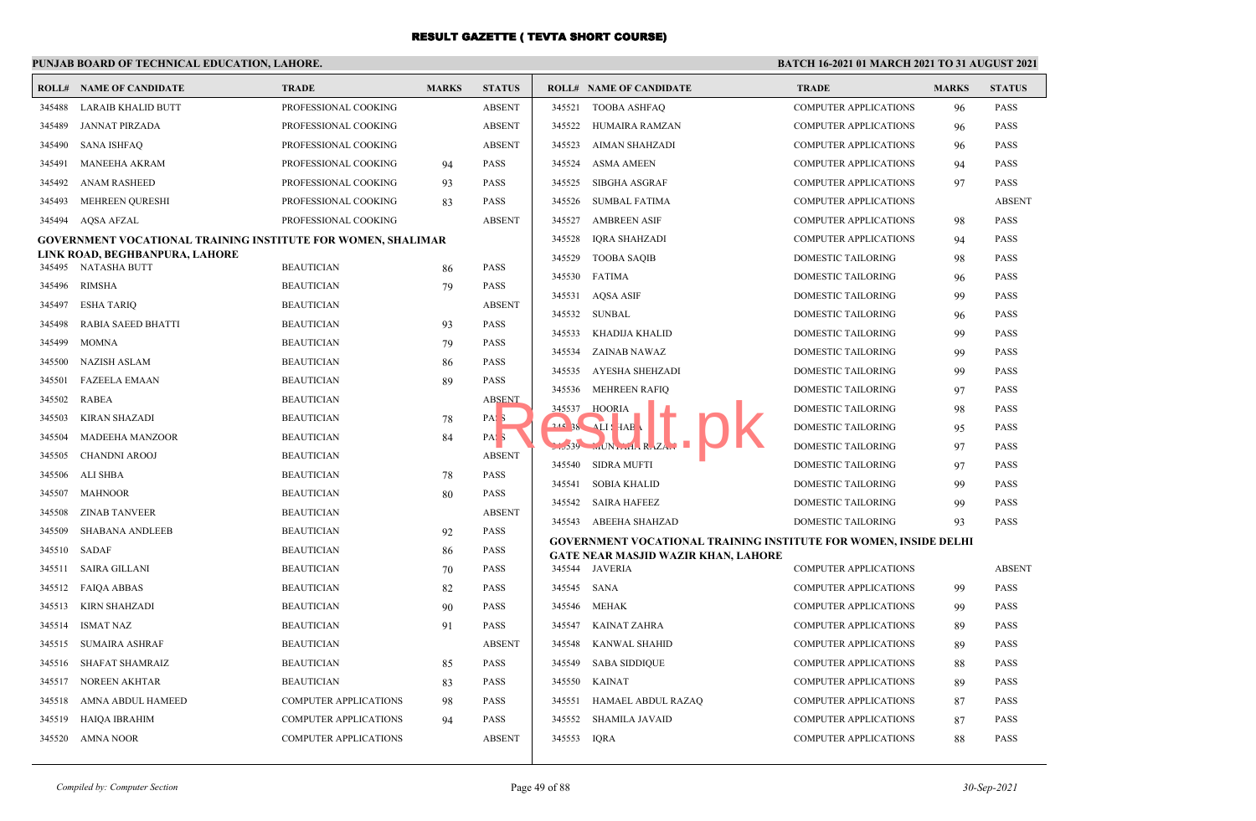## **PUNJAB BOARD OF TECHNICAL EDUCATION, LAHORE.**

|        | <b>ROLL# NAME OF CANDIDATE</b>                                      | <b>TRADE</b>                 | <b>MARKS</b> | <b>STATUS</b>    |             | <b>ROLL# NAME OF CANDIDATE</b>                                          | <b>TRADE</b>                 | <b>MARKS</b> | <b>STATUS</b> |
|--------|---------------------------------------------------------------------|------------------------------|--------------|------------------|-------------|-------------------------------------------------------------------------|------------------------------|--------------|---------------|
| 345488 | <b>LARAIB KHALID BUTT</b>                                           | PROFESSIONAL COOKING         |              | <b>ABSENT</b>    |             | 345521 TOOBA ASHFAQ                                                     | <b>COMPUTER APPLICATIONS</b> | 96           | <b>PASS</b>   |
| 345489 | <b>JANNAT PIRZADA</b>                                               | PROFESSIONAL COOKING         |              | <b>ABSENT</b>    | 345522      | HUMAIRA RAMZAN                                                          | <b>COMPUTER APPLICATIONS</b> | 96           | <b>PASS</b>   |
| 345490 | <b>SANA ISHFAQ</b>                                                  | PROFESSIONAL COOKING         |              | <b>ABSENT</b>    | 345523      | AIMAN SHAHZADI                                                          | <b>COMPUTER APPLICATIONS</b> | 96           | <b>PASS</b>   |
| 345491 | <b>MANEEHA AKRAM</b>                                                | PROFESSIONAL COOKING         | 94           | <b>PASS</b>      | 345524      | <b>ASMA AMEEN</b>                                                       | <b>COMPUTER APPLICATIONS</b> | 94           | <b>PASS</b>   |
| 345492 | <b>ANAM RASHEED</b>                                                 | PROFESSIONAL COOKING         | 93           | <b>PASS</b>      | 345525      | <b>SIBGHA ASGRAF</b>                                                    | <b>COMPUTER APPLICATIONS</b> | 97           | <b>PASS</b>   |
| 345493 | <b>MEHREEN QURESHI</b>                                              | PROFESSIONAL COOKING         | 83           | <b>PASS</b>      | 345526      | <b>SUMBAL FATIMA</b>                                                    | <b>COMPUTER APPLICATIONS</b> |              | <b>ABSENT</b> |
| 345494 | AQSA AFZAL                                                          | PROFESSIONAL COOKING         |              | <b>ABSENT</b>    | 345527      | <b>AMBREEN ASIF</b>                                                     | <b>COMPUTER APPLICATIONS</b> | 98           | <b>PASS</b>   |
|        | <b>GOVERNMENT VOCATIONAL TRAINING INSTITUTE FOR WOMEN, SHALIMAR</b> |                              |              |                  | 345528      | IQRA SHAHZADI                                                           | <b>COMPUTER APPLICATIONS</b> | 94           | <b>PASS</b>   |
|        | LINK ROAD, BEGHBANPURA, LAHORE                                      |                              |              |                  | 345529      | <b>TOOBA SAQIB</b>                                                      | <b>DOMESTIC TAILORING</b>    | 98           | <b>PASS</b>   |
|        | 345495 NATASHA BUTT                                                 | <b>BEAUTICIAN</b>            | 86           | <b>PASS</b>      | 345530      | <b>FATIMA</b>                                                           | DOMESTIC TAILORING           | 96           | <b>PASS</b>   |
| 345496 | RIMSHA                                                              | <b>BEAUTICIAN</b>            | 79           | <b>PASS</b>      | 345531      | AQSA ASIF                                                               | <b>DOMESTIC TAILORING</b>    | 99           | <b>PASS</b>   |
| 345497 | <b>ESHA TARIQ</b>                                                   | <b>BEAUTICIAN</b>            |              | <b>ABSENT</b>    | 345532      | <b>SUNBAL</b>                                                           | <b>DOMESTIC TAILORING</b>    | 96           | <b>PASS</b>   |
| 345498 | RABIA SAEED BHATTI                                                  | <b>BEAUTICIAN</b>            | 93           | <b>PASS</b>      | 345533      | KHADIJA KHALID                                                          | DOMESTIC TAILORING           | -99          | <b>PASS</b>   |
| 345499 | <b>MOMNA</b>                                                        | <b>BEAUTICIAN</b>            | 79           | <b>PASS</b>      | 345534      | ZAINAB NAWAZ                                                            | <b>DOMESTIC TAILORING</b>    | 99           | <b>PASS</b>   |
| 345500 | <b>NAZISH ASLAM</b>                                                 | <b>BEAUTICIAN</b>            | 86           | <b>PASS</b>      | 345535      | AYESHA SHEHZADI                                                         | <b>DOMESTIC TAILORING</b>    | 99           | <b>PASS</b>   |
| 345501 | <b>FAZEELA EMAAN</b>                                                | <b>BEAUTICIAN</b>            | 89           | <b>PASS</b>      | 345536      | <b>MEHREEN RAFIQ</b>                                                    | DOMESTIC TAILORING           | 97           | <b>PASS</b>   |
| 345502 | RABEA                                                               | <b>BEAUTICIAN</b>            |              | <b>ABSENT</b>    | 345537      | <b>HOORIA</b>                                                           | <b>DOMESTIC TAILORING</b>    | 98           | <b>PASS</b>   |
| 345503 | <b>KIRAN SHAZADI</b>                                                | <b>BEAUTICIAN</b>            | 78           | PAS <sub>3</sub> |             | $245$ 38 $\overline{11}$ HAB                                            | <b>DOMESTIC TAILORING</b>    | 95           | <b>PASS</b>   |
| 345504 | <b>MADEEHA MANZOOR</b>                                              | <b>BEAUTICIAN</b>            | 84           | PAS <sub>5</sub> |             | $1.539$ $M$ N $n$ $1. R. ZA.$                                           | <b>DOMESTIC TAILORING</b>    | 97           | <b>PASS</b>   |
| 345505 | <b>CHANDNI AROOJ</b>                                                | <b>BEAUTICIAN</b>            |              | <b>ABSENT</b>    | 345540      | <b>SIDRA MUFTI</b>                                                      | <b>DOMESTIC TAILORING</b>    | 97           | <b>PASS</b>   |
| 345506 | ALI SHBA                                                            | <b>BEAUTICIAN</b>            | 78           | <b>PASS</b>      | 345541      | SOBIA KHALID                                                            | <b>DOMESTIC TAILORING</b>    | 99           | <b>PASS</b>   |
| 345507 | MAHNOOR                                                             | <b>BEAUTICIAN</b>            | 80           | <b>PASS</b>      |             | 345542 SAIRA HAFEEZ                                                     | <b>DOMESTIC TAILORING</b>    | 99           | <b>PASS</b>   |
| 345508 | <b>ZINAB TANVEER</b>                                                | <b>BEAUTICIAN</b>            |              | <b>ABSENT</b>    |             | 345543 ABEEHA SHAHZAD                                                   | DOMESTIC TAILORING           | 93           | <b>PASS</b>   |
| 345509 | <b>SHABANA ANDLEEB</b>                                              | <b>BEAUTICIAN</b>            | 92           | <b>PASS</b>      |             | <b>GOVERNMENT VOCATIONAL TRAINING INSTITUTE FOR WOMEN, INSIDE DELHI</b> |                              |              |               |
| 345510 | SADAF                                                               | <b>BEAUTICIAN</b>            | 86           | <b>PASS</b>      |             | GATE NEAR MASJID WAZIR KHAN, LAHORE                                     |                              |              |               |
| 345511 | <b>SAIRA GILLANI</b>                                                | <b>BEAUTICIAN</b>            | 70           | <b>PASS</b>      |             | 345544 JAVERIA                                                          | <b>COMPUTER APPLICATIONS</b> |              | <b>ABSENT</b> |
| 345512 | <b>FAIQA ABBAS</b>                                                  | <b>BEAUTICIAN</b>            | 82           | <b>PASS</b>      | 345545 SANA |                                                                         | <b>COMPUTER APPLICATIONS</b> | -99          | <b>PASS</b>   |
| 345513 | KIRN SHAHZADI                                                       | <b>BEAUTICIAN</b>            | 90           | <b>PASS</b>      | 345546      | MEHAK                                                                   | <b>COMPUTER APPLICATIONS</b> | 99           | <b>PASS</b>   |
| 345514 | <b>ISMAT NAZ</b>                                                    | <b>BEAUTICIAN</b>            | 91           | <b>PASS</b>      | 345547      | KAINAT ZAHRA                                                            | <b>COMPUTER APPLICATIONS</b> | 89           | <b>PASS</b>   |
| 345515 | <b>SUMAIRA ASHRAF</b>                                               | <b>BEAUTICIAN</b>            |              | <b>ABSENT</b>    | 345548      | <b>KANWAL SHAHID</b>                                                    | <b>COMPUTER APPLICATIONS</b> | 89           | <b>PASS</b>   |
| 345516 | SHAFAT SHAMRAIZ                                                     | <b>BEAUTICIAN</b>            | 85           | <b>PASS</b>      | 345549      | <b>SABA SIDDIQUE</b>                                                    | <b>COMPUTER APPLICATIONS</b> | 88           | <b>PASS</b>   |
| 345517 | <b>NOREEN AKHTAR</b>                                                | <b>BEAUTICIAN</b>            | 83           | <b>PASS</b>      | 345550      | <b>KAINAT</b>                                                           | <b>COMPUTER APPLICATIONS</b> | 89           | <b>PASS</b>   |
| 345518 | AMNA ABDUL HAMEED                                                   | COMPUTER APPLICATIONS        | 98           | <b>PASS</b>      | 345551      | HAMAEL ABDUL RAZAQ                                                      | <b>COMPUTER APPLICATIONS</b> | 87           | <b>PASS</b>   |
| 345519 | HAIQA IBRAHIM                                                       | <b>COMPUTER APPLICATIONS</b> | 94           | <b>PASS</b>      | 345552      | <b>SHAMILA JAVAID</b>                                                   | <b>COMPUTER APPLICATIONS</b> | 87           | <b>PASS</b>   |
| 345520 | <b>AMNA NOOR</b>                                                    | <b>COMPUTER APPLICATIONS</b> |              | <b>ABSENT</b>    | 345553      | IORA                                                                    | <b>COMPUTER APPLICATIONS</b> | 88           | <b>PASS</b>   |
|        |                                                                     |                              |              |                  |             |                                                                         |                              |              |               |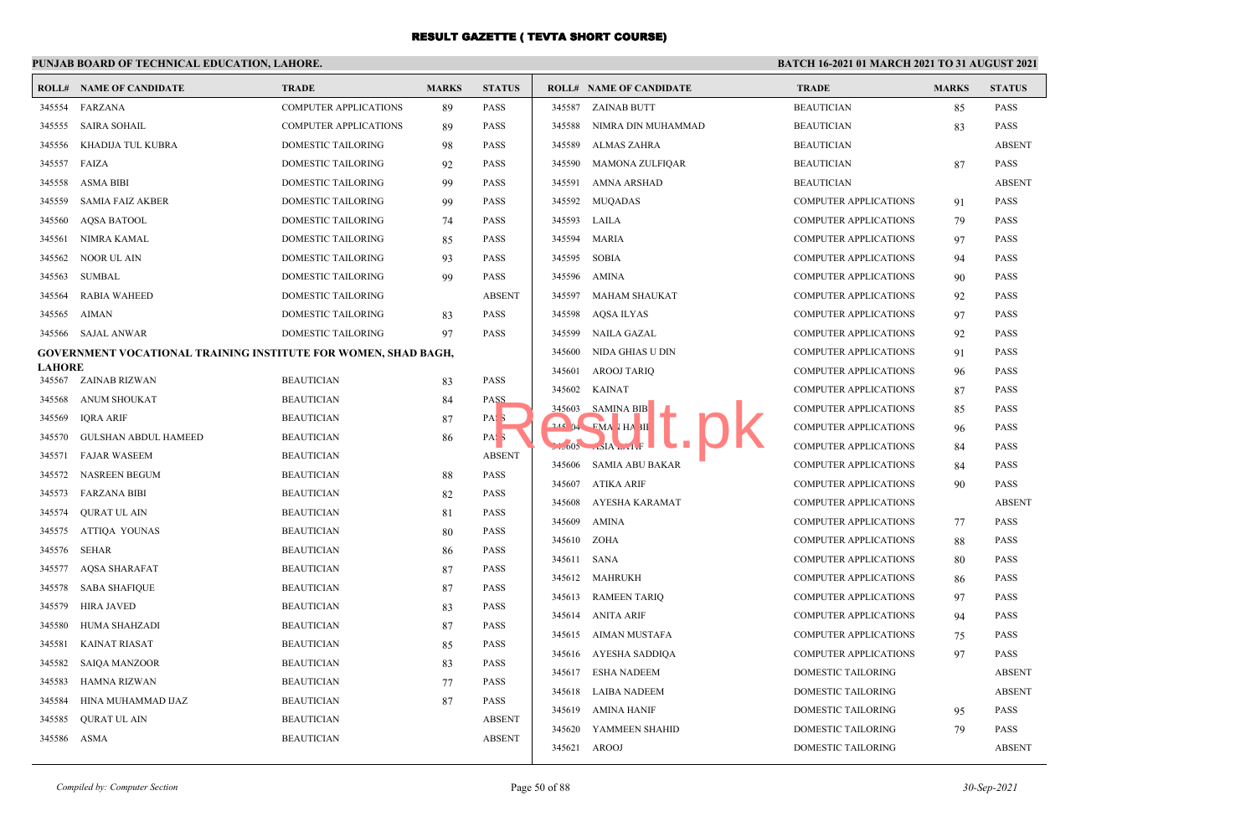|               | <b>ROLL# NAME OF CANDIDATE</b>                                 | <b>TRADE</b>                 | <b>MARKS</b> | <b>STATUS</b>    |        | <b>ROLL# NAME OF CANDIDATE</b> | <b>TRADE</b>                 | <b>MARKS</b> | <b>STATUS</b> |
|---------------|----------------------------------------------------------------|------------------------------|--------------|------------------|--------|--------------------------------|------------------------------|--------------|---------------|
| 345554        | FARZANA                                                        | <b>COMPUTER APPLICATIONS</b> | 89           | <b>PASS</b>      | 345587 | <b>ZAINAB BUTT</b>             | <b>BEAUTICIAN</b>            | 85           | <b>PASS</b>   |
| 345555        | <b>SAIRA SOHAIL</b>                                            | <b>COMPUTER APPLICATIONS</b> | 89           | <b>PASS</b>      | 345588 | NIMRA DIN MUHAMMAD             | <b>BEAUTICIAN</b>            | 83           | PASS          |
| 345556        | KHADIJA TUL KUBRA                                              | DOMESTIC TAILORING           | 98           | <b>PASS</b>      | 345589 | <b>ALMAS ZAHRA</b>             | <b>BEAUTICIAN</b>            |              | <b>ABSENT</b> |
| 345557        | FAIZA                                                          | DOMESTIC TAILORING           | 92           | <b>PASS</b>      | 345590 | <b>MAMONA ZULFIQAR</b>         | <b>BEAUTICIAN</b>            | 87           | <b>PASS</b>   |
| 345558        | <b>ASMA BIBI</b>                                               | DOMESTIC TAILORING           | 99           | <b>PASS</b>      | 345591 | <b>AMNA ARSHAD</b>             | <b>BEAUTICIAN</b>            |              | <b>ABSENT</b> |
| 345559        | <b>SAMIA FAIZ AKBER</b>                                        | DOMESTIC TAILORING           | 99           | <b>PASS</b>      | 345592 | <b>MUOADAS</b>                 | <b>COMPUTER APPLICATIONS</b> | 91           | <b>PASS</b>   |
| 345560        | <b>AQSA BATOOL</b>                                             | DOMESTIC TAILORING           | 74           | <b>PASS</b>      | 345593 | LAILA                          | COMPUTER APPLICATIONS        | 79           | <b>PASS</b>   |
| 345561        | NIMRA KAMAL                                                    | DOMESTIC TAILORING           | 85           | <b>PASS</b>      | 345594 | <b>MARIA</b>                   | COMPUTER APPLICATIONS        | 97           | <b>PASS</b>   |
| 345562        | <b>NOOR UL AIN</b>                                             | DOMESTIC TAILORING           | 93           | <b>PASS</b>      | 345595 | <b>SOBIA</b>                   | <b>COMPUTER APPLICATIONS</b> | 94           | <b>PASS</b>   |
| 345563        | <b>SUMBAL</b>                                                  | DOMESTIC TAILORING           | 99           | <b>PASS</b>      | 345596 | <b>AMINA</b>                   | <b>COMPUTER APPLICATIONS</b> | 90           | <b>PASS</b>   |
| 345564        | <b>RABIA WAHEED</b>                                            | DOMESTIC TAILORING           |              | <b>ABSENT</b>    | 345597 | <b>MAHAM SHAUKAT</b>           | COMPUTER APPLICATIONS        | 92           | <b>PASS</b>   |
| 345565        | <b>AIMAN</b>                                                   | DOMESTIC TAILORING           | 83           | <b>PASS</b>      | 345598 | AQSA ILYAS                     | <b>COMPUTER APPLICATIONS</b> | 97           | <b>PASS</b>   |
|               | 345566 SAJAL ANWAR                                             | DOMESTIC TAILORING           | 97           | <b>PASS</b>      | 345599 | NAILA GAZAL                    | <b>COMPUTER APPLICATIONS</b> | 92           | <b>PASS</b>   |
|               | GOVERNMENT VOCATIONAL TRAINING INSTITUTE FOR WOMEN, SHAD BAGH, |                              |              |                  | 345600 | NIDA GHIAS U DIN               | <b>COMPUTER APPLICATIONS</b> | 91           | <b>PASS</b>   |
| <b>LAHORE</b> | 345567 ZAINAB RIZWAN                                           | <b>BEAUTICIAN</b>            | 83           | <b>PASS</b>      | 345601 | <b>AROOJ TARIQ</b>             | COMPUTER APPLICATIONS        | 96           | <b>PASS</b>   |
|               | 345568 ANUM SHOUKAT                                            | <b>BEAUTICIAN</b>            | 84           | PASS             | 345602 | <b>KAINAT</b>                  | <b>COMPUTER APPLICATIONS</b> | 87           | <b>PASS</b>   |
| 345569        | IQRA ARIF                                                      | <b>BEAUTICIAN</b>            | 87           | PAS <sub>3</sub> | 345603 | <b>SAMINA BIB</b>              | <b>COMPUTER APPLICATIONS</b> | 85           | <b>PASS</b>   |
| 345570        | GULSHAN ABDUL HAMEED                                           | <b>BEAUTICIAN</b>            | 86           | PAS <sub>5</sub> | 21504  | EMA HA 3II                     | <b>COMPUTER APPLICATIONS</b> | 96           | <b>PASS</b>   |
| 345571        | <b>FAJAR WASEEM</b>                                            | <b>BEAUTICIAN</b>            |              | <b>ABSENT</b>    |        | $1.5005$ $.5IA$ $.1.5$         | COMPUTER APPLICATIONS        | 84           | <b>PASS</b>   |
| 345572        | NASREEN BEGUM                                                  | <b>BEAUTICIAN</b>            | 88           | <b>PASS</b>      | 345606 | <b>SAMIA ABU BAKAR</b>         | COMPUTER APPLICATIONS        | 84           | <b>PASS</b>   |
| 345573        | <b>FARZANA BIBI</b>                                            | <b>BEAUTICIAN</b>            | 82           | <b>PASS</b>      | 345607 | ATIKA ARIF                     | COMPUTER APPLICATIONS        | 90           | <b>PASS</b>   |
| 345574        | <b>OURAT UL AIN</b>                                            | <b>BEAUTICIAN</b>            | 81           | <b>PASS</b>      | 345608 | AYESHA KARAMAT                 | <b>COMPUTER APPLICATIONS</b> |              | <b>ABSENT</b> |
| 345575        | ATTIQA YOUNAS                                                  | <b>BEAUTICIAN</b>            | 80           | PASS             | 345609 | AMINA                          | <b>COMPUTER APPLICATIONS</b> | 77           | <b>PASS</b>   |
| 345576        | <b>SEHAR</b>                                                   | <b>BEAUTICIAN</b>            | 86           | PASS             | 345610 | ZOHA                           | COMPUTER APPLICATIONS        | 88           | <b>PASS</b>   |
| 345577        | <b>AQSA SHARAFAT</b>                                           | <b>BEAUTICIAN</b>            | 87           | <b>PASS</b>      | 345611 | <b>SANA</b>                    | <b>COMPUTER APPLICATIONS</b> | 80           | <b>PASS</b>   |
| 345578        | <b>SABA SHAFIQUE</b>                                           | <b>BEAUTICIAN</b>            | 87           | <b>PASS</b>      |        | 345612 MAHRUKH                 | <b>COMPUTER APPLICATIONS</b> | 86           | <b>PASS</b>   |
| 345579        | HIRA JAVED                                                     | <b>BEAUTICIAN</b>            | 83           | <b>PASS</b>      | 345613 | <b>RAMEEN TARIQ</b>            | <b>COMPUTER APPLICATIONS</b> | 97           | <b>PASS</b>   |
| 345580        | HUMA SHAHZADI                                                  | <b>BEAUTICIAN</b>            | 87           | <b>PASS</b>      | 345614 | ANITA ARIF                     | COMPUTER APPLICATIONS        | 94           | <b>PASS</b>   |
| 345581        | <b>KAINAT RIASAT</b>                                           | <b>BEAUTICIAN</b>            | 85           | <b>PASS</b>      |        | 345615 AIMAN MUSTAFA           | <b>COMPUTER APPLICATIONS</b> | 75           | <b>PASS</b>   |
| 345582        | <b>SAIQA MANZOOR</b>                                           | <b>BEAUTICIAN</b>            | 83           | <b>PASS</b>      |        | 345616 AYESHA SADDIQA          | <b>COMPUTER APPLICATIONS</b> | 97           | <b>PASS</b>   |
| 345583        | <b>HAMNA RIZWAN</b>                                            | <b>BEAUTICIAN</b>            | 77           | <b>PASS</b>      | 345617 | <b>ESHA NADEEM</b>             | DOMESTIC TAILORING           |              | <b>ABSENT</b> |
| 345584        | HINA MUHAMMAD IJAZ                                             | <b>BEAUTICIAN</b>            | 87           | <b>PASS</b>      | 345618 | <b>LAIBA NADEEM</b>            | DOMESTIC TAILORING           |              | <b>ABSENT</b> |
| 345585        | <b>QURAT UL AIN</b>                                            | <b>BEAUTICIAN</b>            |              | <b>ABSENT</b>    | 345619 | AMINA HANIF                    | DOMESTIC TAILORING           | 95           | <b>PASS</b>   |
|               | 345586 ASMA                                                    | <b>BEAUTICIAN</b>            |              | <b>ABSENT</b>    |        | 345620 YAMMEEN SHAHID          | <b>DOMESTIC TAILORING</b>    | -79          | <b>PASS</b>   |
|               |                                                                |                              |              |                  |        | 345621 AROOJ                   | DOMESTIC TAILORING           |              | <b>ABSENT</b> |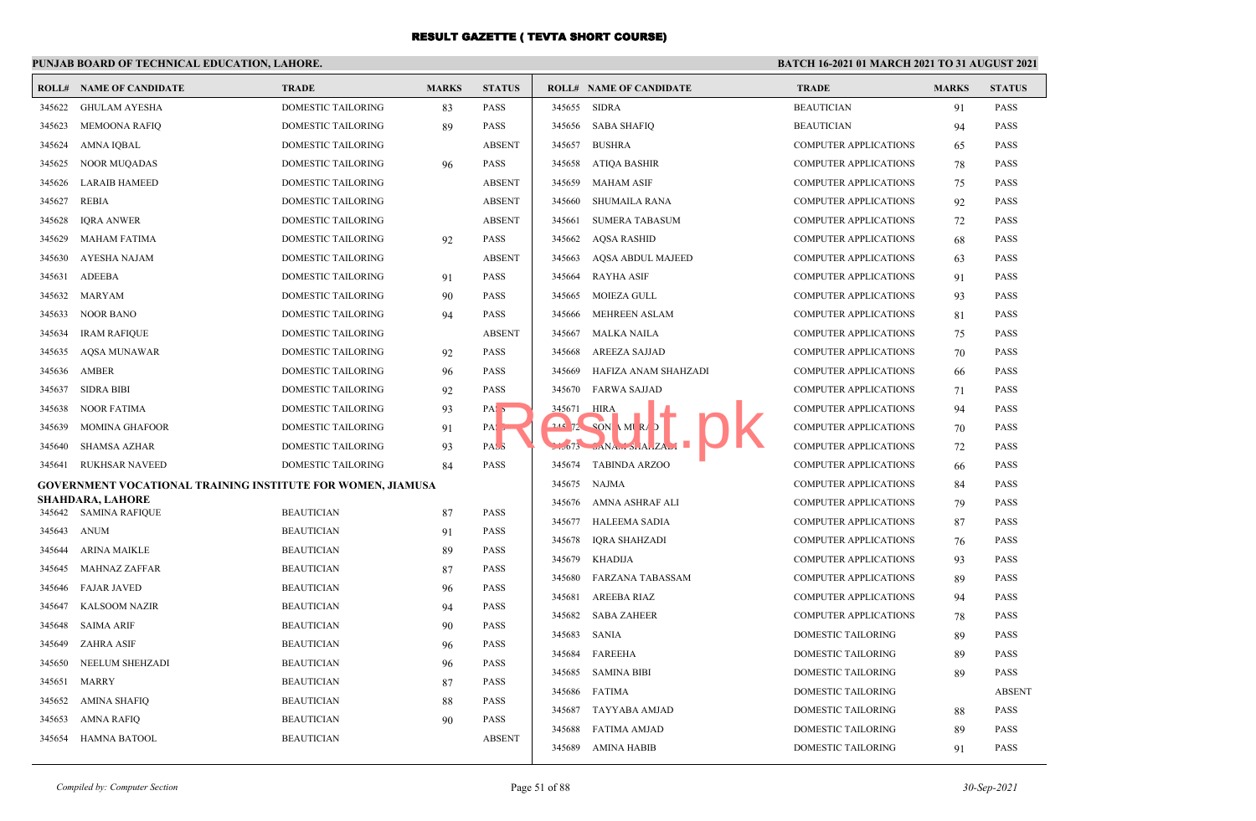|                  | <b>ROLL# NAME OF CANDIDATE</b>                                     | <b>TRADE</b>              | <b>MARKS</b> | <b>STATUS</b>              |            | <b>ROLL# NAME OF CANDIDATE</b>                                                  | <b>TRADE</b>                 | <b>MARKS</b> | <b>STATUS</b> |
|------------------|--------------------------------------------------------------------|---------------------------|--------------|----------------------------|------------|---------------------------------------------------------------------------------|------------------------------|--------------|---------------|
| 345622           | <b>GHULAM AYESHA</b>                                               | DOMESTIC TAILORING        | 83           | <b>PASS</b>                | 345655     | <b>SIDRA</b>                                                                    | <b>BEAUTICIAN</b>            | 91           | PASS          |
| 345623           | <b>MEMOONA RAFIQ</b>                                               | DOMESTIC TAILORING        | 89           | <b>PASS</b>                | 345656     | <b>SABA SHAFIQ</b>                                                              | <b>BEAUTICIAN</b>            | 94           | PASS          |
| 345624           | AMNA IQBAL                                                         | DOMESTIC TAILORING        |              | <b>ABSENT</b>              | 345657     | <b>BUSHRA</b>                                                                   | <b>COMPUTER APPLICATIONS</b> | 65           | <b>PASS</b>   |
|                  | 345625 NOOR MUQADAS                                                | DOMESTIC TAILORING        | 96           | <b>PASS</b>                | 345658     | <b>ATIQA BASHIR</b>                                                             | <b>COMPUTER APPLICATIONS</b> | 78           | <b>PASS</b>   |
| 345626           | <b>LARAIB HAMEED</b>                                               | DOMESTIC TAILORING        |              | <b>ABSENT</b>              | 345659     | <b>MAHAM ASIF</b>                                                               | <b>COMPUTER APPLICATIONS</b> | 75           | PASS          |
| 345627           | REBIA                                                              | DOMESTIC TAILORING        |              | <b>ABSENT</b>              | 345660     | SHUMAILA RANA                                                                   | <b>COMPUTER APPLICATIONS</b> | 92           | <b>PASS</b>   |
| 345628           | <b>IQRA ANWER</b>                                                  | DOMESTIC TAILORING        |              | <b>ABSENT</b>              | 345661     | <b>SUMERA TABASUM</b>                                                           | <b>COMPUTER APPLICATIONS</b> | 72           | PASS          |
| 345629           | <b>MAHAM FATIMA</b>                                                | DOMESTIC TAILORING        | 92           | PASS                       | 345662     | <b>AQSA RASHID</b>                                                              | <b>COMPUTER APPLICATIONS</b> | 68           | <b>PASS</b>   |
| 345630           | <b>AYESHA NAJAM</b>                                                | DOMESTIC TAILORING        |              | <b>ABSENT</b>              | 345663     | AQSA ABDUL MAJEED                                                               | <b>COMPUTER APPLICATIONS</b> | 63           | <b>PASS</b>   |
| 345631           | <b>ADEEBA</b>                                                      | DOMESTIC TAILORING        | 91           | <b>PASS</b>                | 345664     | <b>RAYHA ASIF</b>                                                               | <b>COMPUTER APPLICATIONS</b> | 91           | <b>PASS</b>   |
| 345632           | MARYAM                                                             | DOMESTIC TAILORING        | 90           | <b>PASS</b>                | 345665     | MOIEZA GULL                                                                     | COMPUTER APPLICATIONS        | 93           | <b>PASS</b>   |
| 345633           | <b>NOOR BANO</b>                                                   | DOMESTIC TAILORING        | 94           | <b>PASS</b>                | 345666     | <b>MEHREEN ASLAM</b>                                                            | <b>COMPUTER APPLICATIONS</b> | 81           | PASS          |
| 345634           | <b>IRAM RAFIQUE</b>                                                | DOMESTIC TAILORING        |              | <b>ABSENT</b>              | 345667     | <b>MALKA NAILA</b>                                                              | <b>COMPUTER APPLICATIONS</b> | 75           | PASS          |
| 345635           | <b>AQSA MUNAWAR</b>                                                | DOMESTIC TAILORING        | 92           | <b>PASS</b>                | 345668     | <b>AREEZA SAJJAD</b>                                                            | <b>COMPUTER APPLICATIONS</b> | 70           | <b>PASS</b>   |
| 345636           | <b>AMBER</b>                                                       | <b>DOMESTIC TAILORING</b> | 96           | <b>PASS</b>                | 345669     | HAFIZA ANAM SHAHZADI                                                            | <b>COMPUTER APPLICATIONS</b> | 66           | <b>PASS</b>   |
| 345637           | <b>SIDRA BIBI</b>                                                  | DOMESTIC TAILORING        | 92           | <b>PASS</b>                | 345670     | <b>FARWA SAJJAD</b>                                                             | <b>COMPUTER APPLICATIONS</b> | 71           | <b>PASS</b>   |
| 345638           | NOOR FATIMA                                                        | DOMESTIC TAILORING        | 93           | PAS <sub>5</sub>           | 345671     | <b>HIRA</b>                                                                     | <b>COMPUTER APPLICATIONS</b> | 94           | <b>PASS</b>   |
| 345639           | <b>MOMINA GHAFOOR</b>                                              | DOMESTIC TAILORING        | 91           | PAS,                       | $245$ $72$ | $SON$ MIRA                                                                      | <b>COMPUTER APPLICATIONS</b> | 70           | <b>PASS</b>   |
| 345640           | SHAMSA AZHAR                                                       | <b>DOMESTIC TAILORING</b> | 93           | PASS                       |            | $L_{\nu}$ $673$ $L_{\Lambda}$ $A_{\mu}$ $A_{\nu}$ $A_{\nu}$ $A_{\nu}$ $A_{\nu}$ | <b>COMPUTER APPLICATIONS</b> | 72           | <b>PASS</b>   |
| 345641           | <b>RUKHSAR NAVEED</b>                                              | DOMESTIC TAILORING        | 84           | <b>PASS</b>                | 345674     | <b>TABINDA ARZOO</b>                                                            | <b>COMPUTER APPLICATIONS</b> | -66          | <b>PASS</b>   |
|                  | <b>GOVERNMENT VOCATIONAL TRAINING INSTITUTE FOR WOMEN, JIAMUSA</b> |                           |              |                            | 345675     | <b>NAJMA</b>                                                                    | <b>COMPUTER APPLICATIONS</b> | 84           | <b>PASS</b>   |
|                  | <b>SHAHDARA, LAHORE</b><br>345642 SAMINA RAFIQUE                   | <b>BEAUTICIAN</b>         |              | <b>PASS</b>                | 345676     | AMNA ASHRAF ALI                                                                 | <b>COMPUTER APPLICATIONS</b> | 79           | <b>PASS</b>   |
|                  | 345643 ANUM                                                        | <b>BEAUTICIAN</b>         | 87           | PASS                       | 345677     | <b>HALEEMA SADIA</b>                                                            | <b>COMPUTER APPLICATIONS</b> | 87           | <b>PASS</b>   |
| 345644           | <b>ARINA MAIKLE</b>                                                | <b>BEAUTICIAN</b>         | 91           | <b>PASS</b>                | 345678     | <b>IQRA SHAHZADI</b>                                                            | <b>COMPUTER APPLICATIONS</b> | 76           | <b>PASS</b>   |
| 345645           | <b>MAHNAZ ZAFFAR</b>                                               | <b>BEAUTICIAN</b>         | 89<br>87     | <b>PASS</b>                | 345679     | KHADIJA                                                                         | <b>COMPUTER APPLICATIONS</b> | 93           | <b>PASS</b>   |
| 345646           | <b>FAJAR JAVED</b>                                                 | <b>BEAUTICIAN</b>         |              | <b>PASS</b>                | 345680     | <b>FARZANA TABASSAM</b>                                                         | <b>COMPUTER APPLICATIONS</b> | 89           | <b>PASS</b>   |
| 345647           |                                                                    | <b>BEAUTICIAN</b>         | 96           |                            | 345681     | AREEBA RIAZ                                                                     | <b>COMPUTER APPLICATIONS</b> | 94           | <b>PASS</b>   |
|                  | <b>KALSOOM NAZIR</b>                                               | <b>BEAUTICIAN</b>         | 94           | <b>PASS</b><br><b>PASS</b> | 345682     | <b>SABA ZAHEER</b>                                                              | <b>COMPUTER APPLICATIONS</b> | 78           | <b>PASS</b>   |
| 345648           | <b>SAIMA ARIF</b>                                                  |                           | 90           |                            | 345683     | <b>SANIA</b>                                                                    | DOMESTIC TAILORING           | 89           | <b>PASS</b>   |
| 345649<br>345650 | <b>ZAHRA ASIF</b><br>NEELUM SHEHZADI                               | <b>BEAUTICIAN</b>         | 96           | <b>PASS</b><br><b>PASS</b> | 345684     | FAREEHA                                                                         | DOMESTIC TAILORING           | 89           | <b>PASS</b>   |
|                  |                                                                    | <b>BEAUTICIAN</b>         | 96           |                            | 345685     | SAMINA BIBI                                                                     | <b>DOMESTIC TAILORING</b>    | -89          | <b>PASS</b>   |
| 345651           | MARRY                                                              | <b>BEAUTICIAN</b>         | 87           | <b>PASS</b>                |            | 345686 FATIMA                                                                   | DOMESTIC TAILORING           |              | <b>ABSENT</b> |
| 345652           | AMINA SHAFIQ                                                       | <b>BEAUTICIAN</b>         | 88           | PASS                       | 345687     | TAYYABA AMJAD                                                                   | DOMESTIC TAILORING           | 88           | <b>PASS</b>   |
| 345653           | AMNA RAFIQ                                                         | <b>BEAUTICIAN</b>         | 90           | PASS                       | 345688     | FATIMA AMJAD                                                                    | DOMESTIC TAILORING           | 89           | PASS          |
|                  | 345654 HAMNA BATOOL                                                | <b>BEAUTICIAN</b>         |              | <b>ABSENT</b>              |            | 345689 AMINA HABIB                                                              | DOMESTIC TAILORING           | 91           | <b>PASS</b>   |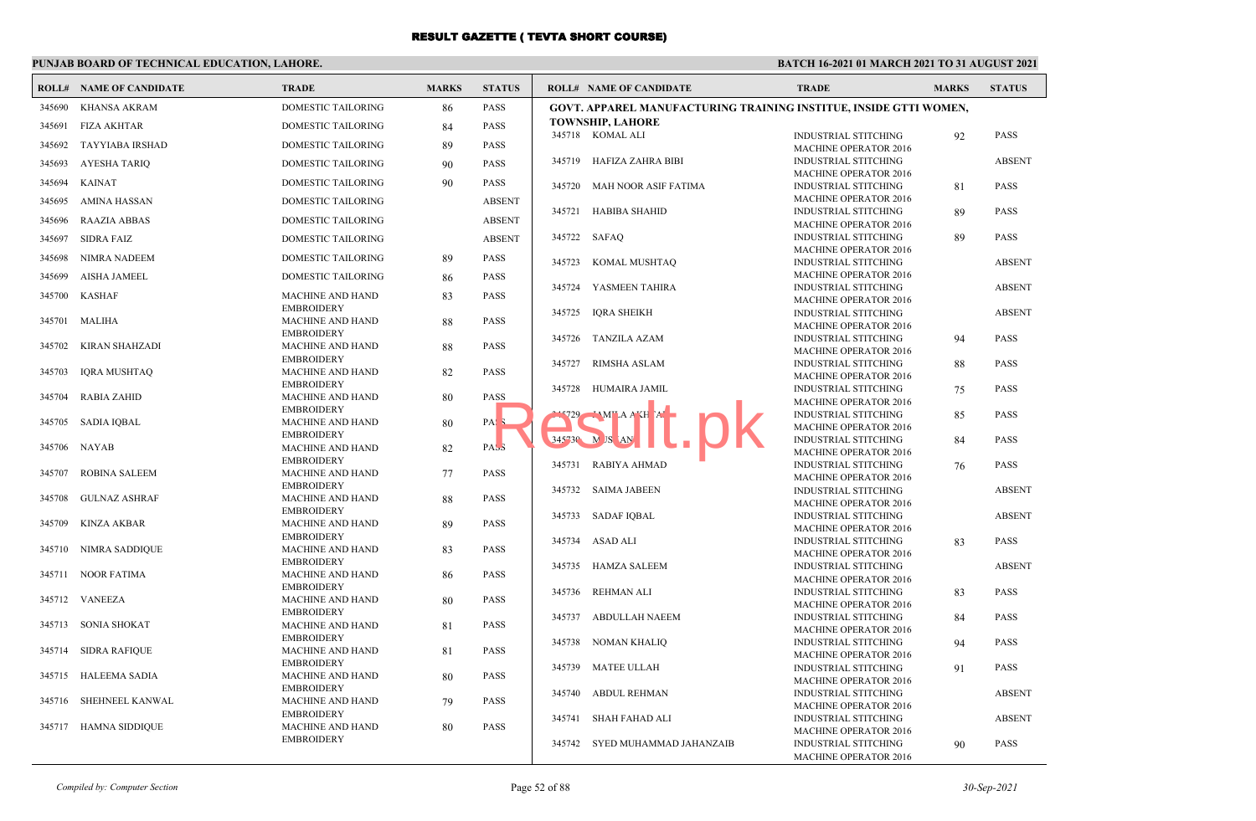| <b>DOMESTIC TAILORING</b><br><b>PASS</b><br>345690<br><b>KHANSA AKRAM</b><br>86<br>GOVT. APPAREL MANUFACTURING TRAINING INSTITUE, INSIDE GTTI WOMEN,<br><b>TOWNSHIP, LAHORE</b><br><b>FIZA AKHTAR</b><br><b>PASS</b><br>345691<br>DOMESTIC TAILORING<br>84<br>345718 KOMAL ALI<br><b>INDUSTRIAL STITCHING</b><br>92<br><b>PASS</b><br>345692<br>TAYYIABA IRSHAD<br><b>DOMESTIC TAILORING</b><br><b>PASS</b><br>89<br><b>MACHINE OPERATOR 2016</b><br>345719<br>HAFIZA ZAHRA BIBI<br><b>INDUSTRIAL STITCHING</b><br><b>ABSENT</b><br><b>PASS</b><br>345693<br><b>AYESHA TARIQ</b><br>DOMESTIC TAILORING<br>90<br><b>MACHINE OPERATOR 2016</b><br>345694<br><b>KAINAT</b><br><b>DOMESTIC TAILORING</b><br>90<br><b>PASS</b><br><b>MAH NOOR ASIF FATIMA</b><br>INDUSTRIAL STITCHING<br><b>PASS</b><br>345720<br>81<br><b>MACHINE OPERATOR 2016</b><br><b>AMINA HASSAN</b><br><b>ABSENT</b><br>345695<br><b>DOMESTIC TAILORING</b><br>345721<br><b>HABIBA SHAHID</b><br>INDUSTRIAL STITCHING<br><b>PASS</b><br>89<br>345696<br><b>RAAZIA ABBAS</b><br><b>DOMESTIC TAILORING</b><br><b>ABSENT</b><br><b>MACHINE OPERATOR 2016</b><br>345722 SAFAO<br><b>INDUSTRIAL STITCHING</b><br>89<br><b>PASS</b><br><b>SIDRA FAIZ</b><br><b>ABSENT</b><br>345697<br>DOMESTIC TAILORING<br><b>MACHINE OPERATOR 2016</b><br>345698<br><b>NIMRA NADEEM</b><br><b>DOMESTIC TAILORING</b><br><b>PASS</b><br>89<br>345723<br>KOMAL MUSHTAQ<br><b>INDUSTRIAL STITCHING</b><br><b>ABSENT</b><br><b>MACHINE OPERATOR 2016</b><br><b>PASS</b><br>345699<br><b>AISHA JAMEEL</b><br><b>DOMESTIC TAILORING</b><br>86<br>345724<br>YASMEEN TAHIRA<br><b>ABSENT</b><br><b>INDUSTRIAL STITCHING</b><br>345700<br><b>KASHAF</b><br><b>PASS</b><br><b>MACHINE AND HAND</b><br>83<br><b>MACHINE OPERATOR 2016</b><br><b>EMBROIDERY</b><br>345725<br>IQRA SHEIKH<br><b>INDUSTRIAL STITCHING</b><br><b>ABSENT</b><br>345701<br>MALIHA<br><b>MACHINE AND HAND</b><br>88<br><b>PASS</b><br><b>MACHINE OPERATOR 2016</b><br><b>EMBROIDERY</b><br>345726<br><b>TANZILA AZAM</b><br><b>INDUSTRIAL STITCHING</b><br>PASS<br>94<br>345702<br>KIRAN SHAHZADI<br>MACHINE AND HAND<br><b>PASS</b><br>88<br><b>MACHINE OPERATOR 2016</b><br><b>EMBROIDERY</b><br>345727<br>RIMSHA ASLAM<br><b>INDUSTRIAL STITCHING</b><br>88<br><b>PASS</b><br><b>PASS</b><br>345703<br><b>IQRA MUSHTAQ</b><br>MACHINE AND HAND<br>82<br><b>MACHINE OPERATOR 2016</b><br><b>EMBROIDERY</b><br>345728<br>HUMAIRA JAMIL<br><b>INDUSTRIAL STITCHING</b><br><b>PASS</b><br>75<br>345704<br><b>RABIA ZAHID</b><br>MACHINE AND HAND<br><b>PASS</b><br>80<br><b>MACHINE OPERATOR 2016</b><br><b>EMBROIDERY</b><br>$-MMT A AT H AT$<br>15729<br><b>INDUSTRIAL STITCHING</b><br><b>PASS</b><br>85<br>SADIA IQBAL<br>345705<br>MACHINE AND HAND<br>PAS.<br>80<br><b>MACHINE OPERATOR 2016</b><br><b>EMBROIDERY</b><br>$345^{\circ}30$ M JS AN<br><b>INDUSTRIAL STITCHING</b><br>84<br><b>PASS</b><br>345706<br>MACHINE AND HAND<br>82<br>PASS<br>NAYAB<br>MACHINE OPERATOR 2016<br><b>EMBROIDERY</b><br>RABIYA AHMAD<br>345731<br><b>INDUSTRIAL STITCHING</b><br><b>PASS</b><br>76<br><b>ROBINA SALEEM</b><br>MACHINE AND HAND<br><b>PASS</b><br>345707<br>77<br><b>MACHINE OPERATOR 2016</b><br><b>EMBROIDERY</b><br>345732 SAIMA JABEEN<br><b>INDUSTRIAL STITCHING</b><br><b>ABSENT</b><br><b>GULNAZ ASHRAF</b><br><b>MACHINE AND HAND</b><br><b>PASS</b><br>345708<br>88<br><b>MACHINE OPERATOR 2016</b><br><b>EMBROIDERY</b><br>345733<br>SADAF IOBAL<br><b>INDUSTRIAL STITCHING</b><br><b>ABSENT</b><br>345709<br><b>KINZA AKBAR</b><br><b>MACHINE AND HAND</b><br><b>PASS</b><br>89<br><b>MACHINE OPERATOR 2016</b><br><b>EMBROIDERY</b><br>345734 ASAD ALI<br><b>PASS</b><br><b>INDUSTRIAL STITCHING</b><br>83<br>345710<br>NIMRA SADDIQUE<br><b>PASS</b><br>MACHINE AND HAND<br>83<br><b>MACHINE OPERATOR 2016</b><br><b>EMBROIDERY</b><br>345735<br>HAMZA SALEEM<br><b>INDUSTRIAL STITCHING</b><br><b>ABSENT</b><br>345711 NOOR FATIMA<br><b>MACHINE AND HAND</b><br><b>PASS</b><br>86<br><b>MACHINE OPERATOR 2016</b><br><b>EMBROIDERY</b><br>345736<br>REHMAN ALI<br><b>INDUSTRIAL STITCHING</b><br><b>PASS</b><br>83<br>345712 VANEEZA<br><b>MACHINE AND HAND</b><br><b>PASS</b><br>80<br><b>MACHINE OPERATOR 2016</b><br><b>EMBROIDERY</b><br>345737<br>ABDULLAH NAEEM<br><b>INDUSTRIAL STITCHING</b><br><b>PASS</b><br>84<br>345713<br>SONIA SHOKAT<br>MACHINE AND HAND<br><b>PASS</b><br>81<br><b>MACHINE OPERATOR 2016</b><br><b>EMBROIDERY</b><br><b>NOMAN KHALIQ</b><br>INDUSTRIAL STITCHING<br>345738<br><b>PASS</b><br>94<br>345714<br>SIDRA RAFIQUE<br>MACHINE AND HAND<br><b>PASS</b><br>81<br><b>MACHINE OPERATOR 2016</b><br><b>EMBROIDERY</b><br><b>MATEE ULLAH</b><br>345739<br><b>PASS</b><br><b>INDUSTRIAL STITCHING</b><br>91<br>345715<br>HALEEMA SADIA<br><b>PASS</b><br>MACHINE AND HAND<br>80<br><b>MACHINE OPERATOR 2016</b><br><b>EMBROIDERY</b><br>INDUSTRIAL STITCHING<br><b>ABSENT</b><br>345740<br>ABDUL REHMAN<br><b>PASS</b><br>345716<br>SHEHNEEL KANWAL<br>MACHINE AND HAND<br>79<br><b>MACHINE OPERATOR 2016</b><br><b>EMBROIDERY</b><br><b>ABSENT</b><br>345741<br>SHAH FAHAD ALI<br><b>INDUSTRIAL STITCHING</b><br>HAMNA SIDDIQUE<br>MACHINE AND HAND<br>345717<br><b>PASS</b><br>80 | <b>ROLL# NAME OF CANDIDATE</b> | <b>TRADE</b> | <b>MARKS</b> | <b>STATUS</b> | <b>ROLL# NAME OF CANDIDATE</b> | <b>TRADE</b>                 | <b>MARKS</b> | <b>STATUS</b> |
|----------------------------------------------------------------------------------------------------------------------------------------------------------------------------------------------------------------------------------------------------------------------------------------------------------------------------------------------------------------------------------------------------------------------------------------------------------------------------------------------------------------------------------------------------------------------------------------------------------------------------------------------------------------------------------------------------------------------------------------------------------------------------------------------------------------------------------------------------------------------------------------------------------------------------------------------------------------------------------------------------------------------------------------------------------------------------------------------------------------------------------------------------------------------------------------------------------------------------------------------------------------------------------------------------------------------------------------------------------------------------------------------------------------------------------------------------------------------------------------------------------------------------------------------------------------------------------------------------------------------------------------------------------------------------------------------------------------------------------------------------------------------------------------------------------------------------------------------------------------------------------------------------------------------------------------------------------------------------------------------------------------------------------------------------------------------------------------------------------------------------------------------------------------------------------------------------------------------------------------------------------------------------------------------------------------------------------------------------------------------------------------------------------------------------------------------------------------------------------------------------------------------------------------------------------------------------------------------------------------------------------------------------------------------------------------------------------------------------------------------------------------------------------------------------------------------------------------------------------------------------------------------------------------------------------------------------------------------------------------------------------------------------------------------------------------------------------------------------------------------------------------------------------------------------------------------------------------------------------------------------------------------------------------------------------------------------------------------------------------------------------------------------------------------------------------------------------------------------------------------------------------------------------------------------------------------------------------------------------------------------------------------------------------------------------------------------------------------------------------------------------------------------------------------------------------------------------------------------------------------------------------------------------------------------------------------------------------------------------------------------------------------------------------------------------------------------------------------------------------------------------------------------------------------------------------------------------------------------------------------------------------------------------------------------------------------------------------------------------------------------------------------------------------------------------------------------------------------------------------------------------------------------------------------------------------------------------------------------------------------------------------------------------------------------------------------------------------------------------------------------------------------------------------------------------------------------------------------------------------------------------------------------------------------------------------------------------------------------------------------------------------------------------------------------------------------------------------------------------------------------------------------------------------------------------------------------------------------------------------------------------|--------------------------------|--------------|--------------|---------------|--------------------------------|------------------------------|--------------|---------------|
|                                                                                                                                                                                                                                                                                                                                                                                                                                                                                                                                                                                                                                                                                                                                                                                                                                                                                                                                                                                                                                                                                                                                                                                                                                                                                                                                                                                                                                                                                                                                                                                                                                                                                                                                                                                                                                                                                                                                                                                                                                                                                                                                                                                                                                                                                                                                                                                                                                                                                                                                                                                                                                                                                                                                                                                                                                                                                                                                                                                                                                                                                                                                                                                                                                                                                                                                                                                                                                                                                                                                                                                                                                                                                                                                                                                                                                                                                                                                                                                                                                                                                                                                                                                                                                                                                                                                                                                                                                                                                                                                                                                                                                                                                                                                                                                                                                                                                                                                                                                                                                                                                                                                                                                                                                                          |                                |              |              |               |                                |                              |              |               |
|                                                                                                                                                                                                                                                                                                                                                                                                                                                                                                                                                                                                                                                                                                                                                                                                                                                                                                                                                                                                                                                                                                                                                                                                                                                                                                                                                                                                                                                                                                                                                                                                                                                                                                                                                                                                                                                                                                                                                                                                                                                                                                                                                                                                                                                                                                                                                                                                                                                                                                                                                                                                                                                                                                                                                                                                                                                                                                                                                                                                                                                                                                                                                                                                                                                                                                                                                                                                                                                                                                                                                                                                                                                                                                                                                                                                                                                                                                                                                                                                                                                                                                                                                                                                                                                                                                                                                                                                                                                                                                                                                                                                                                                                                                                                                                                                                                                                                                                                                                                                                                                                                                                                                                                                                                                          |                                |              |              |               |                                |                              |              |               |
|                                                                                                                                                                                                                                                                                                                                                                                                                                                                                                                                                                                                                                                                                                                                                                                                                                                                                                                                                                                                                                                                                                                                                                                                                                                                                                                                                                                                                                                                                                                                                                                                                                                                                                                                                                                                                                                                                                                                                                                                                                                                                                                                                                                                                                                                                                                                                                                                                                                                                                                                                                                                                                                                                                                                                                                                                                                                                                                                                                                                                                                                                                                                                                                                                                                                                                                                                                                                                                                                                                                                                                                                                                                                                                                                                                                                                                                                                                                                                                                                                                                                                                                                                                                                                                                                                                                                                                                                                                                                                                                                                                                                                                                                                                                                                                                                                                                                                                                                                                                                                                                                                                                                                                                                                                                          |                                |              |              |               |                                |                              |              |               |
|                                                                                                                                                                                                                                                                                                                                                                                                                                                                                                                                                                                                                                                                                                                                                                                                                                                                                                                                                                                                                                                                                                                                                                                                                                                                                                                                                                                                                                                                                                                                                                                                                                                                                                                                                                                                                                                                                                                                                                                                                                                                                                                                                                                                                                                                                                                                                                                                                                                                                                                                                                                                                                                                                                                                                                                                                                                                                                                                                                                                                                                                                                                                                                                                                                                                                                                                                                                                                                                                                                                                                                                                                                                                                                                                                                                                                                                                                                                                                                                                                                                                                                                                                                                                                                                                                                                                                                                                                                                                                                                                                                                                                                                                                                                                                                                                                                                                                                                                                                                                                                                                                                                                                                                                                                                          |                                |              |              |               |                                |                              |              |               |
|                                                                                                                                                                                                                                                                                                                                                                                                                                                                                                                                                                                                                                                                                                                                                                                                                                                                                                                                                                                                                                                                                                                                                                                                                                                                                                                                                                                                                                                                                                                                                                                                                                                                                                                                                                                                                                                                                                                                                                                                                                                                                                                                                                                                                                                                                                                                                                                                                                                                                                                                                                                                                                                                                                                                                                                                                                                                                                                                                                                                                                                                                                                                                                                                                                                                                                                                                                                                                                                                                                                                                                                                                                                                                                                                                                                                                                                                                                                                                                                                                                                                                                                                                                                                                                                                                                                                                                                                                                                                                                                                                                                                                                                                                                                                                                                                                                                                                                                                                                                                                                                                                                                                                                                                                                                          |                                |              |              |               |                                |                              |              |               |
|                                                                                                                                                                                                                                                                                                                                                                                                                                                                                                                                                                                                                                                                                                                                                                                                                                                                                                                                                                                                                                                                                                                                                                                                                                                                                                                                                                                                                                                                                                                                                                                                                                                                                                                                                                                                                                                                                                                                                                                                                                                                                                                                                                                                                                                                                                                                                                                                                                                                                                                                                                                                                                                                                                                                                                                                                                                                                                                                                                                                                                                                                                                                                                                                                                                                                                                                                                                                                                                                                                                                                                                                                                                                                                                                                                                                                                                                                                                                                                                                                                                                                                                                                                                                                                                                                                                                                                                                                                                                                                                                                                                                                                                                                                                                                                                                                                                                                                                                                                                                                                                                                                                                                                                                                                                          |                                |              |              |               |                                |                              |              |               |
|                                                                                                                                                                                                                                                                                                                                                                                                                                                                                                                                                                                                                                                                                                                                                                                                                                                                                                                                                                                                                                                                                                                                                                                                                                                                                                                                                                                                                                                                                                                                                                                                                                                                                                                                                                                                                                                                                                                                                                                                                                                                                                                                                                                                                                                                                                                                                                                                                                                                                                                                                                                                                                                                                                                                                                                                                                                                                                                                                                                                                                                                                                                                                                                                                                                                                                                                                                                                                                                                                                                                                                                                                                                                                                                                                                                                                                                                                                                                                                                                                                                                                                                                                                                                                                                                                                                                                                                                                                                                                                                                                                                                                                                                                                                                                                                                                                                                                                                                                                                                                                                                                                                                                                                                                                                          |                                |              |              |               |                                |                              |              |               |
|                                                                                                                                                                                                                                                                                                                                                                                                                                                                                                                                                                                                                                                                                                                                                                                                                                                                                                                                                                                                                                                                                                                                                                                                                                                                                                                                                                                                                                                                                                                                                                                                                                                                                                                                                                                                                                                                                                                                                                                                                                                                                                                                                                                                                                                                                                                                                                                                                                                                                                                                                                                                                                                                                                                                                                                                                                                                                                                                                                                                                                                                                                                                                                                                                                                                                                                                                                                                                                                                                                                                                                                                                                                                                                                                                                                                                                                                                                                                                                                                                                                                                                                                                                                                                                                                                                                                                                                                                                                                                                                                                                                                                                                                                                                                                                                                                                                                                                                                                                                                                                                                                                                                                                                                                                                          |                                |              |              |               |                                |                              |              |               |
|                                                                                                                                                                                                                                                                                                                                                                                                                                                                                                                                                                                                                                                                                                                                                                                                                                                                                                                                                                                                                                                                                                                                                                                                                                                                                                                                                                                                                                                                                                                                                                                                                                                                                                                                                                                                                                                                                                                                                                                                                                                                                                                                                                                                                                                                                                                                                                                                                                                                                                                                                                                                                                                                                                                                                                                                                                                                                                                                                                                                                                                                                                                                                                                                                                                                                                                                                                                                                                                                                                                                                                                                                                                                                                                                                                                                                                                                                                                                                                                                                                                                                                                                                                                                                                                                                                                                                                                                                                                                                                                                                                                                                                                                                                                                                                                                                                                                                                                                                                                                                                                                                                                                                                                                                                                          |                                |              |              |               |                                |                              |              |               |
|                                                                                                                                                                                                                                                                                                                                                                                                                                                                                                                                                                                                                                                                                                                                                                                                                                                                                                                                                                                                                                                                                                                                                                                                                                                                                                                                                                                                                                                                                                                                                                                                                                                                                                                                                                                                                                                                                                                                                                                                                                                                                                                                                                                                                                                                                                                                                                                                                                                                                                                                                                                                                                                                                                                                                                                                                                                                                                                                                                                                                                                                                                                                                                                                                                                                                                                                                                                                                                                                                                                                                                                                                                                                                                                                                                                                                                                                                                                                                                                                                                                                                                                                                                                                                                                                                                                                                                                                                                                                                                                                                                                                                                                                                                                                                                                                                                                                                                                                                                                                                                                                                                                                                                                                                                                          |                                |              |              |               |                                |                              |              |               |
|                                                                                                                                                                                                                                                                                                                                                                                                                                                                                                                                                                                                                                                                                                                                                                                                                                                                                                                                                                                                                                                                                                                                                                                                                                                                                                                                                                                                                                                                                                                                                                                                                                                                                                                                                                                                                                                                                                                                                                                                                                                                                                                                                                                                                                                                                                                                                                                                                                                                                                                                                                                                                                                                                                                                                                                                                                                                                                                                                                                                                                                                                                                                                                                                                                                                                                                                                                                                                                                                                                                                                                                                                                                                                                                                                                                                                                                                                                                                                                                                                                                                                                                                                                                                                                                                                                                                                                                                                                                                                                                                                                                                                                                                                                                                                                                                                                                                                                                                                                                                                                                                                                                                                                                                                                                          |                                |              |              |               |                                |                              |              |               |
|                                                                                                                                                                                                                                                                                                                                                                                                                                                                                                                                                                                                                                                                                                                                                                                                                                                                                                                                                                                                                                                                                                                                                                                                                                                                                                                                                                                                                                                                                                                                                                                                                                                                                                                                                                                                                                                                                                                                                                                                                                                                                                                                                                                                                                                                                                                                                                                                                                                                                                                                                                                                                                                                                                                                                                                                                                                                                                                                                                                                                                                                                                                                                                                                                                                                                                                                                                                                                                                                                                                                                                                                                                                                                                                                                                                                                                                                                                                                                                                                                                                                                                                                                                                                                                                                                                                                                                                                                                                                                                                                                                                                                                                                                                                                                                                                                                                                                                                                                                                                                                                                                                                                                                                                                                                          |                                |              |              |               |                                |                              |              |               |
|                                                                                                                                                                                                                                                                                                                                                                                                                                                                                                                                                                                                                                                                                                                                                                                                                                                                                                                                                                                                                                                                                                                                                                                                                                                                                                                                                                                                                                                                                                                                                                                                                                                                                                                                                                                                                                                                                                                                                                                                                                                                                                                                                                                                                                                                                                                                                                                                                                                                                                                                                                                                                                                                                                                                                                                                                                                                                                                                                                                                                                                                                                                                                                                                                                                                                                                                                                                                                                                                                                                                                                                                                                                                                                                                                                                                                                                                                                                                                                                                                                                                                                                                                                                                                                                                                                                                                                                                                                                                                                                                                                                                                                                                                                                                                                                                                                                                                                                                                                                                                                                                                                                                                                                                                                                          |                                |              |              |               |                                |                              |              |               |
|                                                                                                                                                                                                                                                                                                                                                                                                                                                                                                                                                                                                                                                                                                                                                                                                                                                                                                                                                                                                                                                                                                                                                                                                                                                                                                                                                                                                                                                                                                                                                                                                                                                                                                                                                                                                                                                                                                                                                                                                                                                                                                                                                                                                                                                                                                                                                                                                                                                                                                                                                                                                                                                                                                                                                                                                                                                                                                                                                                                                                                                                                                                                                                                                                                                                                                                                                                                                                                                                                                                                                                                                                                                                                                                                                                                                                                                                                                                                                                                                                                                                                                                                                                                                                                                                                                                                                                                                                                                                                                                                                                                                                                                                                                                                                                                                                                                                                                                                                                                                                                                                                                                                                                                                                                                          |                                |              |              |               |                                |                              |              |               |
|                                                                                                                                                                                                                                                                                                                                                                                                                                                                                                                                                                                                                                                                                                                                                                                                                                                                                                                                                                                                                                                                                                                                                                                                                                                                                                                                                                                                                                                                                                                                                                                                                                                                                                                                                                                                                                                                                                                                                                                                                                                                                                                                                                                                                                                                                                                                                                                                                                                                                                                                                                                                                                                                                                                                                                                                                                                                                                                                                                                                                                                                                                                                                                                                                                                                                                                                                                                                                                                                                                                                                                                                                                                                                                                                                                                                                                                                                                                                                                                                                                                                                                                                                                                                                                                                                                                                                                                                                                                                                                                                                                                                                                                                                                                                                                                                                                                                                                                                                                                                                                                                                                                                                                                                                                                          |                                |              |              |               |                                |                              |              |               |
|                                                                                                                                                                                                                                                                                                                                                                                                                                                                                                                                                                                                                                                                                                                                                                                                                                                                                                                                                                                                                                                                                                                                                                                                                                                                                                                                                                                                                                                                                                                                                                                                                                                                                                                                                                                                                                                                                                                                                                                                                                                                                                                                                                                                                                                                                                                                                                                                                                                                                                                                                                                                                                                                                                                                                                                                                                                                                                                                                                                                                                                                                                                                                                                                                                                                                                                                                                                                                                                                                                                                                                                                                                                                                                                                                                                                                                                                                                                                                                                                                                                                                                                                                                                                                                                                                                                                                                                                                                                                                                                                                                                                                                                                                                                                                                                                                                                                                                                                                                                                                                                                                                                                                                                                                                                          |                                |              |              |               |                                |                              |              |               |
|                                                                                                                                                                                                                                                                                                                                                                                                                                                                                                                                                                                                                                                                                                                                                                                                                                                                                                                                                                                                                                                                                                                                                                                                                                                                                                                                                                                                                                                                                                                                                                                                                                                                                                                                                                                                                                                                                                                                                                                                                                                                                                                                                                                                                                                                                                                                                                                                                                                                                                                                                                                                                                                                                                                                                                                                                                                                                                                                                                                                                                                                                                                                                                                                                                                                                                                                                                                                                                                                                                                                                                                                                                                                                                                                                                                                                                                                                                                                                                                                                                                                                                                                                                                                                                                                                                                                                                                                                                                                                                                                                                                                                                                                                                                                                                                                                                                                                                                                                                                                                                                                                                                                                                                                                                                          |                                |              |              |               |                                |                              |              |               |
|                                                                                                                                                                                                                                                                                                                                                                                                                                                                                                                                                                                                                                                                                                                                                                                                                                                                                                                                                                                                                                                                                                                                                                                                                                                                                                                                                                                                                                                                                                                                                                                                                                                                                                                                                                                                                                                                                                                                                                                                                                                                                                                                                                                                                                                                                                                                                                                                                                                                                                                                                                                                                                                                                                                                                                                                                                                                                                                                                                                                                                                                                                                                                                                                                                                                                                                                                                                                                                                                                                                                                                                                                                                                                                                                                                                                                                                                                                                                                                                                                                                                                                                                                                                                                                                                                                                                                                                                                                                                                                                                                                                                                                                                                                                                                                                                                                                                                                                                                                                                                                                                                                                                                                                                                                                          |                                |              |              |               |                                |                              |              |               |
|                                                                                                                                                                                                                                                                                                                                                                                                                                                                                                                                                                                                                                                                                                                                                                                                                                                                                                                                                                                                                                                                                                                                                                                                                                                                                                                                                                                                                                                                                                                                                                                                                                                                                                                                                                                                                                                                                                                                                                                                                                                                                                                                                                                                                                                                                                                                                                                                                                                                                                                                                                                                                                                                                                                                                                                                                                                                                                                                                                                                                                                                                                                                                                                                                                                                                                                                                                                                                                                                                                                                                                                                                                                                                                                                                                                                                                                                                                                                                                                                                                                                                                                                                                                                                                                                                                                                                                                                                                                                                                                                                                                                                                                                                                                                                                                                                                                                                                                                                                                                                                                                                                                                                                                                                                                          |                                |              |              |               |                                |                              |              |               |
|                                                                                                                                                                                                                                                                                                                                                                                                                                                                                                                                                                                                                                                                                                                                                                                                                                                                                                                                                                                                                                                                                                                                                                                                                                                                                                                                                                                                                                                                                                                                                                                                                                                                                                                                                                                                                                                                                                                                                                                                                                                                                                                                                                                                                                                                                                                                                                                                                                                                                                                                                                                                                                                                                                                                                                                                                                                                                                                                                                                                                                                                                                                                                                                                                                                                                                                                                                                                                                                                                                                                                                                                                                                                                                                                                                                                                                                                                                                                                                                                                                                                                                                                                                                                                                                                                                                                                                                                                                                                                                                                                                                                                                                                                                                                                                                                                                                                                                                                                                                                                                                                                                                                                                                                                                                          |                                |              |              |               |                                |                              |              |               |
|                                                                                                                                                                                                                                                                                                                                                                                                                                                                                                                                                                                                                                                                                                                                                                                                                                                                                                                                                                                                                                                                                                                                                                                                                                                                                                                                                                                                                                                                                                                                                                                                                                                                                                                                                                                                                                                                                                                                                                                                                                                                                                                                                                                                                                                                                                                                                                                                                                                                                                                                                                                                                                                                                                                                                                                                                                                                                                                                                                                                                                                                                                                                                                                                                                                                                                                                                                                                                                                                                                                                                                                                                                                                                                                                                                                                                                                                                                                                                                                                                                                                                                                                                                                                                                                                                                                                                                                                                                                                                                                                                                                                                                                                                                                                                                                                                                                                                                                                                                                                                                                                                                                                                                                                                                                          |                                |              |              |               |                                |                              |              |               |
|                                                                                                                                                                                                                                                                                                                                                                                                                                                                                                                                                                                                                                                                                                                                                                                                                                                                                                                                                                                                                                                                                                                                                                                                                                                                                                                                                                                                                                                                                                                                                                                                                                                                                                                                                                                                                                                                                                                                                                                                                                                                                                                                                                                                                                                                                                                                                                                                                                                                                                                                                                                                                                                                                                                                                                                                                                                                                                                                                                                                                                                                                                                                                                                                                                                                                                                                                                                                                                                                                                                                                                                                                                                                                                                                                                                                                                                                                                                                                                                                                                                                                                                                                                                                                                                                                                                                                                                                                                                                                                                                                                                                                                                                                                                                                                                                                                                                                                                                                                                                                                                                                                                                                                                                                                                          |                                |              |              |               |                                |                              |              |               |
|                                                                                                                                                                                                                                                                                                                                                                                                                                                                                                                                                                                                                                                                                                                                                                                                                                                                                                                                                                                                                                                                                                                                                                                                                                                                                                                                                                                                                                                                                                                                                                                                                                                                                                                                                                                                                                                                                                                                                                                                                                                                                                                                                                                                                                                                                                                                                                                                                                                                                                                                                                                                                                                                                                                                                                                                                                                                                                                                                                                                                                                                                                                                                                                                                                                                                                                                                                                                                                                                                                                                                                                                                                                                                                                                                                                                                                                                                                                                                                                                                                                                                                                                                                                                                                                                                                                                                                                                                                                                                                                                                                                                                                                                                                                                                                                                                                                                                                                                                                                                                                                                                                                                                                                                                                                          |                                |              |              |               |                                |                              |              |               |
|                                                                                                                                                                                                                                                                                                                                                                                                                                                                                                                                                                                                                                                                                                                                                                                                                                                                                                                                                                                                                                                                                                                                                                                                                                                                                                                                                                                                                                                                                                                                                                                                                                                                                                                                                                                                                                                                                                                                                                                                                                                                                                                                                                                                                                                                                                                                                                                                                                                                                                                                                                                                                                                                                                                                                                                                                                                                                                                                                                                                                                                                                                                                                                                                                                                                                                                                                                                                                                                                                                                                                                                                                                                                                                                                                                                                                                                                                                                                                                                                                                                                                                                                                                                                                                                                                                                                                                                                                                                                                                                                                                                                                                                                                                                                                                                                                                                                                                                                                                                                                                                                                                                                                                                                                                                          |                                |              |              |               |                                |                              |              |               |
|                                                                                                                                                                                                                                                                                                                                                                                                                                                                                                                                                                                                                                                                                                                                                                                                                                                                                                                                                                                                                                                                                                                                                                                                                                                                                                                                                                                                                                                                                                                                                                                                                                                                                                                                                                                                                                                                                                                                                                                                                                                                                                                                                                                                                                                                                                                                                                                                                                                                                                                                                                                                                                                                                                                                                                                                                                                                                                                                                                                                                                                                                                                                                                                                                                                                                                                                                                                                                                                                                                                                                                                                                                                                                                                                                                                                                                                                                                                                                                                                                                                                                                                                                                                                                                                                                                                                                                                                                                                                                                                                                                                                                                                                                                                                                                                                                                                                                                                                                                                                                                                                                                                                                                                                                                                          |                                |              |              |               |                                |                              |              |               |
|                                                                                                                                                                                                                                                                                                                                                                                                                                                                                                                                                                                                                                                                                                                                                                                                                                                                                                                                                                                                                                                                                                                                                                                                                                                                                                                                                                                                                                                                                                                                                                                                                                                                                                                                                                                                                                                                                                                                                                                                                                                                                                                                                                                                                                                                                                                                                                                                                                                                                                                                                                                                                                                                                                                                                                                                                                                                                                                                                                                                                                                                                                                                                                                                                                                                                                                                                                                                                                                                                                                                                                                                                                                                                                                                                                                                                                                                                                                                                                                                                                                                                                                                                                                                                                                                                                                                                                                                                                                                                                                                                                                                                                                                                                                                                                                                                                                                                                                                                                                                                                                                                                                                                                                                                                                          |                                |              |              |               |                                |                              |              |               |
|                                                                                                                                                                                                                                                                                                                                                                                                                                                                                                                                                                                                                                                                                                                                                                                                                                                                                                                                                                                                                                                                                                                                                                                                                                                                                                                                                                                                                                                                                                                                                                                                                                                                                                                                                                                                                                                                                                                                                                                                                                                                                                                                                                                                                                                                                                                                                                                                                                                                                                                                                                                                                                                                                                                                                                                                                                                                                                                                                                                                                                                                                                                                                                                                                                                                                                                                                                                                                                                                                                                                                                                                                                                                                                                                                                                                                                                                                                                                                                                                                                                                                                                                                                                                                                                                                                                                                                                                                                                                                                                                                                                                                                                                                                                                                                                                                                                                                                                                                                                                                                                                                                                                                                                                                                                          |                                |              |              |               |                                |                              |              |               |
|                                                                                                                                                                                                                                                                                                                                                                                                                                                                                                                                                                                                                                                                                                                                                                                                                                                                                                                                                                                                                                                                                                                                                                                                                                                                                                                                                                                                                                                                                                                                                                                                                                                                                                                                                                                                                                                                                                                                                                                                                                                                                                                                                                                                                                                                                                                                                                                                                                                                                                                                                                                                                                                                                                                                                                                                                                                                                                                                                                                                                                                                                                                                                                                                                                                                                                                                                                                                                                                                                                                                                                                                                                                                                                                                                                                                                                                                                                                                                                                                                                                                                                                                                                                                                                                                                                                                                                                                                                                                                                                                                                                                                                                                                                                                                                                                                                                                                                                                                                                                                                                                                                                                                                                                                                                          |                                |              |              |               |                                |                              |              |               |
|                                                                                                                                                                                                                                                                                                                                                                                                                                                                                                                                                                                                                                                                                                                                                                                                                                                                                                                                                                                                                                                                                                                                                                                                                                                                                                                                                                                                                                                                                                                                                                                                                                                                                                                                                                                                                                                                                                                                                                                                                                                                                                                                                                                                                                                                                                                                                                                                                                                                                                                                                                                                                                                                                                                                                                                                                                                                                                                                                                                                                                                                                                                                                                                                                                                                                                                                                                                                                                                                                                                                                                                                                                                                                                                                                                                                                                                                                                                                                                                                                                                                                                                                                                                                                                                                                                                                                                                                                                                                                                                                                                                                                                                                                                                                                                                                                                                                                                                                                                                                                                                                                                                                                                                                                                                          |                                |              |              |               |                                |                              |              |               |
|                                                                                                                                                                                                                                                                                                                                                                                                                                                                                                                                                                                                                                                                                                                                                                                                                                                                                                                                                                                                                                                                                                                                                                                                                                                                                                                                                                                                                                                                                                                                                                                                                                                                                                                                                                                                                                                                                                                                                                                                                                                                                                                                                                                                                                                                                                                                                                                                                                                                                                                                                                                                                                                                                                                                                                                                                                                                                                                                                                                                                                                                                                                                                                                                                                                                                                                                                                                                                                                                                                                                                                                                                                                                                                                                                                                                                                                                                                                                                                                                                                                                                                                                                                                                                                                                                                                                                                                                                                                                                                                                                                                                                                                                                                                                                                                                                                                                                                                                                                                                                                                                                                                                                                                                                                                          |                                |              |              |               |                                |                              |              |               |
|                                                                                                                                                                                                                                                                                                                                                                                                                                                                                                                                                                                                                                                                                                                                                                                                                                                                                                                                                                                                                                                                                                                                                                                                                                                                                                                                                                                                                                                                                                                                                                                                                                                                                                                                                                                                                                                                                                                                                                                                                                                                                                                                                                                                                                                                                                                                                                                                                                                                                                                                                                                                                                                                                                                                                                                                                                                                                                                                                                                                                                                                                                                                                                                                                                                                                                                                                                                                                                                                                                                                                                                                                                                                                                                                                                                                                                                                                                                                                                                                                                                                                                                                                                                                                                                                                                                                                                                                                                                                                                                                                                                                                                                                                                                                                                                                                                                                                                                                                                                                                                                                                                                                                                                                                                                          |                                |              |              |               |                                |                              |              |               |
|                                                                                                                                                                                                                                                                                                                                                                                                                                                                                                                                                                                                                                                                                                                                                                                                                                                                                                                                                                                                                                                                                                                                                                                                                                                                                                                                                                                                                                                                                                                                                                                                                                                                                                                                                                                                                                                                                                                                                                                                                                                                                                                                                                                                                                                                                                                                                                                                                                                                                                                                                                                                                                                                                                                                                                                                                                                                                                                                                                                                                                                                                                                                                                                                                                                                                                                                                                                                                                                                                                                                                                                                                                                                                                                                                                                                                                                                                                                                                                                                                                                                                                                                                                                                                                                                                                                                                                                                                                                                                                                                                                                                                                                                                                                                                                                                                                                                                                                                                                                                                                                                                                                                                                                                                                                          |                                |              |              |               |                                |                              |              |               |
|                                                                                                                                                                                                                                                                                                                                                                                                                                                                                                                                                                                                                                                                                                                                                                                                                                                                                                                                                                                                                                                                                                                                                                                                                                                                                                                                                                                                                                                                                                                                                                                                                                                                                                                                                                                                                                                                                                                                                                                                                                                                                                                                                                                                                                                                                                                                                                                                                                                                                                                                                                                                                                                                                                                                                                                                                                                                                                                                                                                                                                                                                                                                                                                                                                                                                                                                                                                                                                                                                                                                                                                                                                                                                                                                                                                                                                                                                                                                                                                                                                                                                                                                                                                                                                                                                                                                                                                                                                                                                                                                                                                                                                                                                                                                                                                                                                                                                                                                                                                                                                                                                                                                                                                                                                                          |                                |              |              |               |                                |                              |              |               |
|                                                                                                                                                                                                                                                                                                                                                                                                                                                                                                                                                                                                                                                                                                                                                                                                                                                                                                                                                                                                                                                                                                                                                                                                                                                                                                                                                                                                                                                                                                                                                                                                                                                                                                                                                                                                                                                                                                                                                                                                                                                                                                                                                                                                                                                                                                                                                                                                                                                                                                                                                                                                                                                                                                                                                                                                                                                                                                                                                                                                                                                                                                                                                                                                                                                                                                                                                                                                                                                                                                                                                                                                                                                                                                                                                                                                                                                                                                                                                                                                                                                                                                                                                                                                                                                                                                                                                                                                                                                                                                                                                                                                                                                                                                                                                                                                                                                                                                                                                                                                                                                                                                                                                                                                                                                          |                                |              |              |               |                                |                              |              |               |
|                                                                                                                                                                                                                                                                                                                                                                                                                                                                                                                                                                                                                                                                                                                                                                                                                                                                                                                                                                                                                                                                                                                                                                                                                                                                                                                                                                                                                                                                                                                                                                                                                                                                                                                                                                                                                                                                                                                                                                                                                                                                                                                                                                                                                                                                                                                                                                                                                                                                                                                                                                                                                                                                                                                                                                                                                                                                                                                                                                                                                                                                                                                                                                                                                                                                                                                                                                                                                                                                                                                                                                                                                                                                                                                                                                                                                                                                                                                                                                                                                                                                                                                                                                                                                                                                                                                                                                                                                                                                                                                                                                                                                                                                                                                                                                                                                                                                                                                                                                                                                                                                                                                                                                                                                                                          |                                |              |              |               |                                |                              |              |               |
|                                                                                                                                                                                                                                                                                                                                                                                                                                                                                                                                                                                                                                                                                                                                                                                                                                                                                                                                                                                                                                                                                                                                                                                                                                                                                                                                                                                                                                                                                                                                                                                                                                                                                                                                                                                                                                                                                                                                                                                                                                                                                                                                                                                                                                                                                                                                                                                                                                                                                                                                                                                                                                                                                                                                                                                                                                                                                                                                                                                                                                                                                                                                                                                                                                                                                                                                                                                                                                                                                                                                                                                                                                                                                                                                                                                                                                                                                                                                                                                                                                                                                                                                                                                                                                                                                                                                                                                                                                                                                                                                                                                                                                                                                                                                                                                                                                                                                                                                                                                                                                                                                                                                                                                                                                                          |                                |              |              |               |                                |                              |              |               |
|                                                                                                                                                                                                                                                                                                                                                                                                                                                                                                                                                                                                                                                                                                                                                                                                                                                                                                                                                                                                                                                                                                                                                                                                                                                                                                                                                                                                                                                                                                                                                                                                                                                                                                                                                                                                                                                                                                                                                                                                                                                                                                                                                                                                                                                                                                                                                                                                                                                                                                                                                                                                                                                                                                                                                                                                                                                                                                                                                                                                                                                                                                                                                                                                                                                                                                                                                                                                                                                                                                                                                                                                                                                                                                                                                                                                                                                                                                                                                                                                                                                                                                                                                                                                                                                                                                                                                                                                                                                                                                                                                                                                                                                                                                                                                                                                                                                                                                                                                                                                                                                                                                                                                                                                                                                          |                                |              |              |               |                                |                              |              |               |
|                                                                                                                                                                                                                                                                                                                                                                                                                                                                                                                                                                                                                                                                                                                                                                                                                                                                                                                                                                                                                                                                                                                                                                                                                                                                                                                                                                                                                                                                                                                                                                                                                                                                                                                                                                                                                                                                                                                                                                                                                                                                                                                                                                                                                                                                                                                                                                                                                                                                                                                                                                                                                                                                                                                                                                                                                                                                                                                                                                                                                                                                                                                                                                                                                                                                                                                                                                                                                                                                                                                                                                                                                                                                                                                                                                                                                                                                                                                                                                                                                                                                                                                                                                                                                                                                                                                                                                                                                                                                                                                                                                                                                                                                                                                                                                                                                                                                                                                                                                                                                                                                                                                                                                                                                                                          |                                |              |              |               |                                |                              |              |               |
|                                                                                                                                                                                                                                                                                                                                                                                                                                                                                                                                                                                                                                                                                                                                                                                                                                                                                                                                                                                                                                                                                                                                                                                                                                                                                                                                                                                                                                                                                                                                                                                                                                                                                                                                                                                                                                                                                                                                                                                                                                                                                                                                                                                                                                                                                                                                                                                                                                                                                                                                                                                                                                                                                                                                                                                                                                                                                                                                                                                                                                                                                                                                                                                                                                                                                                                                                                                                                                                                                                                                                                                                                                                                                                                                                                                                                                                                                                                                                                                                                                                                                                                                                                                                                                                                                                                                                                                                                                                                                                                                                                                                                                                                                                                                                                                                                                                                                                                                                                                                                                                                                                                                                                                                                                                          |                                |              |              |               |                                |                              |              |               |
|                                                                                                                                                                                                                                                                                                                                                                                                                                                                                                                                                                                                                                                                                                                                                                                                                                                                                                                                                                                                                                                                                                                                                                                                                                                                                                                                                                                                                                                                                                                                                                                                                                                                                                                                                                                                                                                                                                                                                                                                                                                                                                                                                                                                                                                                                                                                                                                                                                                                                                                                                                                                                                                                                                                                                                                                                                                                                                                                                                                                                                                                                                                                                                                                                                                                                                                                                                                                                                                                                                                                                                                                                                                                                                                                                                                                                                                                                                                                                                                                                                                                                                                                                                                                                                                                                                                                                                                                                                                                                                                                                                                                                                                                                                                                                                                                                                                                                                                                                                                                                                                                                                                                                                                                                                                          |                                |              |              |               |                                |                              |              |               |
|                                                                                                                                                                                                                                                                                                                                                                                                                                                                                                                                                                                                                                                                                                                                                                                                                                                                                                                                                                                                                                                                                                                                                                                                                                                                                                                                                                                                                                                                                                                                                                                                                                                                                                                                                                                                                                                                                                                                                                                                                                                                                                                                                                                                                                                                                                                                                                                                                                                                                                                                                                                                                                                                                                                                                                                                                                                                                                                                                                                                                                                                                                                                                                                                                                                                                                                                                                                                                                                                                                                                                                                                                                                                                                                                                                                                                                                                                                                                                                                                                                                                                                                                                                                                                                                                                                                                                                                                                                                                                                                                                                                                                                                                                                                                                                                                                                                                                                                                                                                                                                                                                                                                                                                                                                                          |                                |              |              |               |                                |                              |              |               |
| <b>EMBROIDERY</b>                                                                                                                                                                                                                                                                                                                                                                                                                                                                                                                                                                                                                                                                                                                                                                                                                                                                                                                                                                                                                                                                                                                                                                                                                                                                                                                                                                                                                                                                                                                                                                                                                                                                                                                                                                                                                                                                                                                                                                                                                                                                                                                                                                                                                                                                                                                                                                                                                                                                                                                                                                                                                                                                                                                                                                                                                                                                                                                                                                                                                                                                                                                                                                                                                                                                                                                                                                                                                                                                                                                                                                                                                                                                                                                                                                                                                                                                                                                                                                                                                                                                                                                                                                                                                                                                                                                                                                                                                                                                                                                                                                                                                                                                                                                                                                                                                                                                                                                                                                                                                                                                                                                                                                                                                                        |                                |              |              |               |                                | <b>MACHINE OPERATOR 2016</b> |              |               |
| <b>INDUSTRIAL STITCHING</b><br><b>PASS</b><br>345742<br>SYED MUHAMMAD JAHANZAIB<br>90<br><b>MACHINE OPERATOR 2016</b>                                                                                                                                                                                                                                                                                                                                                                                                                                                                                                                                                                                                                                                                                                                                                                                                                                                                                                                                                                                                                                                                                                                                                                                                                                                                                                                                                                                                                                                                                                                                                                                                                                                                                                                                                                                                                                                                                                                                                                                                                                                                                                                                                                                                                                                                                                                                                                                                                                                                                                                                                                                                                                                                                                                                                                                                                                                                                                                                                                                                                                                                                                                                                                                                                                                                                                                                                                                                                                                                                                                                                                                                                                                                                                                                                                                                                                                                                                                                                                                                                                                                                                                                                                                                                                                                                                                                                                                                                                                                                                                                                                                                                                                                                                                                                                                                                                                                                                                                                                                                                                                                                                                                    |                                |              |              |               |                                |                              |              |               |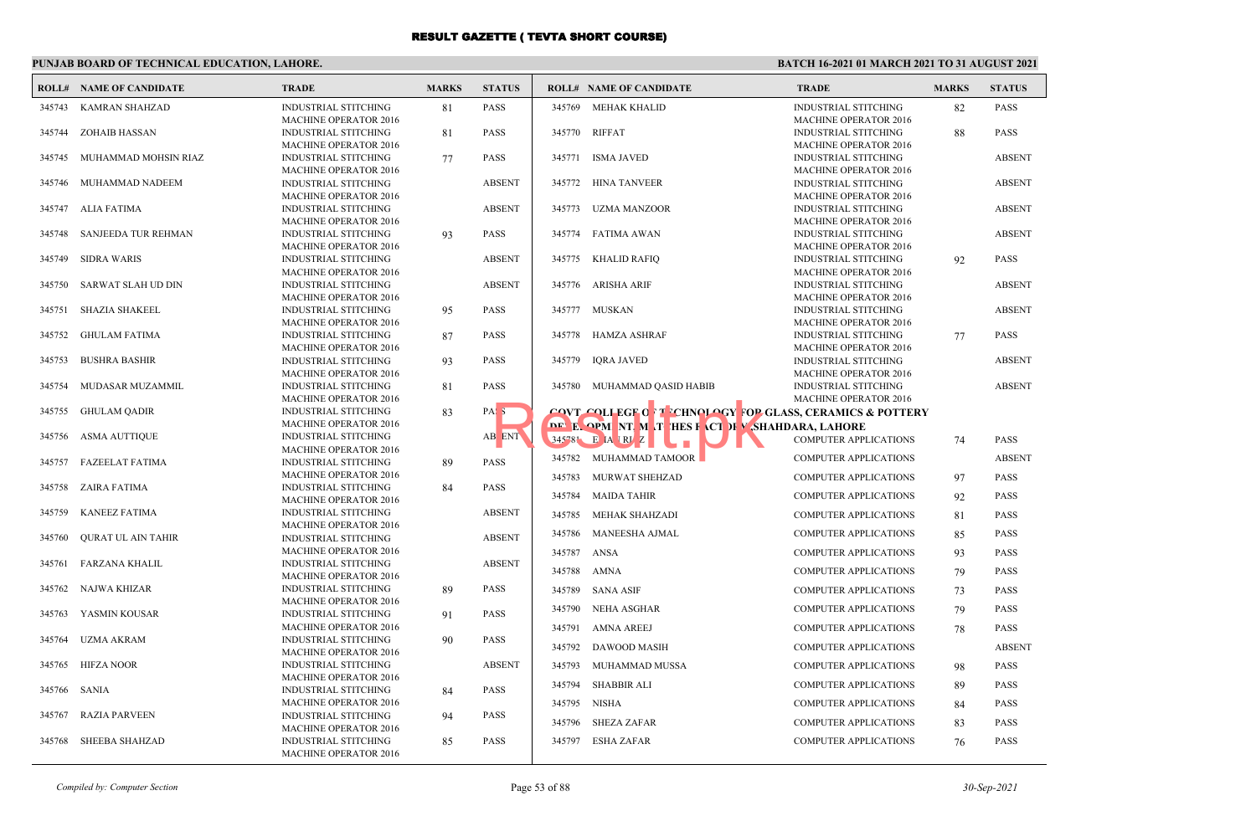## **PUNJAB BOARD OF TECHNICAL EDUCATION, LAHORE.**

|        | <b>ROLL# NAME OF CANDIDATE</b> | <b>TRADE</b>                                                | <b>MARKS</b> | <b>STATUS</b>    |                  | <b>ROLL# NAME OF CANDIDATE</b>                                                                                     | <b>TRADE</b>                                                 | <b>MARKS</b> | <b>STATUS</b>                |
|--------|--------------------------------|-------------------------------------------------------------|--------------|------------------|------------------|--------------------------------------------------------------------------------------------------------------------|--------------------------------------------------------------|--------------|------------------------------|
| 345743 | KAMRAN SHAHZAD                 | <b>INDUSTRIAL STITCHING</b><br><b>MACHINE OPERATOR 2016</b> | 81           | <b>PASS</b>      | 345769           | MEHAK KHALID                                                                                                       | <b>INDUSTRIAL STITCHING</b><br><b>MACHINE OPERATOR 2016</b>  | 82           | <b>PASS</b>                  |
| 345744 | ZOHAIB HASSAN                  | <b>INDUSTRIAL STITCHING</b><br><b>MACHINE OPERATOR 2016</b> | 81           | <b>PASS</b>      |                  | 345770 RIFFAT                                                                                                      | <b>INDUSTRIAL STITCHING</b><br><b>MACHINE OPERATOR 2016</b>  | 88           | <b>PASS</b>                  |
| 345745 | MUHAMMAD MOHSIN RIAZ           | <b>INDUSTRIAL STITCHING</b><br><b>MACHINE OPERATOR 2016</b> | 77           | <b>PASS</b>      | 345771           | <b>ISMA JAVED</b>                                                                                                  | <b>INDUSTRIAL STITCHING</b><br><b>MACHINE OPERATOR 2016</b>  |              | <b>ABSENT</b>                |
| 345746 | MUHAMMAD NADEEM                | <b>INDUSTRIAL STITCHING</b><br><b>MACHINE OPERATOR 2016</b> |              | <b>ABSENT</b>    |                  | 345772 HINA TANVEER                                                                                                | <b>INDUSTRIAL STITCHING</b><br><b>MACHINE OPERATOR 2016</b>  |              | <b>ABSENT</b>                |
| 345747 | ALIA FATIMA                    | <b>INDUSTRIAL STITCHING</b><br>MACHINE OPERATOR 2016        |              | <b>ABSENT</b>    | 345773           | UZMA MANZOOR                                                                                                       | <b>INDUSTRIAL STITCHING</b><br>MACHINE OPERATOR 2016         |              | <b>ABSENT</b>                |
| 345748 | SANJEEDA TUR REHMAN            | <b>INDUSTRIAL STITCHING</b><br><b>MACHINE OPERATOR 2016</b> | 93           | <b>PASS</b>      | 345774           | FATIMA AWAN                                                                                                        | <b>INDUSTRIAL STITCHING</b><br><b>MACHINE OPERATOR 2016</b>  |              | <b>ABSENT</b>                |
| 345749 | <b>SIDRA WARIS</b>             | <b>INDUSTRIAL STITCHING</b><br><b>MACHINE OPERATOR 2016</b> |              | <b>ABSENT</b>    | 345775           | <b>KHALID RAFIQ</b>                                                                                                | <b>INDUSTRIAL STITCHING</b><br><b>MACHINE OPERATOR 2016</b>  | 92           | <b>PASS</b>                  |
| 345750 | SARWAT SLAH UD DIN             | <b>INDUSTRIAL STITCHING</b><br><b>MACHINE OPERATOR 2016</b> |              | <b>ABSENT</b>    | 345776           | ARISHA ARIF                                                                                                        | <b>INDUSTRIAL STITCHING</b><br><b>MACHINE OPERATOR 2016</b>  |              | <b>ABSENT</b>                |
| 345751 | <b>SHAZIA SHAKEEL</b>          | <b>INDUSTRIAL STITCHING</b><br>MACHINE OPERATOR 2016        | 95           | <b>PASS</b>      |                  | 345777 MUSKAN                                                                                                      | INDUSTRIAL STITCHING<br><b>MACHINE OPERATOR 2016</b>         |              | <b>ABSENT</b>                |
| 345752 | <b>GHULAM FATIMA</b>           | <b>INDUSTRIAL STITCHING</b><br><b>MACHINE OPERATOR 2016</b> | 87           | <b>PASS</b>      | 345778           | HAMZA ASHRAF                                                                                                       | <b>INDUSTRIAL STITCHING</b><br><b>MACHINE OPERATOR 2016</b>  | 77           | <b>PASS</b>                  |
| 345753 | <b>BUSHRA BASHIR</b>           | <b>INDUSTRIAL STITCHING</b><br><b>MACHINE OPERATOR 2016</b> | 93           | <b>PASS</b>      | 345779           | <b>IORA JAVED</b>                                                                                                  | <b>INDUSTRIAL STITCHING</b><br><b>MACHINE OPERATOR 2016</b>  |              | <b>ABSENT</b>                |
| 345754 | MUDASAR MUZAMMIL               | <b>INDUSTRIAL STITCHING</b><br><b>MACHINE OPERATOR 2016</b> | 81           | <b>PASS</b>      |                  | 345780 MUHAMMAD QASID HABIB                                                                                        | <b>INDUSTRIAL STITCHING</b><br><b>MACHINE OPERATOR 2016</b>  |              | <b>ABSENT</b>                |
| 345755 | <b>GHULAM QADIR</b>            | <b>INDUSTRIAL STITCHING</b><br><b>MACHINE OPERATOR 2016</b> | 83           | PAS <sub>3</sub> |                  | <b>COVT COLLEGE OF TECHNOLOGY FOR GLASS, CERAMICS &amp; POTTERY</b><br>DE E OPM NT M T HES FACT F SHAHDARA, LAHORE |                                                              |              |                              |
| 345756 | ASMA AUTTIQUE                  | <b>INDUSTRIAL STITCHING</b><br>MACHINE OPERATOR 2016        |              | AB ENT           |                  | 345 81 E A RV Z<br>345782 MUHAMMAD TAMOOR                                                                          | COMPUTER APPLICATIONS                                        | 74           | <b>PASS</b><br><b>ABSENT</b> |
| 345757 | <b>FAZEELAT FATIMA</b>         | <b>INDUSTRIAL STITCHING</b><br><b>MACHINE OPERATOR 2016</b> | 89           | <b>PASS</b>      | 345783           | MURWAT SHEHZAD                                                                                                     | <b>COMPUTER APPLICATIONS</b><br><b>COMPUTER APPLICATIONS</b> | 97           | <b>PASS</b>                  |
| 345758 | <b>ZAIRA FATIMA</b>            | <b>INDUSTRIAL STITCHING</b><br><b>MACHINE OPERATOR 2016</b> | 84           | <b>PASS</b>      | 345784           | <b>MAIDA TAHIR</b>                                                                                                 | <b>COMPUTER APPLICATIONS</b>                                 | 92           | <b>PASS</b>                  |
| 345759 | <b>KANEEZ FATIMA</b>           | <b>INDUSTRIAL STITCHING</b><br><b>MACHINE OPERATOR 2016</b> |              | <b>ABSENT</b>    | 345785<br>345786 | MEHAK SHAHZADI<br><b>MANEESHA AJMAL</b>                                                                            | <b>COMPUTER APPLICATIONS</b><br><b>COMPUTER APPLICATIONS</b> | 81           | <b>PASS</b><br><b>PASS</b>   |
| 345760 | <b>OURAT UL AIN TAHIR</b>      | <b>INDUSTRIAL STITCHING</b><br><b>MACHINE OPERATOR 2016</b> |              | <b>ABSENT</b>    | 345787           | ANSA                                                                                                               | <b>COMPUTER APPLICATIONS</b>                                 | 85<br>93     | <b>PASS</b>                  |
| 345761 | FARZANA KHALIL                 | <b>INDUSTRIAL STITCHING</b><br><b>MACHINE OPERATOR 2016</b> |              | <b>ABSENT</b>    | 345788           | AMNA                                                                                                               | <b>COMPUTER APPLICATIONS</b>                                 | 79           | <b>PASS</b>                  |
| 345762 | NAJWA KHIZAR                   | <b>INDUSTRIAL STITCHING</b><br>MACHINE OPERATOR 2016        | 89           | <b>PASS</b>      | 345789           | SANA ASIF                                                                                                          | <b>COMPUTER APPLICATIONS</b>                                 | 73           | <b>PASS</b>                  |
| 345763 | YASMIN KOUSAR                  | <b>INDUSTRIAL STITCHING</b><br>MACHINE OPERATOR 2016        | 91           | <b>PASS</b>      |                  | 345790 NEHA ASGHAR<br>345791 AMNA AREEJ                                                                            | <b>COMPUTER APPLICATIONS</b><br><b>COMPUTER APPLICATIONS</b> | 79<br>78     | <b>PASS</b><br><b>PASS</b>   |
| 345764 | <b>UZMA AKRAM</b>              | <b>INDUSTRIAL STITCHING</b><br><b>MACHINE OPERATOR 2016</b> | 90           | <b>PASS</b>      | 345792           | DAWOOD MASIH                                                                                                       | <b>COMPUTER APPLICATIONS</b>                                 |              | <b>ABSENT</b>                |
| 345765 | <b>HIFZA NOOR</b>              | INDUSTRIAL STITCHING<br><b>MACHINE OPERATOR 2016</b>        |              | <b>ABSENT</b>    | 345793           | MUHAMMAD MUSSA                                                                                                     | <b>COMPUTER APPLICATIONS</b>                                 | 98           | <b>PASS</b>                  |
| 345766 | <b>SANIA</b>                   | <b>INDUSTRIAL STITCHING</b><br>MACHINE OPERATOR 2016        | 84           | <b>PASS</b>      | 345794           | <b>SHABBIR ALI</b><br>345795 NISHA                                                                                 | <b>COMPUTER APPLICATIONS</b><br><b>COMPUTER APPLICATIONS</b> | 89<br>84     | <b>PASS</b><br><b>PASS</b>   |
| 345767 | <b>RAZIA PARVEEN</b>           | <b>INDUSTRIAL STITCHING</b><br>MACHINE OPERATOR 2016        | 94           | <b>PASS</b>      | 345796           | <b>SHEZA ZAFAR</b>                                                                                                 | <b>COMPUTER APPLICATIONS</b>                                 | 83           | <b>PASS</b>                  |
| 345768 | <b>SHEEBA SHAHZAD</b>          | <b>INDUSTRIAL STITCHING</b><br>MACHINE OPERATOR 2016        | 85           | <b>PASS</b>      | 345797           | <b>ESHA ZAFAR</b>                                                                                                  | <b>COMPUTER APPLICATIONS</b>                                 | 76           | <b>PASS</b>                  |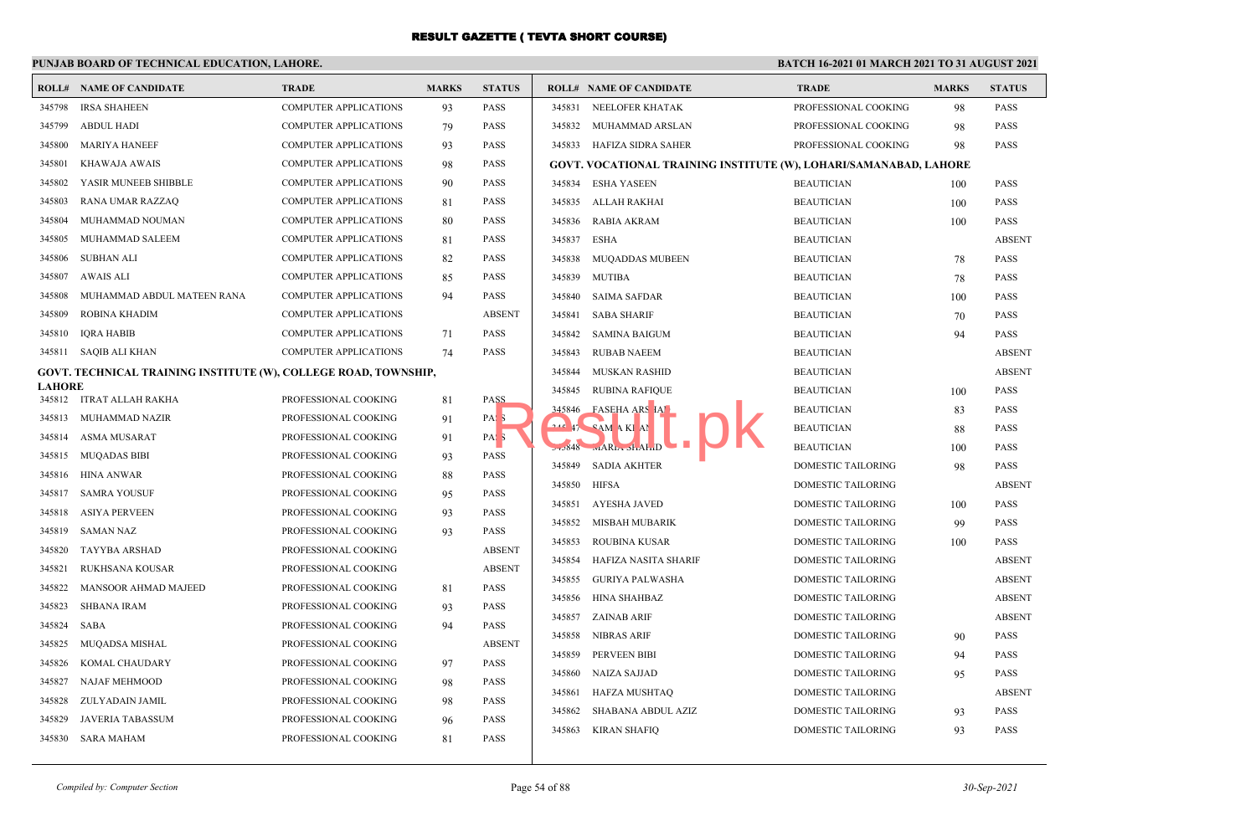## **PUNJAB BOARD OF TECHNICAL EDUCATION, LAHORE.**

|                  | <b>ROLL# NAME OF CANDIDATE</b>                                  | <b>TRADE</b>                                 | <b>MARKS</b> | <b>STATUS</b>              |        | <b>ROLL# NAME OF CANDIDATE</b>                                    | <b>TRADE</b>              | <b>MARKS</b> | <b>STATUS</b> |
|------------------|-----------------------------------------------------------------|----------------------------------------------|--------------|----------------------------|--------|-------------------------------------------------------------------|---------------------------|--------------|---------------|
| 345798           | <b>IRSA SHAHEEN</b>                                             | <b>COMPUTER APPLICATIONS</b>                 | 93           | <b>PASS</b>                | 345831 | NEELOFER KHATAK                                                   | PROFESSIONAL COOKING      | 98           | <b>PASS</b>   |
| 345799           | <b>ABDUL HADI</b>                                               | <b>COMPUTER APPLICATIONS</b>                 | 79           | <b>PASS</b>                | 345832 | MUHAMMAD ARSLAN                                                   | PROFESSIONAL COOKING      | 98           | <b>PASS</b>   |
| 345800           | <b>MARIYA HANEEF</b>                                            | <b>COMPUTER APPLICATIONS</b>                 | 93           | <b>PASS</b>                | 345833 | HAFIZA SIDRA SAHER                                                | PROFESSIONAL COOKING      | 98           | <b>PASS</b>   |
| 345801           | KHAWAJA AWAIS                                                   | <b>COMPUTER APPLICATIONS</b>                 | 98           | <b>PASS</b>                |        | GOVT. VOCATIONAL TRAINING INSTITUTE (W), LOHARI/SAMANABAD, LAHORE |                           |              |               |
| 345802           | YASIR MUNEEB SHIBBLE                                            | <b>COMPUTER APPLICATIONS</b>                 | 90           | <b>PASS</b>                | 345834 | <b>ESHA YASEEN</b>                                                | <b>BEAUTICIAN</b>         | 100          | <b>PASS</b>   |
| 345803           | RANA UMAR RAZZAQ                                                | <b>COMPUTER APPLICATIONS</b>                 | 81           | <b>PASS</b>                | 345835 | ALLAH RAKHAI                                                      | <b>BEAUTICIAN</b>         | 100          | <b>PASS</b>   |
| 345804           | MUHAMMAD NOUMAN                                                 | <b>COMPUTER APPLICATIONS</b>                 | 80           | <b>PASS</b>                | 345836 | <b>RABIA AKRAM</b>                                                | <b>BEAUTICIAN</b>         | 100          | <b>PASS</b>   |
| 345805           | MUHAMMAD SALEEM                                                 | <b>COMPUTER APPLICATIONS</b>                 | 81           | <b>PASS</b>                | 345837 | <b>ESHA</b>                                                       | <b>BEAUTICIAN</b>         |              | <b>ABSENT</b> |
| 345806           | SUBHAN ALI                                                      | <b>COMPUTER APPLICATIONS</b>                 | 82           | <b>PASS</b>                | 345838 | <b>MUQADDAS MUBEEN</b>                                            | <b>BEAUTICIAN</b>         | 78           | <b>PASS</b>   |
| 345807           | AWAIS ALI                                                       | <b>COMPUTER APPLICATIONS</b>                 | 85           | <b>PASS</b>                | 345839 | <b>MUTIBA</b>                                                     | <b>BEAUTICIAN</b>         | 78           | <b>PASS</b>   |
| 345808           | MUHAMMAD ABDUL MATEEN RANA                                      | <b>COMPUTER APPLICATIONS</b>                 | 94           | <b>PASS</b>                | 345840 | <b>SAIMA SAFDAR</b>                                               | <b>BEAUTICIAN</b>         | 100          | <b>PASS</b>   |
| 345809           | ROBINA KHADIM                                                   | <b>COMPUTER APPLICATIONS</b>                 |              | <b>ABSENT</b>              | 345841 | <b>SABA SHARIF</b>                                                | <b>BEAUTICIAN</b>         | 70           | <b>PASS</b>   |
| 345810           | <b>IQRA HABIB</b>                                               | <b>COMPUTER APPLICATIONS</b>                 | 71           | <b>PASS</b>                | 345842 | <b>SAMINA BAIGUM</b>                                              | <b>BEAUTICIAN</b>         | 94           | <b>PASS</b>   |
|                  | 345811 SAQIB ALI KHAN                                           | <b>COMPUTER APPLICATIONS</b>                 | 74           | <b>PASS</b>                | 345843 | <b>RUBAB NAEEM</b>                                                | <b>BEAUTICIAN</b>         |              | <b>ABSENT</b> |
|                  | GOVT. TECHNICAL TRAINING INSTITUTE (W), COLLEGE ROAD, TOWNSHIP, |                                              |              |                            | 345844 | MUSKAN RASHID                                                     | <b>BEAUTICIAN</b>         |              | <b>ABSENT</b> |
| <b>LAHORE</b>    | 345812 ITRAT ALLAH RAKHA                                        | PROFESSIONAL COOKING                         |              | <b>PASS</b>                | 345845 | <b>RUBINA RAFIQUE</b>                                             | <b>BEAUTICIAN</b>         | 100          | <b>PASS</b>   |
| 345813           | MUHAMMAD NAZIR                                                  | PROFESSIONAL COOKING                         | 81           | PAS <sub>3</sub>           | 345846 | FASEHA ARS IAT                                                    | <b>BEAUTICIAN</b>         | 83           | <b>PASS</b>   |
| 345814           | ASMA MUSARAT                                                    | PROFESSIONAL COOKING                         | 91           | PAS <sub>3</sub>           |        | 17 CAM A KI AN                                                    | <b>BEAUTICIAN</b>         | 88           | <b>PASS</b>   |
| 345815           | <b>MUQADAS BIBI</b>                                             | PROFESSIONAL COOKING                         | 91<br>93     | <b>PASS</b>                |        | $5.3848$ $\text{mAR}_{\text{L}}$ $\text{dA}_{\text{L}}$           | <b>BEAUTICIAN</b>         | 100          | <b>PASS</b>   |
| 345816           | HINA ANWAR                                                      | PROFESSIONAL COOKING                         |              | <b>PASS</b>                | 345849 | <b>SADIA AKHTER</b>                                               | DOMESTIC TAILORING        | 98           | <b>PASS</b>   |
| 345817           | SAMRA YOUSUF                                                    | PROFESSIONAL COOKING                         | 88           | <b>PASS</b>                | 345850 | <b>HIFSA</b>                                                      | DOMESTIC TAILORING        |              | <b>ABSENT</b> |
| 345818           | ASIYA PERVEEN                                                   | PROFESSIONAL COOKING                         | 95           | <b>PASS</b>                | 345851 | <b>AYESHA JAVED</b>                                               | DOMESTIC TAILORING        | 100          | <b>PASS</b>   |
| 345819           | <b>SAMAN NAZ</b>                                                |                                              | 93<br>93     | <b>PASS</b>                | 345852 | <b>MISBAH MUBARIK</b>                                             | DOMESTIC TAILORING        | 99           | <b>PASS</b>   |
| 345820           | TAYYBA ARSHAD                                                   | PROFESSIONAL COOKING<br>PROFESSIONAL COOKING |              | <b>ABSENT</b>              | 345853 | <b>ROUBINA KUSAR</b>                                              | DOMESTIC TAILORING        | 100          | <b>PASS</b>   |
|                  |                                                                 |                                              |              | <b>ABSENT</b>              | 345854 | HAFIZA NASITA SHARIF                                              | DOMESTIC TAILORING        |              | <b>ABSENT</b> |
| 345821<br>345822 | RUKHSANA KOUSAR<br>MANSOOR AHMAD MAJEED                         | PROFESSIONAL COOKING<br>PROFESSIONAL COOKING |              | <b>PASS</b>                | 345855 | <b>GURIYA PALWASHA</b>                                            | DOMESTIC TAILORING        |              | <b>ABSENT</b> |
| 345823           | <b>SHBANA IRAM</b>                                              | PROFESSIONAL COOKING                         | 81           | <b>PASS</b>                | 345856 | HINA SHAHBAZ                                                      | DOMESTIC TAILORING        |              | <b>ABSENT</b> |
| 345824           | SABA                                                            | PROFESSIONAL COOKING                         | 93<br>94     | <b>PASS</b>                | 345857 | <b>ZAINAB ARIF</b>                                                | DOMESTIC TAILORING        |              | <b>ABSENT</b> |
| 345825           | MUQADSA MISHAL                                                  | PROFESSIONAL COOKING                         |              | <b>ABSENT</b>              | 345858 | <b>NIBRAS ARIF</b>                                                | DOMESTIC TAILORING        | 90           | <b>PASS</b>   |
| 345826           |                                                                 |                                              |              | <b>PASS</b>                | 345859 | PERVEEN BIBI                                                      | DOMESTIC TAILORING        | 94           | <b>PASS</b>   |
|                  | KOMAL CHAUDARY                                                  | PROFESSIONAL COOKING                         | 97           |                            | 345860 | <b>NAIZA SAJJAD</b>                                               | DOMESTIC TAILORING        | 95           | <b>PASS</b>   |
| 345827<br>345828 | NAJAF MEHMOOD                                                   | PROFESSIONAL COOKING                         | 98           | <b>PASS</b><br><b>PASS</b> | 345861 | <b>HAFZA MUSHTAQ</b>                                              | <b>DOMESTIC TAILORING</b> |              | <b>ABSENT</b> |
| 345829           | ZULYADAIN JAMIL<br><b>JAVERIA TABASSUM</b>                      | PROFESSIONAL COOKING<br>PROFESSIONAL COOKING | 98           | <b>PASS</b>                | 345862 | SHABANA ABDUL AZIZ                                                | <b>DOMESTIC TAILORING</b> | 93           | <b>PASS</b>   |
|                  |                                                                 |                                              | 96           |                            | 345863 | <b>KIRAN SHAFIQ</b>                                               | DOMESTIC TAILORING        | 93           | <b>PASS</b>   |
|                  | 345830 SARA MAHAM                                               | PROFESSIONAL COOKING                         | 81           | <b>PASS</b>                |        |                                                                   |                           |              |               |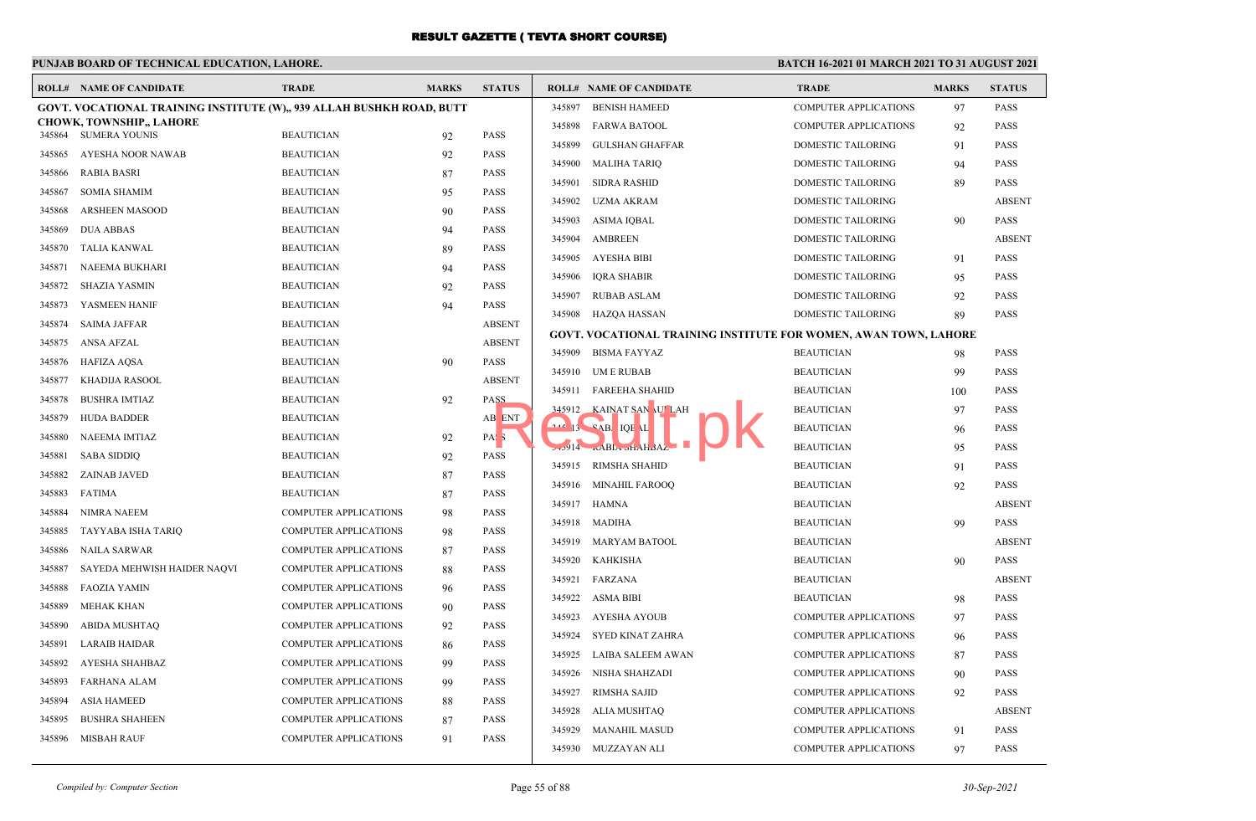## **PUNJAB BOARD OF TECHNICAL EDUCATION, LAHORE.**

|        | <b>ROLL# NAME OF CANDIDATE</b>                                        | <b>TRADE</b>                 | <b>MARKS</b> | <b>STATUS</b>    |        | <b>ROLL# NAME OF CANDIDATE</b>                                   | <b>TRADE</b>                 | <b>MARKS</b> | <b>STATUS</b> |
|--------|-----------------------------------------------------------------------|------------------------------|--------------|------------------|--------|------------------------------------------------------------------|------------------------------|--------------|---------------|
|        | GOVT. VOCATIONAL TRAINING INSTITUTE (W),, 939 ALLAH BUSHKH ROAD, BUTT |                              |              |                  | 345897 | <b>BENISH HAMEED</b>                                             | <b>COMPUTER APPLICATIONS</b> | 97           | <b>PASS</b>   |
|        | <b>CHOWK, TOWNSHIP,, LAHORE</b><br>345864 SUMERA YOUNIS               | <b>BEAUTICIAN</b>            |              | <b>PASS</b>      | 345898 | <b>FARWA BATOOL</b>                                              | COMPUTER APPLICATIONS        | 92           | <b>PASS</b>   |
| 345865 | AYESHA NOOR NAWAB                                                     | <b>BEAUTICIAN</b>            | 92<br>92     | <b>PASS</b>      | 345899 | <b>GULSHAN GHAFFAR</b>                                           | DOMESTIC TAILORING           | 91           | PASS          |
| 345866 | <b>RABIA BASRI</b>                                                    | <b>BEAUTICIAN</b>            |              | <b>PASS</b>      | 345900 | <b>MALIHA TARIQ</b>                                              | DOMESTIC TAILORING           | 94           | <b>PASS</b>   |
|        |                                                                       |                              | 87           |                  | 345901 | <b>SIDRA RASHID</b>                                              | DOMESTIC TAILORING           | 89           | <b>PASS</b>   |
| 345867 | <b>SOMIA SHAMIM</b>                                                   | <b>BEAUTICIAN</b>            | 95           | <b>PASS</b>      | 345902 | UZMA AKRAM                                                       | DOMESTIC TAILORING           |              | <b>ABSENT</b> |
| 345868 | <b>ARSHEEN MASOOD</b>                                                 | <b>BEAUTICIAN</b>            | 90           | <b>PASS</b>      | 345903 | <b>ASIMA IOBAL</b>                                               | <b>DOMESTIC TAILORING</b>    | 90           | <b>PASS</b>   |
| 345869 | <b>DUA ABBAS</b>                                                      | <b>BEAUTICIAN</b>            | 94           | <b>PASS</b>      | 345904 | <b>AMBREEN</b>                                                   | DOMESTIC TAILORING           |              | <b>ABSENT</b> |
| 345870 | TALIA KANWAL                                                          | <b>BEAUTICIAN</b>            | 89           | <b>PASS</b>      | 345905 | AYESHA BIBI                                                      | DOMESTIC TAILORING           | 91           | <b>PASS</b>   |
| 345871 | NAEEMA BUKHARI                                                        | <b>BEAUTICIAN</b>            | 94           | <b>PASS</b>      | 345906 | <b>IQRA SHABIR</b>                                               | DOMESTIC TAILORING           | 95           | <b>PASS</b>   |
| 345872 | SHAZIA YASMIN                                                         | <b>BEAUTICIAN</b>            | 92           | <b>PASS</b>      | 345907 | RUBAB ASLAM                                                      | <b>DOMESTIC TAILORING</b>    | 92           | <b>PASS</b>   |
| 345873 | YASMEEN HANIF                                                         | <b>BEAUTICIAN</b>            | 94           | <b>PASS</b>      |        | 345908 HAZQA HASSAN                                              | DOMESTIC TAILORING           | 89           | PASS          |
| 345874 | <b>SAIMA JAFFAR</b>                                                   | <b>BEAUTICIAN</b>            |              | <b>ABSENT</b>    |        | GOVT. VOCATIONAL TRAINING INSTITUTE FOR WOMEN, AWAN TOWN, LAHORE |                              |              |               |
| 345875 | ANSA AFZAL                                                            | <b>BEAUTICIAN</b>            |              | <b>ABSENT</b>    | 345909 | BISMA FAYYAZ                                                     | <b>BEAUTICIAN</b>            | 98           | <b>PASS</b>   |
| 345876 | <b>HAFIZA AOSA</b>                                                    | <b>BEAUTICIAN</b>            | 90           | <b>PASS</b>      | 345910 | UM E RUBAB                                                       | <b>BEAUTICIAN</b>            | 99           | PASS          |
| 345877 | KHADIJA RASOOL                                                        | <b>BEAUTICIAN</b>            |              | <b>ABSENT</b>    |        | 345911 FAREEHA SHAHID                                            | <b>BEAUTICIAN</b>            | 100          | <b>PASS</b>   |
| 345878 | <b>BUSHRA IMTIAZ</b>                                                  | <b>BEAUTICIAN</b>            | 92           | PASS             |        | 345912 KAINAT SAN ULAH                                           | <b>BEAUTICIAN</b>            | 97           | <b>PASS</b>   |
| 345879 | <b>HUDA BADDER</b>                                                    | <b>BEAUTICIAN</b>            |              | AB ENT           |        | <b>242 13 CAB. IQE AL</b>                                        | <b>BEAUTICIAN</b>            | 96           | <b>PASS</b>   |
| 345880 | NAEEMA IMTIAZ                                                         | <b>BEAUTICIAN</b>            | 92           | PAS <sub>3</sub> |        | ABLA of ABLA Plear                                               | <b>BEAUTICIAN</b>            | 95           | <b>PASS</b>   |
| 345881 | <b>SABA SIDDIQ</b>                                                    | <b>BEAUTICIAN</b>            | 92           | <b>PASS</b>      |        | 345915 RIMSHA SHAHID                                             | <b>BEAUTICIAN</b>            | 91           | <b>PASS</b>   |
| 345882 | <b>ZAINAB JAVED</b>                                                   | <b>BEAUTICIAN</b>            | 87           | <b>PASS</b>      |        | 345916 MINAHIL FAROOQ                                            | <b>BEAUTICIAN</b>            | 92           | <b>PASS</b>   |
| 345883 | FATIMA                                                                | <b>BEAUTICIAN</b>            | 87           | <b>PASS</b>      | 345917 | HAMNA                                                            | <b>BEAUTICIAN</b>            |              | <b>ABSENT</b> |
| 345884 | NIMRA NAEEM                                                           | <b>COMPUTER APPLICATIONS</b> | 98           | <b>PASS</b>      | 345918 | MADIHA                                                           | <b>BEAUTICIAN</b>            | 99           | <b>PASS</b>   |
| 345885 | TAYYABA ISHA TARIQ                                                    | <b>COMPUTER APPLICATIONS</b> | 98           | <b>PASS</b>      | 345919 | MARYAM BATOOL                                                    | <b>BEAUTICIAN</b>            |              | <b>ABSENT</b> |
| 345886 | NAILA SARWAR                                                          | <b>COMPUTER APPLICATIONS</b> | 87           | <b>PASS</b>      | 345920 | KAHKISHA                                                         | <b>BEAUTICIAN</b>            | 90           | <b>PASS</b>   |
| 345887 | SAYEDA MEHWISH HAIDER NAQVI                                           | <b>COMPUTER APPLICATIONS</b> | 88           | <b>PASS</b>      |        | 345921 FARZANA                                                   | <b>BEAUTICIAN</b>            |              | <b>ABSENT</b> |
| 345888 | <b>FAOZIA YAMIN</b>                                                   | <b>COMPUTER APPLICATIONS</b> | 96           | <b>PASS</b>      | 345922 | ASMA BIBI                                                        | <b>BEAUTICIAN</b>            | 98           | <b>PASS</b>   |
| 345889 | MEHAK KHAN                                                            | COMPUTER APPLICATIONS        | 90           | <b>PASS</b>      | 345923 | AYESHA AYOUB                                                     | <b>COMPUTER APPLICATIONS</b> | 97           | <b>PASS</b>   |
| 345890 | <b>ABIDA MUSHTAQ</b>                                                  | <b>COMPUTER APPLICATIONS</b> | 92           | <b>PASS</b>      | 345924 | SYED KINAT ZAHRA                                                 | <b>COMPUTER APPLICATIONS</b> | 96           | <b>PASS</b>   |
| 345891 | <b>LARAIB HAIDAR</b>                                                  | <b>COMPUTER APPLICATIONS</b> | 86           | <b>PASS</b>      | 345925 | LAIBA SALEEM AWAN                                                | <b>COMPUTER APPLICATIONS</b> |              | <b>PASS</b>   |
| 345892 | AYESHA SHAHBAZ                                                        | <b>COMPUTER APPLICATIONS</b> | 99           | <b>PASS</b>      |        |                                                                  |                              | 87           |               |
| 345893 | <b>FARHANA ALAM</b>                                                   | <b>COMPUTER APPLICATIONS</b> | 99           | <b>PASS</b>      | 345926 | NISHA SHAHZADI                                                   | COMPUTER APPLICATIONS        | 90           | <b>PASS</b>   |
| 345894 | <b>ASIA HAMEED</b>                                                    | <b>COMPUTER APPLICATIONS</b> | 88           | <b>PASS</b>      | 345927 | <b>RIMSHA SAJID</b>                                              | <b>COMPUTER APPLICATIONS</b> | 92           | <b>PASS</b>   |
| 345895 | <b>BUSHRA SHAHEEN</b>                                                 | <b>COMPUTER APPLICATIONS</b> | 87           | <b>PASS</b>      | 345928 | ALIA MUSHTAQ                                                     | <b>COMPUTER APPLICATIONS</b> |              | <b>ABSENT</b> |
| 345896 | <b>MISBAH RAUF</b>                                                    | <b>COMPUTER APPLICATIONS</b> | 91           | <b>PASS</b>      | 345929 | <b>MANAHIL MASUD</b>                                             | <b>COMPUTER APPLICATIONS</b> | 91           | <b>PASS</b>   |
|        |                                                                       |                              |              |                  | 345930 | MUZZAYAN ALI                                                     | <b>COMPUTER APPLICATIONS</b> | 97           | <b>PASS</b>   |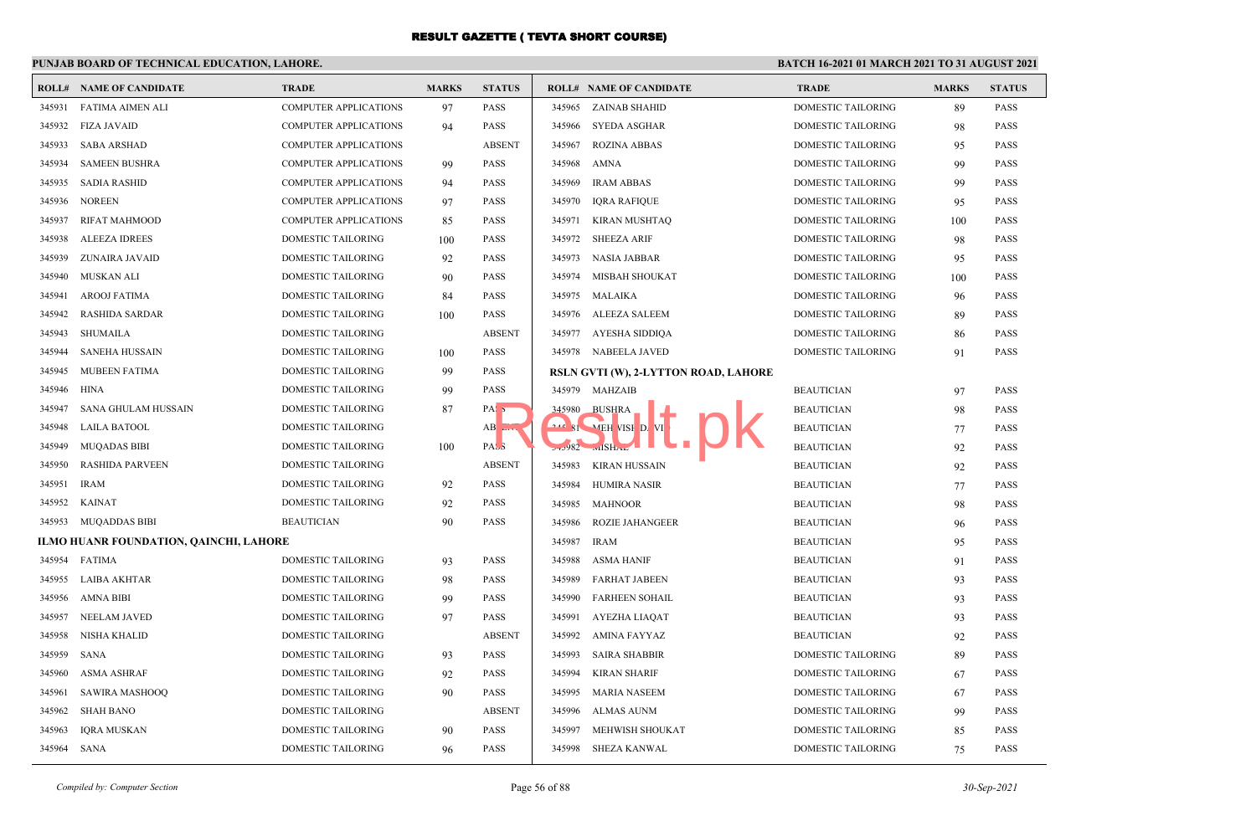## **PUNJAB BOARD OF TECHNICAL EDUCATION, LAHORE.**

|        | <b>ROLL# NAME OF CANDIDATE</b>         | <b>TRADE</b>                 | <b>MARKS</b> | <b>STATUS</b>                    | <b>ROLL# NAME OF CANDIDATE</b>       | <b>TRADE</b>              | <b>MARKS</b> | <b>STATUS</b> |
|--------|----------------------------------------|------------------------------|--------------|----------------------------------|--------------------------------------|---------------------------|--------------|---------------|
| 345931 | <b>FATIMA AIMEN ALI</b>                | <b>COMPUTER APPLICATIONS</b> | 97           | <b>PASS</b>                      | 345965<br>ZAINAB SHAHID              | <b>DOMESTIC TAILORING</b> | 89           | <b>PASS</b>   |
| 345932 | <b>FIZA JAVAID</b>                     | <b>COMPUTER APPLICATIONS</b> | 94           | <b>PASS</b>                      | 345966<br>SYEDA ASGHAR               | DOMESTIC TAILORING        | 98           | <b>PASS</b>   |
| 345933 | <b>SABA ARSHAD</b>                     | <b>COMPUTER APPLICATIONS</b> |              | <b>ABSENT</b>                    | 345967<br><b>ROZINA ABBAS</b>        | DOMESTIC TAILORING        | 95           | <b>PASS</b>   |
| 345934 | <b>SAMEEN BUSHRA</b>                   | <b>COMPUTER APPLICATIONS</b> | -99          | <b>PASS</b>                      | 345968<br>AMNA                       | DOMESTIC TAILORING        | 99           | <b>PASS</b>   |
| 345935 | <b>SADIA RASHID</b>                    | <b>COMPUTER APPLICATIONS</b> | 94           | <b>PASS</b>                      | 345969<br><b>IRAM ABBAS</b>          | DOMESTIC TAILORING        | 99           | <b>PASS</b>   |
| 345936 | NOREEN                                 | <b>COMPUTER APPLICATIONS</b> | 97           | <b>PASS</b>                      | 345970<br><b>IQRA RAFIQUE</b>        | DOMESTIC TAILORING        | 95           | <b>PASS</b>   |
| 345937 | <b>RIFAT MAHMOOD</b>                   | <b>COMPUTER APPLICATIONS</b> | 85           | <b>PASS</b>                      | 345971<br><b>KIRAN MUSHTAQ</b>       | <b>DOMESTIC TAILORING</b> | 100          | <b>PASS</b>   |
| 345938 | <b>ALEEZA IDREES</b>                   | <b>DOMESTIC TAILORING</b>    | 100          | <b>PASS</b>                      | 345972<br><b>SHEEZA ARIF</b>         | <b>DOMESTIC TAILORING</b> | 98           | <b>PASS</b>   |
| 345939 | ZUNAIRA JAVAID                         | DOMESTIC TAILORING           | 92           | <b>PASS</b>                      | 345973<br>NASIA JABBAR               | DOMESTIC TAILORING        | 95           | <b>PASS</b>   |
| 345940 | MUSKAN ALI                             | DOMESTIC TAILORING           | 90           | <b>PASS</b>                      | 345974<br>MISBAH SHOUKAT             | DOMESTIC TAILORING        | 100          | <b>PASS</b>   |
| 345941 | <b>AROOJ FATIMA</b>                    | <b>DOMESTIC TAILORING</b>    | 84           | <b>PASS</b>                      | 345975<br>MALAIKA                    | DOMESTIC TAILORING        | 96           | <b>PASS</b>   |
| 345942 | <b>RASHIDA SARDAR</b>                  | DOMESTIC TAILORING           | 100          | <b>PASS</b>                      | 345976<br>ALEEZA SALEEM              | DOMESTIC TAILORING        | 89           | PASS          |
| 345943 | SHUMAILA                               | DOMESTIC TAILORING           |              | <b>ABSENT</b>                    | 345977 AYESHA SIDDIQA                | DOMESTIC TAILORING        | 86           | <b>PASS</b>   |
| 345944 | <b>SANEHA HUSSAIN</b>                  | <b>DOMESTIC TAILORING</b>    | 100          | <b>PASS</b>                      | 345978 NABEELA JAVED                 | <b>DOMESTIC TAILORING</b> | 91           | <b>PASS</b>   |
| 345945 | <b>MUBEEN FATIMA</b>                   | <b>DOMESTIC TAILORING</b>    | 99           | <b>PASS</b>                      | RSLN GVTI (W), 2-LYTTON ROAD, LAHORE |                           |              |               |
| 345946 | HINA                                   | DOMESTIC TAILORING           | 99           | <b>PASS</b>                      | 345979 MAHZAIB                       | <b>BEAUTICIAN</b>         | 97           | <b>PASS</b>   |
| 345947 | <b>SANA GHULAM HUSSAIN</b>             | DOMESTIC TAILORING           | 87           | PAS <sub>5</sub>                 | 345980<br><b>BUSHRA</b>              | <b>BEAUTICIAN</b>         | 98           | <b>PASS</b>   |
| 345948 | LAILA BATOOL                           | <b>DOMESTIC TAILORING</b>    |              | $AB$ <sub><math>EIN</math></sub> | <b>242 81 MEH VISH D. VI</b>         | <b>BEAUTICIAN</b>         | 77           | <b>PASS</b>   |
| 345949 | <b>MUQADAS BIBI</b>                    | DOMESTIC TAILORING           | 100          | PASS                             | $570982$ will SHAL                   | <b>BEAUTICIAN</b>         | 92           | <b>PASS</b>   |
| 345950 | <b>RASHIDA PARVEEN</b>                 | DOMESTIC TAILORING           |              | <b>ABSENT</b>                    | 345983<br>KIRAN HUSSAIN              | <b>BEAUTICIAN</b>         | 92           | <b>PASS</b>   |
| 345951 | <b>IRAM</b>                            | DOMESTIC TAILORING           | 92           | <b>PASS</b>                      | 345984<br><b>HUMIRA NASIR</b>        | <b>BEAUTICIAN</b>         | 77           | <b>PASS</b>   |
| 345952 | <b>KAINAT</b>                          | DOMESTIC TAILORING           | 92           | <b>PASS</b>                      | 345985<br>MAHNOOR                    | <b>BEAUTICIAN</b>         | 98           | <b>PASS</b>   |
| 345953 | MUQADDAS BIBI                          | <b>BEAUTICIAN</b>            | 90           | <b>PASS</b>                      | 345986<br><b>ROZIE JAHANGEER</b>     | <b>BEAUTICIAN</b>         | 96           | <b>PASS</b>   |
|        | ILMO HUANR FOUNDATION, QAINCHI, LAHORE |                              |              |                                  | 345987<br><b>IRAM</b>                | <b>BEAUTICIAN</b>         | 95           | <b>PASS</b>   |
| 345954 | FATIMA                                 | DOMESTIC TAILORING           | 93           | <b>PASS</b>                      | 345988<br><b>ASMA HANIF</b>          | <b>BEAUTICIAN</b>         | 91           | <b>PASS</b>   |
| 345955 | <b>LAIBA AKHTAR</b>                    | DOMESTIC TAILORING           | 98           | <b>PASS</b>                      | 345989<br><b>FARHAT JABEEN</b>       | <b>BEAUTICIAN</b>         | 93           | PASS          |
| 345956 | <b>AMNA BIBI</b>                       | DOMESTIC TAILORING           | 99           | <b>PASS</b>                      | 345990<br><b>FARHEEN SOHAIL</b>      | <b>BEAUTICIAN</b>         | 93           | <b>PASS</b>   |
| 345957 | <b>NEELAM JAVED</b>                    | <b>DOMESTIC TAILORING</b>    | 97           | <b>PASS</b>                      | 345991<br>AYEZHA LIAQAT              | <b>BEAUTICIAN</b>         | 93           | <b>PASS</b>   |
| 345958 | <b>NISHA KHALID</b>                    | <b>DOMESTIC TAILORING</b>    |              | <b>ABSENT</b>                    | 345992<br>AMINA FAYYAZ               | <b>BEAUTICIAN</b>         | 92           | <b>PASS</b>   |
| 345959 | SANA                                   | DOMESTIC TAILORING           | 93           | PASS                             | 345993<br><b>SAIRA SHABBIR</b>       | DOMESTIC TAILORING        | 89           | <b>PASS</b>   |
| 345960 | ASMA ASHRAF                            | <b>DOMESTIC TAILORING</b>    | 92           | <b>PASS</b>                      | 345994<br>KIRAN SHARIF               | <b>DOMESTIC TAILORING</b> | 67           | <b>PASS</b>   |
| 345961 | <b>SAWIRA MASHOOQ</b>                  | <b>DOMESTIC TAILORING</b>    | 90           | <b>PASS</b>                      | 345995<br>MARIA NASEEM               | <b>DOMESTIC TAILORING</b> | 67           | <b>PASS</b>   |
| 345962 | <b>SHAH BANO</b>                       | <b>DOMESTIC TAILORING</b>    |              | <b>ABSENT</b>                    | 345996<br>ALMAS AUNM                 | <b>DOMESTIC TAILORING</b> | 99           | <b>PASS</b>   |
| 345963 | <b>IORA MUSKAN</b>                     | <b>DOMESTIC TAILORING</b>    | 90           | <b>PASS</b>                      | MEHWISH SHOUKAT<br>345997            | <b>DOMESTIC TAILORING</b> | 85           | <b>PASS</b>   |
| 345964 | SANA                                   | <b>DOMESTIC TAILORING</b>    | 96           | <b>PASS</b>                      | 345998 SHEZA KANWAL                  | DOMESTIC TAILORING        | 75           | <b>PASS</b>   |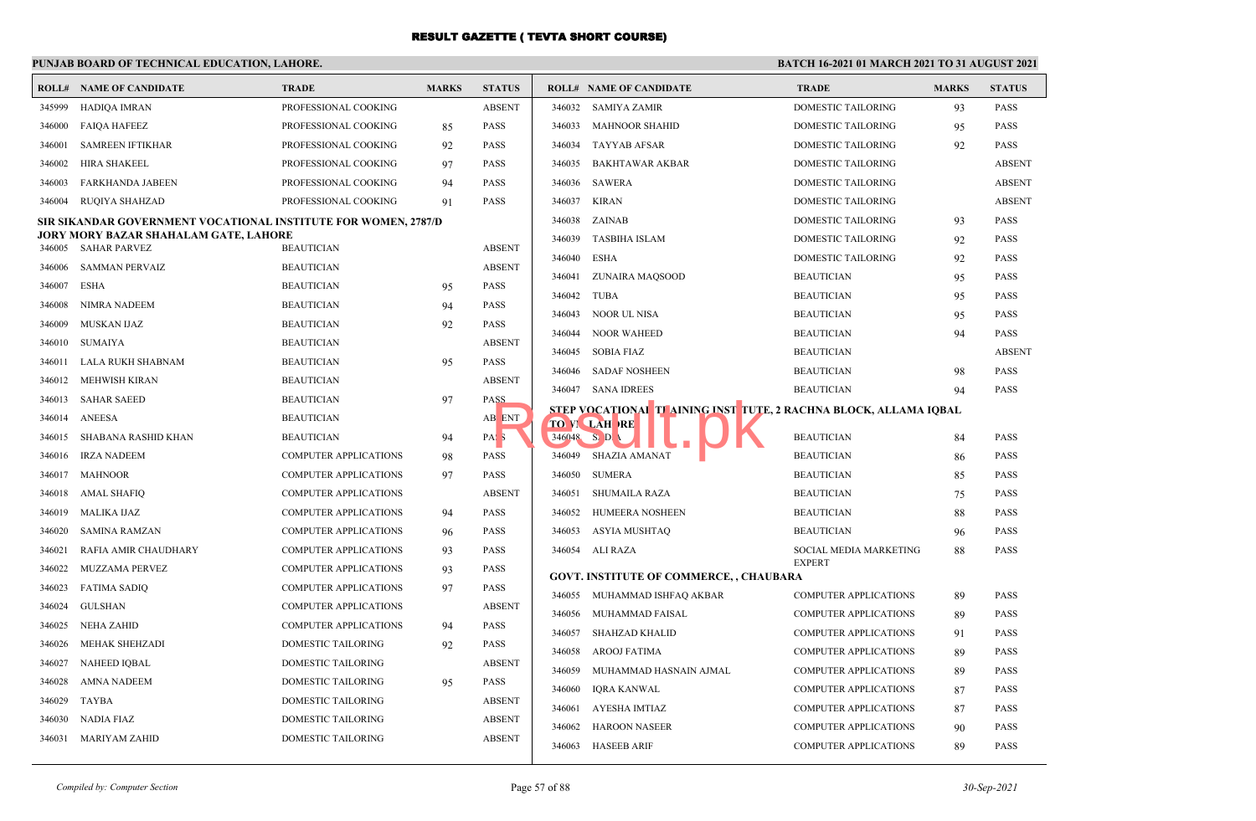## **PUNJAB BOARD OF TECHNICAL EDUCATION, LAHORE.**

| ROLL#  | <b>NAME OF CANDIDATE</b>                                       | <b>TRADE</b>                 | <b>MARKS</b> | <b>STATUS</b>    |        | <b>ROLL# NAME OF CANDIDATE</b>                                    | <b>TRADE</b>                            | <b>MARKS</b> | <b>STATUS</b> |
|--------|----------------------------------------------------------------|------------------------------|--------------|------------------|--------|-------------------------------------------------------------------|-----------------------------------------|--------------|---------------|
| 345999 | HADIOA IMRAN                                                   | PROFESSIONAL COOKING         |              | <b>ABSENT</b>    | 346032 | <b>SAMIYA ZAMIR</b>                                               | <b>DOMESTIC TAILORING</b>               | 93           | <b>PASS</b>   |
| 346000 | <b>FAIQA HAFEEZ</b>                                            | PROFESSIONAL COOKING         | 85           | <b>PASS</b>      | 346033 | <b>MAHNOOR SHAHID</b>                                             | DOMESTIC TAILORING                      | 95           | <b>PASS</b>   |
| 346001 | <b>SAMREEN IFTIKHAR</b>                                        | PROFESSIONAL COOKING         | 92           | <b>PASS</b>      | 346034 | <b>TAYYAB AFSAR</b>                                               | DOMESTIC TAILORING                      | 92           | <b>PASS</b>   |
| 346002 | <b>HIRA SHAKEEL</b>                                            | PROFESSIONAL COOKING         | 97           | <b>PASS</b>      | 346035 | <b>BAKHTAWAR AKBAR</b>                                            | <b>DOMESTIC TAILORING</b>               |              | <b>ABSENT</b> |
| 346003 | <b>FARKHANDA JABEEN</b>                                        | PROFESSIONAL COOKING         | 94           | <b>PASS</b>      | 346036 | <b>SAWERA</b>                                                     | <b>DOMESTIC TAILORING</b>               |              | <b>ABSENT</b> |
| 346004 | <b>RUOIYA SHAHZAD</b>                                          | PROFESSIONAL COOKING         | 91           | <b>PASS</b>      | 346037 | <b>KIRAN</b>                                                      | <b>DOMESTIC TAILORING</b>               |              | <b>ABSENT</b> |
|        | SIR SIKANDAR GOVERNMENT VOCATIONAL INSTITUTE FOR WOMEN, 2787/D |                              |              |                  |        | 346038 ZAINAB                                                     | DOMESTIC TAILORING                      | 93           | <b>PASS</b>   |
|        | JORY MORY BAZAR SHAHALAM GATE, LAHORE                          |                              |              |                  | 346039 | <b>TASBIHA ISLAM</b>                                              | DOMESTIC TAILORING                      | 92           | PASS          |
| 346005 | SAHAR PARVEZ                                                   | <b>BEAUTICIAN</b>            |              | <b>ABSENT</b>    | 346040 | <b>ESHA</b>                                                       | DOMESTIC TAILORING                      | 92           | <b>PASS</b>   |
| 346006 | SAMMAN PERVAIZ                                                 | <b>BEAUTICIAN</b>            |              | <b>ABSENT</b>    | 346041 | ZUNAIRA MAQSOOD                                                   | <b>BEAUTICIAN</b>                       | 95           | <b>PASS</b>   |
| 346007 | ESHA                                                           | <b>BEAUTICIAN</b>            | 95           | <b>PASS</b>      | 346042 | <b>TUBA</b>                                                       | <b>BEAUTICIAN</b>                       | 95           | <b>PASS</b>   |
| 346008 | NIMRA NADEEM                                                   | <b>BEAUTICIAN</b>            | 94           | <b>PASS</b>      | 346043 | <b>NOOR UL NISA</b>                                               | <b>BEAUTICIAN</b>                       | 95           | PASS          |
| 346009 | <b>MUSKAN IJAZ</b>                                             | <b>BEAUTICIAN</b>            | 92           | <b>PASS</b>      | 346044 | <b>NOOR WAHEED</b>                                                | <b>BEAUTICIAN</b>                       | 94           | <b>PASS</b>   |
| 346010 | SUMAIYA                                                        | <b>BEAUTICIAN</b>            |              | <b>ABSENT</b>    | 346045 | <b>SOBIA FIAZ</b>                                                 | <b>BEAUTICIAN</b>                       |              | <b>ABSENT</b> |
| 346011 | LALA RUKH SHABNAM                                              | <b>BEAUTICIAN</b>            | 95           | <b>PASS</b>      | 346046 | <b>SADAF NOSHEEN</b>                                              | <b>BEAUTICIAN</b>                       | 98           | <b>PASS</b>   |
| 346012 | MEHWISH KIRAN                                                  | <b>BEAUTICIAN</b>            |              | <b>ABSENT</b>    |        | 346047 SANA IDREES                                                | <b>BEAUTICIAN</b>                       | 94           | <b>PASS</b>   |
| 346013 | <b>SAHAR SAEED</b>                                             | <b>BEAUTICIAN</b>            | 97           | PASS             |        | STEP VOCATIONAL TI AINING INST TUTE, 2 RACHNA BLOCK, ALLAMA IQBAL |                                         |              |               |
| 346014 | ANEESA                                                         | <b>BEAUTICIAN</b>            |              | AB ENT           |        | <b>TO VI LAH RE</b>                                               |                                         |              |               |
| 346015 | SHABANA RASHID KHAN                                            | <b>BEAUTICIAN</b>            | 94           | PAS <sub>3</sub> |        | $346948$ S <sub>2</sub> D <sub>1</sub>                            | <b>BEAUTICIAN</b>                       | 84           | <b>PASS</b>   |
| 346016 | <b>IRZA NADEEM</b>                                             | <b>COMPUTER APPLICATIONS</b> | 98           | <b>PASS</b>      | 346049 | <b>SHAZIA AMANAT</b>                                              | <b>BEAUTICIAN</b>                       | 86           | <b>PASS</b>   |
| 346017 | MAHNOOR                                                        | <b>COMPUTER APPLICATIONS</b> | 97           | <b>PASS</b>      | 346050 | <b>SUMERA</b>                                                     | <b>BEAUTICIAN</b>                       | 85           | <b>PASS</b>   |
| 346018 | AMAL SHAFIQ                                                    | <b>COMPUTER APPLICATIONS</b> |              | <b>ABSENT</b>    | 346051 | <b>SHUMAILA RAZA</b>                                              | <b>BEAUTICIAN</b>                       | 75           | <b>PASS</b>   |
| 346019 | MALIKA IJAZ                                                    | COMPUTER APPLICATIONS        | 94           | <b>PASS</b>      |        | 346052 HUMEERA NOSHEEN                                            | <b>BEAUTICIAN</b>                       | 88           | <b>PASS</b>   |
| 346020 | SAMINA RAMZAN                                                  | <b>COMPUTER APPLICATIONS</b> | 96           | <b>PASS</b>      | 346053 | <b>ASYIA MUSHTAQ</b>                                              | <b>BEAUTICIAN</b>                       | 96           | <b>PASS</b>   |
| 346021 | RAFIA AMIR CHAUDHARY                                           | <b>COMPUTER APPLICATIONS</b> | 93           | <b>PASS</b>      | 346054 | ALI RAZA                                                          | SOCIAL MEDIA MARKETING<br><b>EXPERT</b> | 88           | <b>PASS</b>   |
| 346022 | MUZZAMA PERVEZ                                                 | <b>COMPUTER APPLICATIONS</b> | 93           | <b>PASS</b>      |        | <b>GOVT. INSTITUTE OF COMMERCE, , CHAUBARA</b>                    |                                         |              |               |
| 346023 | <b>FATIMA SADIQ</b>                                            | <b>COMPUTER APPLICATIONS</b> | 97           | <b>PASS</b>      | 346055 | MUHAMMAD ISHFAQ AKBAR                                             | <b>COMPUTER APPLICATIONS</b>            | 89           | <b>PASS</b>   |
| 346024 | GULSHAN                                                        | <b>COMPUTER APPLICATIONS</b> |              | <b>ABSENT</b>    | 346056 | MUHAMMAD FAISAL                                                   | <b>COMPUTER APPLICATIONS</b>            | 89           | <b>PASS</b>   |
| 346025 | NEHA ZAHID                                                     | <b>COMPUTER APPLICATIONS</b> | 94           | <b>PASS</b>      | 346057 | <b>SHAHZAD KHALID</b>                                             | COMPUTER APPLICATIONS                   | 91           | <b>PASS</b>   |
| 346026 | <b>MEHAK SHEHZADI</b>                                          | <b>DOMESTIC TAILORING</b>    | 92           | <b>PASS</b>      | 346058 | <b>AROOJ FATIMA</b>                                               | <b>COMPUTER APPLICATIONS</b>            | 89           | <b>PASS</b>   |
| 346027 | NAHEED IQBAL                                                   | DOMESTIC TAILORING           |              | <b>ABSENT</b>    | 346059 | MUHAMMAD HASNAIN AJMAL                                            | <b>COMPUTER APPLICATIONS</b>            | 89           | <b>PASS</b>   |
| 346028 | <b>AMNA NADEEM</b>                                             | <b>DOMESTIC TAILORING</b>    | 95           | <b>PASS</b>      | 346060 | <b>IQRA KANWAL</b>                                                | <b>COMPUTER APPLICATIONS</b>            | 87           | <b>PASS</b>   |
| 346029 | TAYBA                                                          | <b>DOMESTIC TAILORING</b>    |              | <b>ABSENT</b>    | 346061 | <b>AYESHA IMTIAZ</b>                                              | <b>COMPUTER APPLICATIONS</b>            | 87           | <b>PASS</b>   |
| 346030 | NADIA FIAZ                                                     | DOMESTIC TAILORING           |              | <b>ABSENT</b>    | 346062 | <b>HAROON NASEER</b>                                              | <b>COMPUTER APPLICATIONS</b>            | 90           | <b>PASS</b>   |
| 346031 | MARIYAM ZAHID                                                  | <b>DOMESTIC TAILORING</b>    |              | <b>ABSENT</b>    |        | 346063 HASEEB ARIF                                                | <b>COMPUTER APPLICATIONS</b>            | 89           | <b>PASS</b>   |
|        |                                                                |                              |              |                  |        |                                                                   |                                         |              |               |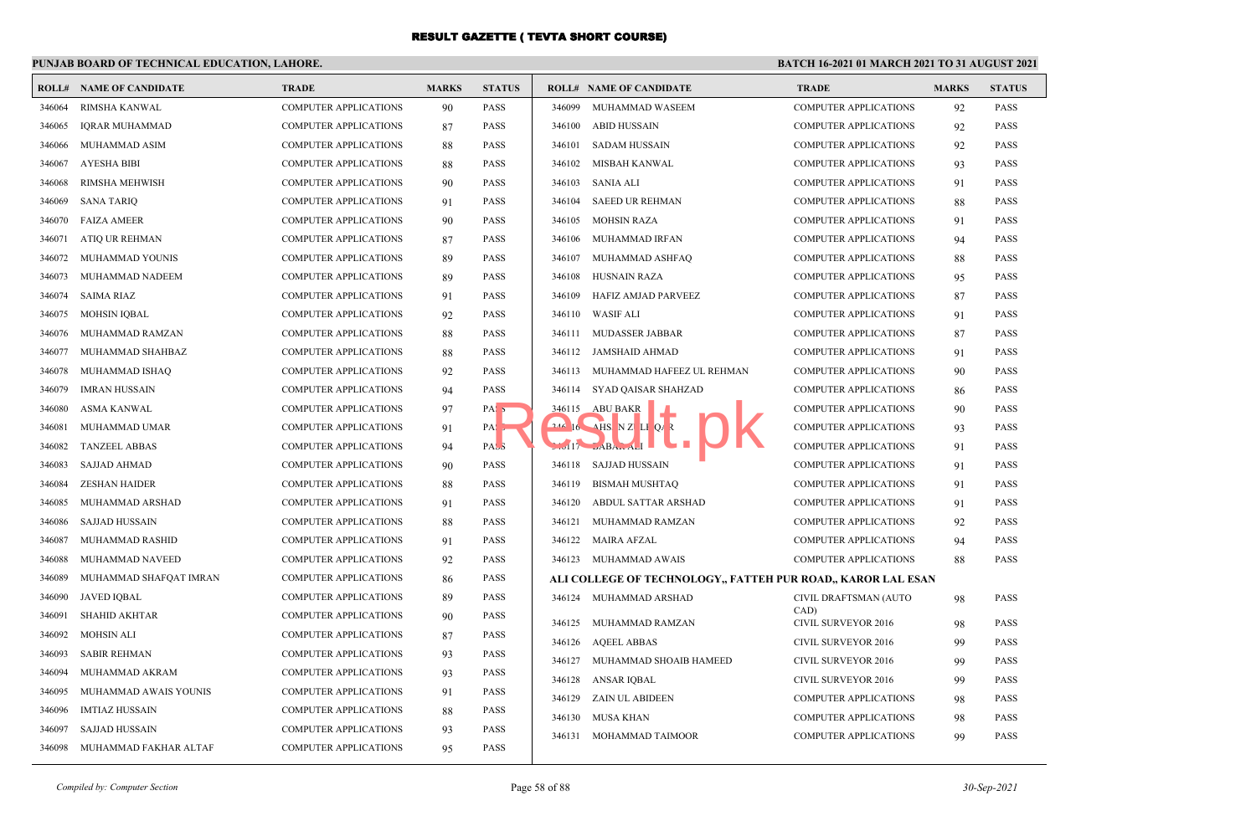## **PUNJAB BOARD OF TECHNICAL EDUCATION, LAHORE.**

| ROLL#  | <b>NAME OF CANDIDATE</b> | <b>TRADE</b>                 | <b>MARKS</b> | <b>STATUS</b>    | <b>ROLL# NAME OF CANDIDATE</b>                               | <b>TRADE</b>                       | <b>MARKS</b> | <b>STATUS</b> |
|--------|--------------------------|------------------------------|--------------|------------------|--------------------------------------------------------------|------------------------------------|--------------|---------------|
| 346064 | RIMSHA KANWAL            | <b>COMPUTER APPLICATIONS</b> | 90           | PASS             | 346099<br>MUHAMMAD WASEEM                                    | <b>COMPUTER APPLICATIONS</b>       | 92           | <b>PASS</b>   |
| 346065 | <b>IORAR MUHAMMAD</b>    | <b>COMPUTER APPLICATIONS</b> | 87           | <b>PASS</b>      | 346100<br>ABID HUSSAIN                                       | <b>COMPUTER APPLICATIONS</b>       | 92           | <b>PASS</b>   |
| 346066 | MUHAMMAD ASIM            | <b>COMPUTER APPLICATIONS</b> | 88           | <b>PASS</b>      | 346101<br>SADAM HUSSAIN                                      | <b>COMPUTER APPLICATIONS</b>       | 92           | <b>PASS</b>   |
| 346067 | AYESHA BIBI              | <b>COMPUTER APPLICATIONS</b> | 88           | <b>PASS</b>      | 346102<br>MISBAH KANWAL                                      | <b>COMPUTER APPLICATIONS</b>       | 93           | <b>PASS</b>   |
| 346068 | RIMSHA MEHWISH           | <b>COMPUTER APPLICATIONS</b> | 90           | <b>PASS</b>      | <b>SANIA ALI</b><br>346103                                   | <b>COMPUTER APPLICATIONS</b>       | 91           | <b>PASS</b>   |
| 346069 | <b>SANA TARIO</b>        | <b>COMPUTER APPLICATIONS</b> | 91           | <b>PASS</b>      | 346104<br><b>SAEED UR REHMAN</b>                             | <b>COMPUTER APPLICATIONS</b>       | 88           | <b>PASS</b>   |
| 346070 | <b>FAIZA AMEER</b>       | <b>COMPUTER APPLICATIONS</b> | 90           | <b>PASS</b>      | 346105<br><b>MOHSIN RAZA</b>                                 | COMPUTER APPLICATIONS              | 91           | <b>PASS</b>   |
| 346071 | ATIQ UR REHMAN           | <b>COMPUTER APPLICATIONS</b> | 87           | <b>PASS</b>      | 346106<br>MUHAMMAD IRFAN                                     | <b>COMPUTER APPLICATIONS</b>       | 94           | <b>PASS</b>   |
| 346072 | MUHAMMAD YOUNIS          | <b>COMPUTER APPLICATIONS</b> | 89           | <b>PASS</b>      | 346107<br>MUHAMMAD ASHFAQ                                    | <b>COMPUTER APPLICATIONS</b>       | 88           | <b>PASS</b>   |
| 346073 | MUHAMMAD NADEEM          | <b>COMPUTER APPLICATIONS</b> | 89           | <b>PASS</b>      | 346108<br><b>HUSNAIN RAZA</b>                                | COMPUTER APPLICATIONS              | 95           | <b>PASS</b>   |
| 346074 | <b>SAIMA RIAZ</b>        | <b>COMPUTER APPLICATIONS</b> | 91           | <b>PASS</b>      | HAFIZ AMJAD PARVEEZ<br>346109                                | COMPUTER APPLICATIONS              | 87           | <b>PASS</b>   |
| 346075 | <b>MOHSIN IQBAL</b>      | <b>COMPUTER APPLICATIONS</b> | 92           | <b>PASS</b>      | 346110<br>WASIF ALI                                          | <b>COMPUTER APPLICATIONS</b>       | 91           | <b>PASS</b>   |
| 346076 | MUHAMMAD RAMZAN          | <b>COMPUTER APPLICATIONS</b> | 88           | <b>PASS</b>      | 346111 MUDASSER JABBAR                                       | COMPUTER APPLICATIONS              | 87           | <b>PASS</b>   |
| 346077 | MUHAMMAD SHAHBAZ         | <b>COMPUTER APPLICATIONS</b> | 88           | <b>PASS</b>      | 346112 JAMSHAID AHMAD                                        | <b>COMPUTER APPLICATIONS</b>       | 91           | <b>PASS</b>   |
| 346078 | MUHAMMAD ISHAQ           | <b>COMPUTER APPLICATIONS</b> | 92           | <b>PASS</b>      | 346113 MUHAMMAD HAFEEZ UL REHMAN                             | <b>COMPUTER APPLICATIONS</b>       | 90           | <b>PASS</b>   |
| 346079 | <b>IMRAN HUSSAIN</b>     | <b>COMPUTER APPLICATIONS</b> | 94           | <b>PASS</b>      | 346114 SYAD QAISAR SHAHZAD                                   | <b>COMPUTER APPLICATIONS</b>       | 86           | <b>PASS</b>   |
| 346080 | ASMA KANWAL              | <b>COMPUTER APPLICATIONS</b> | 97           | PAS <sub>5</sub> | 346115 ABU BAKR                                              | <b>COMPUTER APPLICATIONS</b>       | 90           | <b>PASS</b>   |
| 346081 | MUHAMMAD UMAR            | <b>COMPUTER APPLICATIONS</b> | 91           | PA <sub>s</sub>  | $16$ $\overline{MS}$ N Z L I Q R                             | <b>COMPUTER APPLICATIONS</b>       | 93           | <b>PASS</b>   |
| 346082 | <b>TANZEEL ABBAS</b>     | <b>COMPUTER APPLICATIONS</b> | 94           | PASS             | $\sqrt{117}$ $\angle$ ABA                                    | <b>COMPUTER APPLICATIONS</b>       | 91           | <b>PASS</b>   |
| 346083 | <b>SAJJAD AHMAD</b>      | <b>COMPUTER APPLICATIONS</b> | 90           | <b>PASS</b>      | 346118 SAJJAD HUSSAIN                                        | <b>COMPUTER APPLICATIONS</b>       | 91           | <b>PASS</b>   |
| 346084 | <b>ZESHAN HAIDER</b>     | <b>COMPUTER APPLICATIONS</b> | 88           | <b>PASS</b>      | 346119<br><b>BISMAH MUSHTAO</b>                              | <b>COMPUTER APPLICATIONS</b>       | 91           | <b>PASS</b>   |
| 346085 | MUHAMMAD ARSHAD          | <b>COMPUTER APPLICATIONS</b> | 91           | <b>PASS</b>      | 346120<br>ABDUL SATTAR ARSHAD                                | <b>COMPUTER APPLICATIONS</b>       | 91           | <b>PASS</b>   |
| 346086 | SAJJAD HUSSAIN           | <b>COMPUTER APPLICATIONS</b> | 88           | <b>PASS</b>      | 346121<br>MUHAMMAD RAMZAN                                    | <b>COMPUTER APPLICATIONS</b>       | 92           | <b>PASS</b>   |
| 346087 | MUHAMMAD RASHID          | <b>COMPUTER APPLICATIONS</b> | 91           | <b>PASS</b>      | 346122 MAIRA AFZAL                                           | <b>COMPUTER APPLICATIONS</b>       | 94           | <b>PASS</b>   |
| 346088 | MUHAMMAD NAVEED          | <b>COMPUTER APPLICATIONS</b> | 92           | <b>PASS</b>      | 346123 MUHAMMAD AWAIS                                        | <b>COMPUTER APPLICATIONS</b>       | 88           | <b>PASS</b>   |
| 346089 | MUHAMMAD SHAFQAT IMRAN   | <b>COMPUTER APPLICATIONS</b> | 86           | <b>PASS</b>      | ALI COLLEGE OF TECHNOLOGY,, FATTEH PUR ROAD., KAROR LAL ESAN |                                    |              |               |
| 346090 | <b>JAVED IOBAL</b>       | <b>COMPUTER APPLICATIONS</b> | 89           | <b>PASS</b>      | 346124 MUHAMMAD ARSHAD                                       | CIVIL DRAFTSMAN (AUTO              | 98           | <b>PASS</b>   |
| 346091 | SHAHID AKHTAR            | <b>COMPUTER APPLICATIONS</b> | 90           | <b>PASS</b>      | 346125 MUHAMMAD RAMZAN                                       | CAD)<br><b>CIVIL SURVEYOR 2016</b> | 98           | <b>PASS</b>   |
| 346092 | <b>MOHSIN ALI</b>        | <b>COMPUTER APPLICATIONS</b> | 87           | <b>PASS</b>      | 346126 AQEEL ABBAS                                           | <b>CIVIL SURVEYOR 2016</b>         | 99           | <b>PASS</b>   |
| 346093 | <b>SABIR REHMAN</b>      | <b>COMPUTER APPLICATIONS</b> | 93           | <b>PASS</b>      | 346127 MUHAMMAD SHOAIB HAMEED                                | CIVIL SURVEYOR 2016                | 99           | <b>PASS</b>   |
| 346094 | MUHAMMAD AKRAM           | <b>COMPUTER APPLICATIONS</b> | 93           | <b>PASS</b>      | 346128 ANSAR IOBAL                                           | <b>CIVIL SURVEYOR 2016</b>         | 99           | <b>PASS</b>   |
| 346095 | MUHAMMAD AWAIS YOUNIS    | <b>COMPUTER APPLICATIONS</b> | 91           | <b>PASS</b>      | 346129<br>ZAIN UL ABIDEEN                                    | COMPUTER APPLICATIONS              | 98           | <b>PASS</b>   |
| 346096 | <b>IMTIAZ HUSSAIN</b>    | COMPUTER APPLICATIONS        | 88           | <b>PASS</b>      | 346130<br>MUSA KHAN                                          | <b>COMPUTER APPLICATIONS</b>       | 98           | <b>PASS</b>   |
| 346097 | SAJJAD HUSSAIN           | <b>COMPUTER APPLICATIONS</b> | 93           | <b>PASS</b>      | 346131<br>MOHAMMAD TAIMOOR                                   | <b>COMPUTER APPLICATIONS</b>       | 99           | <b>PASS</b>   |
| 346098 | MUHAMMAD FAKHAR ALTAF    | <b>COMPUTER APPLICATIONS</b> | 95           | <b>PASS</b>      |                                                              |                                    |              |               |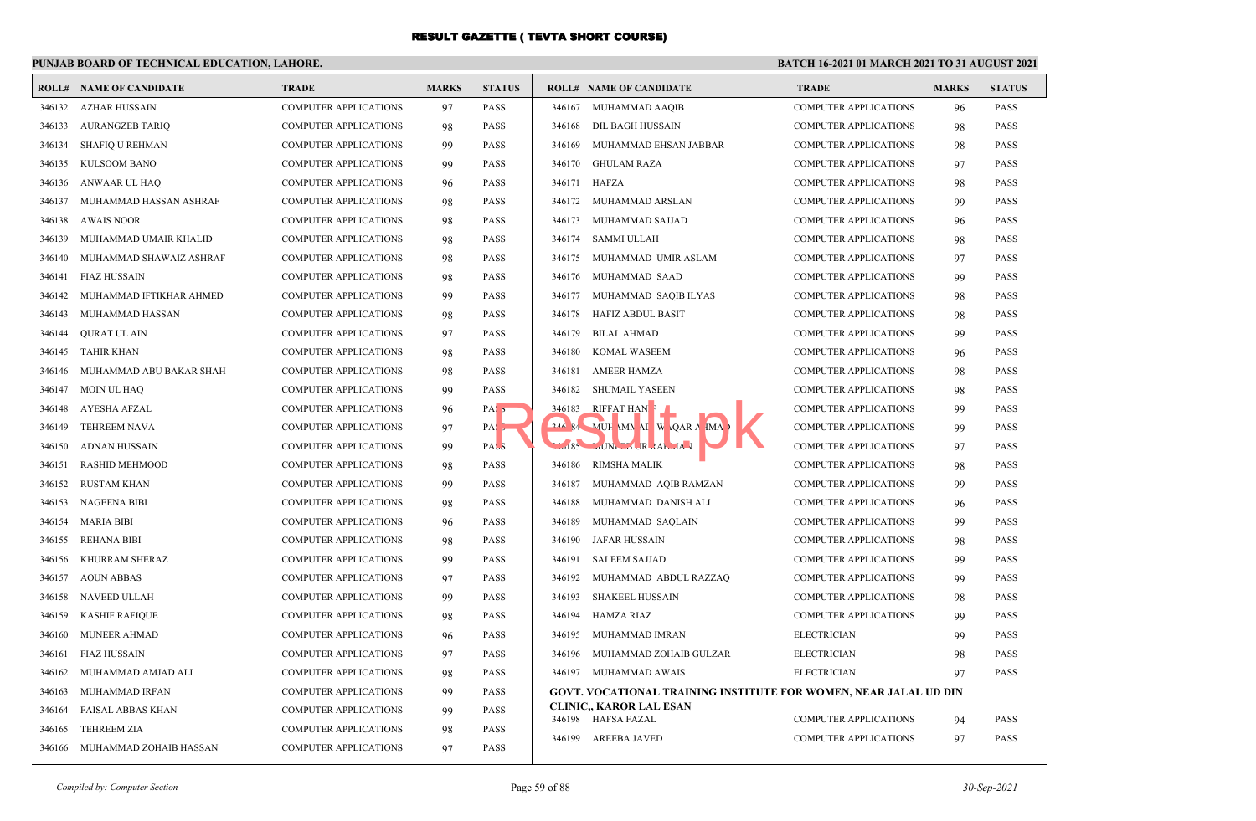## **PUNJAB BOARD OF TECHNICAL EDUCATION, LAHORE.**

|        | <b>ROLL# NAME OF CANDIDATE</b> | <b>TRADE</b>                 | <b>MARKS</b> | <b>STATUS</b>     |        | <b>ROLL# NAME OF CANDIDATE</b>                                          | <b>TRADE</b>                 | <b>MARKS</b> | <b>STATUS</b> |
|--------|--------------------------------|------------------------------|--------------|-------------------|--------|-------------------------------------------------------------------------|------------------------------|--------------|---------------|
|        | 346132 AZHAR HUSSAIN           | <b>COMPUTER APPLICATIONS</b> | 97           | <b>PASS</b>       |        | 346167 MUHAMMAD AAQIB                                                   | <b>COMPUTER APPLICATIONS</b> | 96           | <b>PASS</b>   |
| 346133 | AURANGZEB TARIQ                | <b>COMPUTER APPLICATIONS</b> | 98           | <b>PASS</b>       | 346168 | DIL BAGH HUSSAIN                                                        | <b>COMPUTER APPLICATIONS</b> | 98           | <b>PASS</b>   |
| 346134 | SHAFIQ U REHMAN                | <b>COMPUTER APPLICATIONS</b> | 99           | <b>PASS</b>       | 346169 | MUHAMMAD EHSAN JABBAR                                                   | <b>COMPUTER APPLICATIONS</b> | 98           | <b>PASS</b>   |
| 346135 | KULSOOM BANO                   | <b>COMPUTER APPLICATIONS</b> | 99           | <b>PASS</b>       |        | 346170 GHULAM RAZA                                                      | <b>COMPUTER APPLICATIONS</b> | 97           | <b>PASS</b>   |
| 346136 | ANWAAR UL HAQ                  | <b>COMPUTER APPLICATIONS</b> | 96           | <b>PASS</b>       |        | 346171 HAFZA                                                            | <b>COMPUTER APPLICATIONS</b> | 98           | <b>PASS</b>   |
| 346137 | MUHAMMAD HASSAN ASHRAF         | <b>COMPUTER APPLICATIONS</b> | 98           | <b>PASS</b>       |        | 346172 MUHAMMAD ARSLAN                                                  | <b>COMPUTER APPLICATIONS</b> | 99           | <b>PASS</b>   |
| 346138 | <b>AWAIS NOOR</b>              | <b>COMPUTER APPLICATIONS</b> | 98           | <b>PASS</b>       | 346173 | MUHAMMAD SAJJAD                                                         | <b>COMPUTER APPLICATIONS</b> | 96           | <b>PASS</b>   |
| 346139 | MUHAMMAD UMAIR KHALID          | <b>COMPUTER APPLICATIONS</b> | 98           | <b>PASS</b>       | 346174 | SAMMI ULLAH                                                             | <b>COMPUTER APPLICATIONS</b> | 98           | <b>PASS</b>   |
| 346140 | MUHAMMAD SHAWAIZ ASHRAF        | <b>COMPUTER APPLICATIONS</b> | 98           | <b>PASS</b>       | 346175 | MUHAMMAD UMIR ASLAM                                                     | <b>COMPUTER APPLICATIONS</b> | 97           | <b>PASS</b>   |
| 346141 | <b>FIAZ HUSSAIN</b>            | <b>COMPUTER APPLICATIONS</b> | 98           | <b>PASS</b>       | 346176 | MUHAMMAD SAAD                                                           | <b>COMPUTER APPLICATIONS</b> | 99           | <b>PASS</b>   |
| 346142 | MUHAMMAD IFTIKHAR AHMED        | <b>COMPUTER APPLICATIONS</b> | 99           | <b>PASS</b>       | 346177 | MUHAMMAD SAQIB ILYAS                                                    | <b>COMPUTER APPLICATIONS</b> | 98           | <b>PASS</b>   |
| 346143 | MUHAMMAD HASSAN                | <b>COMPUTER APPLICATIONS</b> | 98           | PASS              | 346178 | HAFIZ ABDUL BASIT                                                       | <b>COMPUTER APPLICATIONS</b> | 98           | <b>PASS</b>   |
| 346144 | <b>QURAT UL AIN</b>            | <b>COMPUTER APPLICATIONS</b> | 97           | <b>PASS</b>       | 346179 | <b>BILAL AHMAD</b>                                                      | <b>COMPUTER APPLICATIONS</b> | 99           | <b>PASS</b>   |
| 346145 | TAHIR KHAN                     | <b>COMPUTER APPLICATIONS</b> | 98           | <b>PASS</b>       | 346180 | <b>KOMAL WASEEM</b>                                                     | <b>COMPUTER APPLICATIONS</b> | 96           | <b>PASS</b>   |
| 346146 | MUHAMMAD ABU BAKAR SHAH        | <b>COMPUTER APPLICATIONS</b> | 98           | <b>PASS</b>       | 346181 | <b>AMEER HAMZA</b>                                                      | <b>COMPUTER APPLICATIONS</b> | 98           | <b>PASS</b>   |
| 346147 | MOIN UL HAO                    | <b>COMPUTER APPLICATIONS</b> | 99           | <b>PASS</b>       | 346182 | <b>SHUMAIL YASEEN</b>                                                   | <b>COMPUTER APPLICATIONS</b> | 98           | <b>PASS</b>   |
| 346148 | AYESHA AFZAL                   | <b>COMPUTER APPLICATIONS</b> | 96           | PAS <sub>5</sub>  |        | 346183 RIFFAT HAN                                                       | <b>COMPUTER APPLICATIONS</b> | 99           | <b>PASS</b>   |
| 346149 | <b>TEHREEM NAVA</b>            | <b>COMPUTER APPLICATIONS</b> | 97           | $PA: \rightarrow$ |        | 244 84 MUH MM AI W QAR A IMA                                            | <b>COMPUTER APPLICATIONS</b> | 99           | <b>PASS</b>   |
| 346150 | ADNAN HUSSAIN                  | <b>COMPUTER APPLICATIONS</b> | 99           | PAS <sub>3</sub>  |        | $10185$ MUNLEY JR $AA$ <sub>MA</sub>                                    | <b>COMPUTER APPLICATIONS</b> | 97           | <b>PASS</b>   |
| 346151 | <b>RASHID MEHMOOD</b>          | <b>COMPUTER APPLICATIONS</b> | 98           | <b>PASS</b>       | 346186 | <b>RIMSHA MALIK</b>                                                     | <b>COMPUTER APPLICATIONS</b> | 98           | <b>PASS</b>   |
| 346152 | <b>RUSTAM KHAN</b>             | <b>COMPUTER APPLICATIONS</b> | 99           | <b>PASS</b>       | 346187 | MUHAMMAD AQIB RAMZAN                                                    | <b>COMPUTER APPLICATIONS</b> | 99           | <b>PASS</b>   |
| 346153 | <b>NAGEENA BIBI</b>            | <b>COMPUTER APPLICATIONS</b> | 98           | <b>PASS</b>       | 346188 | MUHAMMAD DANISH ALI                                                     | <b>COMPUTER APPLICATIONS</b> | 96           | <b>PASS</b>   |
| 346154 | MARIA BIBI                     | <b>COMPUTER APPLICATIONS</b> | 96           | <b>PASS</b>       | 346189 | MUHAMMAD SAQLAIN                                                        | <b>COMPUTER APPLICATIONS</b> | 99           | <b>PASS</b>   |
| 346155 | <b>REHANA BIBI</b>             | <b>COMPUTER APPLICATIONS</b> | 98           | PASS              | 346190 | <b>JAFAR HUSSAIN</b>                                                    | <b>COMPUTER APPLICATIONS</b> | 98           | <b>PASS</b>   |
| 346156 | KHURRAM SHERAZ                 | <b>COMPUTER APPLICATIONS</b> | 99           | <b>PASS</b>       | 346191 | <b>SALEEM SAJJAD</b>                                                    | <b>COMPUTER APPLICATIONS</b> | 99           | <b>PASS</b>   |
| 346157 | <b>AOUN ABBAS</b>              | <b>COMPUTER APPLICATIONS</b> | 97           | <b>PASS</b>       | 346192 | MUHAMMAD ABDUL RAZZAQ                                                   | <b>COMPUTER APPLICATIONS</b> | 99           | <b>PASS</b>   |
| 346158 | NAVEED ULLAH                   | <b>COMPUTER APPLICATIONS</b> | 99           | <b>PASS</b>       | 346193 | <b>SHAKEEL HUSSAIN</b>                                                  | <b>COMPUTER APPLICATIONS</b> | 98           | <b>PASS</b>   |
| 346159 | <b>KASHIF RAFIOUE</b>          | <b>COMPUTER APPLICATIONS</b> | 98           | <b>PASS</b>       | 346194 | HAMZA RIAZ                                                              | <b>COMPUTER APPLICATIONS</b> | 99           | <b>PASS</b>   |
| 346160 | <b>MUNEER AHMAD</b>            | <b>COMPUTER APPLICATIONS</b> | 96           | <b>PASS</b>       | 346195 | MUHAMMAD IMRAN                                                          | <b>ELECTRICIAN</b>           | 99           | <b>PASS</b>   |
| 346161 | <b>FIAZ HUSSAIN</b>            | <b>COMPUTER APPLICATIONS</b> | 97           | <b>PASS</b>       | 346196 | MUHAMMAD ZOHAIB GULZAR                                                  | <b>ELECTRICIAN</b>           | 98           | <b>PASS</b>   |
| 346162 | MUHAMMAD AMJAD ALI             | <b>COMPUTER APPLICATIONS</b> | 98           | <b>PASS</b>       |        | 346197 MUHAMMAD AWAIS                                                   | <b>ELECTRICIAN</b>           | 97           | <b>PASS</b>   |
| 346163 | MUHAMMAD IRFAN                 | <b>COMPUTER APPLICATIONS</b> | 99           | <b>PASS</b>       |        | <b>GOVT. VOCATIONAL TRAINING INSTITUTE FOR WOMEN, NEAR JALAL UD DIN</b> |                              |              |               |
| 346164 | <b>FAISAL ABBAS KHAN</b>       | <b>COMPUTER APPLICATIONS</b> | 99           | <b>PASS</b>       |        | <b>CLINIC., KAROR LAL ESAN</b><br>346198 HAFSA FAZAL                    | <b>COMPUTER APPLICATIONS</b> | 94           | <b>PASS</b>   |
| 346165 | <b>TEHREEM ZIA</b>             | <b>COMPUTER APPLICATIONS</b> | 98           | <b>PASS</b>       | 346199 | <b>AREEBA JAVED</b>                                                     | <b>COMPUTER APPLICATIONS</b> | 97           | PASS          |
|        | 346166 MUHAMMAD ZOHAIB HASSAN  | <b>COMPUTER APPLICATIONS</b> | 97           | <b>PASS</b>       |        |                                                                         |                              |              |               |
|        |                                |                              |              |                   |        |                                                                         |                              |              |               |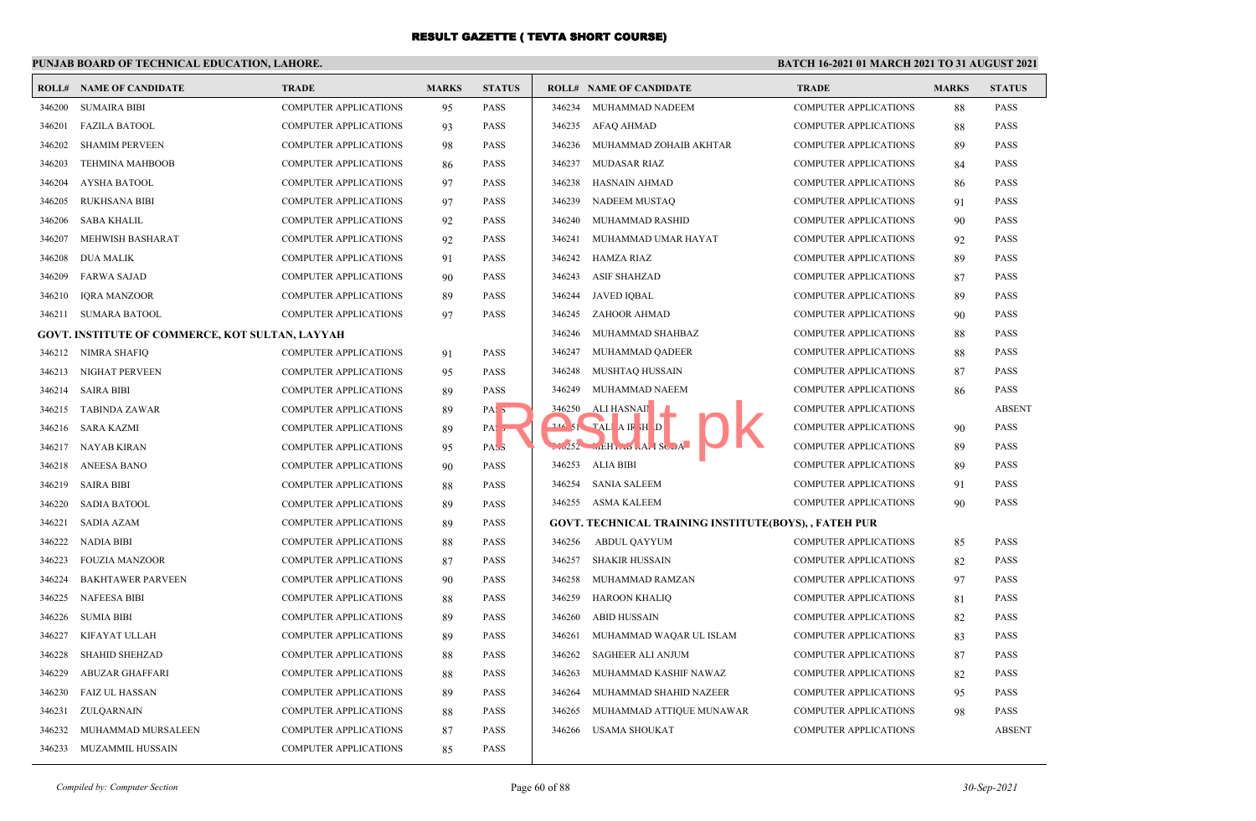## **PUNJAB BOARD OF TECHNICAL EDUCATION, LAHORE.**

| ROLL#  | NAME OF CANDIDATE                               | <b>TRADE</b>                 | <b>MARKS</b> | <b>STATUS</b>    |        | <b>ROLL# NAME OF CANDIDATE</b>                        | <b>TRADE</b>                 | <b>MARKS</b> | <b>STATUS</b> |
|--------|-------------------------------------------------|------------------------------|--------------|------------------|--------|-------------------------------------------------------|------------------------------|--------------|---------------|
| 346200 | <b>SUMAIRA BIBI</b>                             | <b>COMPUTER APPLICATIONS</b> | 95           | <b>PASS</b>      | 346234 | MUHAMMAD NADEEM                                       | <b>COMPUTER APPLICATIONS</b> | 88           | <b>PASS</b>   |
| 346201 | <b>FAZILA BATOOL</b>                            | <b>COMPUTER APPLICATIONS</b> | 93           | <b>PASS</b>      |        | 346235 AFAQ AHMAD                                     | <b>COMPUTER APPLICATIONS</b> | 88           | <b>PASS</b>   |
| 346202 | <b>SHAMIM PERVEEN</b>                           | <b>COMPUTER APPLICATIONS</b> | 98           | <b>PASS</b>      | 346236 | MUHAMMAD ZOHAIB AKHTAR                                | <b>COMPUTER APPLICATIONS</b> | 89           | <b>PASS</b>   |
| 346203 | <b>TEHMINA MAHBOOB</b>                          | <b>COMPUTER APPLICATIONS</b> | 86           | <b>PASS</b>      | 346237 | <b>MUDASAR RIAZ</b>                                   | <b>COMPUTER APPLICATIONS</b> | 84           | PASS          |
| 346204 | <b>AYSHA BATOOL</b>                             | <b>COMPUTER APPLICATIONS</b> | 97           | <b>PASS</b>      | 346238 | HASNAIN AHMAD                                         | COMPUTER APPLICATIONS        | 86           | <b>PASS</b>   |
| 346205 | <b>RUKHSANA BIBI</b>                            | <b>COMPUTER APPLICATIONS</b> | 97           | <b>PASS</b>      | 346239 | NADEEM MUSTAQ                                         | <b>COMPUTER APPLICATIONS</b> | 91           | <b>PASS</b>   |
| 346206 | <b>SABA KHALIL</b>                              | <b>COMPUTER APPLICATIONS</b> | 92           | <b>PASS</b>      | 346240 | MUHAMMAD RASHID                                       | <b>COMPUTER APPLICATIONS</b> | 90           | <b>PASS</b>   |
| 346207 | MEHWISH BASHARAT                                | <b>COMPUTER APPLICATIONS</b> | 92           | <b>PASS</b>      | 346241 | MUHAMMAD UMAR HAYAT                                   | <b>COMPUTER APPLICATIONS</b> | 92           | <b>PASS</b>   |
| 346208 | <b>DUA MALIK</b>                                | <b>COMPUTER APPLICATIONS</b> | 91           | <b>PASS</b>      | 346242 | <b>HAMZA RIAZ</b>                                     | <b>COMPUTER APPLICATIONS</b> | 89           | <b>PASS</b>   |
| 346209 | <b>FARWA SAJAD</b>                              | <b>COMPUTER APPLICATIONS</b> | 90           | <b>PASS</b>      | 346243 | <b>ASIF SHAHZAD</b>                                   | <b>COMPUTER APPLICATIONS</b> | 87           | <b>PASS</b>   |
| 346210 | <b>IQRA MANZOOR</b>                             | <b>COMPUTER APPLICATIONS</b> | 89           | <b>PASS</b>      | 346244 | <b>JAVED IQBAL</b>                                    | <b>COMPUTER APPLICATIONS</b> | 89           | PASS          |
| 346211 | SUMARA BATOOL                                   | <b>COMPUTER APPLICATIONS</b> | 97           | <b>PASS</b>      |        | 346245 ZAHOOR AHMAD                                   | <b>COMPUTER APPLICATIONS</b> | 90           | <b>PASS</b>   |
|        | GOVT. INSTITUTE OF COMMERCE, KOT SULTAN, LAYYAH |                              |              |                  | 346246 | MUHAMMAD SHAHBAZ                                      | <b>COMPUTER APPLICATIONS</b> | 88           | <b>PASS</b>   |
| 346212 | NIMRA SHAFIQ                                    | <b>COMPUTER APPLICATIONS</b> | 91           | <b>PASS</b>      | 346247 | MUHAMMAD QADEER                                       | <b>COMPUTER APPLICATIONS</b> | 88           | PASS          |
| 346213 | NIGHAT PERVEEN                                  | COMPUTER APPLICATIONS        | 95           | <b>PASS</b>      | 346248 | MUSHTAQ HUSSAIN                                       | <b>COMPUTER APPLICATIONS</b> | 87           | <b>PASS</b>   |
| 346214 | <b>SAIRA BIBI</b>                               | <b>COMPUTER APPLICATIONS</b> | 89           | <b>PASS</b>      | 346249 | MUHAMMAD NAEEM                                        | <b>COMPUTER APPLICATIONS</b> | 86           | <b>PASS</b>   |
| 346215 | TABINDA ZAWAR                                   | <b>COMPUTER APPLICATIONS</b> | 89           | PAS <sub>5</sub> | 346250 | ALI HASNAI                                            | <b>COMPUTER APPLICATIONS</b> |              | <b>ABSENT</b> |
| 346216 | SARA KAZMI                                      | <b>COMPUTER APPLICATIONS</b> | 89           | PAS <sub>5</sub> |        | $246$ 51 TALI A IR H D                                | <b>COMPUTER APPLICATIONS</b> | 90           | PASS          |
| 346217 | NAYAB KIRAN                                     | <b>COMPUTER APPLICATIONS</b> | 95           | PAS <sub>3</sub> |        | $1.252$ $mEHT$ $MI$ $SCDA$                            | <b>COMPUTER APPLICATIONS</b> | 89           | PASS          |
| 346218 | ANEESA BANO                                     | <b>COMPUTER APPLICATIONS</b> | 90           | <b>PASS</b>      | 346253 | ALIA BIBI                                             | <b>COMPUTER APPLICATIONS</b> | 89           | <b>PASS</b>   |
| 346219 | <b>SAIRA BIBI</b>                               | <b>COMPUTER APPLICATIONS</b> | 88           | <b>PASS</b>      | 346254 | <b>SANIA SALEEM</b>                                   | <b>COMPUTER APPLICATIONS</b> | 91           | <b>PASS</b>   |
| 346220 | <b>SADIA BATOOL</b>                             | <b>COMPUTER APPLICATIONS</b> | 89           | <b>PASS</b>      |        | 346255 ASMA KALEEM                                    | <b>COMPUTER APPLICATIONS</b> | 90           | <b>PASS</b>   |
| 346221 | SADIA AZAM                                      | <b>COMPUTER APPLICATIONS</b> | 89           | <b>PASS</b>      |        | GOVT. TECHNICAL TRAINING INSTITUTE(BOYS), , FATEH PUR |                              |              |               |
| 346222 | NADIA BIBI                                      | <b>COMPUTER APPLICATIONS</b> | 88           | <b>PASS</b>      | 346256 | ABDUL QAYYUM                                          | <b>COMPUTER APPLICATIONS</b> | 85           | <b>PASS</b>   |
| 346223 | <b>FOUZIA MANZOOR</b>                           | <b>COMPUTER APPLICATIONS</b> | 87           | <b>PASS</b>      | 346257 | SHAKIR HUSSAIN                                        | <b>COMPUTER APPLICATIONS</b> | 82           | PASS          |
| 346224 | <b>BAKHTAWER PARVEEN</b>                        | <b>COMPUTER APPLICATIONS</b> | 90           | <b>PASS</b>      | 346258 | MUHAMMAD RAMZAN                                       | <b>COMPUTER APPLICATIONS</b> | 97           | PASS          |
| 346225 | <b>NAFEESA BIBI</b>                             | <b>COMPUTER APPLICATIONS</b> | 88           | <b>PASS</b>      | 346259 | HAROON KHALIQ                                         | <b>COMPUTER APPLICATIONS</b> | 81           | <b>PASS</b>   |
| 346226 | <b>SUMIA BIBI</b>                               | <b>COMPUTER APPLICATIONS</b> | 89           | <b>PASS</b>      | 346260 | <b>ABID HUSSAIN</b>                                   | <b>COMPUTER APPLICATIONS</b> | 82           | PASS          |
| 346227 | KIFAYAT ULLAH                                   | <b>COMPUTER APPLICATIONS</b> | 89           | <b>PASS</b>      | 346261 | MUHAMMAD WAQAR UL ISLAM                               | <b>COMPUTER APPLICATIONS</b> | 83           | <b>PASS</b>   |
| 346228 | <b>SHAHID SHEHZAD</b>                           | COMPUTER APPLICATIONS        | 88           | <b>PASS</b>      | 346262 | SAGHEER ALI ANJUM                                     | <b>COMPUTER APPLICATIONS</b> | 87           | <b>PASS</b>   |
| 346229 | <b>ABUZAR GHAFFARI</b>                          | <b>COMPUTER APPLICATIONS</b> | 88           | <b>PASS</b>      | 346263 | MUHAMMAD KASHIF NAWAZ                                 | <b>COMPUTER APPLICATIONS</b> | 82           | <b>PASS</b>   |
| 346230 | <b>FAIZ UL HASSAN</b>                           | <b>COMPUTER APPLICATIONS</b> | 89           | <b>PASS</b>      | 346264 | MUHAMMAD SHAHID NAZEER                                | <b>COMPUTER APPLICATIONS</b> | 95           | <b>PASS</b>   |
| 346231 | ZULQARNAIN                                      | <b>COMPUTER APPLICATIONS</b> | 88           | <b>PASS</b>      | 346265 | MUHAMMAD ATTIQUE MUNAWAR                              | <b>COMPUTER APPLICATIONS</b> | 98           | <b>PASS</b>   |
| 346232 | MUHAMMAD MURSALEEN                              | <b>COMPUTER APPLICATIONS</b> | 87           | <b>PASS</b>      | 346266 | <b>USAMA SHOUKAT</b>                                  | <b>COMPUTER APPLICATIONS</b> |              | <b>ABSENT</b> |
| 346233 | MUZAMMIL HUSSAIN                                | <b>COMPUTER APPLICATIONS</b> | 85           | <b>PASS</b>      |        |                                                       |                              |              |               |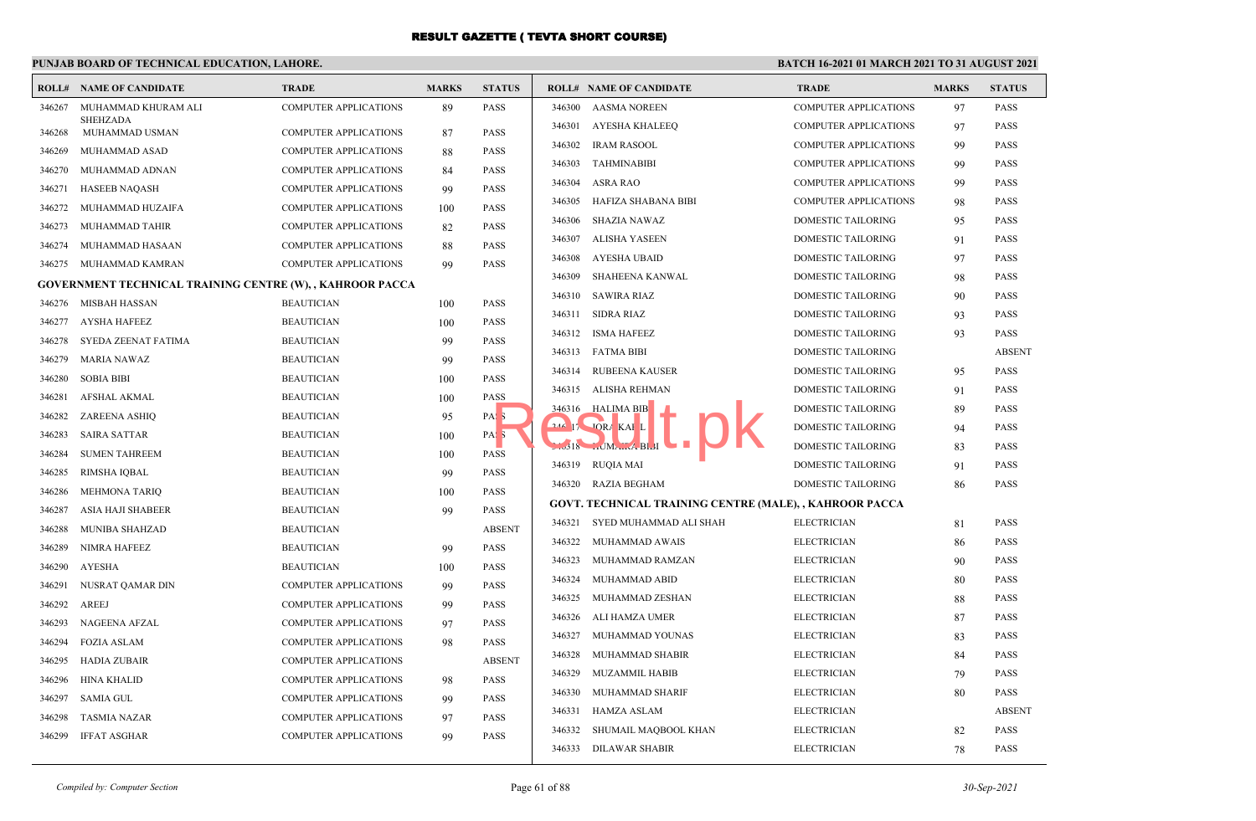# **PUNJAB BOARD OF TECHNICAL EDUCATION, LAHORE.**

| ROLL#            | <b>NAME OF CANDIDATE</b>                                         | <b>TRADE</b>                           | <b>MARKS</b> | <b>STATUS</b>    |        | <b>ROLL# NAME OF CANDIDATE</b>                                 | <b>TRADE</b>                 | <b>MARKS</b> | <b>STATUS</b> |
|------------------|------------------------------------------------------------------|----------------------------------------|--------------|------------------|--------|----------------------------------------------------------------|------------------------------|--------------|---------------|
| 346267           | MUHAMMAD KHURAM ALI                                              | <b>COMPUTER APPLICATIONS</b>           | 89           | <b>PASS</b>      | 346300 | <b>AASMA NOREEN</b>                                            | <b>COMPUTER APPLICATIONS</b> | 97           | <b>PASS</b>   |
| 346268           | <b>SHEHZADA</b><br>MUHAMMAD USMAN                                | <b>COMPUTER APPLICATIONS</b>           | 87           | <b>PASS</b>      | 346301 | AYESHA KHALEEQ                                                 | <b>COMPUTER APPLICATIONS</b> | 97           | <b>PASS</b>   |
| 346269           | MUHAMMAD ASAD                                                    | <b>COMPUTER APPLICATIONS</b>           | 88           | <b>PASS</b>      | 346302 | <b>IRAM RASOOL</b>                                             | <b>COMPUTER APPLICATIONS</b> | 99           | <b>PASS</b>   |
| 346270           | MUHAMMAD ADNAN                                                   | <b>COMPUTER APPLICATIONS</b>           | 84           | <b>PASS</b>      | 346303 | TAHMINABIBI                                                    | <b>COMPUTER APPLICATIONS</b> | 99           | <b>PASS</b>   |
| 346271           | <b>HASEEB NAQASH</b>                                             | <b>COMPUTER APPLICATIONS</b>           | 99           | <b>PASS</b>      | 346304 | ASRA RAO                                                       | <b>COMPUTER APPLICATIONS</b> | 99           | <b>PASS</b>   |
| 346272           | MUHAMMAD HUZAIFA                                                 | <b>COMPUTER APPLICATIONS</b>           | 100          | <b>PASS</b>      | 346305 | HAFIZA SHABANA BIBI                                            | <b>COMPUTER APPLICATIONS</b> | 98           | <b>PASS</b>   |
| 346273           | MUHAMMAD TAHIR                                                   | <b>COMPUTER APPLICATIONS</b>           | 82           | <b>PASS</b>      | 346306 | SHAZIA NAWAZ                                                   | DOMESTIC TAILORING           | 95           | <b>PASS</b>   |
| 346274           | MUHAMMAD HASAAN                                                  | <b>COMPUTER APPLICATIONS</b>           | 88           | <b>PASS</b>      | 346307 | ALISHA YASEEN                                                  | DOMESTIC TAILORING           | 91           | <b>PASS</b>   |
| 346275           | MUHAMMAD KAMRAN                                                  | <b>COMPUTER APPLICATIONS</b>           | 99           | <b>PASS</b>      | 346308 | AYESHA UBAID                                                   | DOMESTIC TAILORING           | 97           | <b>PASS</b>   |
|                  | <b>GOVERNMENT TECHNICAL TRAINING CENTRE (W), , KAHROOR PACCA</b> |                                        |              |                  | 346309 | SHAHEENA KANWAL                                                | <b>DOMESTIC TAILORING</b>    | 98           | <b>PASS</b>   |
| 346276           | <b>MISBAH HASSAN</b>                                             | <b>BEAUTICIAN</b>                      |              | <b>PASS</b>      | 346310 | SAWIRA RIAZ                                                    | DOMESTIC TAILORING           | 90           | <b>PASS</b>   |
| 346277           | AYSHA HAFEEZ                                                     | <b>BEAUTICIAN</b>                      | 100          | <b>PASS</b>      | 346311 | SIDRA RIAZ                                                     | DOMESTIC TAILORING           | 93           | <b>PASS</b>   |
| 346278           | SYEDA ZEENAT FATIMA                                              | <b>BEAUTICIAN</b>                      | 100<br>99    | <b>PASS</b>      |        | 346312 ISMA HAFEEZ                                             | DOMESTIC TAILORING           | 93           | <b>PASS</b>   |
|                  | <b>MARIA NAWAZ</b>                                               | <b>BEAUTICIAN</b>                      |              | <b>PASS</b>      |        | 346313 FATMA BIBI                                              | DOMESTIC TAILORING           |              | <b>ABSEN</b>  |
| 346279<br>346280 | <b>SOBIA BIBI</b>                                                | <b>BEAUTICIAN</b>                      | 99           | <b>PASS</b>      | 346314 | RUBEENA KAUSER                                                 | DOMESTIC TAILORING           | 95           | <b>PASS</b>   |
|                  |                                                                  |                                        | 100          | <b>PASS</b>      |        | 346315 ALISHA REHMAN                                           | <b>DOMESTIC TAILORING</b>    | 91           | <b>PASS</b>   |
| 346281<br>346282 | <b>AFSHAL AKMAL</b>                                              | <b>BEAUTICIAN</b><br><b>BEAUTICIAN</b> | 100          |                  |        | 346316 HALIMA BIB                                              | <b>DOMESTIC TAILORING</b>    | 89           | <b>PASS</b>   |
| 346283           | ZAREENA ASHIQ<br><b>SAIRA SATTAR</b>                             | <b>BEAUTICIAN</b>                      | 95           | PAS <sub>5</sub> |        | 244 17 JORA KAI L                                              | <b>DOMESTIC TAILORING</b>    | 94           | <b>PASS</b>   |
|                  |                                                                  |                                        | 100          | PAS <sub>3</sub> |        | $18$ MA $\ldots$ A BLI                                         | <b>DOMESTIC TAILORING</b>    | 83           | <b>PASS</b>   |
| 346284           | <b>SUMEN TAHREEM</b>                                             | <b>BEAUTICIAN</b>                      | 100          | <b>PASS</b>      |        | 346319 RUQIA MAI                                               | <b>DOMESTIC TAILORING</b>    | 91           | <b>PASS</b>   |
| 346285           | <b>RIMSHA IQBAL</b>                                              | <b>BEAUTICIAN</b>                      | 99           | <b>PASS</b>      |        | 346320 RAZIA BEGHAM                                            | DOMESTIC TAILORING           | 86           | <b>PASS</b>   |
| 346286           | MEHMONA TARIQ                                                    | <b>BEAUTICIAN</b>                      | 100          | <b>PASS</b>      |        | <b>GOVT. TECHNICAL TRAINING CENTRE (MALE), , KAHROOR PACCA</b> |                              |              |               |
| 346287           | ASIA HAJI SHABEER                                                | <b>BEAUTICIAN</b>                      | 99           | <b>PASS</b>      | 346321 | SYED MUHAMMAD ALI SHAH                                         | <b>ELECTRICIAN</b>           | 81           | <b>PASS</b>   |
| 346288           | <b>MUNIBA SHAHZAD</b>                                            | <b>BEAUTICIAN</b>                      |              | <b>ABSENT</b>    | 346322 | MUHAMMAD AWAIS                                                 | <b>ELECTRICIAN</b>           | 86           | <b>PASS</b>   |
| 346289           | <b>NIMRA HAFEEZ</b>                                              | <b>BEAUTICIAN</b>                      | 99           | <b>PASS</b>      | 346323 | MUHAMMAD RAMZAN                                                | <b>ELECTRICIAN</b>           | 90           | <b>PASS</b>   |
| 346290           | AYESHA                                                           | <b>BEAUTICIAN</b>                      | 100          | <b>PASS</b>      | 346324 | MUHAMMAD ABID                                                  | <b>ELECTRICIAN</b>           | 80           | <b>PASS</b>   |
| 346291           | NUSRAT QAMAR DIN                                                 | <b>COMPUTER APPLICATIONS</b>           | 99           | <b>PASS</b>      | 346325 | MUHAMMAD ZESHAN                                                | <b>ELECTRICIAN</b>           | 88           | <b>PASS</b>   |
| 346292           | AREEJ                                                            | <b>COMPUTER APPLICATIONS</b>           | 99           | <b>PASS</b>      | 346326 | ALI HAMZA UMER                                                 | <b>ELECTRICIAN</b>           | 87           | <b>PASS</b>   |
| 346293           | NAGEENA AFZAL                                                    | <b>COMPUTER APPLICATIONS</b>           | 97           | <b>PASS</b>      | 346327 | MUHAMMAD YOUNAS                                                | <b>ELECTRICIAN</b>           | 83           | <b>PASS</b>   |
| 346294           | <b>FOZIA ASLAM</b>                                               | <b>COMPUTER APPLICATIONS</b>           | 98           | <b>PASS</b>      | 346328 | MUHAMMAD SHABIR                                                | <b>ELECTRICIAN</b>           | 84           | <b>PASS</b>   |
| 346295           | <b>HADIA ZUBAIR</b>                                              | <b>COMPUTER APPLICATIONS</b>           |              | <b>ABSENT</b>    | 346329 | MUZAMMIL HABIB                                                 | <b>ELECTRICIAN</b>           | 79           | <b>PASS</b>   |
| 346296           | HINA KHALID                                                      | <b>COMPUTER APPLICATIONS</b>           | 98           | <b>PASS</b>      | 346330 | MUHAMMAD SHARIF                                                | <b>ELECTRICIAN</b>           | 80           | <b>PASS</b>   |
| 346297           | <b>SAMIA GUL</b>                                                 | <b>COMPUTER APPLICATIONS</b>           | 99           | <b>PASS</b>      | 346331 | HAMZA ASLAM                                                    | <b>ELECTRICIAN</b>           |              | <b>ABSEN</b>  |
| 346298           | <b>TASMIA NAZAR</b>                                              | <b>COMPUTER APPLICATIONS</b>           | 97           | <b>PASS</b>      | 346332 | SHUMAIL MAQBOOL KHAN                                           | <b>ELECTRICIAN</b>           | 82           | <b>PASS</b>   |
| 346299           | <b>IFFAT ASGHAR</b>                                              | <b>COMPUTER APPLICATIONS</b>           | 99           | <b>PASS</b>      |        | 346333 DILAWAR SHABIR                                          | <b>ELECTRICIAN</b>           | 78           | <b>PASS</b>   |
|                  |                                                                  |                                        |              |                  |        |                                                                |                              |              |               |

| <b>TATUS</b> |                                 | <b>ROLL# NAME OF CANDIDATE</b>                                 | <b>TRADE</b>                 | <b>MARKS</b> | <b>STATUS</b> |
|--------------|---------------------------------|----------------------------------------------------------------|------------------------------|--------------|---------------|
| <b>ASS</b>   | 346300                          | <b>AASMA NOREEN</b>                                            | <b>COMPUTER APPLICATIONS</b> | 97           | <b>PASS</b>   |
| ١SS          | 346301                          | <b>AYESHA KHALEEQ</b>                                          | <b>COMPUTER APPLICATIONS</b> | 97           | <b>PASS</b>   |
| <b>ASS</b>   | 346302                          | <b>IRAM RASOOL</b>                                             | <b>COMPUTER APPLICATIONS</b> | 99           | <b>PASS</b>   |
| <b>ASS</b>   | 346303                          | <b>TAHMINABIBI</b>                                             | <b>COMPUTER APPLICATIONS</b> | 99           | <b>PASS</b>   |
| ١SS          | 346304                          | <b>ASRA RAO</b>                                                | <b>COMPUTER APPLICATIONS</b> | 99           | <b>PASS</b>   |
| <b>ASS</b>   | 346305                          | HAFIZA SHABANA BIBI                                            | <b>COMPUTER APPLICATIONS</b> | 98           | <b>PASS</b>   |
| <b>ASS</b>   | 346306                          | <b>SHAZIA NAWAZ</b>                                            | <b>DOMESTIC TAILORING</b>    | 95           | <b>PASS</b>   |
| <b>ASS</b>   | 346307                          | <b>ALISHA YASEEN</b>                                           | <b>DOMESTIC TAILORING</b>    | 91           | <b>PASS</b>   |
| <b>ASS</b>   | 346308                          | <b>AYESHA UBAID</b>                                            | DOMESTIC TAILORING           | 97           | <b>PASS</b>   |
|              | 346309                          | <b>SHAHEENA KANWAL</b>                                         | DOMESTIC TAILORING           | 98           | <b>PASS</b>   |
| <b>ASS</b>   | 346310                          | <b>SAWIRA RIAZ</b>                                             | <b>DOMESTIC TAILORING</b>    | 90           | <b>PASS</b>   |
| <b>ASS</b>   | 346311                          | <b>SIDRA RIAZ</b>                                              | <b>DOMESTIC TAILORING</b>    | 93           | <b>PASS</b>   |
| <b>ASS</b>   | 346312                          | <b>ISMA HAFEEZ</b>                                             | DOMESTIC TAILORING           | 93           | <b>PASS</b>   |
| <b>ASS</b>   | 346313                          | <b>FATMA BIBI</b>                                              | <b>DOMESTIC TAILORING</b>    |              | <b>ABSENT</b> |
| <b>ASS</b>   | 346314                          | <b>RUBEENA KAUSER</b>                                          | DOMESTIC TAILORING           | 95           | <b>PASS</b>   |
| <b>ASS</b>   | 346315                          | <b>ALISHA REHMAN</b>                                           | DOMESTIC TAILORING           | 91           | <b>PASS</b>   |
| V.           | 346316                          | <b>HALIMA BIB</b>                                              | <b>DOMESTIC TAILORING</b>    | 89           | <b>PASS</b>   |
| V.           | $246$ 17                        | OK<br><b>JORA KAI L</b>                                        | DOMESTIC TAILORING           | 94           | <b>PASS</b>   |
| <b>ASS</b>   | $\frac{1}{21}$ $\frac{318}{18}$ | MAMA BLI                                                       | <b>DOMESTIC TAILORING</b>    | 83           | <b>PASS</b>   |
| <b>ASS</b>   | 346319                          | <b>RUQIA MAI</b>                                               | DOMESTIC TAILORING           | 91           | <b>PASS</b>   |
| ١SS          | 346320                          | <b>RAZIA BEGHAM</b>                                            | DOMESTIC TAILORING           | 86           | <b>PASS</b>   |
| <b>ASS</b>   |                                 | <b>GOVT. TECHNICAL TRAINING CENTRE (MALE), , KAHROOR PACCA</b> |                              |              |               |
| <b>BSENT</b> | 346321                          | SYED MUHAMMAD ALI SHAH                                         | <b>ELECTRICIAN</b>           | 81           | <b>PASS</b>   |
| <b>ASS</b>   | 346322                          | MUHAMMAD AWAIS                                                 | <b>ELECTRICIAN</b>           | 86           | <b>PASS</b>   |
| <b>ASS</b>   | 346323                          | <b>MUHAMMAD RAMZAN</b>                                         | <b>ELECTRICIAN</b>           | 90           | <b>PASS</b>   |
| <b>ASS</b>   | 346324                          | MUHAMMAD ABID                                                  | <b>ELECTRICIAN</b>           | 80           | <b>PASS</b>   |
| ١SS          | 346325                          | MUHAMMAD ZESHAN                                                | <b>ELECTRICIAN</b>           | 88           | <b>PASS</b>   |
| ١SS          | 346326                          | <b>ALI HAMZA UMER</b>                                          | <b>ELECTRICIAN</b>           | 87           | <b>PASS</b>   |
| ١SS          | 346327                          | MUHAMMAD YOUNAS                                                | <b>ELECTRICIAN</b>           | 83           | <b>PASS</b>   |
| <b>BSENT</b> | 346328                          | <b>MUHAMMAD SHABIR</b>                                         | <b>ELECTRICIAN</b>           | 84           | <b>PASS</b>   |
| <b>ASS</b>   | 346329                          | <b>MUZAMMIL HABIB</b>                                          | <b>ELECTRICIAN</b>           | 79           | <b>PASS</b>   |
| <b>ASS</b>   | 346330                          | MUHAMMAD SHARIF                                                | <b>ELECTRICIAN</b>           | 80           | <b>PASS</b>   |
| ١SS          | 346331                          | <b>HAMZA ASLAM</b>                                             | <b>ELECTRICIAN</b>           |              | <b>ABSENT</b> |
| <b>ASS</b>   | 346332                          | SHUMAIL MAQBOOL KHAN                                           | <b>ELECTRICIAN</b>           | 82           | <b>PASS</b>   |
|              | 346333                          | <b>DILAWAR SHABIR</b>                                          | <b>ELECTRICIAN</b>           | 78           | <b>PASS</b>   |
|              |                                 |                                                                |                              |              |               |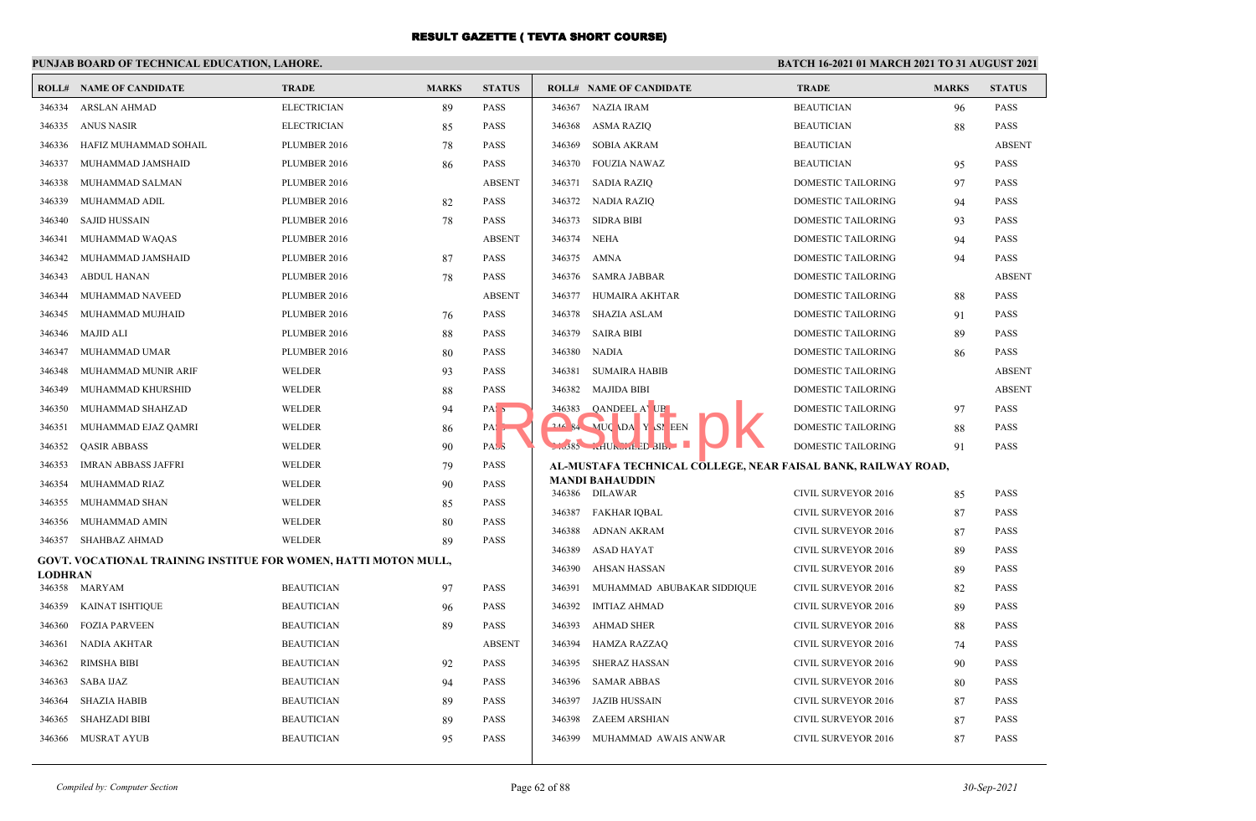#### **PUNJAB BOARD OF TECHNICAL EDUCATION, LAHORE. BATCH 16-2021 01 MARCH 2021 TO 31 AUGUST 2021 ROLL# NAME OF CANDIDATE TRADE MARKS STATUS ROLL# NAME OF CANDIDATE TRADE MARKS STATUS** 346334 ARSLAN AHMAD ELECTRICIAN 89 PASS 346335 ANUS NASIR ELECTRICIAN 85 PASS 346336 HAFIZ MUHAMMAD SOHAIL PLUMBER 2016 78 PASS 346337 MUHAMMAD JAMSHAID PLUMBER 2016 86 PASS 346338 MUHAMMAD SALMAN PLUMBER 2016 ABSENT 346339 MUHAMMAD ADIL PLUMBER 2016 82 PASS 346340 SAJID HUSSAIN PLUMBER 2016 78 PASS 346341 MUHAMMAD WAQAS PLUMBER 2016 ABSENT 346342 MUHAMMAD JAMSHAID PLUMBER 2016 87 PASS 346343 ABDUL HANAN PLUMBER 2016 78 PASS 346344 MUHAMMAD NAVEED PLUMBER 2016 ABSENT 346345 MUHAMMAD MUJHAID PLUMBER 2016 76 PASS 346346 MAJID ALI PLUMBER 2016 88 PASS 346347 MUHAMMAD UMAR PLUMBER 2016 80 PASS 346348 MUHAMMAD MUNIR ARIF WELDER 93 PASS 346349 MUHAMMAD KHURSHID WELDER 88 PASS 346350 MUHAMMAD SHAHZAD WELDER 94 PASS 346351 MUHAMMAD EJAZ QAMRI WELDER 86 PASS 346352 QASIR ABBASS WELDER 90 PASS 346353 IMRAN ABBASS JAFFRI WELDER 79 PASS 346354 MUHAMMAD RIAZ WELDER 90 PASS 346355 MUHAMMAD SHAN WELDER 85 PASS 346356 MUHAMMAD AMIN WELDER 80 PASS 346357 SHAHBAZ AHMAD WELDER 89 PASS **GOVT. VOCATIONAL TRAINING INSTITUE FOR WOMEN, HATTI MOTON MULL, LODHRAN** 346358 MARYAM BEAUTICIAN 97 PASS 346359 KAINAT ISHTIQUE BEAUTICIAN 96 PASS 346360 FOZIA PARVEEN BEAUTICIAN 89 PASS 346361 NADIA AKHTAR BEAUTICIAN ABSENT 346362 RIMSHA BIBI BEAUTICIAN 92 PASS 346363 SABA IJAZ BEAUTICIAN 94 PASS 346364 SHAZIA HABIB BEAUTICIAN 89 PASS 346365 SHAHZADI BIBI BEAUTICIAN 89 PASS 346366 MUSRAT AYUB BEAUTICIAN 95 PASS 346367 NAZIA IRAM BEAUTICIAN 96 PASS 346368 ASMA RAZIQ BEAUTICIAN 88 PASS 346369 SOBIA AKRAM BEAUTICIAN ABSENT 346370 FOUZIA NAWAZ BEAUTICIAN 95 PASS 346371 SADIA RAZIQ DOMESTIC TAILORING 97 PASS 346372 NADIA RAZIQ DOMESTIC TAILORING 94 PASS 346373 SIDRA BIBI DOMESTIC TAILORING 93 PASS 346374 NEHA DOMESTIC TAILORING 94 PASS 346375 AMNA DOMESTIC TAILORING 94 PASS 346376 SAMRA JABBAR DOMESTIC TAILORING ABSENT 346377 HUMAIRA AKHTAR DOMESTIC TAILORING 88 PASS 346378 SHAZIA ASLAM DOMESTIC TAILORING 91 PASS 346379 SAIRA BIBI DOMESTIC TAILORING 89 PASS 346380 NADIA DOMESTIC TAILORING 86 PASS 346381 SUMAIRA HABIB DOMESTIC TAILORING ABSENT 346382 MAJIDA BIBI DOMESTIC TAILORING ABSENT 346383 QANDEEL AYUB DOMESTIC TAILORING 97 PASS **346 BACK DAVIDA YASMEEN DOMESTIC TAILORING 88 PASS**  346385 KHURSHEED BIBI DOMESTIC TAILORING 91 PASS **AL-MUSTAFA TECHNICAL COLLEGE, NEAR FAISAL BANK, RAILWAY ROAD, MANDI BAHAUDDIN** 346386 DILAWAR CIVIL SURVEYOR 2016 85 PASS 346387 FAKHAR IQBAL CIVIL SURVEYOR 2016 87 PASS 346388 ADNAN AKRAM CIVIL SURVEYOR 2016 87 PASS 346389 ASAD HAYAT CIVIL SURVEYOR 2016 89 PASS 346390 AHSAN HASSAN CIVIL SURVEYOR 2016 89 PASS 346391 MUHAMMAD ABUBAKAR SIDDIQUE CIVIL SURVEYOR 2016 82 PASS 346392 IMTIAZ AHMAD CIVIL SURVEYOR 2016 89 PASS 346393 AHMAD SHER CIVIL SURVEYOR 2016 88 PASS 346394 HAMZA RAZZAQ CIVIL SURVEYOR 2016 74 PASS 346395 SHERAZ HASSAN CIVIL SURVEYOR 2016 90 PASS 346396 SAMAR ABBAS CIVIL SURVEYOR 2016 80 PASS 346397 JAZIB HUSSAIN CIVIL SURVEYOR 2016 87 PASS 346398 ZAEEM ARSHIAN CIVIL SURVEYOR 2016 87 PASS 346399 MUHAMMAD AWAIS ANWAR CIVIL SURVEYOR 2016 87 PASS 1. 346383 QANDEEL A UP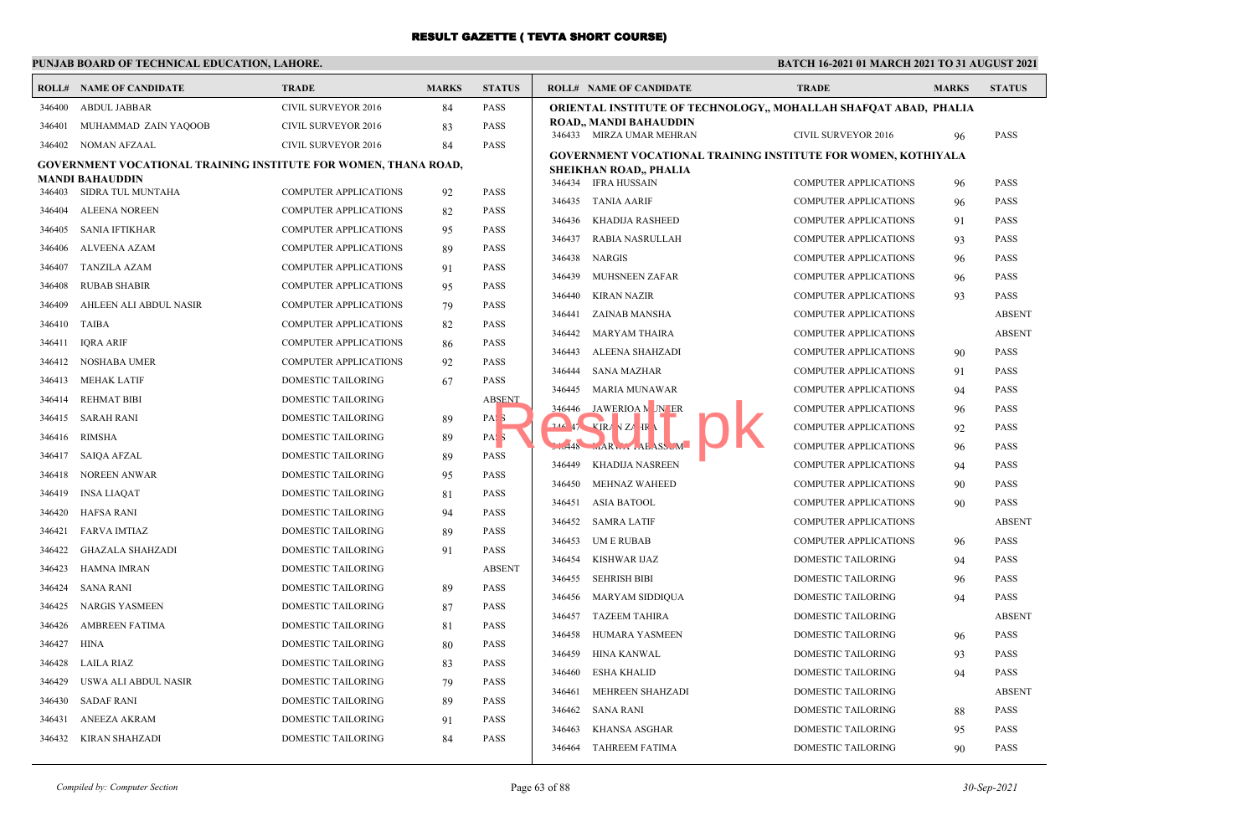## **PUNJAB BOARD OF TECHNICAL EDUCATION, LAHORE.**

|        | <b>ROLL# NAME OF CANDIDATE</b>                                         | <b>TRADE</b>                 | <b>MARKS</b> | <b>STATUS</b>    | <b>ROLL# NAME OF CANDIDATE</b>                                                                        | <b>TRADE</b>                 | <b>MARKS</b> | <b>STATUS</b> |
|--------|------------------------------------------------------------------------|------------------------------|--------------|------------------|-------------------------------------------------------------------------------------------------------|------------------------------|--------------|---------------|
| 346400 | <b>ABDUL JABBAR</b>                                                    | <b>CIVIL SURVEYOR 2016</b>   | 84           | <b>PASS</b>      | <b>ORIENTAL INSTITUTE OF TECHNOLOGY,, MOHALLAH SHAFQAT ABAD, PHALIA</b>                               |                              |              |               |
| 346401 | MUHAMMAD ZAIN YAQOOB                                                   | CIVIL SURVEYOR 2016          | 83           | PASS             | ROAD,, MANDI BAHAUDDIN<br>346433 MIRZA UMAR MEHRAN                                                    | CIVIL SURVEYOR 2016          |              | <b>PASS</b>   |
| 346402 | NOMAN AFZAAL                                                           | CIVIL SURVEYOR 2016          | 84           | PASS             |                                                                                                       |                              | 96           |               |
|        | <b>GOVERNMENT VOCATIONAL TRAINING INSTITUTE FOR WOMEN, THANA ROAD,</b> |                              |              |                  | <b>GOVERNMENT VOCATIONAL TRAINING INSTITUTE FOR WOMEN, KOTHIYALA</b><br><b>SHEIKHAN ROAD,, PHALIA</b> |                              |              |               |
|        | <b>MANDI BAHAUDDIN</b>                                                 |                              |              |                  | 346434 IFRA HUSSAIN                                                                                   | <b>COMPUTER APPLICATIONS</b> | 96           | <b>PASS</b>   |
|        | 346403 SIDRA TUL MUNTAHA                                               | <b>COMPUTER APPLICATIONS</b> | 92           | PASS             | 346435 TANIA AARIF                                                                                    | <b>COMPUTER APPLICATIONS</b> | 96           | <b>PASS</b>   |
| 346404 | <b>ALEENA NOREEN</b>                                                   | <b>COMPUTER APPLICATIONS</b> | 82           | <b>PASS</b>      | 346436<br><b>KHADIJA RASHEED</b>                                                                      | <b>COMPUTER APPLICATIONS</b> | 91           | <b>PASS</b>   |
| 346405 | <b>SANIA IFTIKHAR</b>                                                  | <b>COMPUTER APPLICATIONS</b> | 95           | PASS             | 346437<br><b>RABIA NASRULLAH</b>                                                                      | <b>COMPUTER APPLICATIONS</b> | 93           | <b>PASS</b>   |
| 346406 | <b>ALVEENA AZAM</b>                                                    | <b>COMPUTER APPLICATIONS</b> | 89           | <b>PASS</b>      | 346438<br><b>NARGIS</b>                                                                               | <b>COMPUTER APPLICATIONS</b> | 96           | <b>PASS</b>   |
| 346407 | TANZILA AZAM                                                           | <b>COMPUTER APPLICATIONS</b> | 91           | <b>PASS</b>      | 346439<br>MUHSNEEN ZAFAR                                                                              | <b>COMPUTER APPLICATIONS</b> | 96           | <b>PASS</b>   |
| 346408 | <b>RUBAB SHABIR</b>                                                    | <b>COMPUTER APPLICATIONS</b> | 95           | <b>PASS</b>      | <b>KIRAN NAZIR</b><br>346440                                                                          | <b>COMPUTER APPLICATIONS</b> | 93           | <b>PASS</b>   |
| 346409 | AHLEEN ALI ABDUL NASIR                                                 | <b>COMPUTER APPLICATIONS</b> | 79           | <b>PASS</b>      | ZAINAB MANSHA<br>346441                                                                               | <b>COMPUTER APPLICATIONS</b> |              | <b>ABSEN</b>  |
| 346410 | <b>TAIBA</b>                                                           | <b>COMPUTER APPLICATIONS</b> | 82           | <b>PASS</b>      | 346442<br><b>MARYAM THAIRA</b>                                                                        | <b>COMPUTER APPLICATIONS</b> |              | <b>ABSEN</b>  |
| 346411 | <b>IQRA ARIF</b>                                                       | <b>COMPUTER APPLICATIONS</b> | 86           | PASS             | 346443<br>ALEENA SHAHZADI                                                                             | <b>COMPUTER APPLICATIONS</b> | 90           | <b>PASS</b>   |
| 346412 | NOSHABA UMER                                                           | <b>COMPUTER APPLICATIONS</b> | 92           | <b>PASS</b>      | <b>SANA MAZHAR</b><br>346444                                                                          | <b>COMPUTER APPLICATIONS</b> | 91           | <b>PASS</b>   |
| 346413 | MEHAK LATIF                                                            | <b>DOMESTIC TAILORING</b>    | 67           | <b>PASS</b>      | 346445<br><b>MARIA MUNAWAR</b>                                                                        | <b>COMPUTER APPLICATIONS</b> | 94           | <b>PASS</b>   |
| 346414 | <b>REHMAT BIBI</b>                                                     | <b>DOMESTIC TAILORING</b>    |              | <b>ABSENT</b>    | JAWERIOA N JN ER<br>346446                                                                            | <b>COMPUTER APPLICATIONS</b> | 96           | <b>PASS</b>   |
| 346415 | SARAH RANI                                                             | <b>DOMESTIC TAILORING</b>    | 89           | PAS <sub>3</sub> | $246$ $47$ $\times$ IRA N ZA HR                                                                       | <b>COMPUTER APPLICATIONS</b> | 92           | <b>PASS</b>   |
| 346416 | <b>RIMSHA</b>                                                          | <b>DOMESTIC TAILORING</b>    | 89           | PAS <sub>5</sub> | IARW.<br>.448                                                                                         | <b>COMPUTER APPLICATIONS</b> | 96           | <b>PASS</b>   |
| 346417 | SAIQA AFZAL                                                            | <b>DOMESTIC TAILORING</b>    | 89           | <b>PASS</b>      | <b>KHADIJA NASREEN</b><br>346449                                                                      | <b>COMPUTER APPLICATIONS</b> | 94           | <b>PASS</b>   |
| 346418 | <b>NOREEN ANWAR</b>                                                    | <b>DOMESTIC TAILORING</b>    | 95           | <b>PASS</b>      | 346450<br><b>MEHNAZ WAHEED</b>                                                                        | <b>COMPUTER APPLICATIONS</b> |              | <b>PASS</b>   |
| 346419 | <b>INSA LIAQAT</b>                                                     | DOMESTIC TAILORING           | 81           | PASS             |                                                                                                       |                              | 90           |               |
| 346420 | HAFSA RANI                                                             | DOMESTIC TAILORING           | 94           | PASS             | 346451<br><b>ASIA BATOOL</b>                                                                          | <b>COMPUTER APPLICATIONS</b> | 90           | <b>PASS</b>   |
| 346421 | FARVA IMTIAZ                                                           | DOMESTIC TAILORING           | 89           | <b>PASS</b>      | 346452<br><b>SAMRA LATIF</b>                                                                          | <b>COMPUTER APPLICATIONS</b> |              | <b>ABSEN</b>  |
| 346422 | <b>GHAZALA SHAHZADI</b>                                                | DOMESTIC TAILORING           | 91           | PASS             | 346453<br><b>UMERUBAB</b>                                                                             | <b>COMPUTER APPLICATIONS</b> | 96           | <b>PASS</b>   |
| 346423 | <b>HAMNA IMRAN</b>                                                     | DOMESTIC TAILORING           |              | <b>ABSENT</b>    | 346454<br>KISHWAR IJAZ                                                                                | DOMESTIC TAILORING           | 94           | <b>PASS</b>   |
| 346424 | <b>SANA RANI</b>                                                       | DOMESTIC TAILORING           | 89           | PASS             | <b>SEHRISH BIBI</b><br>346455                                                                         | DOMESTIC TAILORING           | 96           | <b>PASS</b>   |
| 346425 | <b>NARGIS YASMEEN</b>                                                  | DOMESTIC TAILORING           | 87           | PASS             | 346456<br>MARYAM SIDDIQUA                                                                             | DOMESTIC TAILORING           | 94           | <b>PASS</b>   |
| 346426 | <b>AMBREEN FATIMA</b>                                                  | DOMESTIC TAILORING           | 81           | <b>PASS</b>      | 346457<br><b>TAZEEM TAHIRA</b>                                                                        | DOMESTIC TAILORING           |              | <b>ABSEN</b>  |
| 346427 | <b>HINA</b>                                                            | DOMESTIC TAILORING           | 80           | PASS             | 346458<br>HUMARA YASMEEN                                                                              | DOMESTIC TAILORING           | 96           | <b>PASS</b>   |
| 346428 | <b>LAILA RIAZ</b>                                                      | DOMESTIC TAILORING           | 83           | PASS             | 346459<br><b>HINA KANWAL</b>                                                                          | DOMESTIC TAILORING           | 93           | <b>PASS</b>   |
| 346429 | USWA ALI ABDUL NASIR                                                   | DOMESTIC TAILORING           | 79           | <b>PASS</b>      | 346460<br><b>ESHA KHALID</b>                                                                          | <b>DOMESTIC TAILORING</b>    | 94           | <b>PASS</b>   |
| 346430 | <b>SADAF RANI</b>                                                      | DOMESTIC TAILORING           | 89           | PASS             | 346461<br>MEHREEN SHAHZADI                                                                            | <b>DOMESTIC TAILORING</b>    |              | <b>ABSEN</b>  |
| 346431 | <b>ANEEZA AKRAM</b>                                                    | DOMESTIC TAILORING           | 91           | PASS             | 346462<br><b>SANA RANI</b>                                                                            | DOMESTIC TAILORING           | 88           | <b>PASS</b>   |
|        | 346432 KIRAN SHAHZADI                                                  | DOMESTIC TAILORING           | 84           | <b>PASS</b>      | <b>KHANSA ASGHAR</b><br>346463                                                                        | <b>DOMESTIC TAILORING</b>    | 95           | <b>PASS</b>   |
|        |                                                                        |                              |              |                  | 346464<br>TAHREEM FATIMA                                                                              | DOMESTIC TAILORING           | 90           | <b>PASS</b>   |

|            | SHEIKHAN KUAD,, PHALIA  |                              |    |               |
|------------|-------------------------|------------------------------|----|---------------|
| 346434     | <b>IFRA HUSSAIN</b>     | <b>COMPUTER APPLICATIONS</b> | 96 | PASS          |
| 346435     | <b>TANIA AARIF</b>      | <b>COMPUTER APPLICATIONS</b> | 96 | PASS          |
| 346436     | KHADIJA RASHEED         | <b>COMPUTER APPLICATIONS</b> | 91 | PASS          |
| 346437     | RABIA NASRULLAH         | <b>COMPUTER APPLICATIONS</b> | 93 | PASS          |
| 346438     | <b>NARGIS</b>           | <b>COMPUTER APPLICATIONS</b> | 96 | <b>PASS</b>   |
| 346439     | <b>MUHSNEEN ZAFAR</b>   | <b>COMPUTER APPLICATIONS</b> | 96 | PASS          |
| 346440     | <b>KIRAN NAZIR</b>      | <b>COMPUTER APPLICATIONS</b> | 93 | PASS          |
| 346441     | ZAINAB MANSHA           | <b>COMPUTER APPLICATIONS</b> |    | <b>ABSENT</b> |
| 346442     | <b>MARYAM THAIRA</b>    | <b>COMPUTER APPLICATIONS</b> |    | <b>ABSENT</b> |
| 346443     | ALEENA SHAHZADI         | <b>COMPUTER APPLICATIONS</b> | 90 | <b>PASS</b>   |
| 346444     | <b>SANA MAZHAR</b>      | <b>COMPUTER APPLICATIONS</b> | 91 | <b>PASS</b>   |
| 346445     | <b>MARIA MUNAWAR</b>    | <b>COMPUTER APPLICATIONS</b> | 94 | PASS          |
| 346446     | JAWERIOA N JN ER        | <b>COMPUTER APPLICATIONS</b> | 96 | <b>PASS</b>   |
| $246$ $47$ | <b>VIRA VZA IR</b>      | <b>COMPUTER APPLICATIONS</b> | 92 | PASS          |
| $-.448$    | MARW LAEASS M           | <b>COMPUTER APPLICATIONS</b> | 96 | PASS          |
| 346449     | <b>KHADIJA NASREEN</b>  | <b>COMPUTER APPLICATIONS</b> | 94 | <b>PASS</b>   |
| 346450     | <b>MEHNAZ WAHEED</b>    | <b>COMPUTER APPLICATIONS</b> | 90 | PASS          |
| 346451     | <b>ASIA BATOOL</b>      | <b>COMPUTER APPLICATIONS</b> | 90 | <b>PASS</b>   |
| 346452     | <b>SAMRA LATIF</b>      | <b>COMPUTER APPLICATIONS</b> |    | <b>ABSENT</b> |
| 346453     | <b>UMERUBAB</b>         | <b>COMPUTER APPLICATIONS</b> | 96 | <b>PASS</b>   |
| 346454     | <b>KISHWAR IJAZ</b>     | DOMESTIC TAILORING           | 94 | <b>PASS</b>   |
| 346455     | <b>SEHRISH BIBI</b>     | <b>DOMESTIC TAILORING</b>    | 96 | <b>PASS</b>   |
| 346456     | MARYAM SIDDIQUA         | DOMESTIC TAILORING           | 94 | PASS          |
| 346457     | <b>TAZEEM TAHIRA</b>    | DOMESTIC TAILORING           |    | <b>ABSENT</b> |
| 346458     | <b>HUMARA YASMEEN</b>   | <b>DOMESTIC TAILORING</b>    | 96 | <b>PASS</b>   |
| 346459     | <b>HINA KANWAL</b>      | <b>DOMESTIC TAILORING</b>    | 93 | PASS          |
| 346460     | <b>ESHA KHALID</b>      | <b>DOMESTIC TAILORING</b>    | 94 | <b>PASS</b>   |
| 346461     | <b>MEHREEN SHAHZADI</b> | <b>DOMESTIC TAILORING</b>    |    | <b>ABSENT</b> |
| 346462     | <b>SANA RANI</b>        | DOMESTIC TAILORING           | 88 | <b>PASS</b>   |
| 346463     | <b>KHANSA ASGHAR</b>    | DOMESTIC TAILORING           | 95 | <b>PASS</b>   |
| 346464     | <b>TAHREEM FATIMA</b>   | DOMESTIC TAILORING           | 90 | <b>PASS</b>   |
|            |                         |                              |    |               |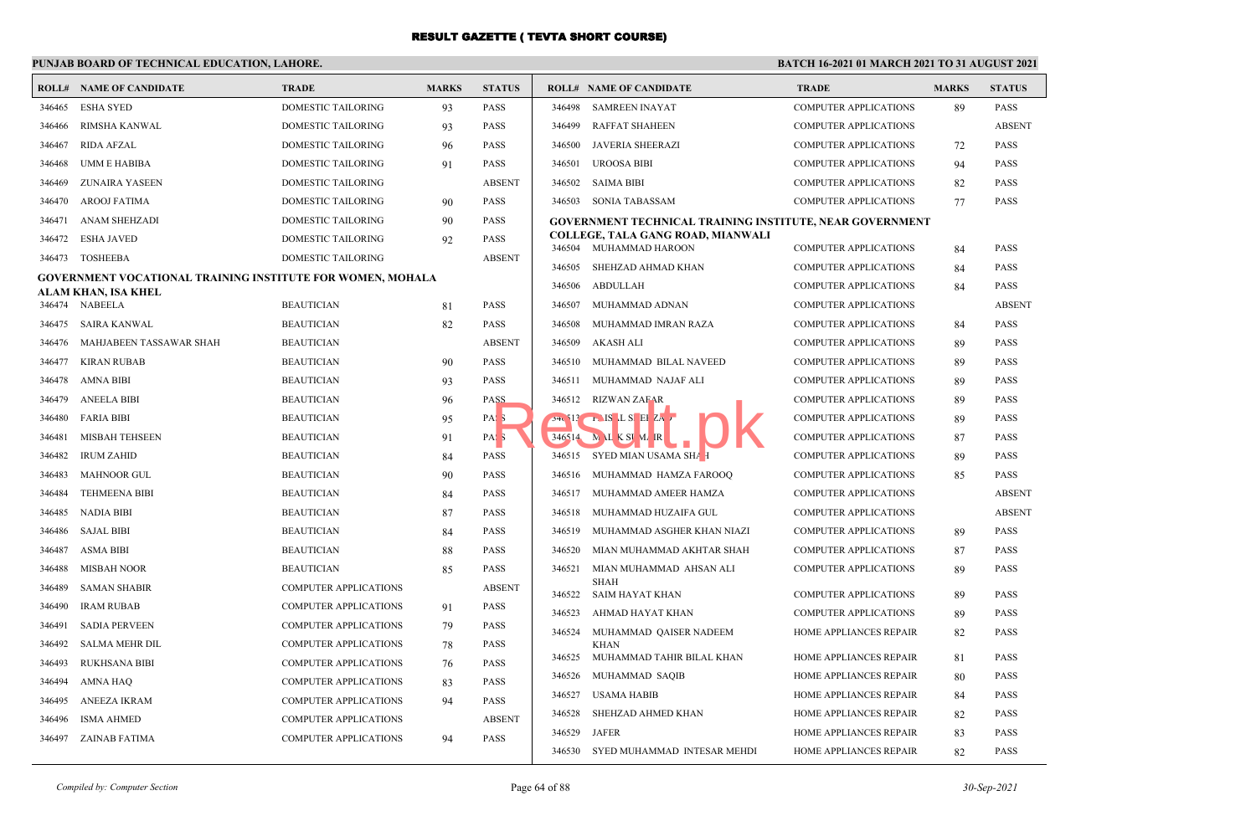### **PUNJAB BOARD OF TECHNICAL EDUCATION, LAHORE.**

| ROLL#  | <b>NAME OF CANDIDATE</b>                                          | <b>TRADE</b>                 | <b>MARKS</b> | <b>STATUS</b>    | $\mathbf{F}$ |
|--------|-------------------------------------------------------------------|------------------------------|--------------|------------------|--------------|
| 346465 | <b>ESHA SYED</b>                                                  | <b>DOMESTIC TAILORING</b>    | 93           | <b>PASS</b>      |              |
| 346466 | RIMSHA KANWAL                                                     | <b>DOMESTIC TAILORING</b>    | 93           | <b>PASS</b>      |              |
| 346467 | <b>RIDA AFZAL</b>                                                 | <b>DOMESTIC TAILORING</b>    | 96           | PASS             |              |
| 346468 | UMM E HABIBA                                                      | DOMESTIC TAILORING           | 91           | PASS             |              |
| 346469 | <b>ZUNAIRA YASEEN</b>                                             | DOMESTIC TAILORING           |              | <b>ABSENT</b>    |              |
| 346470 | <b>AROOJ FATIMA</b>                                               | <b>DOMESTIC TAILORING</b>    | 90           | PASS             |              |
| 346471 | <b>ANAM SHEHZADI</b>                                              | DOMESTIC TAILORING           | 90           | PASS             |              |
| 346472 | <b>ESHA JAVED</b>                                                 | DOMESTIC TAILORING           | 92           | PASS             |              |
| 346473 | <b>TOSHEEBA</b>                                                   | DOMESTIC TAILORING           |              | <b>ABSENT</b>    |              |
|        | <b>GOVERNMENT VOCATIONAL TRAINING INSTITUTE FOR WOMEN, MOHALA</b> |                              |              |                  |              |
|        | ALAM KHAN, ISA KHEL                                               |                              |              |                  |              |
| 346474 | <b>NABEELA</b>                                                    | <b>BEAUTICIAN</b>            | 81           | PASS             |              |
| 346475 | <b>SAIRA KANWAL</b>                                               | <b>BEAUTICIAN</b>            | 82           | <b>PASS</b>      |              |
| 346476 | MAHJABEEN TASSAWAR SHAH                                           | <b>BEAUTICIAN</b>            |              | <b>ABSENT</b>    |              |
| 346477 | <b>KIRAN RUBAB</b>                                                | <b>BEAUTICIAN</b>            | 90           | <b>PASS</b>      |              |
| 346478 | <b>AMNA BIBI</b>                                                  | <b>BEAUTICIAN</b>            | 93           | PASS             |              |
| 346479 | <b>ANEELA BIBI</b>                                                | <b>BEAUTICIAN</b>            | 96           | PASS             |              |
| 346480 | <b>FARIA BIBI</b>                                                 | <b>BEAUTICIAN</b>            | 95           | PAS <sub>3</sub> |              |
| 346481 | <b>MISBAH TEHSEEN</b>                                             | <b>BEAUTICIAN</b>            | 91           | PAS <sub>5</sub> |              |
| 346482 | <b>IRUM ZAHID</b>                                                 | <b>BEAUTICIAN</b>            | 84           | PASS             |              |
| 346483 | <b>MAHNOOR GUL</b>                                                | <b>BEAUTICIAN</b>            | 90           | <b>PASS</b>      |              |
| 346484 | <b>TEHMEENA BIBI</b>                                              | <b>BEAUTICIAN</b>            | 84           | <b>PASS</b>      |              |
| 346485 | NADIA BIBI                                                        | <b>BEAUTICIAN</b>            | 87           | <b>PASS</b>      |              |
| 346486 | <b>SAJAL BIBI</b>                                                 | <b>BEAUTICIAN</b>            | 84           | <b>PASS</b>      |              |
| 346487 | <b>ASMA BIBI</b>                                                  | <b>BEAUTICIAN</b>            | 88           | PASS             |              |
| 346488 | <b>MISBAH NOOR</b>                                                | <b>BEAUTICIAN</b>            | 85           | <b>PASS</b>      |              |
| 346489 | <b>SAMAN SHABIR</b>                                               | <b>COMPUTER APPLICATIONS</b> |              | <b>ABSENT</b>    |              |
| 346490 | <b>IRAM RUBAB</b>                                                 | COMPUTER APPLICATIONS        | 91           | <b>PASS</b>      |              |
| 346491 | <b>SADIA PERVEEN</b>                                              | <b>COMPUTER APPLICATIONS</b> | 79           | <b>PASS</b>      |              |
| 346492 | <b>SALMA MEHR DIL</b>                                             | COMPUTER APPLICATIONS        | 78           | <b>PASS</b>      |              |
| 346493 | RUKHSANA BIBI                                                     | COMPUTER APPLICATIONS        | 76           | <b>PASS</b>      |              |
| 346494 | <b>AMNA HAQ</b>                                                   | <b>COMPUTER APPLICATIONS</b> | 83           | PASS             |              |
| 346495 | ANEEZA IKRAM                                                      | COMPUTER APPLICATIONS        | 94           | <b>PASS</b>      |              |
| 346496 | <b>ISMA AHMED</b>                                                 | COMPUTER APPLICATIONS        |              | <b>ABSENT</b>    |              |
| 346497 | ZAINAB FATIMA                                                     | <b>COMPUTER APPLICATIONS</b> | 94           | <b>PASS</b>      |              |
|        |                                                                   |                              |              |                  |              |

|              |        |                                                                 |                               |    | <b>STATUS</b> |
|--------------|--------|-----------------------------------------------------------------|-------------------------------|----|---------------|
| <b>ASS</b>   | 346498 | <b>SAMREEN INAYAT</b>                                           | COMPUTER APPLICATIONS         | 89 | <b>PASS</b>   |
| <b>ASS</b>   | 346499 | <b>RAFFAT SHAHEEN</b>                                           | <b>COMPUTER APPLICATIONS</b>  |    | <b>ABSENT</b> |
| <b>ASS</b>   | 346500 | <b>JAVERIA SHEERAZI</b>                                         | <b>COMPUTER APPLICATIONS</b>  | 72 | <b>PASS</b>   |
| ١SS          | 346501 | <b>UROOSA BIBI</b>                                              | <b>COMPUTER APPLICATIONS</b>  | 94 | <b>PASS</b>   |
| <b>BSENT</b> | 346502 | <b>SAIMA BIBI</b>                                               | <b>COMPUTER APPLICATIONS</b>  | 82 | <b>PASS</b>   |
| ١SS          | 346503 | <b>SONIA TABASSAM</b>                                           | <b>COMPUTER APPLICATIONS</b>  | 77 | <b>PASS</b>   |
| <b>ASS</b>   |        | <b>GOVERNMENT TECHNICAL TRAINING INSTITUTE, NEAR GOVERNMENT</b> |                               |    |               |
| ١SS          | 346504 | COLLEGE, TALA GANG ROAD, MIANWALI<br>MUHAMMAD HAROON            | <b>COMPUTER APPLICATIONS</b>  | 84 | <b>PASS</b>   |
| BSENT        | 346505 | SHEHZAD AHMAD KHAN                                              | <b>COMPUTER APPLICATIONS</b>  | 84 | <b>PASS</b>   |
|              | 346506 | <b>ABDULLAH</b>                                                 | <b>COMPUTER APPLICATIONS</b>  | 84 | <b>PASS</b>   |
| <b>ASS</b>   | 346507 | MUHAMMAD ADNAN                                                  | <b>COMPUTER APPLICATIONS</b>  |    | <b>ABSENT</b> |
| <b>ASS</b>   | 346508 | MUHAMMAD IMRAN RAZA                                             | <b>COMPUTER APPLICATIONS</b>  | 84 | <b>PASS</b>   |
| BSENT        | 346509 | <b>AKASH ALI</b>                                                | <b>COMPUTER APPLICATIONS</b>  | 89 | <b>PASS</b>   |
| <b>ASS</b>   | 346510 | MUHAMMAD BILAL NAVEED                                           | <b>COMPUTER APPLICATIONS</b>  | 89 | <b>PASS</b>   |
| <b>ASS</b>   | 346511 | MUHAMMAD NAJAF ALI                                              | <b>COMPUTER APPLICATIONS</b>  | 89 | <b>PASS</b>   |
| 221          | 346512 | <b>RIZWAN ZAFAR</b>                                             | <b>COMPUTER APPLICATIONS</b>  | 89 | <b>PASS</b>   |
| AS S         |        | $54\sqrt{13}$ T IS L S EF ZA                                    | <b>COMPUTER APPLICATIONS</b>  | 89 | <b>PASS</b>   |
| AS S         | 346514 | MLKSIMR                                                         | <b>COMPUTER APPLICATIONS</b>  | 87 | <b>PASS</b>   |
| <b>ASS</b>   | 346515 | SYED MIAN USAMA SHA H                                           | <b>COMPUTER APPLICATIONS</b>  | 89 | <b>PASS</b>   |
| <b>ASS</b>   | 346516 | MUHAMMAD HAMZA FAROOQ                                           | <b>COMPUTER APPLICATIONS</b>  | 85 | <b>PASS</b>   |
| <b>ASS</b>   | 346517 | MUHAMMAD AMEER HAMZA                                            | <b>COMPUTER APPLICATIONS</b>  |    | <b>ABSENT</b> |
| <b>ASS</b>   | 346518 | MUHAMMAD HUZAIFA GUL                                            | <b>COMPUTER APPLICATIONS</b>  |    | <b>ABSENT</b> |
| <b>ASS</b>   | 346519 | MUHAMMAD ASGHER KHAN NIAZI                                      | <b>COMPUTER APPLICATIONS</b>  | 89 | <b>PASS</b>   |
| <b>ASS</b>   | 346520 | MIAN MUHAMMAD AKHTAR SHAH                                       | <b>COMPUTER APPLICATIONS</b>  | 87 | <b>PASS</b>   |
| <b>ASS</b>   | 346521 | MIAN MUHAMMAD AHSAN ALI                                         | <b>COMPUTER APPLICATIONS</b>  | 89 | <b>PASS</b>   |
| <b>BSENT</b> | 346522 | <b>SHAH</b><br><b>SAIM HAYAT KHAN</b>                           | <b>COMPUTER APPLICATIONS</b>  | 89 | <b>PASS</b>   |
| <b>ASS</b>   | 346523 | AHMAD HAYAT KHAN                                                | <b>COMPUTER APPLICATIONS</b>  | 89 | <b>PASS</b>   |
| <b>ASS</b>   | 346524 | MUHAMMAD QAISER NADEEM                                          | <b>HOME APPLIANCES REPAIR</b> | 82 | <b>PASS</b>   |
| <b>ASS</b>   |        | <b>KHAN</b>                                                     |                               |    |               |
| <b>ASS</b>   | 346525 | MUHAMMAD TAHIR BILAL KHAN                                       | HOME APPLIANCES REPAIR        | 81 | <b>PASS</b>   |
| <b>ASS</b>   | 346526 | MUHAMMAD SAQIB                                                  | HOME APPLIANCES REPAIR        | 80 | <b>PASS</b>   |
| <b>ASS</b>   | 346527 | <b>USAMA HABIB</b>                                              | HOME APPLIANCES REPAIR        | 84 | <b>PASS</b>   |
| BSENT        | 346528 | SHEHZAD AHMED KHAN                                              | HOME APPLIANCES REPAIR        | 82 | <b>PASS</b>   |
| <b>ASS</b>   | 346529 | <b>JAFER</b>                                                    | HOME APPLIANCES REPAIR        | 83 | <b>PASS</b>   |
|              | 346530 | SYED MUHAMMAD INTESAR MEHDI                                     | HOME APPLIANCES REPAIR        | 82 | <b>PASS</b>   |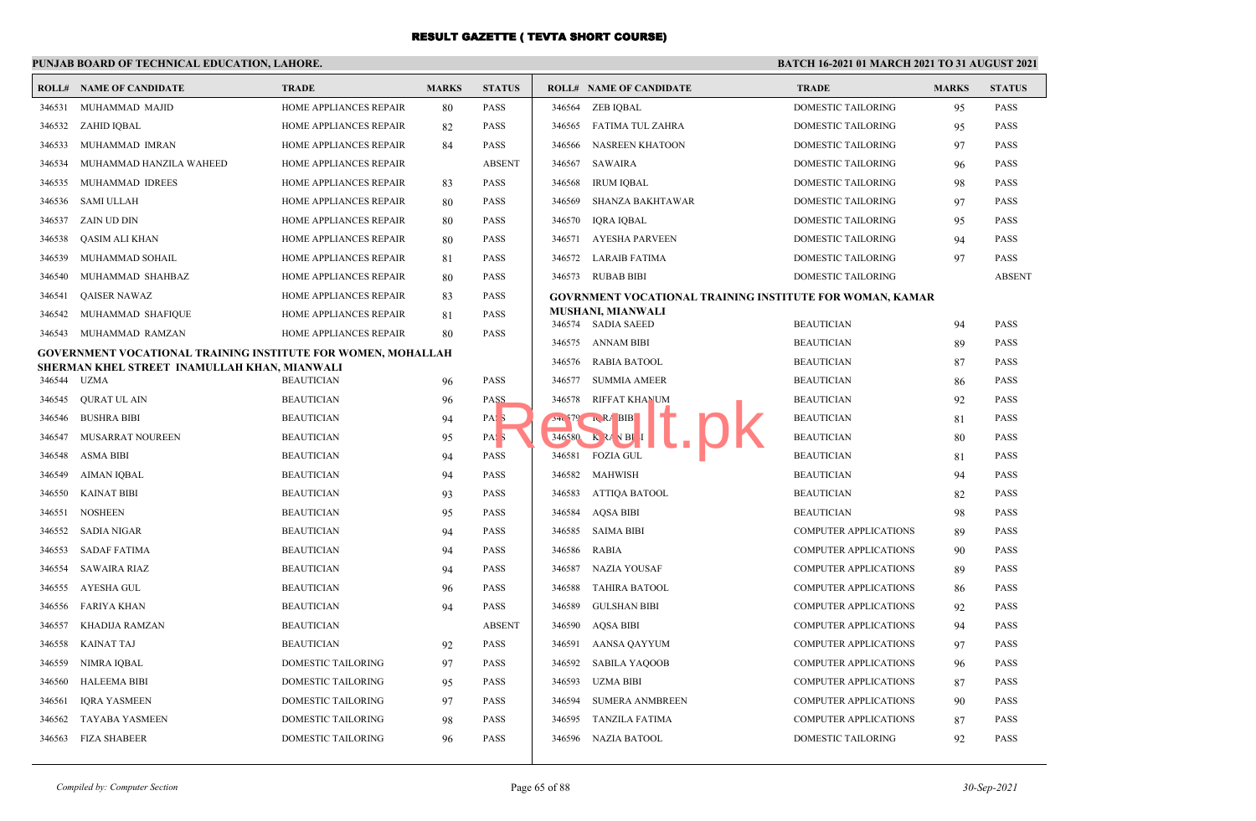## **PUNJAB BOARD OF TECHNICAL EDUCATION, LAHORE.**

| ROLL#  | NAME OF CANDIDATE                                            | <b>TRADE</b>              | <b>MARKS</b> | <b>STATUS</b>    |        | <b>ROLL# NAME OF CANDIDATE</b>                                  | <b>TRADE</b>                 | <b>MARKS</b> | <b>STATUS</b> |
|--------|--------------------------------------------------------------|---------------------------|--------------|------------------|--------|-----------------------------------------------------------------|------------------------------|--------------|---------------|
| 346531 | MUHAMMAD MAJID                                               | HOME APPLIANCES REPAIR    | 80           | <b>PASS</b>      |        | 346564 ZEB IQBAL                                                | DOMESTIC TAILORING           | 95           | <b>PASS</b>   |
| 346532 | ZAHID IQBAL                                                  | HOME APPLIANCES REPAIR    | 82           | <b>PASS</b>      |        | 346565 FATIMA TUL ZAHRA                                         | DOMESTIC TAILORING           | 95           | <b>PASS</b>   |
| 346533 | MUHAMMAD IMRAN                                               | HOME APPLIANCES REPAIR    | 84           | <b>PASS</b>      | 346566 | <b>NASREEN KHATOON</b>                                          | <b>DOMESTIC TAILORING</b>    | 97           | <b>PASS</b>   |
| 346534 | MUHAMMAD HANZILA WAHEED                                      | HOME APPLIANCES REPAIR    |              | <b>ABSENT</b>    | 346567 | <b>SAWAIRA</b>                                                  | DOMESTIC TAILORING           | 96           | <b>PASS</b>   |
| 346535 | MUHAMMAD IDREES                                              | HOME APPLIANCES REPAIR    | 83           | <b>PASS</b>      | 346568 | <b>IRUM IQBAL</b>                                               | DOMESTIC TAILORING           | 98           | <b>PASS</b>   |
| 346536 | <b>SAMI ULLAH</b>                                            | HOME APPLIANCES REPAIR    | 80           | <b>PASS</b>      | 346569 | SHANZA BAKHTAWAR                                                | <b>DOMESTIC TAILORING</b>    | 97           | <b>PASS</b>   |
| 346537 | ZAIN UD DIN                                                  | HOME APPLIANCES REPAIR    | 80           | <b>PASS</b>      | 346570 | IQRA IQBAL                                                      | <b>DOMESTIC TAILORING</b>    | 95           | <b>PASS</b>   |
| 346538 | QASIM ALI KHAN                                               | HOME APPLIANCES REPAIR    | 80           | <b>PASS</b>      | 346571 | AYESHA PARVEEN                                                  | DOMESTIC TAILORING           | 94           | <b>PASS</b>   |
| 346539 | MUHAMMAD SOHAIL                                              | HOME APPLIANCES REPAIR    | 81           | <b>PASS</b>      |        | 346572 LARAIB FATIMA                                            | DOMESTIC TAILORING           | 97           | <b>PASS</b>   |
| 346540 | MUHAMMAD SHAHBAZ                                             | HOME APPLIANCES REPAIR    | 80           | <b>PASS</b>      |        | 346573 RUBAB BIBI                                               | <b>DOMESTIC TAILORING</b>    |              | <b>ABSENT</b> |
| 346541 | <b>QAISER NAWAZ</b>                                          | HOME APPLIANCES REPAIR    | 83           | <b>PASS</b>      |        | <b>GOVRNMENT VOCATIONAL TRAINING INSTITUTE FOR WOMAN, KAMAR</b> |                              |              |               |
| 346542 | MUHAMMAD SHAFIQUE                                            | HOME APPLIANCES REPAIR    | 81           | <b>PASS</b>      |        | <b>MUSHANI, MIANWALI</b>                                        |                              |              |               |
| 346543 | MUHAMMAD RAMZAN                                              | HOME APPLIANCES REPAIR    | 80           | <b>PASS</b>      |        | 346574 SADIA SAEED                                              | <b>BEAUTICIAN</b>            | 94           | <b>PASS</b>   |
|        | GOVERNMENT VOCATIONAL TRAINING INSTITUTE FOR WOMEN, MOHALLAH |                           |              |                  |        | 346575 ANNAM BIBI                                               | <b>BEAUTICIAN</b>            | 89           | <b>PASS</b>   |
|        | SHERMAN KHEL STREET INAMULLAH KHAN, MIANWALI<br>UZMA         |                           |              |                  |        | 346576 RABIA BATOOL                                             | <b>BEAUTICIAN</b>            | 87           | <b>PASS</b>   |
| 346544 |                                                              | <b>BEAUTICIAN</b>         | 96           | PASS             | 346577 | SUMMIA AMEER                                                    | <b>BEAUTICIAN</b>            | 86           | PASS          |
| 346545 | <b>OURAT UL AIN</b>                                          | <b>BEAUTICIAN</b>         | 96           | PASS             | 346578 | RIFFAT KHANUM                                                   | <b>BEAUTICIAN</b>            | 92           | <b>PASS</b>   |
| 346546 | <b>BUSHRA BIBI</b>                                           | <b>BEAUTICIAN</b>         | 94           | PAS <sub>5</sub> |        | $34.579$ RA BIB<br>$346580$ K $2A$ V BI                         | <b>BEAUTICIAN</b>            | 81           | <b>PASS</b>   |
| 346547 | MUSARRAT NOUREEN                                             | <b>BEAUTICIAN</b>         | 95           | PAS <sub>5</sub> |        |                                                                 | <b>BEAUTICIAN</b>            | 80           | <b>PASS</b>   |
| 346548 | ASMA BIBI                                                    | <b>BEAUTICIAN</b>         | 94           | <b>PASS</b>      |        | 346581 FOZIA GUL                                                | <b>BEAUTICIAN</b>            | 81           | <b>PASS</b>   |
| 346549 | AIMAN IQBAL                                                  | <b>BEAUTICIAN</b>         | 94           | <b>PASS</b>      |        | 346582 MAHWISH                                                  | <b>BEAUTICIAN</b>            | 94           | <b>PASS</b>   |
| 346550 | <b>KAINAT BIBI</b>                                           | <b>BEAUTICIAN</b>         | 93           | <b>PASS</b>      | 346583 | ATTIQA BATOOL                                                   | <b>BEAUTICIAN</b>            | 82           | <b>PASS</b>   |
| 346551 | <b>NOSHEEN</b>                                               | <b>BEAUTICIAN</b>         | 95           | <b>PASS</b>      | 346584 | <b>AOSA BIBI</b>                                                | <b>BEAUTICIAN</b>            | 98           | <b>PASS</b>   |
| 346552 | SADIA NIGAR                                                  | <b>BEAUTICIAN</b>         | 94           | <b>PASS</b>      | 346585 | <b>SAIMA BIBI</b>                                               | <b>COMPUTER APPLICATIONS</b> | 89           | <b>PASS</b>   |
| 346553 | <b>SADAF FATIMA</b>                                          | <b>BEAUTICIAN</b>         | 94           | <b>PASS</b>      | 346586 | <b>RABIA</b>                                                    | COMPUTER APPLICATIONS        | 90           | <b>PASS</b>   |
| 346554 | <b>SAWAIRA RIAZ</b>                                          | <b>BEAUTICIAN</b>         | 94           | <b>PASS</b>      | 346587 | <b>NAZIA YOUSAF</b>                                             | <b>COMPUTER APPLICATIONS</b> | 89           | <b>PASS</b>   |
| 346555 | AYESHA GUL                                                   | <b>BEAUTICIAN</b>         | 96           | <b>PASS</b>      | 346588 | <b>TAHIRA BATOOL</b>                                            | <b>COMPUTER APPLICATIONS</b> | 86           | <b>PASS</b>   |
| 346556 | FARIYA KHAN                                                  | <b>BEAUTICIAN</b>         | 94           | <b>PASS</b>      | 346589 | <b>GULSHAN BIBI</b>                                             | COMPUTER APPLICATIONS        | 92           | <b>PASS</b>   |
| 346557 | KHADIJA RAMZAN                                               | <b>BEAUTICIAN</b>         |              | <b>ABSENT</b>    | 346590 | <b>AQSA BIBI</b>                                                | COMPUTER APPLICATIONS        | 94           | <b>PASS</b>   |
| 346558 | <b>KAINAT TAJ</b>                                            | <b>BEAUTICIAN</b>         | 92           | <b>PASS</b>      | 346591 | <b>AANSA OAYYUM</b>                                             | <b>COMPUTER APPLICATIONS</b> | 97           | <b>PASS</b>   |
| 346559 | NIMRA IOBAL                                                  | <b>DOMESTIC TAILORING</b> | 97           | <b>PASS</b>      | 346592 | <b>SABILA YAQOOB</b>                                            | <b>COMPUTER APPLICATIONS</b> | 96           | <b>PASS</b>   |
| 346560 | <b>HALEEMA BIBI</b>                                          | DOMESTIC TAILORING        | 95           | <b>PASS</b>      | 346593 | <b>UZMA BIBI</b>                                                | COMPUTER APPLICATIONS        | 87           | <b>PASS</b>   |
| 346561 | <b>IORA YASMEEN</b>                                          | <b>DOMESTIC TAILORING</b> | 97           | <b>PASS</b>      | 346594 | <b>SUMERA ANMBREEN</b>                                          | <b>COMPUTER APPLICATIONS</b> | 90           | <b>PASS</b>   |
| 346562 | <b>TAYABA YASMEEN</b>                                        | <b>DOMESTIC TAILORING</b> | 98           | <b>PASS</b>      | 346595 | <b>TANZILA FATIMA</b>                                           | <b>COMPUTER APPLICATIONS</b> | 87           | <b>PASS</b>   |
| 346563 | <b>FIZA SHABEER</b>                                          | DOMESTIC TAILORING        | 96           | <b>PASS</b>      | 346596 | <b>NAZIA BATOOL</b>                                             | DOMESTIC TAILORING           | 92           | <b>PASS</b>   |
|        |                                                              |                           |              |                  |        |                                                                 |                              |              |               |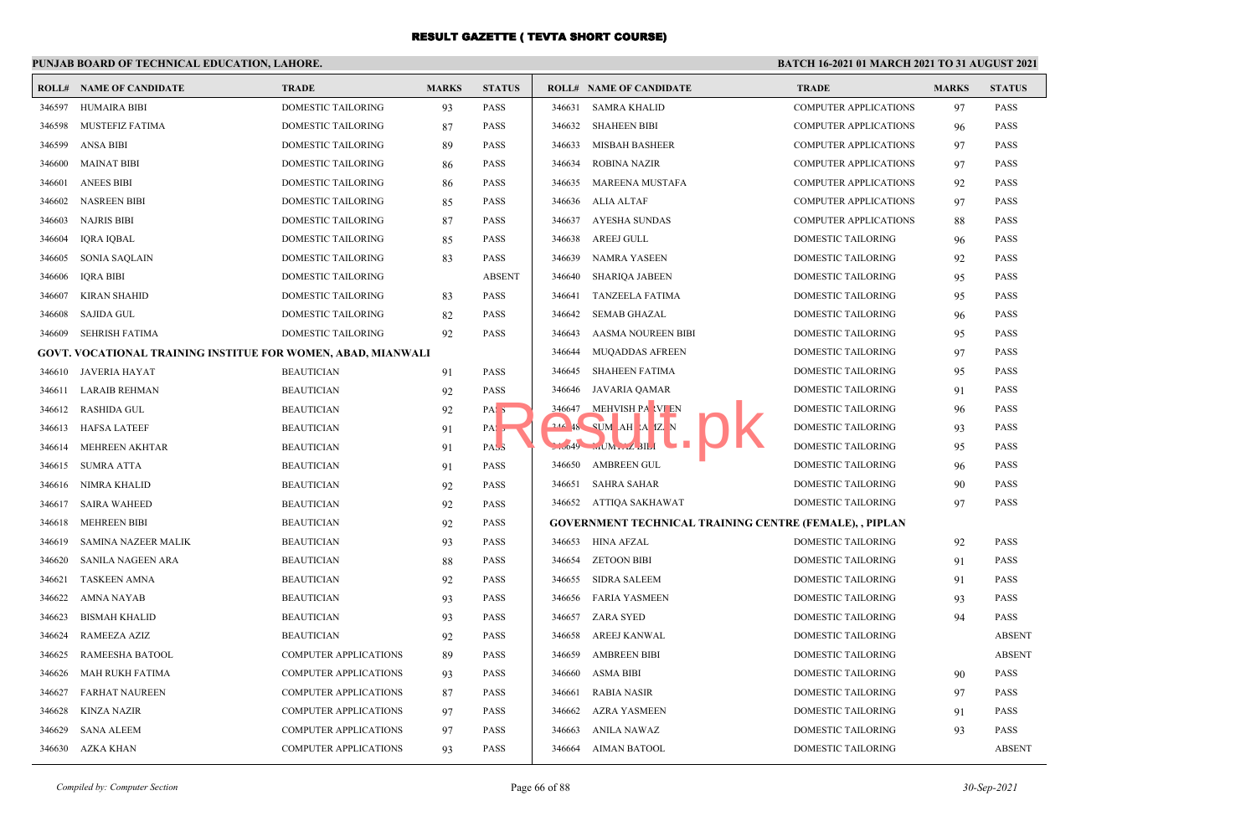## **PUNJAB BOARD OF TECHNICAL EDUCATION, LAHORE.**

|        | <b>ROLL# NAME OF CANDIDATE</b>                                      | <b>TRADE</b>                 | <b>MARKS</b> | <b>STATUS</b>    |        | <b>ROLL# NAME OF CANDIDATE</b>                                 | <b>TRADE</b>                 | <b>MARKS</b> | <b>STATUS</b> |
|--------|---------------------------------------------------------------------|------------------------------|--------------|------------------|--------|----------------------------------------------------------------|------------------------------|--------------|---------------|
| 346597 | <b>HUMAIRA BIBI</b>                                                 | <b>DOMESTIC TAILORING</b>    | 93           | <b>PASS</b>      | 346631 | <b>SAMRA KHALID</b>                                            | <b>COMPUTER APPLICATIONS</b> | 97           | <b>PASS</b>   |
| 346598 | MUSTEFIZ FATIMA                                                     | DOMESTIC TAILORING           | 87           | <b>PASS</b>      | 346632 | SHAHEEN BIBI                                                   | <b>COMPUTER APPLICATIONS</b> | 96           | <b>PASS</b>   |
| 346599 | <b>ANSA BIBI</b>                                                    | <b>DOMESTIC TAILORING</b>    | 89           | <b>PASS</b>      | 346633 | <b>MISBAH BASHEER</b>                                          | <b>COMPUTER APPLICATIONS</b> | 97           | <b>PASS</b>   |
| 346600 | <b>MAINAT BIBI</b>                                                  | DOMESTIC TAILORING           | 86           | PASS             | 346634 | <b>ROBINA NAZIR</b>                                            | <b>COMPUTER APPLICATIONS</b> | 97           | <b>PASS</b>   |
| 346601 | <b>ANEES BIBI</b>                                                   | DOMESTIC TAILORING           | 86           | <b>PASS</b>      | 346635 | MAREENA MUSTAFA                                                | <b>COMPUTER APPLICATIONS</b> | 92           | <b>PASS</b>   |
| 346602 | <b>NASREEN BIBI</b>                                                 | <b>DOMESTIC TAILORING</b>    | 85           | <b>PASS</b>      | 346636 | ALIA ALTAF                                                     | <b>COMPUTER APPLICATIONS</b> | 97           | <b>PASS</b>   |
| 346603 | <b>NAJRIS BIBI</b>                                                  | DOMESTIC TAILORING           | 87           | <b>PASS</b>      | 346637 | AYESHA SUNDAS                                                  | <b>COMPUTER APPLICATIONS</b> | 88           | <b>PASS</b>   |
| 346604 | <b>IQRA IQBAL</b>                                                   | DOMESTIC TAILORING           | 85           | <b>PASS</b>      | 346638 | AREEJ GULL                                                     | <b>DOMESTIC TAILORING</b>    | 96           | <b>PASS</b>   |
| 346605 | <b>SONIA SAQLAIN</b>                                                | DOMESTIC TAILORING           | 83           | <b>PASS</b>      | 346639 | NAMRA YASEEN                                                   | DOMESTIC TAILORING           | 92           | <b>PASS</b>   |
| 346606 | <b>IORA BIBI</b>                                                    | <b>DOMESTIC TAILORING</b>    |              | <b>ABSENT</b>    | 346640 | SHARIOA JABEEN                                                 | <b>DOMESTIC TAILORING</b>    | 95           | <b>PASS</b>   |
| 346607 | <b>KIRAN SHAHID</b>                                                 | DOMESTIC TAILORING           | 83           | <b>PASS</b>      | 346641 | TANZEELA FATIMA                                                | DOMESTIC TAILORING           | 95           | <b>PASS</b>   |
| 346608 | SAJIDA GUL                                                          | DOMESTIC TAILORING           | 82           | <b>PASS</b>      | 346642 | SEMAB GHAZAL                                                   | DOMESTIC TAILORING           | 96           | <b>PASS</b>   |
| 346609 | <b>SEHRISH FATIMA</b>                                               | DOMESTIC TAILORING           | 92           | <b>PASS</b>      | 346643 | AASMA NOUREEN BIBI                                             | DOMESTIC TAILORING           | 95           | <b>PASS</b>   |
|        | <b>GOVT. VOCATIONAL TRAINING INSTITUE FOR WOMEN, ABAD, MIANWALI</b> |                              |              |                  | 346644 | MUQADDAS AFREEN                                                | DOMESTIC TAILORING           | 97           | <b>PASS</b>   |
| 346610 | <b>JAVERIA HAYAT</b>                                                | <b>BEAUTICIAN</b>            | 91           | <b>PASS</b>      | 346645 | <b>SHAHEEN FATIMA</b>                                          | DOMESTIC TAILORING           | 95           | <b>PASS</b>   |
| 346611 | <b>LARAIB REHMAN</b>                                                | <b>BEAUTICIAN</b>            | 92           | <b>PASS</b>      | 346646 | JAVARIA QAMAR                                                  | DOMESTIC TAILORING           | 91           | <b>PASS</b>   |
| 346612 | <b>RASHIDA GUL</b>                                                  | <b>BEAUTICIAN</b>            | 92           | PAS <sub>3</sub> | 346647 | MEHVISH PA VI EN                                               | <b>DOMESTIC TAILORING</b>    | 96           | <b>PASS</b>   |
| 346613 | <b>HAFSA LATEEF</b>                                                 | <b>BEAUTICIAN</b>            | 91           | PA:              |        | 244 48 SUM AH A IZ N                                           | DOMESTIC TAILORING           | 93           | PASS          |
| 346614 | MEHREEN AKHTAR                                                      | <b>BEAUTICIAN</b>            | 91           | PAS <sub>3</sub> |        | <b>The State</b><br>$2.0049$ Mr. BIL                           | DOMESTIC TAILORING           | 95           | <b>PASS</b>   |
| 346615 | <b>SUMRA ATTA</b>                                                   | <b>BEAUTICIAN</b>            | 91           | <b>PASS</b>      | 346650 | <b>AMBREEN GUL</b>                                             | <b>DOMESTIC TAILORING</b>    | 96           | <b>PASS</b>   |
| 346616 | NIMRA KHALID                                                        | <b>BEAUTICIAN</b>            | 92           | <b>PASS</b>      | 346651 | SAHRA SAHAR                                                    | DOMESTIC TAILORING           | 90           | <b>PASS</b>   |
| 346617 | <b>SAIRA WAHEED</b>                                                 | <b>BEAUTICIAN</b>            | 92           | <b>PASS</b>      |        | 346652 ATTIQA SAKHAWAT                                         | <b>DOMESTIC TAILORING</b>    | 97           | <b>PASS</b>   |
| 346618 | <b>MEHREEN BIBI</b>                                                 | <b>BEAUTICIAN</b>            | 92           | <b>PASS</b>      |        | <b>GOVERNMENT TECHNICAL TRAINING CENTRE (FEMALE), , PIPLAN</b> |                              |              |               |
| 346619 | SAMINA NAZEER MALIK                                                 | <b>BEAUTICIAN</b>            | 93           | <b>PASS</b>      |        | 346653 HINA AFZAL                                              | DOMESTIC TAILORING           | 92           | <b>PASS</b>   |
| 346620 | <b>SANILA NAGEEN ARA</b>                                            | <b>BEAUTICIAN</b>            | 88           | <b>PASS</b>      | 346654 | <b>ZETOON BIBI</b>                                             | <b>DOMESTIC TAILORING</b>    | 91           | <b>PASS</b>   |
| 346621 | <b>TASKEEN AMNA</b>                                                 | <b>BEAUTICIAN</b>            | 92           | <b>PASS</b>      | 346655 | SIDRA SALEEM                                                   | DOMESTIC TAILORING           | 91           | <b>PASS</b>   |
| 346622 | AMNA NAYAB                                                          | <b>BEAUTICIAN</b>            | 93           | <b>PASS</b>      | 346656 | FARIA YASMEEN                                                  | DOMESTIC TAILORING           | 93           | <b>PASS</b>   |
| 346623 | <b>BISMAH KHALID</b>                                                | <b>BEAUTICIAN</b>            | 93           | <b>PASS</b>      | 346657 | ZARA SYED                                                      | DOMESTIC TAILORING           | 94           | <b>PASS</b>   |
| 346624 | RAMEEZA AZIZ                                                        | <b>BEAUTICIAN</b>            | 92           | <b>PASS</b>      | 346658 | AREEJ KANWAL                                                   | DOMESTIC TAILORING           |              | <b>ABSENT</b> |
| 346625 | RAMEESHA BATOOL                                                     | <b>COMPUTER APPLICATIONS</b> | 89           | PASS             | 346659 | <b>AMBREEN BIBI</b>                                            | DOMESTIC TAILORING           |              | <b>ABSENT</b> |
| 346626 | MAH RUKH FATIMA                                                     | <b>COMPUTER APPLICATIONS</b> | 93           | <b>PASS</b>      | 346660 | ASMA BIBI                                                      | DOMESTIC TAILORING           | 90           | <b>PASS</b>   |
| 346627 | <b>FARHAT NAUREEN</b>                                               | <b>COMPUTER APPLICATIONS</b> | 87           | <b>PASS</b>      | 346661 | <b>RABIA NASIR</b>                                             | <b>DOMESTIC TAILORING</b>    | 97           | <b>PASS</b>   |
| 346628 | <b>KINZA NAZIR</b>                                                  | <b>COMPUTER APPLICATIONS</b> | 97           | <b>PASS</b>      | 346662 | AZRA YASMEEN                                                   | DOMESTIC TAILORING           | 91           | <b>PASS</b>   |
| 346629 | <b>SANA ALEEM</b>                                                   | <b>COMPUTER APPLICATIONS</b> | 97           | <b>PASS</b>      | 346663 | <b>ANILA NAWAZ</b>                                             | DOMESTIC TAILORING           | 93           | <b>PASS</b>   |
| 346630 | AZKA KHAN                                                           | <b>COMPUTER APPLICATIONS</b> | 93           | <b>PASS</b>      | 346664 | AIMAN BATOOL                                                   | DOMESTIC TAILORING           |              | <b>ABSENT</b> |
|        |                                                                     |                              |              |                  |        |                                                                |                              |              |               |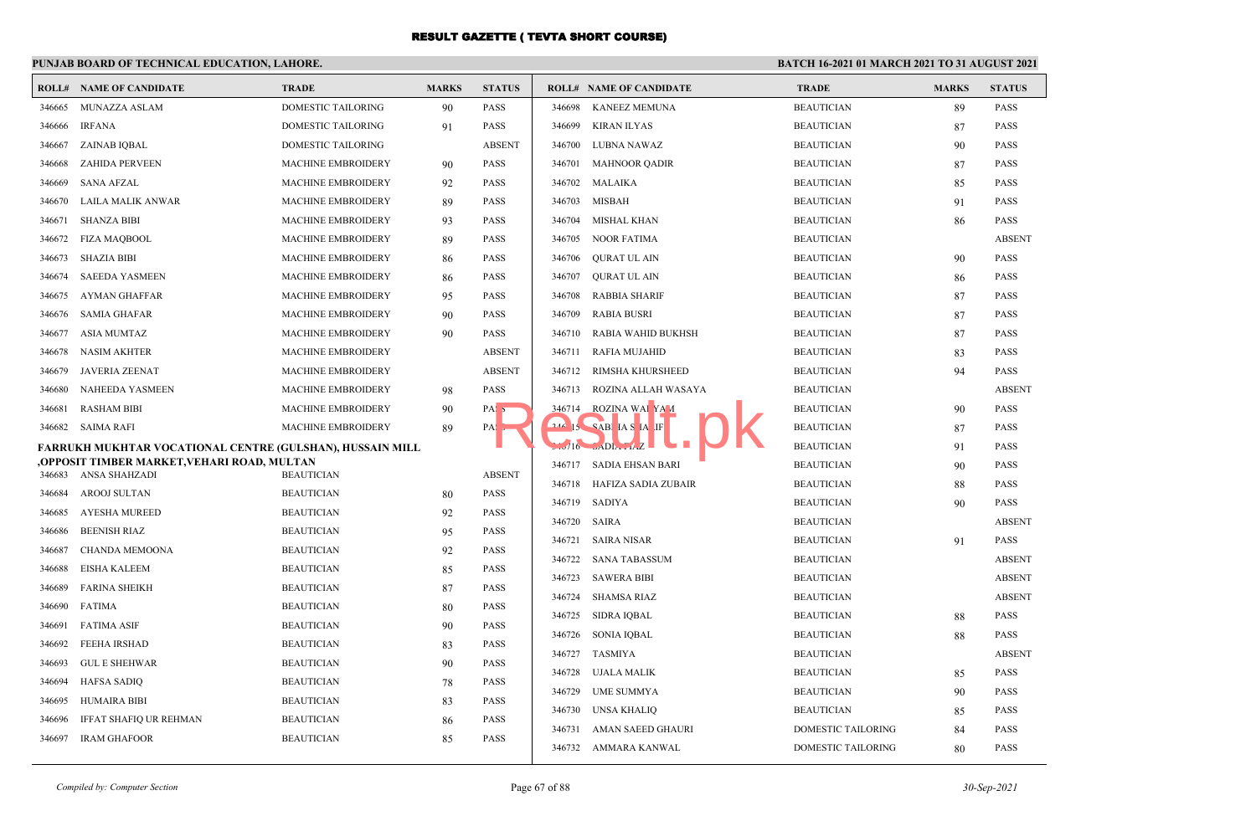#### **PUNJAB BOARD OF TECHNICAL EDUCATION, LAHORE. BATCH 16-2021 01 MARCH 2021 TO 31 AUGUST 2021 ROLL# NAME OF CANDIDATE TRADE MARKS STATUS ROLL# NAME OF CANDIDATE TRADE MARKS STATUS** 346665 MUNAZZA ASLAM DOMESTIC TAILORING 90 PASS 346666 IRFANA DOMESTIC TAILORING 91 PASS 346667 ZAINAB IQBAL DOMESTIC TAILORING ABSENT 346668 ZAHIDA PERVEEN MACHINE EMBROIDERY 90 PASS 346669 SANA AFZAL MACHINE EMBROIDERY 92 PASS 346670 LAILA MALIK ANWAR MACHINE EMBROIDERY 89 PASS 346671 SHANZA BIBI MACHINE EMBROIDERY 93 PASS 346672 FIZA MAQBOOL MACHINE EMBROIDERY 89 PASS 346673 SHAZIA BIBI MACHINE EMBROIDERY 86 PASS 346674 SAEEDA YASMEEN MACHINE EMBROIDERY 86 PASS 346675 AYMAN GHAFFAR MACHINE EMBROIDERY 95 PASS 346676 SAMIA GHAFAR MACHINE EMBROIDERY 90 PASS 346677 ASIA MUMTAZ MACHINE EMBROIDERY 90 PASS 346678 NASIM AKHTER MACHINE EMBROIDERY ABSENT 346679 JAVERIA ZEENAT MACHINE EMBROIDERY ABSENT 346680 NAHEEDA YASMEEN MACHINE EMBROIDERY 98 PASS 346681 RASHAM BIBI MACHINE EMBROIDERY 90 PASS 346682 SAIMA RAFI MACHINE EMBROIDERY 89 PASS **FARRUKH MUKHTAR VOCATIONAL CENTRE (GULSHAN), HUSSAIN MILL ,OPPOSIT TIMBER MARKET,VEHARI ROAD, MULTAN** 346683 ANSA SHAHZADI BEAUTICIAN ABSENT 346684 AROOJ SULTAN BEAUTICIAN BEAUTICIAN 80 PASS 346685 AYESHA MUREED BEAUTICIAN 92 PASS 346686 BEENISH RIAZ BEAUTICIAN 95 PASS 346687 CHANDA MEMOONA BEAUTICIAN 92 PASS 346688 EISHA KALEEM BEAUTICIAN 85 PASS 346689 FARINA SHEIKH BEAUTICIAN 87 PASS 346690 FATIMA BEAUTICIAN 80 PASS 346691 FATIMA ASIF BEAUTICIAN BEAUTICIAN 90 PASS 346692 FEEHA IRSHAD BEAUTICIAN 83 PASS 346693 GUL E SHEHWAR BEAUTICIAN 90 PASS 346694 HAFSA SADIQ BEAUTICIAN 78 PASS 346695 HUMAIRA BIBI BEAUTICIAN 83 PASS 346696 IFFAT SHAFIQ UR REHMAN BEAUTICIAN 86 PASS 346697 IRAM GHAFOOR BEAUTICIAN 85 PASS 346698 KANEEZ MEMUNA BEAUTICIAN 89 PASS 346699 KIRAN ILYAS BEAUTICIAN 87 PASS 346700 LUBNA NAWAZ BEAUTICIAN 90 PASS 346701 MAHNOOR QADIR BEAUTICIAN 87 PASS 346702 MALAIKA BEAUTICIAN 85 PASS 346703 MISBAH BEAUTICIAN 91 PASS 346704 MISHAL KHAN BEAUTICIAN 86 PASS 346705 NOOR FATIMA BEAUTICIAN ABSENT 346706 QURAT UL AIN BEAUTICIAN 90 PASS 346707 QURAT UL AIN BEAUTICIAN 86 PASS 346708 RABBIA SHARIF BEAUTICIAN 87 PASS 346709 RABIA BUSRI BEAUTICIAN 87 PASS 346710 RABIA WAHID BUKHSH BEAUTICIAN 87 PASS 346711 RAFIA MUJAHID BEAUTICIAN 83 PASS 346712 RIMSHA KHURSHEED BEAUTICIAN 94 PASS 346713 ROZINA ALLAH WASAYA BEAUTICIAN ABSENT 346714 ROZINA WAI YA A 346 IS SABIHA SHARIF BEAUTICIAN 87 PASS 346716 SADIA FIAZ BEAUTICIAN 91 PASS 346717 SADIA EHSAN BARI BEAUTICIAN 90 PASS 346718 HAFIZA SADIA ZUBAIR BEAUTICIAN 88 PASS 346719 SADIYA BEAUTICIAN 90 PASS 346720 SAIRA BEAUTICIAN ABSENT 346721 SAIRA NISAR BEAUTICIAN 91 PASS 346722 SANA TABASSUM BEAUTICIAN ABSENT 346723 SAWERA BIBI BEAUTICIAN ABSENT 346724 SHAMSA RIAZ BEAUTICIAN ABSENT 346725 SIDRA IQBAL BEAUTICIAN 88 PASS 346726 SONIA IQBAL BEAUTICIAN 88 PASS 346727 TASMIYA BEAUTICIAN ABSENT 346728 UJALA MALIK BEAUTICIAN 85 PASS 346729 UME SUMMYA BEAUTICIAN 90 PASS 346730 UNSA KHALIQ BEAUTICIAN 85 PASS 346731 AMAN SAEED GHAURI DOMESTIC TAILORING 84 PASS Result of the CAR RESULT AND THE CONTROLL OF THE CONTROLL OF THE CONTROLL OF THE CONTROLL OF THE CONTROLL OF THE CONTROLL OF THE CONTROLL OF THE CONTROLL OF THE CONTROLL OF THE CONTROLL OF THE CONTROLL OF THE CONTROLL OF T

346732 AMMARA KANWAL DOMESTIC TAILORING 80 PASS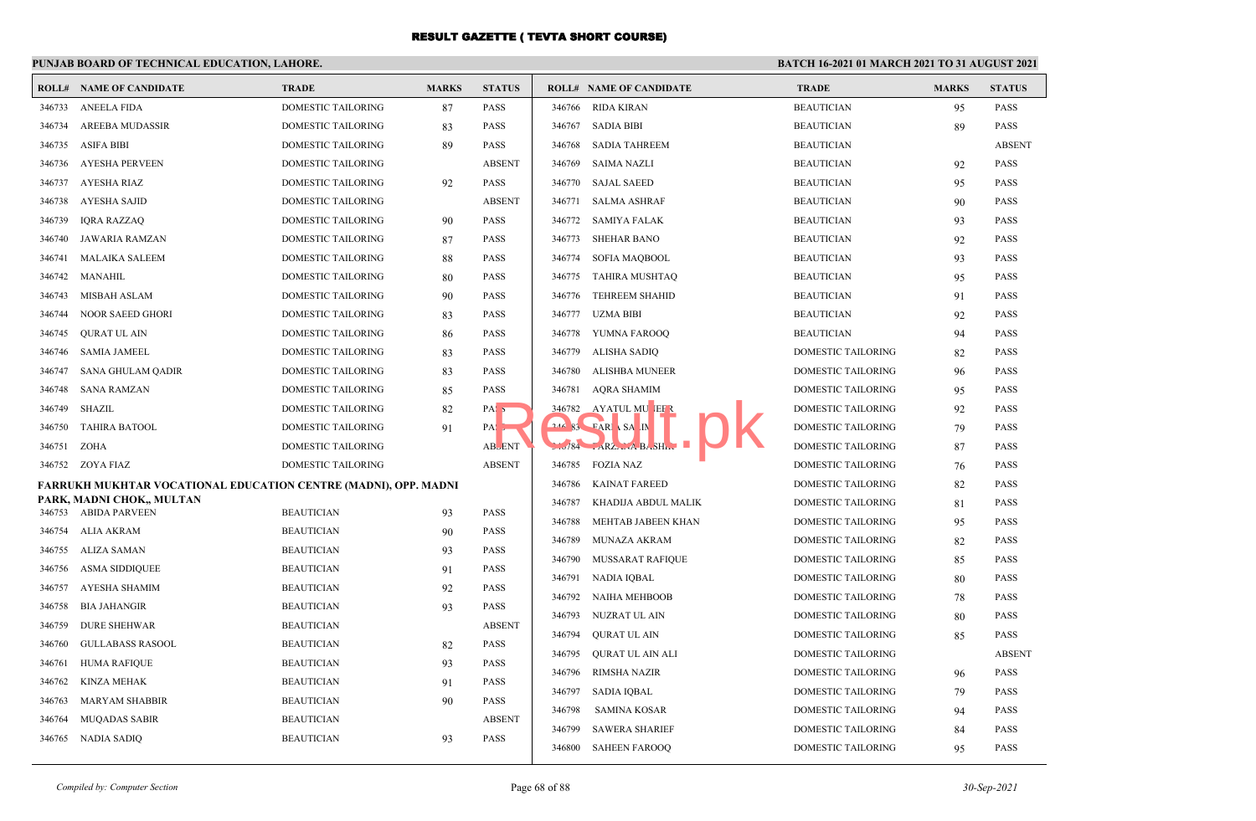#### **PUNJAB BOARD OF TECHNICAL EDUCATION, LAHORE. BATCH 16-2021 01 MARCH 2021 TO 31 AUGUST 2021 ROLL# NAME OF CANDIDATE TRADE MARKS STATUS ROLL# NAME OF CANDIDATE TRADE MARKS STATUS** 346733 ANEELA FIDA DOMESTIC TAILORING 87 PASS 346734 AREEBA MUDASSIR DOMESTIC TAILORING 83 PASS 346735 ASIFA BIBI DOMESTIC TAILORING 89 PASS 346736 AYESHA PERVEEN DOMESTIC TAILORING ABSENT 346737 AYESHA RIAZ DOMESTIC TAILORING 92 PASS 346738 AYESHA SAJID DOMESTIC TAILORING ABSENT 346739 IQRA RAZZAQ DOMESTIC TAILORING 90 PASS 346740 JAWARIA RAMZAN DOMESTIC TAILORING 87 PASS 346741 MALAIKA SALEEM DOMESTIC TAILORING 88 PASS 346742 MANAHIL DOMESTIC TAILORING 80 PASS 346743 MISBAH ASLAM DOMESTIC TAILORING 90 PASS 346744 NOOR SAEED GHORI DOMESTIC TAILORING 83 PASS 346745 QURAT UL AIN DOMESTIC TAILORING 86 PASS 346746 SAMIA JAMEEL DOMESTIC TAILORING 83 PASS 346747 SANA GHULAM QADIR DOMESTIC TAILORING 83 PASS 346748 SANA RAMZAN DOMESTIC TAILORING 85 PASS 346749 SHAZIL DOMESTIC TAILORING 82 PASS 346750 TAHIRA BATOOL DOMESTIC TAILORING 91 PASSES 346751 ZOHA DOMESTIC TAILORING ABSENT 346752 ZOYA FIAZ DOMESTIC TAILORING ABSENT **FARRUKH MUKHTAR VOCATIONAL EDUCATION CENTRE (MADNI), OPP. MADNI PARK, MADNI CHOK,, MULTAN** 346753 ABIDA PARVEEN BEAUTICIAN 93 PASS 346754 ALIA AKRAM BEAUTICIAN 90 PASS 346755 ALIZA SAMAN BEAUTICIAN 93 PASS 346756 ASMA SIDDIQUEE BEAUTICIAN 91 PASS 346757 AYESHA SHAMIM BEAUTICIAN 92 PASS 346758 BIA JAHANGIR BEAUTICIAN 93 PASS 346759 DURE SHEHWAR BEAUTICIAN ABSENT 346760 GULLABASS RASOOL BEAUTICIAN 82 PASS 346761 HUMA RAFIQUE BEAUTICIAN 93 PASS 346762 KINZA MEHAK BEAUTICIAN 91 PASS 346763 MARYAM SHABBIR BEAUTICIAN 90 PASS 346764 MUQADAS SABIR BEAUTICIAN ABSENT 346765 NADIA SADIQ BEAUTICIAN 93 PASS 346766 RIDA KIRAN BEAUTICIAN 95 PASS 346767 SADIA BIBI BEAUTICIAN 89 PASS 346768 SADIA TAHREEM BEAUTICIAN ABSENT 346769 SAIMA NAZLI BEAUTICIAN 92 PASS 346770 SAJAL SAEED BEAUTICIAN 95 PASS 346771 SALMA ASHRAF BEAUTICIAN 90 PASS 346772 SAMIYA FALAK BEAUTICIAN 93 PASS 346773 SHEHAR BANO BEAUTICIAN 92 PASS 346774 SOFIA MAQBOOL BEAUTICIAN 93 PASS 346775 TAHIRA MUSHTAQ BEAUTICIAN 95 PASS 346776 TEHREEM SHAHID BEAUTICIAN 91 PASS 346777 UZMA BIBI BEAUTICIAN 92 PASS 346778 YUMNA FAROOQ BEAUTICIAN 94 PASS 346779 ALISHA SADIQ DOMESTIC TAILORING 82 PASS 346780 ALISHBA MUNEER DOMESTIC TAILORING 96 PASS 346781 AQRA SHAMIM DOMESTIC TAILORING 95 PASS 346782 AYATUL MUNEER DOMESTIC TAILORING 92 PASS **346 83 FARIA SALIM DOMESTIC TAILORING 79 PASS** 3784 FARZANA BASHIR DOMESTIC TAILORING 87 PASS 346785 FOZIA NAZ **DOMESTIC TAILORING** 76 PASS 346786 KAINAT FAREED DOMESTIC TAILORING 82 PASS 346787 KHADIJA ABDUL MALIK DOMESTIC TAILORING 81 PASS 346788 MEHTAB JABEEN KHAN DOMESTIC TAILORING 95 PASS 346789 MUNAZA AKRAM DOMESTIC TAILORING 82 PASS 346790 MUSSARAT RAFIQUE DOMESTIC TAILORING 85 PASS 346791 NADIA IQBAL DOMESTIC TAILORING 80 PASS 346792 NAIHA MEHBOOB DOMESTIC TAILORING 78 PASS 346793 NUZRAT UL AIN DOMESTIC TAILORING 80 PASS 346794 QURAT UL AIN DOMESTIC TAILORING 85 PASS 346795 QURAT UL AIN ALI DOMESTIC TAILORING ABSENT 346796 RIMSHA NAZIR DOMESTIC TAILORING 96 PASS 346797 SADIA IQBAL DOMESTIC TAILORING 79 PASS 346798 SAMINA KOSAR DOMESTIC TAILORING 94 PASS 346799 SAWERA SHARIEF DOMESTIC TAILORING 84 PASS 346800 SAHEEN FAROOQ DOMESTIC TAILORING 95 PASS RESULT NEWSPAPER AND RESULT OF RESULT OF RESULT OF RESULT OF RESULT OF RESULT OF RESULT OF RESULT OF RESULT OF RESULT OF RESULT OF RESULT OF RESULT OF RESULT OF RESULT OF RESULT OF RESULT OF RESULT OF RESULT OF RESULT OF R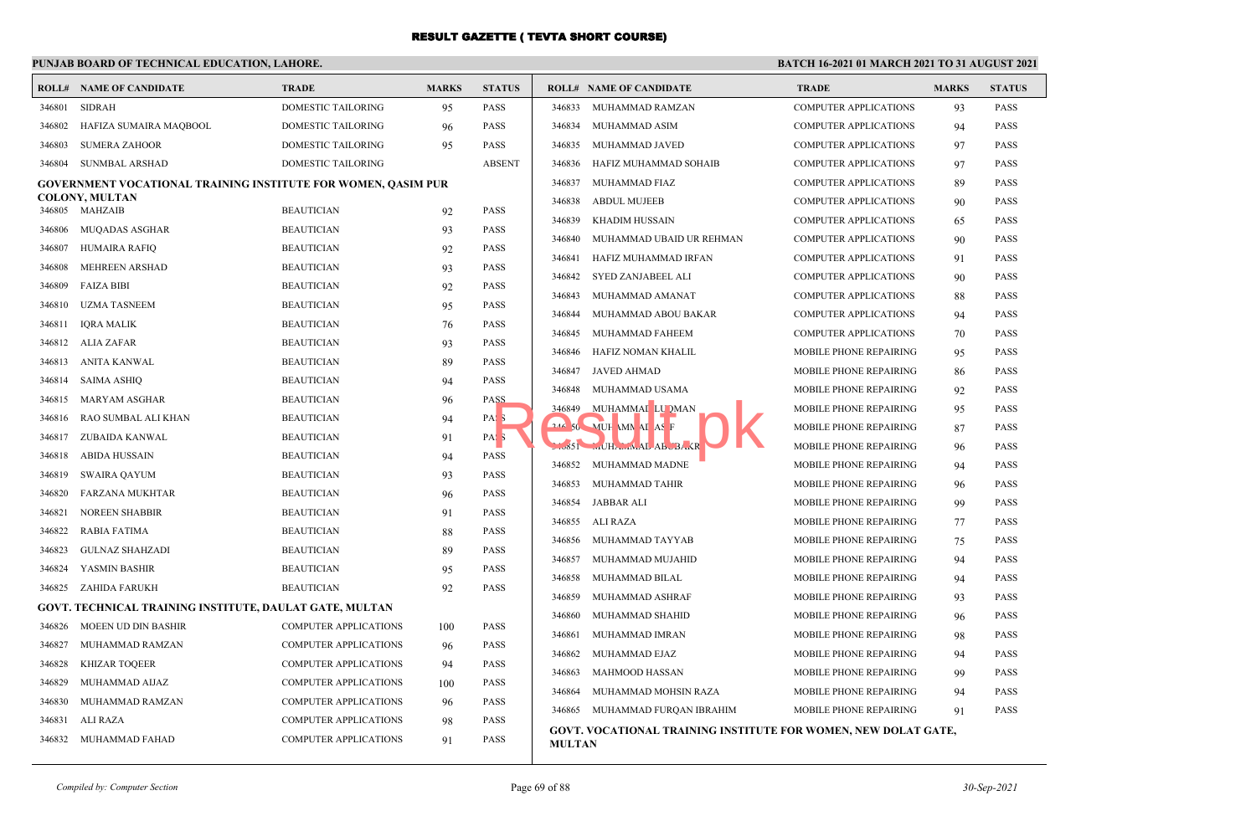## **PUNJAB BOARD OF TECHNICAL EDUCATION, LAHORE.**

|        | <b>ROLL# NAME OF CANDIDATE</b>                                | <b>TRADE</b>                 | <b>MARKS</b> | <b>STATUS</b>    | <b>ROLL# NAME OF CANDIDATE</b>  |                                | <b>TRADE</b>                                                          | <b>MARKS</b> | <b>STATUS</b> |
|--------|---------------------------------------------------------------|------------------------------|--------------|------------------|---------------------------------|--------------------------------|-----------------------------------------------------------------------|--------------|---------------|
| 346801 | <b>SIDRAH</b>                                                 | DOMESTIC TAILORING           | 95           | <b>PASS</b>      | 346833                          | MUHAMMAD RAMZAN                | COMPUTER APPLICATIONS                                                 | 93           | <b>PASS</b>   |
| 346802 | HAFIZA SUMAIRA MAQBOOL                                        | DOMESTIC TAILORING           | 96           | <b>PASS</b>      | 346834<br>MUHAMMAD ASIM         |                                | COMPUTER APPLICATIONS                                                 | 94           | <b>PASS</b>   |
| 346803 | <b>SUMERA ZAHOOR</b>                                          | DOMESTIC TAILORING           | 95           | <b>PASS</b>      | 346835<br>MUHAMMAD JAVED        |                                | <b>COMPUTER APPLICATIONS</b>                                          | 97           | <b>PASS</b>   |
| 346804 | <b>SUNMBAL ARSHAD</b>                                         | <b>DOMESTIC TAILORING</b>    |              | <b>ABSENT</b>    | 346836                          | HAFIZ MUHAMMAD SOHAIB          | <b>COMPUTER APPLICATIONS</b>                                          | 97           | <b>PASS</b>   |
|        | GOVERNMENT VOCATIONAL TRAINING INSTITUTE FOR WOMEN, QASIM PUR |                              |              |                  | 346837<br>MUHAMMAD FIAZ         |                                | <b>COMPUTER APPLICATIONS</b>                                          | 89           | <b>PASS</b>   |
|        | <b>COLONY, MULTAN</b>                                         |                              |              |                  | 346838<br><b>ABDUL MUJEEB</b>   |                                | <b>COMPUTER APPLICATIONS</b>                                          | 90           | <b>PASS</b>   |
| 346805 | MAHZAIB                                                       | <b>BEAUTICIAN</b>            | 92           | <b>PASS</b>      | 346839<br><b>KHADIM HUSSAIN</b> |                                | <b>COMPUTER APPLICATIONS</b>                                          | 65           | <b>PASS</b>   |
| 346806 | <b>MUQADAS ASGHAR</b>                                         | <b>BEAUTICIAN</b>            | 93           | <b>PASS</b>      | 346840                          | MUHAMMAD UBAID UR REHMAN       | <b>COMPUTER APPLICATIONS</b>                                          | 90           | <b>PASS</b>   |
| 346807 | <b>HUMAIRA RAFIQ</b>                                          | <b>BEAUTICIAN</b>            | 92           | <b>PASS</b>      | 346841                          | HAFIZ MUHAMMAD IRFAN           | COMPUTER APPLICATIONS                                                 | 91           | <b>PASS</b>   |
| 346808 | <b>MEHREEN ARSHAD</b>                                         | <b>BEAUTICIAN</b>            | 93           | <b>PASS</b>      | 346842<br>SYED ZANJABEEL ALI    |                                | <b>COMPUTER APPLICATIONS</b>                                          | 90           | <b>PASS</b>   |
| 346809 | <b>FAIZA BIBI</b>                                             | <b>BEAUTICIAN</b>            | 92           | <b>PASS</b>      | 346843<br>MUHAMMAD AMANAT       |                                | <b>COMPUTER APPLICATIONS</b>                                          | 88           | <b>PASS</b>   |
| 346810 | <b>UZMA TASNEEM</b>                                           | <b>BEAUTICIAN</b>            | 95           | <b>PASS</b>      | 346844                          | MUHAMMAD ABOU BAKAR            | <b>COMPUTER APPLICATIONS</b>                                          | 94           | <b>PASS</b>   |
| 346811 | <b>IQRA MALIK</b>                                             | <b>BEAUTICIAN</b>            | 76           | <b>PASS</b>      | 346845<br>MUHAMMAD FAHEEM       |                                | <b>COMPUTER APPLICATIONS</b>                                          | 70           | <b>PASS</b>   |
| 346812 | ALIA ZAFAR                                                    | <b>BEAUTICIAN</b>            | 93           | <b>PASS</b>      | 346846                          | HAFIZ NOMAN KHALIL             | MOBILE PHONE REPAIRING                                                | 95           | <b>PASS</b>   |
| 346813 | ANITA KANWAL                                                  | <b>BEAUTICIAN</b>            | 89           | <b>PASS</b>      | JAVED AHMAD<br>346847           |                                | MOBILE PHONE REPAIRING                                                | 86           | <b>PASS</b>   |
| 346814 | SAIMA ASHIQ                                                   | <b>BEAUTICIAN</b>            | 94           | <b>PASS</b>      | 346848<br>MUHAMMAD USAMA        |                                | MOBILE PHONE REPAIRING                                                | 92           | <b>PASS</b>   |
| 346815 | MARYAM ASGHAR                                                 | <b>BEAUTICIAN</b>            | 96           | <b>PASS</b>      | 346849 MUHAMMAI LU DMAN         |                                | MOBILE PHONE REPAIRING                                                |              | <b>PASS</b>   |
| 346816 | RAO SUMBAL ALI KHAN                                           | <b>BEAUTICIAN</b>            | 94           | PAS <sub>5</sub> | <b>244 50 MUH AMN AI AS F</b>   |                                |                                                                       | 95           |               |
| 346817 | ZUBAIDA KANWAL                                                | <b>BEAUTICIAN</b>            | 91           | PAS <sub>3</sub> |                                 |                                | MOBILE PHONE REPAIRING                                                | 87           | <b>PASS</b>   |
| 346818 | ABIDA HUSSAIN                                                 | <b>BEAUTICIAN</b>            | 94           | <b>PASS</b>      | .3651<br>MUHAMMAL ABUBAKR       |                                | MOBILE PHONE REPAIRING                                                | 96           | <b>PASS</b>   |
| 346819 | SWAIRA QAYUM                                                  | <b>BEAUTICIAN</b>            | 93           | <b>PASS</b>      | 346852 MUHAMMAD MADNE           |                                | MOBILE PHONE REPAIRING                                                | 94           | <b>PASS</b>   |
| 346820 | <b>FARZANA MUKHTAR</b>                                        | <b>BEAUTICIAN</b>            | 96           | <b>PASS</b>      | 346853 MUHAMMAD TAHIR           |                                | <b>MOBILE PHONE REPAIRING</b>                                         | 96           | <b>PASS</b>   |
| 346821 | <b>NOREEN SHABBIR</b>                                         | <b>BEAUTICIAN</b>            | 91           | PASS             | 346854<br>JABBAR ALI            |                                | MOBILE PHONE REPAIRING                                                | 99           | <b>PASS</b>   |
| 346822 | <b>RABIA FATIMA</b>                                           | <b>BEAUTICIAN</b>            | 88           | <b>PASS</b>      | 346855 ALI RAZA                 |                                | MOBILE PHONE REPAIRING                                                | 77           | <b>PASS</b>   |
| 346823 | <b>GULNAZ SHAHZADI</b>                                        | <b>BEAUTICIAN</b>            | 89           | <b>PASS</b>      | 346856<br>MUHAMMAD TAYYAB       |                                | MOBILE PHONE REPAIRING                                                | 75           | <b>PASS</b>   |
| 346824 | YASMIN BASHIR                                                 | <b>BEAUTICIAN</b>            | 95           | <b>PASS</b>      | 346857                          | MUHAMMAD MUJAHID               | MOBILE PHONE REPAIRING                                                | 94           | <b>PASS</b>   |
| 346825 | ZAHIDA FARUKH                                                 | <b>BEAUTICIAN</b>            | 92           | PASS             | 346858<br>MUHAMMAD BILAL        |                                | MOBILE PHONE REPAIRING                                                | 94           | <b>PASS</b>   |
|        | GOVT. TECHNICAL TRAINING INSTITUTE, DAULAT GATE, MULTAN       |                              |              |                  | 346859<br>MUHAMMAD ASHRAF       |                                | MOBILE PHONE REPAIRING                                                | 93           | <b>PASS</b>   |
| 346826 | MOEEN UD DIN BASHIR                                           | <b>COMPUTER APPLICATIONS</b> | 100          | <b>PASS</b>      | 346860<br>MUHAMMAD SHAHID       |                                | MOBILE PHONE REPAIRING                                                | 96           | <b>PASS</b>   |
| 346827 | MUHAMMAD RAMZAN                                               | <b>COMPUTER APPLICATIONS</b> |              | <b>PASS</b>      | 346861<br>MUHAMMAD IMRAN        |                                | MOBILE PHONE REPAIRING                                                | 98           | <b>PASS</b>   |
|        |                                                               | <b>COMPUTER APPLICATIONS</b> | 96           | <b>PASS</b>      | 346862<br>MUHAMMAD EJAZ         |                                | MOBILE PHONE REPAIRING                                                | 94           | <b>PASS</b>   |
| 346828 | <b>KHIZAR TOQEER</b>                                          |                              | 94           |                  | 346863<br><b>MAHMOOD HASSAN</b> |                                | MOBILE PHONE REPAIRING                                                | 99           | <b>PASS</b>   |
| 346829 | MUHAMMAD AIJAZ                                                | <b>COMPUTER APPLICATIONS</b> | 100          | <b>PASS</b>      | 346864                          | MUHAMMAD MOHSIN RAZA           | MOBILE PHONE REPAIRING                                                | 94           | <b>PASS</b>   |
| 346830 | MUHAMMAD RAMZAN                                               | <b>COMPUTER APPLICATIONS</b> | 96           | <b>PASS</b>      |                                 | 346865 MUHAMMAD FURQAN IBRAHIM | MOBILE PHONE REPAIRING                                                | 91           | <b>PASS</b>   |
| 346831 | ALI RAZA                                                      | <b>COMPUTER APPLICATIONS</b> | 98           | <b>PASS</b>      |                                 |                                | <b>GOVT. VOCATIONAL TRAINING INSTITUTE FOR WOMEN, NEW DOLAT GATE,</b> |              |               |
|        | 346832 MUHAMMAD FAHAD                                         | <b>COMPUTER APPLICATIONS</b> | 91           | PASS             | <b>MULTAN</b>                   |                                |                                                                       |              |               |

|         | <b>ROLL# NAME OF CANDIDATE</b> | <b>TRADE</b>                  | <b>MARKS</b> | <b>STATUS</b> |
|---------|--------------------------------|-------------------------------|--------------|---------------|
| 346833  | MUHAMMAD RAMZAN                | <b>COMPUTER APPLICATIONS</b>  | 93           | <b>PASS</b>   |
| 346834  | MUHAMMAD ASIM                  | <b>COMPUTER APPLICATIONS</b>  | 94           | <b>PASS</b>   |
| 346835  | MUHAMMAD JAVED                 | <b>COMPUTER APPLICATIONS</b>  | 97           | <b>PASS</b>   |
| 346836  | HAFIZ MUHAMMAD SOHAIB          | <b>COMPUTER APPLICATIONS</b>  | 97           | <b>PASS</b>   |
| 346837  | <b>MUHAMMAD FIAZ</b>           | <b>COMPUTER APPLICATIONS</b>  | 89           | <b>PASS</b>   |
| 346838  | <b>ABDUL MUJEEB</b>            | <b>COMPUTER APPLICATIONS</b>  | 90           | <b>PASS</b>   |
| 346839  | <b>KHADIM HUSSAIN</b>          | <b>COMPUTER APPLICATIONS</b>  | 65           | <b>PASS</b>   |
| 346840  | MUHAMMAD UBAID UR REHMAN       | <b>COMPUTER APPLICATIONS</b>  | 90           | <b>PASS</b>   |
| 346841  | HAFIZ MUHAMMAD IRFAN           | <b>COMPUTER APPLICATIONS</b>  | 91           | <b>PASS</b>   |
| 346842  | <b>SYED ZANJABEEL ALI</b>      | <b>COMPUTER APPLICATIONS</b>  | 90           | <b>PASS</b>   |
| 346843  | MUHAMMAD AMANAT                | <b>COMPUTER APPLICATIONS</b>  | 88           | <b>PASS</b>   |
| 346844  | MUHAMMAD ABOU BAKAR            | <b>COMPUTER APPLICATIONS</b>  | 94           | <b>PASS</b>   |
| 346845  | MUHAMMAD FAHEEM                | <b>COMPUTER APPLICATIONS</b>  | 70           | <b>PASS</b>   |
| 346846  | HAFIZ NOMAN KHALIL             | MOBILE PHONE REPAIRING        | 95           | <b>PASS</b>   |
| 346847  | <b>JAVED AHMAD</b>             | <b>MOBILE PHONE REPAIRING</b> | 86           | <b>PASS</b>   |
| 346848  | MUHAMMAD USAMA                 | MOBILE PHONE REPAIRING        | 92           | <b>PASS</b>   |
| 346849  | MUHAMMAI LU DMAN               | MOBILE PHONE REPAIRING        | 95           | <b>PASS</b>   |
| 246.50  | MUH MN AI AS F                 | MOBILE PHONE REPAIRING        | 87           | <b>PASS</b>   |
| $-6651$ | MUHAMMAL ABUBAKR               | MOBILE PHONE REPAIRING        | 96           | <b>PASS</b>   |
| 346852  | MUHAMMAD MADNE                 | MOBILE PHONE REPAIRING        | 94           | <b>PASS</b>   |
| 346853  | <b>MUHAMMAD TAHIR</b>          | MOBILE PHONE REPAIRING        | 96           | <b>PASS</b>   |
| 346854  | <b>JABBAR ALI</b>              | <b>MOBILE PHONE REPAIRING</b> | 99           | <b>PASS</b>   |
| 346855  | <b>ALI RAZA</b>                | <b>MOBILE PHONE REPAIRING</b> | 77           | <b>PASS</b>   |
| 346856  | MUHAMMAD TAYYAB                | <b>MOBILE PHONE REPAIRING</b> | 75           | <b>PASS</b>   |
| 346857  | MUHAMMAD MUJAHID               | <b>MOBILE PHONE REPAIRING</b> | 94           | <b>PASS</b>   |
| 346858  | MUHAMMAD BILAL                 | MOBILE PHONE REPAIRING        | 94           | <b>PASS</b>   |
| 346859  | MUHAMMAD ASHRAF                | MOBILE PHONE REPAIRING        | 93           | <b>PASS</b>   |
| 346860  | MUHAMMAD SHAHID                | MOBILE PHONE REPAIRING        | 96           | <b>PASS</b>   |
| 346861  | MUHAMMAD IMRAN                 | MOBILE PHONE REPAIRING        | 98           | <b>PASS</b>   |
| 346862  | MUHAMMAD EJAZ                  | <b>MOBILE PHONE REPAIRING</b> | 94           | <b>PASS</b>   |
| 346863  | <b>MAHMOOD HASSAN</b>          | <b>MOBILE PHONE REPAIRING</b> | 99           | <b>PASS</b>   |
| 346864  | MUHAMMAD MOHSIN RAZA           | <b>MOBILE PHONE REPAIRING</b> | 94           | PASS          |
| 346865  | MUHAMMAD FURQAN IBRAHIM        | MOBILE PHONE REPAIRING        | 91           | <b>PASS</b>   |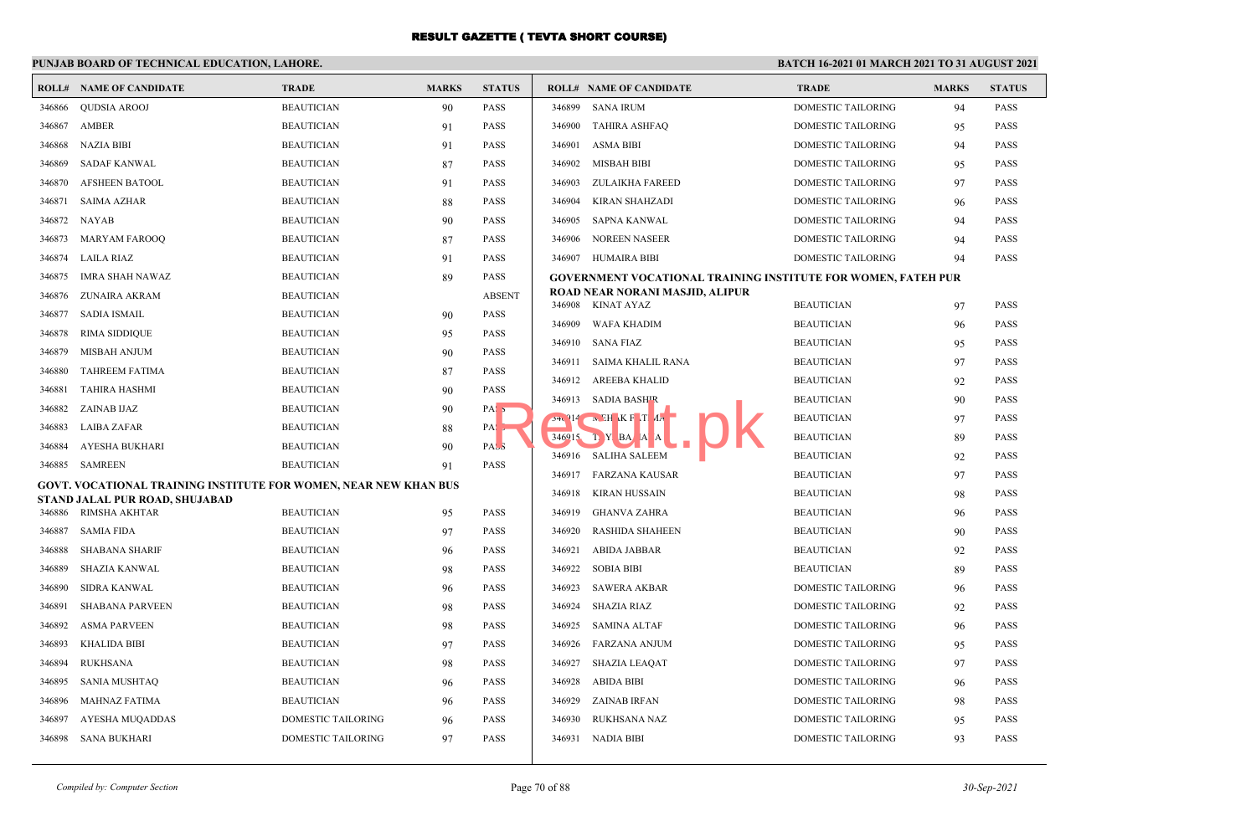|        | <b>ROLL# NAME OF CANDIDATE</b>                                          | <b>TRADE</b>       | <b>MARKS</b> | <b>STATUS</b>    |        | <b>ROLL# NAME OF CANDIDATE</b>                                       | <b>TRADE</b>                           | <b>MARKS</b> | <b>STATUS</b> |
|--------|-------------------------------------------------------------------------|--------------------|--------------|------------------|--------|----------------------------------------------------------------------|----------------------------------------|--------------|---------------|
| 346866 | <b>OUDSIA AROOJ</b>                                                     | <b>BEAUTICIAN</b>  | 90           | <b>PASS</b>      | 346899 | <b>SANA IRUM</b>                                                     | <b>DOMESTIC TAILORING</b>              | 94           | <b>PASS</b>   |
| 346867 | AMBER                                                                   | <b>BEAUTICIAN</b>  | 91           | <b>PASS</b>      | 346900 | <b>TAHIRA ASHFAQ</b>                                                 | DOMESTIC TAILORING                     | 95           | <b>PASS</b>   |
| 346868 | <b>NAZIA BIBI</b>                                                       | <b>BEAUTICIAN</b>  | 91           | <b>PASS</b>      | 346901 | <b>ASMA BIBI</b>                                                     | <b>DOMESTIC TAILORING</b>              | 94           | <b>PASS</b>   |
| 346869 | <b>SADAF KANWAL</b>                                                     | <b>BEAUTICIAN</b>  | 87           | <b>PASS</b>      | 346902 | <b>MISBAH BIBI</b>                                                   | <b>DOMESTIC TAILORING</b>              | 95           | <b>PASS</b>   |
| 346870 | <b>AFSHEEN BATOOL</b>                                                   | <b>BEAUTICIAN</b>  | 91           | <b>PASS</b>      | 346903 | <b>ZULAIKHA FAREED</b>                                               | <b>DOMESTIC TAILORING</b>              | 97           | <b>PASS</b>   |
| 346871 | SAIMA AZHAR                                                             | <b>BEAUTICIAN</b>  | 88           | <b>PASS</b>      | 346904 | KIRAN SHAHZADI                                                       | <b>DOMESTIC TAILORING</b>              | 96           | <b>PASS</b>   |
| 346872 | NAYAB                                                                   | <b>BEAUTICIAN</b>  | 90           | <b>PASS</b>      | 346905 | <b>SAPNA KANWAL</b>                                                  | <b>DOMESTIC TAILORING</b>              | 94           | <b>PASS</b>   |
| 346873 | <b>MARYAM FAROOQ</b>                                                    | <b>BEAUTICIAN</b>  | 87           | <b>PASS</b>      | 346906 | <b>NOREEN NASEER</b>                                                 | <b>DOMESTIC TAILORING</b>              | 94           | <b>PASS</b>   |
| 346874 | LAILA RIAZ                                                              | <b>BEAUTICIAN</b>  | 91           | <b>PASS</b>      | 346907 | <b>HUMAIRA BIBI</b>                                                  | <b>DOMESTIC TAILORING</b>              | 94           | <b>PASS</b>   |
| 346875 | <b>IMRA SHAH NAWAZ</b>                                                  | <b>BEAUTICIAN</b>  | 89           | <b>PASS</b>      |        | <b>GOVERNMENT VOCATIONAL TRAINING INSTITUTE FOR WOMEN, FATEH PUR</b> |                                        |              |               |
| 346876 | ZUNAIRA AKRAM                                                           | <b>BEAUTICIAN</b>  |              | <b>ABSENT</b>    |        | ROAD NEAR NORANI MASJID, ALIPUR<br>346908 KINAT AYAZ                 | <b>BEAUTICIAN</b>                      |              | <b>PASS</b>   |
| 346877 | <b>SADIA ISMAIL</b>                                                     | <b>BEAUTICIAN</b>  | 90           | <b>PASS</b>      | 346909 | WAFA KHADIM                                                          | <b>BEAUTICIAN</b>                      | 97           | <b>PASS</b>   |
| 346878 | <b>RIMA SIDDIQUE</b>                                                    | <b>BEAUTICIAN</b>  | 95           | <b>PASS</b>      | 346910 | SANA FIAZ                                                            | <b>BEAUTICIAN</b>                      | 96           | <b>PASS</b>   |
| 346879 | <b>MISBAH ANJUM</b>                                                     | <b>BEAUTICIAN</b>  | 90           | <b>PASS</b>      | 346911 | SAIMA KHALIL RANA                                                    | <b>BEAUTICIAN</b>                      | 95           | <b>PASS</b>   |
| 346880 | <b>TAHREEM FATIMA</b>                                                   | <b>BEAUTICIAN</b>  | 87           | <b>PASS</b>      |        | 346912 AREEBA KHALID                                                 | <b>BEAUTICIAN</b>                      | 97           | <b>PASS</b>   |
| 346881 | <b>TAHIRA HASHMI</b>                                                    | <b>BEAUTICIAN</b>  | 90           | <b>PASS</b>      |        | 346913 SADIA BASHIR                                                  |                                        | 92           | <b>PASS</b>   |
| 346882 | ZAINAB IJAZ                                                             | <b>BEAUTICIAN</b>  | 90           | PAS <sub>5</sub> |        | $54.914$ N EH K F T $4.7$                                            | <b>BEAUTICIAN</b><br><b>BEAUTICIAN</b> | 90           | <b>PASS</b>   |
| 346883 | LAIBA ZAFAR                                                             | <b>BEAUTICIAN</b>  | 88           | $PA:$ ,          |        | $346^{\circ}15$ T Y BA A A                                           | <b>BEAUTICIAN</b>                      | 97           | <b>PASS</b>   |
| 346884 | AYESHA BUKHARI                                                          | <b>BEAUTICIAN</b>  | 90           | PASS             | 346916 | <b>SALIHA SALEEM</b>                                                 | <b>BEAUTICIAN</b>                      | 89<br>92     | <b>PASS</b>   |
| 346885 | SAMREEN                                                                 | <b>BEAUTICIAN</b>  | 91           | <b>PASS</b>      |        | 346917 FARZANA KAUSAR                                                | <b>BEAUTICIAN</b>                      | 97           | <b>PASS</b>   |
|        | <b>GOVT. VOCATIONAL TRAINING INSTITUTE FOR WOMEN, NEAR NEW KHAN BUS</b> |                    |              |                  | 346918 | <b>KIRAN HUSSAIN</b>                                                 | <b>BEAUTICIAN</b>                      | 98           | <b>PASS</b>   |
| 346886 | STAND JALAL PUR ROAD, SHUJABAD<br><b>RIMSHA AKHTAR</b>                  | <b>BEAUTICIAN</b>  |              | <b>PASS</b>      | 346919 | <b>GHANVA ZAHRA</b>                                                  | <b>BEAUTICIAN</b>                      |              | <b>PASS</b>   |
| 346887 | <b>SAMIA FIDA</b>                                                       | <b>BEAUTICIAN</b>  | 95<br>97     | <b>PASS</b>      | 346920 | RASHIDA SHAHEEN                                                      | <b>BEAUTICIAN</b>                      | 96<br>90     | <b>PASS</b>   |
| 346888 | <b>SHABANA SHARIF</b>                                                   | <b>BEAUTICIAN</b>  | 96           | <b>PASS</b>      | 346921 | <b>ABIDA JABBAR</b>                                                  | <b>BEAUTICIAN</b>                      | 92           | <b>PASS</b>   |
| 346889 | <b>SHAZIA KANWAL</b>                                                    | <b>BEAUTICIAN</b>  | 98           | <b>PASS</b>      | 346922 | <b>SOBIA BIBI</b>                                                    | <b>BEAUTICIAN</b>                      | 89           | <b>PASS</b>   |
| 346890 | <b>SIDRA KANWAL</b>                                                     | <b>BEAUTICIAN</b>  | 96           | <b>PASS</b>      | 346923 | <b>SAWERA AKBAR</b>                                                  | <b>DOMESTIC TAILORING</b>              | 96           | <b>PASS</b>   |
| 346891 | <b>SHABANA PARVEEN</b>                                                  | <b>BEAUTICIAN</b>  | 98           | <b>PASS</b>      | 346924 | <b>SHAZIA RIAZ</b>                                                   | <b>DOMESTIC TAILORING</b>              | 92           | <b>PASS</b>   |
| 346892 | <b>ASMA PARVEEN</b>                                                     | <b>BEAUTICIAN</b>  | 98           | <b>PASS</b>      | 346925 | SAMINA ALTAF                                                         | <b>DOMESTIC TAILORING</b>              | 96           | <b>PASS</b>   |
| 346893 | <b>KHALIDA BIBI</b>                                                     | <b>BEAUTICIAN</b>  | 97           | <b>PASS</b>      | 346926 | <b>FARZANA ANJUM</b>                                                 | <b>DOMESTIC TAILORING</b>              | 95           | <b>PASS</b>   |
| 346894 | <b>RUKHSANA</b>                                                         | <b>BEAUTICIAN</b>  | 98           | <b>PASS</b>      | 346927 | <b>SHAZIA LEAQAT</b>                                                 | <b>DOMESTIC TAILORING</b>              | 97           | <b>PASS</b>   |
| 346895 | <b>SANIA MUSHTAQ</b>                                                    | <b>BEAUTICIAN</b>  |              | <b>PASS</b>      | 346928 | <b>ABIDA BIBI</b>                                                    | <b>DOMESTIC TAILORING</b>              |              | <b>PASS</b>   |
| 346896 | <b>MAHNAZ FATIMA</b>                                                    | <b>BEAUTICIAN</b>  | 96           | <b>PASS</b>      | 346929 | <b>ZAINAB IRFAN</b>                                                  | <b>DOMESTIC TAILORING</b>              | 96           | <b>PASS</b>   |
| 346897 | AYESHA MUQADDAS                                                         | DOMESTIC TAILORING | 96           | <b>PASS</b>      | 346930 | RUKHSANA NAZ                                                         | <b>DOMESTIC TAILORING</b>              | 98           | <b>PASS</b>   |
|        |                                                                         |                    | 96           | <b>PASS</b>      |        |                                                                      |                                        | 95           |               |
| 346898 | SANA BUKHARI                                                            | DOMESTIC TAILORING | 97           |                  | 346931 | NADIA BIBI                                                           | DOMESTIC TAILORING                     | 93           | <b>PASS</b>   |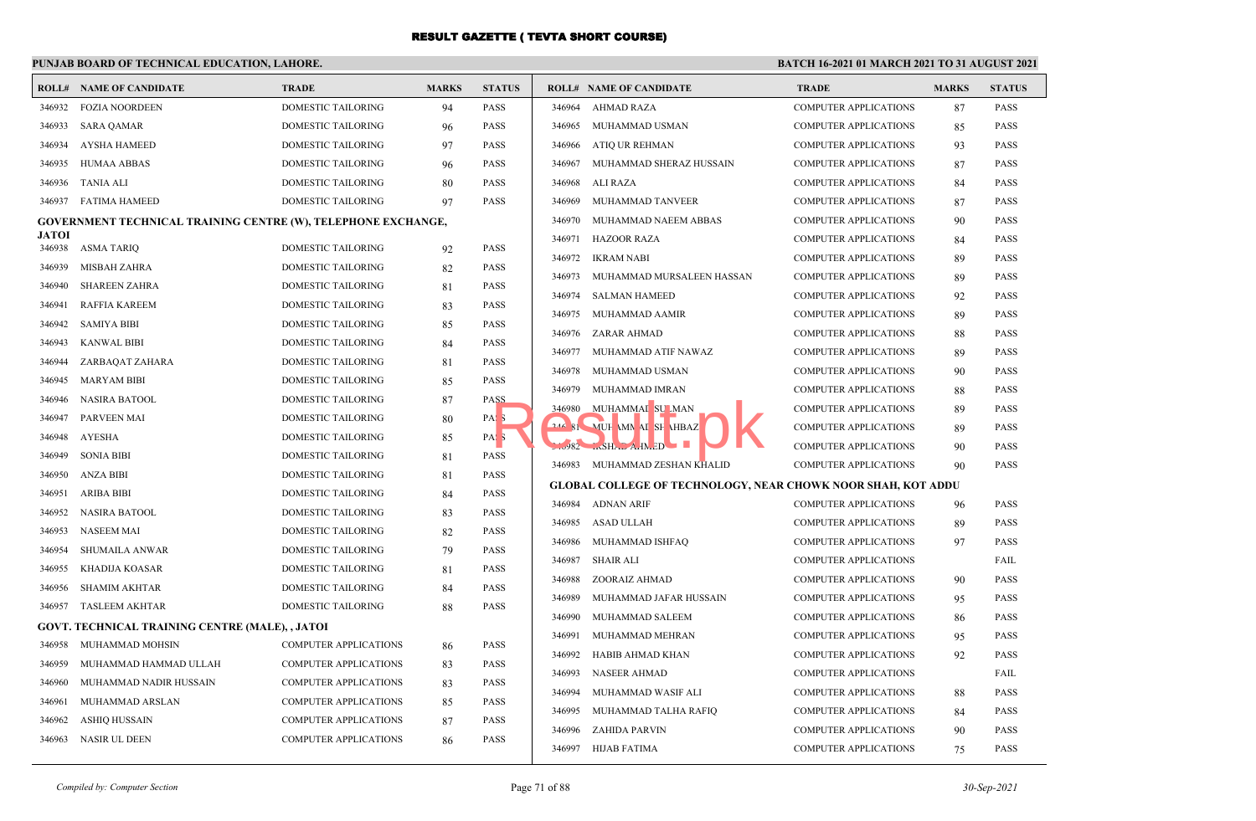## **PUNJAB BOARD OF TECHNICAL EDUCATION, LAHORE.**

|                        | <b>ROLL# NAME OF CANDIDATE</b>                                | <b>TRADE</b>                             | <b>MARKS</b> | <b>STATUS</b>                   |        | <b>ROLL# NAME OF CANDIDATE</b>                                      | <b>TRADE</b>                 | <b>MARKS</b> | <b>STATUS</b> |
|------------------------|---------------------------------------------------------------|------------------------------------------|--------------|---------------------------------|--------|---------------------------------------------------------------------|------------------------------|--------------|---------------|
| 346932                 | <b>FOZIA NOORDEEN</b>                                         | <b>DOMESTIC TAILORING</b>                | 94           | <b>PASS</b>                     | 346964 | AHMAD RAZA                                                          | <b>COMPUTER APPLICATIONS</b> | 87           | <b>PASS</b>   |
| 346933                 | <b>SARA QAMAR</b>                                             | DOMESTIC TAILORING                       | 96           | <b>PASS</b>                     | 346965 | MUHAMMAD USMAN                                                      | <b>COMPUTER APPLICATIONS</b> | 85           | <b>PASS</b>   |
| 346934                 | <b>AYSHA HAMEED</b>                                           | DOMESTIC TAILORING                       | 97           | <b>PASS</b>                     |        | 346966 ATIQ UR REHMAN                                               | <b>COMPUTER APPLICATIONS</b> | 93           | <b>PASS</b>   |
| 346935                 | HUMAA ABBAS                                                   | DOMESTIC TAILORING                       | 96           | <b>PASS</b>                     | 346967 | MUHAMMAD SHERAZ HUSSAIN                                             | <b>COMPUTER APPLICATIONS</b> | 87           | <b>PASS</b>   |
| 346936                 | TANIA ALI                                                     | DOMESTIC TAILORING                       | 80           | <b>PASS</b>                     | 346968 | ALI RAZA                                                            | <b>COMPUTER APPLICATIONS</b> | 84           | <b>PASS</b>   |
|                        | 346937 FATIMA HAMEED                                          | DOMESTIC TAILORING                       | 97           | <b>PASS</b>                     | 346969 | MUHAMMAD TANVEER                                                    | <b>COMPUTER APPLICATIONS</b> | 87           | <b>PASS</b>   |
|                        | GOVERNMENT TECHNICAL TRAINING CENTRE (W), TELEPHONE EXCHANGE, |                                          |              |                                 | 346970 | MUHAMMAD NAEEM ABBAS                                                | <b>COMPUTER APPLICATIONS</b> | 90           | <b>PASS</b>   |
| <b>JATOI</b><br>346938 | <b>ASMA TARIQ</b>                                             | DOMESTIC TAILORING                       |              | <b>PASS</b>                     |        | 346971 HAZOOR RAZA                                                  | <b>COMPUTER APPLICATIONS</b> | 84           | <b>PASS</b>   |
| 346939                 | MISBAH ZAHRA                                                  | <b>DOMESTIC TAILORING</b>                | 92           | <b>PASS</b>                     | 346972 | IKRAM NABI                                                          | <b>COMPUTER APPLICATIONS</b> | 89           | <b>PASS</b>   |
| 346940                 |                                                               |                                          | 82           | <b>PASS</b>                     | 346973 | MUHAMMAD MURSALEEN HASSAN                                           | <b>COMPUTER APPLICATIONS</b> | 89           | <b>PASS</b>   |
| 346941                 | <b>SHAREEN ZAHRA</b>                                          | DOMESTIC TAILORING<br>DOMESTIC TAILORING | 81           | <b>PASS</b>                     | 346974 | <b>SALMAN HAMEED</b>                                                | <b>COMPUTER APPLICATIONS</b> | 92           | <b>PASS</b>   |
|                        | RAFFIA KAREEM                                                 |                                          | 83           | <b>PASS</b>                     | 346975 | MUHAMMAD AAMIR                                                      | <b>COMPUTER APPLICATIONS</b> | 89           | <b>PASS</b>   |
| 346942                 | <b>SAMIYA BIBI</b>                                            | <b>DOMESTIC TAILORING</b>                | 85           |                                 | 346976 | ZARAR AHMAD                                                         | <b>COMPUTER APPLICATIONS</b> | 88           | <b>PASS</b>   |
| 346943                 | <b>KANWAL BIBI</b>                                            | DOMESTIC TAILORING                       | 84           | <b>PASS</b>                     | 346977 | MUHAMMAD ATIF NAWAZ                                                 | <b>COMPUTER APPLICATIONS</b> | 89           | <b>PASS</b>   |
| 346944                 | ZARBAQAT ZAHARA                                               | DOMESTIC TAILORING                       | 81           | <b>PASS</b>                     | 346978 | MUHAMMAD USMAN                                                      | COMPUTER APPLICATIONS        | 90           | <b>PASS</b>   |
| 346945                 | <b>MARYAM BIBI</b>                                            | DOMESTIC TAILORING                       | 85           | <b>PASS</b><br>PASS             | 346979 | MUHAMMAD IMRAN                                                      | <b>COMPUTER APPLICATIONS</b> | 88           | <b>PASS</b>   |
| 346946<br>346947       | <b>NASIRA BATOOL</b>                                          | DOMESTIC TAILORING                       | 87           |                                 |        | 346980 MUHAMMAI SULMAN                                              | <b>COMPUTER APPLICATIONS</b> | 89           | <b>PASS</b>   |
|                        | <b>PARVEEN MAI</b><br>AYESHA                                  | DOMESTIC TAILORING<br>DOMESTIC TAILORING | 80           | PAS <sub>5</sub>                |        | 244 SI MUH MN AI SH HBAZ                                            | <b>COMPUTER APPLICATIONS</b> | 89           | <b>PASS</b>   |
| 346948                 | <b>SONIA BIBI</b>                                             |                                          | 85           | PAS <sub>5</sub><br><b>PASS</b> |        | $3.982$ $mSHADA-HNED$                                               | <b>COMPUTER APPLICATIONS</b> | 90           | <b>PASS</b>   |
| 346949                 |                                                               | DOMESTIC TAILORING                       | 81           |                                 |        | 346983 MUHAMMAD ZESHAN KHALID                                       | <b>COMPUTER APPLICATIONS</b> | 90           | <b>PASS</b>   |
| 346950                 | <b>ANZA BIBI</b>                                              | DOMESTIC TAILORING                       | 81           | PASS                            |        | <b>GLOBAL COLLEGE OF TECHNOLOGY, NEAR CHOWK NOOR SHAH, KOT ADDU</b> |                              |              |               |
| 346951                 | <b>ARIBA BIBI</b>                                             | DOMESTIC TAILORING                       | 84           | <b>PASS</b>                     |        | 346984 ADNAN ARIF                                                   | <b>COMPUTER APPLICATIONS</b> | 96           | <b>PASS</b>   |
| 346952                 | NASIRA BATOOL                                                 | DOMESTIC TAILORING                       | 83           | <b>PASS</b>                     | 346985 | ASAD ULLAH                                                          | <b>COMPUTER APPLICATIONS</b> | 89           | <b>PASS</b>   |
| 346953                 | <b>NASEEM MAI</b>                                             | DOMESTIC TAILORING                       | 82           | <b>PASS</b>                     | 346986 | MUHAMMAD ISHFAQ                                                     | <b>COMPUTER APPLICATIONS</b> | 97           | <b>PASS</b>   |
| 346954                 | <b>SHUMAILA ANWAR</b>                                         | DOMESTIC TAILORING                       | 79           | <b>PASS</b>                     | 346987 | SHAIR ALI                                                           | <b>COMPUTER APPLICATIONS</b> |              | FAIL          |
| 346955                 | KHADIJA KOASAR                                                | DOMESTIC TAILORING                       | 81           | <b>PASS</b>                     | 346988 | ZOORAIZ AHMAD                                                       | <b>COMPUTER APPLICATIONS</b> | 90           | <b>PASS</b>   |
| 346956                 | <b>SHAMIM AKHTAR</b>                                          | DOMESTIC TAILORING                       | 84           | <b>PASS</b>                     | 346989 | MUHAMMAD JAFAR HUSSAIN                                              | <b>COMPUTER APPLICATIONS</b> | 95           | <b>PASS</b>   |
| 346957                 | TASLEEM AKHTAR                                                | DOMESTIC TAILORING                       | 88           | <b>PASS</b>                     | 346990 | MUHAMMAD SALEEM                                                     | <b>COMPUTER APPLICATIONS</b> | 86           | <b>PASS</b>   |
|                        | GOVT. TECHNICAL TRAINING CENTRE (MALE), , JATOI               |                                          |              |                                 | 346991 | MUHAMMAD MEHRAN                                                     | <b>COMPUTER APPLICATIONS</b> | 95           | <b>PASS</b>   |
| 346958                 | MUHAMMAD MOHSIN                                               | <b>COMPUTER APPLICATIONS</b>             | 86           | <b>PASS</b>                     | 346992 | HABIB AHMAD KHAN                                                    | <b>COMPUTER APPLICATIONS</b> | 92           | <b>PASS</b>   |
| 346959                 | MUHAMMAD HAMMAD ULLAH                                         | <b>COMPUTER APPLICATIONS</b>             | 83           | <b>PASS</b>                     | 346993 | <b>NASEER AHMAD</b>                                                 | <b>COMPUTER APPLICATIONS</b> |              | FAIL          |
| 346960                 | MUHAMMAD NADIR HUSSAIN                                        | <b>COMPUTER APPLICATIONS</b>             | 83           | <b>PASS</b>                     | 346994 | MUHAMMAD WASIF ALI                                                  | <b>COMPUTER APPLICATIONS</b> | 88           | <b>PASS</b>   |
| 346961                 | MUHAMMAD ARSLAN                                               | COMPUTER APPLICATIONS                    | 85           | <b>PASS</b>                     | 346995 | MUHAMMAD TALHA RAFIQ                                                | <b>COMPUTER APPLICATIONS</b> | 84           | <b>PASS</b>   |
| 346962                 | ASHIQ HUSSAIN                                                 | <b>COMPUTER APPLICATIONS</b>             | 87           | <b>PASS</b>                     | 346996 | ZAHIDA PARVIN                                                       | <b>COMPUTER APPLICATIONS</b> | 90           | <b>PASS</b>   |
| 346963                 | NASIR UL DEEN                                                 | <b>COMPUTER APPLICATIONS</b>             | 86           | <b>PASS</b>                     |        | 346997 HIJAB FATIMA                                                 | <b>COMPUTER APPLICATIONS</b> | 75           | <b>PASS</b>   |
|                        |                                                               |                                          |              |                                 |        |                                                                     |                              |              |               |

| ١SS        | 346964 | <b>AHMAD RAZA</b>                                                   | <b>COMPUTER APPLICATIONS</b> | 87 | <b>PASS</b> |
|------------|--------|---------------------------------------------------------------------|------------------------------|----|-------------|
| <b>ASS</b> | 346965 | MUHAMMAD USMAN                                                      | <b>COMPUTER APPLICATIONS</b> | 85 | <b>PASS</b> |
| <b>ASS</b> | 346966 | ATIQ UR REHMAN                                                      | <b>COMPUTER APPLICATIONS</b> | 93 | <b>PASS</b> |
| ASS.       | 346967 | MUHAMMAD SHERAZ HUSSAIN                                             | <b>COMPUTER APPLICATIONS</b> | 87 | <b>PASS</b> |
| ASS.       | 346968 | ALI RAZA                                                            | <b>COMPUTER APPLICATIONS</b> | 84 | <b>PASS</b> |
| <b>ASS</b> | 346969 | MUHAMMAD TANVEER                                                    | <b>COMPUTER APPLICATIONS</b> | 87 | <b>PASS</b> |
|            | 346970 | MUHAMMAD NAEEM ABBAS                                                | <b>COMPUTER APPLICATIONS</b> | 90 | <b>PASS</b> |
| <b>ASS</b> | 346971 | <b>HAZOOR RAZA</b>                                                  | <b>COMPUTER APPLICATIONS</b> | 84 | <b>PASS</b> |
| <b>ASS</b> | 346972 | <b>IKRAM NABI</b>                                                   | <b>COMPUTER APPLICATIONS</b> | 89 | <b>PASS</b> |
| <b>ASS</b> | 346973 | MUHAMMAD MURSALEEN HASSAN                                           | <b>COMPUTER APPLICATIONS</b> | 89 | <b>PASS</b> |
| <b>ASS</b> | 346974 | <b>SALMAN HAMEED</b>                                                | <b>COMPUTER APPLICATIONS</b> | 92 | PASS        |
| <b>ASS</b> | 346975 | MUHAMMAD AAMIR                                                      | <b>COMPUTER APPLICATIONS</b> | 89 | <b>PASS</b> |
| <b>ASS</b> | 346976 | ZARAR AHMAD                                                         | <b>COMPUTER APPLICATIONS</b> | 88 | <b>PASS</b> |
| ASS.       | 346977 | MUHAMMAD ATIF NAWAZ                                                 | <b>COMPUTER APPLICATIONS</b> | 89 | <b>PASS</b> |
| <b>ASS</b> | 346978 | MUHAMMAD USMAN                                                      | <b>COMPUTER APPLICATIONS</b> | 90 | <b>PASS</b> |
| 221        | 346979 | MUHAMMAD IMRAN                                                      | <b>COMPUTER APPLICATIONS</b> | 88 | <b>PASS</b> |
| AS S       | 346980 | MUHAMMAI SU MAN                                                     | <b>COMPUTER APPLICATIONS</b> | 89 | <b>PASS</b> |
| V.         |        | 244 SI MUH MN AI SH HBAZ                                            | <b>COMPUTER APPLICATIONS</b> | 89 | <b>PASS</b> |
| <b>ASS</b> | 3.982  | MSHAL AHMED                                                         | <b>COMPUTER APPLICATIONS</b> | 90 | <b>PASS</b> |
| <b>ASS</b> | 346983 | MUHAMMAD ZESHAN KHALID                                              | <b>COMPUTER APPLICATIONS</b> | 90 | <b>PASS</b> |
| ١SS        |        | <b>GLOBAL COLLEGE OF TECHNOLOGY, NEAR CHOWK NOOR SHAH, KOT ADDU</b> |                              |    |             |
| <b>ASS</b> | 346984 | <b>ADNAN ARIF</b>                                                   | <b>COMPUTER APPLICATIONS</b> | 96 | <b>PASS</b> |
| <b>ASS</b> | 346985 | ASAD ULLAH                                                          | <b>COMPUTER APPLICATIONS</b> | 89 | <b>PASS</b> |
| <b>ASS</b> | 346986 | MUHAMMAD ISHFAQ                                                     | <b>COMPUTER APPLICATIONS</b> | 97 | <b>PASS</b> |
| <b>ASS</b> | 346987 | <b>SHAIR ALI</b>                                                    | <b>COMPUTER APPLICATIONS</b> |    | FAIL        |
| ١SS        | 346988 | ZOORAIZ AHMAD                                                       | <b>COMPUTER APPLICATIONS</b> | 90 | <b>PASS</b> |
| <b>ASS</b> | 346989 | MUHAMMAD JAFAR HUSSAIN                                              | <b>COMPUTER APPLICATIONS</b> | 95 | <b>PASS</b> |
|            | 346990 | MUHAMMAD SALEEM                                                     | <b>COMPUTER APPLICATIONS</b> | 86 | <b>PASS</b> |
| <b>ASS</b> | 346991 | MUHAMMAD MEHRAN                                                     | <b>COMPUTER APPLICATIONS</b> | 95 | <b>PASS</b> |
| <b>ASS</b> | 346992 | HABIB AHMAD KHAN                                                    | <b>COMPUTER APPLICATIONS</b> | 92 | <b>PASS</b> |
| <b>ASS</b> | 346993 | <b>NASEER AHMAD</b>                                                 | <b>COMPUTER APPLICATIONS</b> |    | FAIL        |
| ASS.       | 346994 | MUHAMMAD WASIF ALI                                                  | <b>COMPUTER APPLICATIONS</b> | 88 | <b>PASS</b> |
| <b>ASS</b> | 346995 | MUHAMMAD TALHA RAFIQ                                                | <b>COMPUTER APPLICATIONS</b> | 84 | <b>PASS</b> |
| <b>ASS</b> | 346996 | <b>ZAHIDA PARVIN</b>                                                | <b>COMPUTER APPLICATIONS</b> | 90 | <b>PASS</b> |
|            | 346997 | <b>HIJAB FATIMA</b>                                                 | <b>COMPUTER APPLICATIONS</b> | 75 | <b>PASS</b> |
|            |        |                                                                     |                              |    |             |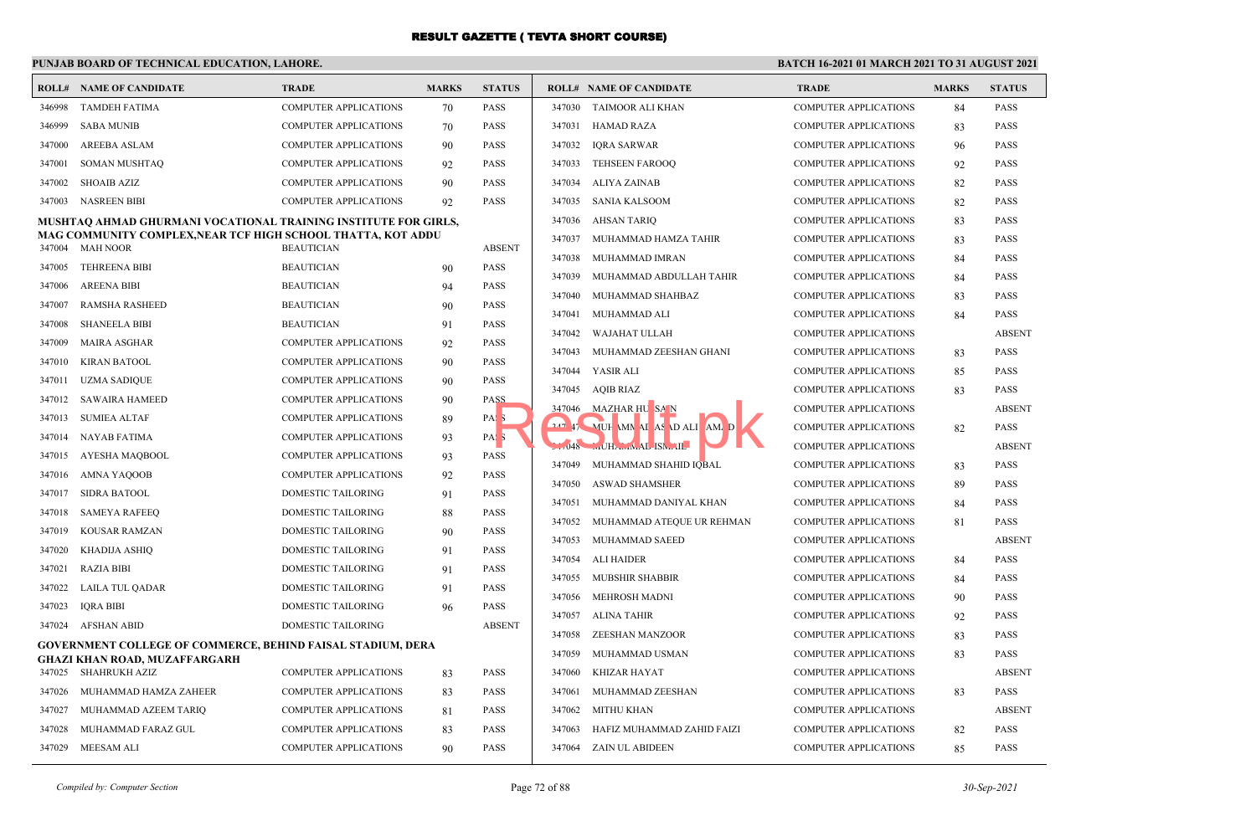## **PUNJAB BOARD OF TECHNICAL EDUCATION, LAHORE.**

|        | <b>ROLL# NAME OF CANDIDATE</b>                                                                      | <b>TRADE</b>                                    | <b>MARKS</b> | <b>STATUS</b>              |        | <b>ROLL# NAME OF CANDIDATE</b> | <b>TRADE</b>                 | <b>MARKS</b> | <b>STATUS</b> |
|--------|-----------------------------------------------------------------------------------------------------|-------------------------------------------------|--------------|----------------------------|--------|--------------------------------|------------------------------|--------------|---------------|
| 346998 | TAMDEH FATIMA                                                                                       | COMPUTER APPLICATIONS                           | 70           | <b>PASS</b>                |        | 347030 TAIMOOR ALI KHAN        | <b>COMPUTER APPLICATIONS</b> | 84           | <b>PASS</b>   |
| 346999 | <b>SABA MUNIB</b>                                                                                   | COMPUTER APPLICATIONS                           | 70           | <b>PASS</b>                | 347031 | <b>HAMAD RAZA</b>              | <b>COMPUTER APPLICATIONS</b> | 83           | <b>PASS</b>   |
| 347000 | AREEBA ASLAM                                                                                        | <b>COMPUTER APPLICATIONS</b>                    | 90           | <b>PASS</b>                | 347032 | <b>IQRA SARWAR</b>             | <b>COMPUTER APPLICATIONS</b> | 96           | <b>PASS</b>   |
| 347001 | <b>SOMAN MUSHTAQ</b>                                                                                | <b>COMPUTER APPLICATIONS</b>                    | 92           | <b>PASS</b>                | 347033 | <b>TEHSEEN FAROOO</b>          | <b>COMPUTER APPLICATIONS</b> | 92           | <b>PASS</b>   |
| 347002 | <b>SHOAIB AZIZ</b>                                                                                  | <b>COMPUTER APPLICATIONS</b>                    | 90           | <b>PASS</b>                | 347034 | <b>ALIYA ZAINAB</b>            | <b>COMPUTER APPLICATIONS</b> | 82           | <b>PASS</b>   |
| 347003 | NASREEN BIBI                                                                                        | <b>COMPUTER APPLICATIONS</b>                    | 92           | <b>PASS</b>                | 347035 | <b>SANIA KALSOOM</b>           | <b>COMPUTER APPLICATIONS</b> | 82           | <b>PASS</b>   |
|        | MUSHTAQ AHMAD GHURMANI VOCATIONAL TRAINING INSTITUTE FOR GIRLS,                                     |                                                 |              |                            | 347036 | <b>AHSAN TARIQ</b>             | <b>COMPUTER APPLICATIONS</b> | 83           | <b>PASS</b>   |
| 347004 | MAG COMMUNITY COMPLEX,NEAR TCF HIGH SCHOOL THATTA, KOT ADDU<br><b>MAH NOOR</b>                      | <b>BEAUTICIAN</b>                               |              | <b>ABSENT</b>              | 347037 | MUHAMMAD HAMZA TAHIR           | <b>COMPUTER APPLICATIONS</b> | 83           | <b>PASS</b>   |
| 347005 | <b>TEHREENA BIBI</b>                                                                                | <b>BEAUTICIAN</b>                               | 90           | <b>PASS</b>                | 347038 | MUHAMMAD IMRAN                 | <b>COMPUTER APPLICATIONS</b> | 84           | <b>PASS</b>   |
| 347006 | <b>AREENA BIBI</b>                                                                                  | <b>BEAUTICIAN</b>                               | 94           |                            | 347039 | MUHAMMAD ABDULLAH TAHIR        | <b>COMPUTER APPLICATIONS</b> | 84           | <b>PASS</b>   |
| 347007 | <b>RAMSHA RASHEED</b>                                                                               | <b>BEAUTICIAN</b>                               |              | <b>PASS</b><br><b>PASS</b> | 347040 | MUHAMMAD SHAHBAZ               | <b>COMPUTER APPLICATIONS</b> | 83           | <b>PASS</b>   |
| 347008 | <b>SHANEELA BIBI</b>                                                                                | <b>BEAUTICIAN</b>                               | 90<br>91     | PASS                       | 347041 | MUHAMMAD ALI                   | <b>COMPUTER APPLICATIONS</b> | 84           | <b>PASS</b>   |
| 347009 | MAIRA ASGHAR                                                                                        | <b>COMPUTER APPLICATIONS</b>                    |              | PASS                       | 347042 | <b>WAJAHAT ULLAH</b>           | <b>COMPUTER APPLICATIONS</b> |              | <b>ABSEN</b>  |
| 347010 | <b>KIRAN BATOOL</b>                                                                                 | <b>COMPUTER APPLICATIONS</b>                    | 92<br>90     | <b>PASS</b>                | 347043 | MUHAMMAD ZEESHAN GHANI         | <b>COMPUTER APPLICATIONS</b> | 83           | <b>PASS</b>   |
| 347011 | <b>UZMA SADIQUE</b>                                                                                 | <b>COMPUTER APPLICATIONS</b>                    | 90           | PASS                       | 347044 | YASIR ALI                      | <b>COMPUTER APPLICATIONS</b> | 85           | <b>PASS</b>   |
| 347012 | SAWAIRA HAMEED                                                                                      | COMPUTER APPLICATIONS                           |              | PASS                       |        | 347045 AQIB RIAZ               | <b>COMPUTER APPLICATIONS</b> | 83           | <b>PASS</b>   |
| 347013 | <b>SUMIEA ALTAF</b>                                                                                 | COMPUTER APPLICATIONS                           | 90           | PAS <sub>3</sub>           |        | 347046 MAZHAR HU SAN           | <b>COMPUTER APPLICATIONS</b> |              | <b>ABSEN</b>  |
| 347014 | NAYAB FATIMA                                                                                        | <b>COMPUTER APPLICATIONS</b>                    | 89           | PAS <sub>5</sub>           |        | 242 47 MUH MN AI AS D ALI AM D | <b>COMPUTER APPLICATIONS</b> | 82           | <b>PASS</b>   |
| 347015 |                                                                                                     |                                                 | 93           |                            |        | $1.7048$ UHA $MAL$ ISM         | <b>COMPUTER APPLICATIONS</b> |              | <b>ABSEN</b>  |
| 347016 | AYESHA MAQBOOL<br>AMNA YAQOOB                                                                       | COMPUTER APPLICATIONS<br>COMPUTER APPLICATIONS  | 93<br>92     | <b>PASS</b><br><b>PASS</b> | 347049 | MUHAMMAD SHAHID IQBAL          | <b>COMPUTER APPLICATIONS</b> | 83           | <b>PASS</b>   |
| 347017 | SIDRA BATOOL                                                                                        | DOMESTIC TAILORING                              | 91           | PASS                       | 347050 | <b>ASWAD SHAMSHER</b>          | <b>COMPUTER APPLICATIONS</b> | 89           | <b>PASS</b>   |
| 347018 | SAMEYA RAFEEQ                                                                                       | <b>DOMESTIC TAILORING</b>                       |              | <b>PASS</b>                | 347051 | MUHAMMAD DANIYAL KHAN          | <b>COMPUTER APPLICATIONS</b> | 84           | <b>PASS</b>   |
| 347019 | <b>KOUSAR RAMZAN</b>                                                                                | <b>DOMESTIC TAILORING</b>                       | 88<br>90     | <b>PASS</b>                | 347052 | MUHAMMAD ATEQUE UR REHMAN      | <b>COMPUTER APPLICATIONS</b> | 81           | <b>PASS</b>   |
| 347020 |                                                                                                     |                                                 |              | <b>PASS</b>                | 347053 | MUHAMMAD SAEED                 | <b>COMPUTER APPLICATIONS</b> |              | <b>ABSEN</b>  |
| 347021 | KHADIJA ASHIQ<br><b>RAZIA BIBI</b>                                                                  | DOMESTIC TAILORING<br><b>DOMESTIC TAILORING</b> | 91           | <b>PASS</b>                | 347054 | <b>ALI HAIDER</b>              | <b>COMPUTER APPLICATIONS</b> | 84           | <b>PASS</b>   |
| 347022 |                                                                                                     |                                                 | 91           | PASS                       | 347055 | <b>MUBSHIR SHABBIR</b>         | <b>COMPUTER APPLICATIONS</b> | 84           | <b>PASS</b>   |
|        | LAILA TUL QADAR                                                                                     | DOMESTIC TAILORING                              | 91           |                            | 347056 | <b>MEHROSH MADNI</b>           | <b>COMPUTER APPLICATIONS</b> | 90           | PASS          |
| 347023 | <b>IQRA BIBI</b><br>347024 AFSHAN ABID                                                              | DOMESTIC TAILORING<br><b>DOMESTIC TAILORING</b> | 96           | PASS<br><b>ABSENT</b>      | 347057 | <b>ALINA TAHIR</b>             | <b>COMPUTER APPLICATIONS</b> | 92           | <b>PASS</b>   |
|        |                                                                                                     |                                                 |              |                            | 347058 | ZEESHAN MANZOOR                | <b>COMPUTER APPLICATIONS</b> | 83           | <b>PASS</b>   |
|        | <b>GOVERNMENT COLLEGE OF COMMERCE, BEHIND FAISAL STADIUM, DERA</b><br>GHAZI KHAN ROAD, MUZAFFARGARH |                                                 |              |                            | 347059 | MUHAMMAD USMAN                 | <b>COMPUTER APPLICATIONS</b> | 83           | <b>PASS</b>   |
|        | 347025 SHAHRUKH AZIZ                                                                                | COMPUTER APPLICATIONS                           | 83           | <b>PASS</b>                | 347060 | <b>KHIZAR HAYAT</b>            | <b>COMPUTER APPLICATIONS</b> |              | <b>ABSEN</b>  |
| 347026 | MUHAMMAD HAMZA ZAHEER                                                                               | COMPUTER APPLICATIONS                           | 83           | PASS                       | 347061 | MUHAMMAD ZEESHAN               | COMPUTER APPLICATIONS        | 83           | <b>PASS</b>   |
| 347027 | MUHAMMAD AZEEM TARIQ                                                                                | <b>COMPUTER APPLICATIONS</b>                    | 81           | <b>PASS</b>                | 347062 | <b>MITHU KHAN</b>              | <b>COMPUTER APPLICATIONS</b> |              | <b>ABSEN</b>  |
| 347028 | MUHAMMAD FARAZ GUL                                                                                  | <b>COMPUTER APPLICATIONS</b>                    | 83           | <b>PASS</b>                | 347063 | HAFIZ MUHAMMAD ZAHID FAIZI     | <b>COMPUTER APPLICATIONS</b> | 82           | <b>PASS</b>   |
|        | 347029 MEESAM ALI                                                                                   | COMPUTER APPLICATIONS                           | 90           | <b>PASS</b>                | 347064 | ZAIN UL ABIDEEN                | <b>COMPUTER APPLICATIONS</b> | 85           | <b>PASS</b>   |
|        |                                                                                                     |                                                 |              |                            |        |                                |                              |              |               |

|            | ROLL# NAME OF CANDIDATE    | <b>TRADE</b>                 | <b>MARKS</b> | <b>STATUS</b> |
|------------|----------------------------|------------------------------|--------------|---------------|
| 347030     | TAIMOOR ALI KHAN           | <b>COMPUTER APPLICATIONS</b> | 84           | <b>PASS</b>   |
| 347031     | HAMAD RAZA                 | <b>COMPUTER APPLICATIONS</b> | 83           | <b>PASS</b>   |
| 347032     | <b>IQRA SARWAR</b>         | <b>COMPUTER APPLICATIONS</b> | 96           | <b>PASS</b>   |
| 347033     | <b>TEHSEEN FAROOQ</b>      | <b>COMPUTER APPLICATIONS</b> | 92           | <b>PASS</b>   |
| 347034     | <b>ALIYA ZAINAB</b>        | COMPUTER APPLICATIONS        | 82           | <b>PASS</b>   |
| 347035     | <b>SANIA KALSOOM</b>       | <b>COMPUTER APPLICATIONS</b> | 82           | <b>PASS</b>   |
| 347036     | <b>AHSAN TARIQ</b>         | <b>COMPUTER APPLICATIONS</b> | 83           | <b>PASS</b>   |
| 347037     | MUHAMMAD HAMZA TAHIR       | COMPUTER APPLICATIONS        | 83           | <b>PASS</b>   |
| 347038     | MUHAMMAD IMRAN             | COMPUTER APPLICATIONS        | 84           | <b>PASS</b>   |
| 347039     | MUHAMMAD ABDULLAH TAHIR    | COMPUTER APPLICATIONS        | 84           | <b>PASS</b>   |
| 347040     | MUHAMMAD SHAHBAZ           | COMPUTER APPLICATIONS        | 83           | <b>PASS</b>   |
| 347041     | MUHAMMAD ALI               | <b>COMPUTER APPLICATIONS</b> | 84           | <b>PASS</b>   |
| 347042     | WAJAHAT ULLAH              | COMPUTER APPLICATIONS        |              | <b>ABSENT</b> |
| 347043     | MUHAMMAD ZEESHAN GHANI     | <b>COMPUTER APPLICATIONS</b> | 83           | <b>PASS</b>   |
| 347044     | YASIR ALI                  | <b>COMPUTER APPLICATIONS</b> | 85           | <b>PASS</b>   |
| 347045     | <b>AQIB RIAZ</b>           | COMPUTER APPLICATIONS        | 83           | <b>PASS</b>   |
| 347046     | MAZHAR HU SA N             | <b>COMPUTER APPLICATIONS</b> |              | <b>ABSENT</b> |
| $247$ $17$ | MUH MN AI AS DALI AM/D     | COMPUTER APPLICATIONS        | 82           | <b>PASS</b>   |
| $-1.048$   | MUHAMMAL ISMAIL            | COMPUTER APPLICATIONS        |              | <b>ABSENT</b> |
| 347049     | MUHAMMAD SHAHID IOBAL      | <b>COMPUTER APPLICATIONS</b> | 83           | <b>PASS</b>   |
| 347050     | <b>ASWAD SHAMSHER</b>      | COMPUTER APPLICATIONS        | 89           | PASS          |
| 347051     | MUHAMMAD DANIYAL KHAN      | <b>COMPUTER APPLICATIONS</b> | 84           | <b>PASS</b>   |
| 347052     | MUHAMMAD ATEQUE UR REHMAN  | COMPUTER APPLICATIONS        | 81           | <b>PASS</b>   |
| 347053     | MUHAMMAD SAEED             | COMPUTER APPLICATIONS        |              | <b>ABSENT</b> |
| 347054     | ALI HAIDER                 | <b>COMPUTER APPLICATIONS</b> | 84           | <b>PASS</b>   |
| 347055     | MUBSHIR SHABBIR            | COMPUTER APPLICATIONS        | 84           | <b>PASS</b>   |
| 347056     | <b>MEHROSH MADNI</b>       | COMPUTER APPLICATIONS        | 90           | <b>PASS</b>   |
| 347057     | <b>ALINA TAHIR</b>         | <b>COMPUTER APPLICATIONS</b> | 92           | PASS          |
| 347058     | ZEESHAN MANZOOR            | COMPUTER APPLICATIONS        | 83           | <b>PASS</b>   |
| 347059     | MUHAMMAD USMAN             | COMPUTER APPLICATIONS        | 83           | <b>PASS</b>   |
| 347060     | KHIZAR HAYAT               | COMPUTER APPLICATIONS        |              | <b>ABSENT</b> |
| 347061     | MUHAMMAD ZEESHAN           | <b>COMPUTER APPLICATIONS</b> | 83           | <b>PASS</b>   |
| 347062     | <b>MITHU KHAN</b>          | <b>COMPUTER APPLICATIONS</b> |              | <b>ABSENT</b> |
| 347063     | HAFIZ MUHAMMAD ZAHID FAIZI | COMPUTER APPLICATIONS        | 82           | <b>PASS</b>   |
| 347064     | <b>ZAIN UL ABIDEEN</b>     | <b>COMPUTER APPLICATIONS</b> | 85           | <b>PASS</b>   |
|            |                            |                              |              |               |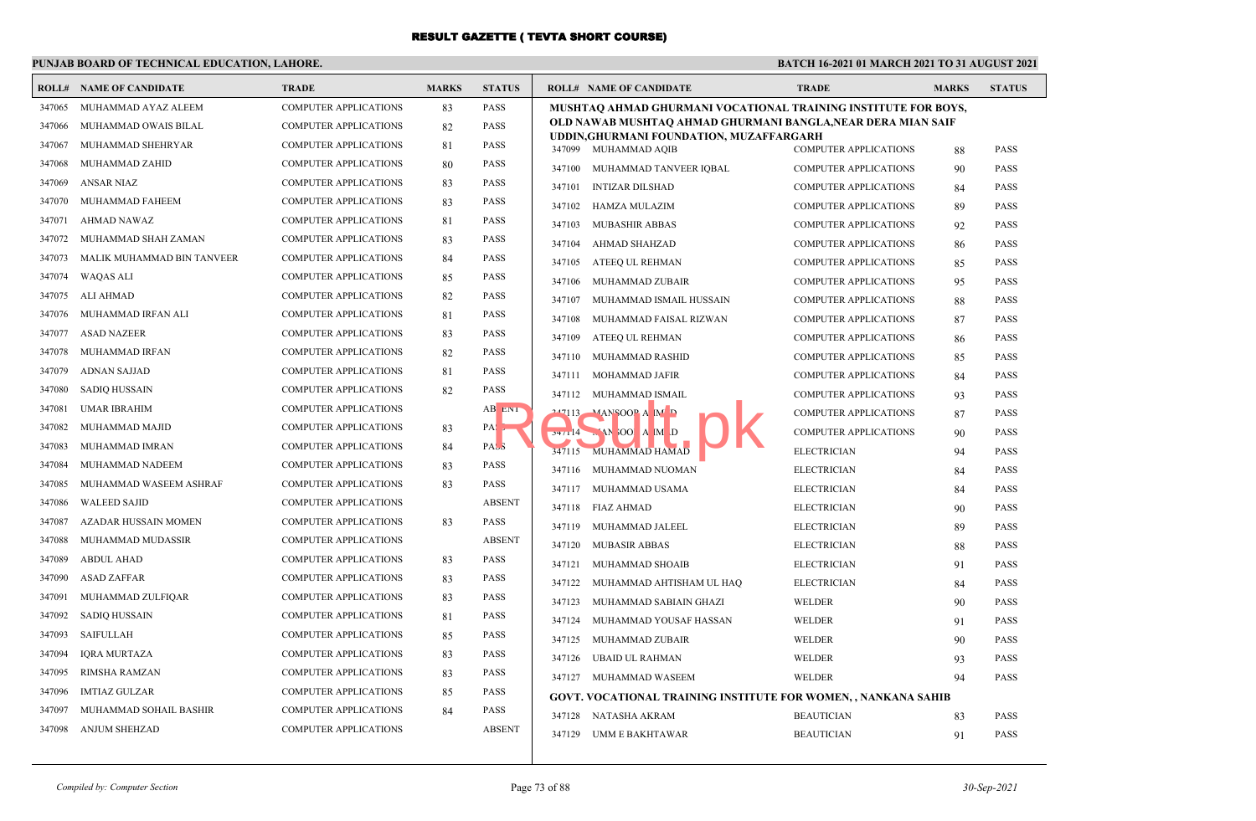### **PUNJAB BOARD OF TECHNICAL EDUCATION, LAHORE.**

| ROLL#  | <b>NAME OF CANDIDATE</b>   | <b>TRADE</b>                 | <b>MARKS</b> | <b>STATUS</b>       | <b>ROLL# NAME OF CANDIDATE</b>   |                                          | <b>TRADE</b>                                                          | <b>MARKS</b> | <b>STATUS</b> |
|--------|----------------------------|------------------------------|--------------|---------------------|----------------------------------|------------------------------------------|-----------------------------------------------------------------------|--------------|---------------|
| 347065 | MUHAMMAD AYAZ ALEEM        | COMPUTER APPLICATIONS        | 83           | <b>PASS</b>         |                                  |                                          | MUSHTAQ AHMAD GHURMANI VOCATIONAL TRAINING INSTITUTE FOR BOYS,        |              |               |
| 347066 | MUHAMMAD OWAIS BILAL       | <b>COMPUTER APPLICATIONS</b> | 82           | <b>PASS</b>         |                                  |                                          | OLD NAWAB MUSHTAQ AHMAD GHURMANI BANGLA,NEAR DERA MIAN SAIF           |              |               |
| 347067 | MUHAMMAD SHEHRYAR          | <b>COMPUTER APPLICATIONS</b> | 81           | PASS                | 347099 MUHAMMAD AQIB             | UDDIN, GHURMANI FOUNDATION, MUZAFFARGARH | <b>COMPUTER APPLICATIONS</b>                                          | 88           | <b>PASS</b>   |
| 347068 | MUHAMMAD ZAHID             | <b>COMPUTER APPLICATIONS</b> | 80           | PASS                | 347100 MUHAMMAD TANVEER IQBAL    |                                          | <b>COMPUTER APPLICATIONS</b>                                          | 90           | <b>PASS</b>   |
| 347069 | ANSAR NIAZ                 | <b>COMPUTER APPLICATIONS</b> | 83           | <b>PASS</b>         | <b>INTIZAR DILSHAD</b><br>347101 |                                          | <b>COMPUTER APPLICATIONS</b>                                          | 84           | <b>PASS</b>   |
| 347070 | MUHAMMAD FAHEEM            | COMPUTER APPLICATIONS        | 83           | PASS                | HAMZA MULAZIM<br>347102          |                                          | <b>COMPUTER APPLICATIONS</b>                                          | 89           | <b>PASS</b>   |
| 347071 | AHMAD NAWAZ                | COMPUTER APPLICATIONS        | 81           | <b>PASS</b>         | <b>MUBASHIR ABBAS</b><br>347103  |                                          | <b>COMPUTER APPLICATIONS</b>                                          | 92           | <b>PASS</b>   |
| 347072 | MUHAMMAD SHAH ZAMAN        | COMPUTER APPLICATIONS        | 83           | <b>PASS</b>         | 347104<br>AHMAD SHAHZAD          |                                          | <b>COMPUTER APPLICATIONS</b>                                          | 86           | <b>PASS</b>   |
| 347073 | MALIK MUHAMMAD BIN TANVEER | COMPUTER APPLICATIONS        | 84           | <b>PASS</b>         | ATEEO UL REHMAN<br>347105        |                                          | <b>COMPUTER APPLICATIONS</b>                                          | 85           | <b>PASS</b>   |
| 347074 | <b>WAQAS ALI</b>           | <b>COMPUTER APPLICATIONS</b> | 85           | <b>PASS</b>         | 347106<br>MUHAMMAD ZUBAIR        |                                          | <b>COMPUTER APPLICATIONS</b>                                          | 95           | <b>PASS</b>   |
| 347075 | ALI AHMAD                  | <b>COMPUTER APPLICATIONS</b> | 82           | <b>PASS</b>         | 347107                           | MUHAMMAD ISMAIL HUSSAIN                  | <b>COMPUTER APPLICATIONS</b>                                          | 88           | <b>PASS</b>   |
| 347076 | MUHAMMAD IRFAN ALI         | <b>COMPUTER APPLICATIONS</b> | 81           | <b>PASS</b>         | 347108                           | MUHAMMAD FAISAL RIZWAN                   | <b>COMPUTER APPLICATIONS</b>                                          | 87           | <b>PASS</b>   |
| 347077 | <b>ASAD NAZEER</b>         | <b>COMPUTER APPLICATIONS</b> | 83           | <b>PASS</b>         | 347109<br>ATEEQ UL REHMAN        |                                          | <b>COMPUTER APPLICATIONS</b>                                          | 86           | <b>PASS</b>   |
| 347078 | MUHAMMAD IRFAN             | <b>COMPUTER APPLICATIONS</b> | 82           | <b>PASS</b>         | 347110<br>MUHAMMAD RASHID        |                                          | <b>COMPUTER APPLICATIONS</b>                                          | 85           | <b>PASS</b>   |
| 347079 | <b>ADNAN SAJJAD</b>        | <b>COMPUTER APPLICATIONS</b> | 81           | <b>PASS</b>         | 347111 MOHAMMAD JAFIR            |                                          | <b>COMPUTER APPLICATIONS</b>                                          | 84           | <b>PASS</b>   |
| 347080 | <b>SADIQ HUSSAIN</b>       | <b>COMPUTER APPLICATIONS</b> | 82           | <b>PASS</b>         | 347112 MUHAMMAD ISMAIL           |                                          | <b>COMPUTER APPLICATIONS</b>                                          | 93           | <b>PASS</b>   |
| 347081 | <b>UMAR IBRAHIM</b>        | COMPUTER APPLICATIONS        |              | AB ENT              | $247113$ MANSOOP A M D           |                                          | <b>COMPUTER APPLICATIONS</b>                                          | 87           | <b>PASS</b>   |
| 347082 | MUHAMMAD MAJID             | <b>COMPUTER APPLICATIONS</b> | 83           | PAS <sub>&gt;</sub> | $74/14$ M $100$ A M D            |                                          | <b>COMPUTER APPLICATIONS</b>                                          | 90           | <b>PASS</b>   |
| 347083 | MUHAMMAD IMRAN             | COMPUTER APPLICATIONS        | 84           | PAS <sub>5</sub>    | 347115 MUHAMMAD HAMAD            |                                          | <b>ELECTRICIAN</b>                                                    | 94           | <b>PASS</b>   |
| 347084 | MUHAMMAD NADEEM            | <b>COMPUTER APPLICATIONS</b> | 83           | <b>PASS</b>         | 347116 MUHAMMAD NUOMAN           |                                          | <b>ELECTRICIAN</b>                                                    | 84           | <b>PASS</b>   |
| 347085 | MUHAMMAD WASEEM ASHRAF     | <b>COMPUTER APPLICATIONS</b> | 83           | <b>PASS</b>         | 347117 MUHAMMAD USAMA            |                                          | <b>ELECTRICIAN</b>                                                    | 84           | <b>PASS</b>   |
| 347086 | <b>WALEED SAJID</b>        | COMPUTER APPLICATIONS        |              | <b>ABSENT</b>       | 347118 FIAZ AHMAD                |                                          | <b>ELECTRICIAN</b>                                                    | 90           | <b>PASS</b>   |
| 347087 | AZADAR HUSSAIN MOMEN       | <b>COMPUTER APPLICATIONS</b> | 83           | <b>PASS</b>         | 347119<br>MUHAMMAD JALEEL        |                                          | <b>ELECTRICIAN</b>                                                    | 89           | <b>PASS</b>   |
| 347088 | MUHAMMAD MUDASSIR          | <b>COMPUTER APPLICATIONS</b> |              | <b>ABSENT</b>       | 347120<br><b>MUBASIR ABBAS</b>   |                                          | <b>ELECTRICIAN</b>                                                    | 88           | <b>PASS</b>   |
| 347089 | <b>ABDUL AHAD</b>          | <b>COMPUTER APPLICATIONS</b> | 83           | <b>PASS</b>         | 347121 MUHAMMAD SHOAIB           |                                          | <b>ELECTRICIAN</b>                                                    | 91           | <b>PASS</b>   |
| 347090 | <b>ASAD ZAFFAR</b>         | <b>COMPUTER APPLICATIONS</b> | 83           | <b>PASS</b>         |                                  | 347122 MUHAMMAD AHTISHAM UL HAQ          | <b>ELECTRICIAN</b>                                                    | 84           | <b>PASS</b>   |
| 347091 | MUHAMMAD ZULFIQAR          | <b>COMPUTER APPLICATIONS</b> | 83           | PASS                | 347123 MUHAMMAD SABIAIN GHAZI    |                                          | WELDER                                                                | 90           | <b>PASS</b>   |
| 347092 | <b>SADIQ HUSSAIN</b>       | COMPUTER APPLICATIONS        | 81           | <b>PASS</b>         | 347124 MUHAMMAD YOUSAF HASSAN    |                                          | WELDER                                                                | 91           | <b>PASS</b>   |
| 347093 | <b>SAIFULLAH</b>           | <b>COMPUTER APPLICATIONS</b> | 85           | <b>PASS</b>         | 347125 MUHAMMAD ZUBAIR           |                                          | WELDER                                                                | 90           | <b>PASS</b>   |
| 347094 | <b>IQRA MURTAZA</b>        | <b>COMPUTER APPLICATIONS</b> | 83           | <b>PASS</b>         | 347126<br>UBAID UL RAHMAN        |                                          | WELDER                                                                | 93           | <b>PASS</b>   |
| 347095 | <b>RIMSHA RAMZAN</b>       | <b>COMPUTER APPLICATIONS</b> | 83           | <b>PASS</b>         | 347127 MUHAMMAD WASEEM           |                                          | WELDER                                                                | 94           | <b>PASS</b>   |
| 347096 | IMTIAZ GULZAR              | <b>COMPUTER APPLICATIONS</b> | 85           | <b>PASS</b>         |                                  |                                          | <b>GOVT. VOCATIONAL TRAINING INSTITUTE FOR WOMEN, , NANKANA SAHIB</b> |              |               |
| 347097 | MUHAMMAD SOHAIL BASHIR     | COMPUTER APPLICATIONS        | 84           | PASS                | 347128 NATASHA AKRAM             |                                          | <b>BEAUTICIAN</b>                                                     | 83           | <b>PASS</b>   |
| 347098 | <b>ANJUM SHEHZAD</b>       | COMPUTER APPLICATIONS        |              | <b>ABSENT</b>       | 347129 UMM E BAKHTAWAR           |                                          | <b>BEAUTICIAN</b>                                                     | 91           | <b>PASS</b>   |
|        |                            |                              |              |                     |                                  |                                          |                                                                       |              |               |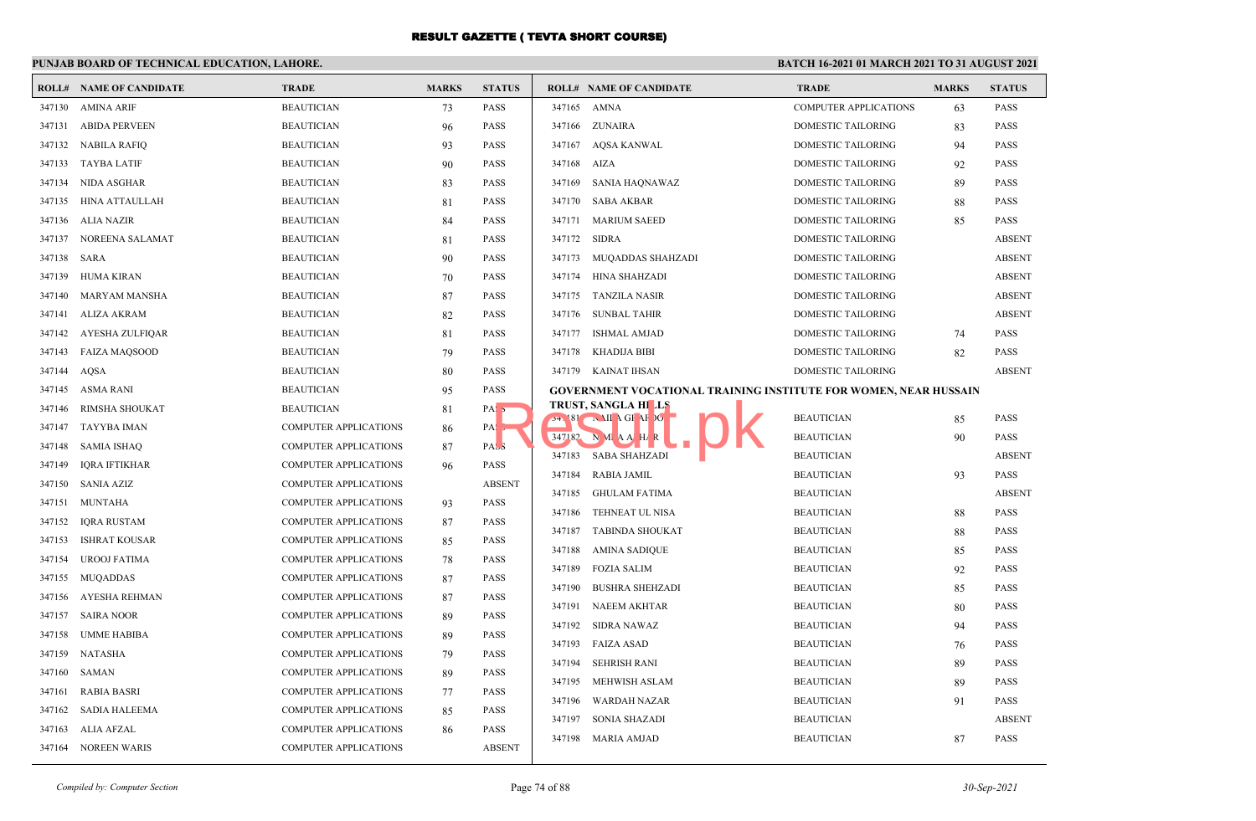### **PUNJAB BOARD OF TECHNICAL EDUCATION, LAHORE.**

|             | <b>ROLL# NAME OF CANDIDATE</b> | <b>TRADE</b>                 | <b>MARKS</b> | <b>STATUS</b>     |                  | <b>ROLL# NAME OF CANDIDATE</b>                                          | <b>TRADE</b>                           | <b>MARKS</b> | <b>STATUS</b>                |
|-------------|--------------------------------|------------------------------|--------------|-------------------|------------------|-------------------------------------------------------------------------|----------------------------------------|--------------|------------------------------|
|             | 347130 AMINA ARIF              | <b>BEAUTICIAN</b>            | 73           | <b>PASS</b>       |                  | 347165 AMNA                                                             | <b>COMPUTER APPLICATIONS</b>           | 63           | <b>PASS</b>                  |
| 347131      | ABIDA PERVEEN                  | <b>BEAUTICIAN</b>            | 96           | PASS              |                  | 347166 ZUNAIRA                                                          | DOMESTIC TAILORING                     | 83           | <b>PASS</b>                  |
| 347132      | NABILA RAFIQ                   | <b>BEAUTICIAN</b>            | 93           | <b>PASS</b>       |                  | 347167 AQSA KANWAL                                                      | DOMESTIC TAILORING                     | 94           | <b>PASS</b>                  |
| 347133      | TAYBA LATIF                    | <b>BEAUTICIAN</b>            | 90           | <b>PASS</b>       |                  | 347168 AIZA                                                             | DOMESTIC TAILORING                     | 92           | <b>PASS</b>                  |
| 347134      | NIDA ASGHAR                    | <b>BEAUTICIAN</b>            | 83           | <b>PASS</b>       | 347169           | SANIA HAQNAWAZ                                                          | DOMESTIC TAILORING                     | 89           | <b>PASS</b>                  |
| 347135      | HINA ATTAULLAH                 | <b>BEAUTICIAN</b>            | 81           | <b>PASS</b>       | 347170           | SABA AKBAR                                                              | <b>DOMESTIC TAILORING</b>              | 88           | <b>PASS</b>                  |
|             | 347136 ALIA NAZIR              | <b>BEAUTICIAN</b>            | 84           | <b>PASS</b>       | 347171           | <b>MARIUM SAEED</b>                                                     | <b>DOMESTIC TAILORING</b>              | 85           | <b>PASS</b>                  |
|             | 347137 NOREENA SALAMAT         | <b>BEAUTICIAN</b>            | 81           | PASS              | 347172           | SIDRA                                                                   | DOMESTIC TAILORING                     |              | <b>ABSENT</b>                |
| 347138 SARA |                                | <b>BEAUTICIAN</b>            | 90           | <b>PASS</b>       |                  | 347173 MUQADDAS SHAHZADI                                                | DOMESTIC TAILORING                     |              | <b>ABSENT</b>                |
| 347139      | HUMA KIRAN                     | <b>BEAUTICIAN</b>            | 70           | PASS              |                  | 347174 HINA SHAHZADI                                                    | <b>DOMESTIC TAILORING</b>              |              | <b>ABSENT</b>                |
| 347140      | MARYAM MANSHA                  | <b>BEAUTICIAN</b>            | 87           | PASS              |                  | 347175 TANZILA NASIR                                                    | <b>DOMESTIC TAILORING</b>              |              | <b>ABSENT</b>                |
| 347141      | ALIZA AKRAM                    | <b>BEAUTICIAN</b>            | 82           | <b>PASS</b>       |                  | 347176 SUNBAL TAHIR                                                     | <b>DOMESTIC TAILORING</b>              |              | <b>ABSENT</b>                |
| 347142      | AYESHA ZULFIQAR                | <b>BEAUTICIAN</b>            | 81           | PASS              |                  | 347177 ISHMAL AMJAD                                                     | DOMESTIC TAILORING                     | 74           | <b>PASS</b>                  |
| 347143      | <b>FAIZA MAQSOOD</b>           | <b>BEAUTICIAN</b>            | 79           | PASS              |                  | 347178 KHADIJA BIBI                                                     | DOMESTIC TAILORING                     | 82           | <b>PASS</b>                  |
| 347144      | AQSA                           | <b>BEAUTICIAN</b>            | 80           | PASS              |                  | 347179 KAINAT IHSAN                                                     | DOMESTIC TAILORING                     |              | <b>ABSENT</b>                |
| 347145      | ASMA RANI                      | <b>BEAUTICIAN</b>            | 95           | PASS              |                  | <b>GOVERNMENT VOCATIONAL TRAINING INSTITUTE FOR WOMEN, NEAR HUSSAIN</b> |                                        |              |                              |
| 347146      | RIMSHA SHOUKAT                 | <b>BEAUTICIAN</b>            | 81           | PAS <sub>5</sub>  |                  | <b>TRUST, SANGLA HILLS</b>                                              | <b>BEAUTICIAN</b>                      |              |                              |
| 347147      | TAYYBA IMAN                    | <b>COMPUTER APPLICATIONS</b> | 86           | $PA: \rightarrow$ |                  | $74.181 \t\t NII \t\t AGF \t\t AF \t\t$<br>$347182$ N M A A H R         | <b>BEAUTICIAN</b>                      | 85           | <b>PASS</b><br><b>PASS</b>   |
| 347148      | <b>SAMIA ISHAQ</b>             | <b>COMPUTER APPLICATIONS</b> | 87           | PAS <sub>3</sub>  |                  | 347183 SABA SHAHZADI                                                    | <b>BEAUTICIAN</b>                      | 90           | <b>ABSENT</b>                |
| 347149      | IORA IFTIKHAR                  | <b>COMPUTER APPLICATIONS</b> | 96           | PASS              | 347184           | <b>RABIA JAMIL</b>                                                      | <b>BEAUTICIAN</b>                      |              | <b>PASS</b>                  |
|             | 347150 SANIA AZIZ              | <b>COMPUTER APPLICATIONS</b> |              | <b>ABSENT</b>     | 347185           | GHULAM FATIMA                                                           | <b>BEAUTICIAN</b>                      | 93           | <b>ABSENT</b>                |
| 347151      | MUNTAHA                        | <b>COMPUTER APPLICATIONS</b> | 93           | <b>PASS</b>       | 347186           |                                                                         | <b>BEAUTICIAN</b>                      |              | <b>PASS</b>                  |
| 347152      | <b>IQRA RUSTAM</b>             | <b>COMPUTER APPLICATIONS</b> | 87           | PASS              | 347187           | TEHNEAT UL NISA<br><b>TABINDA SHOUKAT</b>                               |                                        | 88           | <b>PASS</b>                  |
| 347153      | <b>ISHRAT KOUSAR</b>           | <b>COMPUTER APPLICATIONS</b> | 85           | PASS              |                  | 347188 AMINA SADIQUE                                                    | <b>BEAUTICIAN</b><br><b>BEAUTICIAN</b> | 88           | <b>PASS</b>                  |
| 347154      | <b>UROOJ FATIMA</b>            | <b>COMPUTER APPLICATIONS</b> | 78           | PASS              | 347189           | <b>FOZIA SALIM</b>                                                      | <b>BEAUTICIAN</b>                      | 85           | <b>PASS</b>                  |
| 347155      | MUQADDAS                       | <b>COMPUTER APPLICATIONS</b> | 87           | <b>PASS</b>       | 347190           | <b>BUSHRA SHEHZADI</b>                                                  | <b>BEAUTICIAN</b>                      | 92           | <b>PASS</b>                  |
|             | 347156 AYESHA REHMAN           | <b>COMPUTER APPLICATIONS</b> | 87           | PASS              |                  |                                                                         |                                        | 85           |                              |
|             | 347157 SAIRA NOOR              | <b>COMPUTER APPLICATIONS</b> | 89           | <b>PASS</b>       | 347191           | <b>NAEEM AKHTAR</b>                                                     | <b>BEAUTICIAN</b>                      | 80           | <b>PASS</b>                  |
| 347158      | UMME HABIBA                    | <b>COMPUTER APPLICATIONS</b> | 89           | <b>PASS</b>       | 347192           | SIDRA NAWAZ<br>347193 FAIZA ASAD                                        | <b>BEAUTICIAN</b><br><b>BEAUTICIAN</b> | 94           | <b>PASS</b><br><b>PASS</b>   |
|             | 347159 NATASHA                 | <b>COMPUTER APPLICATIONS</b> | 79           | PASS              | 347194           |                                                                         |                                        | 76           |                              |
| 347160      | SAMAN                          | <b>COMPUTER APPLICATIONS</b> | 89           | <b>PASS</b>       |                  | SEHRISH RANI                                                            | <b>BEAUTICIAN</b>                      | 89           | <b>PASS</b>                  |
| 347161      | <b>RABIA BASRI</b>             | <b>COMPUTER APPLICATIONS</b> | 77           | <b>PASS</b>       | 347195           | MEHWISH ASLAM                                                           | <b>BEAUTICIAN</b>                      | 89           | <b>PASS</b>                  |
| 347162      | SADIA HALEEMA                  | <b>COMPUTER APPLICATIONS</b> | 85           | <b>PASS</b>       | 347196<br>347197 | <b>WARDAH NAZAR</b>                                                     | <b>BEAUTICIAN</b><br><b>BEAUTICIAN</b> | 91           | <b>PASS</b><br><b>ABSENT</b> |
| 347163      | ALIA AFZAL                     | <b>COMPUTER APPLICATIONS</b> | 86           | PASS              |                  | <b>SONIA SHAZADI</b>                                                    |                                        |              |                              |
|             | 347164 NOREEN WARIS            | <b>COMPUTER APPLICATIONS</b> |              | <b>ABSENT</b>     |                  | 347198 MARIA AMJAD                                                      | <b>BEAUTICIAN</b>                      | 87           | <b>PASS</b>                  |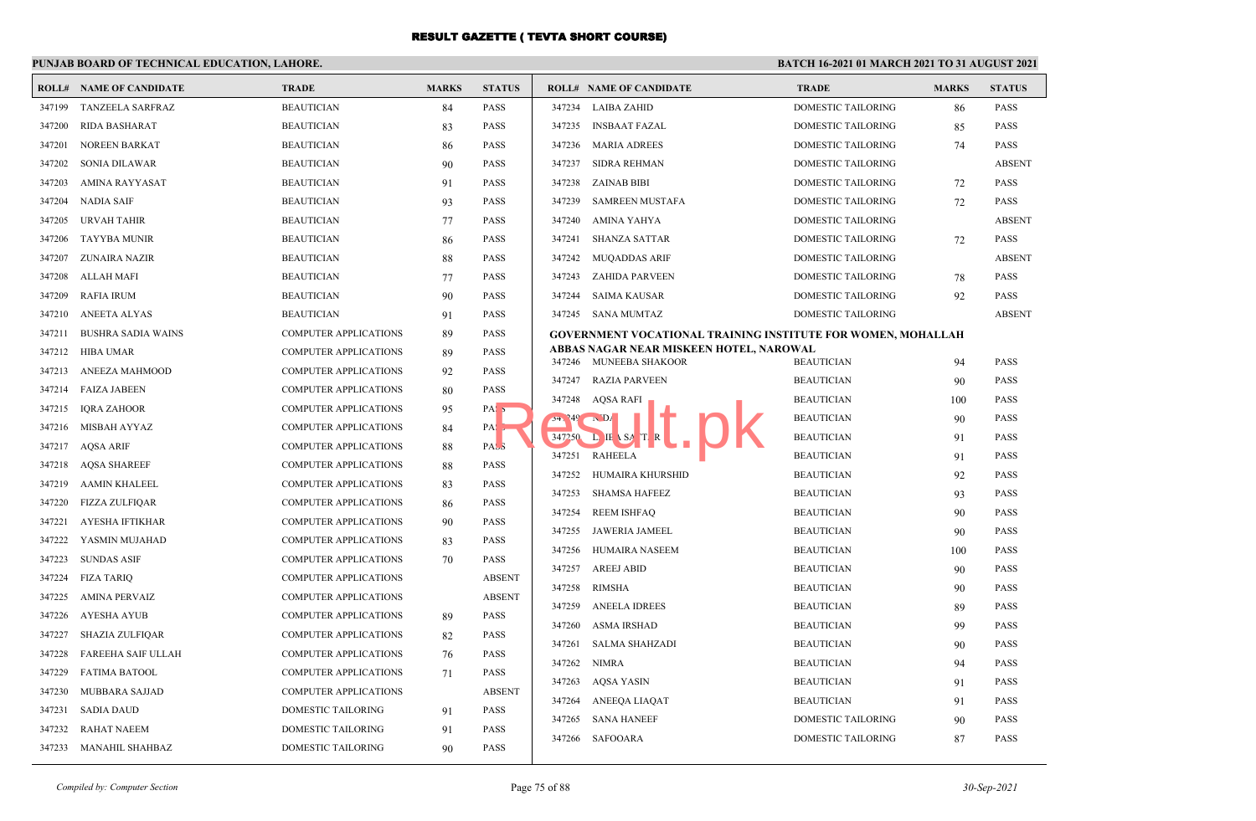### **PUNJAB BOARD OF TECHNICAL EDUCATION, LAHORE.**

|        | <b>ROLL# NAME OF CANDIDATE</b> | <b>TRADE</b>                 | <b>MARKS</b> | <b>STATUS</b>     |        | <b>ROLL# NAME OF CANDIDATE</b>                                      | <b>TRADE</b>              | <b>MARKS</b> | <b>STATUS</b> |
|--------|--------------------------------|------------------------------|--------------|-------------------|--------|---------------------------------------------------------------------|---------------------------|--------------|---------------|
| 347199 | TANZEELA SARFRAZ               | <b>BEAUTICIAN</b>            | 84           | <b>PASS</b>       |        | 347234 LAIBA ZAHID                                                  | DOMESTIC TAILORING        | 86           | PASS          |
| 347200 | <b>RIDA BASHARAT</b>           | <b>BEAUTICIAN</b>            | 83           | <b>PASS</b>       |        | 347235 INSBAAT FAZAL                                                | DOMESTIC TAILORING        | 85           | PASS          |
| 347201 | <b>NOREEN BARKAT</b>           | <b>BEAUTICIAN</b>            | 86           | <b>PASS</b>       |        | 347236 MARIA ADREES                                                 | <b>DOMESTIC TAILORING</b> | 74           | <b>PASS</b>   |
| 347202 | SONIA DILAWAR                  | <b>BEAUTICIAN</b>            | 90           | <b>PASS</b>       | 347237 | <b>SIDRA REHMAN</b>                                                 | DOMESTIC TAILORING        |              | <b>ABSENT</b> |
| 347203 | AMINA RAYYASAT                 | <b>BEAUTICIAN</b>            | 91           | <b>PASS</b>       |        | 347238 ZAINAB BIBI                                                  | DOMESTIC TAILORING        | 72           | PASS          |
| 347204 | NADIA SAIF                     | <b>BEAUTICIAN</b>            | 93           | <b>PASS</b>       | 347239 | <b>SAMREEN MUSTAFA</b>                                              | DOMESTIC TAILORING        | 72           | <b>PASS</b>   |
| 347205 | URVAH TAHIR                    | <b>BEAUTICIAN</b>            | 77           | <b>PASS</b>       | 347240 | AMINA YAHYA                                                         | DOMESTIC TAILORING        |              | <b>ABSENT</b> |
| 347206 | <b>TAYYBA MUNIR</b>            | <b>BEAUTICIAN</b>            | 86           | <b>PASS</b>       | 347241 | <b>SHANZA SATTAR</b>                                                | DOMESTIC TAILORING        | 72           | <b>PASS</b>   |
| 347207 | ZUNAIRA NAZIR                  | <b>BEAUTICIAN</b>            | 88           | <b>PASS</b>       | 347242 | <b>MUQADDAS ARIF</b>                                                | <b>DOMESTIC TAILORING</b> |              | <b>ABSENT</b> |
| 347208 | ALLAH MAFI                     | <b>BEAUTICIAN</b>            | 77           | <b>PASS</b>       | 347243 | <b>ZAHIDA PARVEEN</b>                                               | DOMESTIC TAILORING        | 78           | PASS          |
| 347209 | <b>RAFIA IRUM</b>              | <b>BEAUTICIAN</b>            | 90           | <b>PASS</b>       | 347244 | <b>SAIMA KAUSAR</b>                                                 | <b>DOMESTIC TAILORING</b> | 92           | PASS          |
| 347210 | ANEETA ALYAS                   | <b>BEAUTICIAN</b>            | 91           | <b>PASS</b>       |        | 347245 SANA MUMTAZ                                                  | DOMESTIC TAILORING        |              | <b>ABSENT</b> |
| 347211 | <b>BUSHRA SADIA WAINS</b>      | COMPUTER APPLICATIONS        | 89           | <b>PASS</b>       |        | <b>GOVERNMENT VOCATIONAL TRAINING INSTITUTE FOR WOMEN, MOHALLAH</b> |                           |              |               |
| 347212 | HIBA UMAR                      | <b>COMPUTER APPLICATIONS</b> | 89           | <b>PASS</b>       |        | ABBAS NAGAR NEAR MISKEEN HOTEL, NAROWAL<br>347246 MUNEEBA SHAKOOR   | <b>BEAUTICIAN</b>         | 94           | <b>PASS</b>   |
| 347213 | ANEEZA MAHMOOD                 | <b>COMPUTER APPLICATIONS</b> | 92           | <b>PASS</b>       |        | 347247 RAZIA PARVEEN                                                | <b>BEAUTICIAN</b>         | 90           | PASS          |
| 347214 | <b>FAIZA JABEEN</b>            | <b>COMPUTER APPLICATIONS</b> | 80           | <b>PASS</b>       |        | 347248 AQSA RAFI                                                    | <b>BEAUTICIAN</b>         | 100          | <b>PASS</b>   |
| 347215 | <b>IORA ZAHOOR</b>             | <b>COMPUTER APPLICATIONS</b> | 95           | PAS <sub>5</sub>  | 34.249 | $\mathbf{D}$                                                        | <b>BEAUTICIAN</b>         | 90           | <b>PASS</b>   |
| 347216 | MISBAH AYYAZ                   | COMPUTER APPLICATIONS        | 84           | $PA: \rightarrow$ | 347250 | $L$ IE \ SA                                                         | <b>BEAUTICIAN</b>         | 91           | PASS          |
| 347217 | <b>AQSA ARIF</b>               | COMPUTER APPLICATIONS        | 88           | PAS <sub>3</sub>  | 347251 | <b>RAHEELA</b>                                                      | <b>BEAUTICIAN</b>         | 91           | <b>PASS</b>   |
| 347218 | <b>AOSA SHAREEF</b>            | <b>COMPUTER APPLICATIONS</b> | 88           | <b>PASS</b>       | 347252 | HUMAIRA KHURSHID                                                    | <b>BEAUTICIAN</b>         | 92           | <b>PASS</b>   |
| 347219 | AAMIN KHALEEL                  | COMPUTER APPLICATIONS        | 83           | <b>PASS</b>       | 347253 | <b>SHAMSA HAFEEZ</b>                                                | <b>BEAUTICIAN</b>         | 93           | <b>PASS</b>   |
| 347220 | FIZZA ZULFIQAR                 | <b>COMPUTER APPLICATIONS</b> | 86           | <b>PASS</b>       | 347254 | <b>REEM ISHFAQ</b>                                                  | <b>BEAUTICIAN</b>         | 90           | PASS          |
| 347221 | AYESHA IFTIKHAR                | <b>COMPUTER APPLICATIONS</b> | 90           | <b>PASS</b>       | 347255 | JAWERIA JAMEEL                                                      | <b>BEAUTICIAN</b>         | 90           | PASS          |
| 347222 | YASMIN MUJAHAD                 | COMPUTER APPLICATIONS        | 83           | <b>PASS</b>       | 347256 | <b>HUMAIRA NASEEM</b>                                               | <b>BEAUTICIAN</b>         | 100          | PASS          |
| 347223 | <b>SUNDAS ASIF</b>             | <b>COMPUTER APPLICATIONS</b> | 70           | <b>PASS</b>       | 347257 | <b>AREEJ ABID</b>                                                   | <b>BEAUTICIAN</b>         | 90           | <b>PASS</b>   |
| 347224 | <b>FIZA TARIO</b>              | <b>COMPUTER APPLICATIONS</b> |              | <b>ABSENT</b>     | 347258 | <b>RIMSHA</b>                                                       | <b>BEAUTICIAN</b>         | 90           | PASS          |
| 347225 | AMINA PERVAIZ                  | COMPUTER APPLICATIONS        |              | <b>ABSENT</b>     | 347259 | <b>ANEELA IDREES</b>                                                | <b>BEAUTICIAN</b>         | 89           | PASS          |
| 347226 | AYESHA AYUB                    | <b>COMPUTER APPLICATIONS</b> | 89           | <b>PASS</b>       | 347260 | <b>ASMA IRSHAD</b>                                                  | <b>BEAUTICIAN</b>         | 99           | <b>PASS</b>   |
| 347227 | SHAZIA ZULFIQAR                | COMPUTER APPLICATIONS        | 82           | <b>PASS</b>       | 347261 | <b>SALMA SHAHZADI</b>                                               | <b>BEAUTICIAN</b>         | 90           | PASS          |
| 347228 | <b>FAREEHA SAIF ULLAH</b>      | COMPUTER APPLICATIONS        | 76           | <b>PASS</b>       | 347262 | <b>NIMRA</b>                                                        | <b>BEAUTICIAN</b>         | 94           | PASS          |
| 347229 | <b>FATIMA BATOOL</b>           | <b>COMPUTER APPLICATIONS</b> | 71           | <b>PASS</b>       | 347263 | AQSA YASIN                                                          | <b>BEAUTICIAN</b>         | 91           | <b>PASS</b>   |
| 347230 | MUBBARA SAJJAD                 | COMPUTER APPLICATIONS        |              | <b>ABSENT</b>     | 347264 | ANEEQA LIAQAT                                                       | <b>BEAUTICIAN</b>         | 91           | PASS          |
| 347231 | <b>SADIA DAUD</b>              | DOMESTIC TAILORING           | 91           | <b>PASS</b>       | 347265 | <b>SANA HANEEF</b>                                                  | <b>DOMESTIC TAILORING</b> | 90           | PASS          |
| 347232 | <b>RAHAT NAEEM</b>             | DOMESTIC TAILORING           | 91           | <b>PASS</b>       |        | 347266 SAFOOARA                                                     | DOMESTIC TAILORING        | 87           | PASS          |
|        | 347233 MANAHIL SHAHBAZ         | <b>DOMESTIC TAILORING</b>    | 90           | <b>PASS</b>       |        |                                                                     |                           |              |               |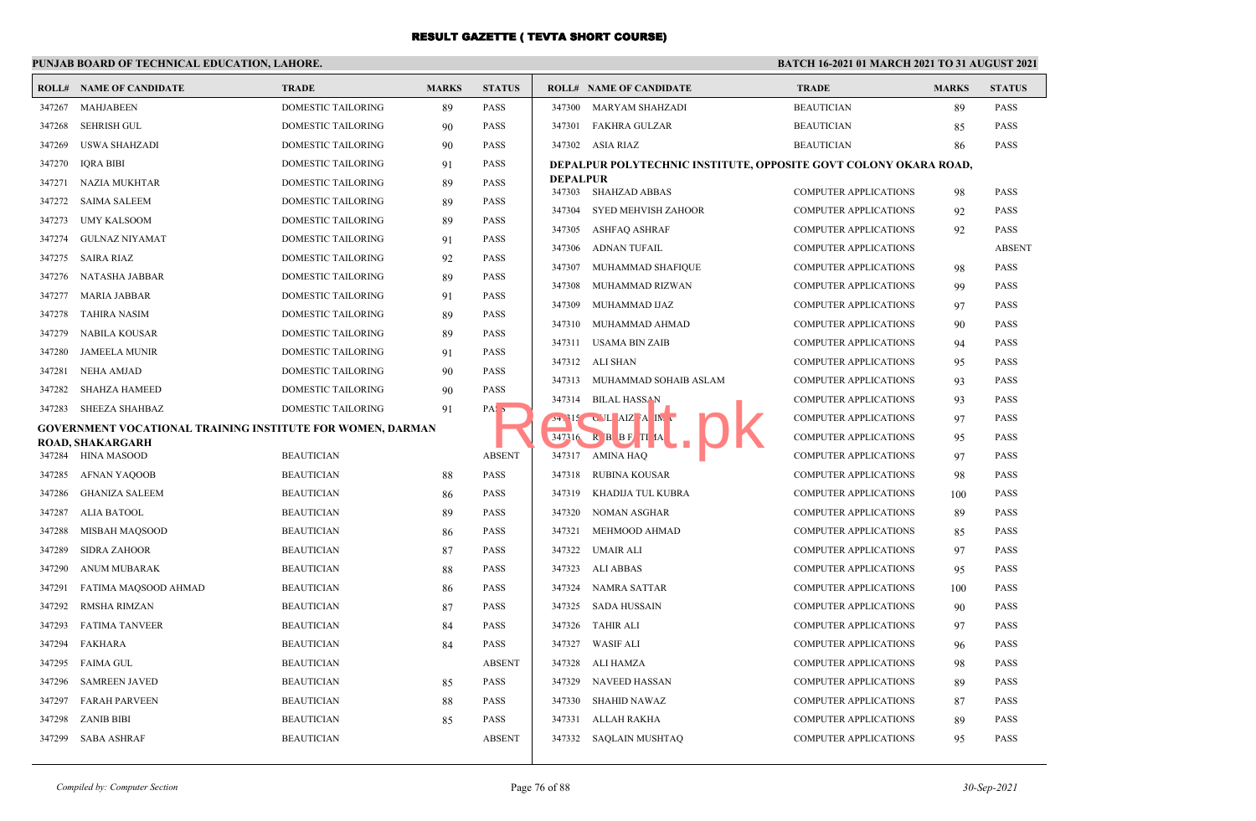### **PUNJAB BOARD OF TECHNICAL EDUCATION, LAHORE.**

|        | <b>ROLL# NAME OF CANDIDATE</b>                                    | <b>TRADE</b>              | <b>MARKS</b> | <b>STATUS</b>    |                           | <b>ROLL# NAME OF CANDIDATE</b>                                   | <b>TRADE</b>                 | <b>MARKS</b> | <b>STATUS</b> |
|--------|-------------------------------------------------------------------|---------------------------|--------------|------------------|---------------------------|------------------------------------------------------------------|------------------------------|--------------|---------------|
| 347267 | <b>MAHJABEEN</b>                                                  | <b>DOMESTIC TAILORING</b> | 89           | <b>PASS</b>      | 347300                    | <b>MARYAM SHAHZADI</b>                                           | <b>BEAUTICIAN</b>            | 89           | <b>PASS</b>   |
| 347268 | <b>SEHRISH GUL</b>                                                | DOMESTIC TAILORING        | 90           | <b>PASS</b>      | 347301                    | <b>FAKHRA GULZAR</b>                                             | <b>BEAUTICIAN</b>            | 85           | <b>PASS</b>   |
| 347269 | <b>USWA SHAHZADI</b>                                              | <b>DOMESTIC TAILORING</b> | 90           | <b>PASS</b>      | 347302                    | ASIA RIAZ                                                        | <b>BEAUTICIAN</b>            | 86           | <b>PASS</b>   |
| 347270 | <b>IQRA BIBI</b>                                                  | <b>DOMESTIC TAILORING</b> | 91           | <b>PASS</b>      |                           | DEPALPUR POLYTECHNIC INSTITUTE, OPPOSITE GOVT COLONY OKARA ROAD, |                              |              |               |
| 347271 | <b>NAZIA MUKHTAR</b>                                              | DOMESTIC TAILORING        | 89           | <b>PASS</b>      | <b>DEPALPUR</b><br>347303 | <b>SHAHZAD ABBAS</b>                                             | <b>COMPUTER APPLICATIONS</b> |              | <b>PASS</b>   |
| 347272 | <b>SAIMA SALEEM</b>                                               | DOMESTIC TAILORING        | 89           | <b>PASS</b>      |                           |                                                                  |                              | 98           | <b>PASS</b>   |
| 347273 | <b>UMY KALSOOM</b>                                                | DOMESTIC TAILORING        | 89           | <b>PASS</b>      | 347304<br>347305          | <b>SYED MEHVISH ZAHOOR</b><br><b>ASHFAQ ASHRAF</b>               | <b>COMPUTER APPLICATIONS</b> | 92           | <b>PASS</b>   |
| 347274 | <b>GULNAZ NIYAMAT</b>                                             | DOMESTIC TAILORING        | 91           | <b>PASS</b>      |                           |                                                                  | <b>COMPUTER APPLICATIONS</b> | 92           |               |
| 347275 | <b>SAIRA RIAZ</b>                                                 | DOMESTIC TAILORING        | 92           | <b>PASS</b>      | 347306                    | ADNAN TUFAIL                                                     | COMPUTER APPLICATIONS        |              | <b>ABSENT</b> |
| 347276 | NATASHA JABBAR                                                    | DOMESTIC TAILORING        | 89           | <b>PASS</b>      | 347307                    | MUHAMMAD SHAFIQUE                                                | <b>COMPUTER APPLICATIONS</b> | 98           | PASS          |
| 347277 | <b>MARIA JABBAR</b>                                               | DOMESTIC TAILORING        | 91           | <b>PASS</b>      | 347308                    | MUHAMMAD RIZWAN                                                  | <b>COMPUTER APPLICATIONS</b> | 99           | <b>PASS</b>   |
| 347278 | <b>TAHIRA NASIM</b>                                               | DOMESTIC TAILORING        | 89           | <b>PASS</b>      | 347309                    | MUHAMMAD IJAZ                                                    | <b>COMPUTER APPLICATIONS</b> | 97           | <b>PASS</b>   |
| 347279 | NABILA KOUSAR                                                     | DOMESTIC TAILORING        | 89           | <b>PASS</b>      | 347310                    | MUHAMMAD AHMAD                                                   | <b>COMPUTER APPLICATIONS</b> | 90           | <b>PASS</b>   |
| 347280 | <b>JAMEELA MUNIR</b>                                              | <b>DOMESTIC TAILORING</b> | 91           | <b>PASS</b>      | 347311                    | <b>USAMA BIN ZAIB</b>                                            | <b>COMPUTER APPLICATIONS</b> | 94           | <b>PASS</b>   |
| 347281 | <b>NEHA AMJAD</b>                                                 | DOMESTIC TAILORING        | 90           | <b>PASS</b>      |                           | 347312 ALI SHAN                                                  | <b>COMPUTER APPLICATIONS</b> | 95           | <b>PASS</b>   |
| 347282 | <b>SHAHZA HAMEED</b>                                              | DOMESTIC TAILORING        | 90           | <b>PASS</b>      |                           | 347313 MUHAMMAD SOHAIB ASLAM                                     | <b>COMPUTER APPLICATIONS</b> | 93           | <b>PASS</b>   |
| 347283 | <b>SHEEZA SHAHBAZ</b>                                             | <b>DOMESTIC TAILORING</b> | 91           | PAS <sub>5</sub> | 347314                    | <b>BILAL HASSAN</b>                                              | <b>COMPUTER APPLICATIONS</b> | 93           | <b>PASS</b>   |
|        | <b>GOVERNMENT VOCATIONAL TRAINING INSTITUTE FOR WOMEN, DARMAN</b> |                           |              |                  |                           | $54.315$ C L AIZ A IM .                                          | <b>COMPUTER APPLICATIONS</b> | 97           | <b>PASS</b>   |
|        | <b>ROAD, SHAKARGARH</b>                                           |                           |              |                  | $347^216$                 | R B B F TI IA                                                    | <b>COMPUTER APPLICATIONS</b> | 95           | <b>PASS</b>   |
| 347284 | HINA MASOOD                                                       | <b>BEAUTICIAN</b>         |              | <b>ABSENT</b>    | 347317                    | <b>AMINA HAQ</b>                                                 | <b>COMPUTER APPLICATIONS</b> | 97           | <b>PASS</b>   |
| 347285 | AFNAN YAQOOB                                                      | <b>BEAUTICIAN</b>         | 88           | <b>PASS</b>      | 347318                    | <b>RUBINA KOUSAR</b>                                             | <b>COMPUTER APPLICATIONS</b> | 98           | <b>PASS</b>   |
| 347286 | <b>GHANIZA SALEEM</b>                                             | <b>BEAUTICIAN</b>         | 86           | <b>PASS</b>      | 347319                    | KHADIJA TUL KUBRA                                                | <b>COMPUTER APPLICATIONS</b> | 100          | <b>PASS</b>   |
| 347287 | <b>ALIA BATOOL</b>                                                | <b>BEAUTICIAN</b>         | 89           | <b>PASS</b>      | 347320                    | <b>NOMAN ASGHAR</b>                                              | COMPUTER APPLICATIONS        | 89           | <b>PASS</b>   |
| 347288 | MISBAH MAQSOOD                                                    | <b>BEAUTICIAN</b>         | 86           | <b>PASS</b>      | 347321                    | MEHMOOD AHMAD                                                    | <b>COMPUTER APPLICATIONS</b> | 85           | <b>PASS</b>   |
| 347289 | <b>SIDRA ZAHOOR</b>                                               | <b>BEAUTICIAN</b>         | 87           | <b>PASS</b>      | 347322                    | <b>UMAIR ALI</b>                                                 | <b>COMPUTER APPLICATIONS</b> | 97           | <b>PASS</b>   |
| 347290 | <b>ANUM MUBARAK</b>                                               | <b>BEAUTICIAN</b>         | 88           | <b>PASS</b>      | 347323                    | <b>ALI ABBAS</b>                                                 | <b>COMPUTER APPLICATIONS</b> | 95           | <b>PASS</b>   |
| 347291 | FATIMA MAQSOOD AHMAD                                              | <b>BEAUTICIAN</b>         | 86           | <b>PASS</b>      | 347324                    | <b>NAMRA SATTAR</b>                                              | <b>COMPUTER APPLICATIONS</b> | 100          | <b>PASS</b>   |
| 347292 | <b>RMSHA RIMZAN</b>                                               | <b>BEAUTICIAN</b>         | 87           | <b>PASS</b>      | 347325                    | <b>SADA HUSSAIN</b>                                              | <b>COMPUTER APPLICATIONS</b> | 90           | <b>PASS</b>   |
| 347293 | <b>FATIMA TANVEER</b>                                             | <b>BEAUTICIAN</b>         | 84           | <b>PASS</b>      | 347326                    | <b>TAHIR ALI</b>                                                 | <b>COMPUTER APPLICATIONS</b> | 97           | <b>PASS</b>   |
| 347294 | FAKHARA                                                           | <b>BEAUTICIAN</b>         | 84           | <b>PASS</b>      | 347327                    | <b>WASIF ALI</b>                                                 | <b>COMPUTER APPLICATIONS</b> | 96           | <b>PASS</b>   |
| 347295 | <b>FAIMA GUL</b>                                                  | <b>BEAUTICIAN</b>         |              | <b>ABSENT</b>    | 347328                    | ALI HAMZA                                                        | <b>COMPUTER APPLICATIONS</b> | 98           | <b>PASS</b>   |
| 347296 | <b>SAMREEN JAVED</b>                                              | <b>BEAUTICIAN</b>         | 85           | <b>PASS</b>      | 347329                    | <b>NAVEED HASSAN</b>                                             | <b>COMPUTER APPLICATIONS</b> | 89           | <b>PASS</b>   |
| 347297 | <b>FARAH PARVEEN</b>                                              | <b>BEAUTICIAN</b>         | 88           | <b>PASS</b>      | 347330                    | <b>SHAHID NAWAZ</b>                                              | <b>COMPUTER APPLICATIONS</b> | 87           | <b>PASS</b>   |
| 347298 | <b>ZANIB BIBI</b>                                                 | <b>BEAUTICIAN</b>         | 85           | <b>PASS</b>      | 347331                    | ALLAH RAKHA                                                      | <b>COMPUTER APPLICATIONS</b> | 89           | <b>PASS</b>   |
|        | 347299 SABA ASHRAF                                                | <b>BEAUTICIAN</b>         |              | <b>ABSENT</b>    |                           | 347332 SAQLAIN MUSHTAQ                                           | <b>COMPUTER APPLICATIONS</b> | 95           | <b>PASS</b>   |
|        |                                                                   |                           |              |                  |                           |                                                                  |                              |              |               |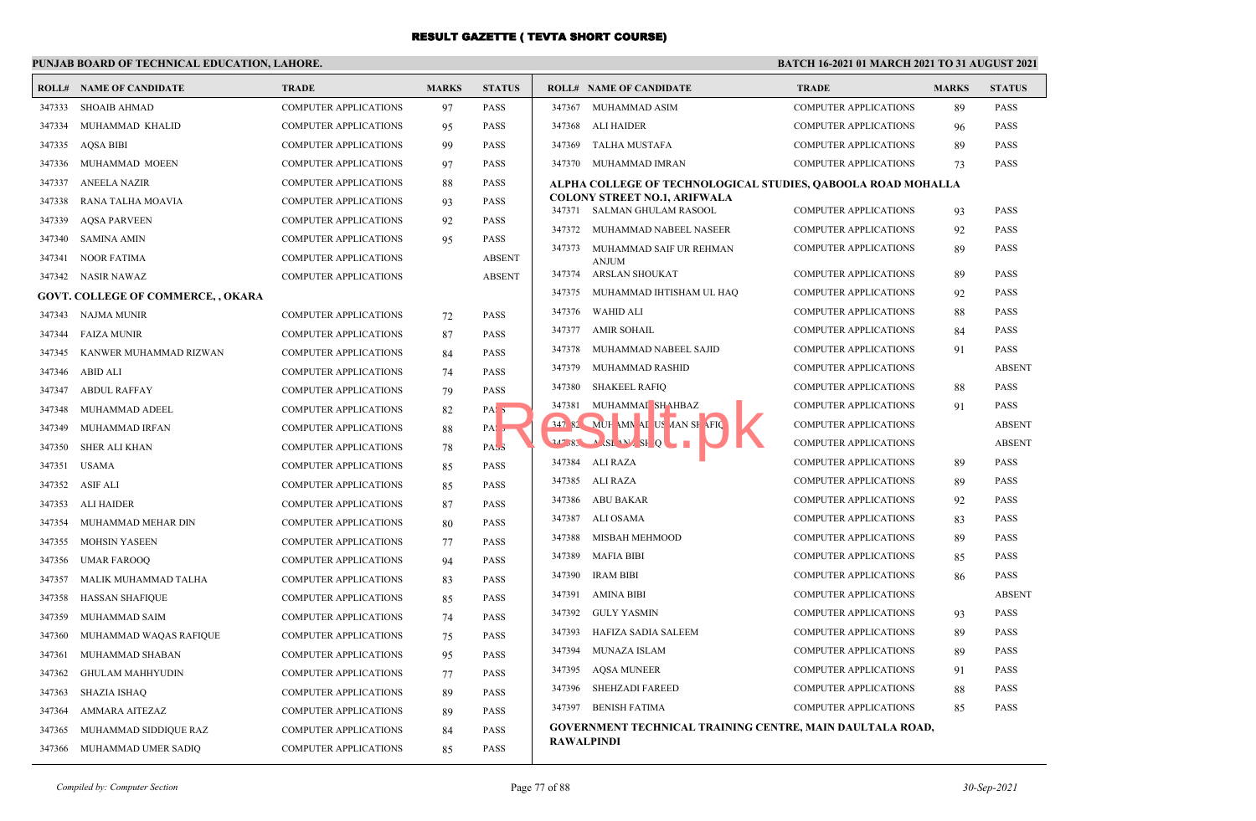### **PUNJAB BOARD OF TECHNICAL EDUCATION, LAHORE.**

|        | <b>ROLL# NAME OF CANDIDATE</b>            | <b>TRADE</b>                 | <b>MARKS</b> | <b>STATUS</b>    | <b>ROLL# NAME OF CANDIDATE</b>                                                  |                                                | <b>TRADE</b>                                                 | <b>MARKS</b> | <b>STATUS</b> |
|--------|-------------------------------------------|------------------------------|--------------|------------------|---------------------------------------------------------------------------------|------------------------------------------------|--------------------------------------------------------------|--------------|---------------|
| 347333 | <b>SHOAIB AHMAD</b>                       | <b>COMPUTER APPLICATIONS</b> | 97           | <b>PASS</b>      | 347367<br>MUHAMMAD ASIM                                                         |                                                | <b>COMPUTER APPLICATIONS</b>                                 | 89           | <b>PASS</b>   |
| 347334 | MUHAMMAD KHALID                           | <b>COMPUTER APPLICATIONS</b> | 95           | <b>PASS</b>      | 347368<br>ALI HAIDER                                                            |                                                | <b>COMPUTER APPLICATIONS</b>                                 | 96           | <b>PASS</b>   |
| 347335 | <b>AOSA BIBI</b>                          | <b>COMPUTER APPLICATIONS</b> | 99           | <b>PASS</b>      | 347369<br><b>TALHA MUSTAFA</b>                                                  |                                                | <b>COMPUTER APPLICATIONS</b>                                 | 89           | <b>PASS</b>   |
| 347336 | MUHAMMAD MOEEN                            | <b>COMPUTER APPLICATIONS</b> | 97           | <b>PASS</b>      | 347370 MUHAMMAD IMRAN                                                           |                                                | <b>COMPUTER APPLICATIONS</b>                                 | 73           | PASS          |
| 347337 | <b>ANEELA NAZIR</b>                       | <b>COMPUTER APPLICATIONS</b> | 88           | <b>PASS</b>      |                                                                                 |                                                | ALPHA COLLEGE OF TECHNOLOGICAL STUDIES, QABOOLA ROAD MOHALLA |              |               |
| 347338 | RANA TALHA MOAVIA                         | <b>COMPUTER APPLICATIONS</b> | 93           | <b>PASS</b>      | 347371                                                                          | <b>COLONY STREET NO.1, ARIFWALA</b>            |                                                              |              | <b>PASS</b>   |
| 347339 | <b>AQSA PARVEEN</b>                       | <b>COMPUTER APPLICATIONS</b> | 92           | <b>PASS</b>      | 347372                                                                          | SALMAN GHULAM RASOOL<br>MUHAMMAD NABEEL NASEER | <b>COMPUTER APPLICATIONS</b><br><b>COMPUTER APPLICATIONS</b> | 93           | <b>PASS</b>   |
| 347340 | <b>SAMINA AMIN</b>                        | <b>COMPUTER APPLICATIONS</b> | 95           | <b>PASS</b>      | 347373                                                                          |                                                |                                                              | 92           |               |
| 347341 | <b>NOOR FATIMA</b>                        | <b>COMPUTER APPLICATIONS</b> |              | <b>ABSENT</b>    | <b>ANJUM</b>                                                                    | MUHAMMAD SAIF UR REHMAN                        | <b>COMPUTER APPLICATIONS</b>                                 | 89           | PASS          |
|        | 347342 NASIR NAWAZ                        | <b>COMPUTER APPLICATIONS</b> |              | <b>ABSENT</b>    | 347374                                                                          | ARSLAN SHOUKAT                                 | <b>COMPUTER APPLICATIONS</b>                                 | 89           | <b>PASS</b>   |
|        | <b>GOVT. COLLEGE OF COMMERCE, , OKARA</b> |                              |              |                  | 347375                                                                          | MUHAMMAD IHTISHAM UL HAQ                       | <b>COMPUTER APPLICATIONS</b>                                 | 92           | <b>PASS</b>   |
|        | 347343 NAJMA MUNIR                        | <b>COMPUTER APPLICATIONS</b> | 72           | <b>PASS</b>      | 347376<br><b>WAHID ALI</b>                                                      |                                                | <b>COMPUTER APPLICATIONS</b>                                 | 88           | <b>PASS</b>   |
| 347344 | <b>FAIZA MUNIR</b>                        | <b>COMPUTER APPLICATIONS</b> | 87           | <b>PASS</b>      | 347377<br><b>AMIR SOHAIL</b>                                                    |                                                | <b>COMPUTER APPLICATIONS</b>                                 | 84           | <b>PASS</b>   |
| 347345 | KANWER MUHAMMAD RIZWAN                    | <b>COMPUTER APPLICATIONS</b> | 84           | <b>PASS</b>      | 347378                                                                          | MUHAMMAD NABEEL SAJID                          | <b>COMPUTER APPLICATIONS</b>                                 | 91           | <b>PASS</b>   |
|        | 347346 ABID ALI                           | <b>COMPUTER APPLICATIONS</b> | 74           | <b>PASS</b>      | 347379                                                                          | MUHAMMAD RASHID                                | <b>COMPUTER APPLICATIONS</b>                                 |              | <b>ABSENT</b> |
| 347347 | <b>ABDUL RAFFAY</b>                       | COMPUTER APPLICATIONS        | 79           | <b>PASS</b>      | 347380<br><b>SHAKEEL RAFIQ</b>                                                  |                                                | <b>COMPUTER APPLICATIONS</b>                                 | 88           | PASS          |
| 347348 | MUHAMMAD ADEEL                            | <b>COMPUTER APPLICATIONS</b> | 82           | PAS <sub>5</sub> | 347381                                                                          | MUHAMMAI SHAHBAZ                               | <b>COMPUTER APPLICATIONS</b>                                 | 91           | <b>PASS</b>   |
| 347349 | MUHAMMAD IRFAN                            | <b>COMPUTER APPLICATIONS</b> | 88           | PA:5             |                                                                                 | 347 82 MUH MN AI US AAN SH AFIQ                | <b>COMPUTER APPLICATIONS</b>                                 |              | <b>ABSENT</b> |
| 347350 | <b>SHER ALI KHAN</b>                      | <b>COMPUTER APPLICATIONS</b> | 78           | PAS <sub>3</sub> | $34^{\circ}$ $/83$ $\longrightarrow$ $SL_{2}N$ $S$ $Q$ $\longrightarrow$ $\Box$ |                                                | <b>COMPUTER APPLICATIONS</b>                                 |              | <b>ABSENT</b> |
| 347351 | <b>USAMA</b>                              | <b>COMPUTER APPLICATIONS</b> | 85           | <b>PASS</b>      | 347384<br>ALI RAZA                                                              |                                                | <b>COMPUTER APPLICATIONS</b>                                 | 89           | <b>PASS</b>   |
| 347352 | <b>ASIF ALI</b>                           | <b>COMPUTER APPLICATIONS</b> | 85           | <b>PASS</b>      | 347385 ALI RAZA                                                                 |                                                | <b>COMPUTER APPLICATIONS</b>                                 | 89           | <b>PASS</b>   |
| 347353 | <b>ALI HAIDER</b>                         | <b>COMPUTER APPLICATIONS</b> | 87           | <b>PASS</b>      | 347386<br>ABU BAKAR                                                             |                                                | <b>COMPUTER APPLICATIONS</b>                                 | 92           | <b>PASS</b>   |
| 347354 | MUHAMMAD MEHAR DIN                        | <b>COMPUTER APPLICATIONS</b> | 80           | <b>PASS</b>      | 347387<br>ALI OSAMA                                                             |                                                | <b>COMPUTER APPLICATIONS</b>                                 | 83           | <b>PASS</b>   |
| 347355 | <b>MOHSIN YASEEN</b>                      | <b>COMPUTER APPLICATIONS</b> | 77           | <b>PASS</b>      | 347388                                                                          | MISBAH MEHMOOD                                 | <b>COMPUTER APPLICATIONS</b>                                 | 89           | <b>PASS</b>   |
| 347356 | <b>UMAR FAROOQ</b>                        | <b>COMPUTER APPLICATIONS</b> | 94           | <b>PASS</b>      | 347389<br><b>MAFIA BIBI</b>                                                     |                                                | <b>COMPUTER APPLICATIONS</b>                                 | 85           | PASS          |
| 347357 | MALIK MUHAMMAD TALHA                      | <b>COMPUTER APPLICATIONS</b> | 83           | <b>PASS</b>      | 347390<br><b>IRAM BIBI</b>                                                      |                                                | <b>COMPUTER APPLICATIONS</b>                                 | 86           | <b>PASS</b>   |
| 347358 | <b>HASSAN SHAFIQUE</b>                    | <b>COMPUTER APPLICATIONS</b> | 85           | <b>PASS</b>      | 347391<br><b>AMINA BIBI</b>                                                     |                                                | <b>COMPUTER APPLICATIONS</b>                                 |              | <b>ABSENT</b> |
| 347359 | MUHAMMAD SAIM                             | COMPUTER APPLICATIONS        | 74           | <b>PASS</b>      | 347392<br><b>GULY YASMIN</b>                                                    |                                                | <b>COMPUTER APPLICATIONS</b>                                 | 93           | PASS          |
| 347360 | MUHAMMAD WAQAS RAFIQUE                    | COMPUTER APPLICATIONS        | 75           | <b>PASS</b>      | 347393                                                                          | HAFIZA SADIA SALEEM                            | <b>COMPUTER APPLICATIONS</b>                                 | 89           | <b>PASS</b>   |
| 347361 | MUHAMMAD SHABAN                           | COMPUTER APPLICATIONS        | 95           | <b>PASS</b>      | 347394<br><b>MUNAZA ISLAM</b>                                                   |                                                | <b>COMPUTER APPLICATIONS</b>                                 | 89           | <b>PASS</b>   |
| 347362 | <b>GHULAM MAHHYUDIN</b>                   | COMPUTER APPLICATIONS        | 77           | <b>PASS</b>      | 347395<br><b>AQSA MUNEER</b>                                                    |                                                | COMPUTER APPLICATIONS                                        | 91           | PASS          |
| 347363 | <b>SHAZIA ISHAQ</b>                       | COMPUTER APPLICATIONS        | 89           | <b>PASS</b>      | 347396                                                                          | <b>SHEHZADI FAREED</b>                         | <b>COMPUTER APPLICATIONS</b>                                 | 88           | <b>PASS</b>   |
| 347364 | AMMARA AITEZAZ                            | <b>COMPUTER APPLICATIONS</b> | 89           | <b>PASS</b>      | 347397<br><b>BENISH FATIMA</b>                                                  |                                                | <b>COMPUTER APPLICATIONS</b>                                 | 85           | PASS          |
| 347365 | MUHAMMAD SIDDIQUE RAZ                     | COMPUTER APPLICATIONS        | 84           | <b>PASS</b>      |                                                                                 |                                                | GOVERNMENT TECHNICAL TRAINING CENTRE, MAIN DAULTALA ROAD,    |              |               |
|        | 347366 MUHAMMAD UMER SADIQ                | COMPUTER APPLICATIONS        | 85           | <b>PASS</b>      | <b>RAWALPINDI</b>                                                               |                                                |                                                              |              |               |
|        |                                           |                              |              |                  |                                                                                 |                                                |                                                              |              |               |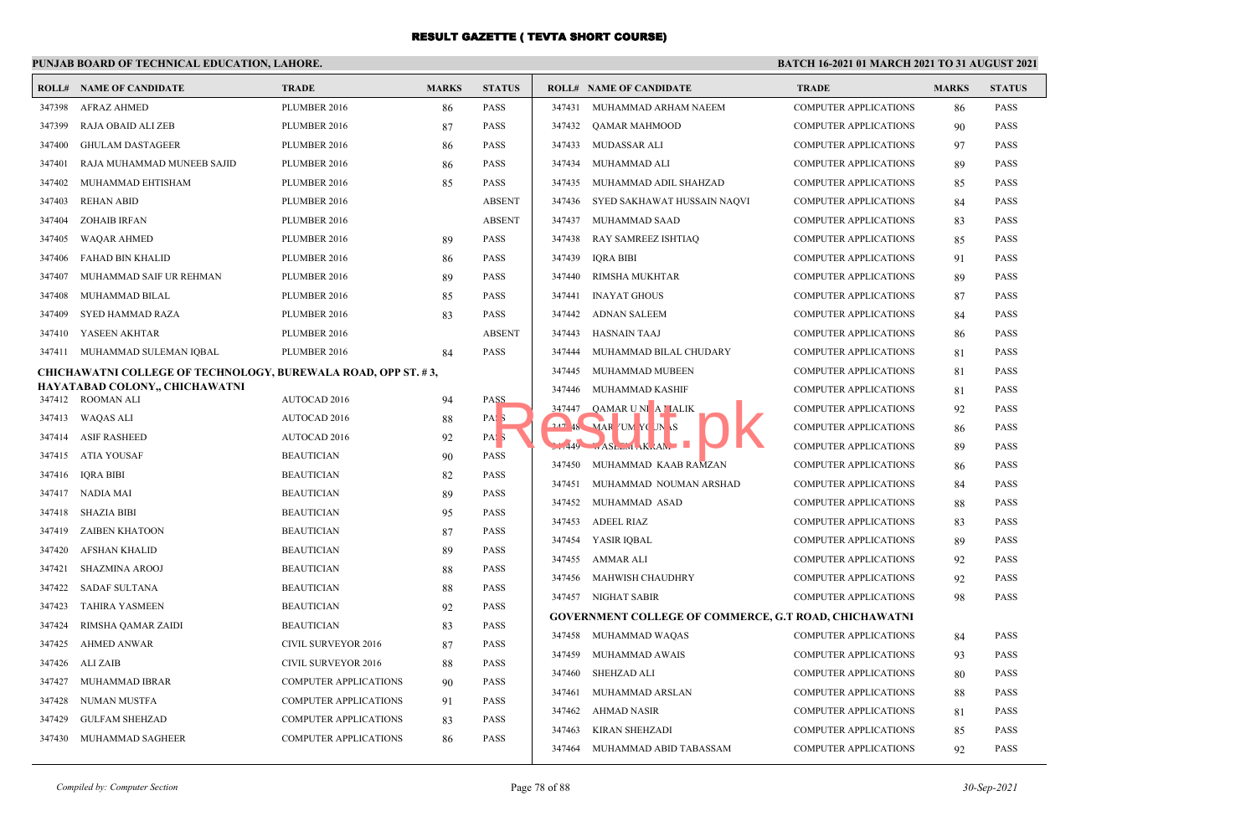### **PUNJAB BOARD OF TECHNICAL EDUCATION, LAHORE.**

|        | <b>ROLL# NAME OF CANDIDATE</b>                                       | <b>TRADE</b>                 | <b>MARKS</b> | <b>STATUS</b>    |        | <b>ROLL# NAME OF CANDIDATE</b>                               | <b>TRADE</b>                 | <b>MARKS</b> | <b>STATUS</b> |
|--------|----------------------------------------------------------------------|------------------------------|--------------|------------------|--------|--------------------------------------------------------------|------------------------------|--------------|---------------|
| 347398 | AFRAZ AHMED                                                          | PLUMBER 2016                 | 86           | <b>PASS</b>      | 347431 | MUHAMMAD ARHAM NAEEM                                         | <b>COMPUTER APPLICATIONS</b> | 86           | PASS          |
| 347399 | RAJA OBAID ALI ZEB                                                   | PLUMBER 2016                 | 87           | <b>PASS</b>      | 347432 | QAMAR MAHMOOD                                                | <b>COMPUTER APPLICATIONS</b> | 90           | PASS          |
| 347400 | <b>GHULAM DASTAGEER</b>                                              | PLUMBER 2016                 | 86           | <b>PASS</b>      | 347433 | MUDASSAR ALI                                                 | <b>COMPUTER APPLICATIONS</b> | 97           | PASS          |
| 347401 | RAJA MUHAMMAD MUNEEB SAJID                                           | PLUMBER 2016                 | 86           | <b>PASS</b>      | 347434 | MUHAMMAD ALI                                                 | COMPUTER APPLICATIONS        | 89           | PASS          |
| 347402 | MUHAMMAD EHTISHAM                                                    | PLUMBER 2016                 | 85           | <b>PASS</b>      | 347435 | MUHAMMAD ADIL SHAHZAD                                        | COMPUTER APPLICATIONS        | 85           | PASS          |
| 347403 | <b>REHAN ABID</b>                                                    | PLUMBER 2016                 |              | <b>ABSENT</b>    | 347436 | SYED SAKHAWAT HUSSAIN NAQVI                                  | <b>COMPUTER APPLICATIONS</b> | 84           | <b>PASS</b>   |
| 347404 | <b>ZOHAIB IRFAN</b>                                                  | PLUMBER 2016                 |              | <b>ABSENT</b>    | 347437 | MUHAMMAD SAAD                                                | <b>COMPUTER APPLICATIONS</b> | 83           | PASS          |
| 347405 | WAQAR AHMED                                                          | PLUMBER 2016                 | 89           | <b>PASS</b>      | 347438 | RAY SAMREEZ ISHTIAQ                                          | <b>COMPUTER APPLICATIONS</b> | 85           | PASS          |
| 347406 | FAHAD BIN KHALID                                                     | PLUMBER 2016                 | 86           | <b>PASS</b>      | 347439 | <b>IQRA BIBI</b>                                             | <b>COMPUTER APPLICATIONS</b> | 91           | PASS          |
| 347407 | MUHAMMAD SAIF UR REHMAN                                              | PLUMBER 2016                 | 89           | <b>PASS</b>      | 347440 | <b>RIMSHA MUKHTAR</b>                                        | <b>COMPUTER APPLICATIONS</b> | 89           | <b>PASS</b>   |
| 347408 | MUHAMMAD BILAL                                                       | PLUMBER 2016                 | 85           | <b>PASS</b>      | 347441 | <b>INAYAT GHOUS</b>                                          | <b>COMPUTER APPLICATIONS</b> | 87           | PASS          |
| 347409 | SYED HAMMAD RAZA                                                     | PLUMBER 2016                 | 83           | <b>PASS</b>      | 347442 | <b>ADNAN SALEEM</b>                                          | <b>COMPUTER APPLICATIONS</b> | 84           | <b>PASS</b>   |
| 347410 | YASEEN AKHTAR                                                        | PLUMBER 2016                 |              | <b>ABSENT</b>    | 347443 | <b>HASNAIN TAAJ</b>                                          | <b>COMPUTER APPLICATIONS</b> | 86           | <b>PASS</b>   |
|        | 347411 MUHAMMAD SULEMAN IQBAL                                        | PLUMBER 2016                 | 84           | <b>PASS</b>      | 347444 | MUHAMMAD BILAL CHUDARY                                       | <b>COMPUTER APPLICATIONS</b> | 81           | PASS          |
|        | <b>CHICHAWATNI COLLEGE OF TECHNOLOGY, BUREWALA ROAD, OPP ST. #3,</b> |                              |              |                  | 347445 | MUHAMMAD MUBEEN                                              | <b>COMPUTER APPLICATIONS</b> | 81           | PASS          |
|        | HAYATABAD COLONY,, CHICHAWATNI                                       |                              |              |                  | 347446 | MUHAMMAD KASHIF                                              | <b>COMPUTER APPLICATIONS</b> | 81           | <b>PASS</b>   |
|        | 347412 ROOMAN ALI                                                    | AUTOCAD 2016                 | 94           | PASS             | 347447 | QAMAR UNI A MALIK                                            | <b>COMPUTER APPLICATIONS</b> | 92           | PASS          |
|        | 347413 WAQAS ALI                                                     | AUTOCAD 2016                 | 88           | PAS <sub>3</sub> |        | 247 48 MAR UM YOUN S                                         | <b>COMPUTER APPLICATIONS</b> | 86           | PASS          |
|        | 347414 ASIF RASHEED                                                  | AUTOCAD 2016                 | 92           | PAS <sub>3</sub> |        |                                                              | <b>COMPUTER APPLICATIONS</b> | 89           | PASS          |
|        | 347415 ATIA YOUSAF                                                   | <b>BEAUTICIAN</b>            | 90           | <b>PASS</b>      | 347450 | MUHAMMAD KAAB RAMZAN                                         | <b>COMPUTER APPLICATIONS</b> | 86           | PASS          |
|        | 347416 IQRA BIBI                                                     | <b>BEAUTICIAN</b>            | 82           | <b>PASS</b>      | 347451 | MUHAMMAD NOUMAN ARSHAD                                       | <b>COMPUTER APPLICATIONS</b> | 84           | PASS          |
|        | 347417 NADIA MAI                                                     | <b>BEAUTICIAN</b>            | 89           | <b>PASS</b>      | 347452 | MUHAMMAD ASAD                                                | <b>COMPUTER APPLICATIONS</b> | 88           | PASS          |
|        | 347418 SHAZIA BIBI                                                   | <b>BEAUTICIAN</b>            | 95           | <b>PASS</b>      | 347453 | ADEEL RIAZ                                                   | <b>COMPUTER APPLICATIONS</b> | 83           | <b>PASS</b>   |
| 347419 | ZAIBEN KHATOON                                                       | <b>BEAUTICIAN</b>            | 87           | <b>PASS</b>      |        | 347454 YASIR IQBAL                                           | <b>COMPUTER APPLICATIONS</b> | 89           | PASS          |
| 347420 | AFSHAN KHALID                                                        | <b>BEAUTICIAN</b>            | 89           | <b>PASS</b>      |        | 347455 AMMAR ALI                                             | <b>COMPUTER APPLICATIONS</b> | 92           | PASS          |
| 347421 | <b>SHAZMINA AROOJ</b>                                                | <b>BEAUTICIAN</b>            | 88           | <b>PASS</b>      |        | 347456 MAHWISH CHAUDHRY                                      | <b>COMPUTER APPLICATIONS</b> | 92           | <b>PASS</b>   |
| 347422 | SADAF SULTANA                                                        | <b>BEAUTICIAN</b>            | 88           | <b>PASS</b>      |        | 347457 NIGHAT SABIR                                          | <b>COMPUTER APPLICATIONS</b> | 98           | PASS          |
| 347423 | <b>TAHIRA YASMEEN</b>                                                | <b>BEAUTICIAN</b>            | 92           | <b>PASS</b>      |        | <b>GOVERNMENT COLLEGE OF COMMERCE, G.T ROAD, CHICHAWATNI</b> |                              |              |               |
| 347424 | RIMSHA QAMAR ZAIDI                                                   | <b>BEAUTICIAN</b>            | 83           | <b>PASS</b>      |        | 347458 MUHAMMAD WAQAS                                        | <b>COMPUTER APPLICATIONS</b> | 84           | PASS          |
| 347425 | <b>AHMED ANWAR</b>                                                   | CIVIL SURVEYOR 2016          | 87           | <b>PASS</b>      | 347459 | MUHAMMAD AWAIS                                               | <b>COMPUTER APPLICATIONS</b> | 93           | PASS          |
| 347426 | ALI ZAIB                                                             | <b>CIVIL SURVEYOR 2016</b>   | 88           | <b>PASS</b>      | 347460 | <b>SHEHZAD ALI</b>                                           | <b>COMPUTER APPLICATIONS</b> | 80           | PASS          |
| 347427 | MUHAMMAD IBRAR                                                       | COMPUTER APPLICATIONS        | 90           | <b>PASS</b>      | 347461 | MUHAMMAD ARSLAN                                              | <b>COMPUTER APPLICATIONS</b> | 88           | PASS          |
| 347428 | NUMAN MUSTFA                                                         | <b>COMPUTER APPLICATIONS</b> | 91           | <b>PASS</b>      | 347462 | AHMAD NASIR                                                  | COMPUTER APPLICATIONS        | 81           | PASS          |
| 347429 | <b>GULFAM SHEHZAD</b>                                                | <b>COMPUTER APPLICATIONS</b> | 83           | <b>PASS</b>      | 347463 | <b>KIRAN SHEHZADI</b>                                        | <b>COMPUTER APPLICATIONS</b> | 85           | PASS          |
|        | 347430 MUHAMMAD SAGHEER                                              | COMPUTER APPLICATIONS        | 86           | <b>PASS</b>      |        | 347464 MUHAMMAD ABID TABASSAM                                | <b>COMPUTER APPLICATIONS</b> | 92           | <b>PASS</b>   |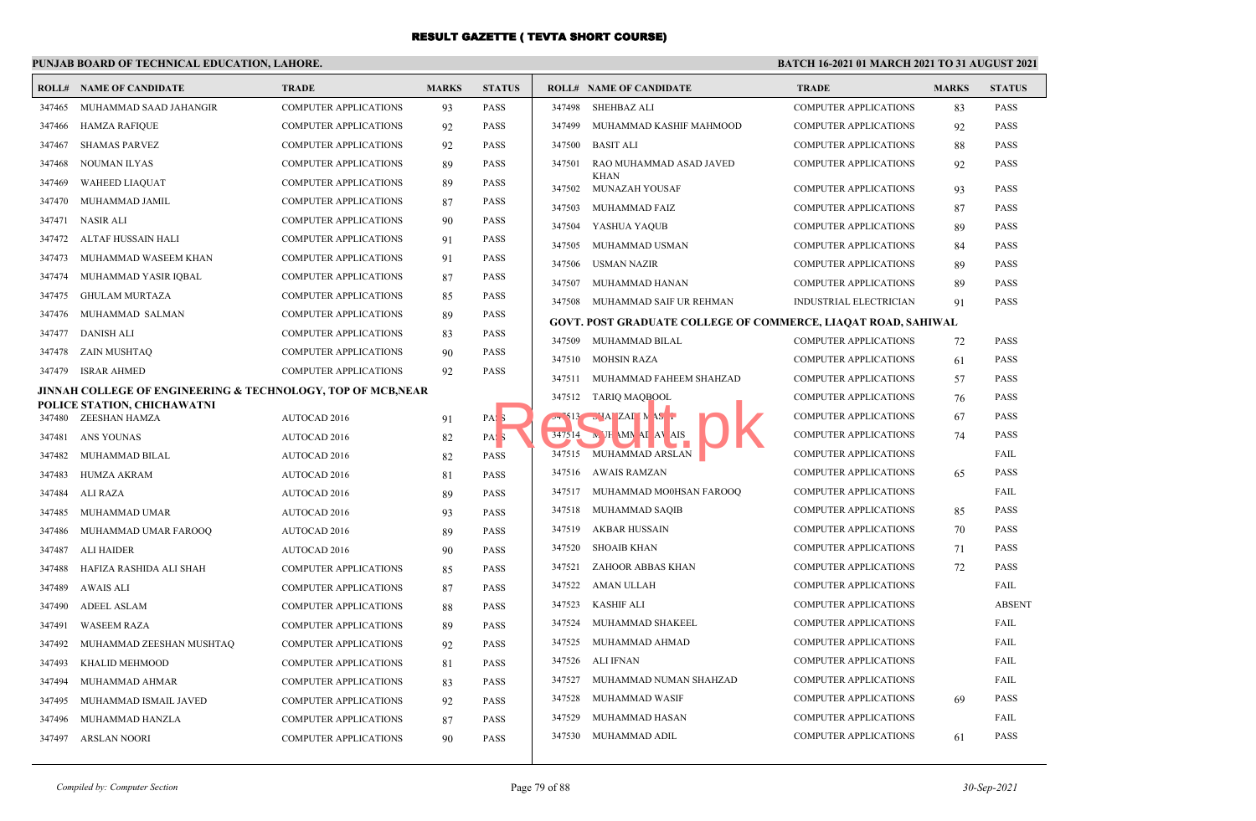### **PUNJAB BOARD OF TECHNICAL EDUCATION, LAHORE.**

|        | <b>ROLL# NAME OF CANDIDATE</b>                                          | <b>TRADE</b>                 | <b>MARKS</b> | <b>STATUS</b>       |        | <b>ROLL# NAME OF CANDIDATE</b>                                | <b>TRADE</b>                 | <b>MARKS</b> | <b>STATUS</b> |
|--------|-------------------------------------------------------------------------|------------------------------|--------------|---------------------|--------|---------------------------------------------------------------|------------------------------|--------------|---------------|
|        | 347465 MUHAMMAD SAAD JAHANGIR                                           | <b>COMPUTER APPLICATIONS</b> | 93           | PASS                | 347498 | <b>SHEHBAZ ALI</b>                                            | <b>COMPUTER APPLICATIONS</b> | 83           | <b>PASS</b>   |
| 347466 | <b>HAMZA RAFIQUE</b>                                                    | <b>COMPUTER APPLICATIONS</b> | 92           | <b>PASS</b>         | 347499 | MUHAMMAD KASHIF MAHMOOD                                       | <b>COMPUTER APPLICATIONS</b> | 92           | <b>PASS</b>   |
| 347467 | <b>SHAMAS PARVEZ</b>                                                    | <b>COMPUTER APPLICATIONS</b> | 92           | <b>PASS</b>         | 347500 | <b>BASIT ALI</b>                                              | <b>COMPUTER APPLICATIONS</b> | 88           | <b>PASS</b>   |
| 347468 | <b>NOUMAN ILYAS</b>                                                     | <b>COMPUTER APPLICATIONS</b> | 89           | <b>PASS</b>         | 347501 | RAO MUHAMMAD ASAD JAVED                                       | <b>COMPUTER APPLICATIONS</b> | 92           | <b>PASS</b>   |
| 347469 | <b>WAHEED LIAQUAT</b>                                                   | <b>COMPUTER APPLICATIONS</b> | 89           | <b>PASS</b>         | 347502 | <b>KHAN</b><br>MUNAZAH YOUSAF                                 | <b>COMPUTER APPLICATIONS</b> | 93           | <b>PASS</b>   |
| 347470 | MUHAMMAD JAMIL                                                          | COMPUTER APPLICATIONS        | 87           | <b>PASS</b>         | 347503 | MUHAMMAD FAIZ                                                 | <b>COMPUTER APPLICATIONS</b> | 87           | <b>PASS</b>   |
| 347471 | <b>NASIR ALI</b>                                                        | <b>COMPUTER APPLICATIONS</b> | 90           | PASS                | 347504 | YASHUA YAQUB                                                  | <b>COMPUTER APPLICATIONS</b> | 89           | <b>PASS</b>   |
|        | 347472 ALTAF HUSSAIN HALI                                               | <b>COMPUTER APPLICATIONS</b> | 91           | PASS                | 347505 | MUHAMMAD USMAN                                                | <b>COMPUTER APPLICATIONS</b> | 84           | <b>PASS</b>   |
| 347473 | MUHAMMAD WASEEM KHAN                                                    | <b>COMPUTER APPLICATIONS</b> | 91           | PASS                | 347506 | <b>USMAN NAZIR</b>                                            | <b>COMPUTER APPLICATIONS</b> | 89           | <b>PASS</b>   |
| 347474 | MUHAMMAD YASIR IQBAL                                                    | <b>COMPUTER APPLICATIONS</b> | 87           | PASS                | 347507 | MUHAMMAD HANAN                                                | <b>COMPUTER APPLICATIONS</b> | 89           | PASS          |
| 347475 | <b>GHULAM MURTAZA</b>                                                   | <b>COMPUTER APPLICATIONS</b> | 85           | <b>PASS</b>         |        | 347508 MUHAMMAD SAIF UR REHMAN                                | INDUSTRIAL ELECTRICIAN       | 91           | PASS          |
| 347476 | MUHAMMAD SALMAN                                                         | COMPUTER APPLICATIONS        | 89           | <b>PASS</b>         |        | GOVT. POST GRADUATE COLLEGE OF COMMERCE, LIAQAT ROAD, SAHIWAL |                              |              |               |
| 347477 | DANISH ALI                                                              | <b>COMPUTER APPLICATIONS</b> | 83           | PASS                | 347509 | MUHAMMAD BILAL                                                | <b>COMPUTER APPLICATIONS</b> | 72           | <b>PASS</b>   |
| 347478 | ZAIN MUSHTAQ                                                            | <b>COMPUTER APPLICATIONS</b> | 90           | <b>PASS</b>         |        | 347510 MOHSIN RAZA                                            | <b>COMPUTER APPLICATIONS</b> | 61           | <b>PASS</b>   |
| 347479 | <b>ISRAR AHMED</b>                                                      | <b>COMPUTER APPLICATIONS</b> | 92           | <b>PASS</b>         |        | 347511 MUHAMMAD FAHEEM SHAHZAD                                | <b>COMPUTER APPLICATIONS</b> | 57           | <b>PASS</b>   |
|        | <b>JINNAH COLLEGE OF ENGINEERING &amp; TECHNOLOGY, TOP OF MCB, NEAR</b> |                              |              |                     |        | 347512 TARIQ MAQBOOL                                          | <b>COMPUTER APPLICATIONS</b> | 76           | <b>PASS</b>   |
|        | POLICE STATION, CHICHAWATNI<br>ZEESHAN HAMZA                            |                              |              |                     |        | -313 HALZALIN AS                                              | <b>COMPUTER APPLICATIONS</b> | 67           | <b>PASS</b>   |
| 347480 |                                                                         | <b>AUTOCAD 2016</b>          | 91           | PAS <sub>3</sub>    |        | 347514 <b>M</b> JH MM AI AV AIS                               | <b>COMPUTER APPLICATIONS</b> | 74           | <b>PASS</b>   |
| 347481 | ANS YOUNAS                                                              | AUTOCAD 2016                 | 82           | PAS <sub>3</sub>    |        | 347515 MUHAMMAD ARSLAN                                        | <b>COMPUTER APPLICATIONS</b> |              | FAIL          |
|        | 347482 MUHAMMAD BILAL                                                   | AUTOCAD 2016                 | 82           | PASS<br><b>PASS</b> |        | 347516 AWAIS RAMZAN                                           | <b>COMPUTER APPLICATIONS</b> | 65           | <b>PASS</b>   |
| 347483 | <b>HUMZA AKRAM</b>                                                      | <b>AUTOCAD 2016</b>          | 81           |                     |        | 347517 MUHAMMAD MO0HSAN FAROOQ                                | <b>COMPUTER APPLICATIONS</b> |              | FAIL          |
| 347484 | ALI RAZA                                                                | AUTOCAD 2016                 | 89           | <b>PASS</b>         |        | 347518 MUHAMMAD SAQIB                                         | <b>COMPUTER APPLICATIONS</b> | 85           | PASS          |
| 347485 | MUHAMMAD UMAR                                                           | AUTOCAD 2016                 | 93           | <b>PASS</b>         | 347519 | <b>AKBAR HUSSAIN</b>                                          | <b>COMPUTER APPLICATIONS</b> | 70           | <b>PASS</b>   |
| 347486 | MUHAMMAD UMAR FAROOO                                                    | <b>AUTOCAD 2016</b>          | 89           | <b>PASS</b>         | 347520 | <b>SHOAIB KHAN</b>                                            | <b>COMPUTER APPLICATIONS</b> |              | PASS          |
| 347487 | <b>ALI HAIDER</b>                                                       | AUTOCAD 2016                 | 90           | <b>PASS</b>         | 347521 | ZAHOOR ABBAS KHAN                                             | <b>COMPUTER APPLICATIONS</b> | 71<br>72     | PASS          |
| 347488 | HAFIZA RASHIDA ALI SHAH                                                 | COMPUTER APPLICATIONS        | 85           | <b>PASS</b>         | 347522 | AMAN ULLAH                                                    | <b>COMPUTER APPLICATIONS</b> |              | FAIL          |
| 347489 | <b>AWAIS ALI</b>                                                        | <b>COMPUTER APPLICATIONS</b> | 87           | <b>PASS</b>         |        |                                                               |                              |              |               |
| 347490 | <b>ADEEL ASLAM</b>                                                      | <b>COMPUTER APPLICATIONS</b> | 88           | <b>PASS</b>         | 347523 | <b>KASHIF ALI</b>                                             | <b>COMPUTER APPLICATIONS</b> |              | <b>ABSENT</b> |
| 347491 | <b>WASEEM RAZA</b>                                                      | <b>COMPUTER APPLICATIONS</b> | 89           | <b>PASS</b>         | 347524 | MUHAMMAD SHAKEEL                                              | <b>COMPUTER APPLICATIONS</b> |              | FAIL          |
| 347492 | MUHAMMAD ZEESHAN MUSHTAQ                                                | <b>COMPUTER APPLICATIONS</b> | 92           | <b>PASS</b>         | 347525 | MUHAMMAD AHMAD                                                | <b>COMPUTER APPLICATIONS</b> |              | FAIL          |
| 347493 | KHALID MEHMOOD                                                          | <b>COMPUTER APPLICATIONS</b> | 81           | <b>PASS</b>         | 347526 | <b>ALI IFNAN</b>                                              | <b>COMPUTER APPLICATIONS</b> |              | FAIL          |
| 347494 | MUHAMMAD AHMAR                                                          | COMPUTER APPLICATIONS        | 83           | PASS                | 347527 | MUHAMMAD NUMAN SHAHZAD                                        | <b>COMPUTER APPLICATIONS</b> |              | FAIL          |
| 347495 | MUHAMMAD ISMAIL JAVED                                                   | COMPUTER APPLICATIONS        | 92           | <b>PASS</b>         | 347528 | MUHAMMAD WASIF                                                | <b>COMPUTER APPLICATIONS</b> | 69           | <b>PASS</b>   |
| 347496 | MUHAMMAD HANZLA                                                         | <b>COMPUTER APPLICATIONS</b> | 87           | PASS                | 347529 | MUHAMMAD HASAN                                                | <b>COMPUTER APPLICATIONS</b> |              | FAIL          |
|        | 347497 ARSLAN NOORI                                                     | <b>COMPUTER APPLICATIONS</b> | 90           | <b>PASS</b>         |        | 347530 MUHAMMAD ADIL                                          | <b>COMPUTER APPLICATIONS</b> | 61           | PASS          |
|        |                                                                         |                              |              |                     |        |                                                               |                              |              |               |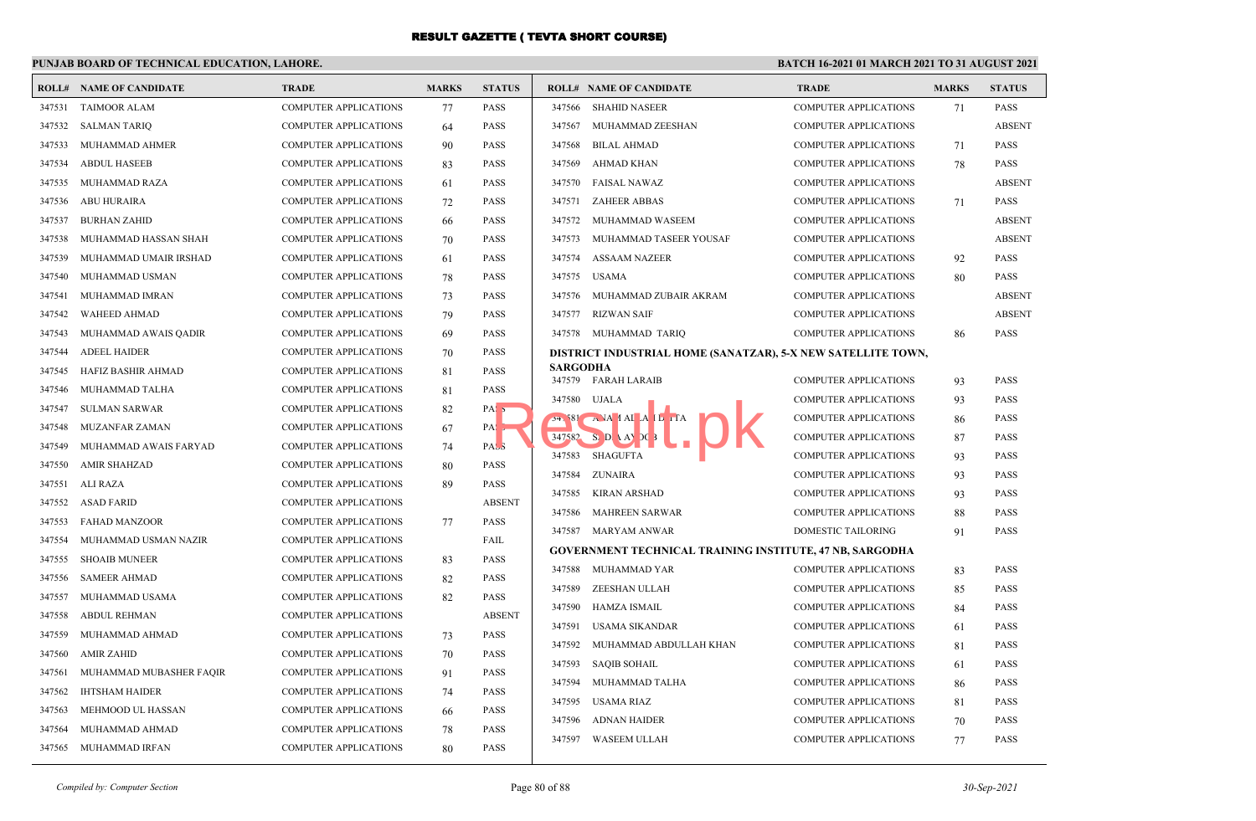### **PUNJAB BOARD OF TECHNICAL EDUCATION, LAHORE.**

|        | <b>ROLL# NAME OF CANDIDATE</b> | <b>TRADE</b>                 | <b>MARKS</b> | <b>STATUS</b>     |          | <b>ROLL# NAME OF CANDIDATE</b>                                  | <b>TRADE</b>                 | <b>MARKS</b> | <b>STATUS</b> |
|--------|--------------------------------|------------------------------|--------------|-------------------|----------|-----------------------------------------------------------------|------------------------------|--------------|---------------|
| 347531 | <b>TAIMOOR ALAM</b>            | COMPUTER APPLICATIONS        | 77           | <b>PASS</b>       | 347566   | <b>SHAHID NASEER</b>                                            | COMPUTER APPLICATIONS        | 71           | <b>PASS</b>   |
| 347532 | <b>SALMAN TARIQ</b>            | <b>COMPUTER APPLICATIONS</b> | 64           | <b>PASS</b>       | 347567   | MUHAMMAD ZEESHAN                                                | <b>COMPUTER APPLICATIONS</b> |              | <b>ABSENT</b> |
| 347533 | MUHAMMAD AHMER                 | COMPUTER APPLICATIONS        | 90           | <b>PASS</b>       | 347568   | <b>BILAL AHMAD</b>                                              | COMPUTER APPLICATIONS        | 71           | <b>PASS</b>   |
| 347534 | <b>ABDUL HASEEB</b>            | <b>COMPUTER APPLICATIONS</b> | 83           | <b>PASS</b>       | 347569   | AHMAD KHAN                                                      | <b>COMPUTER APPLICATIONS</b> | 78           | <b>PASS</b>   |
| 347535 | <b>MUHAMMAD RAZA</b>           | <b>COMPUTER APPLICATIONS</b> | 61           | <b>PASS</b>       | 347570   | <b>FAISAL NAWAZ</b>                                             | <b>COMPUTER APPLICATIONS</b> |              | <b>ABSENT</b> |
| 347536 | ABU HURAIRA                    | COMPUTER APPLICATIONS        | 72           | <b>PASS</b>       | 347571   | <b>ZAHEER ABBAS</b>                                             | COMPUTER APPLICATIONS        | 71           | <b>PASS</b>   |
| 347537 | <b>BURHAN ZAHID</b>            | <b>COMPUTER APPLICATIONS</b> | 66           | <b>PASS</b>       |          | 347572 MUHAMMAD WASEEM                                          | <b>COMPUTER APPLICATIONS</b> |              | <b>ABSENT</b> |
| 347538 | MUHAMMAD HASSAN SHAH           | <b>COMPUTER APPLICATIONS</b> | 70           | <b>PASS</b>       |          | 347573 MUHAMMAD TASEER YOUSAF                                   | <b>COMPUTER APPLICATIONS</b> |              | <b>ABSENT</b> |
| 347539 | MUHAMMAD UMAIR IRSHAD          | COMPUTER APPLICATIONS        | 61           | <b>PASS</b>       | 347574   | <b>ASSAAM NAZEER</b>                                            | COMPUTER APPLICATIONS        | 92           | <b>PASS</b>   |
| 347540 | MUHAMMAD USMAN                 | COMPUTER APPLICATIONS        | 78           | <b>PASS</b>       | 347575   | <b>USAMA</b>                                                    | <b>COMPUTER APPLICATIONS</b> | 80           | <b>PASS</b>   |
| 347541 | MUHAMMAD IMRAN                 | <b>COMPUTER APPLICATIONS</b> | 73           | <b>PASS</b>       | 347576   | MUHAMMAD ZUBAIR AKRAM                                           | <b>COMPUTER APPLICATIONS</b> |              | <b>ABSENT</b> |
| 347542 | <b>WAHEED AHMAD</b>            | COMPUTER APPLICATIONS        | 79           | <b>PASS</b>       | 347577   | <b>RIZWAN SAIF</b>                                              | <b>COMPUTER APPLICATIONS</b> |              | <b>ABSENT</b> |
| 347543 | MUHAMMAD AWAIS QADIR           | COMPUTER APPLICATIONS        | 69           | <b>PASS</b>       |          | 347578 MUHAMMAD TARIQ                                           | <b>COMPUTER APPLICATIONS</b> | 86           | PASS          |
| 347544 | <b>ADEEL HAIDER</b>            | <b>COMPUTER APPLICATIONS</b> | 70           | <b>PASS</b>       |          | DISTRICT INDUSTRIAL HOME (SANATZAR), 5-X NEW SATELLITE TOWN,    |                              |              |               |
| 347545 | HAFIZ BASHIR AHMAD             | COMPUTER APPLICATIONS        | 81           | <b>PASS</b>       | SARGODHA |                                                                 |                              |              |               |
| 347546 | MUHAMMAD TALHA                 | COMPUTER APPLICATIONS        | 81           | <b>PASS</b>       |          | 347579 FARAH LARAIB                                             | <b>COMPUTER APPLICATIONS</b> | 93           | <b>PASS</b>   |
| 347547 | SULMAN SARWAR                  | <b>COMPUTER APPLICATIONS</b> | 82           | PAS <sub>5</sub>  |          | 347580 UJALA                                                    | <b>COMPUTER APPLICATIONS</b> | 93           | <b>PASS</b>   |
| 347548 | <b>MUZANFAR ZAMAN</b>          | <b>COMPUTER APPLICATIONS</b> | 67           | $PA: \rightarrow$ |          | $54.581 \t\t A$ JA $1$ AI $A$ L $\Gamma$                        | COMPUTER APPLICATIONS        | 86           | <b>PASS</b>   |
| 347549 | MUHAMMAD AWAIS FARYAD          | COMPUTER APPLICATIONS        | 74           | PASS              | 347582   | $Si$ DI \ AY DC                                                 | COMPUTER APPLICATIONS        | 87           | <b>PASS</b>   |
| 347550 | <b>AMIR SHAHZAD</b>            | <b>COMPUTER APPLICATIONS</b> | 80           | <b>PASS</b>       | 347583   | SHAGUFTA                                                        | <b>COMPUTER APPLICATIONS</b> | 93           | <b>PASS</b>   |
| 347551 | ALI RAZA                       | <b>COMPUTER APPLICATIONS</b> | 89           | <b>PASS</b>       | 347584   | <b>ZUNAIRA</b>                                                  | <b>COMPUTER APPLICATIONS</b> | 93           | <b>PASS</b>   |
| 347552 | <b>ASAD FARID</b>              | <b>COMPUTER APPLICATIONS</b> |              | <b>ABSENT</b>     | 347585   | <b>KIRAN ARSHAD</b>                                             | COMPUTER APPLICATIONS        | 93           | <b>PASS</b>   |
| 347553 | <b>FAHAD MANZOOR</b>           | <b>COMPUTER APPLICATIONS</b> | 77           | <b>PASS</b>       | 347586   | <b>MAHREEN SARWAR</b>                                           | COMPUTER APPLICATIONS        | 88           | <b>PASS</b>   |
| 347554 | MUHAMMAD USMAN NAZIR           | <b>COMPUTER APPLICATIONS</b> |              | FAIL              |          | 347587 MARYAM ANWAR                                             | <b>DOMESTIC TAILORING</b>    | 91           | <b>PASS</b>   |
| 347555 | <b>SHOAIB MUNEER</b>           | <b>COMPUTER APPLICATIONS</b> | 83           | <b>PASS</b>       |          | <b>GOVERNMENT TECHNICAL TRAINING INSTITUTE, 47 NB, SARGODHA</b> |                              |              |               |
| 347556 | <b>SAMEER AHMAD</b>            | <b>COMPUTER APPLICATIONS</b> | 82           | <b>PASS</b>       | 347588   | MUHAMMAD YAR                                                    | <b>COMPUTER APPLICATIONS</b> | 83           | <b>PASS</b>   |
| 347557 | MUHAMMAD USAMA                 | COMPUTER APPLICATIONS        | 82           | <b>PASS</b>       | 347589   | ZEESHAN ULLAH                                                   | <b>COMPUTER APPLICATIONS</b> | 85           | <b>PASS</b>   |
| 347558 | <b>ABDUL REHMAN</b>            | <b>COMPUTER APPLICATIONS</b> |              | <b>ABSENT</b>     | 347590   | <b>HAMZA ISMAIL</b>                                             | COMPUTER APPLICATIONS        | 84           | <b>PASS</b>   |
| 347559 | MUHAMMAD AHMAD                 | <b>COMPUTER APPLICATIONS</b> | 73           | <b>PASS</b>       | 347591   | <b>USAMA SIKANDAR</b>                                           | <b>COMPUTER APPLICATIONS</b> | 61           | <b>PASS</b>   |
| 347560 | <b>AMIR ZAHID</b>              | COMPUTER APPLICATIONS        | 70           | <b>PASS</b>       | 347592   | MUHAMMAD ABDULLAH KHAN                                          | COMPUTER APPLICATIONS        | 81           | <b>PASS</b>   |
| 347561 | MUHAMMAD MUBASHER FAQIR        | <b>COMPUTER APPLICATIONS</b> | 91           | <b>PASS</b>       | 347593   | <b>SAQIB SOHAIL</b>                                             | <b>COMPUTER APPLICATIONS</b> | 61           | <b>PASS</b>   |
| 347562 | <b>IHTSHAM HAIDER</b>          | <b>COMPUTER APPLICATIONS</b> | 74           | <b>PASS</b>       | 347594   | MUHAMMAD TALHA                                                  | <b>COMPUTER APPLICATIONS</b> | 86           | <b>PASS</b>   |
| 347563 | MEHMOOD UL HASSAN              | COMPUTER APPLICATIONS        | 66           | <b>PASS</b>       | 347595   | USAMA RIAZ                                                      | COMPUTER APPLICATIONS        | 81           | <b>PASS</b>   |
| 347564 | MUHAMMAD AHMAD                 | COMPUTER APPLICATIONS        | 78           | <b>PASS</b>       | 347596   | <b>ADNAN HAIDER</b>                                             | <b>COMPUTER APPLICATIONS</b> | 70           | <b>PASS</b>   |
| 347565 | MUHAMMAD IRFAN                 | <b>COMPUTER APPLICATIONS</b> | 80           | <b>PASS</b>       | 347597   | WASEEM ULLAH                                                    | <b>COMPUTER APPLICATIONS</b> | 77           | <b>PASS</b>   |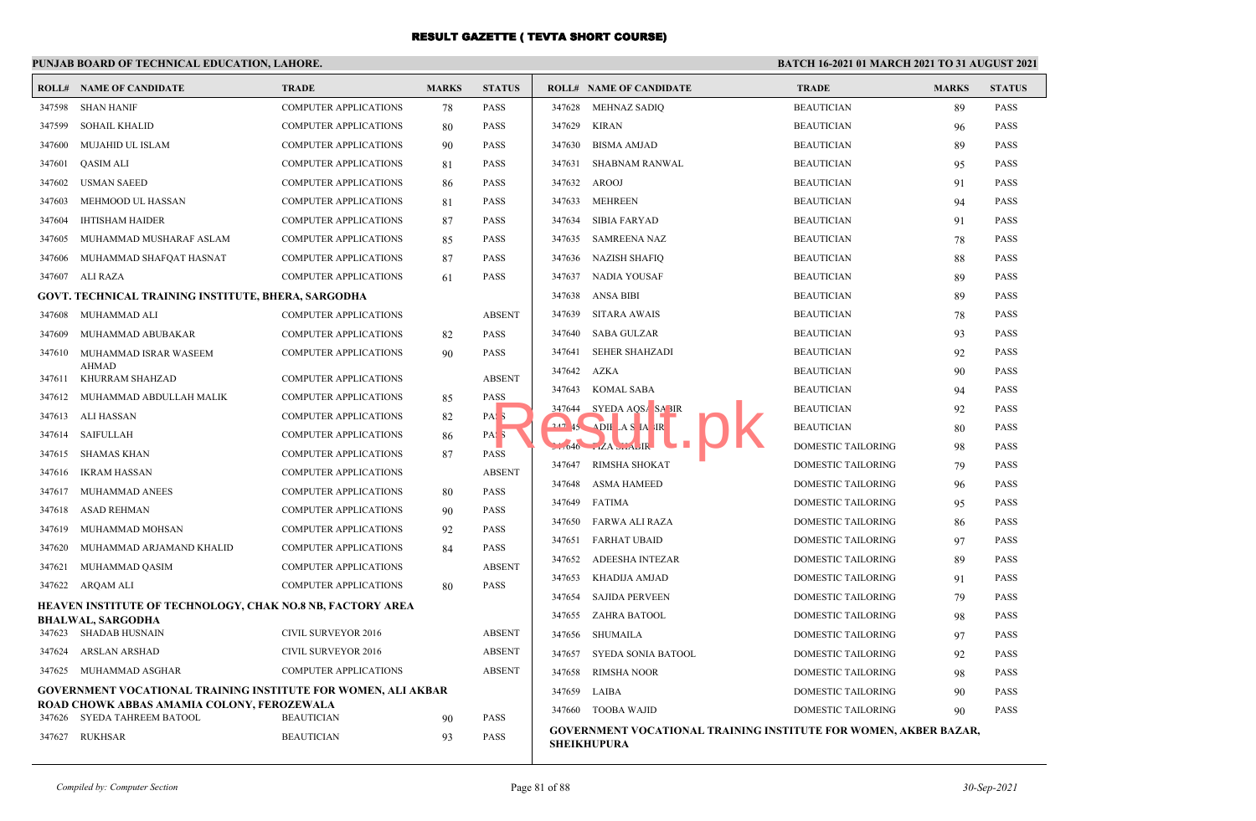|        | PUNJAB BOARD OF TECHNICAL EDUCATION, LAHORE.                                                                |                              |              |                  | BATCH 16-2021 01 MARCH 2021 TO 31 AUGUST 2021                    |                           |              |               |
|--------|-------------------------------------------------------------------------------------------------------------|------------------------------|--------------|------------------|------------------------------------------------------------------|---------------------------|--------------|---------------|
|        | <b>ROLL# NAME OF CANDIDATE</b>                                                                              | <b>TRADE</b>                 | <b>MARKS</b> | <b>STATUS</b>    | <b>ROLL# NAME OF CANDIDATE</b>                                   | <b>TRADE</b>              | <b>MARKS</b> | <b>STATUS</b> |
| 347598 | <b>SHAN HANIF</b>                                                                                           | <b>COMPUTER APPLICATIONS</b> | 78           | <b>PASS</b>      | 347628<br><b>MEHNAZ SADIQ</b>                                    | <b>BEAUTICIAN</b>         | 89           | <b>PASS</b>   |
| 347599 | <b>SOHAIL KHALID</b>                                                                                        | <b>COMPUTER APPLICATIONS</b> | 80           | <b>PASS</b>      | 347629<br><b>KIRAN</b>                                           | <b>BEAUTICIAN</b>         | 96           | <b>PASS</b>   |
| 347600 | MUJAHID UL ISLAM                                                                                            | <b>COMPUTER APPLICATIONS</b> | 90           | <b>PASS</b>      | <b>BISMA AMJAD</b><br>347630                                     | <b>BEAUTICIAN</b>         | 89           | <b>PASS</b>   |
| 347601 | <b>QASIM ALI</b>                                                                                            | <b>COMPUTER APPLICATIONS</b> | 81           | <b>PASS</b>      | <b>SHABNAM RANWAL</b><br>347631                                  | <b>BEAUTICIAN</b>         | 95           | <b>PASS</b>   |
| 347602 | <b>USMAN SAEED</b>                                                                                          | <b>COMPUTER APPLICATIONS</b> | 86           | <b>PASS</b>      | 347632<br>AROOJ                                                  | <b>BEAUTICIAN</b>         | 91           | <b>PASS</b>   |
| 347603 | MEHMOOD UL HASSAN                                                                                           | <b>COMPUTER APPLICATIONS</b> | 81           | <b>PASS</b>      | 347633<br><b>MEHREEN</b>                                         | <b>BEAUTICIAN</b>         | 94           | <b>PASS</b>   |
| 347604 | <b>IHTISHAM HAIDER</b>                                                                                      | <b>COMPUTER APPLICATIONS</b> | 87           | <b>PASS</b>      | 347634<br>SIBIA FARYAD                                           | <b>BEAUTICIAN</b>         | 91           | <b>PASS</b>   |
| 347605 | MUHAMMAD MUSHARAF ASLAM                                                                                     | <b>COMPUTER APPLICATIONS</b> | 85           | <b>PASS</b>      | 347635<br>SAMREENA NAZ                                           | <b>BEAUTICIAN</b>         | 78           | <b>PASS</b>   |
| 347606 | MUHAMMAD SHAFQAT HASNAT                                                                                     | <b>COMPUTER APPLICATIONS</b> | 87           | <b>PASS</b>      | 347636<br>NAZISH SHAFIQ                                          | <b>BEAUTICIAN</b>         | 88           | <b>PASS</b>   |
|        | 347607 ALI RAZA                                                                                             | <b>COMPUTER APPLICATIONS</b> | 61           | PASS             | 347637<br>NADIA YOUSAF                                           | <b>BEAUTICIAN</b>         | 89           | <b>PASS</b>   |
|        | GOVT. TECHNICAL TRAINING INSTITUTE, BHERA, SARGODHA                                                         |                              |              |                  | 347638<br><b>ANSA BIBI</b>                                       | <b>BEAUTICIAN</b>         | 89           | <b>PASS</b>   |
| 347608 | MUHAMMAD ALI                                                                                                | <b>COMPUTER APPLICATIONS</b> |              | <b>ABSENT</b>    | 347639<br><b>SITARA AWAIS</b>                                    | <b>BEAUTICIAN</b>         | 78           | <b>PASS</b>   |
| 347609 | MUHAMMAD ABUBAKAR                                                                                           | <b>COMPUTER APPLICATIONS</b> | 82           | <b>PASS</b>      | 347640<br>SABA GULZAR                                            | <b>BEAUTICIAN</b>         | 93           | <b>PASS</b>   |
| 347610 | MUHAMMAD ISRAR WASEEM                                                                                       | <b>COMPUTER APPLICATIONS</b> | 90           | <b>PASS</b>      | 347641<br><b>SEHER SHAHZADI</b>                                  | <b>BEAUTICIAN</b>         | 92           | <b>PASS</b>   |
| 347611 | <b>AHMAD</b><br>KHURRAM SHAHZAD                                                                             | <b>COMPUTER APPLICATIONS</b> |              | <b>ABSENT</b>    | 347642<br><b>AZKA</b>                                            | <b>BEAUTICIAN</b>         | 90           | <b>PASS</b>   |
|        | 347612 MUHAMMAD ABDULLAH MALIK                                                                              | <b>COMPUTER APPLICATIONS</b> | 85           | <b>PASS</b>      | 347643<br><b>KOMAL SABA</b>                                      | <b>BEAUTICIAN</b>         | 94           | <b>PASS</b>   |
|        | 347613 ALI HASSAN                                                                                           | <b>COMPUTER APPLICATIONS</b> | 82           | PAS <sub>5</sub> | SYEDA AQSA SA BIR<br>347644                                      | <b>BEAUTICIAN</b>         | 92           | <b>PASS</b>   |
|        | 347614 SAIFULLAH                                                                                            | <b>COMPUTER APPLICATIONS</b> | 86           | PAS <sub>3</sub> | $247$ 45 ADII AS IA IR                                           | <b>BEAUTICIAN</b>         | 80           | <b>PASS</b>   |
| 347615 | SHAMAS KHAN                                                                                                 | <b>COMPUTER APPLICATIONS</b> | 87           | <b>PASS</b>      | $1046$ $LA$ $LH$                                                 | DOMESTIC TAILORING        | 98           | <b>PASS</b>   |
| 347616 | <b>IKRAM HASSAN</b>                                                                                         | <b>COMPUTER APPLICATIONS</b> |              | <b>ABSENT</b>    | 347647<br>RIMSHA SHOKAT                                          | DOMESTIC TAILORING        | 79           | <b>PASS</b>   |
| 347617 | MUHAMMAD ANEES                                                                                              | <b>COMPUTER APPLICATIONS</b> | 80           | <b>PASS</b>      | 347648<br>ASMA HAMEED                                            | DOMESTIC TAILORING        | 96           | <b>PASS</b>   |
| 347618 | ASAD REHMAN                                                                                                 | <b>COMPUTER APPLICATIONS</b> | 90           | PASS             | 347649<br>FATIMA                                                 | DOMESTIC TAILORING        | 95           | <b>PASS</b>   |
| 347619 | MUHAMMAD MOHSAN                                                                                             | <b>COMPUTER APPLICATIONS</b> | 92           | PASS             | 347650<br>FARWA ALI RAZA                                         | DOMESTIC TAILORING        | 86           | <b>PASS</b>   |
| 347620 | MUHAMMAD ARJAMAND KHALID                                                                                    | <b>COMPUTER APPLICATIONS</b> | 84           | PASS             | 347651<br>FARHAT UBAID                                           | <b>DOMESTIC TAILORING</b> | 97           | <b>PASS</b>   |
| 347621 | MUHAMMAD QASIM                                                                                              | <b>COMPUTER APPLICATIONS</b> |              | <b>ABSENT</b>    | 347652<br>ADEESHA INTEZAR                                        | DOMESTIC TAILORING        | 89           | <b>PASS</b>   |
|        | 347622 ARQAM ALI                                                                                            | <b>COMPUTER APPLICATIONS</b> | 80           | PASS             | 347653<br>KHADIJA AMJAD                                          | DOMESTIC TAILORING        | 91           | <b>PASS</b>   |
|        | HEAVEN INSTITUTE OF TECHNOLOGY, CHAK NO.8 NB, FACTORY AREA                                                  |                              |              |                  | 347654<br><b>SAJIDA PERVEEN</b>                                  | DOMESTIC TAILORING        | 79           | <b>PASS</b>   |
|        | <b>BHALWAL, SARGODHA</b>                                                                                    |                              |              |                  | 347655<br>ZAHRA BATOOL                                           | DOMESTIC TAILORING        | 98           | <b>PASS</b>   |
|        | 347623 SHADAB HUSNAIN                                                                                       | CIVIL SURVEYOR 2016          |              | <b>ABSENT</b>    | 347656<br>SHUMAILA                                               | <b>DOMESTIC TAILORING</b> | 97           | <b>PASS</b>   |
|        | 347624 ARSLAN ARSHAD                                                                                        | <b>CIVIL SURVEYOR 2016</b>   |              | <b>ABSENT</b>    | 347657<br>SYEDA SONIA BATOOL                                     | DOMESTIC TAILORING        | 92           | <b>PASS</b>   |
|        | 347625 MUHAMMAD ASGHAR                                                                                      | <b>COMPUTER APPLICATIONS</b> |              | <b>ABSENT</b>    | <b>RIMSHA NOOR</b><br>347658                                     | DOMESTIC TAILORING        | 98           | <b>PASS</b>   |
|        | GOVERNMENT VOCATIONAL TRAINING INSTITUTE FOR WOMEN, ALI AKBAR<br>ROAD CHOWK ABBAS AMAMIA COLONY, FEROZEWALA |                              |              |                  | LAIBA<br>347659                                                  | DOMESTIC TAILORING        | 90           | <b>PASS</b>   |
|        | 347626 SYEDA TAHREEM BATOOL                                                                                 | <b>BEAUTICIAN</b>            | 90           | <b>PASS</b>      | 347660 TOOBA WAJID                                               | <b>DOMESTIC TAILORING</b> | 90           | <b>PASS</b>   |
|        | 347627 RUKHSAR                                                                                              | <b>BEAUTICIAN</b>            | 93           | <b>PASS</b>      | GOVERNMENT VOCATIONAL TRAINING INSTITUTE FOR WOMEN, AKBER BAZAR, |                           |              |               |
|        |                                                                                                             |                              |              |                  | <b>SHEIKHUPURA</b>                                               |                           |              |               |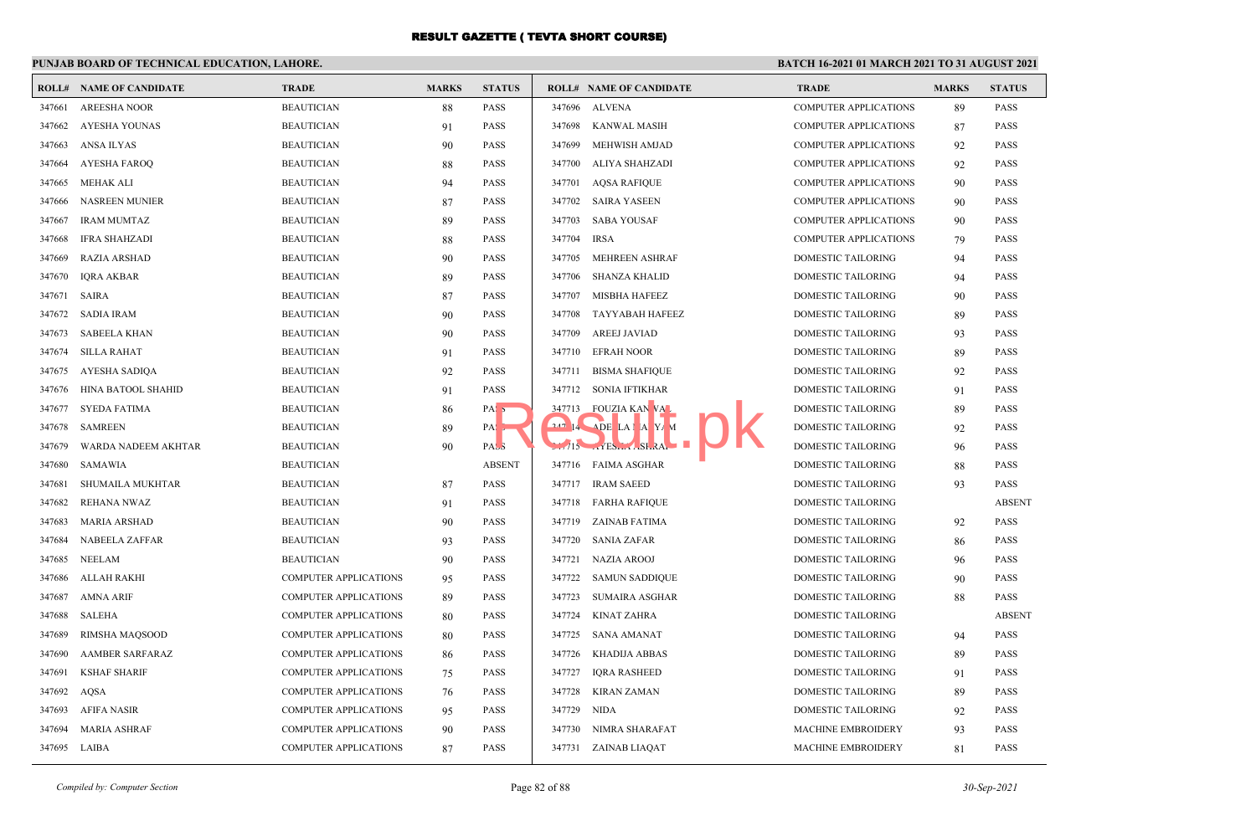# **PUNJAB BOARD OF TECHNICAL EDUCATION, LAHORE.**

| ROLL#        | <b>NAME OF CANDIDATE</b> | <b>TRADE</b>                 | <b>MARKS</b> | <b>STATUS</b>     |        | <b>ROLL# NAME OF CANDIDATE</b> | <b>TRADE</b>                 | <b>MARKS</b> | <b>STATUS</b> |
|--------------|--------------------------|------------------------------|--------------|-------------------|--------|--------------------------------|------------------------------|--------------|---------------|
| 347661       | <b>AREESHA NOOR</b>      | <b>BEAUTICIAN</b>            | 88           | <b>PASS</b>       |        | 347696 ALVENA                  | COMPUTER APPLICATIONS        | 89           | <b>PASS</b>   |
| 347662       | AYESHA YOUNAS            | <b>BEAUTICIAN</b>            | 91           | <b>PASS</b>       |        | 347698 KANWAL MASIH            | COMPUTER APPLICATIONS        | 87           | <b>PASS</b>   |
| 347663       | ANSA ILYAS               | <b>BEAUTICIAN</b>            | 90           | <b>PASS</b>       | 347699 | MEHWISH AMJAD                  | <b>COMPUTER APPLICATIONS</b> | 92           | <b>PASS</b>   |
| 347664       | AYESHA FAROO             | <b>BEAUTICIAN</b>            | 88           | <b>PASS</b>       | 347700 | ALIYA SHAHZADI                 | <b>COMPUTER APPLICATIONS</b> | 92           | <b>PASS</b>   |
| 347665       | MEHAK ALI                | <b>BEAUTICIAN</b>            | 94           | <b>PASS</b>       | 347701 | <b>AQSA RAFIQUE</b>            | COMPUTER APPLICATIONS        | 90           | <b>PASS</b>   |
| 347666       | <b>NASREEN MUNIER</b>    | <b>BEAUTICIAN</b>            | 87           | <b>PASS</b>       |        | 347702 SAIRA YASEEN            | COMPUTER APPLICATIONS        | 90           | <b>PASS</b>   |
| 347667       | <b>IRAM MUMTAZ</b>       | <b>BEAUTICIAN</b>            | 89           | <b>PASS</b>       | 347703 | <b>SABA YOUSAF</b>             | <b>COMPUTER APPLICATIONS</b> | 90           | <b>PASS</b>   |
| 347668       | <b>IFRA SHAHZADI</b>     | <b>BEAUTICIAN</b>            | 88           | <b>PASS</b>       | 347704 | <b>IRSA</b>                    | <b>COMPUTER APPLICATIONS</b> | 79           | <b>PASS</b>   |
| 347669       | <b>RAZIA ARSHAD</b>      | <b>BEAUTICIAN</b>            | 90           | <b>PASS</b>       | 347705 | <b>MEHREEN ASHRAF</b>          | <b>DOMESTIC TAILORING</b>    | 94           | <b>PASS</b>   |
| 347670       | <b>IQRA AKBAR</b>        | <b>BEAUTICIAN</b>            | 89           | <b>PASS</b>       | 347706 | SHANZA KHALID                  | DOMESTIC TAILORING           | 94           | <b>PASS</b>   |
| 347671       | <b>SAIRA</b>             | <b>BEAUTICIAN</b>            | 87           | <b>PASS</b>       | 347707 | <b>MISBHA HAFEEZ</b>           | <b>DOMESTIC TAILORING</b>    | 90           | <b>PASS</b>   |
| 347672       | <b>SADIA IRAM</b>        | <b>BEAUTICIAN</b>            | 90           | <b>PASS</b>       | 347708 | TAYYABAH HAFEEZ                | <b>DOMESTIC TAILORING</b>    | 89           | <b>PASS</b>   |
| 347673       | SABEELA KHAN             | <b>BEAUTICIAN</b>            | 90           | <b>PASS</b>       | 347709 | AREEJ JAVIAD                   | DOMESTIC TAILORING           | 93           | <b>PASS</b>   |
| 347674       | <b>SILLA RAHAT</b>       | <b>BEAUTICIAN</b>            | 91           | <b>PASS</b>       |        | 347710 EFRAH NOOR              | DOMESTIC TAILORING           | 89           | <b>PASS</b>   |
| 347675       | AYESHA SADIQA            | <b>BEAUTICIAN</b>            | 92           | <b>PASS</b>       | 347711 | <b>BISMA SHAFIQUE</b>          | DOMESTIC TAILORING           | 92           | <b>PASS</b>   |
| 347676       | HINA BATOOL SHAHID       | <b>BEAUTICIAN</b>            | 91           | <b>PASS</b>       |        | 347712 SONIA IFTIKHAR          | DOMESTIC TAILORING           | 91           | <b>PASS</b>   |
| 347677       | SYEDA FATIMA             | <b>BEAUTICIAN</b>            | 86           | PAS <sub>5</sub>  |        | 347713 FOUZIA KAN VAL          | DOMESTIC TAILORING           | 89           | <b>PASS</b>   |
| 347678       | <b>SAMREEN</b>           | <b>BEAUTICIAN</b>            | 89           | $PA$ , $\sqrt{ }$ |        | $247$ 14 ADE LAI A Y/M         | <b>DOMESTIC TAILORING</b>    | 92           | <b>PASS</b>   |
| 347679       | WARDA NADEEM AKHTAR      | <b>BEAUTICIAN</b>            | 90           | PAS <sub>3</sub>  |        | $5.715$ $15.5$ $15.5$          | DOMESTIC TAILORING           | 96           | <b>PASS</b>   |
| 347680       | <b>SAMAWIA</b>           | <b>BEAUTICIAN</b>            |              | <b>ABSENT</b>     |        | 347716 FAIMA ASGHAR            | <b>DOMESTIC TAILORING</b>    | 88           | <b>PASS</b>   |
| 347681       | SHUMAILA MUKHTAR         | <b>BEAUTICIAN</b>            | 87           | <b>PASS</b>       |        | 347717 IRAM SAEED              | DOMESTIC TAILORING           | 93           | <b>PASS</b>   |
| 347682       | <b>REHANA NWAZ</b>       | <b>BEAUTICIAN</b>            | 91           | <b>PASS</b>       |        | 347718 FARHA RAFIQUE           | DOMESTIC TAILORING           |              | <b>ABSENT</b> |
| 347683       | <b>MARIA ARSHAD</b>      | <b>BEAUTICIAN</b>            | 90           | <b>PASS</b>       |        | 347719 ZAINAB FATIMA           | DOMESTIC TAILORING           | 92           | PASS          |
| 347684       | <b>NABEELA ZAFFAR</b>    | <b>BEAUTICIAN</b>            | 93           | <b>PASS</b>       | 347720 | <b>SANIA ZAFAR</b>             | DOMESTIC TAILORING           | 86           | <b>PASS</b>   |
| 347685       | <b>NEELAM</b>            | <b>BEAUTICIAN</b>            | 90           | <b>PASS</b>       | 347721 | <b>NAZIA AROOJ</b>             | <b>DOMESTIC TAILORING</b>    | 96           | <b>PASS</b>   |
| 347686       | ALLAH RAKHI              | <b>COMPUTER APPLICATIONS</b> | 95           | <b>PASS</b>       | 347722 | <b>SAMUN SADDIQUE</b>          | DOMESTIC TAILORING           | 90           | <b>PASS</b>   |
| 347687       | <b>AMNA ARIF</b>         | <b>COMPUTER APPLICATIONS</b> | 89           | <b>PASS</b>       | 347723 | <b>SUMAIRA ASGHAR</b>          | <b>DOMESTIC TAILORING</b>    | 88           | <b>PASS</b>   |
| 347688       | <b>SALEHA</b>            | <b>COMPUTER APPLICATIONS</b> | 80           | <b>PASS</b>       | 347724 | KINAT ZAHRA                    | DOMESTIC TAILORING           |              | <b>ABSENT</b> |
| 347689       | RIMSHA MAOSOOD           | <b>COMPUTER APPLICATIONS</b> | 80           | <b>PASS</b>       | 347725 | SANA AMANAT                    | <b>DOMESTIC TAILORING</b>    | 94           | <b>PASS</b>   |
| 347690       | <b>AAMBER SARFARAZ</b>   | <b>COMPUTER APPLICATIONS</b> | 86           | <b>PASS</b>       | 347726 | KHADIJA ABBAS                  | <b>DOMESTIC TAILORING</b>    | 89           | <b>PASS</b>   |
| 347691       | <b>KSHAF SHARIF</b>      | <b>COMPUTER APPLICATIONS</b> | 75           | <b>PASS</b>       | 347727 | <b>IORA RASHEED</b>            | <b>DOMESTIC TAILORING</b>    | 91           | <b>PASS</b>   |
| 347692       | AQSA                     | <b>COMPUTER APPLICATIONS</b> | 76           | <b>PASS</b>       |        | 347728 KIRAN ZAMAN             | DOMESTIC TAILORING           | 89           | <b>PASS</b>   |
| 347693       | AFIFA NASIR              | <b>COMPUTER APPLICATIONS</b> | 95           | <b>PASS</b>       | 347729 | NIDA                           | DOMESTIC TAILORING           | 92           | <b>PASS</b>   |
| 347694       | <b>MARIA ASHRAF</b>      | COMPUTER APPLICATIONS        | 90           | <b>PASS</b>       | 347730 | NIMRA SHARAFAT                 | <b>MACHINE EMBROIDERY</b>    | 93           | <b>PASS</b>   |
| 347695 LAIBA |                          | <b>COMPUTER APPLICATIONS</b> | 87           | <b>PASS</b>       |        | 347731 ZAINAB LIAQAT           | <b>MACHINE EMBROIDERY</b>    | 81           | <b>PASS</b>   |
|              |                          |                              |              |                   |        |                                |                              |              |               |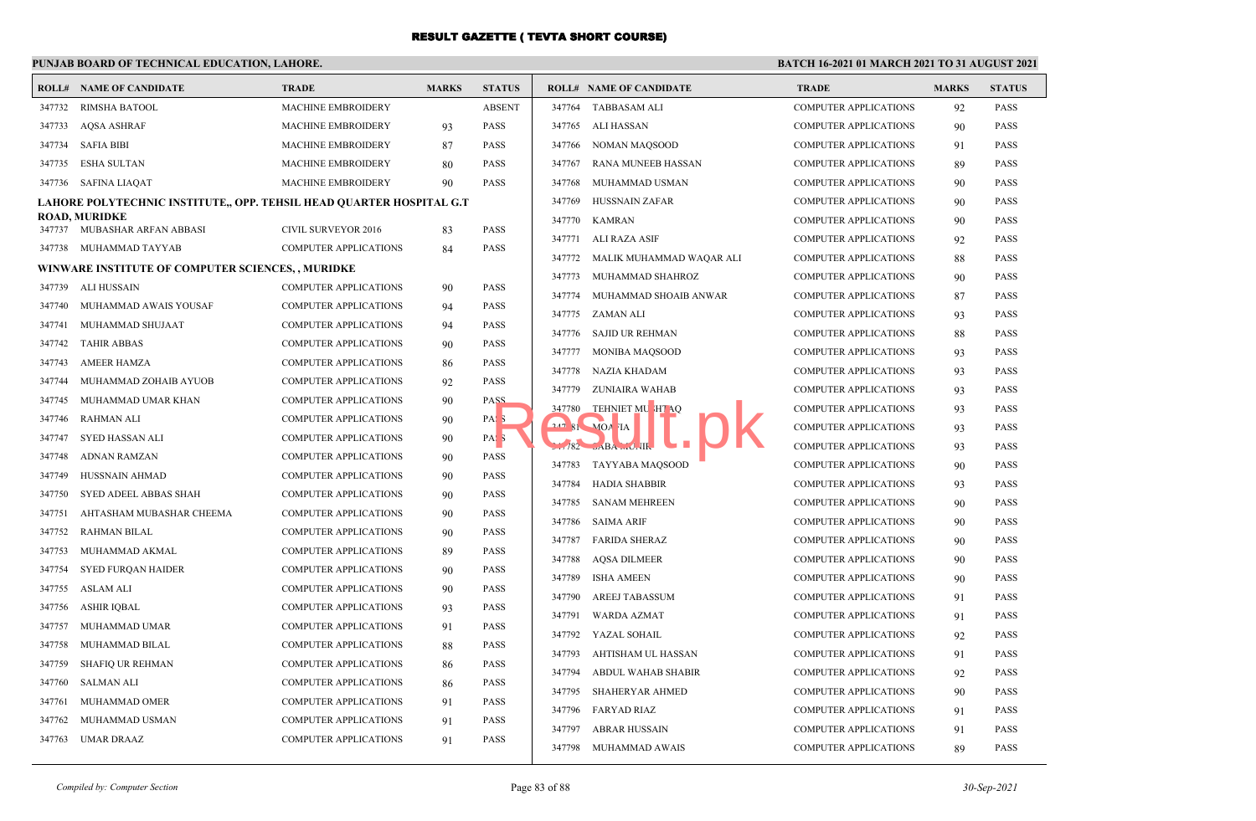#### **PUNJAB BOARD OF TECHNICAL EDUCATION, LAHORE.**

#### **BATCH 16-2021 01 MARCH 2021 TO 31 AUGUST 2021**

|        | <b>ROLL# NAME OF CANDIDATE</b>                                       | <b>TRADE</b>                 | <b>MARKS</b> | <b>STATUS</b>    |        | <b>ROLL# NAME OF CANDIDATE</b>              | <b>TRADE</b>                 | <b>MARKS</b> | <b>STATUS</b> |
|--------|----------------------------------------------------------------------|------------------------------|--------------|------------------|--------|---------------------------------------------|------------------------------|--------------|---------------|
| 347732 | <b>RIMSHA BATOOL</b>                                                 | MACHINE EMBROIDERY           |              | <b>ABSENT</b>    | 347764 | <b>TABBASAM ALI</b>                         | <b>COMPUTER APPLICATIONS</b> | 92           | <b>PASS</b>   |
| 347733 | <b>AQSA ASHRAF</b>                                                   | MACHINE EMBROIDERY           | 93           | <b>PASS</b>      | 347765 | ALI HASSAN                                  | <b>COMPUTER APPLICATIONS</b> | 90           | <b>PASS</b>   |
|        | 347734 SAFIA BIBI                                                    | MACHINE EMBROIDERY           | 87           | <b>PASS</b>      | 347766 | NOMAN MAOSOOD                               | <b>COMPUTER APPLICATIONS</b> | 91           | <b>PASS</b>   |
|        | 347735 ESHA SULTAN                                                   | MACHINE EMBROIDERY           | 80           | <b>PASS</b>      | 347767 | RANA MUNEEB HASSAN                          | <b>COMPUTER APPLICATIONS</b> | 89           | <b>PASS</b>   |
|        | 347736 SAFINA LIAQAT                                                 | <b>MACHINE EMBROIDERY</b>    | 90           | <b>PASS</b>      | 347768 | MUHAMMAD USMAN                              | <b>COMPUTER APPLICATIONS</b> | 90           | <b>PASS</b>   |
|        | LAHORE POLYTECHNIC INSTITUTE,, OPP. TEHSIL HEAD QUARTER HOSPITAL G.T |                              |              |                  | 347769 | <b>HUSSNAIN ZAFAR</b>                       | <b>COMPUTER APPLICATIONS</b> | 90           | <b>PASS</b>   |
|        | ROAD, MURIDKE                                                        |                              |              |                  | 347770 | <b>KAMRAN</b>                               | <b>COMPUTER APPLICATIONS</b> | 90           | <b>PASS</b>   |
|        | 347737 MUBASHAR ARFAN ABBASI                                         | CIVIL SURVEYOR 2016          | 83           | PASS             | 347771 | ALI RAZA ASIF                               | <b>COMPUTER APPLICATIONS</b> | 92           | <b>PASS</b>   |
|        | 347738 MUHAMMAD TAYYAB                                               | COMPUTER APPLICATIONS        | 84           | PASS             | 347772 | MALIK MUHAMMAD WAQAR ALI                    | <b>COMPUTER APPLICATIONS</b> | 88           | <b>PASS</b>   |
|        | WINWARE INSTITUTE OF COMPUTER SCIENCES,, MURIDKE                     |                              |              |                  | 347773 | MUHAMMAD SHAHROZ                            | <b>COMPUTER APPLICATIONS</b> | 90           | <b>PASS</b>   |
| 347739 | ALI HUSSAIN                                                          | <b>COMPUTER APPLICATIONS</b> | 90           | PASS             | 347774 | MUHAMMAD SHOAIB ANWAR                       | <b>COMPUTER APPLICATIONS</b> | 87           | <b>PASS</b>   |
| 347740 | MUHAMMAD AWAIS YOUSAF                                                | COMPUTER APPLICATIONS        | 94           | PASS             | 347775 | ZAMAN ALI                                   | <b>COMPUTER APPLICATIONS</b> | 93           | <b>PASS</b>   |
| 347741 | MUHAMMAD SHUJAAT                                                     | COMPUTER APPLICATIONS        | 94           | <b>PASS</b>      | 347776 | <b>SAJID UR REHMAN</b>                      | <b>COMPUTER APPLICATIONS</b> | 88           | <b>PASS</b>   |
| 347742 | <b>TAHIR ABBAS</b>                                                   | <b>COMPUTER APPLICATIONS</b> | 90           | <b>PASS</b>      | 347777 | <b>MONIBA MAQSOOD</b>                       | <b>COMPUTER APPLICATIONS</b> | 93           | <b>PASS</b>   |
| 347743 | <b>AMEER HAMZA</b>                                                   | <b>COMPUTER APPLICATIONS</b> | 86           | <b>PASS</b>      | 347778 | NAZIA KHADAM                                | <b>COMPUTER APPLICATIONS</b> | 93           | <b>PASS</b>   |
| 347744 | MUHAMMAD ZOHAIB AYUOB                                                | <b>COMPUTER APPLICATIONS</b> | 92           | <b>PASS</b>      | 347779 | ZUNIAIRA WAHAB                              | <b>COMPUTER APPLICATIONS</b> | 93           | <b>PASS</b>   |
| 347745 | MUHAMMAD UMAR KHAN                                                   | <b>COMPUTER APPLICATIONS</b> | 90           | PASS             | 347780 | TEHNIET MU HT AQ                            | <b>COMPUTER APPLICATIONS</b> | 93           | <b>PASS</b>   |
| 347746 | <b>RAHMAN ALI</b>                                                    | <b>COMPUTER APPLICATIONS</b> | 90           | PAS 3            |        | $247.81$ MOA IA                             | <b>COMPUTER APPLICATIONS</b> | 93           | <b>PASS</b>   |
| 347747 | SYED HASSAN ALI                                                      | COMPUTER APPLICATIONS        | 90           | PAS <sub>3</sub> |        | $-182$ $\rightarrow$ ABA $\rightarrow$ U.H. | <b>COMPUTER APPLICATIONS</b> | 93           | <b>PASS</b>   |
| 347748 | <b>ADNAN RAMZAN</b>                                                  | <b>COMPUTER APPLICATIONS</b> | 90           | <b>PASS</b>      | 347783 | TAYYABA MAQSOOD                             | <b>COMPUTER APPLICATIONS</b> | 90           | <b>PASS</b>   |
| 347749 | HUSSNAIN AHMAD                                                       | <b>COMPUTER APPLICATIONS</b> | 90           | PASS             | 347784 | <b>HADIA SHABBIR</b>                        | <b>COMPUTER APPLICATIONS</b> | 93           | <b>PASS</b>   |
| 347750 | SYED ADEEL ABBAS SHAH                                                | <b>COMPUTER APPLICATIONS</b> | 90           | <b>PASS</b>      | 347785 | <b>SANAM MEHREEN</b>                        | <b>COMPUTER APPLICATIONS</b> | 90           | <b>PASS</b>   |
| 347751 | AHTASHAM MUBASHAR CHEEMA                                             | <b>COMPUTER APPLICATIONS</b> | 90           | <b>PASS</b>      | 347786 | <b>SAIMA ARIF</b>                           | <b>COMPUTER APPLICATIONS</b> | 90           | <b>PASS</b>   |
| 347752 | <b>RAHMAN BILAL</b>                                                  | <b>COMPUTER APPLICATIONS</b> | 90           | PASS             | 347787 | <b>FARIDA SHERAZ</b>                        | <b>COMPUTER APPLICATIONS</b> | 90           | <b>PASS</b>   |
| 347753 | MUHAMMAD AKMAL                                                       | <b>COMPUTER APPLICATIONS</b> | 89           | PASS             | 347788 | <b>AQSA DILMEER</b>                         | <b>COMPUTER APPLICATIONS</b> | 90           | <b>PASS</b>   |
| 347754 | <b>SYED FURQAN HAIDER</b>                                            | <b>COMPUTER APPLICATIONS</b> | 90           | <b>PASS</b>      | 347789 | <b>ISHA AMEEN</b>                           | <b>COMPUTER APPLICATIONS</b> | 90           | <b>PASS</b>   |
| 347755 | <b>ASLAM ALI</b>                                                     | <b>COMPUTER APPLICATIONS</b> | 90           | <b>PASS</b>      | 347790 | AREEJ TABASSUM                              | <b>COMPUTER APPLICATIONS</b> | 91           | <b>PASS</b>   |
| 347756 | <b>ASHIR IQBAL</b>                                                   | <b>COMPUTER APPLICATIONS</b> | 93           | <b>PASS</b>      | 347791 | <b>WARDA AZMAT</b>                          | <b>COMPUTER APPLICATIONS</b> | 91           | <b>PASS</b>   |
| 347757 | MUHAMMAD UMAR                                                        | <b>COMPUTER APPLICATIONS</b> | 91           | <b>PASS</b>      |        | 347792 YAZAL SOHAIL                         | <b>COMPUTER APPLICATIONS</b> | 92           | <b>PASS</b>   |
| 347758 | MUHAMMAD BILAL                                                       | <b>COMPUTER APPLICATIONS</b> | 88           | <b>PASS</b>      | 347793 | AHTISHAM UL HASSAN                          | <b>COMPUTER APPLICATIONS</b> |              | <b>PASS</b>   |
| 347759 | <b>SHAFIQ UR REHMAN</b>                                              | <b>COMPUTER APPLICATIONS</b> | 86           | <b>PASS</b>      | 347794 | ABDUL WAHAB SHABIR                          | <b>COMPUTER APPLICATIONS</b> | 91           | <b>PASS</b>   |
| 347760 | <b>SALMAN ALI</b>                                                    | <b>COMPUTER APPLICATIONS</b> | 86           | <b>PASS</b>      |        |                                             |                              | 92           | <b>PASS</b>   |
| 347761 | MUHAMMAD OMER                                                        | <b>COMPUTER APPLICATIONS</b> | 91           | <b>PASS</b>      | 347795 | <b>SHAHERYAR AHMED</b>                      | <b>COMPUTER APPLICATIONS</b> | 90           |               |
| 347762 | MUHAMMAD USMAN                                                       | <b>COMPUTER APPLICATIONS</b> | 91           | <b>PASS</b>      | 347796 | <b>FARYAD RIAZ</b>                          | <b>COMPUTER APPLICATIONS</b> | 91           | <b>PASS</b>   |
| 347763 | <b>UMAR DRAAZ</b>                                                    | <b>COMPUTER APPLICATIONS</b> | 91           | <b>PASS</b>      | 347797 | ABRAR HUSSAIN                               | <b>COMPUTER APPLICATIONS</b> | 91           | <b>PASS</b>   |
|        |                                                                      |                              |              |                  | 347798 | MUHAMMAD AWAIS                              | <b>COMPUTER APPLICATIONS</b> | 89           | <b>PASS</b>   |

| Compiled by: Computer Section | Page 83 of 88 | 30-Sep-2021 |
|-------------------------------|---------------|-------------|
|                               |               |             |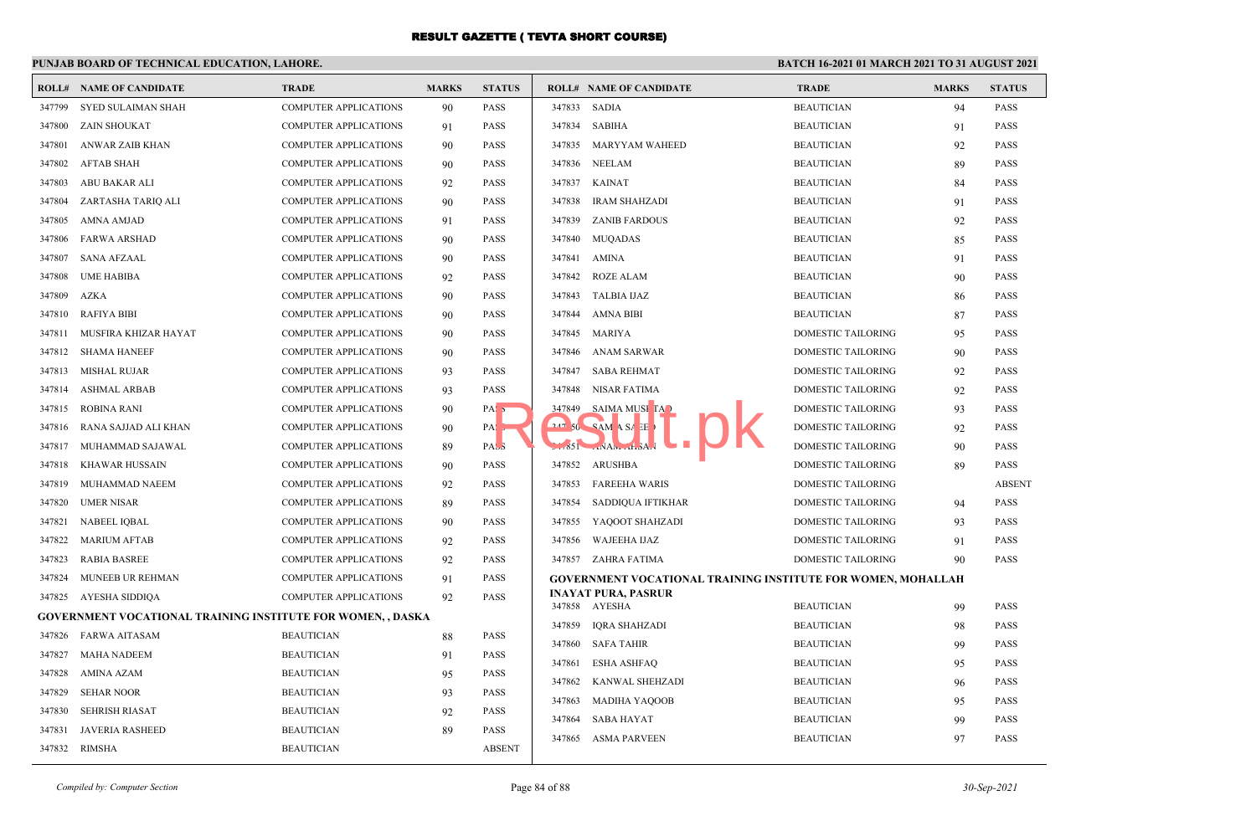|        | PUNJAB BOARD OF TECHNICAL EDUCATION, LAHORE.                       |                              |              |                  |        |                                                                     | <b>BATCH 16-2021 01 MARCH 2021 TO 31 AUGUST 2021</b> |              |                            |
|--------|--------------------------------------------------------------------|------------------------------|--------------|------------------|--------|---------------------------------------------------------------------|------------------------------------------------------|--------------|----------------------------|
|        | <b>ROLL# NAME OF CANDIDATE</b>                                     | <b>TRADE</b>                 | <b>MARKS</b> | <b>STATUS</b>    |        | <b>ROLL# NAME OF CANDIDATE</b>                                      | <b>TRADE</b>                                         | <b>MARKS</b> | <b>STATUS</b>              |
| 347799 | SYED SULAIMAN SHAH                                                 | <b>COMPUTER APPLICATIONS</b> | 90           | <b>PASS</b>      |        | 347833 SADIA                                                        | <b>BEAUTICIAN</b>                                    | 94           | <b>PASS</b>                |
| 347800 | <b>ZAIN SHOUKAT</b>                                                | <b>COMPUTER APPLICATIONS</b> | 91           | PASS             | 347834 | SABIHA                                                              | <b>BEAUTICIAN</b>                                    | 91           | <b>PASS</b>                |
| 347801 | ANWAR ZAIB KHAN                                                    | <b>COMPUTER APPLICATIONS</b> | 90           | <b>PASS</b>      | 347835 | MARYYAM WAHEED                                                      | <b>BEAUTICIAN</b>                                    | 92           | <b>PASS</b>                |
| 347802 | <b>AFTAB SHAH</b>                                                  | <b>COMPUTER APPLICATIONS</b> | 90           | PASS             | 347836 | <b>NEELAM</b>                                                       | <b>BEAUTICIAN</b>                                    | 89           | <b>PASS</b>                |
| 347803 | ABU BAKAR ALI                                                      | <b>COMPUTER APPLICATIONS</b> | 92           | <b>PASS</b>      | 347837 | <b>KAINAT</b>                                                       | <b>BEAUTICIAN</b>                                    | 84           | <b>PASS</b>                |
| 347804 | ZARTASHA TARIQ ALI                                                 | <b>COMPUTER APPLICATIONS</b> | 90           | <b>PASS</b>      | 347838 | IRAM SHAHZADI                                                       | <b>BEAUTICIAN</b>                                    | 91           | <b>PASS</b>                |
| 347805 | AMNA AMJAD                                                         | <b>COMPUTER APPLICATIONS</b> | 91           | <b>PASS</b>      | 347839 | <b>ZANIB FARDOUS</b>                                                | <b>BEAUTICIAN</b>                                    | 92           | <b>PASS</b>                |
| 347806 | <b>FARWA ARSHAD</b>                                                | <b>COMPUTER APPLICATIONS</b> | 90           | <b>PASS</b>      | 347840 | <b>MUQADAS</b>                                                      | <b>BEAUTICIAN</b>                                    | 85           | <b>PASS</b>                |
| 347807 | <b>SANA AFZAAL</b>                                                 | COMPUTER APPLICATIONS        | 90           | <b>PASS</b>      | 347841 | AMINA                                                               | <b>BEAUTICIAN</b>                                    | 91           | <b>PASS</b>                |
| 347808 | <b>UME HABIBA</b>                                                  | <b>COMPUTER APPLICATIONS</b> | 92           | <b>PASS</b>      | 347842 | <b>ROZE ALAM</b>                                                    | <b>BEAUTICIAN</b>                                    | 90           | <b>PASS</b>                |
| 347809 | <b>AZKA</b>                                                        | <b>COMPUTER APPLICATIONS</b> | 90           | <b>PASS</b>      | 347843 | TALBIA IJAZ                                                         | <b>BEAUTICIAN</b>                                    | 86           | <b>PASS</b>                |
| 347810 | RAFIYA BIBI                                                        | <b>COMPUTER APPLICATIONS</b> | 90           | <b>PASS</b>      | 347844 | AMNA BIBI                                                           | <b>BEAUTICIAN</b>                                    | 87           | <b>PASS</b>                |
| 347811 | MUSFIRA KHIZAR HAYAT                                               | <b>COMPUTER APPLICATIONS</b> | 90           | <b>PASS</b>      | 347845 | MARIYA                                                              | DOMESTIC TAILORING                                   | 95           | <b>PASS</b>                |
|        | 347812 SHAMA HANEEF                                                | <b>COMPUTER APPLICATIONS</b> | 90           | <b>PASS</b>      | 347846 | ANAM SARWAR                                                         | DOMESTIC TAILORING                                   | 90           | <b>PASS</b>                |
| 347813 | <b>MISHAL RUJAR</b>                                                | <b>COMPUTER APPLICATIONS</b> | 93           | <b>PASS</b>      | 347847 | <b>SABA REHMAT</b>                                                  | DOMESTIC TAILORING                                   | 92           | <b>PASS</b>                |
| 347814 | <b>ASHMAL ARBAB</b>                                                | <b>COMPUTER APPLICATIONS</b> | 93           | <b>PASS</b>      | 347848 | NISAR FATIMA                                                        | DOMESTIC TAILORING                                   | 92           | <b>PASS</b>                |
| 347815 | ROBINA RANI                                                        | <b>COMPUTER APPLICATIONS</b> | 90           | PAS <sub>5</sub> | 347849 | SAIMA MUSI TA                                                       | DOMESTIC TAILORING                                   | 93           | <b>PASS</b>                |
| 347816 | RANA SAJJAD ALI KHAN                                               | <b>COMPUTER APPLICATIONS</b> | 90           | PA.              |        | $247.50$ SAM A SA EE                                                | DOMESTIC TAILORING                                   | 92           | <b>PASS</b>                |
| 347817 | MUHAMMAD SAJAWAL                                                   | <b>COMPUTER APPLICATIONS</b> | 89           | PAS <sub>3</sub> |        | $-851 - NAN - 1.3A$                                                 | DOMESTIC TAILORING                                   | 90           | <b>PASS</b>                |
| 347818 | <b>KHAWAR HUSSAIN</b>                                              | <b>COMPUTER APPLICATIONS</b> | 90           | <b>PASS</b>      |        | 347852 ARUSHBA                                                      | DOMESTIC TAILORING                                   | 89           | <b>PASS</b>                |
| 347819 | MUHAMMAD NAEEM                                                     | COMPUTER APPLICATIONS        | 92           | <b>PASS</b>      | 347853 | <b>FAREEHA WARIS</b>                                                | DOMESTIC TAILORING                                   |              | <b>ABSENT</b>              |
| 347820 | <b>UMER NISAR</b>                                                  | <b>COMPUTER APPLICATIONS</b> | 89           | <b>PASS</b>      | 347854 | SADDIQUA IFTIKHAR                                                   | DOMESTIC TAILORING                                   | 94           | <b>PASS</b>                |
| 347821 | <b>NABEEL IQBAL</b>                                                | <b>COMPUTER APPLICATIONS</b> | 90           | PASS             | 347855 | YAQOOT SHAHZADI                                                     | DOMESTIC TAILORING                                   | 93           | <b>PASS</b>                |
| 347822 | <b>MARIUM AFTAB</b>                                                | <b>COMPUTER APPLICATIONS</b> | 92           | <b>PASS</b>      | 347856 | WAJEEHA IJAZ                                                        | DOMESTIC TAILORING                                   | 91           | <b>PASS</b>                |
| 347823 | <b>RABIA BASREE</b>                                                | <b>COMPUTER APPLICATIONS</b> | 92           | <b>PASS</b>      |        | 347857 ZAHRA FATIMA                                                 | DOMESTIC TAILORING                                   | 90           | <b>PASS</b>                |
| 347824 | MUNEEB UR REHMAN                                                   | <b>COMPUTER APPLICATIONS</b> | 91           | <b>PASS</b>      |        | <b>GOVERNMENT VOCATIONAL TRAINING INSTITUTE FOR WOMEN, MOHALLAH</b> |                                                      |              |                            |
|        | 347825 AYESHA SIDDIOA                                              | <b>COMPUTER APPLICATIONS</b> | 92           | <b>PASS</b>      |        | <b>INAYAT PURA, PASRUR</b><br>347858 AYESHA                         | <b>BEAUTICIAN</b>                                    | 99           | <b>PASS</b>                |
|        | <b>GOVERNMENT VOCATIONAL TRAINING INSTITUTE FOR WOMEN, , DASKA</b> |                              |              |                  | 347859 | <b>IORA SHAHZADI</b>                                                | <b>BEAUTICIAN</b>                                    | 98           | <b>PASS</b>                |
|        | 347826 FARWA AITASAM                                               | <b>BEAUTICIAN</b>            | 88           | <b>PASS</b>      | 347860 | <b>SAFA TAHIR</b>                                                   | <b>BEAUTICIAN</b>                                    | 99           | <b>PASS</b>                |
| 347827 | <b>MAHA NADEEM</b>                                                 | <b>BEAUTICIAN</b>            | 91           | <b>PASS</b>      | 347861 | <b>ESHA ASHFAQ</b>                                                  | <b>BEAUTICIAN</b>                                    | 95           | <b>PASS</b>                |
| 347828 | AMINA AZAM                                                         | <b>BEAUTICIAN</b>            | 95           | <b>PASS</b>      | 347862 |                                                                     |                                                      |              |                            |
| 347829 | <b>SEHAR NOOR</b>                                                  | <b>BEAUTICIAN</b>            | 93           | <b>PASS</b>      | 347863 | KANWAL SHEHZADI<br><b>MADIHA YAQOOB</b>                             | <b>BEAUTICIAN</b><br><b>BEAUTICIAN</b>               | 96           | <b>PASS</b><br><b>PASS</b> |
| 347830 | <b>SEHRISH RIASAT</b>                                              | <b>BEAUTICIAN</b>            | 92           | <b>PASS</b>      | 347864 | <b>SABA HAYAT</b>                                                   | <b>BEAUTICIAN</b>                                    | 95<br>99     | <b>PASS</b>                |
| 347831 | <b>JAVERIA RASHEED</b>                                             | <b>BEAUTICIAN</b>            | 89           | <b>PASS</b>      | 347865 | ASMA PARVEEN                                                        | <b>BEAUTICIAN</b>                                    | 97           | <b>PASS</b>                |
|        | 347832 RIMSHA                                                      | <b>BEAUTICIAN</b>            |              | <b>ABSENT</b>    |        |                                                                     |                                                      |              |                            |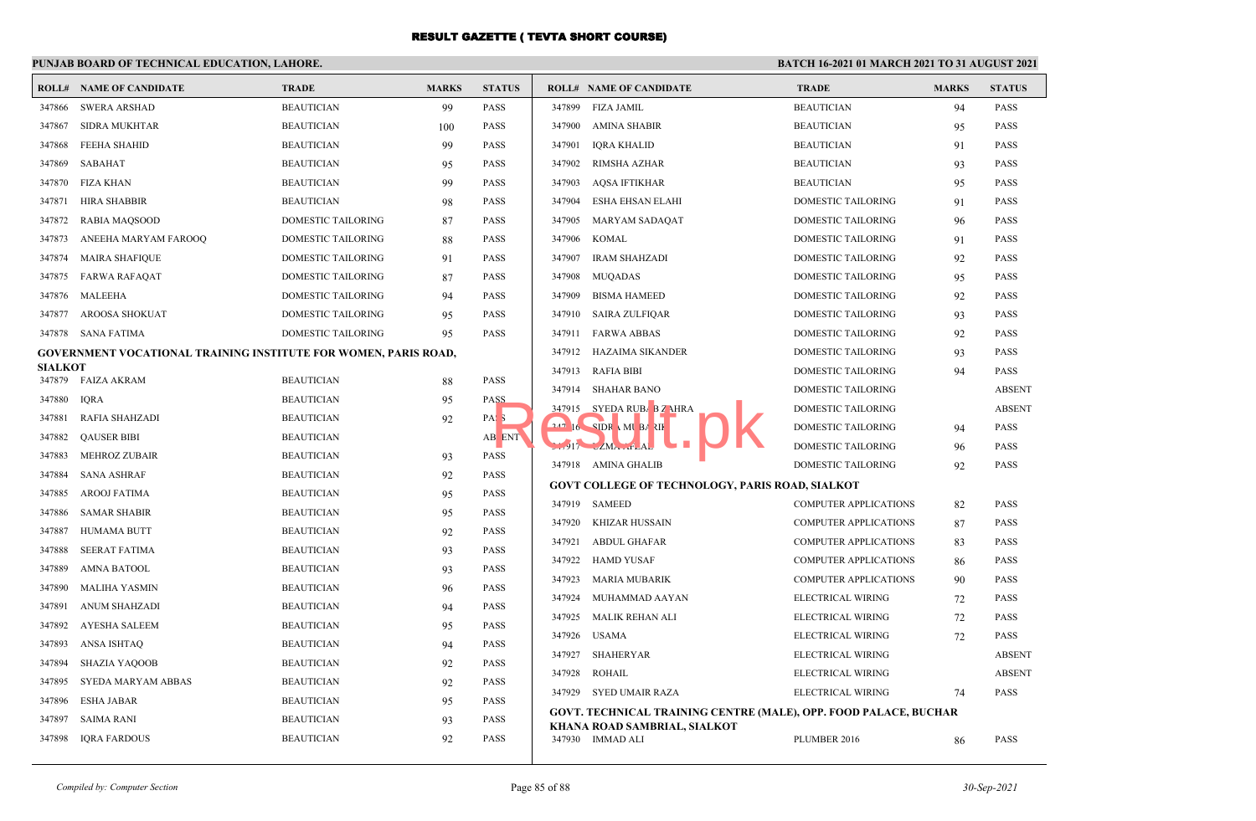### **PUNJAB BOARD OF TECHNICAL EDUCATION, LAHORE.**

|                | <b>ROLL# NAME OF CANDIDATE</b>                                         | <b>TRADE</b>              | <b>MARKS</b> | <b>STATUS</b>    |        | <b>ROLL# NAME OF CANDIDATE</b>                                          | <b>TRADE</b>                 | <b>MARKS</b> | <b>STATUS</b> |
|----------------|------------------------------------------------------------------------|---------------------------|--------------|------------------|--------|-------------------------------------------------------------------------|------------------------------|--------------|---------------|
|                | 347866 SWERA ARSHAD                                                    | <b>BEAUTICIAN</b>         | 99           | <b>PASS</b>      | 347899 | <b>FIZA JAMIL</b>                                                       | <b>BEAUTICIAN</b>            | 94           | <b>PASS</b>   |
| 347867         | <b>SIDRA MUKHTAR</b>                                                   | <b>BEAUTICIAN</b>         | 100          | <b>PASS</b>      | 347900 | <b>AMINA SHABIR</b>                                                     | <b>BEAUTICIAN</b>            | 95           | <b>PASS</b>   |
| 347868         | FEEHA SHAHID                                                           | <b>BEAUTICIAN</b>         | 99           | <b>PASS</b>      | 347901 | <b>IQRA KHALID</b>                                                      | <b>BEAUTICIAN</b>            | 91           | <b>PASS</b>   |
| 347869         | SABAHAT                                                                | <b>BEAUTICIAN</b>         | 95           | <b>PASS</b>      | 347902 | RIMSHA AZHAR                                                            | <b>BEAUTICIAN</b>            | 93           | <b>PASS</b>   |
| 347870         | FIZA KHAN                                                              | <b>BEAUTICIAN</b>         | 99           | <b>PASS</b>      | 347903 | <b>AQSA IFTIKHAR</b>                                                    | <b>BEAUTICIAN</b>            | 95           | <b>PASS</b>   |
| 347871         | <b>HIRA SHABBIR</b>                                                    | <b>BEAUTICIAN</b>         | 98           | <b>PASS</b>      | 347904 | <b>ESHA EHSAN ELAHI</b>                                                 | DOMESTIC TAILORING           | 91           | <b>PASS</b>   |
| 347872         | <b>RABIA MAQSOOD</b>                                                   | DOMESTIC TAILORING        | 87           | <b>PASS</b>      | 347905 | <b>MARYAM SADAQAT</b>                                                   | DOMESTIC TAILORING           | 96           | <b>PASS</b>   |
| 347873         | ANEEHA MARYAM FAROOQ                                                   | <b>DOMESTIC TAILORING</b> | 88           | <b>PASS</b>      | 347906 | <b>KOMAL</b>                                                            | DOMESTIC TAILORING           | 91           | <b>PASS</b>   |
| 347874         | <b>MAIRA SHAFIQUE</b>                                                  | DOMESTIC TAILORING        | 91           | <b>PASS</b>      | 347907 | <b>IRAM SHAHZADI</b>                                                    | DOMESTIC TAILORING           | 92           | <b>PASS</b>   |
| 347875         | <b>FARWA RAFAQAT</b>                                                   | DOMESTIC TAILORING        | 87           | <b>PASS</b>      | 347908 | <b>MUQADAS</b>                                                          | <b>DOMESTIC TAILORING</b>    | 95           | <b>PASS</b>   |
| 347876         | MALEEHA                                                                | <b>DOMESTIC TAILORING</b> | 94           | <b>PASS</b>      | 347909 | <b>BISMA HAMEED</b>                                                     | DOMESTIC TAILORING           | 92           | <b>PASS</b>   |
| 347877         | <b>AROOSA SHOKUAT</b>                                                  | DOMESTIC TAILORING        | 95           | <b>PASS</b>      | 347910 | <b>SAIRA ZULFIQAR</b>                                                   | DOMESTIC TAILORING           | 93           | <b>PASS</b>   |
|                | 347878 SANA FATIMA                                                     | DOMESTIC TAILORING        | 95           | <b>PASS</b>      | 347911 | <b>FARWA ABBAS</b>                                                      | DOMESTIC TAILORING           | 92           | <b>PASS</b>   |
|                | <b>GOVERNMENT VOCATIONAL TRAINING INSTITUTE FOR WOMEN, PARIS ROAD,</b> |                           |              |                  | 347912 | HAZAIMA SIKANDER                                                        | <b>DOMESTIC TAILORING</b>    | 93           | <b>PASS</b>   |
| <b>SIALKOT</b> | 347879 FAIZA AKRAM                                                     | <b>BEAUTICIAN</b>         | 88           | <b>PASS</b>      | 347913 | <b>RAFIA BIBI</b>                                                       | DOMESTIC TAILORING           | 94           | <b>PASS</b>   |
| 347880         | <b>IQRA</b>                                                            | <b>BEAUTICIAN</b>         | 95           | PASS             |        | 347914 SHAHAR BANO                                                      | DOMESTIC TAILORING           |              | <b>ABSENT</b> |
| 347881         | <b>RAFIA SHAHZADI</b>                                                  | <b>BEAUTICIAN</b>         | 92           | PAS <sub>3</sub> |        | 347915 SYEDA RUBA B Z AHRA                                              | <b>DOMESTIC TAILORING</b>    |              | <b>ABSENT</b> |
| 347882         | <b>QAUSER BIBI</b>                                                     | <b>BEAUTICIAN</b>         |              | AB ENT           |        | $16$ SIDR MI BARIF                                                      | DOMESTIC TAILORING           | 94           | <b>PASS</b>   |
| 347883         | <b>MEHROZ ZUBAIR</b>                                                   | <b>BEAUTICIAN</b>         | 93           | <b>PASS</b>      |        | $17$ $2$ $M$ $47$ $2$ $M$                                               | DOMESTIC TAILORING           | 96           | <b>PASS</b>   |
| 347884         | <b>SANA ASHRAF</b>                                                     | <b>BEAUTICIAN</b>         | 92           | <b>PASS</b>      |        | 347918 AMINA GHALIB                                                     | DOMESTIC TAILORING           | 92           | <b>PASS</b>   |
| 347885         | <b>AROOJ FATIMA</b>                                                    | <b>BEAUTICIAN</b>         | 95           | <b>PASS</b>      |        | <b>GOVT COLLEGE OF TECHNOLOGY, PARIS ROAD, SIALKOT</b>                  |                              |              |               |
| 347886         | <b>SAMAR SHABIR</b>                                                    | <b>BEAUTICIAN</b>         | 95           | <b>PASS</b>      |        | 347919 SAMEED                                                           | COMPUTER APPLICATIONS        | 82           | <b>PASS</b>   |
| 347887         | <b>HUMAMA BUTT</b>                                                     | <b>BEAUTICIAN</b>         | 92           | <b>PASS</b>      | 347920 | KHIZAR HUSSAIN                                                          | COMPUTER APPLICATIONS        | 87           | <b>PASS</b>   |
| 347888         | <b>SEERAT FATIMA</b>                                                   | <b>BEAUTICIAN</b>         | 93           | <b>PASS</b>      | 347921 | <b>ABDUL GHAFAR</b>                                                     | COMPUTER APPLICATIONS        | 83           | <b>PASS</b>   |
| 347889         | <b>AMNA BATOOL</b>                                                     | <b>BEAUTICIAN</b>         | 93           | <b>PASS</b>      | 347922 | <b>HAMD YUSAF</b>                                                       | <b>COMPUTER APPLICATIONS</b> | 86           | <b>PASS</b>   |
| 347890         | <b>MALIHA YASMIN</b>                                                   | <b>BEAUTICIAN</b>         | 96           | <b>PASS</b>      | 347923 | MARIA MUBARIK                                                           | <b>COMPUTER APPLICATIONS</b> | 90           | <b>PASS</b>   |
| 347891         | <b>ANUM SHAHZADI</b>                                                   | <b>BEAUTICIAN</b>         | 94           | <b>PASS</b>      | 347924 | MUHAMMAD AAYAN                                                          | ELECTRICAL WIRING            | 72           | <b>PASS</b>   |
| 347892         | <b>AYESHA SALEEM</b>                                                   | <b>BEAUTICIAN</b>         | 95           | <b>PASS</b>      | 347925 | MALIK REHAN ALI                                                         | ELECTRICAL WIRING            | 72           | <b>PASS</b>   |
| 347893         | <b>ANSA ISHTAQ</b>                                                     | <b>BEAUTICIAN</b>         | 94           | <b>PASS</b>      | 347926 | <b>USAMA</b>                                                            | ELECTRICAL WIRING            | 72           | <b>PASS</b>   |
| 347894         | <b>SHAZIA YAQOOB</b>                                                   | <b>BEAUTICIAN</b>         | 92           | <b>PASS</b>      | 347927 | <b>SHAHERYAR</b>                                                        | ELECTRICAL WIRING            |              | <b>ABSENT</b> |
| 347895         | SYEDA MARYAM ABBAS                                                     | <b>BEAUTICIAN</b>         | 92           | <b>PASS</b>      | 347928 | <b>ROHAIL</b>                                                           | ELECTRICAL WIRING            |              | <b>ABSENT</b> |
| 347896         | <b>ESHA JABAR</b>                                                      | <b>BEAUTICIAN</b>         | 95           | <b>PASS</b>      |        | 347929 SYED UMAIR RAZA                                                  | ELECTRICAL WIRING            | 74           | <b>PASS</b>   |
| 347897         | <b>SAIMA RANI</b>                                                      | <b>BEAUTICIAN</b>         | 93           | <b>PASS</b>      |        | <b>GOVT. TECHNICAL TRAINING CENTRE (MALE), OPP. FOOD PALACE, BUCHAR</b> |                              |              |               |
| 347898         | IQRA FARDOUS                                                           | <b>BEAUTICIAN</b>         | 92           | <b>PASS</b>      |        | KHANA ROAD SAMBRIAL, SIALKOT<br>347930 IMMAD ALI                        | PLUMBER 2016                 | 86           | <b>PASS</b>   |
|                |                                                                        |                           |              |                  |        |                                                                         |                              |              |               |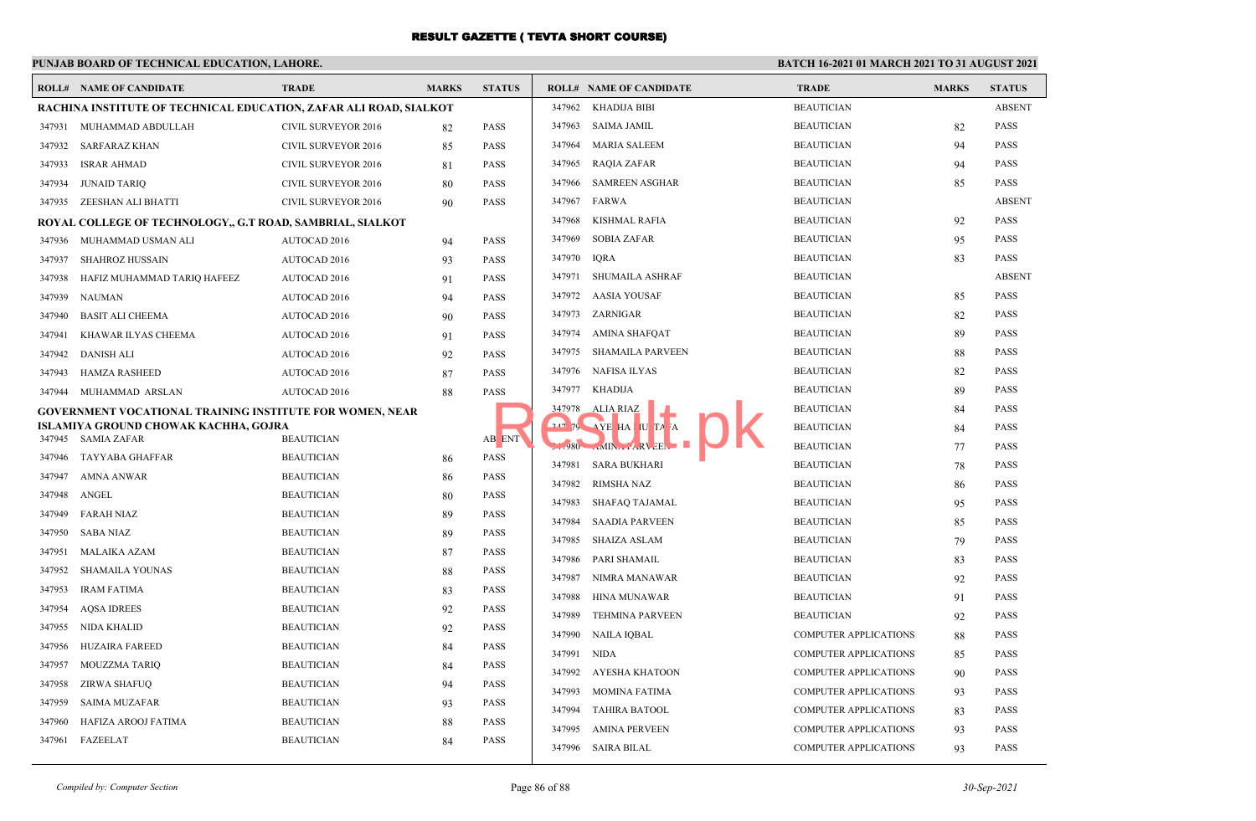#### **PUNJAB BOARD OF TECHNICAL EDUCATION, LAHORE. BATCH 16-2021 01 MARCH 2021 TO 31 AUGUST 2021 ROLL# NAME OF CANDIDATE TRADE MARKS STATUS ROLL# NAME OF CANDIDATE TRADE MARKS STATUS RACHINA INSTITUTE OF TECHNICAL EDUCATION, ZAFAR ALI ROAD, SIALKOT** 347931 MUHAMMAD ABDULLAH CIVIL SURVEYOR 2016 82 PASS 347932 SARFARAZ KHAN CIVIL SURVEYOR 2016 85 PASS 347933 ISRAR AHMAD CIVIL SURVEYOR 2016 81 PASS 347934 JUNAID TARIQ CIVIL SURVEYOR 2016 80 PASS 347935 ZEESHAN ALI BHATTI CIVIL SURVEYOR 2016 90 PASS **ROYAL COLLEGE OF TECHNOLOGY,, G.T ROAD, SAMBRIAL, SIALKOT** 347936 MUHAMMAD USMAN ALI AUTOCAD 2016 94 PASS 347937 SHAHROZ HUSSAIN AUTOCAD 2016 93 PASS 347938 HAFIZ MUHAMMAD TARIQ HAFEEZ AUTOCAD 2016 91 PASS 347939 NAUMAN AUTOCAD 2016 94 PASS 347940 BASIT ALI CHEEMA AUTOCAD 2016 90 PASS 347941 KHAWAR ILYAS CHEEMA AUTOCAD 2016 91 PASS 347942 DANISH ALI AUTOCAD 2016 92 PASS 347943 HAMZA RASHEED AUTOCAD 2016 87 PASS 347944 MUHAMMAD ARSLAN AUTOCAD 2016 88 PASS **GOVERNMENT VOCATIONAL TRAINING INSTITUTE FOR WOMEN, NEAR ISLAMIYA GROUND CHOWAK KACHHA, GOJRA** 347945 SAMIA ZAFAR BEAUTICIAN BEAUTICIAN AB<mark>ENT</mark> 347946 TAYYABA GHAFFAR BEAUTICIAN 86 PASS 347947 AMNA ANWAR BEAUTICIAN 86 PASS 347948 ANGEL BEAUTICIAN 80 PASS 347949 FARAH NIAZ BEAUTICIAN 89 PASS 347950 SABA NIAZ BEAUTICIAN 89 PASS 347951 MALAIKA AZAM BEAUTICIAN 87 PASS 347952 SHAMAILA YOUNAS BEAUTICIAN 88 PASS 347953 IRAM FATIMA BEAUTICIAN 83 PASS 347954 AQSA IDREES BEAUTICIAN 92 PASS 347955 NIDA KHALID BEAUTICIAN 92 PASS 347956 HUZAIRA FAREED BEAUTICIAN 84 PASS 347957 MOUZZMA TARIQ BEAUTICIAN 84 PASS 347958 ZIRWA SHAFUQ BEAUTICIAN 94 PASS 347959 SAIMA MUZAFAR BEAUTICIAN 93 PASS 347960 HAFIZA AROOJ FATIMA BEAUTICIAN 88 PASS 347961 FAZEELAT BEAUTICIAN 84 PASS 347962 KHADIJA BIBI BEAUTICIAN ABSENT 347963 SAIMA JAMIL BEAUTICIAN 82 PASS 347964 MARIA SALEEM BEAUTICIAN 94 PASS 347965 RAQIA ZAFAR BEAUTICIAN 94 PASS 347966 SAMREEN ASGHAR BEAUTICIAN 85 PASS 347967 FARWA BEAUTICIAN ABSENT 347968 KISHMAL RAFIA BEAUTICIAN 92 PASS 347969 SOBIA ZAFAR BEAUTICIAN 95 PASS 347970 IQRA BEAUTICIAN 83 PASS 347971 SHUMAILA ASHRAF BEAUTICIAN ABSENT 347972 AASIA YOUSAF BEAUTICIAN 85 PASS 347973 ZARNIGAR BEAUTICIAN 82 PASS 347974 AMINA SHAFQAT BEAUTICIAN 89 PASS 347975 SHAMAILA PARVEEN BEAUTICIAN 88 PASS 347976 NAFISA ILYAS BEAUTICIAN 82 PASS 347977 KHADIJA BEAUTICIAN 89 PASS 347978 ALIA RIAZ **BEAUTICIAN** 84 PASS <sup>347</sup>79 AYE HA MUTA A **BEAUTICIAN** 84 PASS 347980 AMINA PARVEEN BEAUTICIAN 77 PASS 347981 SARA BUKHARI BEAUTICIAN 78 PASS 347982 RIMSHA NAZ BEAUTICIAN 86 PASS 347983 SHAFAQ TAJAMAL BEAUTICIAN 95 PASS 347984 SAADIA PARVEEN BEAUTICIAN 85 PASS 347985 SHAIZA ASLAM BEAUTICIAN 79 PASS 347986 PARI SHAMAIL BEAUTICIAN 83 PASS 347987 NIMRA MANAWAR BEAUTICIAN 92 PASS 347988 HINA MUNAWAR BEAUTICIAN 91 PASS 347989 TEHMINA PARVEEN BEAUTICIAN 92 PASS 347990 NAILA IQBAL COMPUTER APPLICATIONS 88 PASS 347991 NIDA COMPUTER APPLICATIONS 85 PASS 347992 AYESHA KHATOON COMPUTER APPLICATIONS 90 PASS 347993 MOMINA FATIMA COMPUTER APPLICATIONS 93 PASS 347994 TAHIRA BATOOL COMPUTER APPLICATIONS 83 PASS 347995 AMINA PERVEEN COMPUTER APPLICATIONS 93 PASS B ENT (347978 ALIA RIAZ HA JU TA A DENT A SERVE HA JU TA A DENT

347996 SAIRA BILAL COMPUTER APPLICATIONS 93 PASS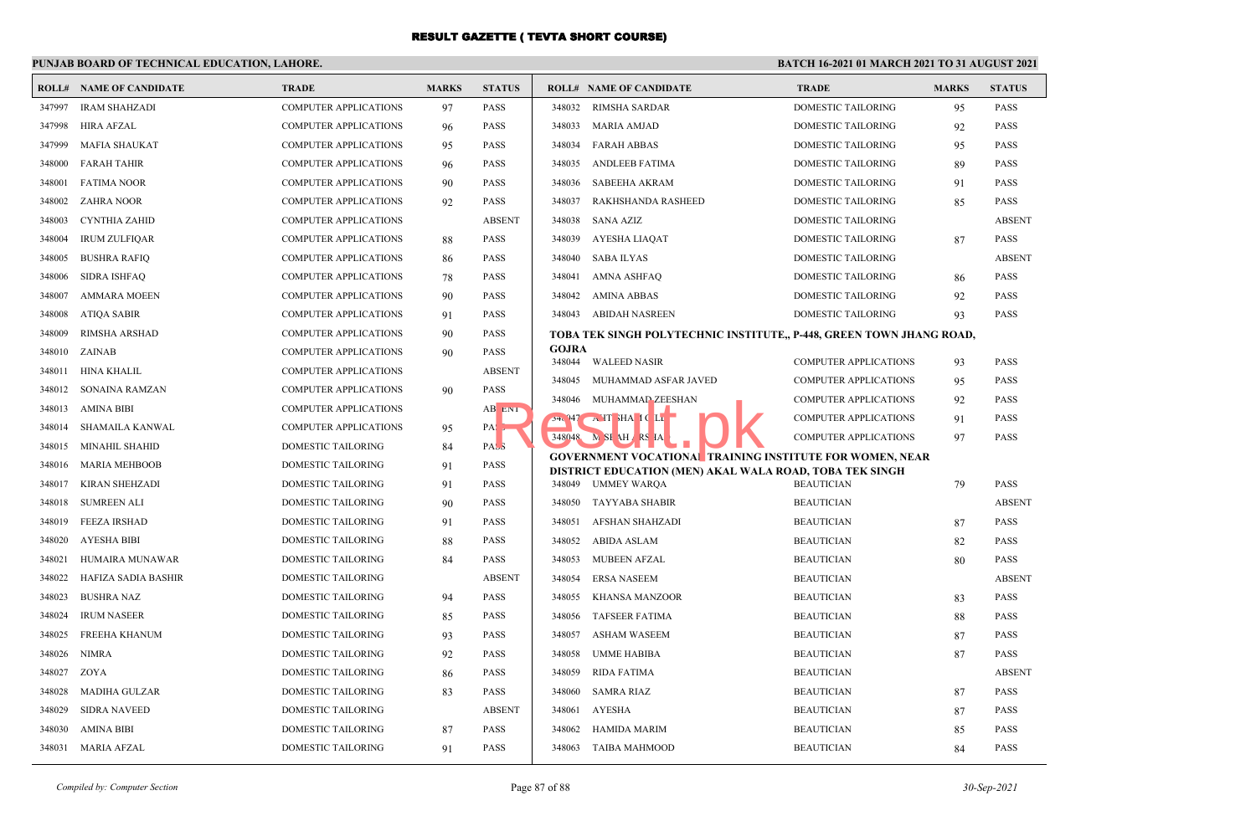### **PUNJAB BOARD OF TECHNICAL EDUCATION, LAHORE.**

|        | <b>ROLL# NAME OF CANDIDATE</b> | <b>TRADE</b>                 | <b>MARKS</b> | <b>STATUS</b>    |               | <b>ROLL# NAME OF CANDIDATE</b>                                                                                             | <b>TRADE</b>                 | <b>MARKS</b> | <b>STATUS</b> |
|--------|--------------------------------|------------------------------|--------------|------------------|---------------|----------------------------------------------------------------------------------------------------------------------------|------------------------------|--------------|---------------|
| 347997 | <b>IRAM SHAHZADI</b>           | <b>COMPUTER APPLICATIONS</b> | 97           | <b>PASS</b>      | 348032        | <b>RIMSHA SARDAR</b>                                                                                                       | <b>DOMESTIC TAILORING</b>    | 95           | <b>PASS</b>   |
| 347998 | <b>HIRA AFZAL</b>              | <b>COMPUTER APPLICATIONS</b> | 96           | <b>PASS</b>      | 348033        | MARIA AMJAD                                                                                                                | DOMESTIC TAILORING           | 92           | <b>PASS</b>   |
| 347999 | <b>MAFIA SHAUKAT</b>           | <b>COMPUTER APPLICATIONS</b> | 95           | <b>PASS</b>      | 348034        | <b>FARAH ABBAS</b>                                                                                                         | <b>DOMESTIC TAILORING</b>    | 95           | <b>PASS</b>   |
| 348000 | <b>FARAH TAHIR</b>             | <b>COMPUTER APPLICATIONS</b> | 96           | <b>PASS</b>      | 348035        | ANDLEEB FATIMA                                                                                                             | DOMESTIC TAILORING           | 89           | <b>PASS</b>   |
| 348001 | <b>FATIMA NOOR</b>             | <b>COMPUTER APPLICATIONS</b> | 90           | <b>PASS</b>      | 348036        | SABEEHA AKRAM                                                                                                              | DOMESTIC TAILORING           | 91           | <b>PASS</b>   |
| 348002 | <b>ZAHRA NOOR</b>              | <b>COMPUTER APPLICATIONS</b> | 92           | <b>PASS</b>      | 348037        | RAKHSHANDA RASHEED                                                                                                         | DOMESTIC TAILORING           | 85           | <b>PASS</b>   |
| 348003 | <b>CYNTHIA ZAHID</b>           | <b>COMPUTER APPLICATIONS</b> |              | <b>ABSENT</b>    | 348038        | SANA AZIZ                                                                                                                  | DOMESTIC TAILORING           |              | <b>ABSENT</b> |
| 348004 | <b>IRUM ZULFIQAR</b>           | <b>COMPUTER APPLICATIONS</b> | 88           | <b>PASS</b>      | 348039        | AYESHA LIAQAT                                                                                                              | DOMESTIC TAILORING           | 87           | <b>PASS</b>   |
| 348005 | <b>BUSHRA RAFIQ</b>            | <b>COMPUTER APPLICATIONS</b> | 86           | <b>PASS</b>      | 348040        | SABA ILYAS                                                                                                                 | DOMESTIC TAILORING           |              | <b>ABSENT</b> |
| 348006 | <b>SIDRA ISHFAQ</b>            | <b>COMPUTER APPLICATIONS</b> | 78           | <b>PASS</b>      | 348041        | AMNA ASHFAQ                                                                                                                | <b>DOMESTIC TAILORING</b>    | 86           | <b>PASS</b>   |
| 348007 | <b>AMMARA MOEEN</b>            | <b>COMPUTER APPLICATIONS</b> | 90           | <b>PASS</b>      | 348042        | AMINA ABBAS                                                                                                                | DOMESTIC TAILORING           | 92           | <b>PASS</b>   |
| 348008 | <b>ATIQA SABIR</b>             | <b>COMPUTER APPLICATIONS</b> | 91           | <b>PASS</b>      | 348043        | ABIDAH NASREEN                                                                                                             | DOMESTIC TAILORING           | 93           | <b>PASS</b>   |
| 348009 | RIMSHA ARSHAD                  | COMPUTER APPLICATIONS        | 90           | <b>PASS</b>      |               | TOBA TEK SINGH POLYTECHNIC INSTITUTE,, P-448, GREEN TOWN JHANG ROAD,                                                       |                              |              |               |
| 348010 | ZAINAB                         | <b>COMPUTER APPLICATIONS</b> | 90           | <b>PASS</b>      | <b>GOJRA</b>  | 348044 WALEED NASIR                                                                                                        | COMPUTER APPLICATIONS        |              | <b>PASS</b>   |
| 348011 | HINA KHALIL                    | <b>COMPUTER APPLICATIONS</b> |              | <b>ABSENT</b>    | 348045        | MUHAMMAD ASFAR JAVED                                                                                                       | <b>COMPUTER APPLICATIONS</b> | 93           | <b>PASS</b>   |
| 348012 | SONAINA RAMZAN                 | <b>COMPUTER APPLICATIONS</b> | 90           | <b>PASS</b>      | 348046        | MUHAMMAD ZEESHAN                                                                                                           | <b>COMPUTER APPLICATIONS</b> | 95<br>92     | <b>PASS</b>   |
| 348013 | AMINA BIBI                     | <b>COMPUTER APPLICATIONS</b> |              | AB ENT           |               | $24.947 \rightarrow H$ HAICLE                                                                                              | <b>COMPUTER APPLICATIONS</b> |              | <b>PASS</b>   |
| 348014 | SHAMAILA KANWAL                | <b>COMPUTER APPLICATIONS</b> | 95           | $PA$ :           |               | 348048 M SI AH RS IA                                                                                                       | <b>COMPUTER APPLICATIONS</b> | 91<br>97     | <b>PASS</b>   |
| 348015 | <b>MINAHIL SHAHID</b>          | <b>DOMESTIC TAILORING</b>    | 84           | PAS <sub>3</sub> |               |                                                                                                                            |                              |              |               |
| 348016 | <b>MARIA MEHBOOB</b>           | DOMESTIC TAILORING           | 91           | <b>PASS</b>      |               | <b>GOVERNMENT VOCATIONAL TRAINING INSTITUTE FOR WOMEN, NEAR</b><br>DISTRICT EDUCATION (MEN) AKAL WALA ROAD, TOBA TEK SINGH |                              |              |               |
| 348017 | <b>KIRAN SHEHZADI</b>          | <b>DOMESTIC TAILORING</b>    | 91           | <b>PASS</b>      |               | 348049 UMMEY WAROA                                                                                                         | <b>BEAUTICIAN</b>            | 79           | <b>PASS</b>   |
| 348018 | <b>SUMREEN ALI</b>             | DOMESTIC TAILORING           | 90           | <b>PASS</b>      | 348050        | TAYYABA SHABIR                                                                                                             | <b>BEAUTICIAN</b>            |              | <b>ABSENT</b> |
| 348019 | <b>FEEZA IRSHAD</b>            | <b>DOMESTIC TAILORING</b>    | 91           | <b>PASS</b>      | 348051        | AFSHAN SHAHZADI                                                                                                            | <b>BEAUTICIAN</b>            | 87           | <b>PASS</b>   |
| 348020 | <b>AYESHA BIBI</b>             | <b>DOMESTIC TAILORING</b>    | 88           | <b>PASS</b>      | 348052        | ABIDA ASLAM                                                                                                                | <b>BEAUTICIAN</b>            | 82           | <b>PASS</b>   |
| 348021 | HUMAIRA MUNAWAR                | <b>DOMESTIC TAILORING</b>    | 84           | <b>PASS</b>      | 348053        | <b>MUBEEN AFZAL</b>                                                                                                        | <b>BEAUTICIAN</b>            | 80           | <b>PASS</b>   |
| 348022 | HAFIZA SADIA BASHIR            | DOMESTIC TAILORING           |              | <b>ABSENT</b>    | 348054        | <b>ERSA NASEEM</b>                                                                                                         | <b>BEAUTICIAN</b>            |              | <b>ABSENT</b> |
| 348023 | <b>BUSHRA NAZ</b>              | <b>DOMESTIC TAILORING</b>    | 94           | <b>PASS</b>      | 348055        | KHANSA MANZOOR                                                                                                             | <b>BEAUTICIAN</b>            | 83           | <b>PASS</b>   |
| 348024 | <b>IRUM NASEER</b>             | <b>DOMESTIC TAILORING</b>    | 85           | <b>PASS</b>      | 348056        | <b>TAFSEER FATIMA</b>                                                                                                      | <b>BEAUTICIAN</b>            | 88           | <b>PASS</b>   |
| 348025 | <b>FREEHA KHANUM</b>           | DOMESTIC TAILORING           | 93           | <b>PASS</b>      | 348057        | <b>ASHAM WASEEM</b>                                                                                                        | <b>BEAUTICIAN</b>            | 87           | <b>PASS</b>   |
| 348026 | <b>NIMRA</b>                   | DOMESTIC TAILORING           | 92           | <b>PASS</b>      | 348058        | UMME HABIBA                                                                                                                | <b>BEAUTICIAN</b>            | 87           | <b>PASS</b>   |
| 348027 | ZOYA                           | DOMESTIC TAILORING           | 86           | <b>PASS</b>      | 348059        | <b>RIDA FATIMA</b>                                                                                                         | <b>BEAUTICIAN</b>            |              | <b>ABSENT</b> |
| 348028 | <b>MADIHA GULZAR</b>           | <b>DOMESTIC TAILORING</b>    | 83           | <b>PASS</b>      | 348060        | SAMRA RIAZ                                                                                                                 | <b>BEAUTICIAN</b>            | 87           | <b>PASS</b>   |
| 348029 | <b>SIDRA NAVEED</b>            | DOMESTIC TAILORING           |              | <b>ABSENT</b>    | 348061 AYESHA |                                                                                                                            | <b>BEAUTICIAN</b>            | 87           | <b>PASS</b>   |
| 348030 | AMINA BIBI                     | <b>DOMESTIC TAILORING</b>    | 87           | <b>PASS</b>      | 348062        | HAMIDA MARIM                                                                                                               | <b>BEAUTICIAN</b>            | 85           | <b>PASS</b>   |
|        | 348031 MARIA AFZAL             | DOMESTIC TAILORING           | 91           | <b>PASS</b>      | 348063        | TAIBA MAHMOOD                                                                                                              | <b>BEAUTICIAN</b>            | 84           | PASS          |
|        |                                |                              |              |                  |               |                                                                                                                            |                              |              |               |